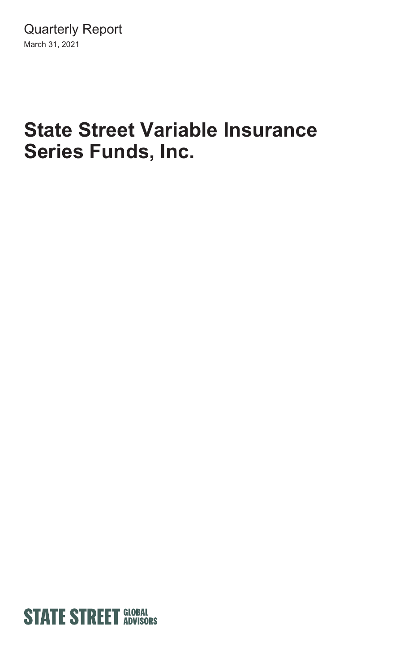# **State Street Variable Insurance Series Funds, Inc.**

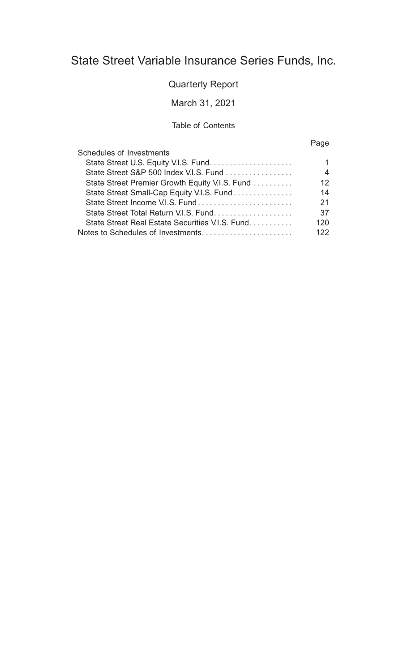### State Street Variable Insurance Series Funds, Inc.

#### Quarterly Report

#### March 31, 2021

#### Table of Contents

#### Page

| Schedules of Investments                        |     |
|-------------------------------------------------|-----|
|                                                 |     |
| State Street S&P 500 Index V.I.S. Fund          | 4   |
| State Street Premier Growth Equity V.I.S. Fund  | 12  |
| State Street Small-Cap Equity V.I.S. Fund       | 14  |
|                                                 | 21  |
|                                                 | 37  |
| State Street Real Estate Securities V.I.S. Fund | 120 |
|                                                 | 122 |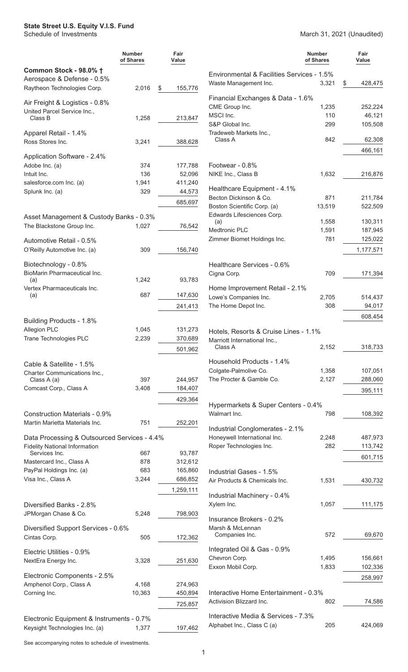#### <span id="page-2-0"></span>**State Street U.S. Equity V.I.S. Fund**

Schedule of Investments March 31, 2021 (Unaudited)

|                                                      | <b>Number</b><br>of Shares | Fair<br>Value      |                                                       | <b>Number</b><br>of Shares | Fair<br>Value      |
|------------------------------------------------------|----------------------------|--------------------|-------------------------------------------------------|----------------------------|--------------------|
| Common Stock - 98.0% †                               |                            |                    | Environmental & Facilities Services - 1.5%            |                            |                    |
| Aerospace & Defense - 0.5%                           |                            |                    | Waste Management Inc.                                 | 3,321                      | \$<br>428,475      |
| Raytheon Technologies Corp.                          | 2,016                      | 155,776<br>\$      |                                                       |                            |                    |
| Air Freight & Logistics - 0.8%                       |                            |                    | Financial Exchanges & Data - 1.6%<br>CME Group Inc.   | 1,235                      | 252,224            |
| United Parcel Service Inc.,<br>Class B               | 1,258                      | 213,847            | MSCI Inc.                                             | 110                        | 46,121             |
|                                                      |                            |                    | S&P Global Inc.                                       | 299                        | 105,508            |
| Apparel Retail - 1.4%                                |                            |                    | Tradeweb Markets Inc.,                                |                            |                    |
| Ross Stores Inc.                                     | 3,241                      | 388,628            | Class A                                               | 842                        | 62,308             |
| Application Software - 2.4%                          |                            |                    |                                                       |                            | 466,161            |
| Adobe Inc. (a)                                       | 374                        | 177,788            | Footwear - 0.8%                                       |                            |                    |
| Intuit Inc.                                          | 136                        | 52,096             | NIKE Inc., Class B                                    | 1,632                      | 216,876            |
| salesforce.com Inc. (a)                              | 1,941                      | 411,240            |                                                       |                            |                    |
| Splunk Inc. (a)                                      | 329                        | 44,573             | Healthcare Equipment - 4.1%<br>Becton Dickinson & Co. | 871                        | 211,784            |
|                                                      |                            | 685,697            | Boston Scientific Corp. (a)                           | 13,519                     | 522,509            |
| Asset Management & Custody Banks - 0.3%              |                            |                    | Edwards Lifesciences Corp.                            |                            |                    |
| The Blackstone Group Inc.                            | 1,027                      | 76,542             | (a)                                                   | 1,558                      | 130,311            |
|                                                      |                            |                    | <b>Medtronic PLC</b><br>Zimmer Biomet Holdings Inc.   | 1,591<br>781               | 187,945<br>125,022 |
| Automotive Retail - 0.5%                             |                            |                    |                                                       |                            |                    |
| O'Reilly Automotive Inc. (a)                         | 309                        | 156,740            |                                                       |                            | 1,177,571          |
| Biotechnology - 0.8%                                 |                            |                    | Healthcare Services - 0.6%                            |                            |                    |
| BioMarin Pharmaceutical Inc.                         |                            |                    | Cigna Corp.                                           | 709                        | 171,394            |
| (a)<br>Vertex Pharmaceuticals Inc.                   | 1,242                      | 93,783             | Home Improvement Retail - 2.1%                        |                            |                    |
| (a)                                                  | 687                        | 147,630            | Lowe's Companies Inc.                                 | 2,705                      | 514,437            |
|                                                      |                            | 241,413            | The Home Depot Inc.                                   | 308                        | 94,017             |
|                                                      |                            |                    |                                                       |                            | 608,454            |
| Building Products - 1.8%                             |                            |                    |                                                       |                            |                    |
| Allegion PLC<br>Trane Technologies PLC               | 1,045<br>2,239             | 131,273<br>370,689 | Hotels, Resorts & Cruise Lines - 1.1%                 |                            |                    |
|                                                      |                            | 501,962            | Marriott International Inc.,<br>Class A               | 2,152                      | 318,733            |
|                                                      |                            |                    |                                                       |                            |                    |
| Cable & Satellite - 1.5%                             |                            |                    | Household Products - 1.4%                             |                            |                    |
| Charter Communications Inc.,                         | 397                        | 244,957            | Colgate-Palmolive Co.<br>The Procter & Gamble Co.     | 1,358<br>2,127             | 107,051<br>288,060 |
| Class A (a)<br>Comcast Corp., Class A                | 3,408                      | 184,407            |                                                       |                            |                    |
|                                                      |                            | 429,364            |                                                       |                            | 395,111            |
|                                                      |                            |                    | Hypermarkets & Super Centers - 0.4%                   |                            |                    |
| Construction Materials - 0.9%                        |                            |                    | Walmart Inc.                                          | 798                        | 108,392            |
| Martin Marietta Materials Inc.                       | 751                        | 252,201            | Industrial Conglomerates - 2.1%                       |                            |                    |
| Data Processing & Outsourced Services - 4.4%         |                            |                    | Honeywell International Inc.                          | 2,248                      | 487,973            |
| <b>Fidelity National Information</b>                 |                            |                    | Roper Technologies Inc.                               | 282                        | 113,742            |
| Services Inc.                                        | 667                        | 93,787             |                                                       |                            | 601,715            |
| Mastercard Inc., Class A<br>PayPal Holdings Inc. (a) | 878<br>683                 | 312,612<br>165,860 |                                                       |                            |                    |
| Visa Inc., Class A                                   | 3,244                      | 686,852            | Industrial Gases - 1.5%                               |                            |                    |
|                                                      |                            | 1,259,111          | Air Products & Chemicals Inc.                         | 1,531                      | 430,732            |
|                                                      |                            |                    | Industrial Machinery - 0.4%                           |                            |                    |
| Diversified Banks - 2.8%                             |                            |                    | Xylem Inc.                                            | 1,057                      | 111,175            |
| JPMorgan Chase & Co.                                 | 5,248                      | 798,903            | Insurance Brokers - 0.2%                              |                            |                    |
| Diversified Support Services - 0.6%                  |                            |                    | Marsh & McLennan                                      |                            |                    |
| Cintas Corp.                                         | 505                        | 172,362            | Companies Inc.                                        | 572                        | 69,670             |
|                                                      |                            |                    | Integrated Oil & Gas - 0.9%                           |                            |                    |
| Electric Utilities - 0.9%                            |                            |                    | Chevron Corp.                                         | 1,495                      | 156,661            |
| NextEra Energy Inc.                                  | 3,328                      | 251,630            | Exxon Mobil Corp.                                     | 1,833                      | 102,336            |
| Electronic Components - 2.5%                         |                            |                    |                                                       |                            | 258,997            |
| Amphenol Corp., Class A                              | 4,168                      | 274,963            |                                                       |                            |                    |
| Corning Inc.                                         | 10,363                     | 450,894            | Interactive Home Entertainment - 0.3%                 |                            |                    |
|                                                      |                            | 725,857            | Activision Blizzard Inc.                              | 802                        | 74,586             |
| Electronic Equipment & Instruments - 0.7%            |                            |                    | Interactive Media & Services - 7.3%                   |                            |                    |
| Keysight Technologies Inc. (a)                       | 1,377                      | 197,462            | Alphabet Inc., Class C (a)                            | 205                        | 424,069            |
|                                                      |                            |                    |                                                       |                            |                    |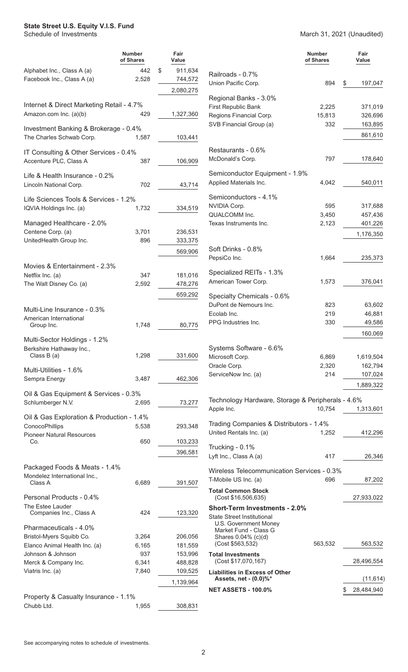#### **State Street U.S. Equity V.I.S. Fund**

#### Schedule of Investments March 31, 2021 (Unaudited)

|                                                                     | <b>Number</b><br>of Shares | Fair<br>Value            |                                                                | <b>Number</b><br>of Shares | Fair<br>Value      |
|---------------------------------------------------------------------|----------------------------|--------------------------|----------------------------------------------------------------|----------------------------|--------------------|
| Alphabet Inc., Class A (a)<br>Facebook Inc., Class A (a)            | 442<br>2,528               | \$<br>911,634<br>744,572 | Railroads - 0.7%                                               |                            |                    |
|                                                                     |                            | 2,080,275                | Union Pacific Corp.                                            | 894                        | \$<br>197,047      |
|                                                                     |                            |                          | Regional Banks - 3.0%                                          |                            |                    |
| Internet & Direct Marketing Retail - 4.7%<br>Amazon.com Inc. (a)(b) | 429                        | 1,327,360                | First Republic Bank                                            | 2,225                      | 371,019            |
|                                                                     |                            |                          | Regions Financial Corp.<br>SVB Financial Group (a)             | 15,813<br>332              | 326,696<br>163,895 |
| Investment Banking & Brokerage - 0.4%                               |                            |                          |                                                                |                            | 861,610            |
| The Charles Schwab Corp.                                            | 1,587                      | 103,441                  |                                                                |                            |                    |
| IT Consulting & Other Services - 0.4%                               |                            |                          | Restaurants - 0.6%                                             |                            |                    |
| Accenture PLC, Class A                                              | 387                        | 106,909                  | McDonald's Corp.                                               | 797                        | 178,640            |
| Life & Health Insurance - 0.2%                                      |                            |                          | Semiconductor Equipment - 1.9%                                 |                            |                    |
| Lincoln National Corp.                                              | 702                        | 43,714                   | Applied Materials Inc.                                         | 4,042                      | 540,011            |
| Life Sciences Tools & Services - 1.2%                               |                            |                          | Semiconductors - 4.1%                                          |                            |                    |
| IQVIA Holdings Inc. (a)                                             | 1,732                      | 334,519                  | NVIDIA Corp.                                                   | 595                        | 317,688            |
|                                                                     |                            |                          | QUALCOMM Inc.<br>Texas Instruments Inc.                        | 3,450<br>2,123             | 457,436<br>401,226 |
| Managed Healthcare - 2.0%<br>Centene Corp. (a)                      | 3,701                      | 236,531                  |                                                                |                            |                    |
| UnitedHealth Group Inc.                                             | 896                        | 333,375                  |                                                                |                            | 1,176,350          |
|                                                                     |                            | 569,906                  | Soft Drinks - 0.8%                                             |                            |                    |
| Movies & Entertainment - 2.3%                                       |                            |                          | PepsiCo Inc.                                                   | 1,664                      | 235,373            |
| Netflix Inc. (a)                                                    | 347                        | 181,016                  | Specialized REITs - 1.3%                                       |                            |                    |
| The Walt Disney Co. (a)                                             | 2,592                      | 478,276                  | American Tower Corp.                                           | 1,573                      | 376,041            |
|                                                                     |                            | 659,292                  | Specialty Chemicals - 0.6%                                     |                            |                    |
| Multi-Line Insurance - 0.3%                                         |                            |                          | DuPont de Nemours Inc.                                         | 823                        | 63,602             |
| American International                                              |                            |                          | Ecolab Inc.                                                    | 219                        | 46,881             |
| Group Inc.                                                          | 1,748                      | 80,775                   | PPG Industries Inc.                                            | 330                        | 49,586             |
| Multi-Sector Holdings - 1.2%                                        |                            |                          |                                                                |                            | 160,069            |
| Berkshire Hathaway Inc.,                                            |                            |                          | Systems Software - 6.6%                                        |                            |                    |
| Class $B(a)$                                                        | 1,298                      | 331,600                  | Microsoft Corp.                                                | 6,869                      | 1,619,504          |
| Multi-Utilities - 1.6%                                              |                            |                          | Oracle Corp.<br>ServiceNow Inc. (a)                            | 2,320<br>214               | 162,794<br>107,024 |
| Sempra Energy                                                       | 3,487                      | 462,306                  |                                                                |                            | 1,889,322          |
| Oil & Gas Equipment & Services - 0.3%                               |                            |                          |                                                                |                            |                    |
| Schlumberger N.V.                                                   | 2,695                      | 73,277                   | Technology Hardware, Storage & Peripherals - 4.6%              |                            |                    |
| Oil & Gas Exploration & Production - 1.4%                           |                            |                          | Apple Inc.                                                     | 10,754                     | 1,313,601          |
| ConocoPhillips                                                      | 5,538                      | 293,348                  | Trading Companies & Distributors - 1.4%                        |                            |                    |
| <b>Pioneer Natural Resources</b>                                    |                            |                          | United Rentals Inc. (a)                                        | 1,252                      | 412,296            |
| Co.                                                                 | 650                        | 103,233                  | Trucking - 0.1%                                                |                            |                    |
|                                                                     |                            | 396,581                  | Lyft Inc., Class A (a)                                         | 417                        | 26,346             |
| Packaged Foods & Meats - 1.4%                                       |                            |                          | Wireless Telecommunication Services - 0.3%                     |                            |                    |
| Mondelez International Inc.,<br>Class A                             | 6,689                      | 391,507                  | T-Mobile US Inc. (a)                                           | 696                        | 87,202             |
|                                                                     |                            |                          | <b>Total Common Stock</b>                                      |                            |                    |
| Personal Products - 0.4%                                            |                            |                          | (Cost \$16,506,635)                                            |                            | 27,933,022         |
| The Estee Lauder<br>Companies Inc., Class A                         | 424                        | 123,320                  | <b>Short-Term Investments - 2.0%</b>                           |                            |                    |
| Pharmaceuticals - 4.0%                                              |                            |                          | <b>State Street Institutional</b><br>U.S. Government Money     |                            |                    |
| Bristol-Myers Squibb Co.                                            | 3,264                      | 206,056                  | Market Fund - Class G<br>Shares 0.04% (c)(d)                   |                            |                    |
| Elanco Animal Health Inc. (a)                                       | 6,165                      | 181,559                  | (Cost \$563,532)                                               | 563,532                    | 563,532            |
| Johnson & Johnson                                                   | 937                        | 153,996                  | <b>Total Investments</b>                                       |                            |                    |
| Merck & Company Inc.<br>Viatris Inc. (a)                            | 6,341<br>7,840             | 488,828<br>109,525       | (Cost \$17,070,167)                                            |                            | 28,496,554         |
|                                                                     |                            | 1,139,964                | <b>Liabilities in Excess of Other</b><br>Assets, net - (0.0)%* |                            | (11, 614)          |
|                                                                     |                            |                          | <b>NET ASSETS - 100.0%</b>                                     |                            | 28,484,940<br>\$   |
| Property & Casualty Insurance - 1.1%                                |                            |                          |                                                                |                            |                    |
| Chubb Ltd.                                                          | 1,955                      | 308,831                  |                                                                |                            |                    |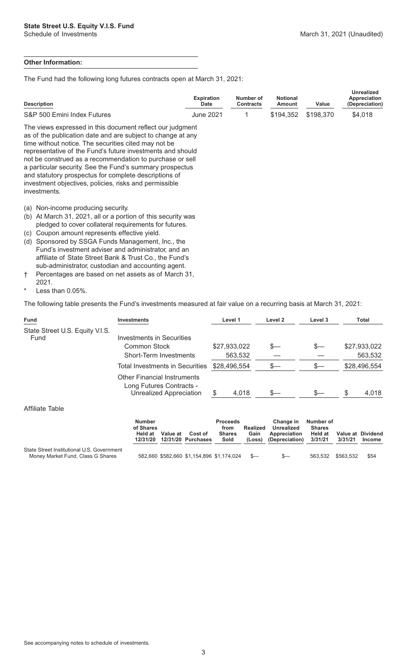#### **Other Information:**

The Fund had the following long futures contracts open at March 31, 2021:

| <b>Description</b>                                                                                                                                                                                                                                                                                                                                                                                                                                                                                           | <b>Expiration</b><br>Date | Number of<br><b>Contracts</b> | <b>Notional</b><br>Amount | Value     | <b>Unrealized</b><br>Appreciation<br>(Depreciation) |
|--------------------------------------------------------------------------------------------------------------------------------------------------------------------------------------------------------------------------------------------------------------------------------------------------------------------------------------------------------------------------------------------------------------------------------------------------------------------------------------------------------------|---------------------------|-------------------------------|---------------------------|-----------|-----------------------------------------------------|
| S&P 500 Emini Index Futures                                                                                                                                                                                                                                                                                                                                                                                                                                                                                  | <b>June 2021</b>          |                               | \$194,352                 | \$198,370 | \$4,018                                             |
| The views expressed in this document reflect our judgment<br>as of the publication date and are subject to change at any<br>time without notice. The securities cited may not be<br>representative of the Fund's future investments and should<br>not be construed as a recommendation to purchase or sell<br>a particular security. See the Fund's summary prospectus<br>and statutory prospectus for complete descriptions of<br>investment objectives, policies, risks and permissible<br>investments.    |                           |                               |                           |           |                                                     |
| Non-income producing security.<br>(a)<br>(b) At March 31, 2021, all or a portion of this security was<br>pledged to cover collateral requirements for futures.<br>Coupon amount represents effective yield.<br>(C)<br>Sponsored by SSGA Funds Management, Inc., the<br>(d)<br>Fund's investment adviser and administrator, and an<br>affiliate of State Street Bank & Trust Co., the Fund's<br>sub-administrator, custodian and accounting agent.<br>Percentages are hased on net assets as of March 31<br>÷ |                           |                               |                           |           |                                                     |

† Percentages are based on net assets as of March 31, 2021.

Less than 0.05%.

The following table presents the Fund's investments measured at fair value on a recurring basis at March 31, 2021:

| Fund                                    | <b>Investments</b>                                                                        | Level 1      | Level 2 | Level 3 | Total        |
|-----------------------------------------|-------------------------------------------------------------------------------------------|--------------|---------|---------|--------------|
| State Street U.S. Equity V.I.S.<br>Fund | Investments in Securities                                                                 |              |         |         |              |
|                                         | Common Stock                                                                              | \$27,933,022 | S—      |         | \$27,933,022 |
|                                         | Short-Term Investments                                                                    | 563,532      |         |         | 563,532      |
|                                         | Total Investments in Securities                                                           | \$28,496,554 | s—      |         | \$28,496,554 |
|                                         | <b>Other Financial Instruments</b><br>Long Futures Contracts -<br>Unrealized Appreciation | 4,018        | \$—     |         | 4,018        |
| $ALCII = 1 - T - LI$                    |                                                                                           |              |         |         |              |

#### Affiliate Table

|                                                                                 | <b>Number</b><br>of Shares<br>Held at<br>12/31/20 | Value at | Cost of<br>12/31/20 Purchases             | <b>Proceeds</b><br>from<br><b>Shares</b><br>Sold | Realized<br>Gain<br>(Loss) | <b>Change in</b><br>Unrealized<br>Appreciation<br>(Depreciation) | Number of<br><b>Shares</b><br><b>Held at</b><br>3/31/21 | Value at Dividend<br>3/31/21 | <b>Income</b> |
|---------------------------------------------------------------------------------|---------------------------------------------------|----------|-------------------------------------------|--------------------------------------------------|----------------------------|------------------------------------------------------------------|---------------------------------------------------------|------------------------------|---------------|
| State Street Institutional U.S. Government<br>Money Market Fund, Class G Shares |                                                   |          | 582,660 \$582,660 \$1,154,896 \$1,174,024 |                                                  | $S-$                       | $S-$                                                             | 563.532                                                 | \$563.532                    | \$54          |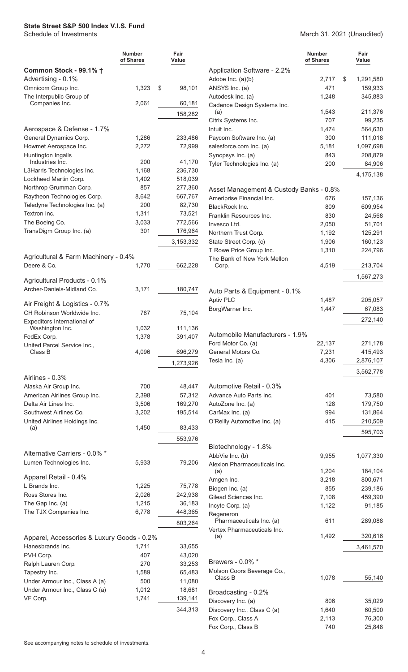<span id="page-5-0"></span>

|                                                     | <b>Number</b><br>of Shares | Fair<br>Value    |                                                   | <b>Number</b><br>of Shares | Fair<br>Value    |
|-----------------------------------------------------|----------------------------|------------------|---------------------------------------------------|----------------------------|------------------|
| Common Stock - 99.1% +                              |                            |                  | Application Software - 2.2%                       |                            |                  |
| Advertising - 0.1%                                  |                            |                  | Adobe Inc. (a)(b)                                 | 2,717                      | 1,291,580<br>\$  |
| Omnicom Group Inc.                                  | 1,323                      | \$<br>98,101     | ANSYS Inc. (a)                                    | 471                        | 159,933          |
| The Interpublic Group of                            | 2,061                      | 60,181           | Autodesk Inc. (a)                                 | 1,248                      | 345,883          |
| Companies Inc.                                      |                            |                  | Cadence Design Systems Inc.<br>(a)                | 1,543                      | 211,376          |
|                                                     |                            | 158,282          | Citrix Systems Inc.                               | 707                        | 99,235           |
| Aerospace & Defense - 1.7%                          |                            |                  | Intuit Inc.                                       | 1,474                      | 564,630          |
| General Dynamics Corp.                              | 1,286                      | 233,486          | Paycom Software Inc. (a)                          | 300                        | 111,018          |
| Howmet Aerospace Inc.                               | 2,272                      | 72,999           | salesforce.com Inc. (a)                           | 5,181                      | 1,097,698        |
| Huntington Ingalls                                  |                            |                  | Synopsys Inc. (a)                                 | 843                        | 208,879          |
| Industries Inc.                                     | 200                        | 41,170           | Tyler Technologies Inc. (a)                       | 200                        | 84,906           |
| L3Harris Technologies Inc.                          | 1,168                      | 236,730          |                                                   |                            | 4,175,138        |
| Lockheed Martin Corp.                               | 1,402                      | 518,039          |                                                   |                            |                  |
| Northrop Grumman Corp.                              | 857                        | 277,360          | Asset Management & Custody Banks - 0.8%           |                            |                  |
| Raytheon Technologies Corp.                         | 8,642                      | 667,767          | Ameriprise Financial Inc.                         | 676                        | 157,136          |
| Teledyne Technologies Inc. (a)                      | 200                        | 82,730           | BlackRock Inc.                                    | 809                        | 609,954          |
| Textron Inc.                                        | 1,311                      | 73,521           | Franklin Resources Inc.                           | 830                        | 24,568           |
| The Boeing Co.                                      | 3,033                      | 772,566          | Invesco Ltd.                                      | 2,050                      | 51,701           |
| TransDigm Group Inc. (a)                            | 301                        | 176,964          | Northern Trust Corp.                              | 1,192                      | 125,291          |
|                                                     |                            | 3,153,332        | State Street Corp. (c)                            | 1,906                      | 160,123          |
|                                                     |                            |                  | T Rowe Price Group Inc.                           | 1,310                      | 224,796          |
| Agricultural & Farm Machinery - 0.4%<br>Deere & Co. |                            |                  | The Bank of New York Mellon                       | 4,519                      | 213,704          |
|                                                     | 1,770                      | 662,228          | Corp.                                             |                            |                  |
| Agricultural Products - 0.1%                        |                            |                  |                                                   |                            | 1,567,273        |
| Archer-Daniels-Midland Co.                          | 3,171                      | 180,747          | Auto Parts & Equipment - 0.1%                     |                            |                  |
|                                                     |                            |                  | <b>Aptiv PLC</b>                                  | 1,487                      | 205,057          |
| Air Freight & Logistics - 0.7%                      |                            |                  | BorgWarner Inc.                                   | 1,447                      | 67,083           |
| CH Robinson Worldwide Inc.                          | 787                        | 75,104           |                                                   |                            |                  |
| Expeditors International of<br>Washington Inc.      | 1,032                      | 111,136          |                                                   |                            | 272,140          |
| FedEx Corp.                                         | 1,378                      | 391,407          | Automobile Manufacturers - 1.9%                   |                            |                  |
| United Parcel Service Inc                           |                            |                  | Ford Motor Co. (a)                                | 22,137                     | 271,178          |
| Class B                                             | 4,096                      | 696,279          | General Motors Co.                                | 7,231                      | 415,493          |
|                                                     |                            | 1,273,926        | Tesla Inc. (a)                                    | 4,306                      | 2,876,107        |
|                                                     |                            |                  |                                                   |                            | 3,562,778        |
| Airlines - 0.3%                                     |                            |                  |                                                   |                            |                  |
| Alaska Air Group Inc.                               | 700                        | 48,447           | Automotive Retail - 0.3%                          |                            |                  |
| American Airlines Group Inc.                        | 2,398                      | 57,312           | Advance Auto Parts Inc.                           | 401                        | 73,580           |
| Delta Air Lines Inc.                                | 3,506                      | 169,270          | AutoZone Inc. (a)                                 | 128                        | 179,750          |
| Southwest Airlines Co.                              | 3,202                      | 195,514          | CarMax Inc. (a)                                   | 994                        | 131,864          |
| United Airlines Holdings Inc.<br>(a)                | 1,450                      | 83,433           | O'Reilly Automotive Inc. (a)                      | 415                        | 210,509          |
|                                                     |                            |                  |                                                   |                            | 595,703          |
|                                                     |                            | 553,976          |                                                   |                            |                  |
| Alternative Carriers - 0.0% *                       |                            |                  | Biotechnology - 1.8%<br>AbbVie Inc. (b)           |                            |                  |
| Lumen Technologies Inc.                             | 5,933                      | 79,206           | Alexion Pharmaceuticals Inc.                      | 9,955                      | 1,077,330        |
|                                                     |                            |                  | (a)                                               | 1,204                      | 184,104          |
| Apparel Retail - 0.4%                               |                            |                  | Amgen Inc.                                        | 3,218                      | 800,671          |
| L Brands Inc.                                       | 1,225                      | 75,778           | Biogen Inc. (a)                                   | 855                        | 239,186          |
| Ross Stores Inc.                                    | 2,026                      | 242,938          | Gilead Sciences Inc.                              | 7,108                      | 459,390          |
| The Gap Inc. (a)                                    | 1,215                      | 36,183           | Incyte Corp. (a)                                  | 1,122                      | 91,185           |
| The TJX Companies Inc.                              | 6,778                      | 448,365          | Regeneron                                         |                            |                  |
|                                                     |                            | 803,264          | Pharmaceuticals Inc. (a)                          | 611                        | 289,088          |
|                                                     |                            |                  | Vertex Pharmaceuticals Inc.<br>(a)                | 1,492                      | 320,616          |
| Apparel, Accessories & Luxury Goods - 0.2%          |                            |                  |                                                   |                            |                  |
| Hanesbrands Inc.<br>PVH Corp.                       | 1,711<br>407               | 33,655<br>43,020 |                                                   |                            | 3,461,570        |
| Ralph Lauren Corp.                                  | 270                        | 33,253           | Brewers - 0.0% *                                  |                            |                  |
| Tapestry Inc.                                       | 1,589                      | 65,483           | Molson Coors Beverage Co.,                        |                            |                  |
| Under Armour Inc., Class A (a)                      | 500                        | 11,080           | Class B                                           | 1,078                      | 55,140           |
| Under Armour Inc., Class C (a)                      | 1,012                      | 18,681           |                                                   |                            |                  |
| VF Corp.                                            | 1,741                      | 139,141          | Broadcasting - 0.2%                               |                            |                  |
|                                                     |                            |                  | Discovery Inc. (a)                                | 806                        | 35,029           |
|                                                     |                            | 344,313          | Discovery Inc., Class C (a)<br>Fox Corp., Class A | 1,640<br>2,113             | 60,500<br>76,300 |
|                                                     |                            |                  | Fox Corp., Class B                                | 740                        | 25,848           |
|                                                     |                            |                  |                                                   |                            |                  |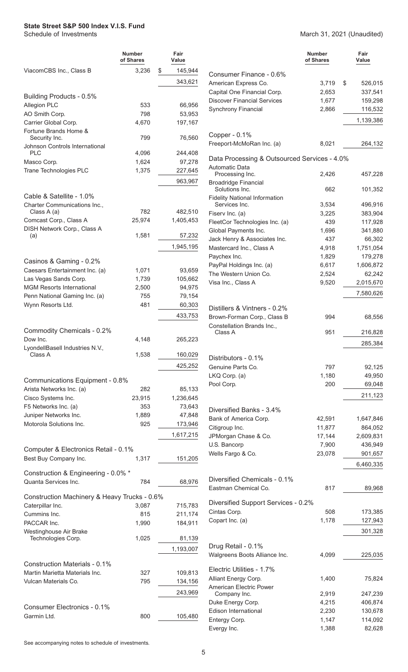|                                                                   | <b>Number</b><br>of Shares | Fair<br>Value    |
|-------------------------------------------------------------------|----------------------------|------------------|
| ViacomCBS Inc., Class B                                           | 3.236                      | \$<br>145,944    |
|                                                                   |                            | 343,621          |
| Building Products - 0.5%                                          |                            |                  |
| Allegion PLC                                                      | 533                        | 66,956           |
| AO Smith Corp.                                                    | 798                        | 53,953           |
| Carrier Global Corp.                                              | 4,670                      | 197,167          |
| Fortune Brands Home &                                             |                            |                  |
| Security Inc.<br>Johnson Controls International                   | 799                        | 76,560           |
| PLC                                                               | 4,096                      | 244,408          |
| Masco Corp.                                                       | 1,624                      | 97,278           |
| Trane Technologies PLC                                            | 1,375                      | 227,645          |
|                                                                   |                            | 963,967          |
| Cable & Satellite - 1.0%                                          |                            |                  |
| Charter Communications Inc.,                                      |                            |                  |
| Class A (a)                                                       | 782                        | 482,510          |
| Comcast Corp., Class A                                            | 25,974                     | 1,405,453        |
| DISH Network Corp., Class A<br>(a)                                | 1,581                      | 57,232           |
|                                                                   |                            | 1,945,195        |
|                                                                   |                            |                  |
| Casinos & Gaming - 0.2%                                           |                            |                  |
| Caesars Entertainment Inc. (a)                                    | 1,071                      | 93,659           |
| Las Vegas Sands Corp.                                             | 1,739                      | 105,662          |
| <b>MGM Resorts International</b><br>Penn National Gaming Inc. (a) | 2,500<br>755               | 94,975<br>79,154 |
| Wynn Resorts Ltd.                                                 | 481                        | 60,303           |
|                                                                   |                            | 433,753          |
|                                                                   |                            |                  |
| Commodity Chemicals - 0.2%                                        |                            |                  |
| Dow Inc.                                                          | 4,148                      | 265,223          |
| LyondellBasell Industries N.V.,<br>Class A                        | 1,538                      | 160,029          |
|                                                                   |                            | 425,252          |
|                                                                   |                            |                  |
| Communications Equipment - 0.8%                                   |                            |                  |
| Arista Networks Inc. (a)                                          | 282                        | 85,133           |
| Cisco Systems Inc.                                                | 23,915                     | 1,236,645        |
| F5 Networks Inc. (a)<br>Juniper Networks Inc.                     | 353<br>1,889               | 73,643<br>47,848 |
| Motorola Solutions Inc.                                           | 925                        | 173,946          |
|                                                                   |                            | 1,617,215        |
|                                                                   |                            |                  |
| Computer & Electronics Retail - 0.1%                              |                            |                  |
| Best Buy Company Inc.                                             | 1,317                      | 151,205          |
| Construction & Engineering - 0.0% *                               |                            |                  |
| Quanta Services Inc.                                              | 784                        | 68,976           |
| Construction Machinery & Heavy Trucks - 0.6%                      |                            |                  |
| Caterpillar Inc.                                                  | 3,087                      | 715,783          |
| Cummins Inc.                                                      | 815                        | 211,174          |
| PACCAR Inc.                                                       | 1,990                      | 184,911          |
| Westinghouse Air Brake                                            |                            |                  |
| Technologies Corp.                                                | 1,025                      | 81,139           |
|                                                                   |                            | 1,193,007        |
| Construction Materials - 0.1%                                     |                            |                  |
| Martin Marietta Materials Inc.                                    | 327                        | 109,813          |
| Vulcan Materials Co.                                              | 795                        | 134,156          |
|                                                                   |                            | 243,969          |
| Consumer Electronics - 0.1%                                       |                            |                  |
| Garmin Ltd.                                                       | 800                        | 105,480          |
|                                                                   |                            |                  |

|                                                                | Number<br>of Shares | Fair<br>Value |
|----------------------------------------------------------------|---------------------|---------------|
| Consumer Finance - 0.6%                                        |                     |               |
| American Express Co.                                           | 3,719               | \$<br>526,015 |
| Capital One Financial Corp.                                    | 2,653               | 337,541       |
| <b>Discover Financial Services</b>                             | 1,677               | 159,298       |
| Synchrony Financial                                            | 2,866               | 116,532       |
|                                                                |                     | 1,139,386     |
| Copper - 0.1%                                                  |                     |               |
| Freeport-McMoRan Inc. (a)                                      | 8,021               | 264,132       |
| Data Processing & Outsourced Services - 4.0%<br>Automatic Data |                     |               |
| Processing Inc.<br><b>Broadridge Financial</b>                 | 2,426               | 457,228       |
| Solutions Inc.                                                 | 662                 | 101,352       |
| <b>Fidelity National Information</b><br>Services Inc.          | 3,534               | 496,916       |
| Fiserv Inc. (a)                                                | 3,225               | 383,904       |
| FleetCor Technologies Inc. (a)                                 | 439                 | 117,928       |
| Global Payments Inc.                                           | 1,696               | 341,880       |
| Jack Henry & Associates Inc.                                   | 437                 | 66,302        |
|                                                                |                     |               |
| Mastercard Inc., Class A                                       | 4,918               | 1,751,054     |
| Paychex Inc.                                                   | 1,829               | 179,278       |
| PayPal Holdings Inc. (a)                                       | 6,617               | 1,606,872     |
| The Western Union Co.                                          | 2,524               | 62,242        |
| Visa Inc., Class A                                             | 9,520               | 2,015,670     |
|                                                                |                     | 7,580,626     |
| Distillers & Vintners - 0.2%                                   |                     |               |
| Brown-Forman Corp., Class B                                    | 994                 | 68,556        |
| Constellation Brands Inc.,<br>Class A                          | 951                 | 216,828       |
|                                                                |                     | 285,384       |
| Distributors - 0.1%                                            |                     |               |
|                                                                |                     |               |
| Genuine Parts Co.                                              | 797                 | 92,125        |
| LKQ Corp. (a)                                                  | 1,180               | 49,950        |
| Pool Corp.                                                     | 200                 | 69,048        |
|                                                                |                     | 211,123       |
| Diversified Banks - 3.4%                                       |                     |               |
| Bank of America Corp.                                          | 42,591              | 1,647,846     |
| Citigroup Inc.                                                 | 11.877              | 864,052       |
| JPMorgan Chase & Co.                                           | 17,144              | 2,609,831     |
| U.S. Bancorp                                                   | 7,900               | 436,949       |
| Wells Fargo & Co.                                              | 23,078              | 901,657       |
|                                                                |                     | 6,460,335     |
| Diversified Chemicals - 0.1%                                   |                     |               |
| Eastman Chemical Co.                                           | 817                 | 89,968        |
| Diversified Support Services - 0.2%                            |                     |               |
| Cintas Corp.                                                   | 508                 | 173,385       |
| Copart Inc. (a)                                                | 1,178               | 127,943       |
|                                                                |                     | 301,328       |
| Drug Retail - 0.1%                                             |                     |               |
| Walgreens Boots Alliance Inc.                                  | 4,099               | 225,035       |
| Electric Utilities - 1.7%                                      |                     |               |
| Alliant Energy Corp.                                           | 1,400               | 75,824        |
| American Electric Power                                        |                     |               |
| Company Inc.                                                   | 2,919               | 247,239       |
| Duke Energy Corp.                                              | 4,215               | 406,874       |
| Edison International                                           | 2,230               | 130,678       |
| Entergy Corp.                                                  | 1,147               | 114,092       |
| Evergy Inc.                                                    | 1,388               | 82,628        |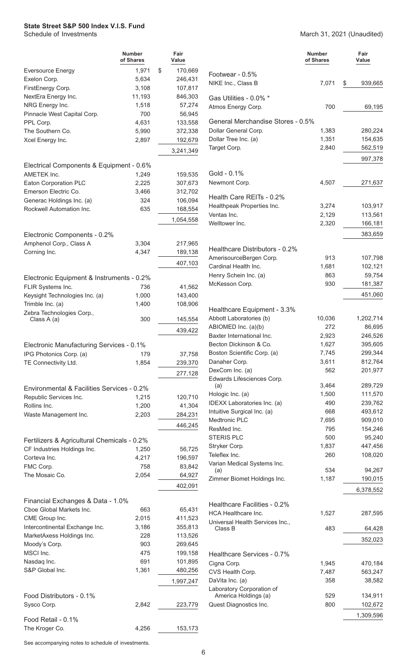March 31, 2021 (Unaudited)

|                                                   | <b>Number</b><br>of Shares | Fair<br>Value |                                               | <b>Number</b><br>of Shares | Fair<br>Value |
|---------------------------------------------------|----------------------------|---------------|-----------------------------------------------|----------------------------|---------------|
| <b>Eversource Energy</b>                          | 1,971                      | \$<br>170,669 | Footwear - 0.5%                               |                            |               |
| Exelon Corp.                                      | 5,634                      | 246,431       | NIKE Inc., Class B                            | 7,071                      | \$<br>939,665 |
| FirstEnergy Corp.                                 | 3,108                      | 107,817       |                                               |                            |               |
| NextEra Energy Inc.                               | 11,193                     | 846,303       | Gas Utilities - 0.0% *                        |                            |               |
| NRG Energy Inc.                                   | 1,518                      | 57,274        | Atmos Energy Corp.                            | 700                        | 69,195        |
| Pinnacle West Capital Corp.                       | 700                        | 56,945        |                                               |                            |               |
| PPL Corp.                                         | 4,631                      | 133,558       | General Merchandise Stores - 0.5%             |                            |               |
| The Southern Co.                                  | 5,990                      | 372,338       | Dollar General Corp.                          | 1,383                      | 280,224       |
| Xcel Energy Inc.                                  | 2,897                      | 192,679       | Dollar Tree Inc. (a)                          | 1,351                      | 154,635       |
|                                                   |                            | 3,241,349     | Target Corp.                                  | 2,840                      | 562,519       |
|                                                   |                            |               |                                               |                            | 997,378       |
| Electrical Components & Equipment - 0.6%          |                            |               | Gold - 0.1%                                   |                            |               |
| AMETEK Inc.                                       | 1,249                      | 159,535       | Newmont Corp.                                 | 4,507                      | 271,637       |
| Eaton Corporation PLC                             | 2,225                      | 307,673       |                                               |                            |               |
| Emerson Electric Co.<br>Generac Holdings Inc. (a) | 3,466<br>324               | 312,702       | Health Care REITs - 0.2%                      |                            |               |
|                                                   | 635                        | 106,094       | Healthpeak Properties Inc.                    | 3,274                      | 103,917       |
| Rockwell Automation Inc.                          |                            | 168,554       | Ventas Inc.                                   | 2,129                      | 113,561       |
|                                                   |                            | 1,054,558     | Welltower Inc.                                | 2,320                      | 166,181       |
| Electronic Components - 0.2%                      |                            |               |                                               |                            | 383,659       |
| Amphenol Corp., Class A                           | 3,304                      | 217,965       |                                               |                            |               |
| Corning Inc.                                      | 4,347                      | 189,138       | Healthcare Distributors - 0.2%                |                            |               |
|                                                   |                            | 407,103       | AmerisourceBergen Corp.                       | 913                        | 107,798       |
|                                                   |                            |               | Cardinal Health Inc.                          | 1,681                      | 102,121       |
| Electronic Equipment & Instruments - 0.2%         |                            |               | Henry Schein Inc. (a)                         | 863                        | 59,754        |
| FLIR Systems Inc.                                 | 736                        | 41,562        | McKesson Corp.                                | 930                        | 181,387       |
| Keysight Technologies Inc. (a)                    | 1,000                      | 143,400       |                                               |                            | 451,060       |
| Trimble Inc. (a)                                  | 1,400                      | 108,906       |                                               |                            |               |
| Zebra Technologies Corp.,                         |                            |               | Healthcare Equipment - 3.3%                   |                            |               |
| Class A (a)                                       | 300                        | 145,554       | Abbott Laboratories (b)                       | 10,036                     | 1,202,714     |
|                                                   |                            | 439,422       | ABIOMED Inc. (a)(b)                           | 272                        | 86,695        |
|                                                   |                            |               | Baxter International Inc.                     | 2,923                      | 246,526       |
| Electronic Manufacturing Services - 0.1%          |                            |               | Becton Dickinson & Co.                        | 1,627                      | 395,605       |
| IPG Photonics Corp. (a)                           | 179                        | 37,758        | Boston Scientific Corp. (a)                   | 7,745                      | 299,344       |
| TE Connectivity Ltd.                              | 1,854                      | 239,370       | Danaher Corp.                                 | 3,611                      | 812,764       |
|                                                   |                            | 277,128       | DexCom Inc. (a)<br>Edwards Lifesciences Corp. | 562                        | 201,977       |
|                                                   |                            |               | (a)                                           | 3,464                      | 289,729       |
| Environmental & Facilities Services - 0.2%        |                            |               | Hologic Inc. (a)                              | 1,500                      | 111,570       |
| Republic Services Inc.<br>Rollins Inc.            | 1,215<br>1,200             | 120,710       | IDEXX Laboratories Inc. (a)                   | 490                        | 239,762       |
|                                                   |                            | 41,304        | Intuitive Surgical Inc. (a)                   | 668                        | 493,612       |
| Waste Management Inc.                             | 2,203                      | 284,231       | Medtronic PLC                                 | 7,695                      | 909,010       |
|                                                   |                            | 446,245       | ResMed Inc.                                   | 795                        | 154,246       |
| Fertilizers & Agricultural Chemicals - 0.2%       |                            |               | <b>STERIS PLC</b>                             | 500                        | 95,240        |
| CF Industries Holdings Inc.                       | 1,250                      | 56,725        | Stryker Corp.                                 | 1,837                      | 447,456       |
| Corteva Inc.                                      | 4,217                      | 196,597       | Teleflex Inc.                                 | 260                        | 108,020       |
| FMC Corp.                                         | 758                        | 83,842        | Varian Medical Systems Inc.                   |                            |               |
| The Mosaic Co.                                    | 2,054                      | 64,927        | (a)                                           | 534                        | 94,267        |
|                                                   |                            | 402,091       | Zimmer Biomet Holdings Inc.                   | 1,187                      | 190,015       |
|                                                   |                            |               |                                               |                            | 6,378,552     |
| Financial Exchanges & Data - 1.0%                 |                            |               | Healthcare Facilities - 0.2%                  |                            |               |
| Cboe Global Markets Inc.                          | 663                        | 65,431        | HCA Healthcare Inc.                           | 1,527                      | 287,595       |
| CME Group Inc.                                    | 2,015                      | 411,523       | Universal Health Services Inc.,               |                            |               |
| Intercontinental Exchange Inc.                    | 3,186                      | 355,813       | Class B                                       | 483                        | 64,428        |
| MarketAxess Holdings Inc.                         | 228                        | 113,526       |                                               |                            | 352,023       |
| Moody's Corp.                                     | 903                        | 269,645       |                                               |                            |               |
| MSCI Inc.                                         | 475                        | 199,158       | Healthcare Services - 0.7%                    |                            |               |
| Nasdaq Inc.                                       | 691                        | 101,895       | Cigna Corp.                                   | 1,945                      | 470,184       |
| S&P Global Inc.                                   | 1,361                      | 480,256       | CVS Health Corp.                              | 7,487                      | 563,247       |
|                                                   |                            | 1,997,247     | DaVita Inc. (a)                               | 358                        | 38,582        |
|                                                   |                            |               | Laboratory Corporation of                     |                            |               |
| Food Distributors - 0.1%                          |                            |               | America Holdings (a)                          | 529                        | 134,911       |
| Sysco Corp.                                       | 2,842                      | 223,779       | Quest Diagnostics Inc.                        | 800                        | 102,672       |
| Food Retail - 0.1%                                |                            |               |                                               |                            | 1,309,596     |
| The Kroger Co.                                    | 4,256                      | 153,173       |                                               |                            |               |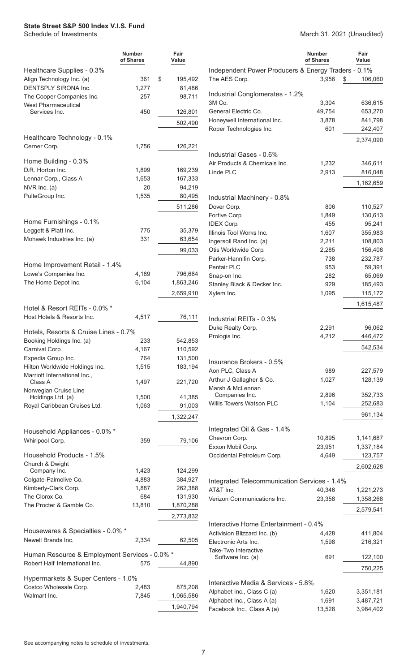|                                                   | <b>Number</b><br>of Shares | Fair<br>Value      |                                                     | <b>Number</b><br>of Shares | Fair<br>Value      |
|---------------------------------------------------|----------------------------|--------------------|-----------------------------------------------------|----------------------------|--------------------|
| Healthcare Supplies - 0.3%                        |                            |                    | Independent Power Producers & Energy Traders - 0.1% |                            |                    |
| Align Technology Inc. (a)                         | 361                        | \$<br>195,492      | The AES Corp.                                       | 3,956<br>\$                | 106,060            |
| DENTSPLY SIRONA Inc.                              | 1,277                      | 81,486             |                                                     |                            |                    |
| The Cooper Companies Inc.                         | 257                        | 98,711             | Industrial Conglomerates - 1.2%<br>3M Co.           | 3,304                      | 636,615            |
| <b>West Pharmaceutical</b><br>Services Inc.       | 450                        | 126,801            | General Electric Co.                                | 49,754                     | 653,270            |
|                                                   |                            |                    | Honeywell International Inc.                        | 3,878                      | 841,798            |
|                                                   |                            | 502,490            | Roper Technologies Inc.                             | 601                        | 242,407            |
| Healthcare Technology - 0.1%                      |                            |                    |                                                     |                            | 2,374,090          |
| Cerner Corp.                                      | 1,756                      | 126,221            |                                                     |                            |                    |
|                                                   |                            |                    | Industrial Gases - 0.6%                             |                            |                    |
| Home Building - 0.3%                              |                            |                    | Air Products & Chemicals Inc.                       | 1,232                      | 346,611            |
| D.R. Horton Inc.                                  | 1,899                      | 169,239            | Linde PLC                                           | 2,913                      | 816,048            |
| Lennar Corp., Class A                             | 1,653                      | 167,333            |                                                     |                            | 1,162,659          |
| NVR Inc. (a)                                      | 20                         | 94,219             |                                                     |                            |                    |
| PulteGroup Inc.                                   | 1,535                      | 80,495             | Industrial Machinery - 0.8%                         |                            |                    |
|                                                   |                            | 511,286            | Dover Corp.                                         | 806                        | 110,527            |
| Home Furnishings - 0.1%                           |                            |                    | Fortive Corp.                                       | 1,849                      | 130,613            |
| Leggett & Platt Inc.                              | 775                        | 35,379             | <b>IDEX Corp.</b>                                   | 455                        | 95,241             |
| Mohawk Industries Inc. (a)                        | 331                        | 63,654             | Illinois Tool Works Inc.                            | 1,607                      | 355,983            |
|                                                   |                            |                    | Ingersoll Rand Inc. (a)<br>Otis Worldwide Corp.     | 2,211<br>2,285             | 108,803<br>156,408 |
|                                                   |                            | 99,033             | Parker-Hannifin Corp.                               | 738                        | 232,787            |
| Home Improvement Retail - 1.4%                    |                            |                    | Pentair PLC                                         | 953                        | 59,391             |
| Lowe's Companies Inc.                             | 4,189                      | 796,664            | Snap-on Inc.                                        | 282                        | 65,069             |
| The Home Depot Inc.                               | 6,104                      | 1,863,246          | Stanley Black & Decker Inc.                         | 929                        | 185,493            |
|                                                   |                            | 2,659,910          | Xylem Inc.                                          | 1,095                      | 115,172            |
|                                                   |                            |                    |                                                     |                            | 1,615,487          |
| Hotel & Resort REITs - 0.0% *                     |                            |                    |                                                     |                            |                    |
| Host Hotels & Resorts Inc.                        | 4,517                      | 76,111             | Industrial REITs - 0.3%                             |                            |                    |
| Hotels, Resorts & Cruise Lines - 0.7%             |                            |                    | Duke Realty Corp.                                   | 2,291                      | 96,062             |
| Booking Holdings Inc. (a)                         | 233                        | 542,853            | Prologis Inc.                                       | 4,212                      | 446,472            |
| Carnival Corp.                                    | 4,167                      | 110,592            |                                                     |                            | 542,534            |
| Expedia Group Inc.                                | 764                        | 131,500            |                                                     |                            |                    |
| Hilton Worldwide Holdings Inc.                    | 1,515                      | 183,194            | Insurance Brokers - 0.5%                            |                            |                    |
| Marriott International Inc.,                      |                            |                    | Aon PLC, Class A                                    | 989                        | 227,579            |
| Class A                                           | 1,497                      | 221,720            | Arthur J Gallagher & Co.                            | 1,027                      | 128,139            |
| Norwegian Cruise Line                             |                            |                    | Marsh & McLennan<br>Companies Inc.                  | 2,896                      | 352,733            |
| Holdings Ltd. (a)<br>Royal Caribbean Cruises Ltd. | 1,500<br>1,063             | 41,385<br>91,003   | Willis Towers Watson PLC                            | 1,104                      | 252,683            |
|                                                   |                            |                    |                                                     |                            | 961,134            |
|                                                   |                            | 1,322,247          |                                                     |                            |                    |
| Household Appliances - 0.0% *                     |                            |                    | Integrated Oil & Gas - 1.4%                         |                            |                    |
| Whirlpool Corp.                                   | 359                        | 79,106             | Chevron Corp.                                       | 10,895                     | 1,141,687          |
|                                                   |                            |                    | Exxon Mobil Corp.                                   | 23,951                     | 1,337,184          |
| Household Products - 1.5%                         |                            |                    | Occidental Petroleum Corp.                          | 4,649                      | 123,757            |
| Church & Dwight                                   |                            |                    |                                                     |                            | 2,602,628          |
| Company Inc.<br>Colgate-Palmolive Co.             | 1,423<br>4,883             | 124,299<br>384,927 |                                                     |                            |                    |
| Kimberly-Clark Corp.                              | 1,887                      | 262,388            | Integrated Telecommunication Services - 1.4%        |                            |                    |
| The Clorox Co.                                    | 684                        | 131,930            | AT&T Inc.                                           | 40,346                     | 1,221,273          |
| The Procter & Gamble Co.                          | 13,810                     | 1,870,288          | Verizon Communications Inc.                         | 23,358                     | 1,358,268          |
|                                                   |                            |                    |                                                     |                            | 2,579,541          |
|                                                   |                            | 2,773,832          | Interactive Home Entertainment - 0.4%               |                            |                    |
| Housewares & Specialties - 0.0% *                 |                            |                    | Activision Blizzard Inc. (b)                        | 4,428                      | 411,804            |
| Newell Brands Inc.                                | 2,334                      | 62,505             | Electronic Arts Inc.                                | 1,598                      | 216,321            |
|                                                   |                            |                    | Take-Two Interactive                                |                            |                    |
| Human Resource & Employment Services - 0.0% *     |                            |                    | Software Inc. (a)                                   | 691                        | 122,100            |
| Robert Half International Inc.                    | 575                        | 44,890             |                                                     |                            | 750,225            |
| Hypermarkets & Super Centers - 1.0%               |                            |                    |                                                     |                            |                    |
| Costco Wholesale Corp.                            | 2,483                      | 875,208            | Interactive Media & Services - 5.8%                 |                            |                    |
| Walmart Inc.                                      | 7,845                      | 1,065,586          | Alphabet Inc., Class C (a)                          | 1,620                      | 3,351,181          |
|                                                   |                            | 1,940,794          | Alphabet Inc., Class A (a)                          | 1,691                      | 3,487,721          |
|                                                   |                            |                    | Facebook Inc., Class A (a)                          | 13,528                     | 3,984,402          |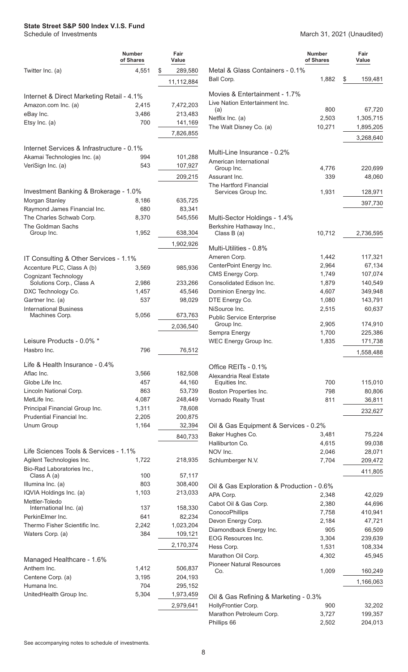|                                                 | Number<br>of Shares | Fair<br>Value |
|-------------------------------------------------|---------------------|---------------|
| Twitter Inc. (a)                                | 4,551               | \$<br>289,580 |
|                                                 |                     | 11,112,884    |
|                                                 |                     |               |
| Internet & Direct Marketing Retail - 4.1%       |                     |               |
| Amazon.com Inc. (a)                             | 2,415               | 7,472,203     |
| eBay Inc.                                       | 3,486<br>700        | 213,483       |
| Etsy Inc. (a)                                   |                     | 141,169       |
|                                                 |                     | 7,826,855     |
| Internet Services & Infrastructure - 0.1%       |                     |               |
| Akamai Technologies Inc. (a)                    | 994                 | 101,288       |
| VeriSign Inc. (a)                               | 543                 | 107,927       |
|                                                 |                     | 209,215       |
| Investment Banking & Brokerage - 1.0%           |                     |               |
| Morgan Stanley                                  | 8,186               | 635,725       |
| Raymond James Financial Inc.                    | 680                 | 83,341        |
| The Charles Schwab Corp.                        | 8,370               | 545,556       |
| The Goldman Sachs                               |                     |               |
| Group Inc.                                      | 1,952               | 638,304       |
|                                                 |                     | 1,902,926     |
| IT Consulting & Other Services - 1.1%           |                     |               |
| Accenture PLC, Class A (b)                      | 3,569               | 985,936       |
| Cognizant Technology                            |                     |               |
| Solutions Corp., Class A                        | 2,986               | 233,266       |
| DXC Technology Co.                              | 1,457               | 45,546        |
| Gartner Inc. (a)                                | 537                 | 98,029        |
| <b>International Business</b><br>Machines Corp. | 5,056               | 673,763       |
|                                                 |                     | 2,036,540     |
|                                                 |                     |               |
| Leisure Products - 0.0% *                       |                     |               |
| Hasbro Inc.                                     | 796                 | 76,512        |
| Life & Health Insurance - 0.4%                  |                     |               |
| Aflac Inc.                                      | 3,566               | 182,508       |
| Globe Life Inc.                                 | 457                 | 44,160        |
| Lincoln National Corp.                          | 863                 | 53,739        |
| MetLife Inc.                                    | 4,087               | 248,449       |
| Principal Financial Group Inc.                  | 1,311               | 78,608        |
| <b>Prudential Financial Inc.</b>                | 2,205               | 200,875       |
| Unum Group                                      | 1,164               | 32,394        |
|                                                 |                     | 840,733       |
| Life Sciences Tools & Services - 1.1%           |                     |               |
| Agilent Technologies Inc.                       | 1,722               | 218,935       |
| Bio-Rad Laboratories Inc.,<br>Class A (a)       | 100                 | 57,117        |
| Illumina Inc. (a)                               | 803                 | 308,400       |
| IQVIA Holdings Inc. (a)                         | 1,103               | 213,033       |
| Mettler-Toledo                                  |                     |               |
| International Inc. (a)                          | 137                 | 158,330       |
| PerkinElmer Inc.                                | 641                 | 82,234        |
| Thermo Fisher Scientific Inc.                   | 2,242               | 1,023,204     |
| Waters Corp. (a)                                | 384                 | 109,121       |
|                                                 |                     | 2,170,374     |
| Managed Healthcare - 1.6%                       |                     |               |
| Anthem Inc.                                     | 1,412               | 506,837       |
| Centene Corp. (a)                               | 3,195               | 204,193       |
| Humana Inc.                                     | 704                 | 295,152       |
| UnitedHealth Group Inc.                         | 5,304               | 1,973,459     |
|                                                 |                     | 2,979,641     |
|                                                 |                     |               |

March 31, 2021 (Unaudited)

|                                                                 | <b>Number</b><br>of Shares | Fair<br>Value    |
|-----------------------------------------------------------------|----------------------------|------------------|
| Metal & Glass Containers - 0.1%<br>Ball Corp.                   | 1,882                      | \$<br>159,481    |
| Movies & Entertainment - 1.7%<br>Live Nation Entertainment Inc. |                            |                  |
| (a)                                                             | 800                        | 67,720           |
| Netflix Inc. (a)                                                | 2,503                      | 1,305,715        |
| The Walt Disney Co. (a)                                         | 10,271                     | 1,895,205        |
|                                                                 |                            | 3,268,640        |
| Multi-Line Insurance - 0.2%<br>American International           |                            |                  |
| Group Inc.                                                      | 4,776                      | 220,699          |
| Assurant Inc.                                                   | 339                        | 48,060           |
| The Hartford Financial                                          |                            |                  |
| Services Group Inc.                                             | 1,931                      | 128,971          |
|                                                                 |                            | 397,730          |
| Multi-Sector Holdings - 1.4%                                    |                            |                  |
| Berkshire Hathaway Inc.,<br>Class B (a)                         | 10,712                     | 2,736,595        |
| Multi-Utilities - 0.8%                                          |                            |                  |
| Ameren Corp.                                                    | 1,442                      | 117,321          |
| CenterPoint Energy Inc.                                         | 2,964                      | 67,134           |
| CMS Energy Corp.                                                | 1,749                      | 107,074          |
| Consolidated Edison Inc.                                        | 1,879                      | 140,549          |
| Dominion Energy Inc.                                            | 4,607                      | 349,948          |
| DTE Energy Co.                                                  | 1,080                      | 143,791          |
| NiSource Inc.                                                   | 2,515                      | 60,637           |
| <b>Public Service Enterprise</b><br>Group Inc.                  | 2,905                      | 174,910          |
| Sempra Energy                                                   | 1,700                      | 225,386          |
| WEC Energy Group Inc.                                           | 1,835                      | 171,738          |
|                                                                 |                            | 1,558,488        |
| Office REITs - 0.1%                                             |                            |                  |
| Alexandria Real Estate                                          |                            |                  |
| Equities Inc.                                                   | 700                        | 115,010          |
| Boston Properties Inc.                                          | 798                        | 80,806           |
| Vornado Realty Trust                                            | 811                        | 36,811           |
|                                                                 |                            | 232,627          |
| Oil & Gas Equipment & Services - 0.2%                           |                            |                  |
| Baker Hughes Co.                                                | 3,481                      | 75,224           |
| Halliburton Co.                                                 | 4,615                      | 99,038           |
| NOV Inc.                                                        | 2,046                      | 28,071           |
| Schlumberger N.V.                                               | 7,704                      | 209,472          |
|                                                                 |                            | 411,805          |
| Oil & Gas Exploration & Production - 0.6%                       |                            |                  |
| APA Corp.                                                       | 2,348                      | 42,029<br>44,696 |
| Cabot Oil & Gas Corp.<br>ConocoPhillips                         | 2,380<br>7,758             | 410,941          |
| Devon Energy Corp.                                              | 2,184                      | 47,721           |
| Diamondback Energy Inc.                                         | 905                        | 66,509           |
| EOG Resources Inc.                                              | 3,304                      | 239,639          |
| Hess Corp.                                                      | 1,531                      | 108,334          |
| Marathon Oil Corp.                                              | 4,302                      | 45,945           |
| <b>Pioneer Natural Resources</b>                                |                            |                  |
| Co.                                                             | 1,009                      | 160,249          |
|                                                                 |                            | 1,166,063        |
| Oil & Gas Refining & Marketing - 0.3%                           |                            |                  |
| HollyFrontier Corp.                                             | 900                        | 32,202           |
| Marathon Petroleum Corp.                                        | 3,727                      | 199,357          |
| Phillips 66                                                     | 2,502                      | 204,013          |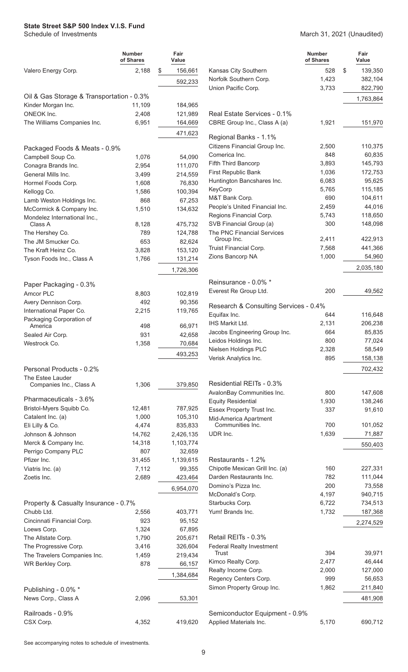#### March 31, 2021 (Unaudited)

|                                           | <b>Number</b><br>of Shares | Fair<br>Value      |                                                        | <b>Number</b><br>of Shares | Fair<br>Value     |
|-------------------------------------------|----------------------------|--------------------|--------------------------------------------------------|----------------------------|-------------------|
| Valero Energy Corp.                       | 2,188                      | \$<br>156,661      | Kansas City Southern                                   | 528                        | \$<br>139,350     |
|                                           |                            | 592,233            | Norfolk Southern Corp.                                 | 1,423                      | 382,104           |
|                                           |                            |                    | Union Pacific Corp.                                    | 3,733                      | 822,790           |
| Oil & Gas Storage & Transportation - 0.3% |                            |                    |                                                        |                            | 1,763,864         |
| Kinder Morgan Inc.                        | 11,109                     | 184,965            | Real Estate Services - 0.1%                            |                            |                   |
| ONEOK Inc.<br>The Williams Companies Inc. | 2,408<br>6,951             | 121,989<br>164,669 | CBRE Group Inc., Class A (a)                           | 1,921                      | 151,970           |
|                                           |                            |                    |                                                        |                            |                   |
|                                           |                            | 471,623            | Regional Banks - 1.1%                                  |                            |                   |
| Packaged Foods & Meats - 0.9%             |                            |                    | Citizens Financial Group Inc.                          | 2,500                      | 110,375           |
| Campbell Soup Co.                         | 1,076                      | 54,090             | Comerica Inc.                                          | 848                        | 60,835            |
| Conagra Brands Inc.                       | 2,954                      | 111,070            | Fifth Third Bancorp                                    | 3,893                      | 145,793           |
| General Mills Inc.                        | 3,499                      | 214,559            | First Republic Bank                                    | 1,036                      | 172,753           |
| Hormel Foods Corp.                        | 1,608                      | 76,830             | Huntington Bancshares Inc.                             | 6,083                      | 95,625            |
| Kellogg Co.                               | 1,586                      | 100,394            | KeyCorp                                                | 5,765                      | 115,185           |
| Lamb Weston Holdings Inc.                 | 868                        | 67,253             | M&T Bank Corp.<br>People's United Financial Inc.       | 690<br>2,459               | 104,611<br>44,016 |
| McCormick & Company Inc.                  | 1,510                      | 134,632            | Regions Financial Corp.                                | 5,743                      | 118,650           |
| Mondelez International Inc.,<br>Class A   | 8,128                      | 475,732            | SVB Financial Group (a)                                | 300                        | 148,098           |
| The Hershey Co.                           | 789                        | 124,788            | The PNC Financial Services                             |                            |                   |
| The JM Smucker Co.                        | 653                        | 82,624             | Group Inc.                                             | 2,411                      | 422,913           |
| The Kraft Heinz Co.                       | 3,828                      | 153,120            | Truist Financial Corp.                                 | 7,568                      | 441,366           |
| Tyson Foods Inc., Class A                 | 1,766                      | 131,214            | Zions Bancorp NA                                       | 1,000                      | 54,960            |
|                                           |                            | 1,726,306          |                                                        |                            | 2,035,180         |
|                                           |                            |                    |                                                        |                            |                   |
| Paper Packaging - 0.3%                    |                            |                    | Reinsurance - 0.0% *                                   |                            |                   |
| Amcor PLC                                 | 8,803                      | 102,819            | Everest Re Group Ltd.                                  | 200                        | 49,562            |
| Avery Dennison Corp.                      | 492                        | 90,356             | Research & Consulting Services - 0.4%                  |                            |                   |
| International Paper Co.                   | 2,215                      | 119,765            | Equifax Inc.                                           | 644                        | 116,648           |
| Packaging Corporation of<br>America       | 498                        | 66,971             | IHS Markit Ltd.                                        | 2,131                      | 206,238           |
| Sealed Air Corp.                          | 931                        | 42,658             | Jacobs Engineering Group Inc.                          | 664                        | 85,835            |
| Westrock Co.                              | 1,358                      | 70,684             | Leidos Holdings Inc.                                   | 800                        | 77,024            |
|                                           |                            | 493,253            | Nielsen Holdings PLC                                   | 2,328                      | 58,549            |
|                                           |                            |                    | Verisk Analytics Inc.                                  | 895                        | 158,138           |
| Personal Products - 0.2%                  |                            |                    |                                                        |                            | 702,432           |
| The Estee Lauder                          |                            |                    |                                                        |                            |                   |
| Companies Inc., Class A                   | 1,306                      | 379,850            | Residential REITs - 0.3%<br>AvalonBay Communities Inc. | 800                        | 147,608           |
| Pharmaceuticals - 3.6%                    |                            |                    | <b>Equity Residential</b>                              | 1,930                      | 138,246           |
| Bristol-Myers Squibb Co.                  | 12,481                     | 787,925            | Essex Property Trust Inc.                              | 337                        | 91,610            |
| Catalent Inc. (a)                         | 1,000                      | 105,310            | Mid-America Apartment                                  |                            |                   |
| Eli Lilly & Co.                           | 4,474                      | 835,833            | Communities Inc.                                       | 700                        | 101,052           |
| Johnson & Johnson                         | 14,762                     | 2,426,135          | UDR Inc.                                               | 1,639                      | 71,887            |
| Merck & Company Inc.                      | 14,318                     | 1,103,774          |                                                        |                            | 550,403           |
| Perrigo Company PLC                       | 807                        | 32,659             |                                                        |                            |                   |
| Pfizer Inc.                               | 31,455                     | 1,139,615          | Restaurants - 1.2%                                     |                            |                   |
| Viatris Inc. (a)                          | 7,112                      | 99,355             | Chipotle Mexican Grill Inc. (a)                        | 160                        | 227,331           |
| Zoetis Inc.                               | 2,689                      | 423,464            | Darden Restaurants Inc.                                | 782                        | 111,044           |
|                                           |                            | 6,954,070          | Domino's Pizza Inc.                                    | 200                        | 73,558            |
|                                           |                            |                    | McDonald's Corp.                                       | 4,197                      | 940,715           |
| Property & Casualty Insurance - 0.7%      |                            |                    | Starbucks Corp.                                        | 6,722                      | 734,513           |
| Chubb Ltd.                                | 2,556                      | 403,771            | Yum! Brands Inc.                                       | 1,732                      | 187,368           |
| Cincinnati Financial Corp.                | 923                        | 95,152             |                                                        |                            | 2,274,529         |
| Loews Corp.<br>The Allstate Corp.         | 1,324<br>1,790             | 67,895<br>205,671  | Retail REITs - 0.3%                                    |                            |                   |
| The Progressive Corp.                     | 3,416                      | 326,604            | <b>Federal Realty Investment</b>                       |                            |                   |
| The Travelers Companies Inc.              | 1,459                      | 219,434            | <b>Trust</b>                                           | 394                        | 39,971            |
| WR Berkley Corp.                          | 878                        | 66,157             | Kimco Realty Corp.                                     | 2,477                      | 46,444            |
|                                           |                            | 1,384,684          | Realty Income Corp.                                    | 2,000                      | 127,000           |
|                                           |                            |                    | Regency Centers Corp.                                  | 999                        | 56,653            |
| Publishing - 0.0% *                       |                            |                    | Simon Property Group Inc.                              | 1,862                      | 211,840           |
| News Corp., Class A                       | 2,096                      | 53,301             |                                                        |                            | 481,908           |
|                                           |                            |                    |                                                        |                            |                   |
| Railroads - 0.9%                          |                            |                    | Semiconductor Equipment - 0.9%                         |                            |                   |
| CSX Corp.                                 | 4,352                      | 419,620            | Applied Materials Inc.                                 | 5,170                      | 690,712           |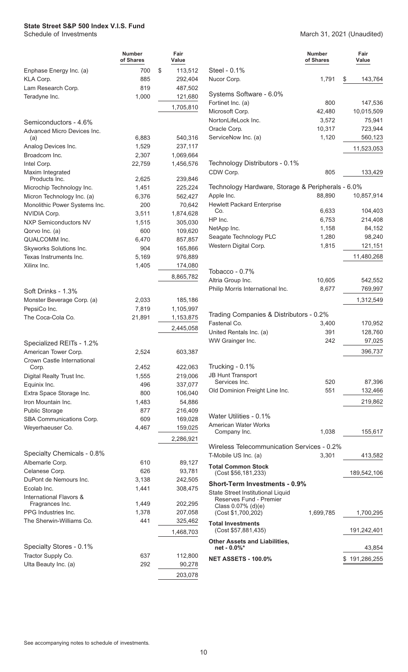|                                                             | <b>Number</b><br>of Shares | Fair<br>Value      |                                                   | <b>Number</b><br>of Shares | Fair<br>Value |
|-------------------------------------------------------------|----------------------------|--------------------|---------------------------------------------------|----------------------------|---------------|
| Enphase Energy Inc. (a)                                     | 700                        | \$<br>113,512      | Steel - 0.1%                                      |                            |               |
| KLA Corp.                                                   | 885                        | 292,404            | Nucor Corp.                                       | 1,791                      | \$<br>143,764 |
| Lam Research Corp.                                          | 819                        | 487,502            | Systems Software - 6.0%                           |                            |               |
| Teradyne Inc.                                               | 1,000                      | 121,680            | Fortinet Inc. (a)                                 | 800                        | 147,536       |
|                                                             |                            | 1,705,810          | Microsoft Corp.                                   | 42,480                     | 10,015,509    |
| Semiconductors - 4.6%                                       |                            |                    | NortonLifeLock Inc.                               | 3,572                      | 75,941        |
| Advanced Micro Devices Inc.                                 |                            |                    | Oracle Corp.                                      | 10,317                     | 723,944       |
| (a)                                                         | 6,883                      | 540,316            | ServiceNow Inc. (a)                               | 1,120                      | 560,123       |
| Analog Devices Inc.                                         | 1,529                      | 237,117            |                                                   |                            | 11,523,053    |
| Broadcom Inc.                                               | 2,307                      | 1,069,664          |                                                   |                            |               |
| Intel Corp.                                                 | 22,759                     | 1,456,576          | Technology Distributors - 0.1%                    |                            |               |
| Maxim Integrated                                            |                            |                    | CDW Corp.                                         | 805                        | 133,429       |
| Products Inc.                                               | 2,625                      | 239,846            | Technology Hardware, Storage & Peripherals - 6.0% |                            |               |
| Microchip Technology Inc.                                   | 1,451<br>6,376             | 225,224<br>562,427 | Apple Inc.                                        | 88,890                     | 10,857,914    |
| Micron Technology Inc. (a)<br>Monolithic Power Systems Inc. | 200                        | 70,642             | <b>Hewlett Packard Enterprise</b>                 |                            |               |
| NVIDIA Corp.                                                | 3,511                      | 1,874,628          | Co.                                               | 6,633                      | 104,403       |
| <b>NXP Semiconductors NV</b>                                | 1,515                      | 305,030            | HP Inc.                                           | 6,753                      | 214,408       |
| Qorvo Inc. (a)                                              | 600                        | 109,620            | NetApp Inc.                                       | 1,158                      | 84,152        |
| QUALCOMM Inc.                                               | 6,470                      | 857,857            | Seagate Technology PLC                            | 1,280                      | 98,240        |
| Skyworks Solutions Inc.                                     | 904                        | 165,866            | Western Digital Corp.                             | 1,815                      | 121,151       |
| Texas Instruments Inc.                                      | 5,169                      | 976,889            |                                                   |                            | 11,480,268    |
| Xilinx Inc.                                                 | 1,405                      | 174,080            |                                                   |                            |               |
|                                                             |                            | 8,865,782          | Tobacco - 0.7%                                    |                            |               |
|                                                             |                            |                    | Altria Group Inc.                                 | 10,605                     | 542,552       |
| Soft Drinks - 1.3%                                          |                            |                    | Philip Morris International Inc.                  | 8,677                      | 769,997       |
| Monster Beverage Corp. (a)                                  | 2,033                      | 185,186            |                                                   |                            | 1,312,549     |
| PepsiCo Inc.                                                | 7,819                      | 1,105,997          | Trading Companies & Distributors - 0.2%           |                            |               |
| The Coca-Cola Co.                                           | 21,891                     | 1,153,875          | Fastenal Co.                                      | 3,400                      | 170,952       |
|                                                             |                            | 2,445,058          | United Rentals Inc. (a)                           | 391                        | 128,760       |
|                                                             |                            |                    | WW Grainger Inc.                                  | 242                        | 97,025        |
| Specialized REITs - 1.2%                                    |                            |                    |                                                   |                            |               |
| American Tower Corp.<br>Crown Castle International          | 2,524                      | 603,387            |                                                   |                            | 396,737       |
| Corp.                                                       | 2,452                      | 422,063            | Trucking - 0.1%                                   |                            |               |
| Digital Realty Trust Inc.                                   | 1,555                      | 219,006            | <b>JB Hunt Transport</b>                          |                            |               |
| Equinix Inc.                                                | 496                        | 337,077            | Services Inc.                                     | 520                        | 87,396        |
| Extra Space Storage Inc.                                    | 800                        | 106,040            | Old Dominion Freight Line Inc.                    | 551                        | 132,466       |
| Iron Mountain Inc.                                          | 1,483                      | 54,886             |                                                   |                            | 219,862       |
| <b>Public Storage</b>                                       | 877                        | 216,409            |                                                   |                            |               |
| SBA Communications Corp.                                    | 609                        | 169,028            | Water Utilities - 0.1%                            |                            |               |
| Weyerhaeuser Co.                                            | 4,467                      | 159,025            | <b>American Water Works</b><br>Company Inc.       | 1,038                      | 155,617       |
|                                                             |                            | 2,286,921          |                                                   |                            |               |
|                                                             |                            |                    | Wireless Telecommunication Services - 0.2%        |                            |               |
| Specialty Chemicals - 0.8%                                  |                            |                    | T-Mobile US Inc. (a)                              | 3,301                      | 413,582       |
| Albemarle Corp.                                             | 610                        | 89,127             | <b>Total Common Stock</b>                         |                            |               |
| Celanese Corp.                                              | 626                        | 93,781             | (Cost \$56,181,233)                               |                            | 189,542,106   |
| DuPont de Nemours Inc.<br>Ecolab Inc.                       | 3,138                      | 242,505            | <b>Short-Term Investments - 0.9%</b>              |                            |               |
| International Flavors &                                     | 1,441                      | 308,475            | State Street Institutional Liquid                 |                            |               |
| Fragrances Inc.                                             | 1,449                      | 202,295            | Reserves Fund - Premier<br>Class 0.07% (d)(e)     |                            |               |
| PPG Industries Inc.                                         | 1,378                      | 207,058            | (Cost \$1,700,202)                                | 1,699,785                  | 1,700,295     |
| The Sherwin-Williams Co.                                    | 441                        | 325,462            | <b>Total Investments</b>                          |                            |               |
|                                                             |                            | 1,468,703          | (Cost \$57,881,435)                               |                            | 191,242,401   |
|                                                             |                            |                    | <b>Other Assets and Liabilities,</b>              |                            |               |
| Specialty Stores - 0.1%                                     |                            |                    | net - 0.0%*                                       |                            | 43,854        |
| Tractor Supply Co.                                          | 637                        | 112,800            | <b>NET ASSETS - 100.0%</b>                        |                            | \$191,286,255 |
| Ulta Beauty Inc. (a)                                        | 292                        | 90,278             |                                                   |                            |               |
|                                                             |                            | 203,078            |                                                   |                            |               |
|                                                             |                            |                    |                                                   |                            |               |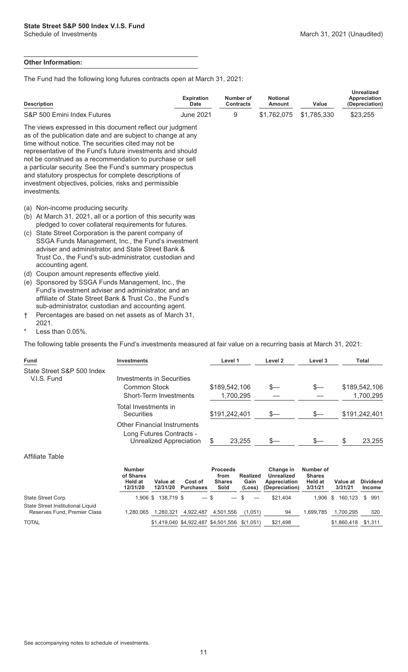#### **Other Information:**

The Fund had the following long futures contracts open at March 31, 2021:

| <b>Description</b>                                                                                                                                                                                                                                                                                                                                                                                                                                                                                        | <b>Expiration</b><br><b>Date</b> | Number of<br><b>Contracts</b> | <b>Notional</b><br>Amount | Value       | <b>Unrealized</b><br>Appreciation<br>(Depreciation) |
|-----------------------------------------------------------------------------------------------------------------------------------------------------------------------------------------------------------------------------------------------------------------------------------------------------------------------------------------------------------------------------------------------------------------------------------------------------------------------------------------------------------|----------------------------------|-------------------------------|---------------------------|-------------|-----------------------------------------------------|
| S&P 500 Emini Index Futures                                                                                                                                                                                                                                                                                                                                                                                                                                                                               | <b>June 2021</b>                 | 9                             | \$1,762,075               | \$1,785,330 | \$23,255                                            |
| The views expressed in this document reflect our judgment<br>as of the publication date and are subject to change at any<br>time without notice. The securities cited may not be<br>representative of the Fund's future investments and should<br>not be construed as a recommendation to purchase or sell<br>a particular security. See the Fund's summary prospectus<br>and statutory prospectus for complete descriptions of<br>investment objectives, policies, risks and permissible<br>investments. |                                  |                               |                           |             |                                                     |
| Non-income producing security.<br>(a)<br>At March 31, 2021, all or a portion of this security was<br>(b)<br>pledged to cover collateral requirements for futures.<br>State Street Corporation is the parent company of<br>(C)<br>SSGA Funds Management, Inc., the Fund's investment<br>adviser and administrator, and State Street Bank &<br>Trust Co., the Fund's sub-administrator, custodian and<br>accounting agent.                                                                                  |                                  |                               |                           |             |                                                     |
| Coupon amount represents effective yield.<br>(d)                                                                                                                                                                                                                                                                                                                                                                                                                                                          |                                  |                               |                           |             |                                                     |
| Sponsored by SSGA Funds Management, Inc., the<br>(e)                                                                                                                                                                                                                                                                                                                                                                                                                                                      |                                  |                               |                           |             |                                                     |

- Fund's investment adviser and administrator, and an affiliate of State Street Bank & Trust Co., the Fund's sub-administrator, custodian and accounting agent.
- † Percentages are based on net assets as of March 31,

2021.

Less than  $0.05\%$ .

The following table presents the Fund's investments measured at fair value on a recurring basis at March 31, 2021:

| Fund                                      | <b>Investments</b>                                                                        | Level 1       | Level 2 | Level 3 | Total         |
|-------------------------------------------|-------------------------------------------------------------------------------------------|---------------|---------|---------|---------------|
| State Street S&P 500 Index<br>V.I.S. Fund | Investments in Securities                                                                 |               |         |         |               |
|                                           | Common Stock                                                                              | \$189,542,106 | S—      |         | \$189,542,106 |
|                                           | Short-Term Investments                                                                    | 1,700,295     |         |         | 1,700,295     |
|                                           | Total Investments in<br><b>Securities</b>                                                 | \$191,242,401 | $s-$    | $S-$    | \$191,242,401 |
|                                           | <b>Other Financial Instruments</b><br>Long Futures Contracts -<br>Unrealized Appreciation | 23.255        | S—      |         | 23,255<br>S   |

#### Affiliate Table

|                                                                   | <b>Number</b><br>of Shares<br>Held at<br>12/31/20 | Value at<br>12/31/20 | Cost of<br><b>Purchases</b>                   | <b>Proceeds</b><br>from<br><b>Shares</b><br>Sold | <b>Realized</b><br>Gain<br>(Loss) | Change in<br>Unrealized<br>Appreciation<br>(Depreciation) | Number of<br><b>Shares</b><br><b>Held at</b><br>3/31/21 | Value at<br>3/31/21 | <b>Dividend</b><br><b>Income</b> |
|-------------------------------------------------------------------|---------------------------------------------------|----------------------|-----------------------------------------------|--------------------------------------------------|-----------------------------------|-----------------------------------------------------------|---------------------------------------------------------|---------------------|----------------------------------|
| State Street Corp.                                                |                                                   | 1.906 \$ 138.719 \$  | $-$ \$                                        |                                                  | $-$ \$                            | \$21.404                                                  | $1.906$ \$                                              | 160.123 \$ 991      |                                  |
| State Street Institutional Liquid<br>Reserves Fund, Premier Class | 1.280.065                                         | 1.280.321            | 4.922.487                                     | 4.501.556                                        | (1.051)                           | 94                                                        | 1.699.785                                               | 1.700.295           | 320                              |
| <b>TOTAL</b>                                                      |                                                   |                      | \$1,419,040 \$4,922,487 \$4,501,556 \$(1,051) |                                                  |                                   | \$21,498                                                  |                                                         | \$1,860,418         | \$1,311                          |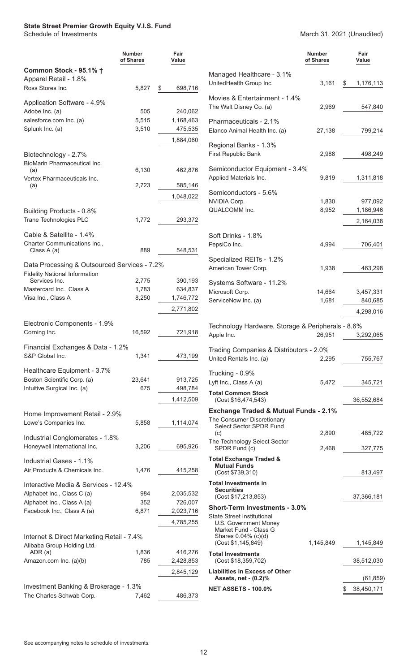#### <span id="page-13-0"></span>**State Street Premier Growth Equity V.I.S. Fund**

#### Schedule of Investments March 31, 2021 (Unaudited)

|                                                                   | <b>Number</b><br>of Shares | Fair<br>Value        |                                                           | <b>Number</b><br>of Shares | Fair<br>Value    |
|-------------------------------------------------------------------|----------------------------|----------------------|-----------------------------------------------------------|----------------------------|------------------|
| Common Stock - 95.1% +                                            |                            |                      | Managed Healthcare - 3.1%                                 |                            |                  |
| Apparel Retail - 1.8%<br>Ross Stores Inc.                         | 5,827                      | 698,716<br>\$        | UnitedHealth Group Inc.                                   | 3,161                      | \$<br>1,176,113  |
|                                                                   |                            |                      | Movies & Entertainment - 1.4%                             |                            |                  |
| Application Software - 4.9%                                       |                            |                      | The Walt Disney Co. (a)                                   | 2,969                      | 547,840          |
| Adobe Inc. (a)<br>salesforce.com Inc. (a)                         | 505<br>5,515               | 240,062<br>1,168,463 |                                                           |                            |                  |
| Splunk Inc. (a)                                                   | 3,510                      | 475,535              | Pharmaceuticals - 2.1%<br>Elanco Animal Health Inc. (a)   | 27,138                     | 799,214          |
|                                                                   |                            | 1,884,060            |                                                           |                            |                  |
|                                                                   |                            |                      | Regional Banks - 1.3%                                     |                            |                  |
| Biotechnology - 2.7%                                              |                            |                      | First Republic Bank                                       | 2,988                      | 498,249          |
| BioMarin Pharmaceutical Inc.<br>(a)                               | 6,130                      | 462,876              | Semiconductor Equipment - 3.4%                            |                            |                  |
| Vertex Pharmaceuticals Inc.                                       |                            |                      | Applied Materials Inc.                                    | 9,819                      | 1,311,818        |
| (a)                                                               | 2,723                      | 585,146              | Semiconductors - 5.6%                                     |                            |                  |
|                                                                   |                            | 1,048,022            | NVIDIA Corp.                                              | 1,830                      | 977,092          |
| Building Products - 0.8%                                          |                            |                      | QUALCOMM Inc.                                             | 8,952                      | 1,186,946        |
| Trane Technologies PLC                                            | 1,772                      | 293,372              |                                                           |                            | 2,164,038        |
| Cable & Satellite - 1.4%                                          |                            |                      | Soft Drinks - 1.8%                                        |                            |                  |
| Charter Communications Inc.,                                      |                            |                      | PepsiCo Inc.                                              | 4,994                      | 706,401          |
| Class A (a)                                                       | 889                        | 548,531              |                                                           |                            |                  |
| Data Processing & Outsourced Services - 7.2%                      |                            |                      | Specialized REITs - 1.2%                                  |                            |                  |
| <b>Fidelity National Information</b>                              |                            |                      | American Tower Corp.                                      | 1,938                      | 463,298          |
| Services Inc.<br>Mastercard Inc., Class A                         | 2,775<br>1,783             | 390,193              | Systems Software - 11.2%                                  |                            |                  |
| Visa Inc., Class A                                                | 8,250                      | 634,837<br>1,746,772 | Microsoft Corp.                                           | 14,664                     | 3,457,331        |
|                                                                   |                            | 2,771,802            | ServiceNow Inc. (a)                                       | 1,681                      | 840,685          |
|                                                                   |                            |                      |                                                           |                            | 4,298,016        |
| Electronic Components - 1.9%                                      |                            |                      | Technology Hardware, Storage & Peripherals - 8.6%         |                            |                  |
| Corning Inc.                                                      | 16,592                     | 721,918              | Apple Inc.                                                | 26,951                     | 3,292,065        |
| Financial Exchanges & Data - 1.2%                                 |                            |                      | Trading Companies & Distributors - 2.0%                   |                            |                  |
| S&P Global Inc.                                                   | 1,341                      | 473,199              | United Rentals Inc. (a)                                   | 2,295                      | 755,767          |
| Healthcare Equipment - 3.7%                                       |                            |                      | Trucking - 0.9%                                           |                            |                  |
| Boston Scientific Corp. (a)                                       | 23,641                     | 913,725              | Lyft Inc., Class A (a)                                    | 5,472                      | 345,721          |
| Intuitive Surgical Inc. (a)                                       | 675                        | 498,784              | <b>Total Common Stock</b>                                 |                            |                  |
|                                                                   |                            | 1,412,509            | (Cost \$16,474,543)                                       |                            | 36,552,684       |
| Home Improvement Retail - 2.9%                                    |                            |                      | <b>Exchange Traded &amp; Mutual Funds - 2.1%</b>          |                            |                  |
| Lowe's Companies Inc.                                             | 5,858                      | 1,114,074            | The Consumer Discretionary<br>Select Sector SPDR Fund     |                            |                  |
|                                                                   |                            |                      | (c)                                                       | 2,890                      | 485,722          |
| Industrial Conglomerates - 1.8%<br>Honeywell International Inc.   | 3,206                      | 695,926              | The Technology Select Sector<br>SPDR Fund (c)             | 2,468                      | 327,775          |
|                                                                   |                            |                      |                                                           |                            |                  |
| Industrial Gases - 1.1%                                           |                            |                      | <b>Total Exchange Traded &amp;</b><br><b>Mutual Funds</b> |                            |                  |
| Air Products & Chemicals Inc.                                     | 1,476                      | 415,258              | (Cost \$739,310)                                          |                            | 813,497          |
| Interactive Media & Services - 12.4%                              |                            |                      | <b>Total Investments in</b><br><b>Securities</b>          |                            |                  |
| Alphabet Inc., Class C (a)                                        | 984                        | 2,035,532            | (Cost \$17,213,853)                                       |                            | 37,366,181       |
| Alphabet Inc., Class A (a)<br>Facebook Inc., Class A (a)          | 352<br>6,871               | 726,007<br>2,023,716 | <b>Short-Term Investments - 3.0%</b>                      |                            |                  |
|                                                                   |                            |                      | <b>State Street Institutional</b>                         |                            |                  |
|                                                                   |                            | 4,785,255            | U.S. Government Money<br>Market Fund - Class G            |                            |                  |
| Internet & Direct Marketing Retail - 7.4%                         |                            |                      | Shares 0.04% (c)(d)<br>(Cost \$1,145,849)                 | 1,145,849                  | 1,145,849        |
| Alibaba Group Holding Ltd.<br>ADR (a)                             | 1,836                      | 416,276              | <b>Total Investments</b>                                  |                            |                  |
| Amazon.com Inc. (a)(b)                                            | 785                        | 2,428,853            | (Cost \$18,359,702)                                       |                            | 38,512,030       |
|                                                                   |                            | 2,845,129            | <b>Liabilities in Excess of Other</b>                     |                            |                  |
|                                                                   |                            |                      | Assets, net - (0.2)%                                      |                            | (61, 859)        |
| Investment Banking & Brokerage - 1.3%<br>The Charles Schwab Corp. | 7,462                      | 486,373              | <b>NET ASSETS - 100.0%</b>                                |                            | 38,450,171<br>\$ |
|                                                                   |                            |                      |                                                           |                            |                  |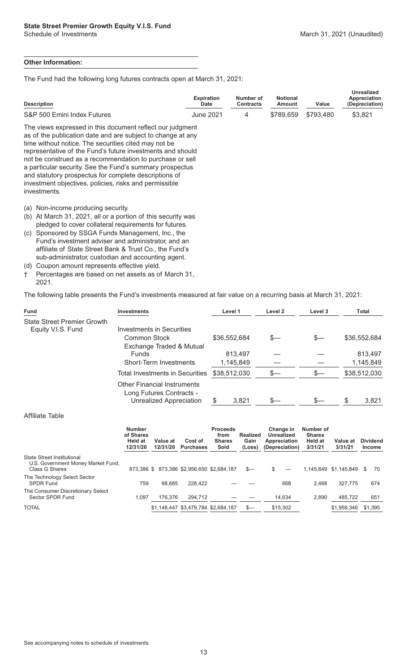#### **Other Information:**

The Fund had the following long futures contracts open at March 31, 2021:

| <b>Description</b>                                                                                                                                                                                                                                                                                                                                                                                                                                                                                        | <b>Expiration</b><br><b>Date</b> | Number of<br><b>Contracts</b> | <b>Notional</b><br>Amount | Value     | <b>Unrealized</b><br>Appreciation<br>(Depreciation) |
|-----------------------------------------------------------------------------------------------------------------------------------------------------------------------------------------------------------------------------------------------------------------------------------------------------------------------------------------------------------------------------------------------------------------------------------------------------------------------------------------------------------|----------------------------------|-------------------------------|---------------------------|-----------|-----------------------------------------------------|
| S&P 500 Emini Index Futures                                                                                                                                                                                                                                                                                                                                                                                                                                                                               | <b>June 2021</b>                 | 4                             | \$789,659                 | \$793,480 | \$3,821                                             |
| The views expressed in this document reflect our judgment<br>as of the publication date and are subject to change at any<br>time without notice. The securities cited may not be<br>representative of the Fund's future investments and should<br>not be construed as a recommendation to purchase or sell<br>a particular security. See the Fund's summary prospectus<br>and statutory prospectus for complete descriptions of<br>investment objectives, policies, risks and permissible<br>investments. |                                  |                               |                           |           |                                                     |
| Non-income producing security.<br>(a)<br>At March 31, 2021, all or a portion of this security was<br>(b)<br>pledged to cover collateral requirements for futures.<br>(c) Sponsored by SSGA Funds Management, Inc., the<br>Fund's investment adviser and administrator, and an<br>affiliate of State Street Bank & Trust Co., the Fund's<br>sub-administrator, custodian and accounting agent.                                                                                                             |                                  |                               |                           |           |                                                     |

- (d) Coupon amount represents effective yield.
- † Percentages are based on net assets as of March 31, 2021.

The following table presents the Fund's investments measured at fair value on a recurring basis at March 31, 2021:

| <b>Fund</b>                                              | <b>Investments</b>                                                                        | Level 1              | Level 2 | Level 3 | Total                |
|----------------------------------------------------------|-------------------------------------------------------------------------------------------|----------------------|---------|---------|----------------------|
| <b>State Street Premier Growth</b><br>Equity V.I.S. Fund | Investments in Securities                                                                 |                      |         |         |                      |
|                                                          | Common Stock                                                                              | \$36,552,684         | S—      | S—      | \$36,552,684         |
|                                                          | Exchange Traded & Mutual<br><b>Funds</b><br>Short-Term Investments                        | 813,497<br>1,145,849 |         |         | 813,497<br>1,145,849 |
|                                                          | <b>Total Investments in Securities</b>                                                    | \$38,512,030         | S—      |         | \$38,512,030         |
|                                                          | <b>Other Financial Instruments</b><br>Long Futures Contracts -<br>Unrealized Appreciation | 3,821                | S—      |         | 3,821                |

#### Affiliate Table

|                                                                                           | <b>Number</b><br>of Shares<br><b>Held at</b><br>12/31/20 | Value at<br>12/31/20 | Cost of<br><b>Purchases</b>               | <b>Proceeds</b><br>from<br><b>Shares</b><br>Sold | Realized<br>Gain<br>(Loss) | Change in<br>Unrealized<br>Appreciation<br>(Depreciation) | Number of<br><b>Shares</b><br><b>Held at</b><br>3/31/21 | Value at<br>3/31/21   | <b>Dividend</b><br><b>Income</b> |
|-------------------------------------------------------------------------------------------|----------------------------------------------------------|----------------------|-------------------------------------------|--------------------------------------------------|----------------------------|-----------------------------------------------------------|---------------------------------------------------------|-----------------------|----------------------------------|
| <b>State Street Institutional</b><br>U.S. Government Money Market Fund,<br>Class G Shares |                                                          |                      | 873,386 \$873,386 \$2,956,650 \$2,684,187 |                                                  | $s-$                       | \$.                                                       |                                                         | 1,145,849 \$1,145,849 | 70<br>S.                         |
| The Technology Select Sector<br><b>SPDR Fund</b>                                          | 759                                                      | 98.685               | 228.422                                   |                                                  |                            | 668                                                       | 2.468                                                   | 327.775               | 674                              |
| The Consumer Discretionary Select<br>Sector SPDR Fund                                     | 1.097                                                    | 176.376              | 294.712                                   |                                                  |                            | 14,634                                                    | 2.890                                                   | 485,722               | 651                              |
| TOTAL                                                                                     |                                                          |                      | \$1,148,447 \$3,479,784 \$2,684,187       |                                                  | $s-$                       | \$15,302                                                  |                                                         | \$1,959,346           | \$1,395                          |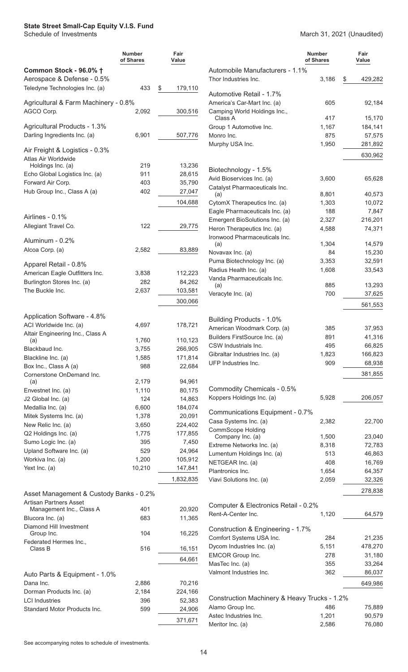#### <span id="page-15-0"></span>**State Street Small-Cap Equity V.I.S. Fund**

|                                                              | <b>Number</b><br>of Shares | Fair<br>Value      |                                                              | <b>Number</b><br>of Shares | Fair<br>Value     |
|--------------------------------------------------------------|----------------------------|--------------------|--------------------------------------------------------------|----------------------------|-------------------|
| Common Stock - 96.0% †                                       |                            |                    | Automobile Manufacturers - 1.1%                              |                            |                   |
| Aerospace & Defense - 0.5%<br>Teledyne Technologies Inc. (a) | 433                        | 179,110<br>\$      | Thor Industries Inc.<br>Automotive Retail - 1.7%             | 3,186                      | 429,282<br>S      |
| Agricultural & Farm Machinery - 0.8%<br>AGCO Corp.           | 2,092                      | 300,516            | America's Car-Mart Inc. (a)<br>Camping World Holdings Inc.,  | 605                        | 92,184            |
|                                                              |                            |                    | Class A                                                      | 417                        | 15,170            |
| Agricultural Products - 1.3%                                 |                            |                    | Group 1 Automotive Inc.                                      | 1,167                      | 184,141           |
| Darling Ingredients Inc. (a)                                 | 6,901                      | 507,776            | Monro Inc.                                                   | 875                        | 57,575            |
| Air Freight & Logistics - 0.3%                               |                            |                    | Murphy USA Inc.                                              | 1,950                      | 281,892           |
| Atlas Air Worldwide<br>Holdings Inc. (a)                     | 219                        | 13,236             |                                                              |                            | 630,962           |
| Echo Global Logistics Inc. (a)                               | 911                        | 28,615             | Biotechnology - 1.5%                                         |                            |                   |
| Forward Air Corp.                                            | 403                        | 35,790             | Avid Bioservices Inc. (a)                                    | 3,600                      | 65,628            |
| Hub Group Inc., Class A (a)                                  | 402                        | 27,047             | Catalyst Pharmaceuticals Inc.<br>(a)                         | 8,801                      | 40,573            |
|                                                              |                            | 104,688            | CytomX Therapeutics Inc. (a)                                 | 1,303                      | 10,072            |
|                                                              |                            |                    | Eagle Pharmaceuticals Inc. (a)                               | 188                        | 7,847             |
| Airlines - 0.1%                                              |                            |                    | Emergent BioSolutions Inc. (a)                               | 2,327                      | 216,201           |
| Allegiant Travel Co.                                         | 122                        | 29,775             | Heron Therapeutics Inc. (a)<br>Ironwood Pharmaceuticals Inc. | 4,588                      | 74,371            |
| Aluminum - 0.2%                                              |                            |                    | (a)                                                          | 1,304                      | 14,579            |
| Alcoa Corp. (a)                                              | 2,582                      | 83,889             | Novavax Inc. (a)                                             | 84                         | 15,230            |
| Apparel Retail - 0.8%                                        |                            |                    | Puma Biotechnology Inc. (a)                                  | 3,353                      | 32,591            |
| American Eagle Outfitters Inc.                               | 3,838                      | 112,223            | Radius Health Inc. (a)                                       | 1,608                      | 33,543            |
| Burlington Stores Inc. (a)                                   | 282                        | 84,262             | Vanda Pharmaceuticals Inc.                                   |                            |                   |
| The Buckle Inc.                                              | 2,637                      | 103,581            | (a)                                                          | 885                        | 13,293            |
|                                                              |                            | 300,066            | Veracyte Inc. (a)                                            | 700                        | 37,625            |
|                                                              |                            |                    |                                                              |                            | 561,553           |
| Application Software - 4.8%                                  |                            |                    | Building Products - 1.0%                                     |                            |                   |
| ACI Worldwide Inc. (a)                                       | 4,697                      | 178,721            | American Woodmark Corp. (a)                                  | 385                        | 37,953            |
| Altair Engineering Inc., Class A                             |                            |                    | Builders FirstSource Inc. (a)                                | 891                        | 41,316            |
| (a)                                                          | 1,760                      | 110,123            | CSW Industrials Inc.                                         | 495                        | 66,825            |
| Blackbaud Inc.                                               | 3,755<br>1,585             | 266,905<br>171,814 | Gibraltar Industries Inc. (a)                                | 1,823                      | 166,823           |
| Blackline Inc. (a)<br>Box Inc., Class A (a)                  | 988                        | 22,684             | UFP Industries Inc.                                          | 909                        | 68,938            |
| Cornerstone OnDemand Inc.                                    |                            |                    |                                                              |                            | 381,855           |
| (a)                                                          | 2,179                      | 94,961             |                                                              |                            |                   |
| Envestnet Inc. (a)                                           | 1,110                      | 80,175             | Commodity Chemicals - 0.5%                                   |                            |                   |
| J2 Global Inc. (a)                                           | 124                        | 14,863             | Koppers Holdings Inc. (a)                                    | 5,928                      | 206,057           |
| Medallia Inc. (a)                                            | 6,600                      | 184,074            | Communications Equipment - 0.7%                              |                            |                   |
| Mitek Systems Inc. (a)                                       | 1,378                      | 20,091             | Casa Systems Inc. (a)                                        | 2,382                      | 22,700            |
| New Relic Inc. (a)                                           | 3,650                      | 224,402            | <b>CommScope Holding</b>                                     |                            |                   |
| Q2 Holdings Inc. (a)                                         | 1,775                      | 177,855            | Company Inc. (a)                                             | 1,500                      | 23,040            |
| Sumo Logic Inc. (a)                                          | 395                        | 7,450              | Extreme Networks Inc. (a)                                    | 8,318                      | 72,783            |
| Upland Software Inc. (a)                                     | 529                        | 24,964             | Lumentum Holdings Inc. (a)                                   | 513                        | 46,863            |
| Workiva Inc. (a)                                             | 1,200                      | 105,912            | NETGEAR Inc. (a)                                             | 408                        | 16,769            |
| Yext Inc. (a)                                                | 10,210                     | 147,841            | Plantronics Inc.                                             | 1,654                      | 64,357            |
|                                                              |                            | 1,832,835          | Viavi Solutions Inc. (a)                                     | 2,059                      | 32,326            |
| Asset Management & Custody Banks - 0.2%                      |                            |                    |                                                              |                            | 278,838           |
| <b>Artisan Partners Asset</b><br>Management Inc., Class A    | 401                        | 20,920             | Computer & Electronics Retail - 0.2%                         |                            |                   |
| Blucora Inc. (a)                                             | 683                        | 11,365             | Rent-A-Center Inc.                                           | 1,120                      | 64,579            |
| Diamond Hill Investment                                      |                            |                    |                                                              |                            |                   |
| Group Inc.                                                   | 104                        | 16,225             | Construction & Engineering - 1.7%                            |                            |                   |
| Federated Hermes Inc.,                                       |                            |                    | Comfort Systems USA Inc.                                     | 284                        | 21,235            |
| Class B                                                      | 516                        | 16,151             | Dycom Industries Inc. (a)<br>EMCOR Group Inc.                | 5,151<br>278               | 478,270<br>31,180 |
|                                                              |                            | 64,661             | MasTec Inc. (a)                                              | 355                        | 33,264            |
|                                                              |                            |                    | Valmont Industries Inc.                                      | 362                        | 86,037            |
| Auto Parts & Equipment - 1.0%                                |                            |                    |                                                              |                            |                   |
| Dana Inc.<br>Dorman Products Inc. (a)                        | 2,886<br>2,184             | 70,216<br>224,166  |                                                              |                            | 649,986           |
| <b>LCI Industries</b>                                        | 396                        | 52,383             | Construction Machinery & Heavy Trucks - 1.2%                 |                            |                   |
| Standard Motor Products Inc.                                 | 599                        | 24,906             | Alamo Group Inc.                                             | 486                        | 75,889            |
|                                                              |                            |                    | Astec Industries Inc.                                        | 1,201                      | 90,579            |
|                                                              |                            | 371,671            | Meritor Inc. (a)                                             | 2,586                      | 76,080            |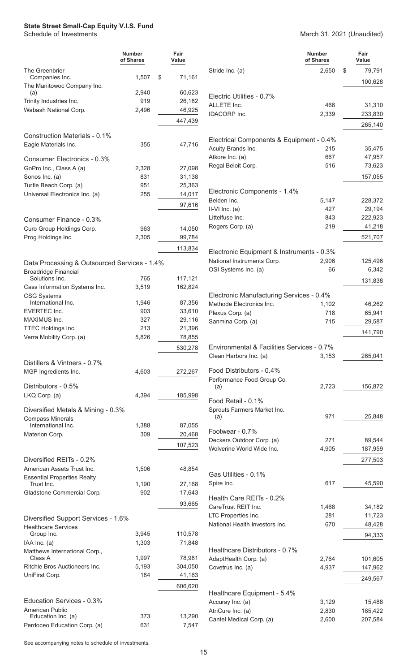### **State Street Small-Cap Equity V.I.S. Fund**<br>Schedule of Investments

|                                                                             | <b>Number</b><br>of Shares | Fair<br>Value     |                                 |
|-----------------------------------------------------------------------------|----------------------------|-------------------|---------------------------------|
| The Greenbrier                                                              |                            |                   | Stride Inc.                     |
| Companies Inc.                                                              | 1,507                      | \$<br>71,161      |                                 |
| The Manitowoc Company Inc.<br>(a)                                           | 2,940                      | 60,623            |                                 |
| Trinity Industries Inc.                                                     | 919                        | 26,182            | Electric U                      |
| Wabash National Corp.                                                       | 2,496                      | 46,925            | <b>ALLETE I</b>                 |
|                                                                             |                            | 447,439           | <b>IDACORP</b>                  |
| Construction Materials - 0.1%                                               |                            |                   | Electrica                       |
| Eagle Materials Inc.                                                        | 355                        | 47,716            | <b>Acuity Bra</b><br>Atkore Inc |
| Consumer Electronics - 0.3%                                                 |                            |                   | Regal Bel                       |
| GoPro Inc., Class A (a)                                                     | 2,328<br>831               | 27,098<br>31,138  |                                 |
| Sonos Inc. (a)                                                              | 951                        | 25,363            |                                 |
| Turtle Beach Corp. (a)<br>Universal Electronics Inc. (a)                    | 255                        | 14,017            | Electroni                       |
|                                                                             |                            |                   | Belden In                       |
|                                                                             |                            | 97,616            | II-VI Inc. (                    |
| Consumer Finance - 0.3%                                                     |                            |                   | Littelfuse                      |
| Curo Group Holdings Corp.                                                   | 963                        | 14,050            | Rogers Co                       |
| Prog Holdings Inc.                                                          | 2,305                      | 99,784            |                                 |
|                                                                             |                            | 113,834           |                                 |
|                                                                             |                            |                   | Electroni                       |
| Data Processing & Outsourced Services - 1.4%<br><b>Broadridge Financial</b> |                            |                   | National I<br>OSI Syste         |
| Solutions Inc.                                                              | 765                        | 117,121           |                                 |
| Cass Information Systems Inc.                                               | 3,519                      | 162,824           |                                 |
| <b>CSG Systems</b>                                                          |                            |                   | Electroni                       |
| International Inc.                                                          | 1,946<br>903               | 87,356            | Methode I                       |
| <b>EVERTEC Inc.</b><br>MAXIMUS Inc.                                         | 327                        | 33,610            | Plexus Co                       |
| TTEC Holdings Inc.                                                          | 213                        | 29,116<br>21,396  | Sanmina                         |
| Verra Mobility Corp. (a)                                                    | 5,826                      | 78,855            |                                 |
|                                                                             |                            |                   | Environn                        |
|                                                                             |                            | 530,278           | Clean Har                       |
| Distillers & Vintners - 0.7%                                                |                            |                   |                                 |
| MGP Ingredients Inc.                                                        | 4,603                      | 272,267           | <b>Food Dis</b><br>Performar    |
| Distributors - 0.5%                                                         |                            |                   | (a)                             |
| LKQ Corp. (a)                                                               | 4,394                      | 185,998           | Food Ret                        |
| Diversified Metals & Mining - 0.3%<br><b>Compass Minerals</b>               |                            |                   | Sprouts F<br>(a)                |
| International Inc.                                                          | 1,388                      | 87,055            |                                 |
| Materion Corp.                                                              | 309                        | 20,468            | Footwear                        |
|                                                                             |                            | 107,523           | Deckers C<br>Wolverine          |
| Diversified REITs - 0.2%                                                    |                            |                   |                                 |
| American Assets Trust Inc.                                                  | 1,506                      | 48,854            |                                 |
| <b>Essential Properties Realty</b>                                          |                            |                   | Gas Utilit                      |
| Trust Inc.                                                                  | 1,190                      | 27,168            | Spire Inc.                      |
| Gladstone Commercial Corp.                                                  | 902                        | 17,643            |                                 |
|                                                                             |                            | 93,665            | Health C                        |
|                                                                             |                            |                   | CareTrust<br>LTC Prope          |
| Diversified Support Services - 1.6%                                         |                            |                   | National <b>H</b>               |
| <b>Healthcare Services</b>                                                  |                            |                   |                                 |
| Group Inc.<br>IAA Inc. (a)                                                  | 3,945<br>1,303             | 110,578<br>71,848 |                                 |
| Matthews International Corp.,                                               |                            |                   | Healthca                        |
| Class A                                                                     | 1,997                      | 78,981            | AdaptHea                        |
| Ritchie Bros Auctioneers Inc.                                               | 5,193                      | 304,050           | Covetrus                        |

March 31, 2021 (Unaudited)

|                                                                      | Number<br>of Shares | Fair<br>Value    |  |
|----------------------------------------------------------------------|---------------------|------------------|--|
| Stride Inc. (a)                                                      | 2,650               | \$<br>79,791     |  |
|                                                                      |                     | 100,628          |  |
|                                                                      |                     |                  |  |
| Electric Utilities - 0.7%                                            |                     |                  |  |
| ALLETE Inc.                                                          | 466                 | 31,310           |  |
| <b>IDACORP</b> Inc.                                                  | 2,339               | 233,830          |  |
|                                                                      |                     | 265,140          |  |
| Electrical Components & Equipment - 0.4%                             |                     |                  |  |
| Acuity Brands Inc.                                                   | 215                 | 35,475           |  |
| Atkore Inc. (a)                                                      | 667                 | 47,957           |  |
| Regal Beloit Corp.                                                   | 516                 | 73,623           |  |
|                                                                      |                     | 157,055          |  |
| Electronic Components - 1.4%                                         |                     |                  |  |
| Belden Inc.                                                          | 5,147               | 228,372          |  |
| II-VI Inc. (a)                                                       | 427                 | 29,194           |  |
| Littelfuse Inc.                                                      | 843                 | 222,923          |  |
| Rogers Corp. (a)                                                     | 219                 | 41,218           |  |
|                                                                      |                     | 521,707          |  |
| Electronic Equipment & Instruments - 0.3%                            |                     |                  |  |
| National Instruments Corp.                                           | 2,906               | 125,496          |  |
| OSI Systems Inc. (a)                                                 | 66                  | 6,342            |  |
|                                                                      |                     | 131,838          |  |
|                                                                      |                     |                  |  |
| Electronic Manufacturing Services - 0.4%<br>Methode Electronics Inc. | 1,102               | 46,262           |  |
| Plexus Corp. (a)                                                     | 718                 | 65,941           |  |
| Sanmina Corp. (a)                                                    | 715                 | 29,587           |  |
|                                                                      |                     | 141,790          |  |
|                                                                      |                     |                  |  |
| Environmental & Facilities Services - 0.7%                           |                     |                  |  |
| Clean Harbors Inc. (a)                                               | 3,153               | 265,041          |  |
| Food Distributors - 0.4%                                             |                     |                  |  |
| Performance Food Group Co.                                           |                     |                  |  |
| (a)                                                                  | 2,723               | 156,872          |  |
| Food Retail - 0.1%                                                   |                     |                  |  |
| Sprouts Farmers Market Inc.                                          |                     |                  |  |
| (a)                                                                  | 971                 | 25,848           |  |
| Footwear - 0.7%                                                      |                     |                  |  |
| Deckers Outdoor Corp. (a)                                            | 271                 | 89,544           |  |
| Wolverine World Wide Inc.                                            | 4,905               | 187,959          |  |
|                                                                      |                     | 277,503          |  |
| Gas Utilities - 0.1%                                                 |                     |                  |  |
| Spire Inc.                                                           | 617                 | 45,590           |  |
|                                                                      |                     |                  |  |
| Health Care REITs - 0.2%                                             |                     |                  |  |
| CareTrust REIT Inc.<br>LTC Properties Inc.                           | 1,468<br>281        | 34,182<br>11,723 |  |
| National Health Investors Inc.                                       | 670                 | 48,428           |  |
|                                                                      |                     | 94,333           |  |
|                                                                      |                     |                  |  |
| Healthcare Distributors - 0.7%                                       |                     |                  |  |
| AdaptHealth Corp. (a)                                                | 2,764               | 101,605          |  |
| Covetrus Inc. (a)                                                    | 4,937               | 147,962          |  |
|                                                                      |                     | 249,567          |  |
| Healthcare Equipment - 5.4%                                          |                     |                  |  |
| Accuray Inc. (a)                                                     | 3,129               | 15,488           |  |
| AtriCure Inc. (a)                                                    | 2,830               | 185,422          |  |
| Cantel Medical Corp. (a)                                             | 2,600               | 207,584          |  |

See accompanying notes to schedule of investments.

Education Services - 0.3%

American Public

UniFirst Corp. 184 41,163

Education Inc. (a) 373 13,290 Perdoceo Education Corp. (a) 631 7,547

606,620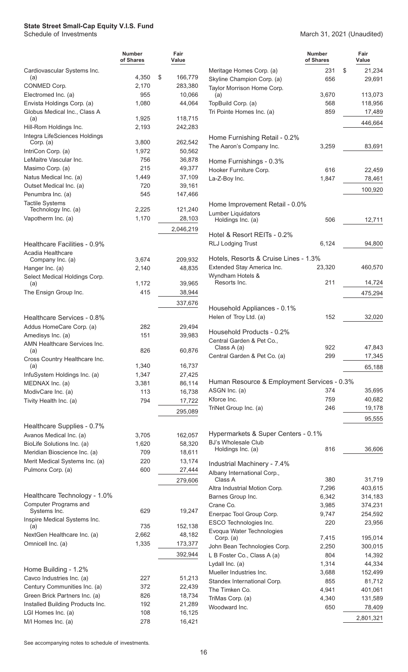# **State Street Small-Cap Equity V.I.S. Fund** Schedule of Investments

|                                                        | <b>Number</b><br>of Shares | Fair<br>Value            |
|--------------------------------------------------------|----------------------------|--------------------------|
| Cardiovascular Systems Inc.                            |                            |                          |
| (a)<br>CONMED Corp.                                    | 4,350<br>2,170             | \$<br>166,779<br>283,380 |
| Electromed Inc. (a)                                    | 955                        | 10,066                   |
| Envista Holdings Corp. (a)                             | 1,080                      | 44,064                   |
| Globus Medical Inc., Class A                           |                            |                          |
| (a)<br>Hill-Rom Holdings Inc.                          | 1,925<br>2,193             | 118,715<br>242,283       |
| Integra LifeSciences Holdings                          |                            |                          |
| Corp. (a)                                              | 3,800                      | 262,542                  |
| IntriCon Corp. (a)                                     | 1,972                      | 50,562                   |
| LeMaitre Vascular Inc.                                 | 756<br>215                 | 36,878                   |
| Masimo Corp. (a)<br>Natus Medical Inc. (a)             | 1,449                      | 49,377<br>37,109         |
| Outset Medical Inc. (a)                                | 720                        | 39,161                   |
| Penumbra Inc. (a)                                      | 545                        | 147,466                  |
| <b>Tactile Systems</b>                                 |                            |                          |
| Technology Inc. (a)                                    | 2,225                      | 121,240                  |
| Vapotherm Inc. (a)                                     | 1,170                      | 28,103                   |
|                                                        |                            | 2,046,219                |
| Healthcare Facilities - 0.9%                           |                            |                          |
| Acadia Healthcare                                      |                            |                          |
| Company Inc. (a)                                       | 3,674                      | 209,932                  |
| Hanger Inc. (a)<br>Select Medical Holdings Corp.       | 2,140                      | 48,835                   |
| (a)                                                    | 1,172                      | 39,965                   |
| The Ensign Group Inc.                                  | 415                        | 38,944                   |
|                                                        |                            | 337,676                  |
| Healthcare Services - 0.8%                             |                            |                          |
| Addus HomeCare Corp. (a)                               | 282                        | 29,494                   |
| Amedisys Inc. (a)                                      | 151                        | 39,983                   |
| AMN Healthcare Services Inc.                           |                            |                          |
| (a)<br>Cross Country Healthcare Inc.                   | 826                        | 60,876                   |
| (a)                                                    | 1,340                      | 16,737                   |
| InfuSystem Holdings Inc. (a)                           | 1,347                      | 27,425                   |
| MEDNAX Inc. (a)                                        | 3,381                      | 86,114                   |
| ModivCare Inc. (a)                                     | 113                        | 16,738                   |
| Tivity Health Inc. (a)                                 | 794                        | 17,722                   |
|                                                        |                            | 295,089                  |
| Healthcare Supplies - 0.7%                             |                            |                          |
| Avanos Medical Inc. (a)                                | 3,705                      | 162,057                  |
| BioLife Solutions Inc. (a)                             | 1,620                      | 58,320                   |
| Meridian Bioscience Inc. (a)                           | 709                        | 18,611                   |
| Merit Medical Systems Inc. (a)<br>Pulmonx Corp. (a)    | 220<br>600                 | 13,174<br>27,444         |
|                                                        |                            | 279,606                  |
|                                                        |                            |                          |
| Healthcare Technology - 1.0%                           |                            |                          |
| Computer Programs and<br>Systems Inc.                  | 629                        | 19,247                   |
| Inspire Medical Systems Inc.                           |                            |                          |
| (a)                                                    | 735                        | 152,138                  |
| NextGen Healthcare Inc. (a)                            | 2,662                      | 48,182                   |
| Omnicell Inc. (a)                                      | 1,335                      | 173,377                  |
|                                                        |                            | 392,944                  |
| Home Building - 1.2%                                   |                            |                          |
| Cavco Industries Inc. (a)                              | 227                        | 51,213                   |
| Century Communities Inc. (a)                           | 372                        | 22,439                   |
| Green Brick Partners Inc. (a)                          | 826                        | 18,734                   |
| Installed Building Products Inc.<br>LGI Homes Inc. (a) | 192<br>108                 | 21,289<br>16,125         |
| M/I Homes Inc. (a)                                     | 278                        | 16,421                   |
|                                                        |                            |                          |

March 31, 2021 (Unaudited)

|                                                            | <b>Number</b><br>of Shares | Fair<br>Value |
|------------------------------------------------------------|----------------------------|---------------|
| Meritage Homes Corp. (a)                                   | 231                        | \$<br>21,234  |
| Skyline Champion Corp. (a)<br>Taylor Morrison Home Corp.   | 656                        | 29,691        |
| (a)                                                        | 3,670                      | 113,073       |
| TopBuild Corp. (a)                                         | 568                        | 118,956       |
| Tri Pointe Homes Inc. (a)                                  | 859                        | 17,489        |
|                                                            |                            |               |
|                                                            |                            | 446,664       |
| Home Furnishing Retail - 0.2%<br>The Aaron's Company Inc.  | 3,259                      | 83,691        |
| Home Furnishings - 0.3%                                    |                            |               |
| Hooker Furniture Corp.                                     | 616                        | 22,459        |
| La-Z-Boy Inc.                                              | 1,847                      | 78,461        |
|                                                            |                            | 100,920       |
| Home Improvement Retail - 0.0%                             |                            |               |
| Lumber Liquidators                                         |                            |               |
| Holdings Inc. (a)                                          | 506                        | 12,711        |
| Hotel & Resort REITs - 0.2%<br><b>RLJ Lodging Trust</b>    | 6,124                      | 94,800        |
| Hotels, Resorts & Cruise Lines - 1.3%                      |                            |               |
| Extended Stay America Inc.                                 | 23,320                     | 460,570       |
| Wyndham Hotels &                                           |                            |               |
| Resorts Inc.                                               | 211                        | 14,724        |
|                                                            |                            | 475,294       |
| Household Appliances - 0.1%<br>Helen of Troy Ltd. (a)      | 152                        | 32,020        |
| Household Products - 0.2%                                  |                            |               |
| Central Garden & Pet Co.,                                  |                            |               |
| Class A (a)                                                | 922                        | 47,843        |
| Central Garden & Pet Co. (a)                               | 299                        | 17,345        |
|                                                            |                            | 65,188        |
| Human Resource & Employment Services - 0.3%                |                            |               |
| ASGN Inc. (a)                                              | 374                        |               |
|                                                            |                            | 35,695        |
| Kforce Inc.                                                | 759                        | 40,682        |
| TriNet Group Inc. (a)                                      | 246                        | 19,178        |
|                                                            |                            | 95,555        |
| Hypermarkets & Super Centers - 0.1%                        |                            |               |
| <b>BJ's Wholesale Club</b><br>Holdings Inc. (a)            | 816                        | 36,606        |
|                                                            |                            |               |
| Industrial Machinery - 7.4%<br>Albany International Corp., |                            |               |
| Class A                                                    | 380                        | 31,719        |
| Altra Industrial Motion Corp.                              | 7,296                      | 403,615       |
| Barnes Group Inc.                                          | 6,342                      | 314,183       |
| Crane Co.                                                  | 3,985                      | 374,231       |
| Enerpac Tool Group Corp.                                   | 9,747                      | 254,592       |
| ESCO Technologies Inc.                                     | 220                        | 23,956        |
| Evoqua Water Technologies                                  |                            |               |
| Corp. (a)                                                  | 7,415                      | 195,014       |
| John Bean Technologies Corp.                               | 2,250                      | 300,015       |
| L B Foster Co., Class A (a)                                | 804                        | 14,392        |
| Lydall Inc. (a)                                            | 1,314                      | 44,334        |
| Mueller Industries Inc.                                    | 3,688                      | 152,499       |
| Standex International Corp.                                | 855                        | 81,712        |
| The Timken Co.                                             | 4,941                      | 401,061       |
| TriMas Corp. (a)                                           | 4,340                      | 131,589       |
| Woodward Inc.                                              | 650                        | 78,409        |
|                                                            |                            | 2,801,321     |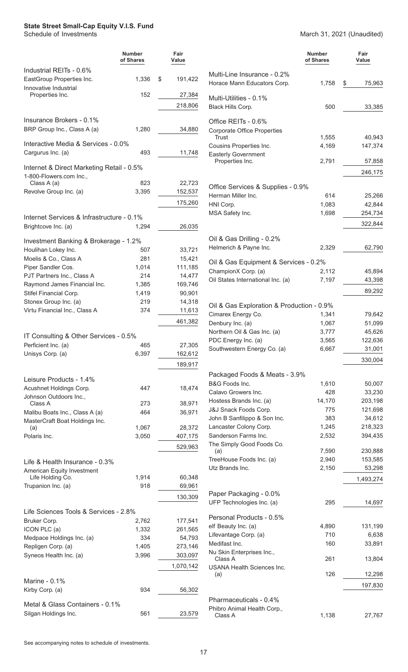### **State Street Small-Cap Equity V.I.S. Fund**<br>Schedule of Investments

|                                                                      | <b>Number</b><br>of Shares | Fair<br>Value |                                                           | <b>Number</b><br>of Shares | Fair<br>Value |
|----------------------------------------------------------------------|----------------------------|---------------|-----------------------------------------------------------|----------------------------|---------------|
| Industrial REITs - 0.6%                                              |                            |               | Multi-Line Insurance - 0.2%                               |                            |               |
| EastGroup Properties Inc.                                            | 1,336                      | \$<br>191,422 | Horace Mann Educators Corp.                               | 1,758                      | 75,963<br>S.  |
| Innovative Industrial<br>Properties Inc.                             | 152                        | 27,384        | Multi-Utilities - 0.1%                                    |                            |               |
|                                                                      |                            | 218,806       | Black Hills Corp.                                         | 500                        | 33,385        |
| Insurance Brokers - 0.1%                                             |                            |               |                                                           |                            |               |
| BRP Group Inc., Class A (a)                                          | 1,280                      | 34,880        | Office REITs - 0.6%<br><b>Corporate Office Properties</b> |                            |               |
|                                                                      |                            |               | Trust                                                     | 1,555                      | 40,943        |
| Interactive Media & Services - 0.0%<br>Cargurus Inc. (a)             | 493                        | 11,748        | Cousins Properties Inc.<br><b>Easterly Government</b>     | 4,169                      | 147,374       |
|                                                                      |                            |               | Properties Inc.                                           | 2,791                      | 57,858        |
| Internet & Direct Marketing Retail - 0.5%<br>1-800-Flowers.com Inc., |                            |               |                                                           |                            | 246,175       |
| Class A (a)                                                          | 823                        | 22,723        | Office Services & Supplies - 0.9%                         |                            |               |
| Revolve Group Inc. (a)                                               | 3,395                      | 152,537       | Herman Miller Inc.                                        | 614                        | 25,266        |
|                                                                      |                            | 175,260       | HNI Corp.                                                 | 1,083                      | 42,844        |
|                                                                      |                            |               | MSA Safety Inc.                                           | 1,698                      | 254,734       |
| Internet Services & Infrastructure - 0.1%                            |                            |               |                                                           |                            |               |
| Brightcove Inc. (a)                                                  | 1,294                      | 26,035        |                                                           |                            | 322,844       |
| Investment Banking & Brokerage - 1.2%                                |                            |               | Oil & Gas Drilling - 0.2%                                 |                            |               |
| Houlihan Lokey Inc.                                                  | 507                        | 33,721        | Helmerich & Payne Inc.                                    | 2,329                      | 62,790        |
| Moelis & Co., Class A                                                | 281                        | 15,421        | Oil & Gas Equipment & Services - 0.2%                     |                            |               |
| Piper Sandler Cos.                                                   | 1,014                      | 111,185       | ChampionX Corp. (a)                                       | 2,112                      | 45,894        |
| PJT Partners Inc., Class A                                           | 214                        | 14,477        | Oil States International Inc. (a)                         | 7,197                      | 43,398        |
| Raymond James Financial Inc.                                         | 1,385                      | 169,746       |                                                           |                            | 89,292        |
| Stifel Financial Corp.                                               | 1,419                      | 90,901        |                                                           |                            |               |
| Stonex Group Inc. (a)<br>Virtu Financial Inc., Class A               | 219<br>374                 | 14,318        | Oil & Gas Exploration & Production - 0.9%                 |                            |               |
|                                                                      |                            | 11,613        | Cimarex Energy Co.                                        | 1,341                      | 79,642        |
|                                                                      |                            | 461,382       | Denbury Inc. (a)                                          | 1,067                      | 51,099        |
| IT Consulting & Other Services - 0.5%                                |                            |               | Northern Oil & Gas Inc. (a)                               | 3,777                      | 45,626        |
| Perficient Inc. (a)                                                  | 465                        | 27,305        | PDC Energy Inc. (a)                                       | 3,565                      | 122,636       |
| Unisys Corp. (a)                                                     | 6,397                      | 162,612       | Southwestern Energy Co. (a)                               | 6,667                      | 31,001        |
|                                                                      |                            | 189,917       |                                                           |                            | 330,004       |
| Leisure Products - 1.4%                                              |                            |               | Packaged Foods & Meats - 3.9%                             |                            |               |
| Acushnet Holdings Corp.                                              | 447                        | 18,474        | B&G Foods Inc.                                            | 1,610                      | 50,007        |
| Johnson Outdoors Inc.,                                               |                            |               | Calavo Growers Inc.                                       | 428                        | 33,230        |
| Class A                                                              | 273                        | 38,971        | Hostess Brands Inc. (a)                                   | 14,170                     | 203,198       |
| Malibu Boats Inc., Class A (a)                                       | 464                        | 36,971        | J&J Snack Foods Corp.                                     | 775                        | 121,698       |
| MasterCraft Boat Holdings Inc.                                       |                            |               | John B Sanfilippo & Son Inc.                              | 383                        | 34,612        |
| (a)                                                                  | 1,067                      | 28,372        | Lancaster Colony Corp.<br>Sanderson Farms Inc.            | 1,245                      | 218,323       |
| Polaris Inc.                                                         | 3,050                      | 407,175       | The Simply Good Foods Co.                                 | 2,532                      | 394,435       |
|                                                                      |                            | 529,963       | (a)                                                       | 7,590                      | 230,888       |
| Life & Health Insurance - 0.3%                                       |                            |               | TreeHouse Foods Inc. (a)                                  | 2,940                      | 153,585       |
| American Equity Investment                                           |                            |               | Utz Brands Inc.                                           | 2,150                      | 53,298        |
| Life Holding Co.                                                     | 1,914                      | 60,348        |                                                           |                            | 1,493,274     |
| Trupanion Inc. (a)                                                   | 918                        | 69,961        |                                                           |                            |               |
|                                                                      |                            | 130,309       | Paper Packaging - 0.0%<br>UFP Technologies Inc. (a)       | 295                        |               |
| Life Sciences Tools & Services - 2.8%                                |                            |               |                                                           |                            | 14,697        |
| Bruker Corp.                                                         | 2,762                      | 177,541       | Personal Products - 0.5%                                  |                            |               |
| ICON PLC (a)                                                         | 1,332                      | 261,565       | elf Beauty Inc. (a)                                       | 4,890                      | 131,199       |
| Medpace Holdings Inc. (a)                                            | 334                        | 54,793        | Lifevantage Corp. (a)                                     | 710                        | 6,638         |
| Repligen Corp. (a)                                                   | 1,405                      | 273,146       | Medifast Inc.                                             | 160                        | 33,891        |
| Syneos Health Inc. (a)                                               | 3,996                      | 303,097       | Nu Skin Enterprises Inc.,<br>Class A                      | 261                        | 13,804        |
|                                                                      |                            | 1,070,142     | <b>USANA Health Sciences Inc.</b>                         |                            |               |
| Marine - 0.1%                                                        |                            |               | (a)                                                       | 126                        | 12,298        |
| Kirby Corp. (a)                                                      | 934                        | 56,302        |                                                           |                            | 197,830       |
| Metal & Glass Containers - 0.1%                                      |                            |               | Pharmaceuticals - 0.4%                                    |                            |               |
| Silgan Holdings Inc.                                                 | 561                        | 23,579        | Phibro Animal Health Corp.,                               |                            |               |
|                                                                      |                            |               | Class A                                                   | 1,138                      | 27,767        |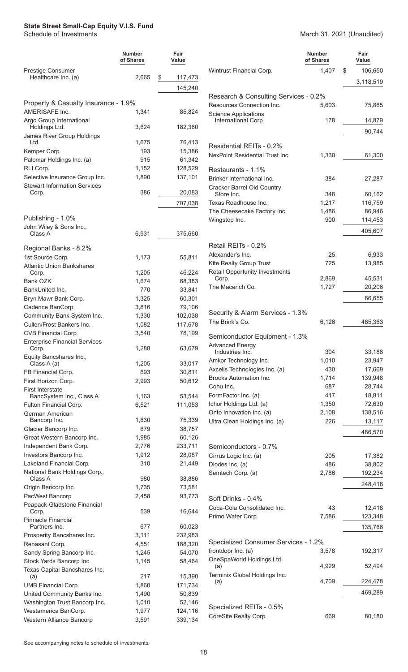#### **State Street Small-Cap Equity V.I.S. Fund**

Schedule of Investments March 31, 2021 (Unaudited)

|                                                       | <b>Number</b><br>of Shares | Fair<br>Value      |                           |
|-------------------------------------------------------|----------------------------|--------------------|---------------------------|
| Prestige Consumer<br>Healthcare Inc. (a)              | 2,665                      | \$<br>117,473      | Wintrust                  |
|                                                       |                            |                    |                           |
|                                                       |                            | 145,240            | Resear                    |
| Property & Casualty Insurance - 1.9%                  |                            |                    | Resourd                   |
| AMERISAFE Inc.                                        | 1,341                      | 85,824             | Science                   |
| Argo Group International<br>Holdings Ltd.             | 3,624                      | 182,360            | Intern                    |
| James River Group Holdings                            |                            |                    |                           |
| Ltd.                                                  | 1,675                      | 76,413             | Reside                    |
| Kemper Corp.                                          | 193                        | 15,386             | <b>NexPoir</b>            |
| Palomar Holdings Inc. (a)                             | 915                        | 61,342             |                           |
| RLI Corp.<br>Selective Insurance Group Inc.           | 1,152<br>1,890             | 128,529<br>137,101 | Restau                    |
| <b>Stewart Information Services</b>                   |                            |                    | <b>Brinker</b><br>Cracker |
| Corp.                                                 | 386                        | 20,083             | Store                     |
|                                                       |                            | 707,038            | <b>Texas R</b>            |
|                                                       |                            |                    | The Che                   |
| Publishing - 1.0%<br>John Wiley & Sons Inc.,          |                            |                    | Wingsto                   |
| Class A                                               | 6,931                      | 375,660            |                           |
|                                                       |                            |                    | Retail F                  |
| Regional Banks - 8.2%<br>1st Source Corp.             | 1,173                      | 55,811             | Alexand                   |
| <b>Atlantic Union Bankshares</b>                      |                            |                    | Kite Rea                  |
| Corp.                                                 | 1,205                      | 46,224             | Retail O                  |
| Bank OZK                                              | 1,674                      | 68,383             | Corp.                     |
| BankUnited Inc.                                       | 770                        | 33,841             | The Ma                    |
| Bryn Mawr Bank Corp.                                  | 1,325                      | 60,301             |                           |
| Cadence BanCorp<br>Community Bank System Inc.         | 3,816                      | 79,106             | Securit                   |
| Cullen/Frost Bankers Inc.                             | 1,330<br>1,082             | 102,038<br>117,678 | The Brir                  |
| CVB Financial Corp.                                   | 3,540                      | 78,199             |                           |
| <b>Enterprise Financial Services</b>                  |                            |                    | Semicc<br>Advance         |
| Corp.                                                 | 1,288                      | 63,679             | Indus                     |
| Equity Bancshares Inc.,<br>Class A (a)                | 1,205                      | 33,017             | Amkor <sub>1</sub>        |
| FB Financial Corp.                                    | 693                        | 30,811             | Axcelis <sup>1</sup>      |
| First Horizon Corp.                                   | 2,993                      | 50,612             | Brooks                    |
| <b>First Interstate</b>                               |                            |                    | Cohu In                   |
| BancSystem Inc., Class A                              | 1,163                      | 53,544             | FormFa<br>Ichor Ho        |
| Fulton Financial Corp.<br>German American             | 6,521                      | 111,053            | Onto Inr                  |
| Bancorp Inc.                                          | 1,630                      | 75,339             | Ultra Cle                 |
| Glacier Bancorp Inc.                                  | 679                        | 38,757             |                           |
| Great Western Bancorp Inc.                            | 1,985                      | 60,126             |                           |
| Independent Bank Corp.                                | 2,776                      | 233,711            | Semicc                    |
| Investors Bancorp Inc.<br>Lakeland Financial Corp.    | 1,912<br>310               | 28,087<br>21,449   | Cirrus L                  |
| National Bank Holdings Corp.,                         |                            |                    | Diodes<br>Semtecl         |
| Class A                                               | 980                        | 38,886             |                           |
| Origin Bancorp Inc.                                   | 1,735                      | 73,581             |                           |
| PacWest Bancorp                                       | 2,458                      | 93,773             | Soft Dr                   |
| Peapack-Gladstone Financial<br>Corp.                  | 539                        | 16,644             | Coca-C                    |
| Pinnacle Financial                                    |                            |                    | Primo V                   |
| Partners Inc.                                         | 677                        | 60,023             |                           |
| Prosperity Bancshares Inc.                            | 3,111                      | 232,983            |                           |
| Renasant Corp.                                        | 4,551                      | 188,320            | Special<br>frontdoc       |
| Sandy Spring Bancorp Inc.<br>Stock Yards Bancorp Inc. | 1,245                      | 54,070             | OneSpa                    |
| Texas Capital Bancshares Inc.                         | 1,145                      | 58,464             | (a)                       |
| (a)                                                   | 217                        | 15,390             | Terminix                  |
| <b>UMB Financial Corp.</b>                            | 1,860                      | 171,734            | (a)                       |
| United Community Banks Inc.                           | 1,490                      | 50,839             |                           |
| Washington Trust Bancorp Inc.                         | 1,010                      | 52,146             | Special                   |
| Westamerica BanCorp.<br>Western Alliance Bancorp      | 1,977<br>3,591             | 124,116<br>339,134 | <b>CoreSite</b>           |
|                                                       |                            |                    |                           |

|                                                                    | Number<br>of Shares | Fair<br>Value     |
|--------------------------------------------------------------------|---------------------|-------------------|
| Wintrust Financial Corp.                                           | 1,407               | \$<br>106,650     |
|                                                                    |                     | 3,118,519         |
|                                                                    |                     |                   |
| Research & Consulting Services - 0.2%<br>Resources Connection Inc. | 5,603               | 75,865            |
| <b>Science Applications</b>                                        |                     |                   |
| International Corp.                                                | 178                 | 14,879            |
|                                                                    |                     | 90,744            |
| Residential REITs - 0.2%                                           |                     |                   |
| NexPoint Residential Trust Inc.                                    | 1,330               | 61,300            |
|                                                                    |                     |                   |
| Restaurants - 1.1%<br>Brinker International Inc.                   |                     |                   |
| Cracker Barrel Old Country                                         | 384                 | 27,287            |
| Store Inc.                                                         | 348                 | 60,162            |
| Texas Roadhouse Inc.                                               | 1,217               | 116,759           |
| The Cheesecake Factory Inc.                                        | 1,486               | 86,946            |
| Wingstop Inc.                                                      | 900                 | 114,453           |
|                                                                    |                     | 405,607           |
| Retail REITs - 0.2%                                                |                     |                   |
| Alexander's Inc.                                                   | 25                  | 6,933             |
| Kite Realty Group Trust                                            | 725                 | 13,985            |
| <b>Retail Opportunity Investments</b>                              |                     |                   |
| Corp.<br>The Macerich Co.                                          | 2,869<br>1,727      | 45,531<br>20,206  |
|                                                                    |                     |                   |
|                                                                    |                     | 86,655            |
| Security & Alarm Services - 1.3%                                   |                     |                   |
| The Brink's Co.                                                    | 6,126               | 485,363           |
| Semiconductor Equipment - 1.3%                                     |                     |                   |
| <b>Advanced Energy</b>                                             |                     |                   |
| Industries Inc.                                                    | 304                 | 33,188            |
| Amkor Technology Inc.                                              | 1,010               | 23,947            |
| Axcelis Technologies Inc. (a)<br><b>Brooks Automation Inc.</b>     | 430<br>1,714        | 17,669<br>139,948 |
| Cohu Inc.                                                          | 687                 | 28,744            |
| FormFactor Inc. (a)                                                | 417                 | 18,811            |
| Ichor Holdings Ltd. (a)                                            | 1,350               | 72,630            |
| Onto Innovation Inc. (a)                                           | 2,108               | 138,516           |
| Ultra Clean Holdings Inc. (a)                                      | 226                 | 13,117            |
|                                                                    |                     | 486,570           |
| Semiconductors - 0.7%                                              |                     |                   |
| Cirrus Logic Inc. (a)                                              | 205                 | 17,382            |
| Diodes Inc. (a)                                                    | 486                 | 38,802            |
| Semtech Corp. (a)                                                  | 2,786               | 192,234           |
|                                                                    |                     | 248,418           |
| Soft Drinks - 0.4%                                                 |                     |                   |
| Coca-Cola Consolidated Inc.                                        | 43                  | 12,418            |
| Primo Water Corp.                                                  | 7,586               | 123,348           |
|                                                                    |                     | 135,766           |
|                                                                    |                     |                   |
| Specialized Consumer Services - 1.2%                               |                     |                   |
| frontdoor Inc. (a)<br>OneSpaWorld Holdings Ltd.                    | 3,578               | 192,317           |
| (a)                                                                | 4,929               | 52,494            |
| Terminix Global Holdings Inc.                                      |                     |                   |
| (a)                                                                | 4,709               | 224,478           |
|                                                                    |                     | 469,289           |
| Specialized REITs - 0.5%                                           |                     |                   |
| CoreSite Realty Corp.                                              | 669                 | 80,180            |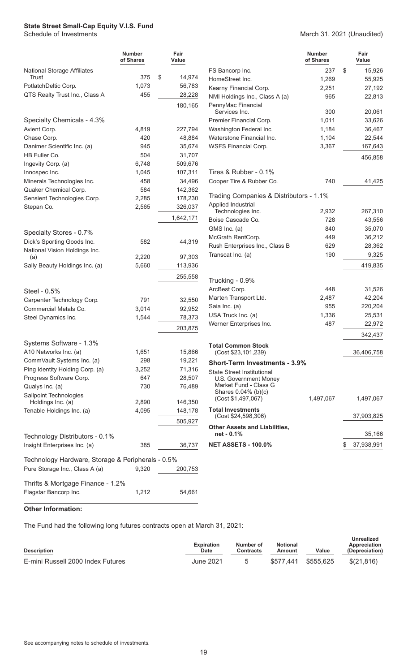### **State Street Small-Cap Equity V.I.S. Fund**<br>Schedule of Investments

#### March 31, 2021 (Unaudited)

|                                                   | <b>Number</b><br>of Shares | Fair<br>Value |                                              | <b>Number</b><br>of Shares | Fair<br>Value    |
|---------------------------------------------------|----------------------------|---------------|----------------------------------------------|----------------------------|------------------|
| <b>National Storage Affiliates</b>                |                            |               | FS Bancorp Inc.                              | 237                        | \$<br>15,926     |
| Trust                                             | 375                        | \$<br>14,974  | HomeStreet Inc.                              | 1,269                      | 55,925           |
| PotlatchDeltic Corp.                              | 1,073                      | 56,783        | Kearny Financial Corp.                       | 2,251                      | 27,192           |
| QTS Realty Trust Inc., Class A                    | 455                        | 28,228        | NMI Holdings Inc., Class A (a)               | 965                        | 22,813           |
|                                                   |                            | 180,165       | PennyMac Financial<br>Services Inc.          | 300                        | 20,061           |
| Specialty Chemicals - 4.3%                        |                            |               | Premier Financial Corp.                      | 1,011                      | 33,626           |
| Avient Corp.                                      | 4,819                      | 227,794       | Washington Federal Inc.                      | 1,184                      | 36,467           |
| Chase Corp.                                       | 420                        | 48,884        | Waterstone Financial Inc.                    | 1,104                      | 22,544           |
| Danimer Scientific Inc. (a)                       | 945                        | 35,674        | WSFS Financial Corp.                         | 3,367                      | 167,643          |
| HB Fuller Co.                                     | 504                        | 31,707        |                                              |                            | 456,858          |
| Ingevity Corp. (a)                                | 6,748                      | 509,676       |                                              |                            |                  |
| Innospec Inc.                                     | 1,045                      | 107,311       | Tires & Rubber - 0.1%                        |                            |                  |
| Minerals Technologies Inc.                        | 458                        | 34,496        | Cooper Tire & Rubber Co.                     | 740                        | 41,425           |
| Quaker Chemical Corp.                             | 584                        | 142,362       |                                              |                            |                  |
| Sensient Technologies Corp.                       | 2,285                      | 178,230       | Trading Companies & Distributors - 1.1%      |                            |                  |
| Stepan Co.                                        | 2,565                      | 326,037       | Applied Industrial<br>Technologies Inc.      | 2,932                      | 267,310          |
|                                                   |                            | 1,642,171     | Boise Cascade Co.                            | 728                        | 43,556           |
|                                                   |                            |               | GMS Inc. (a)                                 | 840                        | 35,070           |
| Specialty Stores - 0.7%                           |                            |               | McGrath RentCorp.                            | 449                        | 36,212           |
| Dick's Sporting Goods Inc.                        | 582                        | 44,319        | Rush Enterprises Inc., Class B               | 629                        | 28,362           |
| National Vision Holdings Inc.                     |                            |               | Transcat Inc. (a)                            | 190                        | 9,325            |
| (a)                                               | 2,220                      | 97,303        |                                              |                            |                  |
| Sally Beauty Holdings Inc. (a)                    | 5,660                      | 113,936       |                                              |                            | 419,835          |
|                                                   |                            | 255,558       | Trucking - 0.9%                              |                            |                  |
| Steel - 0.5%                                      |                            |               | ArcBest Corp.                                | 448                        | 31,526           |
| Carpenter Technology Corp.                        | 791                        | 32,550        | Marten Transport Ltd.                        | 2,487                      | 42,204           |
| Commercial Metals Co.                             | 3,014                      | 92,952        | Saia Inc. (a)                                | 955                        | 220,204          |
| Steel Dynamics Inc.                               | 1,544                      | 78,373        | USA Truck Inc. (a)                           | 1,336                      | 25,531           |
|                                                   |                            |               | Werner Enterprises Inc.                      | 487                        | 22,972           |
|                                                   |                            | 203,875       |                                              |                            | 342,437          |
| Systems Software - 1.3%                           |                            |               | <b>Total Common Stock</b>                    |                            |                  |
| A10 Networks Inc. (a)                             | 1,651                      | 15,866        | (Cost \$23,101,239)                          |                            | 36,406,758       |
| CommVault Systems Inc. (a)                        | 298                        | 19,221        | <b>Short-Term Investments - 3.9%</b>         |                            |                  |
| Ping Identity Holding Corp. (a)                   | 3,252                      | 71,316        | <b>State Street Institutional</b>            |                            |                  |
| Progress Software Corp.                           | 647                        | 28,507        | U.S. Government Money                        |                            |                  |
| Qualys Inc. (a)                                   | 730                        | 76,489        | Market Fund - Class G<br>Shares 0.04% (b)(c) |                            |                  |
| Sailpoint Technologies<br>Holdings Inc. (a)       | 2,890                      | 146,350       | (Cost \$1,497,067)                           | 1,497,067                  | 1,497,067        |
| Tenable Holdings Inc. (a)                         | 4,095                      | 148,178       | <b>Total Investments</b>                     |                            |                  |
|                                                   |                            | 505,927       | (Cost \$24,598,306)                          |                            | 37,903,825       |
|                                                   |                            |               | <b>Other Assets and Liabilities,</b>         |                            |                  |
| Technology Distributors - 0.1%                    |                            |               | net - 0.1%                                   |                            | 35,166           |
| Insight Enterprises Inc. (a)                      | 385                        | 36,737        | <b>NET ASSETS - 100.0%</b>                   |                            | \$<br>37,938,991 |
| Technology Hardware, Storage & Peripherals - 0.5% |                            |               |                                              |                            |                  |
| Pure Storage Inc., Class A (a)                    | 9,320                      | 200,753       |                                              |                            |                  |
| Thrifts & Mortgage Finance - 1.2%                 |                            |               |                                              |                            |                  |
| Flagstar Bancorp Inc.                             | 1,212                      | 54,661        |                                              |                            |                  |

#### **Other Information:**

The Fund had the following long futures contracts open at March 31, 2021:

| <b>Description</b>                | <b>Expiration</b><br>Date | Number of<br>Contracts | <b>Notional</b><br>Amount | Value | Unrealized<br>Appreciation<br>(Depreciation) |
|-----------------------------------|---------------------------|------------------------|---------------------------|-------|----------------------------------------------|
| E-mini Russell 2000 Index Futures | June 2021                 |                        |                           |       | \$(21.816)                                   |

 $\overline{\phantom{0}}$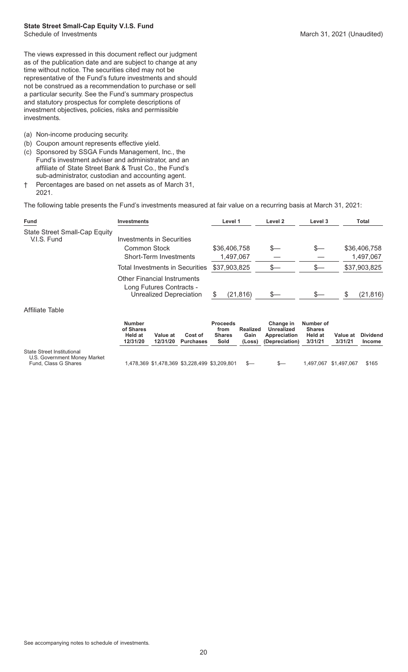The views expressed in this document reflect our judgment as of the publication date and are subject to change at any time without notice. The securities cited may not be representative of the Fund's future investments and should not be construed as a recommendation to purchase or sell a particular security. See the Fund's summary prospectus and statutory prospectus for complete descriptions of investment objectives, policies, risks and permissible investments.

- (a) Non-income producing security.
- (b) Coupon amount represents effective yield.
- (c) Sponsored by SSGA Funds Management, Inc., the Fund's investment adviser and administrator, and an affiliate of State Street Bank & Trust Co., the Fund's sub-administrator, custodian and accounting agent.
- † Percentages are based on net assets as of March 31, 2021.

The following table presents the Fund's investments measured at fair value on a recurring basis at March 31, 2021:

| Fund                                                                               | <b>Investments</b>                                                                        |                                 |                                               | Level 1                                          |                                   | Level 2                                                   | Level 3                                          |                     | Total                            |
|------------------------------------------------------------------------------------|-------------------------------------------------------------------------------------------|---------------------------------|-----------------------------------------------|--------------------------------------------------|-----------------------------------|-----------------------------------------------------------|--------------------------------------------------|---------------------|----------------------------------|
| <b>State Street Small-Cap Equity</b><br>V.I.S. Fund                                | Investments in Securities<br><b>Common Stock</b>                                          |                                 |                                               |                                                  |                                   | S—                                                        | \$—                                              |                     |                                  |
|                                                                                    |                                                                                           | Short-Term Investments          |                                               |                                                  | \$36,406,758<br>1,497,067         |                                                           |                                                  |                     | \$36,406,758<br>1,497,067        |
|                                                                                    |                                                                                           | Total Investments in Securities |                                               | \$37,903,825                                     |                                   | \$—                                                       | $s-$                                             |                     | \$37,903,825                     |
|                                                                                    | <b>Other Financial Instruments</b><br>Long Futures Contracts -<br>Unrealized Depreciation |                                 | S                                             | (21, 816)                                        | $s-$                              | \$—                                                       | S                                                | (21, 816)           |                                  |
| Affiliate Table                                                                    |                                                                                           |                                 |                                               |                                                  |                                   |                                                           |                                                  |                     |                                  |
|                                                                                    | <b>Number</b><br>of Shares<br>Held at<br>12/31/20                                         | Value at<br>12/31/20            | Cost of<br><b>Purchases</b>                   | <b>Proceeds</b><br>from<br><b>Shares</b><br>Sold | <b>Realized</b><br>Gain<br>(Loss) | Change in<br>Unrealized<br>Appreciation<br>(Depreciation) | Number of<br><b>Shares</b><br>Held at<br>3/31/21 | Value at<br>3/31/21 | <b>Dividend</b><br><b>Income</b> |
| State Street Institutional<br>U.S. Government Money Market<br>Fund, Class G Shares |                                                                                           |                                 | 1,478,369 \$1,478,369 \$3,228,499 \$3,209,801 |                                                  | $s-$                              | $s-$                                                      | 1,497,067                                        | \$1,497,067         | \$165                            |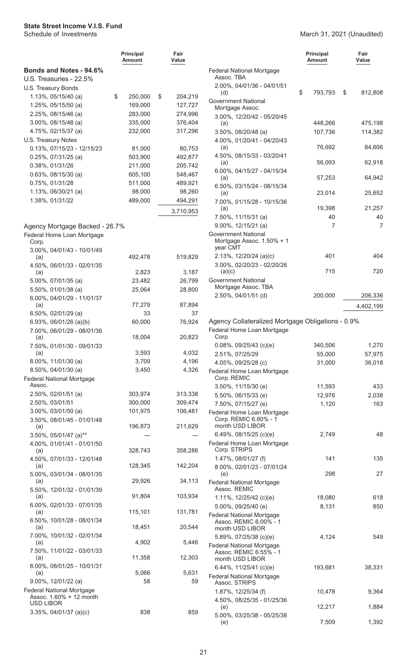<span id="page-22-0"></span>

|                                                             | <b>Principal</b><br>Amount | Fair<br>Value |   |
|-------------------------------------------------------------|----------------------------|---------------|---|
| <b>Bonds and Notes - 94.6%</b>                              |                            |               | F |
| U.S. Treasuries - 22.5%                                     |                            |               |   |
| U.S. Treasury Bonds                                         |                            |               |   |
| 1.13%, 05/15/40 (a)                                         | \$<br>250,000              | \$<br>204,219 | C |
| $1.25\%$ , 05/15/50 (a)                                     | 169,000                    | 127,727       |   |
| 2.25%, 08/15/46 (a)                                         | 283,000                    | 274,996       |   |
| 3.00%, 08/15/48 (a)                                         | 335,000                    | 376,404       |   |
| 4.75%, 02/15/37 (a)                                         | 232,000                    | 317,296       |   |
| U.S. Treasury Notes                                         |                            |               |   |
| 0.13%, 07/15/23 - 12/15/23                                  | 81,000                     | 80,753        |   |
| $0.25\%$ , 07/31/25 (a)                                     | 503,900                    | 492,877       |   |
| 0.38%, 01/31/26                                             | 211,000                    | 205,742       |   |
| $0.63\%$ , 08/15/30 (a)                                     | 605,100                    | 548,467       |   |
| 0.75%, 01/31/28                                             | 511,000                    | 489,921       |   |
| 1.13%, 06/30/21 (a)                                         | 98,000                     | 98,260        |   |
| 1.38%, 01/31/22                                             | 489,000                    | 494,291       |   |
|                                                             |                            | 3,710,953     |   |
|                                                             |                            |               |   |
| Agency Mortgage Backed - 26.7%                              |                            |               |   |
| Federal Home Loan Mortgage<br>Corp.                         |                            |               | C |
| 3.00%, 04/01/43 - 10/01/49                                  |                            |               |   |
| (a)                                                         | 492,478                    | 519,829       |   |
| 4.50%, 06/01/33 - 02/01/35                                  | 2,823                      | 3,187         |   |
| (a)                                                         | 23,482                     |               | C |
| 5.00%, 07/01/35 (a)                                         |                            | 26,799        |   |
| 5.50%, 01/01/38 (a)                                         | 25,064                     | 28,800        |   |
| 6.00%, 04/01/29 - 11/01/37<br>(a)                           | 77,279                     | 87,894        |   |
| 6.50%, 02/01/29 (a)                                         | 33                         | 37            |   |
| 6.93%, $06/01/26$ (a)(b)                                    | 60,000                     | 76,924        | ŀ |
| 7.00%, 06/01/29 - 08/01/36                                  |                            |               | F |
| (a)                                                         | 18,004                     | 20,823        |   |
| 7.50%, 01/01/30 - 09/01/33                                  |                            |               |   |
| (a)                                                         | 3,593                      | 4,032         |   |
| 8.00%, 11/01/30 (a)                                         | 3,709                      | 4,196         |   |
| 8.50%, 04/01/30 (a)                                         | 3,450                      | 4,326         | F |
| <b>Federal National Mortgage</b>                            |                            |               |   |
| Assoc.                                                      |                            |               |   |
| 2.50%, 02/01/51 (a)                                         | 303,974                    | 313,338       |   |
| 2.50%, 03/01/51                                             | 300,000                    | 309,474       |   |
| $3.00\%$ , 03/01/50 (a)                                     | 101,975                    | 106,481       | F |
| 3.50%, 08/01/45 - 01/01/48                                  |                            |               |   |
| (a)                                                         | 196,873                    | 211,629       |   |
| 3.50%, 05/01/47 (a)**                                       |                            |               | F |
| 4.00%, 01/01/41 - 01/01/50<br>(a)                           | 328,743                    | 358,286       |   |
| 4.50%, 07/01/33 - 12/01/48                                  |                            |               |   |
| (a)                                                         | 128,345                    | 142,204       |   |
| 5.00%, 03/01/34 - 08/01/35                                  |                            |               |   |
| (a)                                                         | 29,926                     | 34,113        | F |
| 5.50%, 12/01/32 - 01/01/39                                  |                            |               |   |
| (a)                                                         | 91,804                     | 103,934       |   |
| 6.00%, 02/01/33 - 07/01/35                                  |                            |               |   |
| (a)                                                         | 115,101                    | 131,781       | F |
| 6.50%, 10/01/28 - 08/01/34<br>(a)                           | 18,451                     | 20,544        |   |
| 7.00%, 10/01/32 - 02/01/34                                  |                            |               |   |
| (a)                                                         | 4,902                      | 5,446         |   |
| 7.50%, 11/01/22 - 03/01/33                                  |                            |               | F |
| (a)                                                         | 11,358                     | 12,303        |   |
| 8.00%, 08/01/25 - 10/01/31                                  |                            |               |   |
| (a)                                                         | 5,066                      | 5,631         | F |
| 9.00%, 12/01/22 (a)                                         | 58                         | 59            |   |
| <b>Federal National Mortgage</b><br>Assoc. 1.60% + 12 month |                            |               |   |
| <b>USD LIBOR</b>                                            |                            |               |   |

3.35%, 04/01/37 (a)(c) 838 859

|                                                                                                         | <b>Principal</b><br>Amount | Fair<br>Value      |
|---------------------------------------------------------------------------------------------------------|----------------------------|--------------------|
| <b>Federal National Mortgage</b><br>Assoc. TBA                                                          |                            |                    |
| 2.00%, 04/01/36 - 04/01/51<br>(d)                                                                       | \$<br>793,793              | \$<br>812,808      |
| Government National<br>Mortgage Assoc.                                                                  |                            |                    |
| 3.00%, 12/20/42 - 05/20/45<br>(a)<br>3.50%, 08/20/48 (a)                                                | 448,266<br>107,736         | 475,198<br>114,382 |
| 4.00%, 01/20/41 - 04/20/43<br>(a)                                                                       | 76,692                     | 84,606             |
| 4.50%, 08/15/33 - 03/20/41<br>(a)                                                                       | 56,093                     | 62,918             |
| 6.00%, 04/15/27 - 04/15/34<br>(a)                                                                       | 57,253                     | 64,942             |
| 6.50%, 03/15/24 - 08/15/34<br>(a)                                                                       | 23,014                     | 25,652             |
| 7.00%, 01/15/28 - 10/15/36<br>(a)                                                                       | 19,398                     | 21,257             |
| 7.50%, 11/15/31 (a)                                                                                     | 40                         | 40                 |
| $9.00\%$ , 12/15/21 (a)                                                                                 | 7                          | 7                  |
| <b>Government National</b><br>Mortgage Assoc. 1.50% + 1<br>year CMT                                     |                            |                    |
| 2.13%, 12/20/24 (a)(c)<br>3.00%, 02/20/23 - 02/20/26                                                    | 401                        | 404                |
| (a)(c)<br><b>Government National</b>                                                                    | 715                        | 720                |
| Mortgage Assoc. TBA<br>2.50%, 04/01/51 (d)                                                              | 200,000                    | 206,336            |
|                                                                                                         |                            | 4,402,199          |
| Agency Collateralized Mortgage Obligations - 0.9%<br>Federal Home Loan Mortgage<br>Corp.                |                            |                    |
| $0.08\%$ , 09/25/43 (c)(e)                                                                              | 340,506                    | 1,270              |
| 2.51%, 07/25/29                                                                                         | 55,000                     | 57,975             |
| 4.05%, 09/25/28 (c)                                                                                     | 31,000                     | 36,018             |
| Federal Home Loan Mortgage<br>Corp. REMIC                                                               |                            |                    |
| 3.50%, 11/15/30 (e)                                                                                     | 11,593                     | 433                |
| 5.50%, 06/15/33 (e)<br>7.50%, 07/15/27 (e)                                                              | 12,976<br>1,120            | 2,038<br>163       |
| Federal Home Loan Mortgage<br>Corp. REMIC 6.60% - 1<br>month USD LIBOR                                  |                            |                    |
| 6.49%, 08/15/25 (c)(e)                                                                                  | 2,749                      | 48                 |
| Federal Home Loan Mortgage<br>Corp. STRIPS                                                              |                            |                    |
| 1.47%, $08/01/27$ (f)                                                                                   | 141                        | 135                |
| 8.00%, 02/01/23 - 07/01/24<br>(e)                                                                       | 298                        | 27                 |
| <b>Federal National Mortgage</b><br>Assoc. REMIC                                                        |                            |                    |
| 1.11%, 12/25/42 (c)(e)                                                                                  | 18,080                     | 618                |
| 5.00%, 09/25/40 (e)<br><b>Federal National Mortgage</b>                                                 | 8,131                      | 850                |
| Assoc. REMIC 6.00% - 1<br>month USD LIBOR                                                               |                            |                    |
| 5.89%, 07/25/38 (c)(e)<br><b>Federal National Mortgage</b><br>Assoc. REMIC 6.55% - 1<br>month USD LIBOR | 4,124                      | 549                |
| 6.44%, 11/25/41 (c)(e)<br><b>Federal National Mortgage</b>                                              | 193,681                    | 38,331             |
| Assoc. STRIPS<br>1.87%, 12/25/34 (f)                                                                    | 10,478                     | 9,364              |
| 4.50%, 08/25/35 - 01/25/36                                                                              |                            |                    |
| (e)<br>5.00%, 03/25/38 - 05/25/38                                                                       | 12,217                     | 1,884              |
| (e)                                                                                                     | 7,509                      | 1,392              |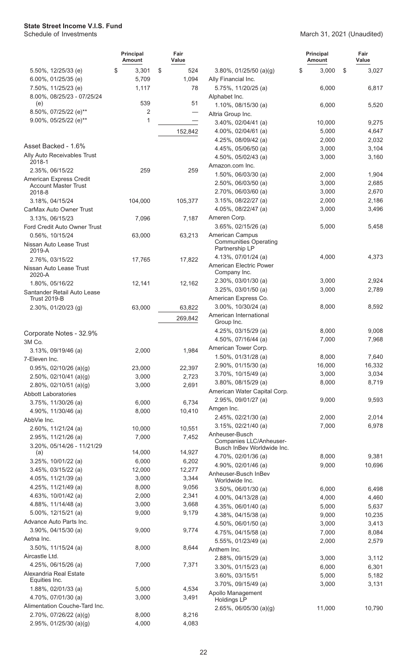|                                                | <b>Principal</b><br><b>Amount</b> | Fair<br>Value   |                                                     | <b>Principal</b><br><b>Amount</b> | Fair<br>Value  |
|------------------------------------------------|-----------------------------------|-----------------|-----------------------------------------------------|-----------------------------------|----------------|
| 5.50%, 12/25/33 (e)                            | \$<br>3,301                       | \$<br>524       | $3.80\%$ , 01/25/50 (a)(g)                          | \$<br>3,000                       | \$<br>3,027    |
| 6.00%, 01/25/35 (e)                            | 5,709                             | 1,094           | Ally Financial Inc.                                 |                                   |                |
| 7.50%, 11/25/23 (e)                            | 1,117                             | 78              | 5.75%, 11/20/25 (a)                                 | 6,000                             | 6,817          |
| 8.00%, 08/25/23 - 07/25/24                     |                                   |                 | Alphabet Inc.                                       |                                   |                |
| (e)<br>8.50%, 07/25/22 (e)**                   | 539                               | 51              | 1.10%, 08/15/30 (a)                                 | 6,000                             | 5,520          |
| 9.00%, 05/25/22 (e)**                          | 2<br>1                            |                 | Altria Group Inc.                                   |                                   |                |
|                                                |                                   |                 | $3.40\%$ , 02/04/41 (a)                             | 10,000                            | 9,275          |
|                                                |                                   | 152,842         | 4.00%, 02/04/61 (a)                                 | 5,000                             | 4,647          |
| Asset Backed - 1.6%                            |                                   |                 | 4.25%, 08/09/42 (a)                                 | 2,000                             | 2,032          |
| Ally Auto Receivables Trust                    |                                   |                 | 4.45%, 05/06/50 (a)<br>4.50%, 05/02/43 (a)          | 3,000<br>3,000                    | 3,104<br>3,160 |
| 2018-1                                         |                                   |                 | Amazon.com Inc.                                     |                                   |                |
| 2.35%, 06/15/22                                | 259                               | 259             | 1.50%, 06/03/30 (a)                                 | 2,000                             | 1,904          |
| American Express Credit                        |                                   |                 | 2.50%, 06/03/50 (a)                                 | 3,000                             | 2,685          |
| <b>Account Master Trust</b><br>2018-8          |                                   |                 | 2.70%, 06/03/60 (a)                                 | 3,000                             | 2,670          |
| 3.18%, 04/15/24                                | 104,000                           | 105,377         | 3.15%, 08/22/27 (a)                                 | 2,000                             | 2,186          |
| CarMax Auto Owner Trust                        |                                   |                 | 4.05%, 08/22/47 (a)                                 | 3,000                             | 3,496          |
| 3.13%, 06/15/23                                | 7,096                             | 7,187           | Ameren Corp.                                        |                                   |                |
| Ford Credit Auto Owner Trust                   |                                   |                 | 3.65%, 02/15/26 (a)                                 | 5,000                             | 5,458          |
| 0.56%, 10/15/24                                | 63,000                            | 63,213          | American Campus                                     |                                   |                |
| Nissan Auto Lease Trust                        |                                   |                 | <b>Communities Operating</b>                        |                                   |                |
| 2019-A                                         |                                   |                 | Partnership LP                                      |                                   |                |
| 2.76%, 03/15/22                                | 17,765                            | 17,822          | 4.13%, 07/01/24 (a)                                 | 4,000                             | 4,373          |
| Nissan Auto Lease Trust                        |                                   |                 | American Electric Power<br>Company Inc.             |                                   |                |
| 2020-A                                         |                                   |                 | 2.30%, 03/01/30 (a)                                 | 3,000                             | 2,924          |
| 1.80%, 05/16/22<br>Santander Retail Auto Lease | 12,141                            | 12,162          | 3.25%, 03/01/50 (a)                                 | 3,000                             | 2,789          |
| <b>Trust 2019-B</b>                            |                                   |                 | American Express Co.                                |                                   |                |
| 2.30%, 01/20/23 (g)                            | 63,000                            | 63,822          | 3.00%, 10/30/24 (a)                                 | 8,000                             | 8,592          |
|                                                |                                   | 269,842         | American International                              |                                   |                |
|                                                |                                   |                 | Group Inc.                                          |                                   |                |
| Corporate Notes - 32.9%                        |                                   |                 | 4.25%, 03/15/29 (a)                                 | 8,000                             | 9,008          |
| 3M Co.                                         |                                   |                 | 4.50%, 07/16/44 (a)                                 | 7,000                             | 7,968          |
| 3.13%, 09/19/46 (a)                            | 2,000                             | 1,984           | American Tower Corp.                                |                                   |                |
| 7-Eleven Inc.                                  |                                   |                 | 1.50%, 01/31/28 (a)                                 | 8,000                             | 7,640          |
| $0.95\%$ , 02/10/26 (a)(g)                     | 23,000                            | 22,397          | 2.90%, 01/15/30 (a)                                 | 16,000                            | 16,332         |
| $2.50\%$ , 02/10/41 (a)(g)                     | 3,000                             | 2,723           | 3.70%, 10/15/49 (a)                                 | 3,000                             | 3,034<br>8,719 |
| $2.80\%$ , 02/10/51 (a)(g)                     | 3,000                             | 2,691           | 3.80%, 08/15/29 (a)<br>American Water Capital Corp. | 8,000                             |                |
| <b>Abbott Laboratories</b>                     |                                   |                 | 2.95%, 09/01/27 (a)                                 | 9,000                             | 9,593          |
| 3.75%, 11/30/26 (a)                            | 6,000                             | 6,734           | Amgen Inc.                                          |                                   |                |
| 4.90%, 11/30/46 (a)                            | 8,000                             | 10,410          | 2.45%, 02/21/30 (a)                                 | 2,000                             | 2,014          |
| AbbVie Inc.                                    |                                   |                 | $3.15\%$ , 02/21/40 (a)                             | 7,000                             | 6,978          |
| 2.60%, 11/21/24 (a)                            | 10,000                            | 10,551<br>7,452 | Anheuser-Busch                                      |                                   |                |
| 2.95%, 11/21/26 (a)                            | 7,000                             |                 | Companies LLC/Anheuser-                             |                                   |                |
| 3.20%, 05/14/26 - 11/21/29<br>(a)              | 14,000                            | 14,927          | Busch InBev Worldwide Inc.                          |                                   |                |
| 3.25%, 10/01/22 (a)                            | 6,000                             | 6,202           | 4.70%, 02/01/36 (a)                                 | 8,000                             | 9,381          |
| $3.45\%$ , 03/15/22 (a)                        | 12,000                            | 12,277          | 4.90%, 02/01/46 (a)                                 | 9,000                             | 10,696         |
| 4.05%, 11/21/39 (a)                            | 3,000                             | 3,344           | Anheuser-Busch InBev<br>Worldwide Inc.              |                                   |                |
| 4.25%, $11/21/49$ (a)                          | 8,000                             | 9,056           | 3.50%, 06/01/30 (a)                                 | 6,000                             | 6,498          |
| 4.63%, 10/01/42 (a)                            | 2,000                             | 2,341           | 4.00%, 04/13/28 (a)                                 | 4,000                             | 4,460          |
| 4.88%, 11/14/48 (a)                            | 3,000                             | 3,668           | 4.35%, 06/01/40 (a)                                 | 5,000                             | 5,637          |
| 5.00%, 12/15/21 (a)                            | 9,000                             | 9,179           | 4.38%, 04/15/38 (a)                                 | 9,000                             | 10,235         |
| Advance Auto Parts Inc.                        |                                   |                 | 4.50%, 06/01/50 (a)                                 | 3,000                             | 3,413          |
| $3.90\%$ , 04/15/30 (a)                        | 9,000                             | 9,774           | 4.75%, 04/15/58 (a)                                 | 7,000                             | 8,084          |
| Aetna Inc.                                     |                                   |                 | 5.55%, 01/23/49 (a)                                 | 2,000                             | 2,579          |
| 3.50%, 11/15/24 (a)                            | 8,000                             | 8,644           | Anthem Inc.                                         |                                   |                |
| Aircastle Ltd.                                 |                                   |                 | 2.88%, 09/15/29 (a)                                 | 3,000                             | 3,112          |
| 4.25%, 06/15/26 (a)                            | 7,000                             | 7,371           | $3.30\%$ , 01/15/23 (a)                             | 6,000                             | 6,301          |
| Alexandria Real Estate<br>Equities Inc.        |                                   |                 | 3.60%, 03/15/51                                     | 5,000                             | 5,182          |
| 1.88%, 02/01/33 (a)                            | 5,000                             | 4,534           | $3.70\%$ , 09/15/49 (a)                             | 3,000                             | 3,131          |
| 4.70%, 07/01/30 (a)                            | 3,000                             | 3,491           | Apollo Management                                   |                                   |                |
| Alimentation Couche-Tard Inc.                  |                                   |                 | Holdings LP                                         |                                   |                |
| $2.70\%$ , 07/26/22 (a)(g)                     | 8,000                             | 8,216           | 2.65%, 06/05/30 (a)(g)                              | 11,000                            | 10,790         |
| 2.95%, $01/25/30$ (a)(g)                       | 4,000                             | 4,083           |                                                     |                                   |                |
|                                                |                                   |                 |                                                     |                                   |                |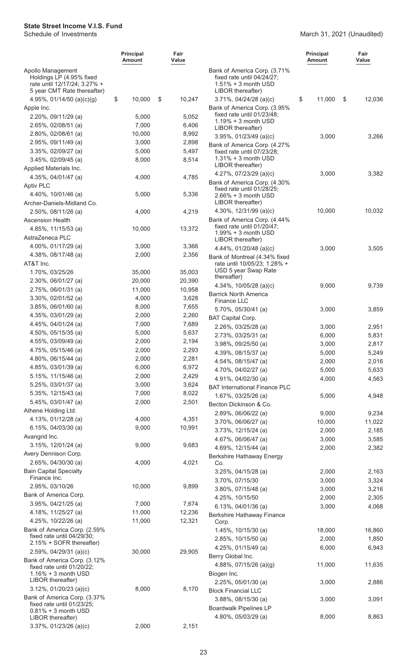|                                                                                                              | Principal<br>Amount | Fair<br>Value |                                                                                                           | <b>Principal</b><br><b>Amount</b> | Fair<br>Value |
|--------------------------------------------------------------------------------------------------------------|---------------------|---------------|-----------------------------------------------------------------------------------------------------------|-----------------------------------|---------------|
| Apollo Management<br>Holdings LP (4.95% fixed<br>rate until 12/17/24; 3.27% +<br>5 year CMT Rate thereafter) |                     |               | Bank of America Corp. (3.71%<br>fixed rate until 04/24/27;<br>$1.51\% + 3$ month USD<br>LIBOR thereafter) |                                   |               |
| 4.95%, $01/14/50$ (a)(c)(g)                                                                                  | \$<br>10,000        | \$<br>10,247  | 3.71%, 04/24/28 (a)(c)                                                                                    | \$<br>11,000                      | \$<br>12,036  |
| Apple Inc.                                                                                                   |                     |               | Bank of America Corp. (3.95%                                                                              |                                   |               |
| 2.20%, 09/11/29 (a)                                                                                          | 5,000               | 5,052         | fixed rate until 01/23/48;<br>$1.19% + 3$ month USD                                                       |                                   |               |
| 2.65%, 02/08/51 (a)                                                                                          | 7,000               | 6,406         | LIBOR thereafter)                                                                                         |                                   |               |
| 2.80%, 02/08/61 (a)                                                                                          | 10,000              | 8,992         | 3.95%, 01/23/49 (a)(c)                                                                                    | 3,000                             | 3,266         |
| 2.95%, 09/11/49 (a)                                                                                          | 3,000               | 2,898         | Bank of America Corp. (4.27%                                                                              |                                   |               |
| 3.35%, 02/09/27 (a)                                                                                          | 5,000               | 5,497         | fixed rate until 07/23/28;                                                                                |                                   |               |
| $3.45\%$ , 02/09/45 (a)                                                                                      | 8,000               | 8,514         | $1.31\% + 3$ month USD<br>LIBOR thereafter)                                                               |                                   |               |
| Applied Materials Inc.                                                                                       |                     |               | 4.27%, $07/23/29$ (a)(c)                                                                                  | 3,000                             | 3,382         |
| 4.35%, 04/01/47 (a)                                                                                          | 4,000               | 4,785         | Bank of America Corp. (4.30%                                                                              |                                   |               |
| <b>Aptiv PLC</b>                                                                                             |                     |               | fixed rate until 01/28/25;                                                                                |                                   |               |
| 4.40%, 10/01/46 (a)                                                                                          | 5,000               | 5,336         | 2.66% + 3 month USD                                                                                       |                                   |               |
| Archer-Daniels-Midland Co.                                                                                   |                     |               | LIBOR thereafter)                                                                                         |                                   |               |
| 2.50%, 08/11/26 (a)                                                                                          | 4,000               | 4,219         | 4.30%, 12/31/99 (a)(c)                                                                                    | 10,000                            | 10,032        |
| <b>Ascension Health</b>                                                                                      |                     |               | Bank of America Corp. (4.44%<br>fixed rate until 01/20/47;                                                |                                   |               |
| 4.85%, 11/15/53 (a)                                                                                          | 10,000              | 13,372        | $1.99\% + 3$ month USD                                                                                    |                                   |               |
| AstraZeneca PLC                                                                                              |                     |               | LIBOR thereafter)                                                                                         |                                   |               |
| 4.00%, 01/17/29 (a)                                                                                          | 3,000               | 3,366         | 4.44%, 01/20/48 (a)(c)                                                                                    | 3,000                             | 3,505         |
| 4.38%, 08/17/48 (a)                                                                                          | 2,000               | 2,356         | Bank of Montreal (4.34% fixed                                                                             |                                   |               |
| AT&T Inc.                                                                                                    |                     |               | rate until 10/05/23; 1.28% +                                                                              |                                   |               |
| 1.70%, 03/25/26                                                                                              | 35,000              | 35,003        | USD 5 year Swap Rate<br>thereafter)                                                                       |                                   |               |
| 2.30%, 06/01/27 (a)                                                                                          | 20,000              | 20,390        | 4.34%, 10/05/28 (a)(c)                                                                                    | 9,000                             | 9,739         |
| $2.75\%$ , 06/01/31 (a)                                                                                      | 11,000              | 10,958        | <b>Barrick North America</b>                                                                              |                                   |               |
| 3.30%, 02/01/52 (a)                                                                                          | 4,000               | 3,628         | Finance LLC                                                                                               |                                   |               |
| 3.85%, 06/01/60 (a)                                                                                          | 8,000               | 7,655         | 5.70%, 05/30/41 (a)                                                                                       | 3,000                             | 3,859         |
| 4.35%, 03/01/29 (a)                                                                                          | 2,000               | 2,260         | <b>BAT Capital Corp.</b>                                                                                  |                                   |               |
| 4.45%, 04/01/24 (a)                                                                                          | 7,000               | 7,689         | 2.26%, 03/25/28 (a)                                                                                       | 3,000                             | 2,951         |
| 4.50%, 05/15/35 (a)                                                                                          | 5,000               | 5,637         | 2.73%, 03/25/31 (a)                                                                                       | 6,000                             | 5,831         |
| 4.55%, 03/09/49 (a)                                                                                          | 2,000               | 2,194         | 3.98%, 09/25/50 (a)                                                                                       | 3,000                             | 2,817         |
| 4.75%, 05/15/46 (a)                                                                                          | 2,000               | 2,293         | 4.39%, 08/15/37 (a)                                                                                       | 5,000                             | 5,249         |
| 4.80%, $06/15/44$ (a)                                                                                        | 2,000               | 2,281         | 4.54%, 08/15/47 (a)                                                                                       | 2,000                             | 2,016         |
| 4.85%, 03/01/39 (a)                                                                                          | 6,000               | 6,972         | 4.70%, 04/02/27 (a)                                                                                       | 5,000                             | 5,633         |
| 5.15%, 11/15/46 (a)                                                                                          | 2,000               | 2,429         | 4.91%, 04/02/30 (a)                                                                                       | 4,000                             | 4,563         |
| 5.25%, 03/01/37 (a)                                                                                          | 3,000               | 3,624         | <b>BAT International Finance PLC</b>                                                                      |                                   |               |
| 5.35%, 12/15/43 (a)                                                                                          | 7,000               | 8,022         | 1.67%, 03/25/26 (a)                                                                                       | 5,000                             | 4,948         |
| 5.45%, 03/01/47 (a)                                                                                          | 2,000               | 2,501         | Becton Dickinson & Co.                                                                                    |                                   |               |
| Athene Holding Ltd.                                                                                          |                     |               | 2.89%, 06/06/22 (a)                                                                                       | 9,000                             | 9,234         |
| 4.13%, 01/12/28 (a)                                                                                          | 4,000               | 4,351         | $3.70\%$ , 06/06/27 (a)                                                                                   | 10,000                            | 11,022        |
| 6.15%, $04/03/30$ (a)                                                                                        | 9,000               | 10,991        | 3.73%, 12/15/24 (a)                                                                                       | 2,000                             | 2,185         |
| Avangrid Inc.                                                                                                |                     |               | 4.67%, 06/06/47 (a)                                                                                       | 3,000                             | 3,585         |
| 3.15%, 12/01/24 (a)                                                                                          | 9,000               | 9,683         | 4.69%, 12/15/44 (a)                                                                                       | 2,000                             | 2,382         |
| Avery Dennison Corp.                                                                                         |                     |               | Berkshire Hathaway Energy                                                                                 |                                   |               |
| 2.65%, 04/30/30 (a)                                                                                          | 4,000               | 4,021         | Co.                                                                                                       |                                   |               |
| <b>Bain Capital Specialty</b><br>Finance Inc.                                                                |                     |               | 3.25%, 04/15/28 (a)                                                                                       | 2,000                             | 2,163         |
|                                                                                                              | 10,000              |               | 3.70%, 07/15/30                                                                                           | 3,000                             | 3,324         |
| 2.95%, 03/10/26<br>Bank of America Corp.                                                                     |                     | 9,899         | 3.80%, 07/15/48 (a)                                                                                       | 3,000                             | 3,216         |
|                                                                                                              | 7,000               | 7,674         | 4.25%, 10/15/50                                                                                           | 2,000                             | 2,305         |
| 3.95%, 04/21/25 (a)                                                                                          |                     |               | 6.13%, 04/01/36 (a)                                                                                       | 3,000                             | 4,068         |
| 4.18%, 11/25/27 (a)                                                                                          | 11,000              | 12,236        | Berkshire Hathaway Finance                                                                                |                                   |               |
| 4.25%, 10/22/26 (a)<br>Bank of America Corp. (2.59%                                                          | 11,000              | 12,321        | Corp.                                                                                                     |                                   |               |
| fixed rate until 04/29/30;                                                                                   |                     |               | 1.45%, $10/15/30$ (a)                                                                                     | 18,000                            | 16,860        |
| 2.15% + SOFR thereafter)                                                                                     |                     |               | 2.85%, 10/15/50 (a)                                                                                       | 2,000                             | 1,850         |
| $2.59\%$ , 04/29/31 (a)(c)                                                                                   | 30,000              | 29,905        | 4.25%, 01/15/49 (a)                                                                                       | 6,000                             | 6,943         |
| Bank of America Corp. (3.12%                                                                                 |                     |               | Berry Global Inc.                                                                                         |                                   |               |
| fixed rate until 01/20/22;                                                                                   |                     |               | 4.88%, 07/15/26 (a)(g)                                                                                    | 11,000                            | 11,635        |
| $1.16\% + 3$ month USD<br>LIBOR thereafter)                                                                  |                     |               | Biogen Inc.                                                                                               |                                   |               |
| $3.12\%$ , 01/20/23 (a)(c)                                                                                   | 8,000               | 8,170         | $2.25\%$ , 05/01/30 (a)                                                                                   | 3,000                             | 2,886         |
| Bank of America Corp. (3.37%                                                                                 |                     |               | <b>Block Financial LLC</b>                                                                                |                                   |               |
| fixed rate until 01/23/25;                                                                                   |                     |               | $3.88\%$ , 08/15/30 (a)                                                                                   | 3,000                             | 3,091         |
| $0.81\% + 3$ month USD                                                                                       |                     |               | <b>Boardwalk Pipelines LP</b>                                                                             |                                   |               |
| LIBOR thereafter)                                                                                            |                     |               | 4.80%, 05/03/29 (a)                                                                                       | 8,000                             | 8,863         |
| 3.37%, 01/23/26 (a)(c)                                                                                       | 2,000               | 2,151         |                                                                                                           |                                   |               |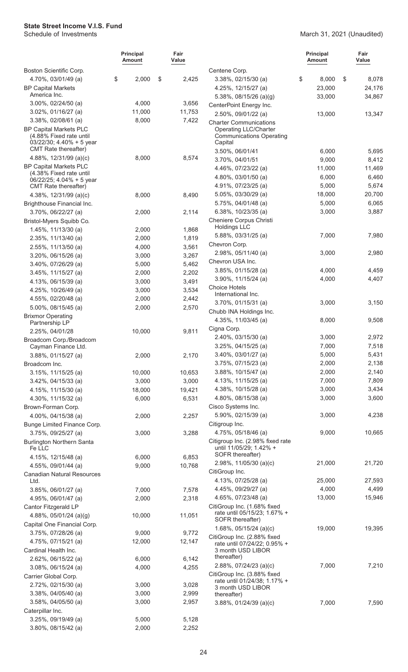|                                                                                                                        | <b>Principal</b><br>Amount | Fair<br>Value |                                                                                 | <b>Principal</b><br><b>Amount</b> | Fair<br>Value |
|------------------------------------------------------------------------------------------------------------------------|----------------------------|---------------|---------------------------------------------------------------------------------|-----------------------------------|---------------|
| Boston Scientific Corp.                                                                                                |                            |               | Centene Corp.                                                                   |                                   |               |
| 4.70%, 03/01/49 (a)                                                                                                    | \$<br>2,000                | \$<br>2,425   | 3.38%, 02/15/30 (a)                                                             | \$<br>8,000                       | \$<br>8,078   |
| <b>BP Capital Markets</b>                                                                                              |                            |               | 4.25%, 12/15/27 (a)                                                             | 23,000                            | 24,176        |
| America Inc.                                                                                                           |                            |               | $5.38\%$ , 08/15/26 (a)(g)                                                      | 33,000                            | 34,867        |
| $3.00\%$ , 02/24/50 (a)                                                                                                | 4,000                      | 3,656         | CenterPoint Energy Inc.                                                         |                                   |               |
| $3.02\%$ , $01/16/27$ (a)                                                                                              | 11,000                     | 11,753        | 2.50%, 09/01/22 (a)                                                             | 13,000                            | 13,347        |
| 3.38%, 02/08/61 (a)                                                                                                    | 8,000                      | 7,422         | <b>Charter Communications</b>                                                   |                                   |               |
| <b>BP Capital Markets PLC</b><br>(4.88% Fixed rate until<br>$03/22/30$ ; 4.40% + 5 year<br><b>CMT</b> Rate thereafter) |                            |               | <b>Operating LLC/Charter</b><br><b>Communications Operating</b><br>Capital      |                                   |               |
| 4.88%, 12/31/99 (a)(c)                                                                                                 | 8,000                      | 8,574         | 3.50%, 06/01/41                                                                 | 6,000                             | 5,695         |
| <b>BP Capital Markets PLC</b>                                                                                          |                            |               | 3.70%, 04/01/51                                                                 | 9,000                             | 8,412         |
| (4.38% Fixed rate until                                                                                                |                            |               | 4.46%, 07/23/22 (a)                                                             | 11,000                            | 11,469        |
| $06/22/25$ ; 4.04% + 5 year                                                                                            |                            |               | 4.80%, 03/01/50 (a)                                                             | 6,000                             | 6,460         |
| CMT Rate thereafter)                                                                                                   |                            |               | 4.91%, 07/23/25 (a)                                                             | 5,000                             | 5,674         |
| 4.38%, 12/31/99 (a)(c)                                                                                                 | 8,000                      | 8,490         | 5.05%, 03/30/29 (a)                                                             | 18,000                            | 20,700        |
| Brighthouse Financial Inc.                                                                                             |                            |               | 5.75%, 04/01/48 (a)                                                             | 5,000                             | 6,065         |
| 3.70%, 06/22/27 (a)                                                                                                    | 2,000                      | 2,114         | 6.38%, 10/23/35 (a)                                                             | 3,000                             | 3,887         |
| Bristol-Myers Squibb Co.                                                                                               |                            |               | Cheniere Corpus Christi<br><b>Holdings LLC</b>                                  |                                   |               |
| 1.45%, 11/13/30 (a)                                                                                                    | 2,000                      | 1,868         | 5.88%, 03/31/25 (a)                                                             | 7,000                             | 7,980         |
| $2.35\%$ , 11/13/40 (a)                                                                                                | 2,000                      | 1,819         |                                                                                 |                                   |               |
| 2.55%, 11/13/50 (a)                                                                                                    | 4,000                      | 3,561         | Chevron Corp.                                                                   |                                   |               |
| $3.20\%$ , 06/15/26 (a)                                                                                                | 3,000                      | 3,267         | 2.98%, 05/11/40 (a)                                                             | 3,000                             | 2,980         |
| 3.40%, 07/26/29 (a)                                                                                                    | 5,000                      | 5,462         | Chevron USA Inc.                                                                |                                   |               |
| 3.45%, 11/15/27 (a)                                                                                                    | 2,000                      | 2,202         | 3.85%, 01/15/28 (a)                                                             | 4,000                             | 4,459         |
| 4.13%, 06/15/39 (a)                                                                                                    | 3,000                      | 3,491         | 3.90%, 11/15/24 (a)                                                             | 4,000                             | 4,407         |
| 4.25%, 10/26/49 (a)                                                                                                    | 3,000                      | 3,534         | <b>Choice Hotels</b><br>International Inc.                                      |                                   |               |
| 4.55%, 02/20/48 (a)                                                                                                    | 2,000                      | 2,442         | 3.70%, 01/15/31 (a)                                                             |                                   |               |
| 5.00%, 08/15/45 (a)                                                                                                    | 2,000                      | 2,570         |                                                                                 | 3,000                             | 3,150         |
| <b>Brixmor Operating</b>                                                                                               |                            |               | Chubb INA Holdings Inc.                                                         |                                   |               |
| Partnership LP                                                                                                         |                            |               | 4.35%, 11/03/45 (a)                                                             | 8,000                             | 9,508         |
| 2.25%, 04/01/28                                                                                                        | 10,000                     | 9,811         | Cigna Corp.                                                                     |                                   |               |
| Broadcom Corp./Broadcom                                                                                                |                            |               | 2.40%, 03/15/30 (a)                                                             | 3,000                             | 2,972         |
| Cayman Finance Ltd.                                                                                                    |                            |               | 3.25%, 04/15/25 (a)                                                             | 7,000                             | 7,518         |
| 3.88%, 01/15/27 (a)                                                                                                    | 2,000                      | 2,170         | 3.40%, 03/01/27 (a)                                                             | 5,000                             | 5,431         |
| Broadcom Inc.                                                                                                          |                            |               | 3.75%, 07/15/23 (a)                                                             | 2,000                             | 2,138         |
| $3.15\%$ , $11/15/25$ (a)                                                                                              | 10,000                     | 10,653        | 3.88%, 10/15/47 (a)                                                             | 2,000                             | 2,140         |
| $3.42\%$ , 04/15/33 (a)                                                                                                | 3,000                      | 3,000         | 4.13%, 11/15/25 (a)                                                             | 7,000                             | 7,809         |
| 4.15%, $11/15/30$ (a)                                                                                                  | 18,000                     | 19,421        | 4.38%, 10/15/28 (a)                                                             | 3,000                             | 3,434         |
| 4.30%, 11/15/32 (a)                                                                                                    | 6,000                      | 6,531         | 4.80%, 08/15/38 (a)                                                             | 3,000                             | 3,600         |
| Brown-Forman Corp.                                                                                                     |                            |               | Cisco Systems Inc.                                                              |                                   |               |
| 4.00%, 04/15/38 (a)                                                                                                    | 2,000                      | 2,257         | 5.90%, 02/15/39 (a)                                                             | 3,000                             | 4,238         |
| Bunge Limited Finance Corp.                                                                                            |                            |               | Citigroup Inc.                                                                  |                                   |               |
| 3.75%, 09/25/27 (a)                                                                                                    | 3,000                      | 3,288         | 4.75%, 05/18/46 (a)                                                             | 9,000                             | 10,665        |
| <b>Burlington Northern Santa</b><br>Fe LLC                                                                             |                            |               | Citigroup Inc. (2.98% fixed rate<br>until 11/05/29; 1.42% +<br>SOFR thereafter) |                                   |               |
| 4.15%, 12/15/48 (a)                                                                                                    | 6,000                      | 6,853         | 2.98%, $11/05/30$ (a)(c)                                                        | 21,000                            | 21,720        |
| 4.55%, 09/01/44 (a)                                                                                                    | 9,000                      | 10,768        | CitiGroup Inc.                                                                  |                                   |               |
| <b>Canadian Natural Resources</b><br>Ltd.                                                                              |                            |               | 4.13%, 07/25/28 (a)                                                             | 25,000                            | 27,593        |
| 3.85%, 06/01/27 (a)                                                                                                    | 7,000                      | 7,578         | 4.45%, 09/29/27 (a)                                                             | 4,000                             | 4,499         |
|                                                                                                                        | 2,000                      | 2,318         | 4.65%, 07/23/48 (a)                                                             | 13,000                            | 15,946        |
| 4.95%, 06/01/47 (a)                                                                                                    |                            |               | CitiGroup Inc. (1.68% fixed                                                     |                                   |               |
| Cantor Fitzgerald LP                                                                                                   |                            | 11,051        | rate until 05/15/23; 1.67% +                                                    |                                   |               |
| 4.88%, $05/01/24$ (a)(g)                                                                                               | 10,000                     |               | SOFR thereafter)                                                                |                                   |               |
| Capital One Financial Corp.                                                                                            |                            |               | 1.68%, $05/15/24$ (a)(c)                                                        | 19,000                            | 19,395        |
| 3.75%, 07/28/26 (a)                                                                                                    | 9,000                      | 9,772         | CitiGroup Inc. (2.88% fixed                                                     |                                   |               |
| 4.75%, 07/15/21 (a)                                                                                                    | 12,000                     | 12,147        | rate until 07/24/22; 0.95% +                                                    |                                   |               |
| Cardinal Health Inc.                                                                                                   |                            |               | 3 month USD LIBOR<br>thereafter)                                                |                                   |               |
| 2.62%, 06/15/22 (a)                                                                                                    | 6,000                      | 6,142         | $2.88\%$ , 07/24/23 (a)(c)                                                      | 7,000                             | 7,210         |
| $3.08\%$ , 06/15/24 (a)                                                                                                | 4,000                      | 4,255         | CitiGroup Inc. (3.88% fixed                                                     |                                   |               |
| Carrier Global Corp.                                                                                                   |                            |               | rate until 01/24/38; 1.17% +                                                    |                                   |               |
| 2.72%, 02/15/30 (a)                                                                                                    | 3,000                      | 3,028         | 3 month USD LIBOR                                                               |                                   |               |
| 3.38%, 04/05/40 (a)                                                                                                    | 3,000                      | 2,999         | thereafter)                                                                     |                                   |               |
| $3.58\%$ , 04/05/50 (a)                                                                                                | 3,000                      | 2,957         | $3.88\%$ , 01/24/39 (a)(c)                                                      | 7,000                             | 7,590         |
| Caterpillar Inc.                                                                                                       |                            |               |                                                                                 |                                   |               |
| 3.25%, 09/19/49 (a)                                                                                                    | 5,000                      | 5,128         |                                                                                 |                                   |               |
| $3.80\%$ , 08/15/42 (a)                                                                                                | 2,000                      | 2,252         |                                                                                 |                                   |               |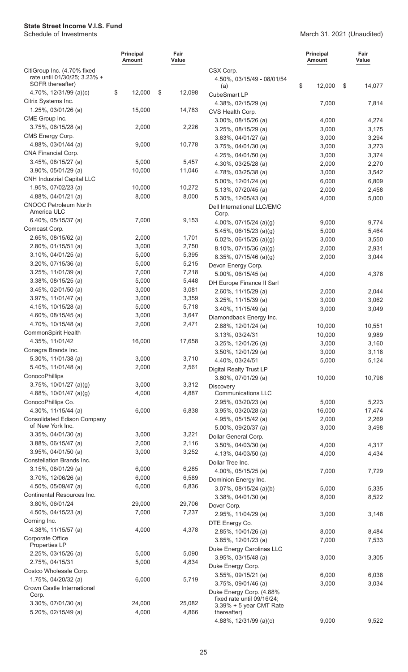|                                                             | <b>Principal</b><br>Amount | Fair<br>Value   |                                                                      | <b>Principal</b><br><b>Amount</b> | Fair<br>Value  |
|-------------------------------------------------------------|----------------------------|-----------------|----------------------------------------------------------------------|-----------------------------------|----------------|
| CitiGroup Inc. (4.70% fixed<br>rate until 01/30/25; 3.23% + |                            |                 | CSX Corp.<br>4.50%, 03/15/49 - 08/01/54                              |                                   |                |
| SOFR thereafter)                                            |                            |                 | (a)                                                                  | \$<br>12,000                      | \$<br>14,077   |
| 4.70%, 12/31/99 (a)(c)                                      | \$<br>12,000               | \$<br>12,098    | CubeSmart LP                                                         |                                   |                |
| Citrix Systems Inc.                                         |                            |                 | 4.38%, 02/15/29 (a)                                                  | 7,000                             | 7,814          |
| 1.25%, 03/01/26 (a)                                         | 15,000                     | 14,783          | CVS Health Corp.                                                     |                                   |                |
| CME Group Inc.                                              |                            |                 | 3.00%, 08/15/26 (a)                                                  | 4,000                             | 4,274          |
| $3.75\%$ , 06/15/28 (a)                                     | 2,000                      | 2,226           | 3.25%, 08/15/29 (a)                                                  | 3,000                             | 3,175          |
| CMS Energy Corp.<br>4.88%, 03/01/44 (a)                     | 9,000                      | 10,778          | 3.63%, 04/01/27 (a)                                                  | 3,000                             | 3,294          |
| CNA Financial Corp.                                         |                            |                 | 3.75%, 04/01/30 (a)                                                  | 3,000                             | 3,273          |
| $3.45\%$ , 08/15/27 (a)                                     | 5,000                      | 5,457           | 4.25%, 04/01/50 (a)                                                  | 3,000                             | 3,374          |
| 3.90%, 05/01/29 (a)                                         | 10,000                     | 11,046          | 4.30%, 03/25/28 (a)<br>4.78%, 03/25/38 (a)                           | 2,000<br>3,000                    | 2,270<br>3,542 |
| <b>CNH Industrial Capital LLC</b>                           |                            |                 | 5.00%, 12/01/24 (a)                                                  | 6,000                             | 6,809          |
| 1.95%, 07/02/23 (a)                                         | 10,000                     | 10,272          | 5.13%, 07/20/45 (a)                                                  | 2,000                             | 2,458          |
| 4.88%, 04/01/21 (a)                                         | 8,000                      | 8,000           | 5.30%, 12/05/43 (a)                                                  | 4,000                             | 5,000          |
| <b>CNOOC Petroleum North</b><br>America ULC                 |                            |                 | Dell International LLC/EMC<br>Corp.                                  |                                   |                |
| 6.40%, 05/15/37 (a)                                         | 7,000                      | 9,153           | 4.00%, $07/15/24$ (a)(g)                                             | 9,000                             | 9,774          |
| Comcast Corp.                                               |                            |                 | 5.45%, 06/15/23 (a)(g)                                               | 5,000                             | 5,464          |
| 2.65%, 08/15/62 (a)                                         | 2,000                      | 1,701           | 6.02%, 06/15/26 (a)(g)                                               | 3,000                             | 3,550          |
| $2.80\%$ , 01/15/51 (a)                                     | 3,000                      | 2,750           | 8.10%, 07/15/36 (a)(g)                                               | 2,000                             | 2,931          |
| $3.10\%$ , 04/01/25 (a)                                     | 5,000                      | 5,395           | 8.35%, 07/15/46 (a)(g)                                               | 2,000                             | 3,044          |
| 3.20%, 07/15/36 (a)                                         | 5,000                      | 5,215           | Devon Energy Corp.                                                   |                                   |                |
| $3.25\%$ , 11/01/39 (a)                                     | 7,000<br>5,000             | 7,218           | 5.00%, 06/15/45 (a)                                                  | 4,000                             | 4,378          |
| 3.38%, 08/15/25 (a)<br>$3.45\%$ , 02/01/50 (a)              | 3,000                      | 5,448<br>3,081  | DH Europe Finance II Sarl                                            |                                   |                |
| 3.97%, 11/01/47 (a)                                         | 3,000                      | 3,359           | $2.60\%$ , 11/15/29 (a)                                              | 2,000                             | 2,044          |
| 4.15%, 10/15/28 (a)                                         | 5,000                      | 5,718           | 3.25%, 11/15/39 (a)                                                  | 3,000                             | 3,062          |
| 4.60%, 08/15/45 (a)                                         | 3,000                      | 3,647           | 3.40%, 11/15/49 (a)<br>Diamondback Energy Inc.                       | 3,000                             | 3,049          |
| 4.70%, 10/15/48 (a)                                         | 2,000                      | 2,471           | 2.88%, 12/01/24 (a)                                                  | 10,000                            | 10,551         |
| CommonSpirit Health                                         |                            |                 | 3.13%, 03/24/31                                                      | 10,000                            | 9,989          |
| 4.35%, 11/01/42                                             | 16,000                     | 17,658          | 3.25%, 12/01/26 (a)                                                  | 3,000                             | 3,160          |
| Conagra Brands Inc.                                         |                            |                 | 3.50%, 12/01/29 (a)                                                  | 3,000                             | 3,118          |
| 5.30%, 11/01/38 (a)                                         | 3,000                      | 3,710           | 4.40%, 03/24/51                                                      | 5,000                             | 5,124          |
| 5.40%, 11/01/48 (a)                                         | 2,000                      | 2,561           | <b>Digital Realty Trust LP</b>                                       |                                   |                |
| ConocoPhillips                                              |                            |                 | 3.60%, 07/01/29 (a)                                                  | 10,000                            | 10,796         |
| 3.75%, 10/01/27 (a)(g)                                      | 3,000                      | 3,312           | <b>Discovery</b>                                                     |                                   |                |
| 4.88%, $10/01/47$ (a)(g)                                    | 4,000                      | 4,887           | <b>Communications LLC</b>                                            |                                   |                |
| ConocoPhillips Co.                                          |                            |                 | 2.95%, 03/20/23 (a)                                                  | 5,000                             | 5,223          |
| 4.30%, 11/15/44 (a)                                         | 6,000                      | 6,838           | $3.95\%$ , 03/20/28 (a)                                              | 16,000                            | 17,474         |
| <b>Consolidated Edison Company</b><br>of New York Inc.      |                            |                 | 4.95%, 05/15/42 (a)<br>5.00%, 09/20/37 (a)                           | 2,000<br>3,000                    | 2,269<br>3,498 |
| 3.35%, 04/01/30 (a)                                         | 3,000                      | 3,221           | Dollar General Corp.                                                 |                                   |                |
| $3.88\%$ , 06/15/47 (a)                                     | 2,000                      | 2,116           | 3.50%, 04/03/30 (a)                                                  | 4,000                             | 4,317          |
| 3.95%, 04/01/50 (a)                                         | 3,000                      | 3,252           | 4.13%, 04/03/50 (a)                                                  | 4,000                             | 4,434          |
| Constellation Brands Inc.                                   |                            |                 | Dollar Tree Inc.                                                     |                                   |                |
| 3.15%, 08/01/29 (a)                                         | 6,000                      | 6,285           | 4.00%, 05/15/25 (a)                                                  | 7,000                             | 7,729          |
| 3.70%, 12/06/26 (a)                                         | 6,000                      | 6,589           | Dominion Energy Inc.                                                 |                                   |                |
| 4.50%, 05/09/47 (a)                                         | 6,000                      | 6,836           | 3.07%, 08/15/24 (a)(b)                                               | 5,000                             | 5,335          |
| Continental Resources Inc.                                  |                            |                 | 3.38%, 04/01/30 (a)                                                  | 8,000                             | 8,522          |
| 3.80%, 06/01/24                                             | 29,000                     | 29,706          | Dover Corp.                                                          |                                   |                |
| 4.50%, 04/15/23 (a)                                         | 7,000                      | 7,237           | 2.95%, 11/04/29 (a)                                                  | 3,000                             | 3,148          |
| Corning Inc.                                                |                            |                 | DTE Energy Co.                                                       |                                   |                |
| 4.38%, 11/15/57 (a)                                         | 4,000                      | 4,378           | 2.85%, 10/01/26 (a)                                                  | 8,000                             | 8,484          |
| Corporate Office<br>Properties LP                           |                            |                 | 3.85%, 12/01/23 (a)                                                  | 7,000                             | 7,533          |
| 2.25%, 03/15/26 (a)                                         | 5,000                      | 5,090           | Duke Energy Carolinas LLC                                            |                                   |                |
| 2.75%, 04/15/31                                             | 5,000                      | 4,834           | 3.95%, 03/15/48 (a)                                                  | 3,000                             | 3,305          |
| Costco Wholesale Corp.                                      |                            |                 | Duke Energy Corp.<br>3.55%, 09/15/21 (a)                             | 6,000                             | 6,038          |
| 1.75%, 04/20/32 (a)                                         | 6,000                      | 5,719           | 3.75%, 09/01/46 (a)                                                  | 3,000                             | 3,034          |
| Crown Castle International                                  |                            |                 | Duke Energy Corp. (4.88%                                             |                                   |                |
| Corp.<br>3.30%, 07/01/30 (a)<br>5.20%, 02/15/49 (a)         | 24,000<br>4,000            | 25,082<br>4,866 | fixed rate until 09/16/24;<br>3.39% + 5 year CMT Rate<br>thereafter) |                                   |                |
|                                                             |                            |                 | 4.88%, 12/31/99 (a)(c)                                               | 9,000                             | 9,522          |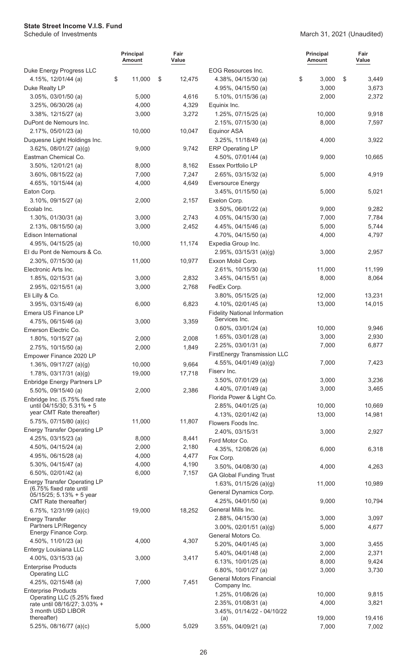|                                                          | <b>Principal</b><br>Amount | Fair<br>Value  |                                                           | <b>Principal</b><br>Amount | Fair<br>Value |
|----------------------------------------------------------|----------------------------|----------------|-----------------------------------------------------------|----------------------------|---------------|
| Duke Energy Progress LLC                                 |                            |                | EOG Resources Inc.                                        |                            |               |
| 4.15%, 12/01/44 (a)                                      | \$<br>11,000               | \$<br>12,475   | 4.38%, 04/15/30 (a)                                       | \$<br>3,000                | \$<br>3,449   |
| Duke Realty LP                                           |                            |                | 4.95%, 04/15/50 (a)                                       | 3,000                      | 3,673         |
| 3.05%, 03/01/50 (a)                                      | 5,000                      | 4,616          | 5.10%, 01/15/36 (a)                                       | 2,000                      | 2,372         |
| $3.25\%$ , 06/30/26 (a)                                  | 4,000                      | 4,329          | Equinix Inc.                                              |                            |               |
| 3.38%, 12/15/27 (a)                                      | 3,000                      | 3,272          | 1.25%, 07/15/25 (a)                                       | 10,000                     | 9,918         |
| DuPont de Nemours Inc.                                   |                            |                | 2.15%, 07/15/30 (a)                                       | 8,000                      | 7,597         |
| 2.17%, 05/01/23 (a)                                      | 10,000                     | 10,047         | <b>Equinor ASA</b>                                        |                            |               |
| Duquesne Light Holdings Inc.                             |                            |                | 3.25%, 11/18/49 (a)                                       | 4,000                      | 3,922         |
| $3.62\%$ , 08/01/27 (a)(g)                               | 9,000                      | 9,742          | <b>ERP Operating LP</b>                                   |                            |               |
| Eastman Chemical Co.                                     |                            |                | 4.50%, 07/01/44 (a)                                       | 9,000                      | 10,665        |
| 3.50%, 12/01/21 (a)                                      | 8,000<br>7,000             | 8,162<br>7,247 | Essex Portfolio LP<br>2.65%, 03/15/32 (a)                 |                            |               |
| $3.60\%$ , 08/15/22 (a)<br>4.65%, 10/15/44 (a)           | 4,000                      |                |                                                           | 5,000                      | 4,919         |
| Eaton Corp.                                              |                            | 4,649          | <b>Eversource Energy</b><br>3.45%, 01/15/50 (a)           | 5,000                      | 5,021         |
| 3.10%, 09/15/27 (a)                                      | 2,000                      | 2,157          | Exelon Corp.                                              |                            |               |
| Ecolab Inc.                                              |                            |                | 3.50%, 06/01/22 (a)                                       | 9,000                      | 9,282         |
| 1.30%, 01/30/31 (a)                                      | 3,000                      | 2,743          | 4.05%, 04/15/30 (a)                                       | 7,000                      | 7,784         |
| $2.13\%$ , 08/15/50 (a)                                  | 3,000                      | 2,452          | 4.45%, 04/15/46 (a)                                       | 5,000                      | 5,744         |
| <b>Edison International</b>                              |                            |                | 4.70%, 04/15/50 (a)                                       | 4,000                      | 4,797         |
| 4.95%, 04/15/25 (a)                                      | 10,000                     | 11,174         | Expedia Group Inc.                                        |                            |               |
| El du Pont de Nemours & Co.                              |                            |                | $2.95\%$ , 03/15/31 (a)(g)                                | 3,000                      | 2,957         |
| 2.30%, 07/15/30 (a)                                      | 11,000                     | 10,977         | Exxon Mobil Corp.                                         |                            |               |
| Electronic Arts Inc.                                     |                            |                | 2.61%, 10/15/30 (a)                                       | 11,000                     | 11,199        |
| 1.85%, 02/15/31 (a)                                      | 3,000                      | 2,832          | 3.45%, 04/15/51 (a)                                       | 8,000                      | 8,064         |
| 2.95%, 02/15/51 (a)                                      | 3,000                      | 2,768          | FedEx Corp.                                               |                            |               |
| Eli Lilly & Co.                                          |                            |                | 3.80%, 05/15/25 (a)                                       | 12,000                     | 13,231        |
| 3.95%, 03/15/49 (a)                                      | 6,000                      | 6,823          | 4.10%, 02/01/45 (a)                                       | 13,000                     | 14,015        |
| Emera US Finance LP                                      |                            |                | <b>Fidelity National Information</b>                      |                            |               |
| 4.75%, 06/15/46 (a)                                      | 3,000                      | 3,359          | Services Inc.                                             |                            |               |
| Emerson Electric Co.                                     |                            |                | $0.60\%$ , $03/01/24$ (a)                                 | 10,000                     | 9,946         |
| 1.80%, 10/15/27 (a)                                      | 2,000                      | 2,008          | 1.65%, 03/01/28 (a)                                       | 3,000                      | 2,930         |
| 2.75%, 10/15/50 (a)                                      | 2,000                      | 1,849          | 2.25%, 03/01/31 (a)                                       | 7,000                      | 6,877         |
| Empower Finance 2020 LP                                  |                            |                | FirstEnergy Transmission LLC                              |                            |               |
| 1.36%, $09/17/27$ (a)(g)                                 | 10,000                     | 9,664          | 4.55%, 04/01/49 (a)(g)                                    | 7,000                      | 7,423         |
| $1.78\%$ , 03/17/31 (a)(g)                               | 19,000                     | 17,718         | Fiserv Inc.                                               |                            |               |
| Enbridge Energy Partners LP                              |                            |                | 3.50%, 07/01/29 (a)                                       | 3,000                      | 3,236         |
| 5.50%, 09/15/40 (a)                                      | 2,000                      | 2,386          | 4.40%, 07/01/49 (a)                                       | 3,000                      | 3,465         |
| Enbridge Inc. (5.75% fixed rate                          |                            |                | Florida Power & Light Co.                                 |                            |               |
| until 04/15/30; 5.31% + 5<br>year CMT Rate thereafter)   |                            |                | 2.85%, 04/01/25 (a)                                       | 10,000                     | 10,669        |
| 5.75%, 07/15/80 (a)(c)                                   | 11,000                     | 11,807         | 4.13%, 02/01/42 (a)                                       | 13,000                     | 14,981        |
| <b>Energy Transfer Operating LP</b>                      |                            |                | Flowers Foods Inc.                                        |                            |               |
| 4.25%, 03/15/23 (a)                                      | 8,000                      | 8,441          | 2.40%, 03/15/31                                           | 3,000                      | 2,927         |
| 4.50%, 04/15/24 (a)                                      | 2,000                      | 2,180          | Ford Motor Co.                                            |                            |               |
| 4.95%, 06/15/28 (a)                                      | 4,000                      | 4,477          | 4.35%, 12/08/26 (a)                                       | 6,000                      | 6,318         |
| 5.30%, 04/15/47 (a)                                      | 4,000                      | 4,190          | Fox Corp.                                                 |                            |               |
| 6.50%, 02/01/42 (a)                                      | 6,000                      | 7,157          | $3.50\%$ , 04/08/30 (a)<br><b>GA Global Funding Trust</b> | 4,000                      | 4,263         |
| <b>Energy Transfer Operating LP</b>                      |                            |                |                                                           | 11,000                     | 10,989        |
| (6.75% fixed rate until                                  |                            |                | 1.63%, 01/15/26 (a)(g)<br>General Dynamics Corp.          |                            |               |
| 05/15/25; 5.13% + 5 year                                 |                            |                | 4.25%, 04/01/50 (a)                                       | 9,000                      | 10,794        |
| CMT Rate thereafter)                                     |                            |                | General Mills Inc.                                        |                            |               |
| 6.75%, $12/31/99$ (a)(c)                                 | 19,000                     | 18,252         | $2.88\%$ , 04/15/30 (a)                                   | 3,000                      | 3,097         |
| <b>Energy Transfer</b><br>Partners LP/Regency            |                            |                | $3.00\%$ , 02/01/51 (a)(g)                                | 5,000                      | 4,677         |
| Energy Finance Corp.                                     |                            |                | General Motors Co.                                        |                            |               |
| 4.50%, 11/01/23 (a)                                      | 4,000                      | 4,307          | $5.20\%$ , 04/01/45 (a)                                   | 3,000                      | 3,455         |
| Entergy Louisiana LLC                                    |                            |                | 5.40%, 04/01/48 (a)                                       | 2,000                      | 2,371         |
| $4.00\%$ , 03/15/33 (a)                                  | 3,000                      | 3,417          | 6.13%, 10/01/25 (a)                                       | 8,000                      | 9,424         |
| <b>Enterprise Products</b>                               |                            |                | 6.80%, 10/01/27 (a)                                       | 3,000                      | 3,730         |
| <b>Operating LLC</b>                                     |                            |                | <b>General Motors Financial</b>                           |                            |               |
| 4.25%, 02/15/48 (a)                                      | 7,000                      | 7,451          | Company Inc.                                              |                            |               |
| <b>Enterprise Products</b><br>Operating LLC (5.25% fixed |                            |                | 1.25%, 01/08/26 (a)                                       | 10,000                     | 9,815         |
| rate until 08/16/27; 3.03% +                             |                            |                | 2.35%, 01/08/31 (a)                                       | 4,000                      | 3,821         |
| 3 month USD LIBOR                                        |                            |                | 3.45%, 01/14/22 - 04/10/22                                |                            |               |
| thereafter)<br>5.25%, 08/16/77 (a)(c)                    | 5,000                      | 5,029          | (a)                                                       | 19,000                     | 19,416        |
|                                                          |                            |                | 3.55%, 04/09/21 (a)                                       | 7,000                      | 7,002         |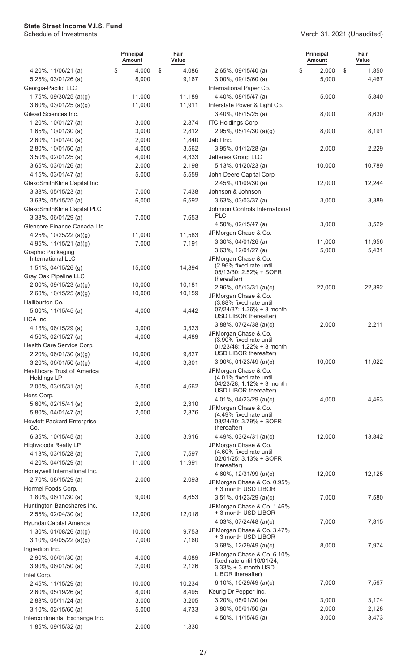|                                          | <b>Principal</b><br>Amount | Fair<br>Value |                                                          | <b>Principal</b><br><b>Amount</b> | Fair<br>Value |
|------------------------------------------|----------------------------|---------------|----------------------------------------------------------|-----------------------------------|---------------|
| 4.20%, 11/06/21 (a)                      | \$<br>4,000                | \$<br>4,086   | 2.65%, 09/15/40 (a)                                      | \$<br>2,000                       | \$<br>1,850   |
| 5.25%, 03/01/26 (a)                      | 8,000                      | 9,167         | $3.00\%$ , 09/15/60 (a)                                  | 5,000                             | 4,467         |
| Georgia-Pacific LLC                      |                            |               | International Paper Co.                                  |                                   |               |
| 1.75%, 09/30/25 (a)(g)                   | 11,000                     | 11,189        | 4.40%, 08/15/47 (a)                                      | 5,000                             | 5,840         |
| $3.60\%$ , 03/01/25 (a)(g)               | 11,000                     | 11,911        | Interstate Power & Light Co.                             |                                   |               |
| Gilead Sciences Inc.                     |                            |               | 3.40%, 08/15/25 (a)                                      | 8,000                             | 8,630         |
| 1.20%, 10/01/27 (a)                      | 3,000                      | 2,874         | ITC Holdings Corp.                                       |                                   |               |
| 1.65%, 10/01/30 (a)                      | 3,000                      | 2,812         | 2.95%, $05/14/30$ (a)(g)                                 | 8,000                             | 8,191         |
| 2.60%, 10/01/40 (a)                      | 2,000                      | 1,840         | Jabil Inc.                                               |                                   |               |
| 2.80%, 10/01/50 (a)                      | 4,000                      | 3,562         | 3.95%, 01/12/28 (a)                                      | 2,000                             | 2,229         |
| $3.50\%$ , 02/01/25 (a)                  | 4,000                      | 4,333         | Jefferies Group LLC                                      |                                   |               |
| 3.65%, 03/01/26 (a)                      | 2,000                      | 2,198         | 5.13%, 01/20/23 (a)                                      | 10,000                            | 10,789        |
| 4.15%, 03/01/47 (a)                      | 5,000                      | 5,559         | John Deere Capital Corp.                                 |                                   |               |
| GlaxoSmithKline Capital Inc.             |                            |               | 2.45%, 01/09/30 (a)                                      | 12,000                            | 12,244        |
| $3.38\%$ , 05/15/23 (a)                  | 7,000                      | 7,438         | Johnson & Johnson                                        |                                   |               |
| $3.63\%$ , 05/15/25 (a)                  | 6,000                      | 6,592         | 3.63%, 03/03/37 (a)                                      | 3,000                             | 3,389         |
| GlaxoSmithKline Capital PLC              |                            |               | Johnson Controls International<br><b>PLC</b>             |                                   |               |
| $3.38\%$ , 06/01/29 (a)                  | 7,000                      | 7,653         | 4.50%, 02/15/47 (a)                                      | 3,000                             | 3,529         |
| Glencore Finance Canada Ltd.             |                            |               | JPMorgan Chase & Co.                                     |                                   |               |
| 4.25%, $10/25/22$ (a)(g)                 | 11,000                     | 11,583        | 3.30%, 04/01/26 (a)                                      | 11,000                            | 11,956        |
| 4.95%, $11/15/21$ (a)(g)                 | 7,000                      | 7,191         | 3.63%, 12/01/27 (a)                                      | 5,000                             | 5,431         |
| Graphic Packaging<br>International LLC   |                            |               | JPMorgan Chase & Co.                                     |                                   |               |
| 1.51%, 04/15/26 (g)                      | 15,000                     | 14,894        | (2.96% fixed rate until                                  |                                   |               |
| Gray Oak Pipeline LLC                    |                            |               | 05/13/30; 2.52% + SOFR                                   |                                   |               |
| $2.00\%$ , 09/15/23 (a)(g)               | 10,000                     | 10,181        | thereafter)                                              |                                   |               |
| 2.60%, $10/15/25$ (a)(g)                 | 10,000                     | 10,159        | 2.96%, 05/13/31 (a)(c)<br>JPMorgan Chase & Co.           | 22,000                            | 22,392        |
| Halliburton Co.                          |                            |               | (3.88% fixed rate until                                  |                                   |               |
| 5.00%, 11/15/45 (a)                      | 4,000                      | 4,442         | $07/24/37$ ; 1.36% + 3 month                             |                                   |               |
| HCA Inc.                                 |                            |               | USD LIBOR thereafter)                                    |                                   |               |
| 4.13%, 06/15/29 (a)                      | 3,000                      | 3,323         | $3.88\%$ , $07/24/38$ (a)(c)                             | 2,000                             | 2,211         |
| 4.50%, 02/15/27 (a)                      | 4,000                      | 4,489         | JPMorgan Chase & Co.<br>(3.90% fixed rate until          |                                   |               |
| Health Care Service Corp.                |                            |               | $01/23/48$ ; 1.22% + 3 month                             |                                   |               |
| 2.20%, 06/01/30 (a)(g)                   | 10,000                     | 9,827         | USD LIBOR thereafter)                                    |                                   |               |
| $3.20\%$ , 06/01/50 (a)(g)               | 4,000                      | 3,801         | $3.90\%$ , 01/23/49 (a)(c)                               | 10,000                            | 11,022        |
| Healthcare Trust of America              |                            |               | JPMorgan Chase & Co.                                     |                                   |               |
| <b>Holdings LP</b>                       |                            |               | (4.01% fixed rate until<br>04/23/28; 1.12% + 3 month     |                                   |               |
| 2.00%, 03/15/31 (a)                      | 5,000                      | 4,662         | USD LIBOR thereafter)                                    |                                   |               |
| Hess Corp.                               |                            |               | 4.01%, 04/23/29 (a)(c)                                   | 4.000                             | 4,463         |
| 5.60%, 02/15/41 (a)                      | 2,000                      | 2,310         | JPMorgan Chase & Co.                                     |                                   |               |
| 5.80%, 04/01/47 (a)                      | 2,000                      | 2,376         | (4.49% fixed rate until                                  |                                   |               |
| <b>Hewlett Packard Enterprise</b><br>Co. |                            |               | 03/24/30; 3.79% + SOFR<br>thereafter)                    |                                   |               |
| 6.35%, $10/15/45$ (a)                    | 3,000                      | 3,916         | 4.49%, $03/24/31$ (a)(c)                                 | 12,000                            | 13,842        |
| <b>Highwoods Realty LP</b>               |                            |               | JPMorgan Chase & Co.                                     |                                   |               |
| 4.13%, 03/15/28 (a)                      | 7,000                      | 7,597         | (4.60% fixed rate until                                  |                                   |               |
| 4.20%, $04/15/29$ (a)                    | 11,000                     | 11,991        | 02/01/25; 3.13% + SOFR<br>thereafter)                    |                                   |               |
| Honeywell International Inc.             |                            |               | 4.60%, $12/31/99$ (a)(c)                                 | 12,000                            | 12,125        |
| 2.70%, 08/15/29 (a)                      | 2,000                      | 2,093         | JPMorgan Chase & Co. 0.95%                               |                                   |               |
| Hormel Foods Corp.                       |                            |               | + 3 month USD LIBOR                                      |                                   |               |
| $1.80\%$ , 06/11/30 (a)                  | 9,000                      | 8,653         | $3.51\%$ , 01/23/29 (a)(c)                               | 7,000                             | 7,580         |
| Huntington Bancshares Inc.               |                            |               | JPMorgan Chase & Co. 1.46%                               |                                   |               |
| 2.55%, 02/04/30 (a)                      | 12,000                     | 12,018        | + 3 month USD LIBOR                                      |                                   |               |
| Hyundai Capital America                  |                            |               | 4.03%, 07/24/48 (a)(c)                                   | 7,000                             | 7,815         |
| 1.30%, 01/08/26 (a)(g)                   | 10,000                     | 9,753         | JPMorgan Chase & Co. 3.47%                               |                                   |               |
| $3.10\%$ , 04/05/22 (a)(g)               | 7,000                      | 7,160         | + 3 month USD LIBOR                                      |                                   |               |
| Ingredion Inc.                           |                            |               | 3.68%, $12/29/49$ (a)(c)                                 | 8,000                             | 7,974         |
| $2.90\%$ , 06/01/30 (a)                  | 4,000                      | 4,089         | JPMorgan Chase & Co. 6.10%<br>fixed rate until 10/01/24; |                                   |               |
| $3.90\%$ , 06/01/50 (a)                  | 2,000                      | 2,126         | 3.33% + 3 month USD                                      |                                   |               |
| Intel Corp.                              |                            |               | LIBOR thereafter)                                        |                                   |               |
| 2.45%, 11/15/29 (a)                      | 10,000                     | 10,234        | 6.10%, $10/29/49$ (a)(c)                                 | 7,000                             | 7,567         |
| 2.60%, 05/19/26 (a)                      | 8,000                      | 8,495         | Keurig Dr Pepper Inc.                                    |                                   |               |
| 2.88%, 05/11/24 (a)                      | 3,000                      | 3,205         | $3.20\%$ , 05/01/30 (a)                                  | 3,000                             | 3,174         |
| $3.10\%$ , 02/15/60 (a)                  | 5,000                      | 4,733         | $3.80\%$ , 05/01/50 (a)                                  | 2,000                             | 2,128         |
| Intercontinental Exchange Inc.           |                            |               | 4.50%, 11/15/45 (a)                                      | 3,000                             | 3,473         |
| 1.85%, 09/15/32 (a)                      | 2,000                      | 1,830         |                                                          |                                   |               |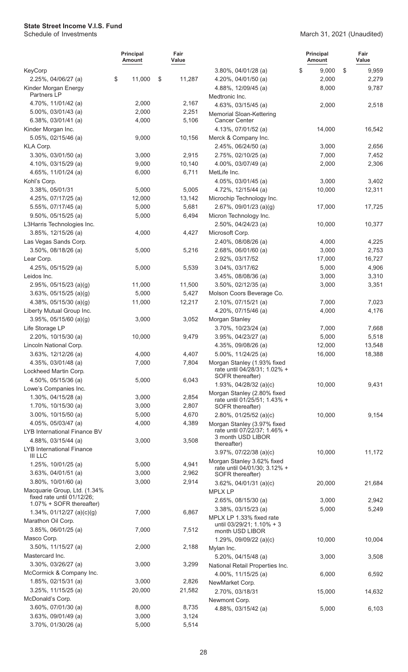|                                                            | <b>Principal</b><br>Amount | Fair<br>Value   |                                                             | <b>Principal</b><br><b>Amount</b> | Fair<br>Value  |
|------------------------------------------------------------|----------------------------|-----------------|-------------------------------------------------------------|-----------------------------------|----------------|
| KeyCorp                                                    |                            |                 | $3.80\%$ , 04/01/28 (a)                                     | \$<br>9,000                       | \$<br>9,959    |
| 2.25%, 04/06/27 (a)                                        | \$<br>11,000               | \$<br>11,287    | 4.20%, 04/01/50 (a)                                         | 2,000                             | 2,279          |
| Kinder Morgan Energy<br>Partners LP                        |                            |                 | 4.88%, 12/09/45 (a)<br>Medtronic Inc.                       | 8,000                             | 9,787          |
| 4.70%, 11/01/42 (a)                                        | 2,000                      | 2,167           | 4.63%, 03/15/45 (a)                                         | 2,000                             | 2,518          |
| 5.00%, 03/01/43 (a)                                        | 2,000                      | 2,251           | Memorial Sloan-Kettering                                    |                                   |                |
| 6.38%, 03/01/41 (a)                                        | 4,000                      | 5,106           | <b>Cancer Center</b>                                        |                                   |                |
| Kinder Morgan Inc.                                         |                            |                 | 4.13%, 07/01/52 (a)                                         | 14,000                            | 16,542         |
| 5.05%, 02/15/46 (a)                                        | 9,000                      | 10,156          | Merck & Company Inc.                                        |                                   |                |
| KLA Corp.                                                  |                            |                 | 2.45%, 06/24/50 (a)                                         | 3,000                             | 2,656          |
| 3.30%, 03/01/50 (a)                                        | 3,000                      | 2,915           | 2.75%, 02/10/25 (a)                                         | 7,000                             | 7,452          |
| 4.10%, 03/15/29 (a)                                        | 9,000                      | 10,140          | 4.00%, 03/07/49 (a)                                         | 2,000                             | 2,306          |
| 4.65%, 11/01/24 (a)                                        | 6,000                      | 6,711           | MetLife Inc.                                                |                                   |                |
| Kohl's Corp.                                               |                            |                 | 4.05%, 03/01/45 (a)                                         | 3,000                             | 3,402          |
| 3.38%, 05/01/31                                            | 5,000                      | 5,005           | 4.72%, 12/15/44 (a)                                         | 10,000                            | 12,311         |
| 4.25%, 07/17/25 (a)                                        | 12,000                     | 13,142          | Microchip Technology Inc.                                   |                                   |                |
| 5.55%, 07/17/45 (a)                                        | 5,000                      | 5,681           | 2.67%, 09/01/23 (a)(g)                                      | 17,000                            | 17,725         |
| $9.50\%$ , 05/15/25 (a)                                    | 5,000                      | 6,494           | Micron Technology Inc.                                      |                                   |                |
| L3Harris Technologies Inc.                                 |                            |                 | 2.50%, 04/24/23 (a)                                         | 10,000                            | 10,377         |
| 3.85%, 12/15/26 (a)                                        | 4,000                      | 4,427           | Microsoft Corp.                                             |                                   |                |
| Las Vegas Sands Corp.                                      |                            |                 | 2.40%, 08/08/26 (a)                                         | 4,000                             | 4,225          |
| $3.50\%$ , 08/18/26 (a)                                    | 5,000                      | 5,216           | 2.68%, 06/01/60 (a)                                         | 3,000                             | 2,753          |
| Lear Corp.                                                 |                            |                 | 2.92%, 03/17/52                                             | 17,000                            | 16,727         |
| 4.25%, 05/15/29 (a)                                        | 5,000                      | 5,539           | 3.04%, 03/17/62                                             | 5,000                             | 4,906          |
| Leidos Inc.                                                |                            |                 | 3.45%, 08/08/36 (a)                                         | 3,000                             | 3,310          |
| 2.95%, $05/15/23$ (a)(g)                                   | 11,000                     | 11,500<br>5,427 | 3.50%, 02/12/35 (a)<br>Molson Coors Beverage Co.            | 3,000                             | 3,351          |
| $3.63\%$ , 05/15/25 (a)(g)<br>4.38%, $05/15/30$ (a)(g)     | 5,000<br>11,000            | 12,217          | 2.10%, 07/15/21 (a)                                         | 7,000                             |                |
| Liberty Mutual Group Inc.                                  |                            |                 | 4.20%, 07/15/46 (a)                                         | 4,000                             | 7,023<br>4,176 |
| $3.95\%$ , 05/15/60 (a)(g)                                 | 3,000                      | 3,052           | Morgan Stanley                                              |                                   |                |
| Life Storage LP                                            |                            |                 | 3.70%, 10/23/24 (a)                                         | 7,000                             | 7,668          |
| 2.20%, 10/15/30 (a)                                        | 10,000                     | 9,479           | 3.95%, 04/23/27 (a)                                         | 5,000                             | 5,518          |
| Lincoln National Corp.                                     |                            |                 | 4.35%, 09/08/26 (a)                                         | 12,000                            | 13,548         |
| 3.63%, 12/12/26 (a)                                        | 4,000                      | 4,407           | 5.00%, 11/24/25 (a)                                         | 16,000                            | 18,388         |
| 4.35%, 03/01/48 (a)                                        | 7,000                      | 7,804           | Morgan Stanley (1.93% fixed                                 |                                   |                |
| Lockheed Martin Corp.                                      |                            |                 | rate until 04/28/31; 1.02% +                                |                                   |                |
| 4.50%, 05/15/36 (a)                                        | 5,000                      | 6,043           | SOFR thereafter)                                            |                                   |                |
| Lowe's Companies Inc.                                      |                            |                 | 1.93%, $04/28/32$ (a)(c)                                    | 10,000                            | 9,431          |
| $1.30\%$ , 04/15/28 (a)                                    | 3,000                      | 2,854           | Morgan Stanley (2.80% fixed<br>rate until 01/25/51; 1.43% + |                                   |                |
| 1.70%, 10/15/30 (a)                                        | 3,000                      | 2,807           | SOFR thereafter)                                            |                                   |                |
| 3.00%, 10/15/50 (a)                                        | 5,000                      | 4,670           | $2.80\%$ , 01/25/52 (a)(c)                                  | 10,000                            | 9,154          |
| 4.05%, 05/03/47 (a)                                        | 4,000                      | 4,389           | Morgan Stanley (3.97% fixed                                 |                                   |                |
| LYB International Finance BV                               |                            |                 | rate until 07/22/37; 1.46% +                                |                                   |                |
| 4.88%, 03/15/44 (a)                                        | 3,000                      | 3,508           | 3 month USD LIBOR<br>thereafter)                            |                                   |                |
| LYB International Finance                                  |                            |                 | 3.97%, 07/22/38 (a)(c)                                      | 10,000                            | 11,172         |
| <b>III LLC</b>                                             |                            |                 | Morgan Stanley 3.62% fixed                                  |                                   |                |
| 1.25%, 10/01/25 (a)                                        | 5,000                      | 4,941           | rate until 04/01/30; 3.12% +                                |                                   |                |
| $3.63\%$ , 04/01/51 (a)                                    | 3,000                      | 2,962           | SOFR thereafter)                                            |                                   |                |
| 3.80%, 10/01/60 (a)                                        | 3,000                      | 2,914           | $3.62\%$ , 04/01/31 (a)(c)                                  | 20,000                            | 21,684         |
| Macquarie Group, Ltd. (1.34%<br>fixed rate until 01/12/26; |                            |                 | <b>MPLX LP</b>                                              |                                   |                |
| 1.07% + SOFR thereafter)                                   |                            |                 | 2.65%, 08/15/30 (a)                                         | 3,000                             | 2,942          |
| 1.34%, $01/12/27$ (a)(c)(g)                                | 7,000                      | 6,867           | 3.38%, 03/15/23 (a)                                         | 5,000                             | 5,249          |
| Marathon Oil Corp.                                         |                            |                 | MPLX LP 1.33% fixed rate<br>until 03/29/21; 1.10% + 3       |                                   |                |
| 3.85%, 06/01/25 (a)                                        | 7,000                      | 7,512           | month USD LIBOR                                             |                                   |                |
| Masco Corp.                                                |                            |                 | 1.29%, 09/09/22 (a)(c)                                      | 10,000                            | 10,004         |
| $3.50\%$ , 11/15/27 (a)                                    | 2,000                      | 2,188           | Mylan Inc.                                                  |                                   |                |
| Mastercard Inc.                                            |                            |                 | 5.20%, 04/15/48 (a)                                         | 3,000                             | 3,508          |
| $3.30\%$ , $03/26/27$ (a)                                  | 3,000                      | 3,299           | National Retail Properties Inc.                             |                                   |                |
| McCormick & Company Inc.                                   |                            |                 | 4.00%, 11/15/25 (a)                                         | 6,000                             | 6,592          |
| $1.85\%$ , 02/15/31 (a)                                    | 3,000                      | 2,826           | NewMarket Corp.                                             |                                   |                |
| 3.25%, 11/15/25 (a)                                        | 20,000                     | 21,582          | 2.70%, 03/18/31                                             | 15,000                            | 14,632         |
| McDonald's Corp.                                           |                            |                 | Newmont Corp.                                               |                                   |                |
| $3.60\%$ , $07/01/30$ (a)                                  | 8,000                      | 8,735           | 4.88%, 03/15/42 (a)                                         | 5,000                             | 6,103          |
| $3.63\%$ , 09/01/49 (a)                                    | 3,000                      | 3,124           |                                                             |                                   |                |
| 3.70%, 01/30/26 (a)                                        | 5,000                      | 5,514           |                                                             |                                   |                |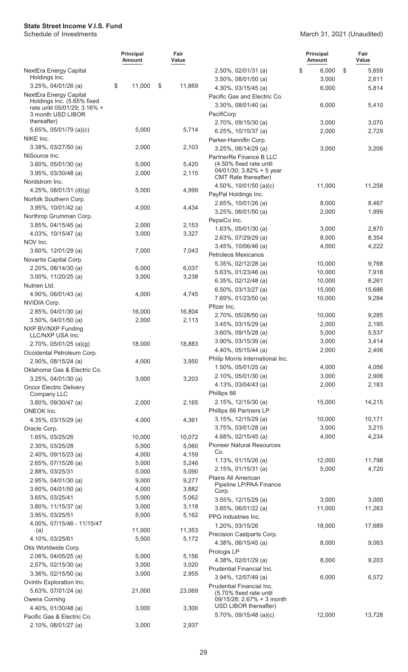|                                                      | <b>Principal</b><br>Amount | Fair<br>Value  |                                                    | <b>Principal</b><br><b>Amount</b> | Fair<br>Value   |
|------------------------------------------------------|----------------------------|----------------|----------------------------------------------------|-----------------------------------|-----------------|
| NextEra Energy Capital                               |                            |                | $2.50\%$ , 02/01/31 (a)                            | \$<br>6,000                       | \$<br>5,659     |
| Holdings Inc.                                        |                            |                | $3.50\%$ , 08/01/50 (a)                            | 3,000                             | 2,611           |
| $3.25\%$ , 04/01/26 (a)                              | \$<br>11,000               | \$<br>11,869   | 4.30%, 03/15/45 (a)                                | 6,000                             | 5,814           |
| NextEra Energy Capital<br>Holdings Inc. (5.65% fixed |                            |                | Pacific Gas and Electric Co.                       |                                   |                 |
| rate until 05/01/29; 3.16% +                         |                            |                | 3.30%, 08/01/40 (a)                                | 6,000                             | 5,410           |
| 3 month USD LIBOR                                    |                            |                | PacifiCorp                                         |                                   |                 |
| thereafter)                                          |                            |                | 2.70%, 09/15/30 (a)                                | 3,000                             | 3,070           |
| 5.65%, 05/01/79 (a)(c)                               | 5,000                      | 5,714          | 6.25%, $10/15/37$ (a)                              | 2,000                             | 2,729           |
| NIKE Inc.                                            |                            |                | Parker-Hannifin Corp.                              |                                   |                 |
| 3.38%, 03/27/50 (a)                                  | 2,000                      | 2,103          | $3.25\%$ , 06/14/29 (a)                            | 3,000                             | 3,206           |
| NiSource Inc.                                        |                            |                | PartnerRe Finance B LLC<br>(4.50% fixed rate until |                                   |                 |
| $3.60\%$ , 05/01/30 (a)                              | 5,000<br>2,000             | 5,420<br>2,115 | $04/01/30$ ; 3.82% + 5 year                        |                                   |                 |
| $3.95\%$ , 03/30/48 (a)<br>Nordstrom Inc.            |                            |                | CMT Rate thereafter)                               |                                   |                 |
| 4.25%, 08/01/31 (d)(g)                               | 5,000                      | 4,999          | 4.50%, $10/01/50$ (a)(c)                           | 11,000                            | 11,258          |
| Norfolk Southern Corp.                               |                            |                | PayPal Holdings Inc.                               |                                   |                 |
| $3.95\%$ , $10/01/42$ (a)                            | 4,000                      | 4,434          | 2.65%, 10/01/26 (a)                                | 8,000                             | 8,467           |
| Northrop Grumman Corp.                               |                            |                | 3.25%, 06/01/50 (a)                                | 2,000                             | 1,999           |
| $3.85\%$ , 04/15/45 (a)                              | 2,000                      | 2,153          | PepsiCo Inc.                                       |                                   |                 |
| 4.03%, 10/15/47 (a)                                  | 3,000                      | 3,327          | 1.63%, 05/01/30 (a)                                | 3,000                             | 2,870           |
| NOV Inc.                                             |                            |                | 2.63%, 07/29/29 (a)                                | 8,000                             | 8,354           |
| 3.60%, 12/01/29 (a)                                  | 7,000                      | 7,043          | 3.45%, 10/06/46 (a)                                | 4,000                             | 4,222           |
| Novartis Capital Corp.                               |                            |                | Petroleos Mexicanos                                |                                   |                 |
| 2.20%, 08/14/30 (a)                                  | 6,000                      | 6,037          | 5.35%, 02/12/28 (a)                                | 10,000                            | 9,768           |
| 3.00%, 11/20/25 (a)                                  | 3,000                      | 3,238          | 5.63%, 01/23/46 (a)                                | 10,000                            | 7,918           |
| Nutrien Ltd.                                         |                            |                | 6.35%, $02/12/48$ (a)                              | 10,000                            | 8,261           |
| 4.90%, 06/01/43 (a)                                  | 4,000                      | 4,745          | 6.50%, 03/13/27 (a)                                | 15,000                            | 15,686          |
| NVIDIA Corp.                                         |                            |                | 7.69%, 01/23/50 (a)                                | 10,000                            | 9,284           |
| 2.85%, 04/01/30 (a)                                  | 16,000                     | 16,804         | Pfizer Inc.                                        |                                   |                 |
| $3.50\%$ , 04/01/50 (a)                              | 2,000                      | 2,113          | 2.70%, 05/28/50 (a)                                | 10,000                            | 9,285           |
| NXP BV/NXP Funding                                   |                            |                | $3.45\%$ , 03/15/29 (a)                            | 2,000                             | 2,195           |
| LLC/NXP USA Inc.                                     |                            |                | $3.60\%$ , 09/15/28 (a)                            | 5,000                             | 5,537           |
| 2.70%, 05/01/25 (a)(g)                               | 18,000                     | 18,883         | 3.90%, 03/15/39 (a)                                | 3,000                             | 3,414           |
| Occidental Petroleum Corp.                           |                            |                | 4.40%, 05/15/44 (a)                                | 2,000                             | 2,406           |
| 2.90%, 08/15/24 (a)                                  | 4,000                      | 3,950          | Philip Morris International Inc.                   |                                   |                 |
| Oklahoma Gas & Electric Co.                          |                            |                | 1.50%, 05/01/25 (a)                                | 4,000                             | 4,056           |
| 3.25%, 04/01/30 (a)                                  | 3,000                      | 3,203          | $2.10\%$ , 05/01/30 (a)                            | 3,000                             | 2,906           |
| <b>Oncor Electric Delivery</b>                       |                            |                | 4.13%, 03/04/43 (a)                                | 2,000                             | 2,183           |
| Company LLC                                          |                            |                | Phillips 66<br>2.15%, 12/15/30 (a)                 | 15,000                            | 14,215          |
| 3.80%, 09/30/47 (a)                                  | 2,000                      | 2,165          | Phillips 66 Partners LP                            |                                   |                 |
| ONEOK Inc.<br>4.35%, 03/15/29 (a)                    | 4,000                      | 4,361          | $3.15\%$ , $12/15/29$ (a)                          | 10,000                            | 10,171          |
| Oracle Corp.                                         |                            |                | 3.75%, 03/01/28 (a)                                | 3,000                             | 3,215           |
| 1.65%, 03/25/26                                      | 10,000                     | 10,072         | 4.68%, 02/15/45 (a)                                | 4,000                             | 4,234           |
| 2.30%, 03/25/28                                      | 5,000                      | 5,060          | <b>Pioneer Natural Resources</b>                   |                                   |                 |
| 2.40%, 09/15/23 (a)                                  | 4,000                      | 4,159          | Co.                                                |                                   |                 |
| 2.65%, 07/15/26 (a)                                  | 5,000                      | 5,246          | 1.13%, 01/15/26 (a)                                | 12,000                            | 11,798          |
| 2.88%, 03/25/31                                      | 5,000                      | 5,090          | 2.15%, 01/15/31 (a)                                | 5,000                             | 4,720           |
| 2.95%, 04/01/30 (a)                                  | 9,000                      | 9,277          | Plains All American                                |                                   |                 |
| 3.60%, 04/01/50 (a)                                  | 4,000                      | 3,882          | Pipeline LP/PAA Finance                            |                                   |                 |
| 3.65%, 03/25/41                                      | 5,000                      | 5,062          | Corp.                                              | 3,000                             |                 |
| 3.80%, 11/15/37 (a)                                  | 3,000                      | 3,118          | 3.55%, 12/15/29 (a)<br>$3.65\%$ , 06/01/22 (a)     | 11,000                            | 3,000<br>11,263 |
| 3.95%, 03/25/51                                      | 5,000                      | 5,162          | PPG Industries Inc.                                |                                   |                 |
| 4.00%, 07/15/46 - 11/15/47                           |                            |                | 1.20%, 03/15/26                                    | 18,000                            | 17,689          |
| (a)                                                  | 11,000                     | 11,353         | Precision Castparts Corp.                          |                                   |                 |
| 4.10%, 03/25/61                                      | 5,000                      | 5,172          | 4.38%, 06/15/45 (a)                                | 8,000                             | 9,063           |
| Otis Worldwide Corp.                                 |                            |                | Prologis LP                                        |                                   |                 |
| 2.06%, 04/05/25 (a)                                  | 5,000                      | 5,156          | 4.38%, 02/01/29 (a)                                | 8,000                             | 9,203           |
| 2.57%, 02/15/30 (a)                                  | 3,000                      | 3,020          | Prudential Financial Inc.                          |                                   |                 |
| $3.36\%$ , 02/15/50 (a)                              | 3,000                      | 2,955          | 3.94%, 12/07/49 (a)                                | 6,000                             | 6,572           |
| Ovintiv Exploration Inc.                             |                            |                | Prudential Financial Inc.                          |                                   |                 |
| 5.63%, 07/01/24 (a)                                  | 21,000                     | 23,069         | (5.70% fixed rate until                            |                                   |                 |
| Owens Corning                                        |                            |                | 09/15/28; 2.67% + 3 month                          |                                   |                 |
| 4.40%, 01/30/48 (a)                                  | 3,000                      | 3,300          | USD LIBOR thereafter)                              |                                   |                 |
| Pacific Gas & Electric Co.                           |                            |                | 5.70%, 09/15/48 (a)(c)                             | 12,000                            | 13,728          |
| 2.10%, 08/01/27 (a)                                  | 3,000                      | 2,937          |                                                    |                                   |                 |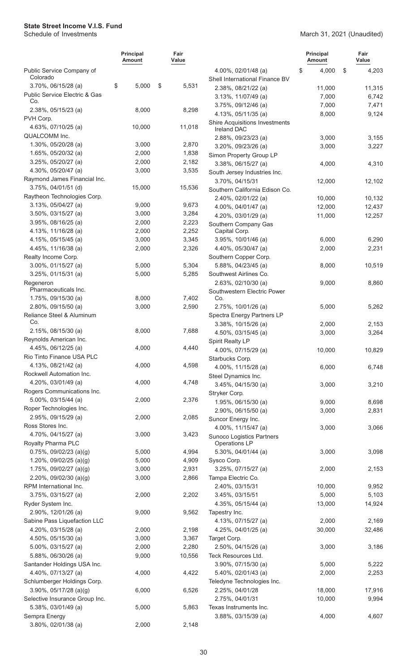|                                            | <b>Principal</b><br>Amount | Fair<br>Value |                                                       | <b>Principal</b><br><b>Amount</b> | Fair<br>Value |
|--------------------------------------------|----------------------------|---------------|-------------------------------------------------------|-----------------------------------|---------------|
| Public Service Company of<br>Colorado      |                            |               | 4.00%, 02/01/48 (a)<br>Shell International Finance BV | 4,000<br>\$                       | \$<br>4,203   |
| 3.70%, 06/15/28 (a)                        | 5,000<br>\$                | \$<br>5,531   | 2.38%, 08/21/22 (a)                                   | 11,000                            | 11,315        |
| Public Service Electric & Gas              |                            |               | 3.13%, 11/07/49 (a)                                   | 7,000                             | 6,742         |
| Co.                                        |                            |               | 3.75%, 09/12/46 (a)                                   | 7,000                             | 7,471         |
| 2.38%, 05/15/23 (a)                        | 8,000                      | 8,298         | 4.13%, 05/11/35 (a)                                   | 8,000                             | 9,124         |
| PVH Corp.                                  |                            |               | <b>Shire Acquisitions Investments</b>                 |                                   |               |
| 4.63%, 07/10/25 (a)                        | 10,000                     | 11,018        | <b>Ireland DAC</b>                                    |                                   |               |
| QUALCOMM Inc.                              |                            |               | 2.88%, 09/23/23 (a)                                   | 3,000                             | 3,155         |
| 1.30%, 05/20/28 (a)                        | 3,000                      | 2,870         | 3.20%, 09/23/26 (a)                                   | 3,000                             | 3,227         |
| 1.65%, 05/20/32 (a)                        | 2,000                      | 1,838         | Simon Property Group LP                               |                                   |               |
| 3.25%, 05/20/27 (a)                        | 2,000                      | 2,182         | 3.38%, 06/15/27 (a)                                   | 4,000                             | 4,310         |
| 4.30%, 05/20/47 (a)                        | 3,000                      | 3,535         | South Jersey Industries Inc.                          |                                   |               |
| Raymond James Financial Inc.               |                            |               | 3.70%, 04/15/31                                       | 12,000                            | 12,102        |
| 3.75%, 04/01/51 (d)                        | 15,000                     | 15,536        | Southern California Edison Co.                        |                                   |               |
| Raytheon Technologies Corp.                |                            |               | 2.40%, 02/01/22 (a)                                   | 10,000                            | 10,132        |
| 3.13%, 05/04/27 (a)                        | 9,000                      | 9,673         | 4.00%, 04/01/47 (a)                                   | 12,000                            | 12,437        |
| 3.50%, 03/15/27 (a)                        | 3,000                      | 3,284         | 4.20%, 03/01/29 (a)                                   | 11,000                            | 12,257        |
| $3.95\%$ , 08/16/25 (a)                    | 2,000                      | 2,223         | Southern Company Gas                                  |                                   |               |
| 4.13%, 11/16/28 (a)                        | 2,000                      | 2,252         | Capital Corp.                                         |                                   |               |
| 4.15%, 05/15/45 (a)                        | 3,000                      | 3,345         | 3.95%, 10/01/46 (a)                                   | 6,000                             | 6,290         |
| 4.45%, 11/16/38 (a)                        | 2,000                      | 2,326         | 4.40%, 05/30/47 (a)                                   | 2,000                             | 2,231         |
| Realty Income Corp.                        |                            |               | Southern Copper Corp.                                 |                                   |               |
| $3.00\%$ , 01/15/27 (a)                    | 5,000                      | 5,304         | 5.88%, 04/23/45 (a)                                   | 8,000                             | 10,519        |
| $3.25\%$ , 01/15/31 (a)                    | 5,000                      | 5,285         | Southwest Airlines Co.                                |                                   |               |
| Regeneron                                  |                            |               | 2.63%, 02/10/30 (a)                                   | 9,000                             | 8,860         |
| Pharmaceuticals Inc.                       |                            | 7,402         | Southwestern Electric Power<br>Co.                    |                                   |               |
| 1.75%, 09/15/30 (a)<br>2.80%, 09/15/50 (a) | 8,000                      |               |                                                       |                                   | 5,262         |
| Reliance Steel & Aluminum                  | 3,000                      | 2,590         | 2.75%, 10/01/26 (a)                                   | 5,000                             |               |
| Co.                                        |                            |               | Spectra Energy Partners LP<br>3.38%, 10/15/26 (a)     | 2,000                             | 2,153         |
| 2.15%, 08/15/30 (a)                        | 8,000                      | 7,688         | 4.50%, 03/15/45 (a)                                   | 3,000                             | 3,264         |
| Reynolds American Inc.                     |                            |               | Spirit Realty LP                                      |                                   |               |
| 4.45%, 06/12/25 (a)                        | 4,000                      | 4,440         | 4.00%, 07/15/29 (a)                                   | 10,000                            | 10,829        |
| Rio Tinto Finance USA PLC                  |                            |               | Starbucks Corp.                                       |                                   |               |
| 4.13%, 08/21/42 (a)                        | 4,000                      | 4,598         | 4.00%, 11/15/28 (a)                                   | 6,000                             | 6,748         |
| Rockwell Automation Inc.                   |                            |               | Steel Dynamics Inc.                                   |                                   |               |
| 4.20%, 03/01/49 (a)                        | 4,000                      | 4,748         | 3.45%, 04/15/30 (a)                                   | 3,000                             | 3,210         |
| Rogers Communications Inc.                 |                            |               | Stryker Corp.                                         |                                   |               |
| 5.00%, 03/15/44 (a)                        | 2,000                      | 2,376         | 1.95%, 06/15/30 (a)                                   | 9,000                             | 8,698         |
| Roper Technologies Inc.                    |                            |               | 2.90%, 06/15/50 (a)                                   | 3,000                             | 2,831         |
| 2.95%, 09/15/29 (a)                        | 2,000                      | 2,085         | Suncor Energy Inc.                                    |                                   |               |
| Ross Stores Inc.                           |                            |               | 4.00%, 11/15/47 (a)                                   | 3,000                             | 3,066         |
| 4.70%, 04/15/27 (a)                        | 3,000                      | 3,423         | Sunoco Logistics Partners                             |                                   |               |
| Royalty Pharma PLC                         |                            |               | Operations LP                                         |                                   |               |
| $0.75\%$ , 09/02/23 (a)(g)                 | 5,000                      | 4,994         | 5.30%, 04/01/44 (a)                                   | 3,000                             | 3,098         |
| 1.20%, 09/02/25 (a)(g)                     | 5,000                      | 4,909         | Sysco Corp.                                           |                                   |               |
| 1.75%, $09/02/27$ (a)(g)                   | 3,000                      | 2,931         | 3.25%, 07/15/27 (a)                                   | 2,000                             | 2,153         |
| 2.20%, 09/02/30 (a)(g)                     | 3,000                      | 2,866         | Tampa Electric Co.                                    |                                   |               |
| RPM International Inc.                     |                            |               | 2.40%, 03/15/31                                       | 10,000                            | 9,952         |
| 3.75%, 03/15/27 (a)                        | 2,000                      | 2,202         | 3.45%, 03/15/51                                       | 5,000                             | 5,103         |
| Ryder System Inc.                          |                            |               | 4.35%, 05/15/44 (a)                                   | 13,000                            | 14,924        |
| 2.90%, 12/01/26 (a)                        | 9,000                      | 9,562         | Tapestry Inc.                                         |                                   |               |
| Sabine Pass Liquefaction LLC               |                            |               | 4.13%, 07/15/27 (a)                                   | 2,000                             | 2,169         |
| 4.20%, 03/15/28 (a)                        | 2,000                      | 2,198         | 4.25%, 04/01/25 (a)                                   | 30,000                            | 32,486        |
| 4.50%, $05/15/30$ (a)                      | 3,000                      | 3,367         | Target Corp.                                          |                                   |               |
| 5.00%, 03/15/27 (a)                        | 2,000                      | 2,280         | 2.50%, 04/15/26 (a)                                   | 3,000                             | 3,186         |
| 5.88%, 06/30/26 (a)                        | 9,000                      | 10,556        | Teck Resources Ltd.                                   |                                   |               |
| Santander Holdings USA Inc.                |                            |               | 3.90%, 07/15/30 (a)                                   | 5,000                             | 5,222         |
| 4.40%, 07/13/27 (a)                        | 4,000                      | 4,422         | 5.40%, 02/01/43 (a)                                   | 2,000                             | 2,253         |
| Schlumberger Holdings Corp.                |                            |               | Teledyne Technologies Inc.                            |                                   |               |
| $3.90\%$ , $05/17/28$ (a)(g)               | 6,000                      | 6,526         | 2.25%, 04/01/28                                       | 18,000                            | 17,916        |
| Selective Insurance Group Inc.             |                            |               | 2.75%, 04/01/31                                       | 10,000                            | 9,994         |
| 5.38%, 03/01/49 (a)                        | 5,000                      | 5,863         | Texas Instruments Inc.                                |                                   |               |
| Sempra Energy                              |                            |               | 3.88%, 03/15/39 (a)                                   | 4,000                             | 4,607         |
| 3.80%, 02/01/38 (a)                        | 2,000                      | 2,148         |                                                       |                                   |               |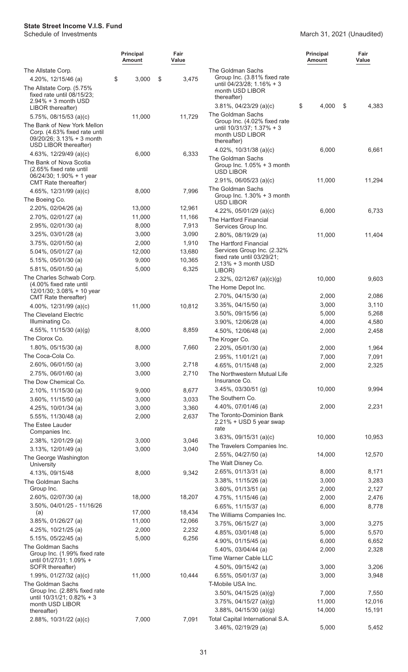|                                                                                                                    | <b>Principal</b><br>Amount | Fair<br>Value |                                                                                                     | <b>Principal</b><br>Amount | Fair<br>Value  |
|--------------------------------------------------------------------------------------------------------------------|----------------------------|---------------|-----------------------------------------------------------------------------------------------------|----------------------------|----------------|
| The Allstate Corp.<br>4.20%, 12/15/46 (a)                                                                          | \$<br>3,000                | \$<br>3,475   | The Goldman Sachs<br>Group Inc. (3.81% fixed rate                                                   |                            |                |
| The Allstate Corp. (5.75%<br>fixed rate until 08/15/23;                                                            |                            |               | until 04/23/28; 1.16% + 3<br>month USD LIBOR<br>thereafter)                                         |                            |                |
| $2.94\% + 3$ month USD<br>LIBOR thereafter)                                                                        |                            |               | $3.81\%$ , 04/23/29 (a)(c)                                                                          | \$<br>4,000                | \$<br>4,383    |
| $5.75\%$ , 08/15/53 (a)(c)                                                                                         | 11,000                     | 11,729        | The Goldman Sachs                                                                                   |                            |                |
| The Bank of New York Mellon<br>Corp. (4.63% fixed rate until<br>09/20/26; 3.13% + 3 month<br>USD LIBOR thereafter) |                            |               | Group Inc. (4.02% fixed rate<br>until 10/31/37; 1.37% + 3<br>month USD LIBOR<br>thereafter)         |                            |                |
| 4.63%, $12/29/49$ (a)(c)                                                                                           | 6,000                      | 6,333         | 4.02%, $10/31/38$ (a)(c)                                                                            | 6,000                      | 6,661          |
| The Bank of Nova Scotia<br>(2.65% fixed rate until<br>06/24/30; 1.90% + 1 year<br><b>CMT</b> Rate thereafter)      |                            |               | The Goldman Sachs<br>Group Inc. $1.05% + 3$ month<br><b>USD LIBOR</b><br>$2.91\%$ , 06/05/23 (a)(c) | 11,000                     | 11,294         |
| 4.65%, 12/31/99 (a)(c)                                                                                             | 8,000                      | 7,996         | The Goldman Sachs                                                                                   |                            |                |
| The Boeing Co.                                                                                                     |                            |               | Group Inc. $1.30\% + 3$ month<br><b>USD LIBOR</b>                                                   |                            |                |
| 2.20%, 02/04/26 (a)                                                                                                | 13,000                     | 12,961        | 4.22%, $05/01/29$ (a)(c)                                                                            | 6,000                      | 6,733          |
| 2.70%, 02/01/27 (a)                                                                                                | 11,000                     | 11,166        | The Hartford Financial                                                                              |                            |                |
| 2.95%, 02/01/30 (a)                                                                                                | 8,000                      | 7,913         | Services Group Inc.                                                                                 |                            |                |
| 3.25%, 03/01/28 (a)                                                                                                | 3,000                      | 3,090         | 2.80%, 08/19/29 (a)                                                                                 | 11,000                     | 11,404         |
| 3.75%, 02/01/50 (a)                                                                                                | 2,000                      | 1,910         | The Hartford Financial                                                                              |                            |                |
| 5.04%, 05/01/27 (a)                                                                                                | 12,000                     | 13,680        | Services Group Inc. (2.32%<br>fixed rate until 03/29/21;                                            |                            |                |
| $5.15\%$ , 05/01/30 (a)                                                                                            | 9,000                      | 10,365        | $2.13% + 3$ month USD                                                                               |                            |                |
| 5.81%, 05/01/50 (a)                                                                                                | 5,000                      | 6,325         | LIBOR)                                                                                              |                            |                |
| The Charles Schwab Corp.<br>(4.00% fixed rate until                                                                |                            |               | 2.32%, 02/12/67 (a)(c)(g)                                                                           | 10,000                     | 9,603          |
| 12/01/30; 3.08% + 10 year                                                                                          |                            |               | The Home Depot Inc.                                                                                 |                            |                |
| CMT Rate thereafter)                                                                                               |                            |               | 2.70%, 04/15/30 (a)                                                                                 | 2,000                      | 2,086          |
| 4.00%, $12/31/99$ (a)(c)                                                                                           | 11,000                     | 10,812        | $3.35\%$ , 04/15/50 (a)                                                                             | 3,000                      | 3,110          |
| The Cleveland Electric<br>Illuminating Co.                                                                         |                            |               | $3.50\%$ , 09/15/56 (a)                                                                             | 5,000                      | 5,268          |
| 4.55%, $11/15/30$ (a)(g)                                                                                           | 8,000                      | 8,859         | $3.90\%$ , $12/06/28$ (a)<br>4.50%, 12/06/48 (a)                                                    | 4,000<br>2,000             | 4,580<br>2,458 |
| The Clorox Co.                                                                                                     |                            |               | The Kroger Co.                                                                                      |                            |                |
| 1.80%, 05/15/30 (a)                                                                                                | 8,000                      | 7,660         | 2.20%, 05/01/30 (a)                                                                                 | 2,000                      | 1,964          |
| The Coca-Cola Co.                                                                                                  |                            |               | 2.95%, 11/01/21 (a)                                                                                 | 7,000                      | 7,091          |
| $2.60\%$ , 06/01/50 (a)                                                                                            | 3,000                      | 2,718         | 4.65%, 01/15/48 (a)                                                                                 | 2,000                      | 2,325          |
| 2.75%, 06/01/60 (a)                                                                                                | 3,000                      | 2,710         | The Northwestern Mutual Life                                                                        |                            |                |
| The Dow Chemical Co.                                                                                               |                            |               | Insurance Co.                                                                                       |                            |                |
| 2.10%, 11/15/30 (a)                                                                                                | 9,000                      | 8,677         | 3.45%, 03/30/51 (g)                                                                                 | 10,000                     | 9,994          |
| $3.60\%$ , 11/15/50 (a)                                                                                            | 3,000                      | 3,033         | The Southern Co.                                                                                    |                            |                |
| 4.25%, 10/01/34 (a)                                                                                                | 3,000                      | 3,360         | 4.40%, 07/01/46 (a)                                                                                 | 2,000                      | 2,231          |
| 5.55%, 11/30/48 (a)<br>The Estee Lauder<br>Companies Inc.                                                          | 2,000                      | 2,637         | The Toronto-Dominion Bank<br>$2.21\% + \text{USD} 5$ year swap<br>rate                              |                            |                |
| 2.38%, 12/01/29 (a)                                                                                                | 3,000                      | 3,046         | $3.63\%$ , 09/15/31 (a)(c)                                                                          | 10,000                     | 10,953         |
| $3.13\%$ , $12/01/49$ (a)                                                                                          | 3,000                      | 3,040         | The Travelers Companies Inc.                                                                        |                            |                |
| The George Washington<br>University                                                                                |                            |               | 2.55%, 04/27/50 (a)<br>The Walt Disney Co.                                                          | 14,000                     | 12,570         |
| 4.13%, 09/15/48                                                                                                    | 8,000                      | 9,342         | 2.65%, 01/13/31 (a)                                                                                 | 8,000                      | 8,171          |
| The Goldman Sachs                                                                                                  |                            |               | 3.38%, 11/15/26 (a)                                                                                 | 3,000                      | 3,283          |
| Group Inc.                                                                                                         |                            |               | $3.60\%$ , 01/13/51 (a)                                                                             | 2,000                      | 2,127          |
| 2.60%, 02/07/30 (a)<br>3.50%, 04/01/25 - 11/16/26                                                                  | 18,000                     | 18,207        | 4.75%, 11/15/46 (a)                                                                                 | 2,000                      | 2,476          |
| (a)                                                                                                                | 17,000                     | 18,434        | 6.65%, 11/15/37 (a)<br>The Williams Companies Inc.                                                  | 6,000                      | 8,778          |
| 3.85%, 01/26/27 (a)                                                                                                | 11,000                     | 12,066        | 3.75%, 06/15/27 (a)                                                                                 | 3,000                      | 3,275          |
| 4.25%, 10/21/25 (a)                                                                                                | 2,000                      | 2,232         | 4.85%, 03/01/48 (a)                                                                                 | 5,000                      | 5,570          |
| 5.15%, 05/22/45 (a)                                                                                                | 5,000                      | 6,256         | 4.90%, 01/15/45 (a)                                                                                 | 6,000                      | 6,652          |
| The Goldman Sachs                                                                                                  |                            |               | 5.40%, 03/04/44 (a)                                                                                 | 2,000                      | 2,328          |
| Group Inc. (1.99% fixed rate<br>until 01/27/31; 1.09% +                                                            |                            |               | Time Warner Cable LLC                                                                               |                            |                |
| SOFR thereafter)                                                                                                   |                            |               | 4.50%, 09/15/42 (a)                                                                                 | 3,000                      | 3,206          |
| 1.99%, 01/27/32 (a)(c)                                                                                             | 11,000                     | 10,444        | 6.55%, 05/01/37 (a)                                                                                 | 3,000                      | 3,948          |
| The Goldman Sachs                                                                                                  |                            |               | T-Mobile USA Inc.                                                                                   |                            |                |
| Group Inc. (2.88% fixed rate                                                                                       |                            |               | $3.50\%$ , 04/15/25 (a)(g)                                                                          | 7,000                      | 7,550          |
| until 10/31/21; 0.82% + 3<br>month USD LIBOR                                                                       |                            |               | $3.75\%$ , 04/15/27 (a)(g)                                                                          | 11,000                     | 12,016         |
| thereafter)                                                                                                        |                            |               | $3.88\%$ , 04/15/30 (a)(g)                                                                          | 14,000                     | 15,191         |
| 2.88%, 10/31/22 (a)(c)                                                                                             | 7,000                      | 7,091         | Total Capital International S.A.<br>3.46%, 02/19/29 (a)                                             | 5,000                      | 5,452          |
|                                                                                                                    |                            |               |                                                                                                     |                            |                |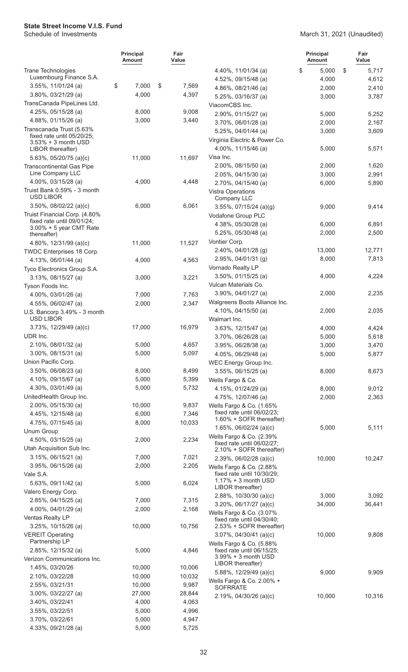|                                                        | <b>Principal</b><br>Amount | Fair<br>Value  |                                                        | <b>Principal</b><br><b>Amount</b> | Fair<br>Value  |
|--------------------------------------------------------|----------------------------|----------------|--------------------------------------------------------|-----------------------------------|----------------|
| <b>Trane Technologies</b>                              |                            |                | 4.40%, 11/01/34 (a)                                    | \$<br>5,000                       | \$<br>5,717    |
| Luxembourg Finance S.A.                                |                            |                | 4.52%, 09/15/48 (a)                                    | 4,000                             | 4,612          |
| 3.55%, 11/01/24 (a)                                    | \$<br>7,000                | \$<br>7,569    | 4.86%, 08/21/46 (a)                                    | 2,000                             | 2,410          |
| 3.80%, 03/21/29 (a)                                    | 4,000                      | 4,397          | 5.25%, 03/16/37 (a)                                    | 3,000                             | 3,787          |
| TransCanada PipeLines Ltd.                             |                            |                | ViacomCBS Inc.                                         |                                   |                |
| 4.25%, 05/15/28 (a)                                    | 8,000                      | 9,008          | 2.90%, 01/15/27 (a)                                    | 5,000                             | 5,252          |
| 4.88%, 01/15/26 (a)                                    | 3,000                      | 3,440          | 3.70%, 06/01/28 (a)                                    | 2,000                             | 2,167          |
| Transcanada Trust (5.63%<br>fixed rate until 05/20/25; |                            |                | 5.25%, 04/01/44 (a)                                    | 3,000                             | 3,609          |
| 3.53% + 3 month USD                                    |                            |                | Virginia Electric & Power Co.                          |                                   |                |
| LIBOR thereafter)                                      |                            |                | 4.00%, 11/15/46 (a)                                    | 5,000                             | 5,571          |
| 5.63%, 05/20/75 (a)(c)                                 | 11,000                     | 11,697         | Visa Inc.                                              |                                   |                |
| <b>Transcontinental Gas Pipe</b><br>Line Company LLC   |                            |                | 2.00%, 08/15/50 (a)                                    | 2,000                             | 1,620          |
| 4.00%, 03/15/28 (a)                                    | 4,000                      | 4,448          | 2.05%, 04/15/30 (a)<br>2.70%, 04/15/40 (a)             | 3,000<br>6,000                    | 2,991<br>5,890 |
| Truist Bank 0.59% - 3 month                            |                            |                | Vistra Operations                                      |                                   |                |
| <b>USD LIBOR</b>                                       |                            |                | Company LLC                                            |                                   |                |
| $3.50\%$ , 08/02/22 (a)(c)                             | 6,000                      | 6,061          | 3.55%, 07/15/24 (a)(g)                                 | 9,000                             | 9,414          |
| Truist Financial Corp. (4.80%                          |                            |                | Vodafone Group PLC                                     |                                   |                |
| fixed rate until 09/01/24:<br>3.00% + 5 year CMT Rate  |                            |                | 4.38%, 05/30/28 (a)                                    | 6,000                             | 6,891          |
| thereafter)                                            |                            |                | 5.25%, 05/30/48 (a)                                    | 2,000                             | 2,500          |
| 4.80%, 12/31/99 (a)(c)                                 | 11,000                     | 11,527         | Vontier Corp.                                          |                                   |                |
| TWDC Enterprises 18 Corp.                              |                            |                | 2.40%, 04/01/28 (g)                                    | 13,000                            | 12,771         |
| 4.13%, 06/01/44 (a)                                    | 4,000                      | 4,563          | 2.95%, 04/01/31 (g)                                    | 8,000                             | 7,813          |
| Tyco Electronics Group S.A.                            |                            |                | Vornado Realty LP                                      |                                   |                |
| 3.13%, 08/15/27 (a)                                    | 3,000                      | 3,221          | 3.50%, 01/15/25 (a)                                    | 4,000                             | 4,224          |
| Tyson Foods Inc.                                       |                            |                | Vulcan Materials Co.                                   |                                   |                |
| 4.00%, 03/01/26 (a)                                    | 7,000                      | 7,763          | 3.90%, 04/01/27 (a)                                    | 2,000                             | 2,235          |
| 4.55%, 06/02/47 (a)                                    | 2,000                      | 2,347          | Walgreens Boots Alliance Inc.                          |                                   |                |
| U.S. Bancorp 3.49% - 3 month<br><b>USD LIBOR</b>       |                            |                | 4.10%, 04/15/50 (a)<br>Walmart Inc.                    | 2,000                             | 2,035          |
| 3.73%, 12/29/49 (a)(c)                                 | 17,000                     | 16,979         | 3.63%, 12/15/47 (a)                                    | 4,000                             | 4,424          |
| UDR Inc.                                               |                            |                | 3.70%, 06/26/28 (a)                                    | 5,000                             | 5,618          |
| 2.10%, 08/01/32 (a)                                    | 5,000                      | 4,657          | 3.95%, 06/28/38 (a)                                    | 3,000                             | 3,470          |
| 3.00%, 08/15/31 (a)                                    | 5,000                      | 5,097          | 4.05%, 06/29/48 (a)                                    | 5,000                             | 5,877          |
| Union Pacific Corp.                                    |                            |                | WEC Energy Group Inc.                                  |                                   |                |
| 3.50%, 06/08/23 (a)                                    | 8,000                      | 8,499          | 3.55%, 06/15/25 (a)                                    | 8,000                             | 8,673          |
| 4.10%, 09/15/67 (a)                                    | 5,000                      | 5,399          | Wells Fargo & Co.                                      |                                   |                |
| 4.30%, 03/01/49 (a)                                    | 5,000                      | 5,732          | 4.15%, 01/24/29 (a)                                    | 8,000                             | 9,012          |
| UnitedHealth Group Inc.                                |                            |                | 4.75%, 12/07/46 (a)                                    | 2,000                             | 2,363          |
| 2.00%, 05/15/30 (a)                                    | 10,000                     | 9,837          | Wells Fargo & Co. (1.65%                               |                                   |                |
| 4.45%, 12/15/48 (a)                                    | 6,000                      | 7,346          | fixed rate until 06/02/23;<br>1.60% + SOFR thereafter) |                                   |                |
| 4.75%, 07/15/45 (a)                                    | 8,000                      | 10,033         | 1.65%, $06/02/24$ (a)(c)                               | 5,000                             | 5,111          |
| Unum Group                                             |                            |                | Wells Fargo & Co. (2.39%)                              |                                   |                |
| 4.50%, 03/15/25 (a)                                    | 2,000                      | 2,234          | fixed rate until 06/02/27;                             |                                   |                |
| Utah Acquisition Sub Inc.                              |                            |                | 2.10% + SOFR thereafter)                               |                                   |                |
| 3.15%, 06/15/21 (a)                                    | 7,000<br>2,000             | 7,021<br>2,205 | $2.39\%$ , 06/02/28 (a)(c)                             | 10,000                            | 10,247         |
| 3.95%, 06/15/26 (a)<br>Vale S.A.                       |                            |                | Wells Fargo & Co. (2.88%<br>fixed rate until 10/30/29; |                                   |                |
| 5.63%, 09/11/42 (a)                                    | 5,000                      | 6,024          | $1.17% + 3$ month USD                                  |                                   |                |
| Valero Energy Corp.                                    |                            |                | LIBOR thereafter)                                      |                                   |                |
| 2.85%, 04/15/25 (a)                                    | 7,000                      | 7,315          | 2.88%, $10/30/30$ (a)(c)                               | 3,000                             | 3,092          |
| 4.00%, $04/01/29$ (a)                                  | 2,000                      | 2,168          | $3.20\%$ , 06/17/27 (a)(c)                             | 34,000                            | 36,441         |
| Ventas Realty LP                                       |                            |                | Wells Fargo & Co. (3.07%<br>fixed rate until 04/30/40; |                                   |                |
| 3.25%, 10/15/26 (a)                                    | 10,000                     | 10,756         | 2.53% + SOFR thereafter)                               |                                   |                |
| <b>VEREIT Operating</b>                                |                            |                | $3.07\%$ , 04/30/41 (a)(c)                             | 10,000                            | 9,808          |
| Partnership LP                                         |                            |                | Wells Fargo & Co. (5.88%                               |                                   |                |
| 2.85%, 12/15/32 (a)                                    | 5,000                      | 4,846          | fixed rate until 06/15/25;<br>$3.99\% + 3$ month USD   |                                   |                |
| Verizon Communications Inc.                            |                            |                | LIBOR thereafter)                                      |                                   |                |
| 1.45%, 03/20/26                                        | 10,000                     | 10,006         | 5.88%, 12/29/49 (a)(c)                                 | 9,000                             | 9,909          |
| 2.10%, 03/22/28                                        | 10,000                     | 10,032         | Wells Fargo & Co. 2.00% +                              |                                   |                |
| 2.55%, 03/21/31                                        | 10,000                     | 9,987          | <b>SOFRRATE</b>                                        |                                   |                |
| 3.00%, 03/22/27 (a)                                    | 27,000                     | 28,844         | 2.19%, 04/30/26 (a)(c)                                 | 10,000                            | 10,316         |
| 3.40%, 03/22/41<br>3.55%, 03/22/51                     | 4,000<br>5,000             | 4,063<br>4,996 |                                                        |                                   |                |
| 3.70%, 03/22/61                                        | 5,000                      | 4,947          |                                                        |                                   |                |
| 4.33%, 09/21/28 (a)                                    | 5,000                      | 5,725          |                                                        |                                   |                |
|                                                        |                            |                |                                                        |                                   |                |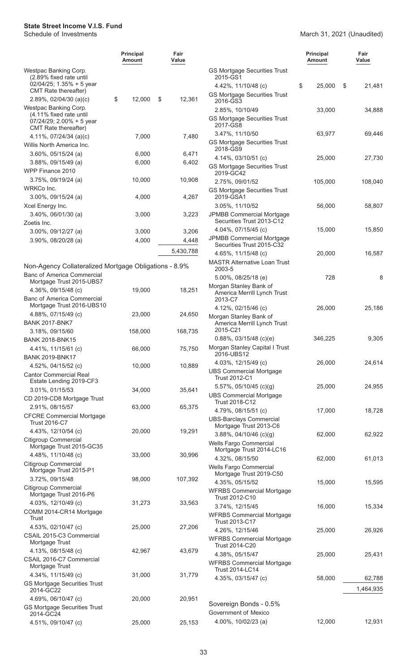|                                                                                                         | <b>Principal</b><br>Amount | Fair<br>Value |     |
|---------------------------------------------------------------------------------------------------------|----------------------------|---------------|-----|
| Westpac Banking Corp.<br>(2.89% fixed rate until<br>$02/04/25$ ; 1.35% + 5 year<br>CMT Rate thereafter) |                            |               | GS  |
| $2.89\%$ , 02/04/30 (a)(c)                                                                              | \$<br>12,000               | \$<br>12,361  | GS  |
| Westpac Banking Corp.<br>(4.11% fixed rate until<br>$07/24/29$ ; 2.00% + 5 year<br>CMT Rate thereafter) |                            |               | GS  |
| 4.11%, $07/24/34$ (a)(c)<br>Willis North America Inc.                                                   | 7,000                      | 7,480         | GS  |
| 3.60%, 05/15/24 (a)                                                                                     | 6,000                      | 6,471         |     |
| $3.88\%$ , 09/15/49 (a)                                                                                 | 6,000                      | 6,402         |     |
| WPP Finance 2010                                                                                        |                            |               | GS  |
| 3.75%, 09/19/24 (a)                                                                                     | 10,000                     | 10,908        |     |
| WRKCo Inc.                                                                                              |                            |               | GS  |
| 3.00%, 09/15/24 (a)                                                                                     | 4,000                      | 4,267         |     |
| Xcel Energy Inc.                                                                                        |                            |               |     |
| 3.40%, 06/01/30 (a)                                                                                     | 3,000                      | 3,223         | JPI |
| Zoetis Inc.                                                                                             |                            |               |     |
| 3.00%, 09/12/27 (a)                                                                                     | 3,000                      | 3,206         | JPI |
| 3.90%, 08/20/28 (a)                                                                                     | 4,000                      | 4,448         |     |
|                                                                                                         |                            | 5,430,788     |     |
| Non-Agency Collateralized Mortgage Obligations - 8.9%<br><b>Banc of America Commercial</b>              |                            |               | MA  |
| Mortgage Trust 2015-UBS7                                                                                |                            |               |     |
| 4.36%, 09/15/48 (c)<br><b>Banc of America Commercial</b>                                                | 19,000                     | 18,251        | Mo  |
| Mortgage Trust 2016-UBS10<br>4.88%, 07/15/49 (c)                                                        | 23,000                     | 24,650        | Mo  |
| <b>BANK 2017-BNK7</b>                                                                                   |                            |               |     |
| 3.18%, 09/15/60                                                                                         | 158,000                    | 168,735       |     |
| <b>BANK 2018-BNK15</b>                                                                                  |                            |               |     |
| 4.41%, 11/15/61 (c)                                                                                     | 66,000                     | 75,750        | Mo  |
| <b>BANK 2019-BNK17</b>                                                                                  |                            |               |     |
| 4.52%, 04/15/52 (c)                                                                                     | 10,000                     | 10,889        |     |
| <b>Cantor Commercial Real</b><br>Estate Lending 2019-CF3                                                |                            |               | UB  |
| 3.01%, 01/15/53                                                                                         | 34,000                     | 35,641        |     |
| CD 2019-CD8 Mortgage Trust                                                                              |                            |               | UB  |
| 2.91%, 08/15/57                                                                                         | 63,000                     | 65,375        |     |
| <b>CFCRE Commercial Mortgage</b><br><b>Trust 2016-C7</b>                                                |                            |               | UB  |
| 4.43%, 12/10/54 (c)                                                                                     | 20,000                     | 19,291        |     |
| <b>Citigroup Commercial</b><br>Mortgage Trust 2015-GC35                                                 |                            |               | We  |
| 4.48%, 11/10/48 (c)                                                                                     | 33,000                     | 30,996        |     |
| Citigroup Commercial                                                                                    |                            |               | We  |
| Mortgage Trust 2015-P1                                                                                  |                            |               |     |
| 3.72%, 09/15/48<br>Citigroup Commercial                                                                 | 98,000                     | 107,392       | WF  |
| Mortgage Trust 2016-P6                                                                                  |                            |               |     |
| 4.03%, 12/10/49 (c)<br>COMM 2014-CR14 Mortgage                                                          | 31,273                     | 33,563        | WF  |
| <b>Trust</b>                                                                                            |                            |               |     |
| 4.53%, 02/10/47 (c)<br>CSAIL 2015-C3 Commercial<br>Mortgage Trust                                       | 25,000                     | 27,206        | WF  |
| 4.13%, 08/15/48 (c)                                                                                     | 42,967                     | 43,679        |     |
| CSAIL 2016-C7 Commercial<br>Mortgage Trust                                                              |                            |               | WF  |
| 4.34%, 11/15/49 (c)                                                                                     | 31,000                     | 31,779        |     |
| <b>GS Mortgage Securities Trust</b><br>2014-GC22                                                        |                            |               |     |
| 4.69%, 06/10/47 (c)                                                                                     | 20,000                     | 20,951        |     |
| <b>GS Mortgage Securities Trust</b>                                                                     |                            |               | So  |
| 2014-GC24                                                                                               |                            |               | Go  |
| 4.51%, 09/10/47 (c)                                                                                     | 25,000                     | 25,153        |     |

|                                                                                        | Principal<br>Amount | Fair<br>Value       |
|----------------------------------------------------------------------------------------|---------------------|---------------------|
| <b>GS Mortgage Securities Trust</b><br>2015-GS1                                        |                     |                     |
| 4.42%, 11/10/48 (c)<br><b>GS Mortgage Securities Trust</b>                             | \$<br>25,000        | S<br>21,481         |
| 2016-GS3<br>2.85%, 10/10/49                                                            | 33,000              | 34,888              |
| <b>GS Mortgage Securities Trust</b><br>2017-GS8<br>3.47%, 11/10/50                     | 63,977              | 69,446              |
| <b>GS Mortgage Securities Trust</b><br>2018-GS9                                        |                     |                     |
| 4.14%, 03/10/51 (c)<br><b>GS Mortgage Securities Trust</b><br>2019-GC42                | 25,000              | 27,730              |
| 2.75%, 09/01/52<br><b>GS Mortgage Securities Trust</b>                                 | 105,000             | 108,040             |
| 2019-GSA1<br>3.05%, 11/10/52                                                           | 56,000              | 58,807              |
| <b>JPMBB Commercial Mortgage</b><br>Securities Trust 2013-C12                          |                     |                     |
| 4.04%, $07/15/45$ (c)<br><b>JPMBB Commercial Mortgage</b><br>Securities Trust 2015-C32 | 15,000              | 15,850              |
| 4.65%, 11/15/48 (c)<br>MASTR Alternative Loan Trust                                    | 20,000              | 16,587              |
| 2003-5<br>5.00%, 08/25/18 (e)                                                          | 728                 | 8                   |
| Morgan Stanley Bank of<br>America Merrill Lynch Trust<br>2013-C7                       |                     |                     |
| 4.12%, 02/15/46 (c)                                                                    | 26,000              | 25,186              |
| Morgan Stanley Bank of<br>America Merrill Lynch Trust<br>2015-C21                      |                     |                     |
| $0.88\%$ , 03/15/48 (c)(e)<br>Morgan Stanley Capital I Trust<br>2016-UBS12             | 346,225             | 9,305               |
| 4.03%, 12/15/49 (c)<br><b>UBS Commercial Mortgage</b>                                  | 26,000              | 24,614              |
| Trust 2012-C1<br>5.57%, 05/10/45 (c)(g)                                                | 25,000              | 24,955              |
| <b>UBS Commercial Mortgage</b><br>Trust 2018-C12<br>4.79%, 08/15/51 (c)                | 17,000              | 18,728              |
| <b>UBS-Barclays Commercial</b><br>Mortgage Trust 2013-C6                               |                     |                     |
| $3.88\%$ , 04/10/46 (c)(g)<br>Wells Fargo Commercial                                   | 62,000              | 62,922              |
| Mortgage Trust 2014-LC16<br>4.32%, 08/15/50                                            | 62,000              | 61,013              |
| Wells Fargo Commercial<br>Mortgage Trust 2019-C50<br>4.35%, 05/15/52                   | 15,000              | 15,595              |
| <b>WFRBS Commercial Mortgage</b><br>Trust 2012-C10                                     |                     |                     |
| 3.74%, 12/15/45<br><b>WFRBS Commercial Mortgage</b><br>Trust 2013-C17                  | 16,000              | 15,334              |
| 4.26%, 12/15/46<br><b>WFRBS Commercial Mortgage</b>                                    | 25,000              | 26,926              |
| Trust 2014-C20<br>4.38%, 05/15/47                                                      | 25,000              | 25,431              |
| <b>WFRBS Commercial Mortgage</b><br><b>Trust 2014-LC14</b>                             |                     |                     |
| 4.35%, 03/15/47 (c)                                                                    | 58,000              | 62,788<br>1,464,935 |
| Sovereign Bonds - 0.5%                                                                 |                     |                     |
| Government of Mexico                                                                   |                     |                     |
| 4.00%, 10/02/23 (a)                                                                    | 12,000              | 12,931              |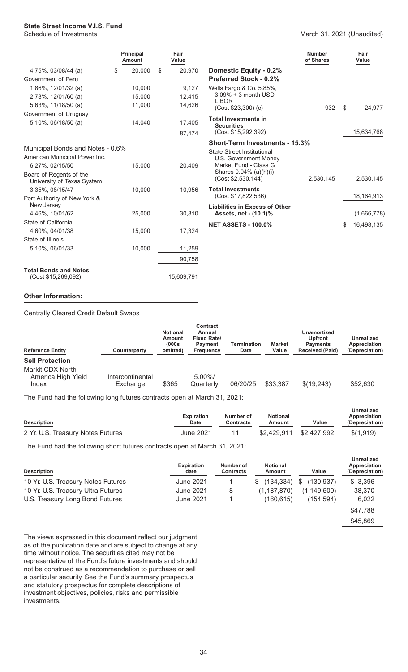#### March 31, 2021 (Unaudited)

|                                                       | <b>Principal</b><br>Amount |        | Fair<br>Value |                                                  | <b>Number</b><br>of Shares |    | Fair<br>Value |
|-------------------------------------------------------|----------------------------|--------|---------------|--------------------------------------------------|----------------------------|----|---------------|
| 4.75%, 03/08/44 (a)                                   | \$<br>20,000               | \$     | 20,970        | <b>Domestic Equity - 0.2%</b>                    |                            |    |               |
| Government of Peru                                    |                            |        |               | <b>Preferred Stock - 0.2%</b>                    |                            |    |               |
| 1.86%, 12/01/32 (a)                                   | 10,000                     |        | 9,127         | Wells Fargo & Co. 5.85%,                         |                            |    |               |
| 2.78%, 12/01/60 (a)                                   | 15,000                     |        | 12,415        | $3.09\% + 3$ month USD                           |                            |    |               |
| $5.63\%$ , 11/18/50 (a)                               | 11,000                     |        | 14,626        | <b>LIBOR</b><br>$(Cost $23,300)$ $(c)$           | 932                        | \$ | 24,977        |
| Government of Uruguay                                 |                            |        |               |                                                  |                            |    |               |
| 5.10%, 06/18/50 (a)                                   | 14,040                     |        | 17,405        | <b>Total Investments in</b><br><b>Securities</b> |                            |    |               |
|                                                       |                            | 87,474 |               | (Cost \$15,292,392)                              |                            |    | 15,634,768    |
|                                                       |                            |        |               | <b>Short-Term Investments - 15.3%</b>            |                            |    |               |
| Municipal Bonds and Notes - 0.6%                      |                            |        |               | <b>State Street Institutional</b>                |                            |    |               |
| American Municipal Power Inc.                         |                            |        |               | U.S. Government Money                            |                            |    |               |
| 6.27%, 02/15/50                                       | 15,000                     |        | 20,409        | Market Fund - Class G<br>Shares 0.04% (a)(h)(i)  |                            |    |               |
| Board of Regents of the<br>University of Texas System |                            |        |               | (Cost \$2,530,144)                               | 2,530,145                  |    | 2,530,145     |
| 3.35%, 08/15/47                                       | 10,000                     |        | 10,956        | <b>Total Investments</b>                         |                            |    |               |
| Port Authority of New York &                          |                            |        |               | (Cost \$17,822,536)                              |                            |    | 18, 164, 913  |
| New Jersey                                            |                            |        |               | <b>Liabilities in Excess of Other</b>            |                            |    |               |
| 4.46%, 10/01/62                                       | 25,000                     |        | 30,810        | Assets, net - (10.1)%                            |                            |    | (1,666,778)   |
| State of California                                   |                            |        |               | <b>NET ASSETS - 100.0%</b>                       |                            | \$ | 16,498,135    |
| 4.60%, 04/01/38                                       | 15,000                     |        | 17,324        |                                                  |                            |    |               |
| State of Illinois                                     |                            |        |               |                                                  |                            |    |               |
| 5.10%, 06/01/33                                       | 10,000                     |        | 11,259        |                                                  |                            |    |               |
|                                                       |                            |        | 90,758        |                                                  |                            |    |               |
| <b>Total Bonds and Notes</b>                          |                            |        |               |                                                  |                            |    |               |
| (Cost \$15,269,092)                                   |                            |        | 15,609,791    |                                                  |                            |    |               |

#### **Other Information:**

Centrally Cleared Credit Default Swaps

| <b>Reference Entity</b>                                                   | Counterparty                 | <b>Notional</b><br>Amount<br>(000s<br>omitted) | <b>Contract</b><br>Annual<br><b>Fixed Rate/</b><br><b>Payment</b><br><b>Frequency</b> | <b>Termination</b><br><b>Date</b> | <b>Market</b><br>Value | Unamortized<br><b>Upfront</b><br><b>Payments</b><br><b>Received (Paid)</b> | <b>Unrealized</b><br>Appreciation<br>(Depreciation) |
|---------------------------------------------------------------------------|------------------------------|------------------------------------------------|---------------------------------------------------------------------------------------|-----------------------------------|------------------------|----------------------------------------------------------------------------|-----------------------------------------------------|
| <b>Sell Protection</b><br>Markit CDX North<br>America High Yield<br>Index | Intercontinental<br>Exchange | \$365                                          | $5.00\%$<br>Quarterly                                                                 | 06/20/25                          | \$33,387               | \$(19,243)                                                                 | \$52,630                                            |

The Fund had the following long futures contracts open at March 31, 2021:

| <b>Description</b>                | <b>Expiration</b><br><b>Date</b> | Number of<br>Contracts | <b>Notional</b><br>Amount | Value                   | Unrealized<br>Appreciation<br>(Depreciation) |  |
|-----------------------------------|----------------------------------|------------------------|---------------------------|-------------------------|----------------------------------------------|--|
| 2 Yr. U.S. Treasury Notes Futures | June 2021                        | 11                     |                           | \$2,429,911 \$2,427,992 | \$(1,919)                                    |  |

The Fund had the following short futures contracts open at March 31, 2021:

| <b>Description</b>                 | <b>Expiration</b><br>date | Number of<br><b>Contracts</b> | <b>Notional</b><br>Amount | Value            | <b>Unrealized</b><br>Appreciation<br>(Depreciation) |
|------------------------------------|---------------------------|-------------------------------|---------------------------|------------------|-----------------------------------------------------|
| 10 Yr. U.S. Treasury Notes Futures | June 2021                 |                               | (134.334)<br>S.           | -S<br>(130, 937) | \$3,396                                             |
| 10 Yr. U.S. Treasury Ultra Futures | June 2021                 | 8                             | (1, 187, 870)             | (1, 149, 500)    | 38,370                                              |
| U.S. Treasury Long Bond Futures    | June 2021                 |                               | (160,615)                 | (154.594)        | 6,022                                               |
|                                    |                           |                               |                           |                  | \$47.788                                            |

\$45,869

The views expressed in this document reflect our judgment as of the publication date and are subject to change at any time without notice. The securities cited may not be representative of the Fund's future investments and should not be construed as a recommendation to purchase or sell a particular security. See the Fund's summary prospectus and statutory prospectus for complete descriptions of investment objectives, policies, risks and permissible investments.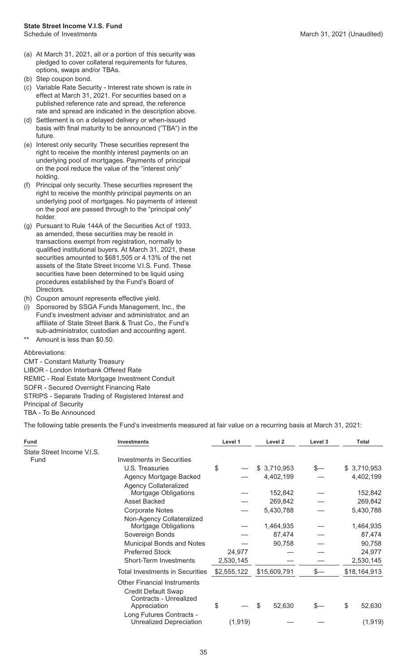- (a) At March 31, 2021, all or a portion of this security was pledged to cover collateral requirements for futures, options, swaps and/or TBAs.
- (b) Step coupon bond.
- (c) Variable Rate Security Interest rate shown is rate in effect at March 31, 2021. For securities based on a published reference rate and spread, the reference rate and spread are indicated in the description above.
- (d) Settlement is on a delayed delivery or when-issued basis with final maturity to be announced ("TBA") in the future.
- (e) Interest only security. These securities represent the right to receive the monthly interest payments on an underlying pool of mortgages. Payments of principal on the pool reduce the value of the "interest only" holding.
- (f) Principal only security. These securities represent the right to receive the monthly principal payments on an underlying pool of mortgages. No payments of interest on the pool are passed through to the "principal only" holder.
- (g) Pursuant to Rule 144A of the Securities Act of 1933, as amended, these securities may be resold in transactions exempt from registration, normally to qualified institutional buyers. At March 31, 2021, these securities amounted to \$681,505 or 4.13% of the net assets of the State Street Income V.I.S. Fund. These securities have been determined to be liquid using procedures established by the Fund's Board of Directors.
- (h) Coupon amount represents effective yield.
- (i) Sponsored by SSGA Funds Management, Inc., the Fund's investment adviser and administrator, and an affiliate of State Street Bank & Trust Co., the Fund's sub-administrator, custodian and accounting agent.
- Amount is less than \$0.50.

#### Abbreviations:

CMT - Constant Maturity Treasury LIBOR - London Interbank Offered Rate REMIC - Real Estate Mortgage Investment Conduit SOFR - Secured Overnight Financing Rate STRIPS - Separate Trading of Registered Interest and Principal of Security TBA - To Be Announced

The following table presents the Fund's investments measured at fair value on a recurring basis at March 31, 2021:

| Fund                       | <b>Investments</b>                                                                         | Level 1                     | Level 2      | Level 3 | <b>Total</b> |
|----------------------------|--------------------------------------------------------------------------------------------|-----------------------------|--------------|---------|--------------|
| State Street Income V.I.S. |                                                                                            |                             |              |         |              |
| Fund                       | Investments in Securities                                                                  |                             |              |         |              |
|                            | U.S. Treasuries                                                                            | \$                          | \$3,710,953  | S—      | \$3,710,953  |
|                            | Agency Mortgage Backed                                                                     |                             | 4,402,199    |         | 4,402,199    |
|                            | <b>Agency Collateralized</b>                                                               |                             |              |         |              |
|                            | Mortgage Obligations                                                                       |                             | 152,842      |         | 152,842      |
|                            | <b>Asset Backed</b>                                                                        |                             | 269,842      |         | 269,842      |
|                            | <b>Corporate Notes</b>                                                                     |                             | 5,430,788    |         | 5,430,788    |
|                            | Non-Agency Collateralized                                                                  |                             |              |         |              |
|                            | Mortgage Obligations                                                                       |                             | 1,464,935    |         | 1,464,935    |
|                            | Sovereign Bonds                                                                            |                             | 87,474       |         | 87,474       |
|                            | Municipal Bonds and Notes                                                                  |                             | 90,758       |         | 90,758       |
|                            | <b>Preferred Stock</b>                                                                     | 24,977                      |              |         | 24,977       |
|                            | <b>Short-Term Investments</b>                                                              | 2,530,145                   |              |         | 2,530,145    |
|                            | <b>Total Investments in Securities</b>                                                     | \$2,555,122<br>\$15,609,791 |              | \$—     | \$18,164,913 |
|                            | <b>Other Financial Instruments</b><br><b>Credit Default Swap</b><br>Contracts - Unrealized |                             |              |         |              |
|                            | Appreciation                                                                               | \$                          | \$<br>52,630 |         | \$<br>52,630 |
|                            | Long Futures Contracts -<br><b>Unrealized Depreciation</b>                                 | (1, 919)                    |              |         | (1, 919)     |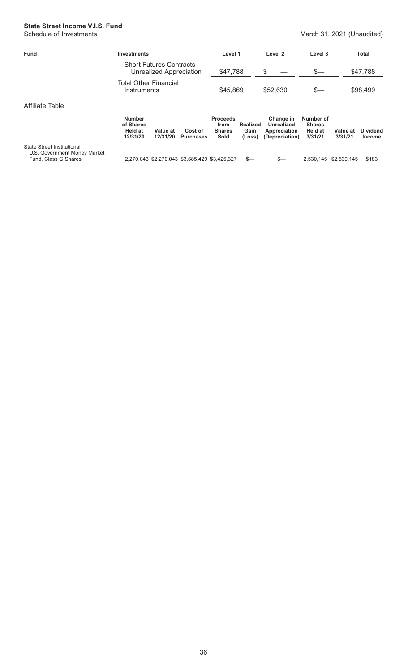# **State Street Income V.I.S. Fund**<br>Schedule of Investments

#### March 31, 2021 (Unaudited)

| Eund            | <b>Investments</b>                                          | Level 1  | Level 2  | Level 3                            | Total    |
|-----------------|-------------------------------------------------------------|----------|----------|------------------------------------|----------|
|                 | <b>Short Futures Contracts -</b><br>Unrealized Appreciation | \$47,788 |          |                                    | \$47,788 |
|                 | <b>Total Other Financial</b><br>Instruments                 | \$45,869 | \$52,630 | \$—                                | \$98,499 |
| Affiliate Table |                                                             |          |          |                                    |          |
|                 | $\cdots$                                                    |          |          | $\sim$ $\sim$ $\sim$ $\sim$ $\sim$ |          |

|                                                                                    | <b>Number</b><br>of Shares<br>Held at<br>12/31/20 | Value at<br>12/31/20                          | Cost of<br><b>Purchases</b> | <b>Proceeds</b><br>from<br><b>Shares</b><br>Sold | Realized<br>Gain<br>(Loss) | Change in<br>Unrealized<br>Appreciation<br>(Depreciation) | Number of<br><b>Shares</b><br><b>Held at</b><br>3/31/21 | Value at<br>3/31/21   | <b>Dividend</b><br><b>Income</b> |
|------------------------------------------------------------------------------------|---------------------------------------------------|-----------------------------------------------|-----------------------------|--------------------------------------------------|----------------------------|-----------------------------------------------------------|---------------------------------------------------------|-----------------------|----------------------------------|
| State Street Institutional<br>U.S. Government Money Market<br>Fund, Class G Shares |                                                   | 2,270,043 \$2,270,043 \$3,685,429 \$3,425,327 |                             |                                                  | $S-$                       | $S-$                                                      |                                                         | 2,530,145 \$2,530,145 | \$183                            |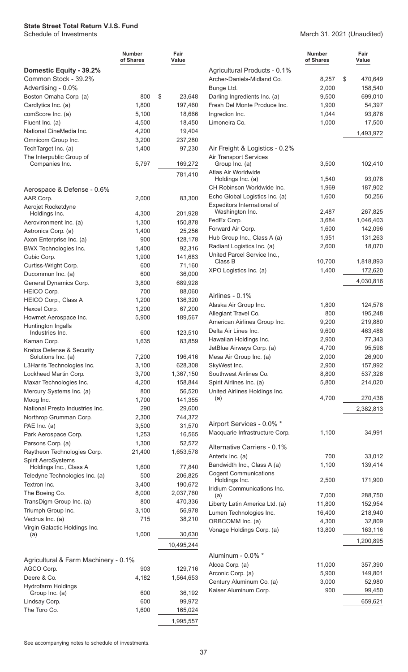|                                                 | Number<br>of Shares | Fair<br>Value |
|-------------------------------------------------|---------------------|---------------|
| Domestic Equity - 39.2%                         |                     |               |
| Common Stock - 39.2%                            |                     |               |
| Advertising - 0.0%                              |                     |               |
| Boston Omaha Corp. (a)                          | 800                 | \$<br>23,648  |
| Cardlytics Inc. (a)                             | 1,800               | 197,460       |
| comScore Inc. (a)                               | 5,100               | 18,666        |
| Fluent Inc. (a)                                 | 4,500               | 18,450        |
| National CineMedia Inc.                         | 4,200               | 19,404        |
| Omnicom Group Inc.                              | 3,200               | 237,280       |
| TechTarget Inc. (a)                             | 1,400               | 97,230        |
| The Interpublic Group of<br>Companies Inc.      | 5,797               | 169,272       |
|                                                 |                     |               |
|                                                 |                     | 781,410       |
| Aerospace & Defense - 0.6%                      |                     |               |
| AAR Corp.                                       | 2,000               | 83,300        |
| Aerojet Rocketdyne                              |                     |               |
| Holdings Inc.                                   | 4,300               | 201,928       |
| Aerovironment Inc. (a)                          | 1,300               | 150,878       |
| Astronics Corp. (a)                             | 1,400               | 25,256        |
| Axon Enterprise Inc. (a)                        | 900                 | 128,178       |
| BWX Technologies Inc.                           | 1,400               | 92,316        |
| Cubic Corp.                                     | 1,900               | 141,683       |
| Curtiss-Wright Corp.                            | 600                 | 71,160        |
| Ducommun Inc. (a)                               | 600                 | 36,000        |
| General Dynamics Corp.                          | 3,800               | 689,928       |
| <b>HEICO Corp.</b>                              | 700                 | 88,060        |
| HEICO Corp., Class A                            | 1,200               | 136,320       |
| Hexcel Corp.                                    | 1,200               | 67,200        |
| Howmet Aerospace Inc.                           | 5,900               | 189,567       |
| Huntington Ingalls                              |                     |               |
| Industries Inc.                                 | 600                 | 123,510       |
| Kaman Corp.                                     | 1,635               | 83,859        |
| Kratos Defense & Security<br>Solutions Inc. (a) | 7,200               | 196,416       |
| L3Harris Technologies Inc.                      | 3,100               | 628,308       |
| Lockheed Martin Corp.                           | 3,700               | 1,367,150     |
| Maxar Technologies Inc.                         | 4,200               | 158,844       |
| Mercury Systems Inc. (a)                        | 800                 | 56,520        |
| Moog Inc.                                       | 1,700               | 141,355       |
| National Presto Industries Inc.                 | 290                 | 29,600        |
| Northrop Grumman Corp.                          | 2,300               | 744,372       |
| PAE Inc. (a)                                    | 3,500               | 31,570        |
| Park Aerospace Corp.                            | 1,253               | 16,565        |
| Parsons Corp. (a)                               | 1,300               | 52,572        |
| Raytheon Technologies Corp.                     | 21,400              | 1,653,578     |
| Spirit AeroSystems                              |                     |               |
| Holdings Inc., Class A                          | 1,600               | 77,840        |
| Teledyne Technologies Inc. (a)                  | 500                 | 206,825       |
| Textron Inc.                                    | 3,400               | 190,672       |
| The Boeing Co.                                  | 8,000               | 2,037,760     |
| TransDigm Group Inc. (a)                        | 800                 | 470,336       |
| Triumph Group Inc.                              | 3,100               | 56,978        |
| Vectrus Inc. (a)                                | 715                 | 38,210        |
| Virgin Galactic Holdings Inc.<br>(a)            | 1,000               | 30,630        |
|                                                 |                     |               |
|                                                 |                     | 10,495,244    |
| Agricultural & Farm Machinery - 0.1%            |                     |               |
| AGCO Corp.                                      | 903                 | 129,716       |
| Deere & Co.                                     | 4.182               | 1,564,653     |
| <b>Hydrofarm Holdings</b>                       |                     |               |
| Group Inc. (a)                                  | 600                 | 36,192        |
| Lindsay Corp.                                   | 600                 | 99,972        |
| The Toro Co.                                    | 1,600               | 165,024       |
|                                                 |                     | 1,995,557     |

#### March 31, 2021 (Unaudited)

|                                                 | Number<br>of Shares | Fair<br>Value |
|-------------------------------------------------|---------------------|---------------|
| Agricultural Products - 0.1%                    |                     |               |
| Archer-Daniels-Midland Co.                      | 8,257               | \$<br>470,649 |
| Bunge Ltd.                                      | 2,000               | 158,540       |
| Darling Ingredients Inc. (a)                    | 9,500               | 699,010       |
| Fresh Del Monte Produce Inc.                    | 1,900               | 54,397        |
| Ingredion Inc.                                  | 1,044               | 93,876        |
| Limoneira Co.                                   | 1,000               | 17,500        |
|                                                 |                     | 1,493,972     |
| Air Freight & Logistics - 0.2%                  |                     |               |
| <b>Air Transport Services</b><br>Group Inc. (a) | 3,500               | 102,410       |
| Atlas Air Worldwide                             |                     |               |
| Holdings Inc. (a)                               | 1,540               | 93,078        |
| CH Robinson Worldwide Inc.                      | 1,969               | 187,902       |
| Echo Global Logistics Inc. (a)                  | 1,600               | 50,256        |
| Expeditors International of                     |                     |               |
| Washington Inc.                                 | 2,487               | 267,825       |
| FedEx Corp.                                     | 3,684               | 1,046,403     |
| Forward Air Corp.                               | 1,600               | 142,096       |
| Hub Group Inc., Class A (a)                     | 1,951               | 131,263       |
| Radiant Logistics Inc. (a)                      | 2,600               | 18,070        |
| United Parcel Service Inc.,                     |                     |               |
| Class B                                         | 10,700              | 1,818,893     |
| XPO Logistics Inc. (a)                          | 1,400               | 172,620       |
|                                                 |                     | 4,030,816     |
| Airlines - 0.1%                                 |                     |               |
| Alaska Air Group Inc.                           | 1,800               | 124,578       |
| Allegiant Travel Co.                            | 800                 | 195,248       |
| American Airlines Group Inc.                    | 9,200               | 219,880       |
| Delta Air Lines Inc.                            | 9,600               | 463,488       |
| Hawaiian Holdings Inc.                          | 2,900               | 77,343        |
| JetBlue Airways Corp. (a)                       | 4,700               | 95,598        |
| Mesa Air Group Inc. (a)                         | 2,000               | 26,900        |
| SkyWest Inc.                                    | 2,900               | 157,992       |
| Southwest Airlines Co.                          | 8,800               | 537,328       |
| Spirit Airlines Inc. (a)                        | 5,800               | 214,020       |
| United Airlines Holdings Inc.                   |                     |               |
| (a)                                             | 4,700               | 270,438       |
|                                                 |                     | 2,382,813     |
| Airport Services - 0.0% *                       |                     |               |
| Macquarie Infrastructure Corp.                  | 1,100               | 34,991        |
| Alternative Carriers - 0.1%                     |                     |               |
| Anterix Inc. (a)                                | 700                 | 33,012        |
| Bandwidth Inc., Class A (a)                     | 1,100               | 139,414       |
| <b>Cogent Communications</b>                    |                     |               |
| Holdings Inc.<br>Iridium Communications Inc.    | 2,500               | 171,900       |
| (a)                                             | 7,000               | 288,750       |
| Liberty Latin America Ltd. (a)                  | 11,800              | 152,954       |
| Lumen Technologies Inc.                         | 16,400              | 218,940       |
| ORBCOMM Inc. (a)                                | 4,300               | 32,809        |
| Vonage Holdings Corp. (a)                       | 13,800              | 163,116       |
|                                                 |                     | 1,200,895     |
| Aluminum - 0.0% *                               |                     |               |
| Alcoa Corp. (a)                                 | 11,000              | 357,390       |
| Arconic Corp. (a)                               | 5,900               | 149,801       |
| Century Aluminum Co. (a)                        | 3,000               | 52,980        |
| Kaiser Aluminum Corp.                           | 900                 | 99,450        |
|                                                 |                     |               |
|                                                 |                     | 659,621       |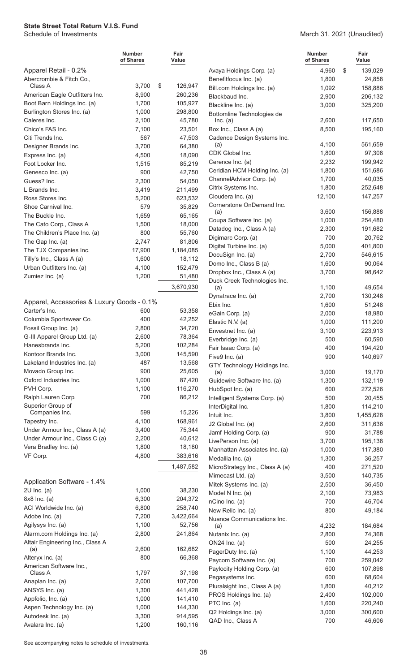|                                                                  | Number<br>of Shares | Fair<br>Value            |
|------------------------------------------------------------------|---------------------|--------------------------|
| Apparel Retail - 0.2%                                            |                     |                          |
| Abercrombie & Fitch Co.,                                         |                     |                          |
| Class A<br>American Eagle Outfitters Inc.                        | 3,700<br>8,900      | \$<br>126,947<br>260,236 |
| Boot Barn Holdings Inc. (a)                                      | 1,700               | 105,927                  |
| Burlington Stores Inc. (a)                                       | 1,000               | 298,800                  |
| Caleres Inc.                                                     | 2,100               | 45,780                   |
| Chico's FAS Inc.                                                 | 7,100               | 23,501                   |
| Citi Trends Inc.                                                 | 567                 | 47,503                   |
| Designer Brands Inc.                                             | 3,700               | 64,380                   |
| Express Inc. (a)                                                 | 4,500               | 18,090                   |
| Foot Locker Inc.                                                 | 1,515               | 85,219                   |
| Genesco Inc. (a)<br>Guess? Inc.                                  | 900                 | 42,750<br>54,050         |
| L Brands Inc.                                                    | 2,300<br>3,419      | 211,499                  |
| Ross Stores Inc.                                                 | 5,200               | 623,532                  |
| Shoe Carnival Inc.                                               | 579                 | 35,829                   |
| The Buckle Inc.                                                  | 1,659               | 65,165                   |
| The Cato Corp., Class A                                          | 1,500               | 18,000                   |
| The Children's Place Inc. (a)                                    | 800                 | 55,760                   |
| The Gap Inc. (a)                                                 | 2,747               | 81,806                   |
| The TJX Companies Inc.                                           | 17,900              | 1,184,085                |
| Tilly's Inc., Class A (a)                                        | 1,600               | 18,112                   |
| Urban Outfitters Inc. (a)                                        | 4,100               | 152,479                  |
| Zumiez Inc. (a)                                                  | 1,200               | 51,480                   |
|                                                                  |                     | 3,670,930                |
| Apparel, Accessories & Luxury Goods - 0.1%                       |                     |                          |
| Carter's Inc.                                                    | 600                 | 53,358                   |
| Columbia Sportswear Co.                                          | 400                 | 42,252                   |
| Fossil Group Inc. (a)                                            | 2,800               | 34,720                   |
| G-III Apparel Group Ltd. (a)<br>Hanesbrands Inc.                 | 2,600               | 78,364                   |
| Kontoor Brands Inc.                                              | 5,200<br>3,000      | 102,284<br>145,590       |
| Lakeland Industries Inc. (a)                                     | 487                 | 13,568                   |
| Movado Group Inc.                                                | 900                 | 25,605                   |
| Oxford Industries Inc.                                           | 1,000               | 87,420                   |
| PVH Corp.                                                        | 1,100               | 116,270                  |
| Ralph Lauren Corp.                                               | 700                 | 86,212                   |
| Superior Group of                                                |                     |                          |
| Companies Inc.                                                   | 599                 | 15,226                   |
| Tapestry Inc.                                                    | 4,100               | 168,961                  |
| Under Armour Inc., Class A (a)<br>Under Armour Inc., Class C (a) | 3,400<br>2,200      | 75,344<br>40,612         |
| Vera Bradley Inc. (a)                                            | 1,800               | 18,180                   |
| VF Corp.                                                         | 4,800               | 383,616                  |
|                                                                  |                     | 1,487,582                |
| Application Software - 1.4%                                      |                     |                          |
| $2U$ Inc. (a)                                                    | 1,000               | 38,230                   |
| 8x8 Inc. (a)                                                     | 6,300               | 204,372                  |
| ACI Worldwide Inc. (a)                                           | 6,800               | 258,740                  |
| Adobe Inc. (a)                                                   | 7,200               | 3,422,664                |
| Agilysys Inc. (a)                                                | 1,100               | 52,756                   |
| Alarm.com Holdings Inc. (a)                                      | 2,800               | 241,864                  |
| Altair Engineering Inc., Class A<br>(a)                          | 2,600               | 162,682                  |
| Alteryx Inc. (a)                                                 | 800                 | 66,368                   |
| American Software Inc.,                                          |                     |                          |
| Class A                                                          | 1,797               | 37,198                   |
| Anaplan Inc. (a)                                                 | 2,000               | 107,700                  |
| ANSYS Inc. (a)                                                   | 1,300               | 441,428                  |
| Appfolio, Inc. (a)<br>Aspen Technology Inc. (a)                  | 1,000<br>1,000      | 141,410                  |
| Autodesk Inc. (a)                                                | 3,300               | 144,330<br>914,595       |
| Avalara Inc. (a)                                                 | 1,200               | 160,116                  |

#### March 31, 2021 (Unaudited)

|                                           | Number<br>of Shares | Fair<br>Value      |
|-------------------------------------------|---------------------|--------------------|
| Avaya Holdings Corp. (a)                  | 4,960               | \$<br>139,029      |
| Benefitfocus Inc. (a)                     | 1,800               | 24,858             |
| Bill.com Holdings Inc. (a)                | 1,092               | 158,886            |
| Blackbaud Inc.                            | 2,900               | 206,132            |
| Blackline Inc. (a)                        | 3,000               | 325,200            |
| Bottomline Technologies de                |                     |                    |
| Inc. (a)                                  | 2,600               | 117,650            |
| Box Inc., Class A (a)                     | 8,500               | 195,160            |
| Cadence Design Systems Inc.               |                     |                    |
| (a)<br>CDK Global Inc.                    | 4,100               | 561,659            |
| Cerence Inc. (a)                          | 1,800<br>2,232      | 97,308<br>199,942  |
| Ceridian HCM Holding Inc. (a)             | 1,800               | 151,686            |
| ChannelAdvisor Corp. (a)                  | 1,700               | 40,035             |
| Citrix Systems Inc.                       | 1,800               | 252,648            |
| Cloudera Inc. (a)                         | 12,100              | 147,257            |
| Cornerstone OnDemand Inc.                 |                     |                    |
| (a)                                       | 3,600               | 156,888            |
| Coupa Software Inc. (a)                   | 1,000               | 254,480            |
| Datadog Inc., Class A (a)                 | 2,300               | 191,682            |
| Digimarc Corp. (a)                        | 700                 | 20,762             |
| Digital Turbine Inc. (a)                  | 5,000               | 401,800            |
| DocuSign Inc. (a)                         | 2,700               | 546,615            |
| Domo Inc., Class B (a)                    | 1,600               | 90,064             |
| Dropbox Inc., Class A (a)                 | 3,700               | 98,642             |
| Duck Creek Technologies Inc.              |                     |                    |
| (a)                                       | 1,100               | 49,654             |
| Dynatrace Inc. (a)                        | 2,700               | 130,248            |
| Ebix Inc.                                 | 1,600               | 51,248             |
| eGain Corp. (a)                           | 2,000               | 18,980             |
| Elastic N.V. (a)                          | 1,000               | 111,200            |
| Envestnet Inc. (a)<br>Everbridge Inc. (a) | 3,100<br>500        | 223,913<br>60,590  |
|                                           | 400                 |                    |
| Fair Isaac Corp. (a)<br>Five9 Inc. (a)    | 900                 | 194,420<br>140,697 |
| GTY Technology Holdings Inc.              |                     |                    |
| (a)                                       | 3,000               | 19,170             |
| Guidewire Software Inc. (a)               | 1,300               | 132,119            |
| HubSpot Inc. (a)                          | 600                 | 272,526            |
| Intelligent Systems Corp. (a)             | 500                 | 20,455             |
| InterDigital Inc.                         | 1,800               | 114,210            |
| Intuit Inc.                               | 3,800               | 1,455,628          |
| J2 Global Inc. (a)                        | 2,600               | 311,636            |
| Jamf Holding Corp. (a)                    | 900                 | 31,788             |
| LivePerson Inc. (a)                       | 3,700               | 195,138            |
| Manhattan Associates Inc. (a)             | 1,000               | 117,380            |
| Medallia Inc. (a)                         | 1,300               | 36,257             |
| MicroStrategy Inc., Class A (a)           | 400                 | 271,520            |
| Mimecast Ltd. (a)                         | 3,500               | 140,735            |
| Mitek Systems Inc. (a)                    | 2,500               | 36,450             |
| Model N Inc. (a)                          | 2,100               | 73,983             |
| nCino Inc. (a)                            | 700                 | 46,704             |
| New Relic Inc. (a)                        | 800                 | 49,184             |
| Nuance Communications Inc.<br>(a)         | 4,232               | 184,684            |
| Nutanix Inc. (a)                          | 2,800               | 74,368             |
| ON24 Inc. (a)                             | 500                 | 24,255             |
| PagerDuty Inc. (a)                        | 1,100               | 44,253             |
| Paycom Software Inc. (a)                  | 700                 | 259,042            |
| Paylocity Holding Corp. (a)               | 600                 | 107,898            |
| Pegasystems Inc.                          | 600                 | 68,604             |
| Pluralsight Inc., Class A (a)             | 1,800               | 40,212             |
| PROS Holdings Inc. (a)                    | 2,400               | 102,000            |
| PTC Inc. (a)                              | 1,600               | 220,240            |
| Q2 Holdings Inc. (a)                      | 3,000               | 300,600            |
| QAD Inc., Class A                         | 700                 | 46,606             |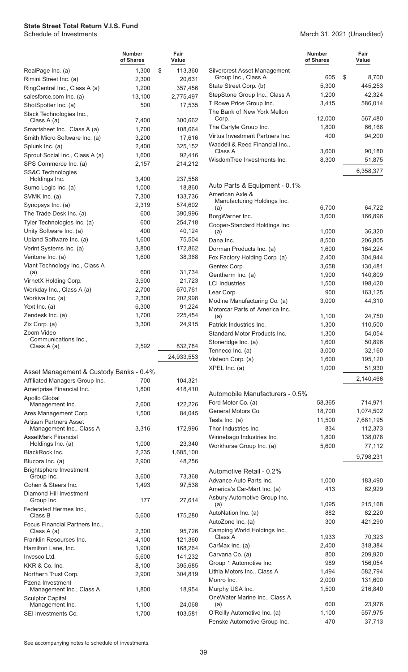March 31, 2021 (Unaudited)

|                                                             | <b>Number</b><br>of Shares | Fair<br>Value      |                            |
|-------------------------------------------------------------|----------------------------|--------------------|----------------------------|
| RealPage Inc. (a)                                           | 1,300                      | \$<br>113,360      | Silve                      |
| Rimini Street Inc. (a)                                      | 2,300                      | 20,631             | Gr                         |
| RingCentral Inc., Class A (a)                               | 1,200                      | 357,456            | State                      |
| salesforce.com Inc. (a)                                     | 13,100                     | 2,775,497          | Step:                      |
| ShotSpotter Inc. (a)                                        | 500                        | 17,535             | T Ro<br>The I              |
| Slack Technologies Inc.,<br>Class A (a)                     | 7,400                      |                    | Co                         |
| Smartsheet Inc., Class A (a)                                | 1,700                      | 300,662<br>108,664 | The (                      |
| Smith Micro Software Inc. (a)                               | 3,200                      | 17,616             | Virtu:                     |
| Splunk Inc. (a)                                             | 2,400                      | 325,152            | Wad                        |
| Sprout Social Inc., Class A (a)                             | 1,600                      | 92,416             | CΙa                        |
| SPS Commerce Inc. (a)                                       | 2,157                      | 214,212            | Wisd                       |
| SS&C Technologies                                           |                            |                    |                            |
| Holdings Inc.                                               | 3,400                      | 237,558            |                            |
| Sumo Logic Inc. (a)                                         | 1,000                      | 18,860             | Auto<br>Amer               |
| SVMK Inc. (a)                                               | 7,300                      | 133,736            | Ma                         |
| Synopsys Inc. (a)                                           | 2,319                      | 574,602            | (a)                        |
| The Trade Desk Inc. (a)<br>Tyler Technologies Inc. (a)      | 600<br>600                 | 390,996<br>254,718 | <b>Borg</b>                |
| Unity Software Inc. (a)                                     | 400                        | 40,124             | Coop                       |
| Upland Software Inc. (a)                                    | 1,600                      | 75,504             | (a)<br>Dana                |
| Verint Systems Inc. (a)                                     | 3,800                      | 172,862            | Dorn                       |
| Veritone Inc. (a)                                           | 1,600                      | 38,368             | Fox F                      |
| Viant Technology Inc., Class A                              |                            |                    | Gent                       |
| (a)                                                         | 600                        | 31,734             | Gent                       |
| VirnetX Holding Corp.                                       | 3,900                      | 21,723             | LCI li                     |
| Workday Inc., Class A (a)                                   | 2,700                      | 670,761            | Lear                       |
| Workiva Inc. (a)                                            | 2,300                      | 202,998            | Modi                       |
| Yext Inc. (a)                                               | 6,300                      | 91,224             | Moto                       |
| Zendesk Inc. (a)                                            | 1,700                      | 225,454            | (a)                        |
| Zix Corp. (a)<br>Zoom Video                                 | 3,300                      | 24,915             | Patrio                     |
| Communications Inc.,                                        |                            |                    | <b>Stan</b><br><b>Ston</b> |
| Class A (a)                                                 | 2,592                      | 832,784            | Tenn                       |
|                                                             |                            | 24,933,553         | Viste                      |
|                                                             |                            |                    | XPEI                       |
| Asset Management & Custody Banks - 0.4%                     | 700                        |                    |                            |
| Affiliated Managers Group Inc.<br>Ameriprise Financial Inc. | 1,800                      | 104,321<br>418,410 |                            |
| Apollo Global                                               |                            |                    | Auto                       |
| Management Inc.                                             | 2,600                      | 122,226            | Ford                       |
| Ares Management Corp.                                       | 1,500                      | 84,045             | Gene                       |
| <b>Artisan Partners Asset</b>                               |                            |                    | Tesla                      |
| Management Inc., Class A                                    | 3,316                      | 172,996            | Thor                       |
| <b>AssetMark Financial</b><br>Holdings Inc. (a)             | 1,000                      | 23,340             | Winn                       |
| BlackRock Inc.                                              | 2,235                      | 1,685,100          | Work                       |
| Blucora Inc. (a)                                            | 2,900                      | 48,256             |                            |
| <b>Brightsphere Investment</b>                              |                            |                    | Auto                       |
| Group Inc.                                                  | 3,600                      | 73,368             | Adva                       |
| Cohen & Steers Inc.                                         | 1,493                      | 97,538             | Ameı                       |
| Diamond Hill Investment<br>Group Inc.                       | 177                        | 27,614             | Asbu<br>(a)                |
| Federated Hermes Inc.,<br>Class B                           | 5,600                      | 175,280            | Autol<br>Auto              |
| Focus Financial Partners Inc.,<br>Class A (a)               | 2,300                      | 95,726             | Cam                        |
| Franklin Resources Inc.                                     | 4,100                      | 121,360            | Cla                        |
| Hamilton Lane, Inc.                                         | 1,900                      | 168,264            | Carl                       |
| Invesco Ltd.                                                | 5,600                      | 141,232            | Carv                       |
| KKR & Co. Inc.                                              | 8,100                      | 395,685            | Grou                       |
| Northern Trust Corp.                                        | 2,900                      | 304,819            | Lithia                     |
| Pzena Investment                                            |                            |                    | Monr                       |
| Management Inc., Class A<br><b>Sculptor Capital</b>         | 1,800                      | 18,954             | Murp<br>Onel               |
| Management Inc.                                             | 1,100                      | 24,068             | (a)                        |
| SEI Investments Co.                                         | 1,700                      | 103,581            | O'Re                       |

|                                                                | Number<br>of Shares | Fair<br>Value     |
|----------------------------------------------------------------|---------------------|-------------------|
| Silvercrest Asset Management<br>Group Inc., Class A            | 605                 | \$<br>8,700       |
| State Street Corp. (b)                                         | 5,300               | 445,253           |
| StepStone Group Inc., Class A                                  | 1,200               | 42,324            |
| T Rowe Price Group Inc.                                        | 3,415               | 586,014           |
| The Bank of New York Mellon<br>Corp.                           | 12,000              | 567,480           |
| The Carlyle Group Inc.                                         | 1,800               | 66,168            |
| Virtus Investment Partners Inc.                                | 400                 | 94,200            |
| Waddell & Reed Financial Inc.,                                 |                     |                   |
| Class A                                                        | 3,600               | 90,180            |
| WisdomTree Investments Inc.                                    | 8,300               | 51,875            |
|                                                                |                     | 6,358,377         |
| Auto Parts & Equipment - 0.1%                                  |                     |                   |
| American Axle &<br>Manufacturing Holdings Inc.                 |                     |                   |
| (a)                                                            | 6,700               | 64,722            |
| BorgWarner Inc.                                                | 3,600               | 166,896           |
| Cooper-Standard Holdings Inc.                                  |                     |                   |
| (a)                                                            | 1,000               | 36,320            |
| Dana Inc.                                                      | 8,500               | 206,805           |
| Dorman Products Inc. (a)                                       | 1,600               | 164,224           |
| Fox Factory Holding Corp. (a)                                  | 2,400               | 304,944           |
| Gentex Corp.                                                   | 3,658               | 130,481           |
| Gentherm Inc. (a)                                              | 1,900               | 140,809           |
| <b>LCI Industries</b>                                          | 1,500               | 198,420           |
| Lear Corp.                                                     | 900                 | 163,125<br>44,310 |
| Modine Manufacturing Co. (a)<br>Motorcar Parts of America Inc. | 3,000               |                   |
| (a)                                                            | 1,100               | 24,750            |
| Patrick Industries Inc.                                        | 1,300               | 110,500           |
| Standard Motor Products Inc.                                   | 1,300               | 54,054            |
| Stoneridge Inc. (a)                                            | 1,600               | 50,896            |
| Tenneco Inc. (a)                                               | 3,000               | 32,160            |
| Visteon Corp. (a)                                              | 1,600               | 195,120           |
| XPEL Inc. (a)                                                  | 1,000               | 51,930            |
|                                                                |                     | 2,140,466         |
| Automobile Manufacturers - 0.5%                                |                     |                   |
| Ford Motor Co. (a)                                             | 58,365              | 714,971           |
| General Motors Co.                                             | 18,700              | 1,074,502         |
| Tesla Inc. (a)                                                 | 11,500              | 7,681,195         |
| Thor Industries Inc.                                           | 834                 | 112,373           |
| Winnebago Industries Inc.                                      | 1,800               | 138,078           |
| Workhorse Group Inc. (a)                                       | 5,600               | 77,112            |
|                                                                |                     | 9,798,231         |
| Automotive Retail - 0.2%                                       |                     |                   |
| Advance Auto Parts Inc.                                        | 1,000               | 183,490           |
| America's Car-Mart Inc. (a)                                    | 413                 | 62,929            |
| Asbury Automotive Group Inc.<br>(a)                            | 1,095               | 215,168           |
| AutoNation Inc. (a)                                            | 882                 | 82,220            |
| AutoZone Inc. (a)                                              | 300                 | 421,290           |
| Camping World Holdings Inc.,                                   |                     |                   |
| Class A                                                        | 1,933               | 70,323            |
| CarMax Inc. (a)                                                | 2,400               | 318,384           |
| Carvana Co. (a)                                                | 800                 | 209,920           |
| Group 1 Automotive Inc.                                        | 989                 | 156,054           |
| Lithia Motors Inc., Class A                                    | 1,494               | 582,794           |
| Monro Inc.                                                     | 2,000               | 131,600           |
| Murphy USA Inc.                                                | 1,500               | 216,840           |
| OneWater Marine Inc., Class A                                  | 600                 | 23,976            |
| (a)<br>O'Reilly Automotive Inc. (a)                            | 1,100               | 557,975           |
| Penske Automotive Group Inc.                                   | 470                 | 37,713            |
|                                                                |                     |                   |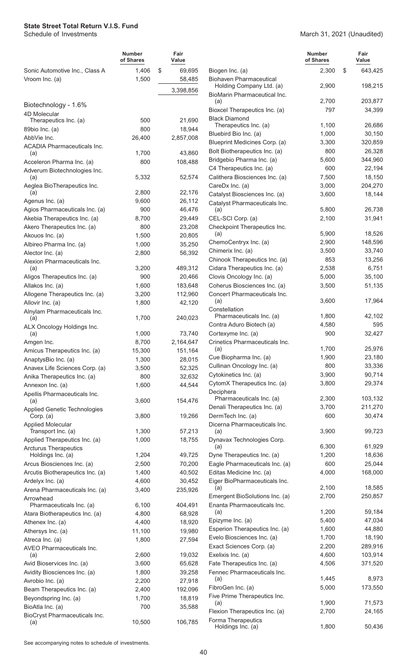|                                                   | <b>Number</b><br>of Shares | Fair<br>Value |                  |                                                          | <b>Number</b><br>of Shares | Fair<br>Value |
|---------------------------------------------------|----------------------------|---------------|------------------|----------------------------------------------------------|----------------------------|---------------|
| Sonic Automotive Inc., Class A<br>Vroom Inc. (a)  | 1,406<br>1,500             | \$            | 69,695<br>58,485 | Biogen Inc. (a)<br><b>Biohaven Pharmaceutical</b>        | 2,300                      | \$<br>643,425 |
|                                                   |                            |               | 3,398,856        | Holding Company Ltd. (a)<br>BioMarin Pharmaceutical Inc. | 2,900                      | 198,215       |
| Biotechnology - 1.6%                              |                            |               |                  | (a)                                                      | 2,700                      | 203,877       |
| 4D Molecular                                      |                            |               |                  | Bioxcel Therapeutics Inc. (a)                            | 797                        | 34,399        |
| Therapeutics Inc. (a)                             | 500                        |               | 21,690           | <b>Black Diamond</b><br>Therapeutics Inc. (a)            | 1,100                      | 26,686        |
| 89bio Inc. (a)                                    | 800                        |               | 18,944           | Bluebird Bio Inc. (a)                                    | 1,000                      | 30,150        |
| AbbVie Inc.                                       | 26,400                     |               | 2,857,008        | Blueprint Medicines Corp. (a)                            | 3,300                      | 320,859       |
| <b>ACADIA Pharmaceuticals Inc.</b>                | 1,700                      |               | 43,860           | Bolt Biotherapeutics Inc. (a)                            | 800                        | 26,328        |
| (a)<br>Acceleron Pharma Inc. (a)                  | 800                        |               | 108,488          | Bridgebio Pharma Inc. (a)                                | 5,600                      | 344,960       |
| Adverum Biotechnologies Inc.                      |                            |               |                  | C4 Therapeutics Inc. (a)                                 | 600                        | 22,194        |
| (a)                                               | 5,332                      |               | 52,574           | Calithera Biosciences Inc. (a)                           | 7,500                      | 18,150        |
| Aeglea BioTherapeutics Inc.                       |                            |               |                  | CareDx Inc. (a)                                          | 3,000                      | 204,270       |
| (a)                                               | 2,800                      |               | 22,176           | Catalyst Biosciences Inc. (a)                            | 3,600                      | 18,144        |
| Agenus Inc. (a)                                   | 9,600                      |               | 26,112           | Catalyst Pharmaceuticals Inc.                            |                            |               |
| Agios Pharmaceuticals Inc. (a)                    | 900                        |               | 46,476           | (a)                                                      | 5,800                      | 26,738        |
| Akebia Therapeutics Inc. (a)                      | 8,700                      |               | 29,449           | CEL-SCI Corp. (a)                                        | 2,100                      | 31,941        |
| Akero Therapeutics Inc. (a)                       | 800                        |               | 23,208<br>20,805 | Checkpoint Therapeutics Inc.<br>(a)                      | 5,900                      | 18,526        |
| Akouos Inc. (a)<br>Albireo Pharma Inc. (a)        | 1,500<br>1,000             |               | 35,250           | ChemoCentryx Inc. (a)                                    | 2,900                      | 148,596       |
| Alector Inc. (a)                                  | 2,800                      |               | 56,392           | Chimerix Inc. (a)                                        | 3,500                      | 33,740        |
| Alexion Pharmaceuticals Inc.                      |                            |               |                  | Chinook Therapeutics Inc. (a)                            | 853                        | 13,256        |
| (a)                                               | 3,200                      |               | 489,312          | Cidara Therapeutics Inc. (a)                             | 2,538                      | 6,751         |
| Aligos Therapeutics Inc. (a)                      | 900                        |               | 20,466           | Clovis Oncology Inc. (a)                                 | 5,000                      | 35,100        |
| Allakos Inc. (a)                                  | 1,600                      |               | 183,648          | Coherus Biosciences Inc. (a)                             | 3,500                      | 51,135        |
| Allogene Therapeutics Inc. (a)                    | 3,200                      |               | 112,960          | Concert Pharmaceuticals Inc.                             |                            |               |
| Allovir Inc. (a)                                  | 1,800                      |               | 42,120           | (a)                                                      | 3,600                      | 17,964        |
| Alnylam Pharmaceuticals Inc.                      | 1,700                      |               | 240,023          | Constellation<br>Pharmaceuticals Inc. (a)                | 1,800                      | 42,102        |
| (a)<br>ALX Oncology Holdings Inc.                 |                            |               |                  | Contra Aduro Biotech (a)                                 | 4,580                      | 595           |
| (a)                                               | 1,000                      |               | 73,740           | Cortexyme Inc. (a)                                       | 900                        | 32,427        |
| Amgen Inc.                                        | 8,700                      |               | 2,164,647        | Crinetics Pharmaceuticals Inc.                           |                            |               |
| Amicus Therapeutics Inc. (a)                      | 15,300                     |               | 151,164          | (a)                                                      | 1,700                      | 25,976        |
| AnaptysBio Inc. (a)                               | 1,300                      |               | 28,015           | Cue Biopharma Inc. (a)                                   | 1,900                      | 23,180        |
| Anavex Life Sciences Corp. (a)                    | 3,500                      |               | 52,325           | Cullinan Oncology Inc. (a)                               | 800                        | 33,336        |
| Anika Therapeutics Inc. (a)                       | 800                        |               | 32,632           | Cytokinetics Inc. (a)                                    | 3,900                      | 90,714        |
| Annexon Inc. (a)                                  | 1,600                      |               | 44,544           | CytomX Therapeutics Inc. (a)                             | 3,800                      | 29,374        |
| Apellis Pharmaceuticals Inc.                      |                            |               |                  | Deciphera<br>Pharmaceuticals Inc. (a)                    | 2,300                      | 103,132       |
| (a)<br><b>Applied Genetic Technologies</b>        | 3,600                      |               | 154,476          | Denali Therapeutics Inc. (a)                             | 3,700                      | 211,270       |
| Corp. $(a)$                                       | 3,800                      |               | 19,266           | DermTech Inc. (a)                                        | 600                        | 30,474        |
| <b>Applied Molecular</b>                          |                            |               |                  | Dicerna Pharmaceuticals Inc.                             |                            |               |
| Transport Inc. (a)                                | 1,300                      |               | 57,213           | (a)                                                      | 3,900                      | 99,723        |
| Applied Therapeutics Inc. (a)                     | 1,000                      |               | 18,755           | Dynavax Technologies Corp.<br>(a)                        | 6,300                      | 61,929        |
| <b>Arcturus Therapeutics</b><br>Holdings Inc. (a) | 1,204                      |               | 49,725           | Dyne Therapeutics Inc. (a)                               | 1,200                      | 18,636        |
| Arcus Biosciences Inc. (a)                        | 2,500                      |               | 70,200           | Eagle Pharmaceuticals Inc. (a)                           | 600                        | 25,044        |
| Arcutis Biotherapeutics Inc. (a)                  | 1,400                      |               | 40,502           | Editas Medicine Inc. (a)                                 | 4,000                      | 168,000       |
| Ardelyx Inc. (a)                                  | 4,600                      |               | 30,452           | Eiger BioPharmaceuticals Inc.                            |                            |               |
| Arena Pharmaceuticals Inc. (a)                    | 3,400                      |               | 235,926          | (a)                                                      | 2,100                      | 18,585        |
| Arrowhead                                         |                            |               |                  | Emergent BioSolutions Inc. (a)                           | 2,700                      | 250,857       |
| Pharmaceuticals Inc. (a)                          | 6,100                      |               | 404,491          | Enanta Pharmaceuticals Inc.                              | 1,200                      | 59,184        |
| Atara Biotherapeutics Inc. (a)                    | 4,800                      |               | 68,928           | (a)<br>Epizyme Inc. (a)                                  | 5,400                      | 47,034        |
| Athenex Inc. (a)                                  | 4,400                      |               | 18,920           | Esperion Therapeutics Inc. (a)                           | 1,600                      | 44,880        |
| Athersys Inc. (a)                                 | 11,100                     |               | 19,980           | Evelo Biosciences Inc. (a)                               | 1,700                      | 18,190        |
| Atreca Inc. (a)<br>AVEO Pharmaceuticals Inc.      | 1,800                      |               | 27,594           | Exact Sciences Corp. (a)                                 | 2,200                      | 289,916       |
| (a)                                               | 2,600                      |               | 19,032           | Exelixis Inc. (a)                                        | 4,600                      | 103,914       |
| Avid Bioservices Inc. (a)                         | 3,600                      |               | 65,628           | Fate Therapeutics Inc. (a)                               | 4,506                      | 371,520       |
| Avidity Biosciences Inc. (a)                      | 1,800                      |               | 39,258           | Fennec Pharmaceuticals Inc.                              |                            |               |
| Avrobio Inc. (a)                                  | 2,200                      |               | 27,918           | (a)                                                      | 1,445                      | 8,973         |
| Beam Therapeutics Inc. (a)                        | 2,400                      |               | 192,096          | FibroGen Inc. (a)                                        | 5,000                      | 173,550       |
| Beyondspring Inc. (a)                             | 1,700                      |               | 18,819           | Five Prime Therapeutics Inc.                             | 1,900                      | 71,573        |
| BioAtla Inc. (a)                                  | 700                        |               | 35,588           | (a)<br>Flexion Therapeutics Inc. (a)                     | 2,700                      | 24,165        |
| BioCryst Pharmaceuticals Inc.                     |                            |               |                  | Forma Therapeutics                                       |                            |               |
| (a)                                               | 10,500                     |               | 106,785          | Holdings Inc. (a)                                        | 1,800                      | 50,436        |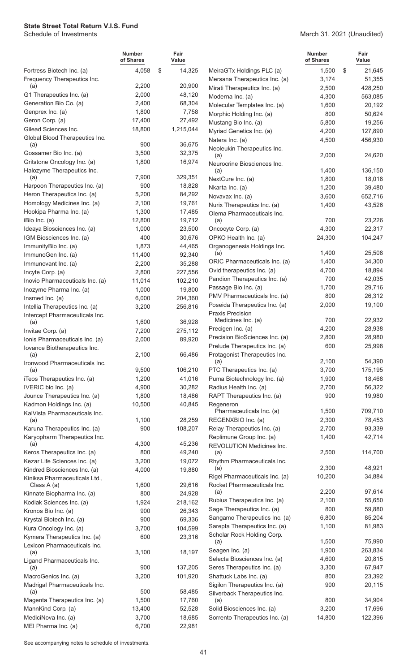#### March 31, 2021 (Unaudited)

|                                                          | <b>Number</b><br>of Shares | Fair<br>Value     |                                                          | <b>Number</b><br>of Shares |   | Fair<br>Value      |
|----------------------------------------------------------|----------------------------|-------------------|----------------------------------------------------------|----------------------------|---|--------------------|
| Fortress Biotech Inc. (a)                                | 4,058                      | \$<br>14,325      | MeiraGTx Holdings PLC (a)                                | 1,500                      | S | 21,645             |
| Frequency Therapeutics Inc.                              |                            |                   | Mersana Therapeutics Inc. (a)                            | 3,174                      |   | 51,355             |
| (a)                                                      | 2,200                      | 20,900            | Mirati Therapeutics Inc. (a)                             | 2,500                      |   | 428,250            |
| G1 Therapeutics Inc. (a)                                 | 2,000                      | 48,120            | Moderna Inc. (a)                                         | 4,300                      |   | 563,085            |
| Generation Bio Co. (a)<br>Genprex Inc. (a)               | 2,400<br>1,800             | 68,304<br>7,758   | Molecular Templates Inc. (a)                             | 1,600                      |   | 20,192             |
| Geron Corp. (a)                                          | 17,400                     | 27,492            | Morphic Holding Inc. (a)                                 | 800                        |   | 50,624             |
| Gilead Sciences Inc.                                     | 18,800                     | 1,215,044         | Mustang Bio Inc. (a)                                     | 5,800                      |   | 19,256             |
| Global Blood Therapeutics Inc.                           |                            |                   | Myriad Genetics Inc. (a)                                 | 4,200<br>4,500             |   | 127,890<br>456,930 |
| (a)                                                      | 900                        | 36,675            | Natera Inc. (a)<br>Neoleukin Therapeutics Inc.           |                            |   |                    |
| Gossamer Bio Inc. (a)                                    | 3,500                      | 32,375            | (a)                                                      | 2,000                      |   | 24,620             |
| Gritstone Oncology Inc. (a)                              | 1,800                      | 16,974            | Neurocrine Biosciences Inc.                              |                            |   |                    |
| Halozyme Therapeutics Inc.                               |                            |                   | (a)                                                      | 1,400                      |   | 136,150            |
| (a)<br>Harpoon Therapeutics Inc. (a)                     | 7,900<br>900               | 329,351<br>18,828 | NextCure Inc. (a)                                        | 1,800                      |   | 18,018             |
| Heron Therapeutics Inc. (a)                              | 5,200                      | 84,292            | Nkarta Inc. (a)                                          | 1,200                      |   | 39,480             |
| Homology Medicines Inc. (a)                              | 2,100                      | 19,761            | Novavax Inc. (a)                                         | 3,600                      |   | 652,716            |
| Hookipa Pharma Inc. (a)                                  | 1,300                      | 17,485            | Nurix Therapeutics Inc. (a)                              | 1,400                      |   | 43,526             |
| iBio Inc. (a)                                            | 12,800                     | 19,712            | Olema Pharmaceuticals Inc.<br>(a)                        | 700                        |   | 23,226             |
| Ideaya Biosciences Inc. (a)                              | 1,000                      | 23,500            | Oncocyte Corp. (a)                                       | 4,300                      |   | 22,317             |
| IGM Biosciences Inc. (a)                                 | 400                        | 30,676            | OPKO Health Inc. (a)                                     | 24,300                     |   | 104,247            |
| ImmunityBio Inc. (a)                                     | 1,873                      | 44,465            | Organogenesis Holdings Inc.                              |                            |   |                    |
| ImmunoGen Inc. (a)                                       | 11,400                     | 92,340            | (a)                                                      | 1,400                      |   | 25,508             |
| Immunovant Inc. (a)                                      | 2,200                      | 35,288            | ORIC Pharmaceuticals Inc. (a)                            | 1,400                      |   | 34,300             |
| Incyte Corp. (a)                                         | 2,800                      | 227,556           | Ovid therapeutics Inc. (a)                               | 4,700                      |   | 18,894             |
| Inovio Pharmaceuticals Inc. (a)                          | 11,014                     | 102,210           | Pandion Therapeutics Inc. (a)                            | 700                        |   | 42,035             |
| Inozyme Pharma Inc. (a)                                  | 1,000                      | 19,800            | Passage Bio Inc. (a)                                     | 1,700                      |   | 29,716             |
| Insmed Inc. (a)                                          | 6,000                      | 204,360           | PMV Pharmaceuticals Inc. (a)                             | 800                        |   | 26,312             |
| Intellia Therapeutics Inc. (a)                           | 3,200                      | 256,816           | Poseida Therapeutics Inc. (a)<br><b>Praxis Precision</b> | 2,000                      |   | 19,100             |
| Intercept Pharmaceuticals Inc.                           | 1,600                      | 36,928            | Medicines Inc. (a)                                       | 700                        |   | 22,932             |
| (a)<br>Invitae Corp. (a)                                 | 7,200                      | 275,112           | Precigen Inc. (a)                                        | 4,200                      |   | 28,938             |
| Ionis Pharmaceuticals Inc. (a)                           | 2,000                      | 89,920            | Precision BioSciences Inc. (a)                           | 2,800                      |   | 28,980             |
| Iovance Biotherapeutics Inc.                             |                            |                   | Prelude Therapeutics Inc. (a)                            | 600                        |   | 25,998             |
| (a)                                                      | 2,100                      | 66,486            | Protagonist Therapeutics Inc.                            |                            |   |                    |
| Ironwood Pharmaceuticals Inc.                            |                            |                   | (a)                                                      | 2,100                      |   | 54,390             |
| (a)                                                      | 9,500                      | 106,210           | PTC Therapeutics Inc. (a)                                | 3,700                      |   | 175,195            |
| iTeos Therapeutics Inc. (a)                              | 1,200                      | 41,016            | Puma Biotechnology Inc. (a)                              | 1,900                      |   | 18,468             |
| IVERIC bio Inc. (a)                                      | 4,900                      | 30,282            | Radius Health Inc. (a)                                   | 2,700<br>900               |   | 56,322             |
| Jounce Therapeutics Inc. (a)<br>Kadmon Holdings Inc. (a) | 1,800<br>10,500            | 18,486<br>40,845  | RAPT Therapeutics Inc. (a)                               |                            |   | 19,980             |
| KalVista Pharmaceuticals Inc.                            |                            |                   | Regeneron<br>Pharmaceuticals Inc. (a)                    | 1,500                      |   | 709,710            |
| (a)                                                      | 1,100                      | 28,259            | REGENXBIO Inc. (a)                                       | 2,300                      |   | 78,453             |
| Karuna Therapeutics Inc. (a)                             | 900                        | 108,207           | Relay Therapeutics Inc. (a)                              | 2,700                      |   | 93,339             |
| Karyopharm Therapeutics Inc.                             |                            |                   | Replimune Group Inc. (a)                                 | 1,400                      |   | 42,714             |
| (a)                                                      | 4,300                      | 45,236            | REVOLUTION Medicines Inc.                                |                            |   |                    |
| Keros Therapeutics Inc. (a)                              | 800                        | 49,240            | (a)                                                      | 2,500                      |   | 114,700            |
| Kezar Life Sciences Inc. (a)                             | 3,200                      | 19,072            | Rhythm Pharmaceuticals Inc.<br>(a)                       | 2,300                      |   | 48,921             |
| Kindred Biosciences Inc. (a)                             | 4,000                      | 19,880            | Rigel Pharmaceuticals Inc. (a)                           | 10,200                     |   | 34,884             |
| Kiniksa Pharmaceuticals Ltd.,<br>Class A (a)             | 1,600                      | 29,616            | Rocket Pharmaceuticals Inc.                              |                            |   |                    |
| Kinnate Biopharma Inc. (a)                               | 800                        | 24,928            | (a)                                                      | 2,200                      |   | 97,614             |
| Kodiak Sciences Inc. (a)                                 | 1,924                      | 218,162           | Rubius Therapeutics Inc. (a)                             | 2,100                      |   | 55,650             |
| Kronos Bio Inc. (a)                                      | 900                        | 26,343            | Sage Therapeutics Inc. (a)                               | 800                        |   | 59,880             |
| Krystal Biotech Inc. (a)                                 | 900                        | 69,336            | Sangamo Therapeutics Inc. (a)                            | 6,800                      |   | 85,204             |
| Kura Oncology Inc. (a)                                   | 3,700                      | 104,599           | Sarepta Therapeutics Inc. (a)                            | 1,100                      |   | 81,983             |
| Kymera Therapeutics Inc. (a)                             | 600                        | 23,316            | Scholar Rock Holding Corp.                               | 1,500                      |   | 75,990             |
| Lexicon Pharmaceuticals Inc.                             |                            |                   | (a)<br>Seagen Inc. (a)                                   | 1,900                      |   | 263,834            |
| (a)                                                      | 3,100                      | 18,197            | Selecta Biosciences Inc. (a)                             | 4,600                      |   | 20,815             |
| Ligand Pharmaceuticals Inc.<br>(a)                       | 900                        | 137,205           | Seres Therapeutics Inc. (a)                              | 3,300                      |   | 67,947             |
| MacroGenics Inc. (a)                                     | 3,200                      | 101,920           | Shattuck Labs Inc. (a)                                   | 800                        |   | 23,392             |
| Madrigal Pharmaceuticals Inc.                            |                            |                   | Sigilon Therapeutics Inc. (a)                            | 900                        |   | 20,115             |
| (a)                                                      | 500                        | 58,485            | Silverback Therapeutics Inc.                             |                            |   |                    |
| Magenta Therapeutics Inc. (a)                            | 1,500                      | 17,760            | (a)                                                      | 800                        |   | 34,904             |
| MannKind Corp. (a)                                       | 13,400                     | 52,528            | Solid Biosciences Inc. (a)                               | 3,200                      |   | 17,696             |
| MediciNova Inc. (a)                                      | 3,700                      | 18,685            | Sorrento Therapeutics Inc. (a)                           | 14,800                     |   | 122,396            |
| MEI Pharma Inc. (a)                                      | 6,700                      | 22,981            |                                                          |                            |   |                    |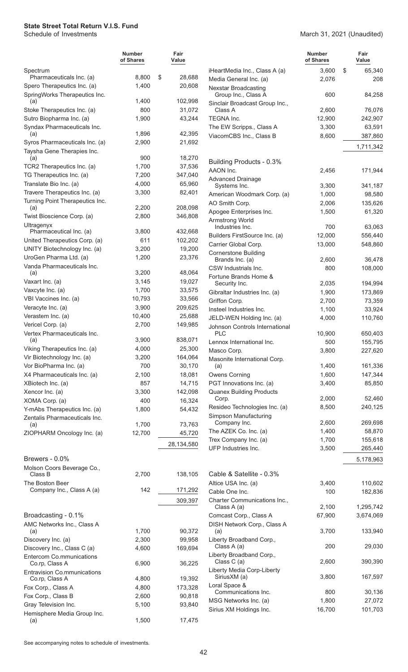|                                                              | <b>Number</b><br>of Shares | Fair<br>Value     |                                                    | <b>Number</b><br>of Shares | Fair<br>Value     |
|--------------------------------------------------------------|----------------------------|-------------------|----------------------------------------------------|----------------------------|-------------------|
| Spectrum                                                     |                            |                   | iHeartMedia Inc., Class A (a)                      | 3,600                      | \$<br>65,340      |
| Pharmaceuticals Inc. (a)                                     | 8,800                      | \$<br>28,688      | Media General Inc. (a)                             | 2,076                      | 208               |
| Spero Therapeutics Inc. (a)<br>SpringWorks Therapeutics Inc. | 1,400                      | 20,608            | <b>Nexstar Broadcasting</b><br>Group Inc., Class A | 600                        | 84,258            |
| (a)<br>Stoke Therapeutics Inc. (a)                           | 1,400<br>800               | 102,998<br>31,072 | Sinclair Broadcast Group Inc.,<br>Class A          | 2,600                      | 76,076            |
| Sutro Biopharma Inc. (a)                                     | 1,900                      | 43,244            | TEGNA Inc.                                         | 12,900                     | 242,907           |
| Syndax Pharmaceuticals Inc.                                  |                            |                   | The EW Scripps., Class A                           | 3,300                      | 63,591            |
| (a)                                                          | 1,896                      | 42,395            | ViacomCBS Inc., Class B                            | 8,600                      | 387,860           |
| Syros Pharmaceuticals Inc. (a)                               | 2,900                      | 21,692            |                                                    |                            | 1,711,342         |
| Taysha Gene Therapies Inc.                                   |                            |                   |                                                    |                            |                   |
| (a)                                                          | 900<br>1,700               | 18,270<br>37,536  | Building Products - 0.3%                           |                            |                   |
| TCR2 Therapeutics Inc. (a)<br>TG Therapeutics Inc. (a)       | 7,200                      | 347,040           | AAON Inc.                                          | 2,456                      | 171,944           |
| Translate Bio Inc. (a)                                       | 4,000                      | 65,960            | <b>Advanced Drainage</b>                           |                            |                   |
| Travere Therapeutics Inc. (a)                                | 3,300                      | 82,401            | Systems Inc.<br>American Woodmark Corp. (a)        | 3,300<br>1,000             | 341,187<br>98,580 |
| Turning Point Therapeutics Inc.                              |                            |                   | AO Smith Corp.                                     | 2,006                      | 135,626           |
| (a)                                                          | 2,200                      | 208,098           | Apogee Enterprises Inc.                            | 1,500                      | 61,320            |
| Twist Bioscience Corp. (a)                                   | 2,800                      | 346,808           | Armstrong World                                    |                            |                   |
| Ultragenyx<br>Pharmaceutical Inc. (a)                        | 3,800                      | 432,668           | Industries Inc.                                    | 700                        | 63,063            |
| United Therapeutics Corp. (a)                                | 611                        | 102,202           | Builders FirstSource Inc. (a)                      | 12,000                     | 556,440           |
| UNITY Biotechnology Inc. (a)                                 | 3,200                      | 19,200            | Carrier Global Corp.                               | 13,000                     | 548,860           |
| UroGen Pharma Ltd. (a)                                       | 1,200                      | 23,376            | <b>Cornerstone Building</b><br>Brands Inc. (a)     | 2,600                      | 36,478            |
| Vanda Pharmaceuticals Inc.                                   |                            |                   | CSW Industrials Inc.                               | 800                        | 108,000           |
| (a)                                                          | 3,200                      | 48,064            | Fortune Brands Home &                              |                            |                   |
| Vaxart Inc. (a)                                              | 3,145                      | 19,027            | Security Inc.                                      | 2,035                      | 194,994           |
| Vaxcyte Inc. (a)                                             | 1,700                      | 33,575            | Gibraltar Industries Inc. (a)                      | 1,900                      | 173,869           |
| VBI Vaccines Inc. (a)                                        | 10,793                     | 33,566            | Griffon Corp.                                      | 2,700                      | 73,359            |
| Veracyte Inc. (a)<br>Verastem Inc. (a)                       | 3,900<br>10,400            | 209,625<br>25,688 | Insteel Industries Inc.                            | 1,100                      | 33,924            |
| Vericel Corp. (a)                                            | 2,700                      | 149,985           | JELD-WEN Holding Inc. (a)                          | 4,000                      | 110,760           |
| Vertex Pharmaceuticals Inc.                                  |                            |                   | Johnson Controls International<br>PLC              | 10,900                     | 650,403           |
| (a)                                                          | 3,900                      | 838,071           | Lennox International Inc.                          | 500                        | 155,795           |
| Viking Therapeutics Inc. (a)                                 | 4,000                      | 25,300            | Masco Corp.                                        | 3,800                      | 227,620           |
| Vir Biotechnology Inc. (a)                                   | 3,200                      | 164,064           | Masonite International Corp.                       |                            |                   |
| Vor BioPharma Inc. (a)                                       | 700                        | 30,170            | (a)                                                | 1,400                      | 161,336           |
| X4 Pharmaceuticals Inc. (a)                                  | 2,100                      | 18,081            | <b>Owens Corning</b>                               | 1,600                      | 147,344           |
| XBiotech Inc. (a)                                            | 857                        | 14,715            | PGT Innovations Inc. (a)                           | 3,400                      | 85,850            |
| Xencor Inc. (a)<br>XOMA Corp. (a)                            | 3,300<br>400               | 142,098<br>16,324 | <b>Quanex Building Products</b><br>Corp.           | 2,000                      | 52,460            |
| Y-mAbs Therapeutics Inc. (a)                                 | 1,800                      | 54,432            | Resideo Technologies Inc. (a)                      | 8,500                      | 240,125           |
| Zentalis Pharmaceuticals Inc.                                |                            |                   | Simpson Manufacturing                              |                            |                   |
| (a)                                                          | 1,700                      | 73,763            | Company Inc.                                       | 2,600                      | 269,698           |
| ZIOPHARM Oncology Inc. (a)                                   | 12,700                     | 45,720            | The AZEK Co. Inc. (a)                              | 1,400                      | 58,870            |
|                                                              |                            | 28,134,580        | Trex Company Inc. (a)                              | 1,700                      | 155,618           |
|                                                              |                            |                   | UFP Industries Inc.                                | 3,500                      | 265,440           |
| Brewers - 0.0%                                               |                            |                   |                                                    |                            | 5,178,963         |
| Molson Coors Beverage Co.,<br>Class B                        | 2,700                      | 138,105           | Cable & Satellite - 0.3%                           |                            |                   |
| The Boston Beer                                              |                            |                   | Altice USA Inc. (a)                                | 3,400                      | 110,602           |
| Company Inc., Class A (a)                                    | 142                        | 171,292           | Cable One Inc.                                     | 100                        | 182,836           |
|                                                              |                            | 309,397           | Charter Communications Inc.,                       |                            |                   |
|                                                              |                            |                   | Class A (a)                                        | 2,100                      | 1,295,742         |
| Broadcasting - 0.1%                                          |                            |                   | Comcast Corp., Class A                             | 67,900                     | 3,674,069         |
| AMC Networks Inc., Class A<br>(a)                            | 1,700                      | 90,372            | DISH Network Corp., Class A<br>(a)                 | 3,700                      | 133,940           |
| Discovery Inc. (a)                                           | 2,300                      | 99,958            | Liberty Broadband Corp.,                           |                            |                   |
| Discovery Inc., Class C (a)                                  | 4,600                      | 169,694           | Class A (a)                                        | 200                        | 29,030            |
| <b>Entercom Co.mmunications</b>                              |                            |                   | Liberty Broadband Corp.,                           |                            |                   |
| Co.rp, Class A                                               | 6,900                      | 36,225            | Class C (a)<br>Liberty Media Corp-Liberty          | 2,600                      | 390,390           |
| <b>Entravision Co.mmunications</b><br>Co.rp, Class A         | 4,800                      | 19,392            | SiriusXM (a)                                       | 3,800                      | 167,597           |
| Fox Corp., Class A                                           | 4,800                      | 173,328           | Loral Space &                                      |                            |                   |
| Fox Corp., Class B                                           | 2,600                      | 90,818            | Communications Inc.                                | 800                        | 30,136            |
| Gray Television Inc.                                         | 5,100                      | 93,840            | MSG Networks Inc. (a)                              | 1,800                      | 27,072            |
| Hemisphere Media Group Inc.                                  |                            |                   | Sirius XM Holdings Inc.                            | 16,700                     | 101,703           |
| (a)                                                          | 1,500                      | 17,475            |                                                    |                            |                   |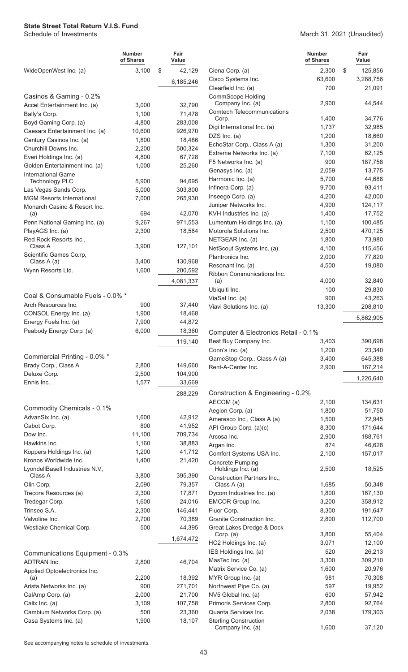|                                                         | <b>Number</b><br>of Shares | Fair<br>Value     |                                                     | <b>Number</b><br>of Shares | Fair<br>Value      |
|---------------------------------------------------------|----------------------------|-------------------|-----------------------------------------------------|----------------------------|--------------------|
| WideOpenWest Inc. (a)                                   | 3,100                      | \$<br>42,129      | Ciena Corp. (a)                                     | 2,300                      | \$<br>125,856      |
|                                                         |                            | 6,185,246         | Cisco Systems Inc.                                  | 63,600                     | 3,288,756          |
|                                                         |                            |                   | Clearfield Inc. (a)                                 | 700                        | 21,091             |
| Casinos & Gaming - 0.2%<br>Accel Entertainment Inc. (a) | 3,000                      | 32,790            | <b>CommScope Holding</b><br>Company Inc. (a)        | 2,900                      | 44,544             |
| Bally's Corp.                                           | 1,100                      | 71,478            | <b>Comtech Telecommunications</b>                   |                            |                    |
| Boyd Gaming Corp. (a)                                   | 4,800                      | 283,008           | Corp.                                               | 1,400                      | 34,776             |
| Caesars Entertainment Inc. (a)                          | 10,600                     | 926,970           | Digi International Inc. (a)                         | 1,737                      | 32,985             |
| Century Casinos Inc. (a)                                | 1,800                      | 18,486            | DZS $Inc.$ (a)                                      | 1,200                      | 18,660             |
| Churchill Downs Inc.                                    | 2,200                      | 500,324           | EchoStar Corp., Class A (a)                         | 1,300                      | 31,200             |
| Everi Holdings Inc. (a)                                 | 4,800                      | 67,728            | Extreme Networks Inc. (a)<br>F5 Networks Inc. (a)   | 7,100<br>900               | 62,125<br>187,758  |
| Golden Entertainment Inc. (a)                           | 1,000                      | 25,260            | Genasys Inc. (a)                                    | 2,059                      | 13,775             |
| <b>International Game</b><br><b>Technology PLC</b>      | 5,900                      | 94,695            | Harmonic Inc. (a)                                   | 5,700                      | 44,688             |
| Las Vegas Sands Corp.                                   | 5,000                      | 303,800           | Infinera Corp. (a)                                  | 9,700                      | 93,411             |
| <b>MGM Resorts International</b>                        | 7,000                      | 265,930           | Inseego Corp. (a)                                   | 4,200                      | 42,000             |
| Monarch Casino & Resort Inc.                            |                            |                   | Juniper Networks Inc.                               | 4,900                      | 124,117            |
| (a)                                                     | 694                        | 42,070            | KVH Industries Inc. (a)                             | 1,400                      | 17,752             |
| Penn National Gaming Inc. (a)                           | 9,267                      | 971,553           | Lumentum Holdings Inc. (a)                          | 1,100                      | 100,485            |
| PlayAGS Inc. (a)                                        | 2,300                      | 18,584            | Motorola Solutions Inc.                             | 2,500                      | 470,125            |
| Red Rock Resorts Inc.,<br>Class A                       | 3,900                      | 127,101           | NETGEAR Inc. (a)                                    | 1,800                      | 73,980             |
| Scientific Games Co.rp,                                 |                            |                   | NetScout Systems Inc. (a)                           | 4,100                      | 115,456            |
| Class A (a)                                             | 3,400                      | 130,968           | Plantronics Inc.                                    | 2,000                      | 77,820             |
| Wynn Resorts Ltd.                                       | 1,600                      | 200,592           | Resonant Inc. (a)<br>Ribbon Communications Inc.     | 4,500                      | 19,080             |
|                                                         |                            | 4,081,337         | (a)                                                 | 4,000                      | 32,840             |
|                                                         |                            |                   | Ubiquiti Inc.                                       | 100                        | 29,830             |
| Coal & Consumable Fuels - 0.0% *                        |                            |                   | ViaSat Inc. (a)                                     | 900                        | 43,263             |
| Arch Resources Inc.                                     | 900                        | 37,440            | Viavi Solutions Inc. (a)                            | 13,300                     | 208,810            |
| CONSOL Energy Inc. (a)                                  | 1,900                      | 18,468            |                                                     |                            | 5,862,905          |
| Energy Fuels Inc. (a)<br>Peabody Energy Corp. (a)       | 7,900<br>6,000             | 44,872<br>18,360  |                                                     |                            |                    |
|                                                         |                            |                   | Computer & Electronics Retail - 0.1%                |                            |                    |
|                                                         |                            | 119,140           | Best Buy Company Inc.<br>Conn's Inc. (a)            | 3,403<br>1,200             | 390,698<br>23,340  |
| Commercial Printing - 0.0% *                            |                            |                   | GameStop Corp., Class A (a)                         | 3,400                      | 645,388            |
| Brady Corp., Class A                                    | 2,800                      | 149,660           | Rent-A-Center Inc.                                  | 2,900                      | 167,214            |
| Deluxe Corp.                                            | 2,500                      | 104,900           |                                                     |                            |                    |
| Ennis Inc.                                              | 1,577                      | 33,669            |                                                     |                            | 1,226,640          |
|                                                         |                            | 288,229           | Construction & Engineering - 0.2%                   |                            |                    |
|                                                         |                            |                   | AECOM (a)                                           | 2,100                      | 134,631            |
| Commodity Chemicals - 0.1%                              |                            |                   | Aegion Corp. (a)                                    | 1,800                      | 51,750             |
| AdvanSix Inc. (a)                                       | 1,600                      | 42,912            | Ameresco Inc., Class A (a)                          | 1,500                      | 72,945             |
| Cabot Corp.<br>Dow Inc.                                 | 800<br>11,100              | 41,952<br>709,734 | API Group Corp. (a)(c)                              | 8,300                      | 171,644            |
| Hawkins Inc.                                            | 1,160                      | 38,883            | Arcosa Inc.                                         | 2,900                      | 188,761            |
| Koppers Holdings Inc. (a)                               | 1,200                      | 41,712            | Argan Inc.                                          | 874                        | 46,628             |
| Kronos Worldwide Inc.                                   | 1,400                      | 21,420            | Comfort Systems USA Inc.<br><b>Concrete Pumping</b> | 2,100                      | 157,017            |
| LyondellBasell Industries N.V.,                         |                            |                   | Holdings Inc. (a)                                   | 2,500                      | 18,525             |
| Class A                                                 | 3,800                      | 395,390           | Construction Partners Inc.,                         |                            |                    |
| Olin Corp.                                              | 2,090                      | 79,357            | Class A (a)                                         | 1,685                      | 50,348             |
| Trecora Resources (a)                                   | 2,300                      | 17,871            | Dycom Industries Inc. (a)                           | 1,800                      | 167,130            |
| Tredegar Corp.                                          | 1,600                      | 24,016            | EMCOR Group Inc.                                    | 3,200                      | 358,912            |
| Trinseo S.A.<br>Valvoline Inc.                          | 2,300<br>2,700             | 146,441<br>70,389 | Fluor Corp.<br>Granite Construction Inc.            | 8,300<br>2,800             | 191,647<br>112,700 |
| Westlake Chemical Corp.                                 | 500                        | 44,395            | Great Lakes Dredge & Dock                           |                            |                    |
|                                                         |                            |                   | Corp. (a)                                           | 3,800                      | 55,404             |
|                                                         |                            | 1,674,472         | HC2 Holdings Inc. (a)                               | 3,071                      | 12,100             |
| Communications Equipment - 0.3%                         |                            |                   | IES Holdings Inc. (a)                               | 520                        | 26,213             |
| ADTRAN Inc.                                             | 2,800                      | 46,704            | MasTec Inc. (a)                                     | 3,300                      | 309,210            |
| Applied Optoelectronics Inc.                            |                            |                   | Matrix Service Co. (a)                              | 1,600                      | 20,976             |
| (a)                                                     | 2,200                      | 18,392            | MYR Group Inc. (a)                                  | 981                        | 70,308             |
| Arista Networks Inc. (a)                                | 900                        | 271,701           | Northwest Pipe Co. (a)                              | 597                        | 19,952             |
| CalAmp Corp. (a)<br>Calix Inc. (a)                      | 2,000<br>3,109             | 21,700<br>107,758 | NV5 Global Inc. (a)<br>Primoris Services Corp.      | 600<br>2,800               | 57,942<br>92,764   |
| Cambium Networks Corp. (a)                              | 500                        | 23,360            | Quanta Services Inc.                                | 2,038                      | 179,303            |
| Casa Systems Inc. (a)                                   | 1,900                      | 18,107            | <b>Sterling Construction</b>                        |                            |                    |
|                                                         |                            |                   | Company Inc. (a)                                    | 1,600                      | 37,120             |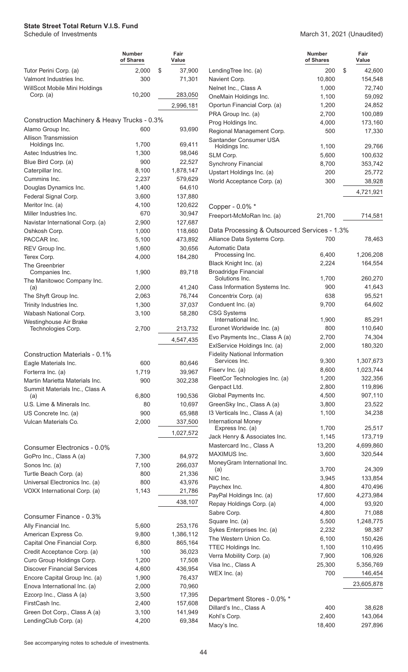|                                                                  | Number<br>of Shares | Fair<br>Value     |  |
|------------------------------------------------------------------|---------------------|-------------------|--|
| Tutor Perini Corp. (a)                                           | 2,000               | \$<br>37,900      |  |
| Valmont Industries Inc.                                          | 300                 | 71,301            |  |
| WillScot Mobile Mini Holdings<br>Corp. (a)                       | 10,200              | 283,050           |  |
|                                                                  |                     | 2,996,181         |  |
|                                                                  |                     |                   |  |
| Construction Machinery & Heavy Trucks - 0.3%                     |                     |                   |  |
| Alamo Group Inc.<br><b>Allison Transmission</b>                  | 600                 | 93,690            |  |
| Holdings Inc.                                                    | 1,700               | 69,411            |  |
| Astec Industries Inc.                                            | 1,300               | 98,046            |  |
| Blue Bird Corp. (a)                                              | 900                 | 22,527            |  |
| Caterpillar Inc.                                                 | 8,100               | 1,878,147         |  |
| Cummins Inc.                                                     | 2,237               | 579,629           |  |
| Douglas Dynamics Inc.                                            | 1,400               | 64,610            |  |
| Federal Signal Corp.                                             | 3,600               | 137,880           |  |
| Meritor Inc. (a)                                                 | 4.100               | 120,622           |  |
| Miller Industries Inc.<br>Navistar International Corp. (a)       | 670<br>2,900        | 30,947<br>127,687 |  |
| Oshkosh Corp.                                                    | 1,000               | 118,660           |  |
| PACCAR Inc.                                                      | 5,100               | 473,892           |  |
| REV Group Inc.                                                   | 1,600               | 30,656            |  |
| Terex Corp.                                                      | 4,000               | 184,280           |  |
| The Greenbrier<br>Companies Inc.                                 | 1,900               | 89,718            |  |
| The Manitowoc Company Inc.                                       |                     |                   |  |
| (a)                                                              | 2,000               | 41,240            |  |
| The Shyft Group Inc.                                             | 2,063               | 76,744            |  |
| Trinity Industries Inc.                                          | 1,300               | 37,037            |  |
| Wabash National Corp.                                            | 3,100               | 58,280            |  |
| Westinghouse Air Brake<br>Technologies Corp.                     | 2,700               | 213,732           |  |
|                                                                  |                     | 4,547,435         |  |
|                                                                  |                     |                   |  |
| Construction Materials - 0.1%                                    |                     |                   |  |
| Eagle Materials Inc.                                             | 600                 | 80,646            |  |
| Forterra Inc. (a)                                                | 1,719               | 39,967            |  |
| Martin Marietta Materials Inc.<br>Summit Materials Inc., Class A | 900                 | 302,238           |  |
| (a)                                                              | 6,800               | 190,536           |  |
| U.S. Lime & Minerals Inc.                                        | 80                  | 10,697            |  |
| US Concrete Inc. (a)                                             | 900                 | 65,988            |  |
| Vulcan Materials Co.                                             | 2,000               | 337,500           |  |
|                                                                  |                     | 1,027,572         |  |
| Consumer Electronics - 0.0%                                      |                     |                   |  |
| GoPro Inc., Class A (a)                                          | 7,300               | 84,972            |  |
| Sonos Inc. (a)                                                   | 7,100               | 266,037           |  |
| Turtle Beach Corp. (a)                                           | 800                 | 21,336            |  |
| Universal Electronics Inc. (a)                                   | 800                 | 43,976            |  |
| VOXX International Corp. (a)                                     | 1,143               | 21,786            |  |
|                                                                  |                     | 438,107           |  |
| Consumer Finance - 0.3%                                          |                     |                   |  |
| Ally Financial Inc.                                              | 5,600               | 253,176           |  |
| American Express Co.                                             | 9,800               | 1,386,112         |  |
| Capital One Financial Corp.                                      | 6,800<br>100        | 865,164<br>36,023 |  |
| Credit Acceptance Corp. (a)<br>Curo Group Holdings Corp.         | 1,200               | 17,508            |  |
| <b>Discover Financial Services</b>                               | 4,600               | 436,954           |  |
| Encore Capital Group Inc. (a)                                    | 1,900               | 76,437            |  |
| Enova International Inc. (a)                                     | 2,000               | 70,960            |  |
| Ezcorp Inc., Class A (a)                                         | 3,500               | 17,395            |  |
| FirstCash Inc.                                                   | 2,400               | 157,608           |  |
| Green Dot Corp., Class A (a)                                     | 3,100               | 141,949           |  |
| landinaCluh Corn (a)                                             | 4.200               | 69 384            |  |

**Number of Shares Fair Value** March 31, 2021 (Unaudited)

|                                                                     | <b>Number</b><br>of Shares | Fair<br>Value     |                                              | <b>Number</b><br>of Shares | Fair<br>Value        |
|---------------------------------------------------------------------|----------------------------|-------------------|----------------------------------------------|----------------------------|----------------------|
| Tutor Perini Corp. (a)                                              | 2,000<br>\$                | 37,900            | LendingTree Inc. (a)                         | 200                        | \$<br>42,600         |
| Valmont Industries Inc.                                             | 300                        | 71,301            | Navient Corp.                                | 10,800                     | 154,548              |
| WillScot Mobile Mini Holdings                                       |                            |                   | Nelnet Inc., Class A                         | 1,000                      | 72,740               |
| Corp. $(a)$                                                         | 10,200                     | 283,050           | OneMain Holdings Inc.                        | 1,100                      | 59,092               |
|                                                                     |                            | 2,996,181         | Oportun Financial Corp. (a)                  | 1,200                      | 24,852               |
|                                                                     |                            |                   | PRA Group Inc. (a)                           | 2,700                      | 100,089              |
| Construction Machinery & Heavy Trucks - 0.3%                        |                            |                   | Prog Holdings Inc.                           | 4,000                      | 173,160              |
| Alamo Group Inc.<br><b>Allison Transmission</b>                     | 600                        | 93,690            | Regional Management Corp.                    | 500                        | 17,330               |
| Holdings Inc.                                                       | 1,700                      | 69,411            | Santander Consumer USA                       | 1,100                      | 29,766               |
| Astec Industries Inc.                                               | 1,300                      | 98,046            | Holdings Inc.<br>SLM Corp.                   | 5,600                      | 100,632              |
| Blue Bird Corp. (a)                                                 | 900                        | 22,527            | Synchrony Financial                          | 8,700                      | 353,742              |
| Caterpillar Inc.                                                    | 8,100                      | 1,878,147         | Upstart Holdings Inc. (a)                    | 200                        | 25,772               |
| Cummins Inc.                                                        | 2,237                      | 579,629           | World Acceptance Corp. (a)                   | 300                        | 38,928               |
| Douglas Dynamics Inc.                                               | 1,400                      | 64,610            |                                              |                            |                      |
| Federal Signal Corp.                                                | 3,600                      | 137,880           |                                              |                            | 4,721,921            |
| Meritor Inc. (a)                                                    | 4,100                      | 120,622           | Copper - 0.0% *                              |                            |                      |
| Miller Industries Inc.                                              | 670                        | 30,947            | Freeport-McMoRan Inc. (a)                    | 21,700                     | 714,581              |
| Navistar International Corp. (a)                                    | 2,900                      | 127,687           |                                              |                            |                      |
| Oshkosh Corp.                                                       | 1,000                      | 118,660           | Data Processing & Outsourced Services - 1.3% |                            |                      |
| PACCAR Inc.                                                         | 5,100                      | 473,892           | Alliance Data Systems Corp.                  | 700                        | 78,463               |
| REV Group Inc.                                                      | 1,600                      | 30,656            | Automatic Data                               |                            |                      |
| Terex Corp.                                                         | 4,000                      | 184,280           | Processing Inc.                              | 6,400                      | 1,206,208            |
| The Greenbrier                                                      |                            |                   | Black Knight Inc. (a)                        | 2,224                      | 164,554              |
| Companies Inc.                                                      | 1,900                      | 89,718            | <b>Broadridge Financial</b>                  |                            |                      |
| The Manitowoc Company Inc.                                          |                            |                   | Solutions Inc.                               | 1,700                      | 260,270              |
| (a)                                                                 | 2,000                      | 41,240            | Cass Information Systems Inc.                | 900                        | 41,643               |
| The Shyft Group Inc.                                                | 2,063                      | 76,744            | Concentrix Corp. (a)                         | 638                        | 95,521               |
| Trinity Industries Inc.                                             | 1,300                      | 37,037            | Conduent Inc. (a)                            | 9,700                      | 64,602               |
| Wabash National Corp.                                               | 3,100                      | 58,280            | <b>CSG Systems</b><br>International Inc.     | 1,900                      | 85,291               |
| Westinghouse Air Brake<br>Technologies Corp.                        | 2,700                      | 213,732           | Euronet Worldwide Inc. (a)                   | 800                        | 110,640              |
|                                                                     |                            |                   | Evo Payments Inc., Class A (a)               | 2,700                      | 74,304               |
|                                                                     |                            | 4,547,435         | ExlService Holdings Inc. (a)                 | 2,000                      | 180,320              |
| Construction Materials - 0.1%                                       |                            |                   | <b>Fidelity National Information</b>         |                            |                      |
| Eagle Materials Inc.                                                | 600                        | 80,646            | Services Inc.                                | 9,300                      | 1,307,673            |
| Forterra Inc. (a)                                                   | 1,719                      | 39,967            | Fisery Inc. (a)                              | 8,600                      | 1,023,744            |
| Martin Marietta Materials Inc.                                      | 900                        | 302,238           | FleetCor Technologies Inc. (a)               | 1,200                      | 322,356              |
| Summit Materials Inc., Class A                                      |                            |                   | Genpact Ltd.                                 | 2,800                      | 119,896              |
| (a)                                                                 | 6,800                      | 190,536           | Global Payments Inc.                         | 4,500                      | 907,110              |
| U.S. Lime & Minerals Inc.                                           | 80                         | 10,697            | GreenSky Inc., Class A (a)                   | 3,800                      | 23,522               |
| US Concrete Inc. (a)                                                | 900                        | 65,988            | 13 Verticals Inc., Class A (a)               | 1,100                      | 34,238               |
| Vulcan Materials Co.                                                | 2,000                      | 337,500           | <b>International Money</b>                   |                            |                      |
|                                                                     |                            | 1,027,572         | Express Inc. (a)                             | 1,700                      | 25,517               |
|                                                                     |                            |                   | Jack Henry & Associates Inc.                 | 1,145                      | 173,719<br>4,699,860 |
| Consumer Electronics - 0.0%                                         |                            |                   | Mastercard Inc., Class A<br>MAXIMUS Inc.     | 13,200<br>3,600            | 320,544              |
| GoPro Inc., Class A (a)                                             | 7,300                      | 84,972            | MoneyGram International Inc.                 |                            |                      |
| Sonos Inc. (a)                                                      | 7,100                      | 266,037           | (a)                                          | 3,700                      | 24,309               |
| Turtle Beach Corp. (a)                                              | 800                        | 21,336            | NIC Inc.                                     | 3,945                      | 133,854              |
| Universal Electronics Inc. (a)                                      | 800                        | 43,976            | Paychex Inc.                                 | 4,800                      | 470,496              |
| VOXX International Corp. (a)                                        | 1,143                      | 21,786            | PayPal Holdings Inc. (a)                     | 17,600                     | 4,273,984            |
|                                                                     |                            | 438,107           | Repay Holdings Corp. (a)                     | 4,000                      | 93,920               |
|                                                                     |                            |                   | Sabre Corp.                                  | 4,800                      | 71,088               |
| Consumer Finance - 0.3%                                             |                            |                   | Square Inc. (a)                              | 5,500                      | 1,248,775            |
| Ally Financial Inc.                                                 | 5,600                      | 253,176           | Sykes Enterprises Inc. (a)                   | 2,232                      | 98,387               |
| American Express Co.                                                | 9,800                      | 1,386,112         | The Western Union Co.                        | 6,100                      | 150,426              |
| Capital One Financial Corp.                                         | 6,800<br>100               | 865,164<br>36,023 | TTEC Holdings Inc.                           | 1,100                      | 110,495              |
| Credit Acceptance Corp. (a)                                         |                            |                   | Verra Mobility Corp. (a)                     | 7,900                      | 106,926              |
| Curo Group Holdings Corp.                                           | 1,200                      | 17,508            | Visa Inc., Class A                           | 25,300                     | 5,356,769            |
| <b>Discover Financial Services</b><br>Encore Capital Group Inc. (a) | 4,600                      | 436,954<br>76,437 | WEX Inc. $(a)$                               | 700                        | 146,454              |
| Enova International Inc. (a)                                        | 1,900<br>2,000             | 70,960            |                                              |                            | 23,605,878           |
| Ezcorp Inc., Class A (a)                                            | 3,500                      | 17,395            |                                              |                            |                      |
| FirstCash Inc.                                                      | 2,400                      | 157,608           | Department Stores - 0.0% *                   |                            |                      |
| Green Dot Corp., Class A (a)                                        | 3,100                      | 141,949           | Dillard's Inc., Class A                      | 400                        | 38,628               |
| LendingClub Corp. (a)                                               | 4,200                      | 69,384            | Kohl's Corp.                                 | 2,400                      | 143,064              |
|                                                                     |                            |                   | Macy's Inc.                                  | 18,400                     | 297,896              |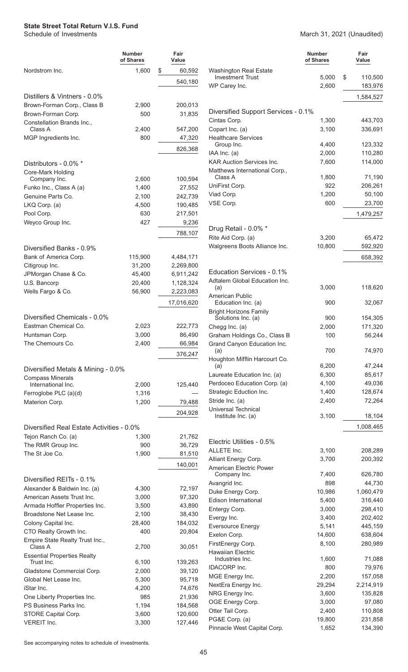**Number of Shares Fair Value** Nordstrom Inc. 1,600 \$ 60,592 540,180 Distillers & Vintners - 0.0% Brown-Forman Corp., Class B 2,900 200,013 Brown-Forman Corp. 600 500 31,835 Constellation Brands Inc., 2,400 547,200 MGP Ingredients Inc. 600 800 47,320 826,368 Distributors - 0.0% \* Core-Mark Holding Company Inc. 2,600 100,594 Funko Inc., Class A (a) 1,400 27,552 Genuine Parts Co. 2,100 242,739 LKQ Corp. (a) 4,500 190,485 Pool Corp. 630 217,501 Weyco Group Inc. 2008 127 9,236 788,107 Diversified Banks - 0.9% Bank of America Corp. 115,900 4,484,171 Citigroup Inc. 2,269,800 31,200 2,269,800 JPMorgan Chase & Co. 45,400 6,911,242 U.S. Bancorp 20,400 1,128,324 Wells Fargo & Co. 66,900 2,223,083 17,016,620 Diversified Chemicals - 0.0% Eastman Chemical Co. 2,023 222,773 Huntsman Corp. 3,000 86,490 The Chemours Co. 2,400 66,984 376,247 Diversified Metals & Mining - 0.0% Compass Minerals International Inc. 2,000 125,440 Ferroglobe PLC  $(a)(d)$  1,316 Materion Corp. 1,200 79,488 204,928 Diversified Real Estate Activities - 0.0% Tejon Ranch Co. (a) 1,300 21,762 The RMR Group Inc. 6900 36,729 The St Joe Co. 2010 1,900 81,510 140,001 Diversified REITs - 0.1% Alexander & Baldwin Inc. (a) 4,300 72,197 American Assets Trust Inc. 3,000 97,320 Armada Hoffler Properties Inc. <br>3,500 43,890 Broadstone Net Lease Inc. 2,100 38,430 Colony Capital Inc. 28,400 184,032 CTO Realty Growth Inc. 400 400 20,804 Empire State Realty Trust Inc., Class A 2,700 30,051 Essential Properties Realty Trust Inc. 139,263 Gladstone Commercial Corp. 2,000 39,120 Global Net Lease Inc. 6,300 95,718 iStar Inc. 4,200 74,676 One Liberty Properties Inc. 6985 21,936 PS Business Parks Inc. 1,194 184,568

March 31, 2021 (Unaudited)

|                                                          | Number<br>of Shares | Fair<br>Value        |
|----------------------------------------------------------|---------------------|----------------------|
| <b>Washington Real Estate</b><br><b>Investment Trust</b> | 5,000               | \$<br>110,500        |
| WP Carey Inc.                                            | 2,600               | 183,976              |
|                                                          |                     | 1,584,527            |
|                                                          |                     |                      |
| Diversified Support Services - 0.1%<br>Cintas Corp.      | 1,300               | 443,703              |
| Copart Inc. (a)                                          | 3,100               | 336,691              |
| <b>Healthcare Services</b>                               |                     |                      |
| Group Inc.                                               | 4,400               | 123,332              |
| IAA Inc. (a)<br><b>KAR Auction Services Inc.</b>         | 2,000<br>7,600      | 110,280<br>114,000   |
| Matthews International Corp.,                            |                     |                      |
| Class A                                                  | 1,800               | 71,190               |
| UniFirst Corp.<br>Viad Corp.                             | 922<br>1,200        | 206,261<br>50,100    |
| VSE Corp.                                                | 600                 | 23,700               |
|                                                          |                     | 1,479,257            |
|                                                          |                     |                      |
| Drug Retail - 0.0% *                                     |                     |                      |
| Rite Aid Corp. (a)<br>Walgreens Boots Alliance Inc.      | 3,200<br>10,800     | 65,472<br>592,920    |
|                                                          |                     | 658,392              |
| Education Services - 0.1%                                |                     |                      |
| Adtalem Global Education Inc.                            |                     |                      |
| (a)                                                      | 3,000               | 118,620              |
| American Public<br>Education Inc. (a)                    | 900                 | 32,067               |
| <b>Bright Horizons Family</b><br>Solutions Inc. (a)      | 900                 | 154,305              |
| Chegg Inc. (a)                                           | 2,000               | 171,320              |
| Graham Holdings Co., Class B                             | 100                 | 56,244               |
| Grand Canyon Education Inc.                              | 700                 | 74,970               |
| (a)<br>Houghton Mifflin Harcourt Co.                     |                     |                      |
| (a)                                                      | 6,200               | 47,244               |
| Laureate Education Inc. (a)                              | 6,300               | 85,617               |
| Perdoceo Education Corp. (a)<br>Strategic Eduction Inc.  | 4,100<br>1,400      | 49,036<br>128,674    |
| Stride Inc. (a)                                          | 2,400               | 72,264               |
| <b>Universal Technical</b>                               |                     |                      |
| Institute Inc. (a)                                       | 3,100               | 18,104               |
|                                                          |                     | 1,008,465            |
| Electric Utilities - 0.5%                                |                     |                      |
| ALLETE Inc.                                              | 3,100<br>3,700      | 208,289<br>200,392   |
| Alliant Energy Corp.<br>American Electric Power          |                     |                      |
| Company Inc.                                             | 7,400               | 626,780              |
| Avangrid Inc.                                            | 898                 | 44,730               |
| Duke Energy Corp.<br>Edison International                | 10,986<br>5,400     | 1,060,479<br>316,440 |
| Entergy Corp.                                            | 3,000               | 298,410              |
| Evergy Inc.                                              | 3,400               | 202,402              |
| <b>Eversource Energy</b>                                 | 5,141               | 445,159              |
| Exelon Corp.                                             | 14,600              | 638,604              |
| FirstEnergy Corp.<br><b>Hawaiian Electric</b>            | 8,100               | 280,989              |
| Industries Inc.                                          | 1,600               | 71,088               |
| <b>IDACORP</b> Inc.                                      | 800                 | 79,976               |
| MGE Energy Inc.<br>NextEra Energy Inc.                   | 2,200               | 157,058              |
| NRG Energy Inc.                                          | 29,294<br>3,600     | 2,214,919<br>135,828 |
| OGE Energy Corp.                                         | 3,000               | 97,080               |
| Otter Tail Corp.                                         | 2,400               | 110,808              |
| PG&E Corp. (a)                                           | 19,800              | 231,858              |
| Pinnacle West Capital Corp.                              | 1,652               | 134,390              |

See accompanying notes to schedule of investments.

STORE Capital Corp. 3,600 120,600 VEREIT Inc. 2,300 127,446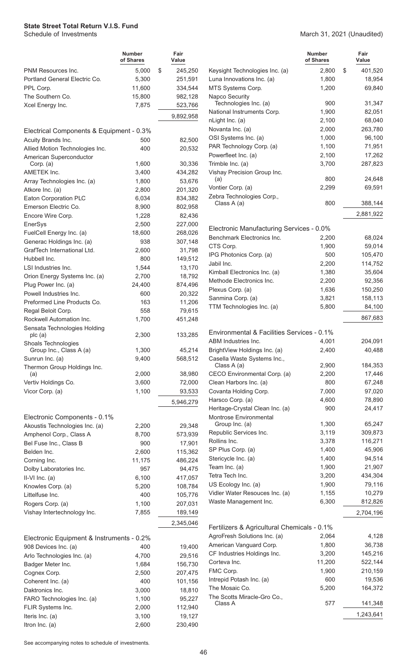|                                            | <b>Number</b><br>of Shares | Fair<br>Value |                                                          | <b>Number</b><br>of Shares | Fair<br>Value     |
|--------------------------------------------|----------------------------|---------------|----------------------------------------------------------|----------------------------|-------------------|
| PNM Resources Inc.                         | 5,000                      | \$<br>245,250 | Keysight Technologies Inc. (a)                           | 2.800                      | \$<br>401,520     |
| Portland General Electric Co.              | 5,300                      | 251,591       | Luna Innovations Inc. (a)                                | 1,800                      | 18,954            |
| PPL Corp.                                  | 11,600                     | 334,544       | MTS Systems Corp.                                        | 1,200                      | 69,840            |
| The Southern Co.                           | 15,800                     | 982,128       | Napco Security                                           |                            |                   |
| Xcel Energy Inc.                           | 7,875                      | 523,766       | Technologies Inc. (a)                                    | 900                        | 31,347            |
|                                            |                            | 9,892,958     | National Instruments Corp.                               | 1,900                      | 82,051            |
|                                            |                            |               | nLight Inc. (a)                                          | 2,100                      | 68,040            |
| Electrical Components & Equipment - 0.3%   |                            |               | Novanta Inc. (a)                                         | 2,000                      | 263,780           |
| Acuity Brands Inc.                         | 500                        | 82,500        | OSI Systems Inc. (a)                                     | 1,000                      | 96,100            |
| Allied Motion Technologies Inc.            | 400                        | 20,532        | PAR Technology Corp. (a)                                 | 1,100                      | 71,951            |
| American Superconductor                    |                            |               | Powerfleet Inc. (a)                                      | 2,100                      | 17,262            |
| Corp. (a)                                  | 1,600                      | 30,336        | Trimble Inc. (a)                                         | 3,700                      | 287,823           |
| AMETEK Inc.                                | 3,400                      | 434,282       | Vishay Precision Group Inc.                              |                            |                   |
| Array Technologies Inc. (a)                | 1,800                      | 53,676        | (a)                                                      | 800                        | 24,648            |
| Atkore Inc. (a)                            | 2,800                      | 201,320       | Vontier Corp. (a)                                        | 2,299                      | 69,591            |
| Eaton Corporation PLC                      | 6,034                      | 834,382       | Zebra Technologies Corp.,<br>Class A (a)                 | 800                        | 388,144           |
| Emerson Electric Co.                       | 8,900                      | 802,958       |                                                          |                            |                   |
| Encore Wire Corp.                          | 1,228                      | 82,436        |                                                          |                            | 2,881,922         |
| EnerSys                                    | 2,500                      | 227,000       | Electronic Manufacturing Services - 0.0%                 |                            |                   |
| FuelCell Energy Inc. (a)                   | 18,600                     | 268,026       | Benchmark Electronics Inc.                               | 2.200                      | 68,024            |
| Generac Holdings Inc. (a)                  | 938                        | 307,148       | CTS Corp.                                                | 1,900                      | 59,014            |
| GrafTech International Ltd.                | 2,600                      | 31,798        | IPG Photonics Corp. (a)                                  | 500                        | 105,470           |
| Hubbell Inc.                               | 800                        | 149,512       | Jabil Inc.                                               |                            | 114,752           |
| LSI Industries Inc.                        | 1,544                      | 13,170        |                                                          | 2,200                      |                   |
| Orion Energy Systems Inc. (a)              | 2,700                      | 18,792        | Kimball Electronics Inc. (a)<br>Methode Electronics Inc. | 1,380                      | 35,604            |
| Plug Power Inc. (a)                        | 24,400                     | 874,496       |                                                          | 2,200                      | 92,356<br>150,250 |
| Powell Industries Inc.                     | 600                        | 20,322        | Plexus Corp. (a)<br>Sanmina Corp. (a)                    | 1,636<br>3,821             | 158,113           |
| Preformed Line Products Co.                | 163                        | 11,206        | TTM Technologies Inc. (a)                                | 5,800                      |                   |
| Regal Beloit Corp.                         | 558                        | 79,615        |                                                          |                            | 84,100            |
| Rockwell Automation Inc.                   | 1,700                      | 451,248       |                                                          |                            | 867,683           |
| Sensata Technologies Holding               |                            |               | Environmental & Facilities Services - 0.1%               |                            |                   |
| plc(a)                                     | 2,300                      | 133,285       | ABM Industries Inc.                                      | 4,001                      | 204,091           |
| Shoals Technologies                        | 1,300                      | 45,214        | BrightView Holdings Inc. (a)                             | 2,400                      | 40,488            |
| Group Inc., Class A (a)<br>Sunrun Inc. (a) | 9,400                      | 568,512       | Casella Waste Systems Inc.,                              |                            |                   |
| Thermon Group Holdings Inc.                |                            |               | Class A (a)                                              | 2,900                      | 184,353           |
| (a)                                        | 2,000                      | 38,980        | CECO Environmental Corp. (a)                             | 2,200                      | 17,446            |
| Vertiv Holdings Co.                        | 3,600                      | 72,000        | Clean Harbors Inc. (a)                                   | 800                        | 67,248            |
| Vicor Corp. (a)                            | 1,100                      | 93,533        | Covanta Holding Corp.                                    | 7,000                      | 97,020            |
|                                            |                            | 5,946,279     | Harsco Corp. (a)                                         | 4,600                      | 78,890            |
|                                            |                            |               | Heritage-Crystal Clean Inc. (a)                          | 900                        | 24,417            |
| Electronic Components - 0.1%               |                            |               | Montrose Environmental                                   |                            |                   |
| Akoustis Technologies Inc. (a)             | 2,200                      | 29,348        | Group Inc. (a)                                           | 1,300                      | 65,247            |
| Amphenol Corp., Class A                    | 8,700                      | 573,939       | Republic Services Inc.                                   | 3,119                      | 309,873           |
| Bel Fuse Inc., Class B                     | 900                        | 17,901        | Rollins Inc.                                             | 3,378                      | 116,271           |
| Belden Inc.                                | 2,600                      | 115,362       | SP Plus Corp. (a)                                        | 1,400                      | 45,906            |
| Corning Inc.                               | 11,175                     | 486,224       | Stericycle Inc. (a)                                      | 1,400                      | 94,514            |
| Dolby Laboratories Inc.                    | 957                        | 94,475        | Team Inc. (a)                                            | 1,900                      | 21,907            |
| $II-VI$ Inc. (a)                           | 6,100                      | 417,057       | Tetra Tech Inc.                                          | 3,200                      | 434,304           |
| Knowles Corp. (a)                          | 5,200                      | 108,784       | US Ecology Inc. (a)                                      | 1,900                      | 79,116            |
| Littelfuse Inc.                            | 400                        | 105,776       | Vidler Water Resouces Inc. (a)                           | 1,155                      | 10,279            |
| Rogers Corp. (a)                           | 1,100                      | 207,031       | Waste Management Inc.                                    | 6,300                      | 812,826           |
| Vishay Intertechnology Inc.                | 7,855                      | 189,149       |                                                          |                            | 2,704,196         |
|                                            |                            | 2,345,046     |                                                          |                            |                   |
|                                            |                            |               | Fertilizers & Agricultural Chemicals - 0.1%              |                            |                   |
| Electronic Equipment & Instruments - 0.2%  |                            |               | AgroFresh Solutions Inc. (a)                             | 2,064                      | 4,128             |
| 908 Devices Inc. (a)                       | 400                        | 19,400        | American Vanguard Corp.                                  | 1,800                      | 36,738            |
| Arlo Technologies Inc. (a)                 | 4,700                      | 29,516        | CF Industries Holdings Inc.                              | 3,200                      | 145,216           |
| Badger Meter Inc.                          | 1,684                      | 156,730       | Corteva Inc.                                             | 11,200                     | 522,144           |
| Cognex Corp.                               | 2,500                      | 207,475       | FMC Corp.                                                | 1,900                      | 210,159           |
| Coherent Inc. (a)                          | 400                        | 101,156       | Intrepid Potash Inc. (a)                                 | 600                        | 19,536            |
| Daktronics Inc.                            | 3,000                      | 18,810        | The Mosaic Co.                                           | 5,200                      | 164,372           |
| FARO Technologies Inc. (a)                 | 1,100                      | 95,227        | The Scotts Miracle-Gro Co.,                              |                            |                   |
| FLIR Systems Inc.                          | 2,000                      | 112,940       | Class A                                                  | 577                        | 141,348           |
| Iteris Inc. (a)                            | 3,100                      | 19,127        |                                                          |                            | 1,243,641         |
| Itron Inc. (a)                             | 2,600                      | 230,490       |                                                          |                            |                   |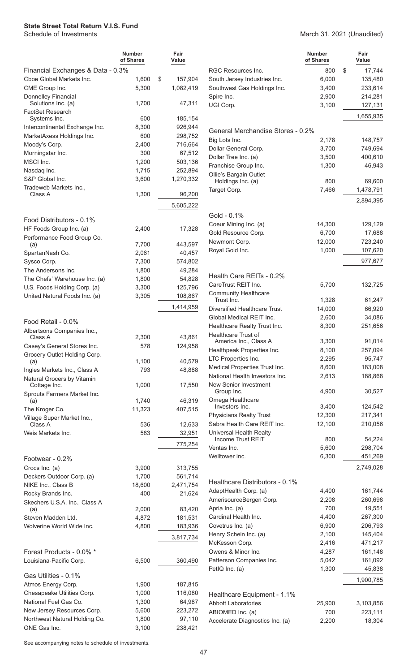|                                                     | <b>Number</b><br>of Shares | Fair<br>Value |
|-----------------------------------------------------|----------------------------|---------------|
| Financial Exchanges & Data - 0.3%                   |                            |               |
| Cboe Global Markets Inc.                            | 1,600                      | \$<br>157,904 |
| CME Group Inc.                                      | 5,300                      | 1,082,419     |
| Donnelley Financial<br>Solutions Inc. (a)           | 1,700                      | 47,311        |
| FactSet Research<br>Systems Inc.                    | 600                        | 185,154       |
| Intercontinental Exchange Inc.                      | 8,300                      | 926.944       |
| MarketAxess Holdings Inc.                           | 600                        | 298,752       |
| Moody's Corp.                                       | 2,400                      | 716,664       |
| Morningstar Inc.                                    | 300                        | 67,512        |
| MSCI Inc.                                           | 1,200                      | 503,136       |
| Nasdag Inc.                                         | 1,715                      | 252,894       |
| S&P Global Inc.                                     | 3,600                      | 1,270,332     |
| Tradeweb Markets Inc.,                              |                            |               |
| Class A                                             | 1,300                      | 96,200        |
|                                                     |                            | 5,605,222     |
| Food Distributors - 0.1%                            |                            |               |
| HF Foods Group Inc. (a)                             | 2,400                      | 17,328        |
| Performance Food Group Co.                          |                            |               |
| (a)                                                 | 7,700                      | 443,597       |
| SpartanNash Co.                                     | 2,061                      | 40,457        |
| Sysco Corp.                                         | 7,300                      | 574,802       |
| The Andersons Inc.                                  | 1,800                      | 49,284        |
| The Chefs' Warehouse Inc. (a)                       | 1,800                      | 54,828        |
| U.S. Foods Holding Corp. (a)                        | 3,300                      | 125,796       |
| United Natural Foods Inc. (a)                       | 3,305                      | 108,867       |
|                                                     |                            | 1,414,959     |
| Food Retail - 0.0%<br>Albertsons Companies Inc.,    |                            |               |
| Class A                                             | 2,300                      | 43,861        |
| Casey's General Stores Inc.                         | 578                        | 124,958       |
| Grocery Outlet Holding Corp.<br>(a)                 | 1,100                      | 40,579        |
| Ingles Markets Inc., Class A                        | 793                        | 48,888        |
| Natural Grocers by Vitamin<br>Cottage Inc.          | 1,000                      | 17,550        |
| Sprouts Farmers Market Inc.                         |                            |               |
| (a)                                                 | 1,740                      | 46,319        |
| The Kroger Co.                                      | 11,323                     | 407,515       |
| Village Super Market Inc.,<br>Class A               | 536                        | 12,633        |
| Weis Markets Inc.                                   | 583                        | 32,951        |
|                                                     |                            | 775,254       |
| Footwear - 0.2%                                     |                            |               |
| Crocs Inc. (a)                                      | 3,900                      | 313,755       |
| Deckers Outdoor Corp. (a)                           | 1,700                      | 561,714       |
| NIKE Inc., Class B                                  | 18,600                     | 2,471,754     |
| Rocky Brands Inc.<br>Skechers U.S.A. Inc., Class A  | 400                        | 21,624        |
| (a)                                                 | 2,000                      | 83,420        |
| Steven Madden Ltd.                                  | 4,872                      | 181,531       |
| Wolverine World Wide Inc.                           | 4,800                      | 183,936       |
|                                                     |                            | 3,817,734     |
|                                                     |                            |               |
| Forest Products - 0.0% *<br>Louisiana-Pacific Corp. | 6,500                      | 360,490       |
| Gas Utilities - 0.1%                                |                            |               |
| Atmos Energy Corp.                                  | 1,900                      | 187,815       |
| Chesapeake Utilities Corp.                          | 1,000                      | 116,080       |
| National Fuel Gas Co.                               | 1,300                      | 64,987        |
| New Jersey Resources Corp.                          | 5,600                      | 223,272       |
| Northwest Natural Holding Co.                       | 1,800                      | 97,110        |
| ONE Gas Inc.                                        | 3,100                      | 238,421       |

#### March 31, 2021 (Unaudited)

|                                                     | <b>Number</b><br>of Shares | Fair<br>Value      |
|-----------------------------------------------------|----------------------------|--------------------|
| RGC Resources Inc.                                  | 800                        | \$<br>17,744       |
| South Jersey Industries Inc.                        | 6,000                      | 135,480            |
| Southwest Gas Holdings Inc.                         | 3,400                      | 233,614            |
| Spire Inc.                                          | 2,900                      | 214,281            |
| UGI Corp.                                           | 3,100                      | 127,131            |
|                                                     |                            | 1,655,935          |
| General Merchandise Stores - 0.2%                   |                            |                    |
| Big Lots Inc.                                       | 2,178                      | 148,757            |
| Dollar General Corp.                                | 3,700                      | 749,694            |
| Dollar Tree Inc. (a)                                | 3,500                      | 400,610            |
| Franchise Group Inc.<br>Ollie's Bargain Outlet      | 1,300                      | 46,943             |
| Holdings Inc. (a)                                   | 800                        | 69,600             |
| Target Corp.                                        | 7,466                      | 1,478,791          |
|                                                     |                            | 2,894,395          |
| Gold - 0.1%                                         |                            |                    |
| Coeur Mining Inc. (a)                               | 14,300                     | 129,129            |
| Gold Resource Corp.                                 | 6,700                      | 17,688             |
| Newmont Corp.                                       | 12,000                     | 723,240            |
| Royal Gold Inc.                                     | 1,000                      | 107,620            |
|                                                     |                            | 977,677            |
| Health Care REITs - 0.2%<br>CareTrust REIT Inc.     | 5,700                      | 132,725            |
| <b>Community Healthcare</b>                         |                            |                    |
| Trust Inc.                                          | 1,328                      | 61,247             |
| Diversified Healthcare Trust                        | 14,000                     | 66,920             |
| Global Medical REIT Inc.                            | 2,600                      | 34,086             |
| Healthcare Realty Trust Inc.                        | 8,300                      | 251,656            |
| <b>Healthcare Trust of</b><br>America Inc., Class A | 3,300                      | 91,014             |
| Healthpeak Properties Inc.                          | 8,100                      | 257,094            |
| LTC Properties Inc.                                 | 2,295                      | 95,747             |
| Medical Properties Trust Inc.                       | 8,600                      | 183,008            |
| National Health Investors Inc.                      | 2,613                      | 188,868            |
| <b>New Senior Investment</b>                        |                            |                    |
| Group Inc.                                          | 4,900                      | 30,527             |
| Omega Healthcare<br>Investors Inc.                  | 3,400                      | 124,542            |
| <b>Physicians Realty Trust</b>                      | 12,300                     | 217,341            |
| Sabra Health Care REIT Inc.                         | 12,100                     | 210,056            |
| Universal Health Realty<br>Income Trust REIT        | 800                        | 54,224             |
| Ventas Inc.                                         | 5,600                      | 298,704            |
| Welltower Inc.                                      | 6,300                      | 451,269            |
|                                                     |                            | 2,749,028          |
| Healthcare Distributors - 0.1%                      |                            |                    |
| AdaptHealth Corp. (a)                               | 4,400                      | 161,744            |
| AmerisourceBergen Corp.                             | 2,208                      | 260,698            |
| Apria Inc. (a)                                      | 700                        | 19,551             |
| Cardinal Health Inc.                                | 4,400                      | 267,300            |
| Covetrus Inc. (a)                                   | 6,900                      | 206,793            |
| Henry Schein Inc. (a)                               | 2,100                      | 145,404            |
| McKesson Corp.<br>Owens & Minor Inc.                | 2,416<br>4,287             | 471,217<br>161,148 |
| Patterson Companies Inc.                            | 5,042                      | 161,092            |
| PetIQ Inc. (a)                                      | 1,300                      | 45,838             |
|                                                     |                            | 1,900,785          |
| Healthcare Equipment - 1.1%                         |                            |                    |
| <b>Abbott Laboratories</b>                          | 25,900                     | 3,103,856          |
| ABIOMED Inc. (a)                                    | 700                        | 223,111            |
| Accelerate Diagnostics Inc. (a)                     | 2,200                      | 18,304             |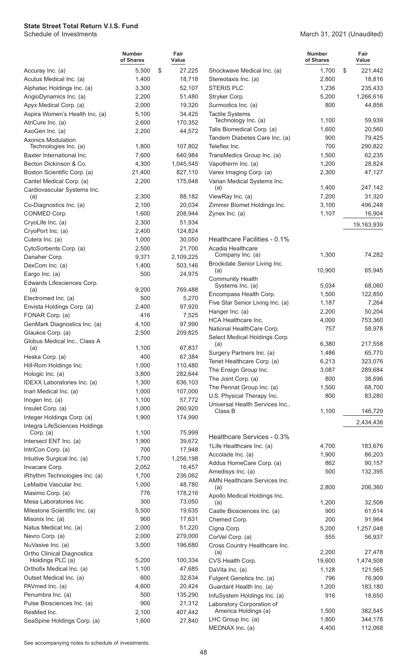March 31, 2021 (Unaudited)

|                                                       | <b>Number</b><br>of Shares | Fair<br>Value     |                                               | <b>Number</b><br>of Shares |   | Fair<br>Value    |
|-------------------------------------------------------|----------------------------|-------------------|-----------------------------------------------|----------------------------|---|------------------|
| Accuray Inc. (a)                                      | 5,500                      | \$<br>27,225      | Shockwave Medical Inc. (a)                    | 1.700                      | S | 221,442          |
| Acutus Medical Inc. (a)                               | 1,400                      | 18,718            | Stereotaxis Inc. (a)                          | 2,800                      |   | 18,816           |
| Alphatec Holdings Inc. (a)                            | 3,300                      | 52,107            | <b>STERIS PLC</b>                             | 1,236                      |   | 235,433          |
| AngioDynamics Inc. (a)                                | 2,200                      | 51,480            | Stryker Corp.                                 | 5,200                      |   | 1,266,616        |
| Apyx Medical Corp. (a)                                | 2,000                      | 19,320            | Surmodics Inc. (a)                            | 800                        |   | 44,856           |
| Aspira Women's Health Inc. (a)                        | 5,100                      | 34,425            | <b>Tactile Systems</b><br>Technology Inc. (a) | 1,100                      |   | 59,939           |
| AtriCure Inc. (a)                                     | 2,600                      | 170,352           | Talis Biomedical Corp. (a)                    | 1,600                      |   | 20,560           |
| AxoGen Inc. (a)<br><b>Axonics Modulation</b>          | 2,200                      | 44,572            | Tandem Diabetes Care Inc. (a)                 | 900                        |   | 79,425           |
| Technologies Inc. (a)                                 | 1,800                      | 107,802           | Teleflex Inc.                                 | 700                        |   | 290,822          |
| Baxter International Inc.                             | 7,600                      | 640,984           | TransMedics Group Inc. (a)                    | 1,500                      |   | 62,235           |
| Becton Dickinson & Co.                                | 4,300                      | 1,045,545         | Vapotherm Inc. (a)                            | 1,200                      |   | 28,824           |
| Boston Scientific Corp. (a)                           | 21,400                     | 827,110           | Varex Imaging Corp. (a)                       | 2,300                      |   | 47,127           |
| Cantel Medical Corp. (a)                              | 2,200                      | 175,648           | Varian Medical Systems Inc.                   |                            |   |                  |
| Cardiovascular Systems Inc.                           |                            |                   | (a)                                           | 1,400                      |   | 247,142          |
| (a)                                                   | 2,300                      | 88,182            | ViewRay Inc. (a)                              | 7,200                      |   | 31,320           |
| Co-Diagnostics Inc. (a)                               | 2,100                      | 20,034            | Zimmer Biomet Holdings Inc.                   | 3,100                      |   | 496,248          |
| CONMED Corp.                                          | 1,600                      | 208,944           | Zynex Inc. (a)                                | 1,107                      |   | 16,904           |
| CryoLife Inc. (a)                                     | 2,300                      | 51,934            |                                               |                            |   | 19,163,939       |
| CryoPort Inc. (a)                                     | 2,400                      | 124,824           |                                               |                            |   |                  |
| Cutera Inc. (a)                                       | 1,000                      | 30,050            | Healthcare Facilities - 0.1%                  |                            |   |                  |
| CytoSorbents Corp. (a)                                | 2,500                      | 21,700            | Acadia Healthcare<br>Company Inc. (a)         | 1,300                      |   | 74,282           |
| Danaher Corp.                                         | 9,371                      | 2,109,225         | Brookdale Senior Living Inc.                  |                            |   |                  |
| DexCom Inc. (a)                                       | 1,400                      | 503,146           | (a)                                           | 10,900                     |   | 65,945           |
| Eargo Inc. (a)                                        | 500                        | 24,975            | <b>Community Health</b>                       |                            |   |                  |
| Edwards Lifesciences Corp.<br>(a)                     | 9,200                      | 769,488           | Systems Inc. (a)                              | 5,034                      |   | 68,060           |
| Electromed Inc. (a)                                   | 500                        | 5,270             | Encompass Health Corp.                        | 1,500                      |   | 122,850          |
| Envista Holdings Corp. (a)                            | 2,400                      | 97,920            | Five Star Senior Living Inc. (a)              | 1,187                      |   | 7,264            |
| FONAR Corp. (a)                                       | 416                        | 7,525             | Hanger Inc. (a)                               | 2,200                      |   | 50,204           |
| GenMark Diagnostics Inc. (a)                          | 4,100                      | 97,990            | <b>HCA Healthcare Inc.</b>                    | 4,000                      |   | 753,360          |
| Glaukos Corp. (a)                                     | 2,500                      | 209,825           | National HealthCare Corp.                     | 757                        |   | 58,978           |
| Globus Medical Inc., Class A                          |                            |                   | Select Medical Holdings Corp.<br>(a)          | 6,380                      |   | 217,558          |
| (a)                                                   | 1,100                      | 67,837            | Surgery Partners Inc. (a)                     | 1,486                      |   | 65,770           |
| Heska Corp. (a)                                       | 400                        | 67,384            | Tenet Healthcare Corp. (a)                    | 6,213                      |   | 323,076          |
| Hill-Rom Holdings Inc.                                | 1,000                      | 110,480           | The Ensign Group Inc.                         | 3,087                      |   | 289,684          |
| Hologic Inc. (a)                                      | 3,800                      | 282,644           | The Joint Corp. (a)                           | 800                        |   | 38,696           |
| IDEXX Laboratories Inc. (a)                           | 1,300                      | 636,103           | The Pennat Group Inc. (a)                     | 1,500                      |   | 68,700           |
| Inari Medical Inc. (a)                                | 1,000<br>1,100             | 107,000<br>57,772 | U.S. Physical Therapy Inc.                    | 800                        |   | 83,280           |
| Inogen Inc. (a)<br>Insulet Corp. (a)                  | 1,000                      | 260,920           | Universal Health Services Inc.,               |                            |   |                  |
| Integer Holdings Corp. (a)                            | 1,900                      | 174,990           | Class B                                       | 1,100                      |   | 146,729          |
| Integra LifeSciences Holdings                         |                            |                   |                                               |                            |   | 2,434,436        |
| Corp. (a)                                             | 1,100                      | 75,999            |                                               |                            |   |                  |
| Intersect ENT Inc. (a)                                | 1,900                      | 39,672            | Healthcare Services - 0.3%                    |                            |   |                  |
| IntriCon Corp. (a)                                    | 700                        | 17,948            | 1Life Healthcare Inc. (a)                     | 4,700                      |   | 183,676          |
| Intuitive Surgical Inc. (a)                           | 1,700                      | 1,256,198         | Accolade Inc. (a)<br>Addus HomeCare Corp. (a) | 1,900<br>862               |   | 86,203<br>90,157 |
| Invacare Corp.                                        | 2,052                      | 16,457            | Amedisys Inc. (a)                             | 500                        |   | 132,395          |
| iRhythm Technologies Inc. (a)                         | 1,700                      | 236,062           | AMN Healthcare Services Inc.                  |                            |   |                  |
| LeMaitre Vascular Inc.                                | 1,000                      | 48,780            | (a)                                           | 2,800                      |   | 206,360          |
| Masimo Corp. (a)                                      | 776                        | 178,216           | Apollo Medical Holdings Inc.                  |                            |   |                  |
| Mesa Laboratories Inc.                                | 300                        | 73,050            | (a)                                           | 1,200                      |   | 32,508           |
| Milestone Scientific Inc. (a)                         | 5,500                      | 19,635            | Castle Biosciences Inc. (a)                   | 900                        |   | 61,614           |
| Misonix Inc. (a)                                      | 900                        | 17,631            | Chemed Corp.                                  | 200                        |   | 91,964           |
| Natus Medical Inc. (a)                                | 2,000                      | 51,220            | Cigna Corp.                                   | 5,200                      |   | 1,257,048        |
| Nevro Corp. (a)                                       | 2,000                      | 279,000           | CorVel Corp. (a)                              | 555                        |   | 56,937           |
| NuVasive Inc. (a)                                     | 3,000                      | 196,680           | Cross Country Healthcare Inc.<br>(a)          | 2,200                      |   | 27,478           |
| <b>Ortho Clinical Diagnostics</b><br>Holdings PLC (a) | 5,200                      | 100,334           | CVS Health Corp.                              | 19,600                     |   | 1,474,508        |
| Orthofix Medical Inc. (a)                             | 1,100                      | 47,685            | DaVita Inc. (a)                               | 1,128                      |   | 121,565          |
| Outset Medical Inc. (a)                               | 600                        | 32,634            | Fulgent Genetics Inc. (a)                     | 796                        |   | 76,909           |
| PAVmed Inc. (a)                                       | 4,600                      | 20,424            | Guardant Health Inc. (a)                      | 1,200                      |   | 183,180          |
| Penumbra Inc. (a)                                     | 500                        | 135,290           | InfuSystem Holdings Inc. (a)                  | 916                        |   | 18,650           |
| Pulse Biosciences Inc. (a)                            | 900                        | 21,312            | Laboratory Corporation of                     |                            |   |                  |
| ResMed Inc.                                           | 2,100                      | 407,442           | America Holdings (a)                          | 1,500                      |   | 382,545          |
| SeaSpine Holdings Corp. (a)                           | 1,600                      | 27,840            | LHC Group Inc. (a)                            | 1,800                      |   | 344,178          |
|                                                       |                            |                   | MEDNAX Inc. (a)                               | 4,400                      |   | 112,068          |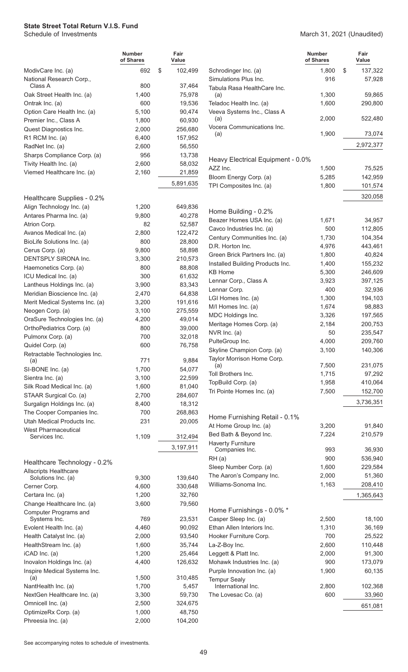March 31, 2021 (Unaudited)

|                                                              | <b>Number</b><br>of Shares | Fair<br>Value      |                                                    | <b>Number</b><br>of Shares | Fair<br>Value           |
|--------------------------------------------------------------|----------------------------|--------------------|----------------------------------------------------|----------------------------|-------------------------|
| ModivCare Inc. (a)<br>National Research Corp.,               | 692                        | \$<br>102,499      | Schrodinger Inc. (a)<br>Simulations Plus Inc.      | 1,800<br>916               | \$<br>137,322<br>57,928 |
| Class A                                                      | 800                        | 37,464             | Tabula Rasa HealthCare Inc.                        |                            |                         |
| Oak Street Health Inc. (a)                                   | 1,400                      | 75,978             | (a)                                                | 1,300                      | 59,865                  |
| Ontrak Inc. (a)                                              | 600                        | 19,536             | Teladoc Health Inc. (a)                            | 1,600                      | 290,800                 |
| Option Care Health Inc. (a)                                  | 5,100                      | 90,474             | Veeva Systems Inc., Class A                        | 2,000                      | 522,480                 |
| Premier Inc., Class A                                        | 1,800                      | 60,930             | (a)<br>Vocera Communications Inc.                  |                            |                         |
| Quest Diagnostics Inc.<br>R1 RCM Inc. (a)                    | 2,000<br>6,400             | 256,680<br>157,952 | (a)                                                | 1,900                      | 73,074                  |
| RadNet Inc. (a)                                              | 2,600                      | 56,550             |                                                    |                            | 2,972,377               |
| Sharps Compliance Corp. (a)                                  | 956                        | 13,738             |                                                    |                            |                         |
| Tivity Health Inc. (a)                                       | 2,600                      | 58,032             | Heavy Electrical Equipment - 0.0%                  |                            |                         |
| Viemed Healthcare Inc. (a)                                   | 2,160                      | 21,859             | AZZ Inc.                                           | 1,500                      | 75,525                  |
|                                                              |                            | 5,891,635          | Bloom Energy Corp. (a)                             | 5,285                      | 142,959                 |
|                                                              |                            |                    | TPI Composites Inc. (a)                            | 1,800                      | 101,574                 |
| Healthcare Supplies - 0.2%                                   |                            |                    |                                                    |                            | 320,058                 |
| Align Technology Inc. (a)                                    | 1,200                      | 649,836            | Home Building - 0.2%                               |                            |                         |
| Antares Pharma Inc. (a)                                      | 9,800                      | 40,278             | Beazer Homes USA Inc. (a)                          | 1,671                      | 34,957                  |
| Atrion Corp.                                                 | 82                         | 52,587             | Cavco Industries Inc. (a)                          | 500                        | 112,805                 |
| Avanos Medical Inc. (a)                                      | 2,800                      | 122,472            | Century Communities Inc. (a)                       | 1,730                      | 104,354                 |
| BioLife Solutions Inc. (a)                                   | 800                        | 28,800             | D.R. Horton Inc.                                   | 4,976                      | 443,461                 |
| Cerus Corp. (a)<br>DENTSPLY SIRONA Inc.                      | 9,800<br>3,300             | 58,898<br>210,573  | Green Brick Partners Inc. (a)                      | 1,800                      | 40,824                  |
| Haemonetics Corp. (a)                                        | 800                        | 88,808             | Installed Building Products Inc.                   | 1,400                      | 155,232                 |
| ICU Medical Inc. (a)                                         | 300                        | 61,632             | <b>KB Home</b>                                     | 5,300                      | 246,609                 |
| Lantheus Holdings Inc. (a)                                   | 3,900                      | 83,343             | Lennar Corp., Class A                              | 3,923                      | 397,125                 |
| Meridian Bioscience Inc. (a)                                 | 2,470                      | 64,838             | Lennar Corp.                                       | 400                        | 32,936                  |
| Merit Medical Systems Inc. (a)                               | 3,200                      | 191,616            | LGI Homes Inc. (a)                                 | 1,300                      | 194,103                 |
| Neogen Corp. (a)                                             | 3,100                      | 275,559            | M/I Homes Inc. (a)                                 | 1,674                      | 98,883                  |
| OraSure Technologies Inc. (a)                                | 4,200                      | 49,014             | MDC Holdings Inc.                                  | 3,326                      | 197,565                 |
| OrthoPediatrics Corp. (a)                                    | 800                        | 39,000             | Meritage Homes Corp. (a)                           | 2,184                      | 200,753                 |
| Pulmonx Corp. (a)                                            | 700                        | 32,018             | NVR Inc. (a)                                       | 50                         | 235,547                 |
| Quidel Corp. (a)                                             | 600                        | 76,758             | PulteGroup Inc.<br>Skyline Champion Corp. (a)      | 4,000<br>3,100             | 209,760<br>140,306      |
| Retractable Technologies Inc.                                |                            |                    | Taylor Morrison Home Corp.                         |                            |                         |
| (a)                                                          | 771<br>1,700               | 9,884<br>54,077    | (a)                                                | 7,500                      | 231,075                 |
| SI-BONE Inc. (a)<br>Sientra Inc. (a)                         | 3,100                      | 22,599             | Toll Brothers Inc.                                 | 1,715                      | 97,292                  |
| Silk Road Medical Inc. (a)                                   | 1,600                      | 81,040             | TopBuild Corp. (a)                                 | 1,958                      | 410,064                 |
| STAAR Surgical Co. (a)                                       | 2,700                      | 284,607            | Tri Pointe Homes Inc. (a)                          | 7,500                      | 152,700                 |
| Surgalign Holdings Inc. (a)                                  | 8,400                      | 18,312             |                                                    |                            | 3,736,351               |
| The Cooper Companies Inc.                                    | 700                        | 268,863            |                                                    |                            |                         |
| Utah Medical Products Inc.                                   | 231                        | 20,005             | Home Furnishing Retail - 0.1%                      |                            |                         |
| <b>West Pharmaceutical</b>                                   |                            |                    | At Home Group Inc. (a)                             | 3,200                      | 91,840                  |
| Services Inc.                                                | 1,109                      | 312,494            | Bed Bath & Beyond Inc.<br><b>Haverty Furniture</b> | 7,224                      | 210,579                 |
|                                                              |                            | 3,197,911          | Companies Inc.                                     | 993                        | 36,930                  |
|                                                              |                            |                    | RH(a)                                              | 900                        | 536,940                 |
| Healthcare Technology - 0.2%<br><b>Allscripts Healthcare</b> |                            |                    | Sleep Number Corp. (a)                             | 1,600                      | 229,584                 |
| Solutions Inc. (a)                                           | 9,300                      | 139,640            | The Aaron's Company Inc.                           | 2,000                      | 51,360                  |
| Cerner Corp.                                                 | 4,600                      | 330,648            | Williams-Sonoma Inc.                               | 1,163                      | 208,410                 |
| Certara Inc. (a)                                             | 1,200                      | 32,760             |                                                    |                            | 1,365,643               |
| Change Healthcare Inc. (a)                                   | 3,600                      | 79,560             |                                                    |                            |                         |
| Computer Programs and                                        |                            |                    | Home Furnishings - 0.0% *                          |                            |                         |
| Systems Inc.                                                 | 769                        | 23,531             | Casper Sleep Inc. (a)                              | 2,500                      | 18,100                  |
| Evolent Health Inc. (a)                                      | 4,460                      | 90,092             | Ethan Allen Interiors Inc.                         | 1,310                      | 36,169                  |
| Health Catalyst Inc. (a)                                     | 2,000                      | 93,540             | Hooker Furniture Corp.                             | 700                        | 25,522                  |
| HealthStream Inc. (a)<br>iCAD Inc. (a)                       | 1,600<br>1,200             | 35,744<br>25,464   | La-Z-Boy Inc.<br>Leggett & Platt Inc.              | 2,600<br>2,000             | 110,448<br>91,300       |
| Inovalon Holdings Inc. (a)                                   | 4,400                      | 126,632            | Mohawk Industries Inc. (a)                         | 900                        | 173,079                 |
| Inspire Medical Systems Inc.                                 |                            |                    | Purple Innovation Inc. (a)                         | 1,900                      | 60,135                  |
| (a)                                                          | 1,500                      | 310,485            | <b>Tempur Sealy</b>                                |                            |                         |
| NantHealth Inc. (a)                                          | 1,700                      | 5,457              | International Inc.                                 | 2,800                      | 102,368                 |
| NextGen Healthcare Inc. (a)                                  | 3,300                      | 59,730             | The Lovesac Co. (a)                                | 600                        | 33,960                  |
| Omnicell Inc. (a)                                            | 2,500                      | 324,675            |                                                    |                            | 651,081                 |
| OptimizeRx Corp. (a)                                         | 1,000                      | 48,750             |                                                    |                            |                         |
| Phreesia Inc. (a)                                            | 2,000                      | 104,200            |                                                    |                            |                         |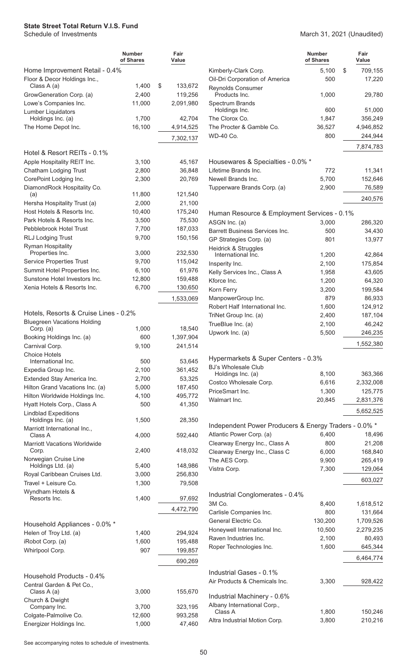|                                                   | <b>Number</b><br>of Shares | Fair<br>Value      |                                                            | <b>Number</b><br>of Shares | Fair<br>Value       |
|---------------------------------------------------|----------------------------|--------------------|------------------------------------------------------------|----------------------------|---------------------|
| Home Improvement Retail - 0.4%                    |                            |                    | Kimberly-Clark Corp.                                       | 5,100                      | \$<br>709,155       |
| Floor & Decor Holdings Inc.,                      |                            |                    | Oil-Dri Corporation of America                             | 500                        | 17,220              |
| Class A (a)                                       | 1,400                      | \$<br>133,672      | <b>Reynolds Consumer</b>                                   |                            |                     |
| GrowGeneration Corp. (a)                          | 2,400                      | 119,256            | Products Inc.                                              | 1,000                      | 29,780              |
| Lowe's Companies Inc.                             | 11,000                     | 2,091,980          | Spectrum Brands<br>Holdings Inc.                           | 600                        | 51,000              |
| Lumber Liquidators<br>Holdings Inc. (a)           | 1,700                      | 42,704             | The Clorox Co.                                             | 1,847                      | 356,249             |
| The Home Depot Inc.                               | 16,100                     | 4,914,525          | The Procter & Gamble Co.                                   | 36,527                     | 4,946,852           |
|                                                   |                            | 7,302,137          | <b>WD-40 Co.</b>                                           | 800                        | 244,944             |
|                                                   |                            |                    |                                                            |                            | 7,874,783           |
| Hotel & Resort REITs - 0.1%                       |                            |                    |                                                            |                            |                     |
| Apple Hospitality REIT Inc.                       | 3,100                      | 45,167             | Housewares & Specialties - 0.0% *                          |                            |                     |
| Chatham Lodging Trust                             | 2,800                      | 36,848             | Lifetime Brands Inc.                                       | 772                        | 11,341              |
| CorePoint Lodging Inc.                            | 2,300                      | 20,769             | Newell Brands Inc.                                         | 5,700                      | 152,646             |
| DiamondRock Hospitality Co.<br>(a)                | 11,800                     | 121,540            | Tupperware Brands Corp. (a)                                | 2,900                      | 76,589              |
| Hersha Hospitality Trust (a)                      | 2,000                      | 21,100             |                                                            |                            | 240,576             |
| Host Hotels & Resorts Inc.                        | 10,400                     | 175,240            | Human Resource & Employment Services - 0.1%                |                            |                     |
| Park Hotels & Resorts Inc.                        | 3,500                      | 75,530             | ASGN Inc. (a)                                              | 3,000                      | 286,320             |
| Pebblebrook Hotel Trust                           | 7,700                      | 187,033            | <b>Barrett Business Services Inc.</b>                      | 500                        | 34,430              |
| <b>RLJ Lodging Trust</b>                          | 9,700                      | 150,156            | GP Strategies Corp. (a)                                    | 801                        | 13,977              |
| <b>Ryman Hospitality</b>                          |                            |                    | Heidrick & Struggles                                       |                            |                     |
| Properties Inc.                                   | 3,000                      | 232,530            | International Inc.                                         | 1,200                      | 42,864              |
| <b>Service Properties Trust</b>                   | 9,700                      | 115,042            | Insperity Inc.                                             | 2,100                      | 175,854             |
| Summit Hotel Properties Inc.                      | 6,100                      | 61,976             | Kelly Services Inc., Class A                               | 1,958                      | 43,605              |
| Sunstone Hotel Investors Inc.                     | 12,800                     | 159,488            | Kforce Inc.                                                | 1,200                      | 64,320              |
| Xenia Hotels & Resorts Inc.                       | 6,700                      | 130,650            | Korn Ferry                                                 | 3,200                      | 199,584             |
|                                                   |                            | 1,533,069          | ManpowerGroup Inc.                                         | 879                        | 86,933              |
|                                                   |                            |                    | Robert Half International Inc.                             | 1,600                      | 124,912             |
| Hotels, Resorts & Cruise Lines - 0.2%             |                            |                    | TriNet Group Inc. (a)                                      | 2,400                      | 187,104             |
| <b>Bluegreen Vacations Holding</b><br>Corp. (a)   | 1,000                      | 18,540             | TrueBlue Inc. (a)                                          | 2,100                      | 46,242              |
| Booking Holdings Inc. (a)                         | 600                        | 1,397,904          | Upwork Inc. (a)                                            | 5,500                      | 246,235             |
| Carnival Corp.                                    | 9,100                      | 241,514            |                                                            |                            | 1,552,380           |
| <b>Choice Hotels</b>                              |                            |                    |                                                            |                            |                     |
| International Inc.                                | 500                        | 53,645             | Hypermarkets & Super Centers - 0.3%                        |                            |                     |
| Expedia Group Inc.                                | 2,100                      | 361,452            | <b>BJ's Wholesale Club</b><br>Holdings Inc. (a)            | 8,100                      | 363,366             |
| Extended Stay America Inc.                        | 2,700                      | 53,325             | Costco Wholesale Corp.                                     | 6,616                      | 2,332,008           |
| Hilton Grand Vacations Inc. (a)                   | 5,000                      | 187,450            | PriceSmart Inc.                                            | 1,300                      | 125,775             |
| Hilton Worldwide Holdings Inc.                    | 4,100                      | 495,772            | Walmart Inc.                                               | 20,845                     | 2,831,376           |
| Hyatt Hotels Corp., Class A                       | 500                        | 41,350             |                                                            |                            |                     |
| <b>Lindblad Expeditions</b><br>Holdings Inc. (a)  | 1,500                      | 28,350             |                                                            |                            | 5,652,525           |
| Marriott International Inc.,                      |                            |                    | Independent Power Producers & Energy Traders - 0.0% *      |                            |                     |
| Class A                                           | 4,000                      | 592,440            | Atlantic Power Corp. (a)                                   | 6,400                      | 18,496              |
| <b>Marriott Vacations Worldwide</b>               |                            |                    | Clearway Energy Inc., Class A                              | 800                        | 21,208              |
| Corp.                                             | 2,400                      | 418,032            | Clearway Energy Inc., Class C                              | 6,000                      | 168,840             |
| Norwegian Cruise Line                             |                            |                    | The AES Corp.                                              | 9,900                      | 265,419             |
| Holdings Ltd. (a)<br>Royal Caribbean Cruises Ltd. | 5,400<br>3,000             | 148,986<br>256,830 | Vistra Corp.                                               | 7,300                      | 129,064             |
| Travel + Leisure Co.                              | 1,300                      | 79,508             |                                                            |                            | 603,027             |
| Wyndham Hotels &                                  |                            |                    |                                                            |                            |                     |
| Resorts Inc.                                      | 1,400                      | 97,692             | Industrial Conglomerates - 0.4%                            |                            |                     |
|                                                   |                            | 4,472,790          | 3M Co.                                                     | 8,400                      | 1,618,512           |
|                                                   |                            |                    | Carlisle Companies Inc.                                    | 800                        | 131,664             |
| Household Appliances - 0.0% *                     |                            |                    | General Electric Co.                                       | 130,200                    | 1,709,526           |
| Helen of Troy Ltd. (a)                            | 1,400                      | 294,924            | Honeywell International Inc.<br>Raven Industries Inc.      | 10,500<br>2,100            | 2,279,235<br>80,493 |
| iRobot Corp. (a)                                  | 1,600                      | 195,488            | Roper Technologies Inc.                                    | 1,600                      | 645,344             |
| Whirlpool Corp.                                   | 907                        | 199,857            |                                                            |                            |                     |
|                                                   |                            | 690,269            |                                                            |                            | 6,464,774           |
| Household Products - 0.4%                         |                            |                    | Industrial Gases - 0.1%                                    |                            |                     |
| Central Garden & Pet Co.,                         |                            |                    | Air Products & Chemicals Inc.                              | 3,300                      | 928,422             |
| Class A (a)                                       | 3,000                      | 155,670            |                                                            |                            |                     |
| Church & Dwight                                   |                            |                    | Industrial Machinery - 0.6%<br>Albany International Corp., |                            |                     |
| Company Inc.                                      | 3,700                      | 323,195            | Class A                                                    | 1,800                      | 150,246             |
| Colgate-Palmolive Co.                             | 12,600                     | 993,258            | Altra Industrial Motion Corp.                              | 3,800                      | 210,216             |
| Energizer Holdings Inc.                           | 1,000                      | 47,460             |                                                            |                            |                     |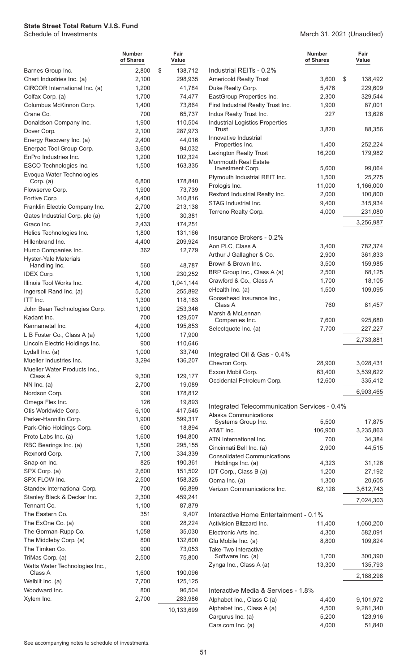March 31, 2021 (Unaudited)

|                                        | <b>Number</b><br>of Shares | Fair<br>Value     |                                                         | <b>Number</b><br>of Shares | Fair<br>Value |
|----------------------------------------|----------------------------|-------------------|---------------------------------------------------------|----------------------------|---------------|
| Barnes Group Inc.                      | 2,800                      | \$<br>138,712     | Industrial REITs - 0.2%                                 |                            |               |
| Chart Industries Inc. (a)              | 2,100                      | 298,935           | <b>Americold Realty Trust</b>                           | 3,600                      | \$<br>138,492 |
| CIRCOR International Inc. (a)          | 1,200                      | 41,784            | Duke Realty Corp.                                       | 5,476                      | 229,609       |
| Colfax Corp. (a)                       | 1,700                      | 74,477            | EastGroup Properties Inc.                               | 2,300                      | 329,544       |
| Columbus McKinnon Corp.                | 1,400                      | 73,864            | First Industrial Realty Trust Inc.                      | 1,900                      | 87,001        |
| Crane Co.                              | 700                        | 65,737            | Indus Realty Trust Inc.                                 | 227                        | 13,626        |
| Donaldson Company Inc.                 | 1,900                      | 110,504           | <b>Industrial Logistics Properties</b><br><b>Trust</b>  |                            |               |
| Dover Corp.                            | 2,100                      | 287,973           | Innovative Industrial                                   | 3,820                      | 88,356        |
| Energy Recovery Inc. (a)               | 2,400                      | 44,016            | Properties Inc.                                         | 1,400                      | 252,224       |
| Enerpac Tool Group Corp.               | 3,600                      | 94,032            | Lexington Realty Trust                                  | 16,200                     | 179,982       |
| EnPro Industries Inc.                  | 1,200                      | 102,324           | <b>Monmouth Real Estate</b>                             |                            |               |
| ESCO Technologies Inc.                 | 1,500                      | 163,335           | Investment Corp.                                        | 5,600                      | 99,064        |
| Evoqua Water Technologies<br>Corp. (a) | 6,800                      | 178,840           | Plymouth Industrial REIT Inc.                           | 1,500                      | 25,275        |
| Flowserve Corp.                        | 1,900                      | 73,739            | Prologis Inc.                                           | 11,000                     | 1,166,000     |
| Fortive Corp.                          | 4,400                      | 310,816           | Rexford Industrial Realty Inc.                          | 2,000                      | 100,800       |
| Franklin Electric Company Inc.         | 2,700                      | 213,138           | STAG Industrial Inc.                                    | 9,400                      | 315,934       |
| Gates Industrial Corp. plc (a)         | 1,900                      | 30,381            | Terreno Realty Corp.                                    | 4,000                      | 231,080       |
| Graco Inc.                             | 2,433                      | 174,251           |                                                         |                            | 3,256,987     |
| Helios Technologies Inc.               | 1,800                      | 131,166           |                                                         |                            |               |
| Hillenbrand Inc.                       | 4,400                      | 209,924           | Insurance Brokers - 0.2%                                |                            |               |
| Hurco Companies Inc.                   | 362                        | 12,779            | Aon PLC, Class A                                        | 3,400                      | 782,374       |
| <b>Hyster-Yale Materials</b>           |                            |                   | Arthur J Gallagher & Co.                                | 2,900                      | 361,833       |
| Handling Inc.                          | 560                        | 48,787            | Brown & Brown Inc.                                      | 3,500                      | 159,985       |
| <b>IDEX Corp.</b>                      | 1,100                      | 230,252           | BRP Group Inc., Class A (a)                             | 2,500                      | 68,125        |
| Illinois Tool Works Inc.               | 4,700                      | 1,041,144         | Crawford & Co., Class A                                 | 1,700                      | 18,105        |
| Ingersoll Rand Inc. (a)                | 5,200                      | 255,892           | eHealth Inc. (a)                                        | 1,500                      | 109,095       |
| ITT Inc.                               | 1,300                      | 118,183           | Goosehead Insurance Inc.,<br>Class A                    | 760                        |               |
| John Bean Technologies Corp.           | 1,900                      | 253,346           | Marsh & McLennan                                        |                            | 81,457        |
| Kadant Inc.                            | 700                        | 129,507           | Companies Inc.                                          | 7,600                      | 925,680       |
| Kennametal Inc.                        | 4,900                      | 195,853           | Selectquote Inc. (a)                                    | 7,700                      | 227,227       |
| L B Foster Co., Class A (a)            | 1,000                      | 17,900            |                                                         |                            | 2,733,881     |
| Lincoln Electric Holdings Inc.         | 900                        | 110,646           |                                                         |                            |               |
| Lydall Inc. (a)                        | 1,000                      | 33,740            | Integrated Oil & Gas - 0.4%                             |                            |               |
| Mueller Industries Inc.                | 3,294                      | 136,207           | Chevron Corp.                                           | 28,900                     | 3,028,431     |
| Mueller Water Products Inc.,           |                            |                   | Exxon Mobil Corp.                                       | 63,400                     | 3,539,622     |
| Class A                                | 9,300                      | 129,177           | Occidental Petroleum Corp.                              | 12,600                     | 335,412       |
| NN Inc. $(a)$                          | 2,700                      | 19,089            |                                                         |                            | 6,903,465     |
| Nordson Corp.<br>Omega Flex Inc.       | 900<br>126                 | 178,812<br>19,893 |                                                         |                            |               |
| Otis Worldwide Corp.                   | 6,100                      | 417,545           | Integrated Telecommunication Services - 0.4%            |                            |               |
| Parker-Hannifin Corp.                  | 1,900                      | 599,317           | Alaska Communications                                   |                            |               |
| Park-Ohio Holdings Corp.               | 600                        | 18,894            | Systems Group Inc.                                      | 5,500                      | 17,875        |
| Proto Labs Inc. (a)                    | 1,600                      | 194,800           | AT&T Inc.                                               | 106,900                    | 3,235,863     |
| RBC Bearings Inc. (a)                  | 1,500                      | 295,155           | ATN International Inc.                                  | 700                        | 34,384        |
| Rexnord Corp.                          | 7,100                      | 334,339           | Cincinnati Bell Inc. (a)                                | 2,900                      | 44,515        |
| Snap-on Inc.                           | 825                        | 190,361           | <b>Consolidated Communications</b><br>Holdings Inc. (a) | 4,323                      | 31,126        |
| SPX Corp. (a)                          | 2,600                      | 151,502           | IDT Corp., Class B (a)                                  | 1,200                      | 27,192        |
| SPX FLOW Inc.                          | 2,500                      | 158,325           | Ooma Inc. (a)                                           | 1,300                      | 20,605        |
| Standex International Corp.            | 700                        | 66,899            | Verizon Communications Inc.                             | 62,128                     | 3,612,743     |
| Stanley Black & Decker Inc.            | 2,300                      | 459,241           |                                                         |                            |               |
| Tennant Co.                            | 1,100                      | 87,879            |                                                         |                            | 7,024,303     |
| The Eastern Co.                        | 351                        | 9,407             | Interactive Home Entertainment - 0.1%                   |                            |               |
| The ExOne Co. (a)                      | 900                        | 28,224            | Activision Blizzard Inc.                                | 11,400                     | 1,060,200     |
| The Gorman-Rupp Co.                    | 1,058                      | 35,030            | Electronic Arts Inc.                                    | 4,300                      | 582,091       |
| The Middleby Corp. (a)                 | 800                        | 132,600           | Glu Mobile Inc. (a)                                     | 8,800                      | 109,824       |
| The Timken Co.                         | 900                        | 73,053            | Take-Two Interactive                                    |                            |               |
| TriMas Corp. (a)                       | 2,500                      | 75,800            | Software Inc. (a)                                       | 1,700                      | 300,390       |
| Watts Water Technologies Inc.,         |                            |                   | Zynga Inc., Class A (a)                                 | 13,300                     | 135,793       |
| Class A                                | 1,600                      | 190,096           |                                                         |                            | 2,188,298     |
| Welbilt Inc. (a)                       | 7,700                      | 125,125           |                                                         |                            |               |
| Woodward Inc.                          | 800                        | 96,504            | Interactive Media & Services - 1.8%                     |                            |               |
| Xylem Inc.                             | 2,700                      | 283,986           | Alphabet Inc., Class C (a)                              | 4,400                      | 9,101,972     |
|                                        |                            | 10,133,699        | Alphabet Inc., Class A (a)                              | 4,500                      | 9,281,340     |
|                                        |                            |                   | Cargurus Inc. (a)                                       | 5,200                      | 123,916       |

Cars.com Inc. (a) 4,000 51,840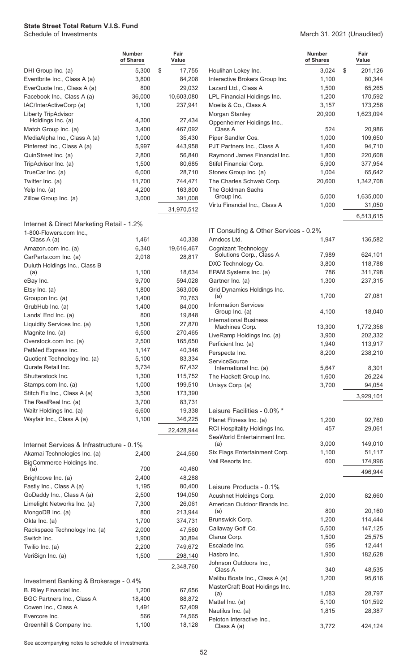**Number of Shares Fair Value** DHI Group Inc. (a) 6,300 \$ 17,755 Eventbrite Inc., Class A (a) 3,800 84,208 EverQuote Inc., Class A (a) 800 29,032 Facebook Inc., Class A (a) 36,000 10,603,080 IAC/InterActiveCorp (a) 1,100 237,941 Liberty TripAdvisor Holdings Inc. (a) 4,300 27,434 Match Group Inc. (a) 3,400 467,092 MediaAlpha Inc., Class A (a) 1,000 35,430 Pinterest Inc., Class A (a) 5,997 443,958 QuinStreet Inc. (a) 2,800 56,840 TripAdvisor Inc. (a) 1,500 80,685 TrueCar Inc. (a) 6,000 28,710 Twitter Inc. (a) 11,700 744,471 Yelp Inc. (a) 4,200 163,800 Zillow Group Inc. (a) 3,000 391,008 31,970,512 Internet & Direct Marketing Retail - 1.2% 1-800-Flowers.com Inc., Class A (a) 1,461 40,338 Amazon.com Inc. (a) 6,340 19,616,467 CarParts.com Inc. (a) 2,018 28,817 Duluth Holdings Inc., Class B (a)  $1,100$   $18,634$ eBay Inc. 694,028 Etsy Inc. (a) 1,800 363,006 Groupon Inc. (a) 1,400 70,763 GrubHub Inc. (a) 1,400 84,000 Lands' End Inc. (a) 800 19,848 Liquidity Services Inc. (a) 1,500 27,870 Magnite Inc. (a) 6,500 270,465 Overstock.com Inc. (a) 2,500 165,650 PetMed Express Inc. 1,147 40,346 Quotient Technology Inc. (a) 5,100 83,334 Qurate Retail Inc. 5,734 67,432 Shutterstock Inc. 1,300 115,752 Stamps.com Inc. (a) 1,000 199,510 Stitch Fix Inc., Class A (a) 3,500 173,390 The RealReal Inc. (a) 3,700 83,731 Waitr Holdings Inc. (a) 6,600 19,338 Wayfair Inc., Class A (a) 1,100 346,225 22,428,944 Internet Services & Infrastructure - 0.1% Akamai Technologies Inc. (a) 2,400 244,560 BigCommerce Holdings Inc. (a) 700 40,460 Brightcove Inc. (a) 2,400 48,288 Fastly Inc., Class A (a) 1,195 80,400 GoDaddy Inc., Class A (a) 2,500 194,050 Limelight Networks Inc. (a) 7,300 26,061 MongoDB Inc. (a) 800 213,944 Okta Inc. (a) 1,700 374,731 Rackspace Technology Inc. (a) 2,000 47,560 Switch Inc. 200894 Twilio Inc. (a) 2,200 749,672 VeriSign Inc. (a) 1,500 298,140 2,348,760 Investment Banking & Brokerage - 0.4% B. Riley Financial Inc. 1,200 67,656 BGC Partners Inc., Class A 18,400 88,872 Cowen Inc., Class A 1,491 52,409 Evercore Inc. 666 74,565

**Number of Shares Fair Value** Houlihan Lokey Inc. 6 10 3,024 \$ 201,126 Interactive Brokers Group Inc. 1,100 80,344 Lazard Ltd., Class A 1,500 65,265 LPL Financial Holdings Inc. 1,200 170,592 Moelis & Co., Class A 3,157 173,256 Morgan Stanley 20,900 1,623,094 Oppenheimer Holdings Inc., Class A 524 20,986

| Piper Sandler Cos.                               | 1,000  | 109,650   |
|--------------------------------------------------|--------|-----------|
| PJT Partners Inc., Class A                       | 1,400  | 94,710    |
| Raymond James Financial Inc.                     | 1,800  | 220,608   |
| Stifel Financial Corp.                           | 5,900  | 377,954   |
| Stonex Group Inc. (a)                            | 1,004  | 65,642    |
| The Charles Schwab Corp.                         | 20,600 | 1,342,708 |
| The Goldman Sachs                                |        |           |
| Group Inc.                                       | 5,000  | 1,635,000 |
| Virtu Financial Inc., Class A                    | 1,000  | 31,050    |
|                                                  |        | 6,513,615 |
|                                                  |        |           |
| IT Consulting & Other Services - 0.2%            |        |           |
| Amdocs Ltd.                                      | 1,947  | 136,582   |
| Cognizant Technology<br>Solutions Corp., Class A | 7,989  | 624,101   |
| DXC Technology Co.                               | 3,800  | 118,788   |
| EPAM Systems Inc. (a)                            | 786    | 311,798   |
| Gartner Inc. (a)                                 | 1,300  | 237,315   |
| Grid Dynamics Holdings Inc.                      |        |           |
| (a)                                              | 1,700  | 27,081    |
| <b>Information Services</b>                      |        |           |
| Group Inc. (a)                                   | 4,100  | 18,040    |
| <b>International Business</b>                    |        |           |
| Machines Corp.                                   | 13,300 | 1,772,358 |
| LiveRamp Holdings Inc. (a)                       | 3,900  | 202,332   |
| Perficient Inc. (a)                              | 1,940  | 113,917   |
| Perspecta Inc.                                   | 8,200  | 238,210   |
| ServiceSource                                    |        |           |
| International Inc. (a)                           | 5,647  | 8,301     |
| The Hackett Group Inc.                           | 1,600  | 26,224    |
| Unisys Corp. (a)                                 | 3,700  | 94,054    |
|                                                  |        | 3,929,101 |
|                                                  |        |           |
| Leisure Facilities - 0.0% *                      |        |           |
| Planet Fitness Inc. (a)                          | 1,200  | 92,760    |
| RCI Hospitality Holdings Inc.                    | 457    | 29,061    |
| SeaWorld Entertainment Inc.<br>(a)               | 3,000  | 149,010   |
| Six Flags Entertainment Corp.                    | 1,100  | 51,117    |
| Vail Resorts Inc.                                | 600    | 174,996   |
|                                                  |        |           |
|                                                  |        | 496,944   |
| Leisure Products - 0.1%                          |        |           |
| Acushnet Holdings Corp.                          | 2,000  | 82,660    |
| American Outdoor Brands Inc.                     |        |           |
| (a)                                              | 800    | 20,160    |
| Brunswick Corp.                                  | 1,200  | 114,444   |
| Callaway Golf Co.                                | 5,500  | 147,125   |
| Clarus Corp.                                     | 1,500  | 25,575    |
| Escalade Inc.                                    | 595    | 12,441    |
| Hasbro Inc.                                      | 1,900  | 182,628   |
| Johnson Outdoors Inc.,                           |        |           |
| Class A                                          | 340    | 48,535    |
| Malibu Boats Inc., Class A (a)                   | 1,200  | 95,616    |
| MasterCraft Boat Holdings Inc.                   |        |           |
| (a)                                              | 1,083  | 28,797    |
| Mattel Inc. (a)                                  | 5,100  | 101,592   |
| Nautilus Inc. (a)                                | 1,815  | 28,387    |
| Peloton Interactive Inc.,<br>Class A (a)         | 3,772  | 424,124   |
|                                                  |        |           |

See accompanying notes to schedule of investments.

Greenhill & Company Inc. 1,100 18,128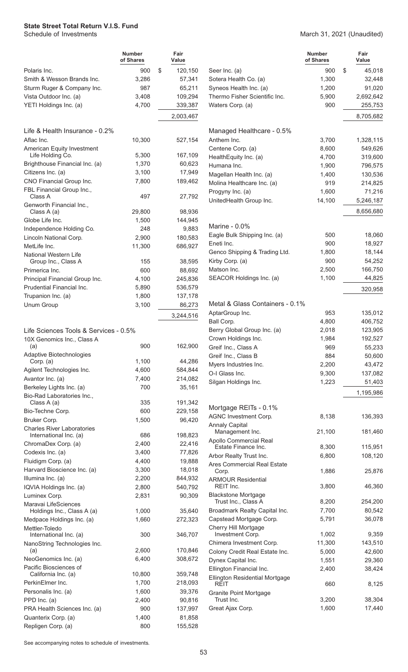March 31, 2021 (Unaudited)

|                                                        | <b>Number</b><br>of Shares | Fair<br>Value |                  |                                                 | <b>Number</b><br>of Shares | Fair<br>Value       |
|--------------------------------------------------------|----------------------------|---------------|------------------|-------------------------------------------------|----------------------------|---------------------|
| Polaris Inc.                                           | 900                        | \$            | 120,150          | Seer Inc. (a)                                   | 900                        | \$<br>45,018        |
| Smith & Wesson Brands Inc.                             | 3,286                      |               | 57,341           | Sotera Health Co. (a)                           | 1,300                      | 32,448              |
| Sturm Ruger & Company Inc.                             | 987                        |               | 65,211           | Syneos Health Inc. (a)                          | 1,200                      | 91,020              |
| Vista Outdoor Inc. (a)                                 | 3,408                      |               | 109,294          | Thermo Fisher Scientific Inc.                   | 5,900                      | 2,692,642           |
| YETI Holdings Inc. (a)                                 | 4,700                      |               | 339,387          | Waters Corp. (a)                                | 900                        | 255,753             |
|                                                        |                            |               | 2,003,467        |                                                 |                            | 8,705,682           |
| Life & Health Insurance - 0.2%                         |                            |               |                  | Managed Healthcare - 0.5%                       |                            |                     |
| Aflac Inc.                                             | 10,300                     |               | 527,154          | Anthem Inc.                                     | 3,700                      | 1,328,115           |
| American Equity Investment                             |                            |               |                  | Centene Corp. (a)                               | 8,600                      | 549,626             |
| Life Holding Co.                                       | 5,300                      |               | 167,109          | HealthEquity Inc. (a)                           | 4,700                      | 319,600             |
| Brighthouse Financial Inc. (a)                         | 1,370                      |               | 60,623           | Humana Inc.                                     | 1,900                      | 796,575             |
| Citizens Inc. (a)                                      | 3,100                      |               | 17,949           | Magellan Health Inc. (a)                        | 1,400                      | 130,536             |
| CNO Financial Group Inc.                               | 7,800                      |               | 189,462          | Molina Healthcare Inc. (a)                      | 919                        | 214,825             |
| FBL Financial Group Inc.,<br>Class A                   | 497                        |               | 27,792           | Progyny Inc. (a)<br>UnitedHealth Group Inc.     | 1,600<br>14,100            | 71,216<br>5,246,187 |
| Genworth Financial Inc.,                               |                            |               |                  |                                                 |                            | 8,656,680           |
| Class A (a)<br>Globe Life Inc.                         | 29,800<br>1,500            |               | 98,936           |                                                 |                            |                     |
|                                                        | 248                        |               | 144,945<br>9,883 | Marine - 0.0%                                   |                            |                     |
| Independence Holding Co.<br>Lincoln National Corp.     | 2,900                      |               | 180,583          | Eagle Bulk Shipping Inc. (a)                    | 500                        | 18,060              |
| MetLife Inc.                                           | 11,300                     |               | 686,927          | Eneti Inc.                                      | 900                        | 18,927              |
| <b>National Western Life</b>                           |                            |               |                  | Genco Shipping & Trading Ltd.                   | 1,800                      | 18,144              |
| Group Inc., Class A                                    | 155                        |               | 38,595           | Kirby Corp. (a)                                 | 900                        | 54,252              |
| Primerica Inc.                                         | 600                        |               | 88,692           | Matson Inc.                                     | 2,500                      | 166,750             |
| Principal Financial Group Inc.                         | 4,100                      |               | 245,836          | SEACOR Holdings Inc. (a)                        | 1,100                      | 44,825              |
| Prudential Financial Inc.                              | 5,890                      |               | 536,579          |                                                 |                            | 320,958             |
| Trupanion Inc. (a)                                     | 1,800                      |               | 137,178          |                                                 |                            |                     |
| Unum Group                                             | 3,100                      |               | 86,273           | Metal & Glass Containers - 0.1%                 |                            |                     |
|                                                        |                            |               | 3,244,516        | AptarGroup Inc.                                 | 953                        | 135,012             |
|                                                        |                            |               |                  | Ball Corp.                                      | 4,800                      | 406,752             |
| Life Sciences Tools & Services - 0.5%                  |                            |               |                  | Berry Global Group Inc. (a)                     | 2,018                      | 123,905             |
| 10X Genomics Inc., Class A                             |                            |               |                  | Crown Holdings Inc.                             | 1,984                      | 192,527             |
| (a)                                                    | 900                        |               | 162,900          | Greif Inc., Class A                             | 969                        | 55,233              |
| Adaptive Biotechnologies                               |                            |               |                  | Greif Inc., Class B                             | 884                        | 50,600              |
| Corp. (a)                                              | 1,100                      |               | 44,286           | Myers Industries Inc.                           | 2,200                      | 43,472              |
| Agilent Technologies Inc.                              | 4,600                      |               | 584,844          | O-I Glass Inc.                                  | 9,300                      | 137,082             |
| Avantor Inc. (a)                                       | 7,400                      |               | 214,082          | Silgan Holdings Inc.                            | 1,223                      | 51,403              |
| Berkeley Lights Inc. (a)<br>Bio-Rad Laboratories Inc., | 700                        |               | 35,161           |                                                 |                            | 1,195,986           |
| Class A (a)                                            | 335                        |               | 191,342          |                                                 |                            |                     |
| Bio-Techne Corp.                                       | 600                        |               | 229,158          | Mortgage REITs - 0.1%                           |                            |                     |
| Bruker Corp.                                           | 1,500                      |               | 96,420           | <b>AGNC Investment Corp.</b>                    | 8,138                      | 136,393             |
| <b>Charles River Laboratories</b>                      |                            |               |                  | <b>Annaly Capital</b>                           |                            |                     |
| International Inc. (a)                                 | 686                        |               | 198,823          | Management Inc.                                 | 21,100                     | 181,460             |
| ChromaDex Corp. (a)                                    | 2,400                      |               | 22,416           | Apollo Commercial Real<br>Estate Finance Inc.   | 8,300                      | 115,951             |
| Codexis Inc. (a)                                       | 3,400                      |               | 77,826           | Arbor Realty Trust Inc.                         | 6,800                      | 108,120             |
| Fluidigm Corp. (a)                                     | 4,400                      |               | 19,888           | Ares Commercial Real Estate                     |                            |                     |
| Harvard Bioscience Inc. (a)                            | 3,300                      |               | 18,018           | Corp.                                           | 1,886                      | 25,876              |
| Illumina Inc. (a)                                      | 2,200                      |               | 844,932          | <b>ARMOUR Residential</b>                       |                            |                     |
| IQVIA Holdings Inc. (a)                                | 2,800                      |               | 540,792          | REIT Inc.                                       | 3,800                      | 46,360              |
| Luminex Corp.                                          | 2,831                      |               | 90,309           | <b>Blackstone Mortgage</b>                      |                            |                     |
| Maravai LifeSciences                                   |                            |               |                  | Trust Inc., Class A                             | 8,200<br>7,700             | 254,200<br>80,542   |
| Holdings Inc., Class A (a)                             | 1,000                      |               | 35,640           | Broadmark Realty Capital Inc.                   | 5,791                      | 36,078              |
| Medpace Holdings Inc. (a)                              | 1,660                      |               | 272,323          | Capstead Mortgage Corp.<br>Cherry Hill Mortgage |                            |                     |
| Mettler-Toledo<br>International Inc. (a)               | 300                        |               | 346,707          | Investment Corp.                                | 1,002                      | 9,359               |
| NanoString Technologies Inc.                           |                            |               |                  | Chimera Investment Corp.                        | 11,300                     | 143,510             |
| (a)                                                    | 2,600                      |               | 170,846          | Colony Credit Real Estate Inc.                  | 5,000                      | 42,600              |
| NeoGenomics Inc. (a)                                   | 6,400                      |               | 308,672          | Dynex Capital Inc.                              | 1,551                      | 29,360              |
| Pacific Biosciences of                                 |                            |               |                  | Ellington Financial Inc.                        | 2,400                      | 38,424              |
| California Inc. (a)                                    | 10,800                     |               | 359,748          | Ellington Residential Mortgage                  |                            |                     |
| PerkinElmer Inc.                                       | 1,700                      |               | 218,093          | REIT                                            | 660                        | 8,125               |
| Personalis Inc. (a)                                    | 1,600                      |               | 39,376           | <b>Granite Point Mortgage</b>                   |                            |                     |
| PPD Inc. (a)                                           | 2,400                      |               | 90,816           | Trust Inc.                                      | 3,200                      | 38,304              |
| PRA Health Sciences Inc. (a)                           | 900                        |               | 137,997          | Great Ajax Corp.                                | 1,600                      | 17,440              |
| Quanterix Corp. (a)                                    | 1,400                      |               | 81,858           |                                                 |                            |                     |
| Repligen Corp. (a)                                     | 800                        |               | 155,528          |                                                 |                            |                     |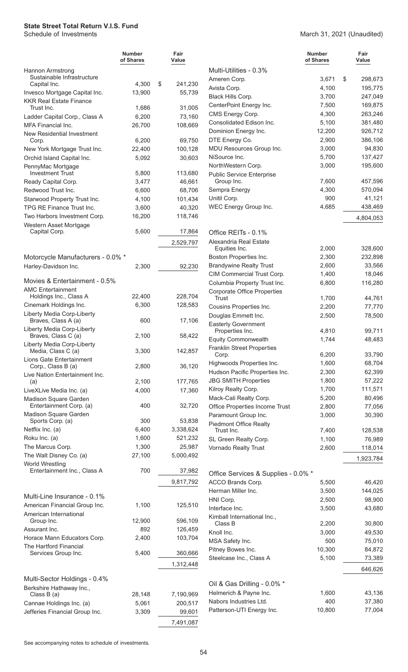#### March 31, 2021 (Unaudited)

|                                                       | <b>Number</b><br>of Shares | Fair<br>Value           |                                                          | <b>Number</b><br>of Shares | Fair<br>Value     |
|-------------------------------------------------------|----------------------------|-------------------------|----------------------------------------------------------|----------------------------|-------------------|
| <b>Hannon Armstrong</b>                               |                            |                         | Multi-Utilities - 0.3%                                   |                            |                   |
| Sustainable Infrastructure                            |                            |                         | Ameren Corp.                                             | 3,671                      | \$<br>298,673     |
| Capital Inc.<br>Invesco Mortgage Capital Inc.         | 4,300<br>13,900            | \$<br>241,230<br>55,739 | Avista Corp.                                             | 4,100                      | 195,775           |
| <b>KKR Real Estate Finance</b>                        |                            |                         | Black Hills Corp.                                        | 3,700                      | 247,049           |
| Trust Inc.                                            | 1,686                      | 31,005                  | CenterPoint Energy Inc.                                  | 7,500                      | 169,875           |
| Ladder Capital Corp., Class A                         | 6,200                      | 73,160                  | CMS Energy Corp.                                         | 4,300                      | 263,246           |
| <b>MFA Financial Inc.</b>                             | 26,700                     | 108,669                 | Consolidated Edison Inc.                                 | 5,100                      | 381,480           |
| New Residential Investment                            |                            |                         | Dominion Energy Inc.                                     | 12,200                     | 926,712           |
| Corp.                                                 | 6,200                      | 69,750                  | DTE Energy Co.                                           | 2,900                      | 386,106           |
| New York Mortgage Trust Inc.                          | 22,400                     | 100,128                 | MDU Resources Group Inc.<br>NiSource Inc.                | 3,000<br>5,700             | 94,830<br>137,427 |
| Orchid Island Capital Inc.<br>PennyMac Mortgage       | 5,092                      | 30,603                  | NorthWestern Corp.                                       | 3,000                      | 195,600           |
| <b>Investment Trust</b>                               | 5,800                      | 113,680                 | <b>Public Service Enterprise</b>                         |                            |                   |
| Ready Capital Corp.                                   | 3,477                      | 46,661                  | Group Inc.                                               | 7,600                      | 457,596           |
| Redwood Trust Inc.                                    | 6,600                      | 68,706                  | Sempra Energy                                            | 4,300                      | 570,094           |
| Starwood Property Trust Inc.                          | 4,100                      | 101,434                 | Unitil Corp.                                             | 900                        | 41,121            |
| TPG RE Finance Trust Inc.                             | 3,600                      | 40,320                  | WEC Energy Group Inc.                                    | 4,685                      | 438,469           |
| Two Harbors Investment Corp.                          | 16,200                     | 118,746                 |                                                          |                            | 4,804,053         |
| Western Asset Mortgage                                | 5,600                      |                         |                                                          |                            |                   |
| Capital Corp.                                         |                            | 17,864                  | Office REITs - 0.1%                                      |                            |                   |
|                                                       |                            | 2,529,797               | Alexandria Real Estate<br>Equities Inc.                  | 2,000                      | 328,600           |
| Motorcycle Manufacturers - 0.0% *                     |                            |                         | Boston Properties Inc.                                   | 2,300                      | 232,898           |
| Harley-Davidson Inc.                                  | 2,300                      | 92,230                  | <b>Brandywine Realty Trust</b>                           | 2,600                      | 33,566            |
|                                                       |                            |                         | CIM Commercial Trust Corp.                               | 1,400                      | 18,046            |
| Movies & Entertainment - 0.5%                         |                            |                         | Columbia Property Trust Inc.                             | 6,800                      | 116,280           |
| <b>AMC Entertainment</b>                              |                            |                         | <b>Corporate Office Properties</b>                       |                            |                   |
| Holdings Inc., Class A                                | 22,400<br>6,300            | 228,704<br>128,583      | <b>Trust</b>                                             | 1,700                      | 44,761            |
| Cinemark Holdings Inc.<br>Liberty Media Corp-Liberty  |                            |                         | Cousins Properties Inc.                                  | 2,200                      | 77,770            |
| Braves, Class A (a)                                   | 600                        | 17,106                  | Douglas Emmett Inc.                                      | 2,500                      | 78,500            |
| Liberty Media Corp-Liberty                            |                            |                         | <b>Easterly Government</b><br>Properties Inc.            | 4,810                      | 99,711            |
| Braves, Class C (a)                                   | 2,100                      | 58,422                  | <b>Equity Commonwealth</b>                               | 1,744                      | 48,483            |
| Liberty Media Corp-Liberty<br>Media, Class C (a)      | 3,300                      | 142,857                 | <b>Franklin Street Properties</b>                        |                            |                   |
| Lions Gate Entertainment                              |                            |                         | Corp.                                                    | 6,200                      | 33,790            |
| Corp., Class B (a)                                    | 2,800                      | 36,120                  | Highwoods Properties Inc.                                | 1,600                      | 68,704            |
| Live Nation Entertainment Inc.                        |                            |                         | Hudson Pacific Properties Inc.                           | 2,300                      | 62,399            |
| (a)                                                   | 2,100                      | 177,765                 | <b>JBG SMITH Properties</b>                              | 1,800                      | 57,222            |
| LiveXLive Media Inc. (a)                              | 4,000                      | 17,360                  | Kilroy Realty Corp.                                      | 1,700                      | 111,571<br>80,496 |
| Madison Square Garden<br>Entertainment Corp. (a)      | 400                        | 32,720                  | Mack-Cali Realty Corp.<br>Office Properties Income Trust | 5,200<br>2,800             | 77,056            |
| Madison Square Garden                                 |                            |                         | Paramount Group Inc.                                     | 3,000                      | 30,390            |
| Sports Corp. (a)                                      | 300                        | 53,838                  | <b>Piedmont Office Realty</b>                            |                            |                   |
| Netflix Inc. (a)                                      | 6,400                      | 3,338,624               | Trust Inc.                                               | 7,400                      | 128,538           |
| Roku Inc. (a)                                         | 1,600                      | 521,232                 | SL Green Realty Corp.                                    | 1,100                      | 76,989            |
| The Marcus Corp.                                      | 1,300                      | 25,987                  | Vornado Realty Trust                                     | 2,600                      | 118,014           |
| The Walt Disney Co. (a)                               | 27,100                     | 5,000,492               |                                                          |                            | 1,923,784         |
| <b>World Wrestling</b><br>Entertainment Inc., Class A | 700                        | 37,982                  |                                                          |                            |                   |
|                                                       |                            |                         | Office Services & Supplies - 0.0% *                      |                            |                   |
|                                                       |                            | 9,817,792               | ACCO Brands Corp.                                        | 5,500                      | 46,420            |
| Multi-Line Insurance - 0.1%                           |                            |                         | Herman Miller Inc.                                       | 3,500                      | 144,025           |
| American Financial Group Inc.                         | 1,100                      | 125,510                 | HNI Corp.<br>Interface Inc.                              | 2,500<br>3,500             | 98,900<br>43,680  |
| American International                                |                            |                         | Kimball International Inc.,                              |                            |                   |
| Group Inc.                                            | 12,900                     | 596,109                 | Class B                                                  | 2,200                      | 30,800            |
| Assurant Inc.                                         | 892                        | 126,459                 | Knoll Inc.                                               | 3,000                      | 49,530            |
| Horace Mann Educators Corp.                           | 2,400                      | 103,704                 | MSA Safety Inc.                                          | 500                        | 75,010            |
| The Hartford Financial<br>Services Group Inc.         | 5,400                      | 360,666                 | Pitney Bowes Inc.                                        | 10,300                     | 84,872            |
|                                                       |                            |                         | Steelcase Inc., Class A                                  | 5,100                      | 73,389            |
|                                                       |                            | 1,312,448               |                                                          |                            | 646,626           |
| Multi-Sector Holdings - 0.4%                          |                            |                         |                                                          |                            |                   |
| Berkshire Hathaway Inc.,                              |                            |                         | Oil & Gas Drilling - 0.0% *                              |                            |                   |
| Class B (a)                                           | 28,148                     | 7,190,969               | Helmerich & Payne Inc.                                   | 1,600<br>400               | 43,136            |
| Cannae Holdings Inc. (a)                              | 5,061                      | 200,517                 | Nabors Industries Ltd.<br>Patterson-UTI Energy Inc.      | 10,800                     | 37,380<br>77,004  |
| Jefferies Financial Group Inc.                        | 3,309                      | 99,601                  |                                                          |                            |                   |
|                                                       |                            | 7,491,087               |                                                          |                            |                   |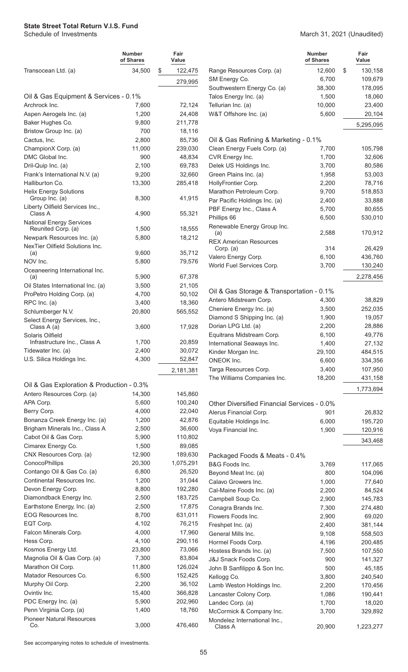#### March 31, 2021 (Unaudited)

|                                                  | <b>Number</b><br>of Shares | Fair<br>Value      |                                                           | <b>Number</b><br>of Shares | Fair<br>Value      |
|--------------------------------------------------|----------------------------|--------------------|-----------------------------------------------------------|----------------------------|--------------------|
| Transocean Ltd. (a)                              | 34,500                     | \$<br>122,475      | Range Resources Corp. (a)                                 | 12,600                     | \$<br>130,158      |
|                                                  |                            | 279,995            | SM Energy Co.                                             | 6,700                      | 109,679            |
|                                                  |                            |                    | Southwestern Energy Co. (a)                               | 38,300                     | 178,095            |
| Oil & Gas Equipment & Services - 0.1%            |                            |                    | Talos Energy Inc. (a)                                     | 1,500                      | 18,060             |
| Archrock Inc.                                    | 7,600                      | 72,124             | Tellurian Inc. (a)                                        | 10,000                     | 23,400             |
| Aspen Aerogels Inc. (a)                          | 1,200                      | 24,408             | W&T Offshore Inc. (a)                                     | 5,600                      | 20,104             |
| Baker Hughes Co.                                 | 9,800                      | 211,778            |                                                           |                            | 5,295,095          |
| Bristow Group Inc. (a)                           | 700                        | 18,116             |                                                           |                            |                    |
| Cactus, Inc.                                     | 2,800                      | 85,736             | Oil & Gas Refining & Marketing - 0.1%                     |                            |                    |
| ChampionX Corp. (a)                              | 11,000                     | 239,030            | Clean Energy Fuels Corp. (a)                              | 7,700                      | 105,798            |
| DMC Global Inc.                                  | 900                        | 48,834             | CVR Energy Inc.                                           | 1,700                      | 32,606             |
| Dril-Quip Inc. (a)                               | 2,100                      | 69,783             | Delek US Holdings Inc.                                    | 3,700                      | 80,586             |
| Frank's International N.V. (a)                   | 9,200                      | 32,660             | Green Plains Inc. (a)                                     | 1,958                      | 53,003             |
| Halliburton Co.                                  | 13,300                     | 285,418            | HollyFrontier Corp.                                       | 2,200                      | 78,716             |
| <b>Helix Energy Solutions</b><br>Group Inc. (a)  | 8,300                      | 41,915             | Marathon Petroleum Corp.<br>Par Pacific Holdings Inc. (a) | 9,700<br>2,400             | 518,853<br>33,888  |
| Liberty Oilfield Services Inc.,                  |                            |                    | PBF Energy Inc., Class A                                  | 5,700                      | 80,655             |
| Class A                                          | 4,900                      | 55,321             | Phillips 66                                               | 6,500                      | 530,010            |
| <b>National Energy Services</b>                  |                            |                    | Renewable Energy Group Inc.                               |                            |                    |
| Reunited Corp. (a)                               | 1,500                      | 18,555             | (a)                                                       | 2,588                      | 170,912            |
| Newpark Resources Inc. (a)                       | 5,800                      | 18,212             | <b>REX American Resources</b>                             |                            |                    |
| NexTier Oilfield Solutions Inc.<br>(a)           | 9,600                      | 35,712             | Corp. (a)                                                 | 314                        | 26,429             |
| NOV Inc.                                         | 5,800                      | 79,576             | Valero Energy Corp.                                       | 6,100                      | 436,760            |
| Oceaneering International Inc.                   |                            |                    | World Fuel Services Corp.                                 | 3,700                      | 130,240            |
| (a)                                              | 5,900                      | 67,378             |                                                           |                            | 2,278,456          |
| Oil States International Inc. (a)                | 3,500                      | 21,105             |                                                           |                            |                    |
| ProPetro Holding Corp. (a)                       | 4,700                      | 50,102             | Oil & Gas Storage & Transportation - 0.1%                 |                            |                    |
| RPC Inc. (a)                                     | 3,400                      | 18,360             | Antero Midstream Corp.                                    | 4,300                      | 38,829             |
| Schlumberger N.V.                                | 20,800                     | 565,552            | Cheniere Energy Inc. (a)                                  | 3,500                      | 252,035            |
| Select Energy Services, Inc.,                    |                            |                    | Diamond S Shipping Inc. (a)                               | 1,900                      | 19,057             |
| Class A (a)                                      | 3,600                      | 17,928             | Dorian LPG Ltd. (a)                                       | 2,200                      | 28,886             |
| Solaris Oilfield<br>Infrastructure Inc., Class A | 1,700                      | 20,859             | Equitrans Midstream Corp.                                 | 6,100                      | 49,776             |
| Tidewater Inc. (a)                               | 2,400                      | 30,072             | International Seaways Inc.                                | 1,400                      | 27,132             |
| U.S. Silica Holdings Inc.                        | 4,300                      | 52,847             | Kinder Morgan Inc.<br>ONEOK Inc.                          | 29,100<br>6,600            | 484,515            |
|                                                  |                            |                    | Targa Resources Corp.                                     | 3,400                      | 334,356<br>107,950 |
|                                                  |                            | 2,181,381          | The Williams Companies Inc.                               | 18,200                     | 431,158            |
| Oil & Gas Exploration & Production - 0.3%        |                            |                    |                                                           |                            |                    |
| Antero Resources Corp. (a)                       | 14,300                     | 145,860            |                                                           |                            | 1,773,694          |
| APA Corp.                                        | 5,600                      | 100,240            | Other Diversified Financial Services - 0.0%               |                            |                    |
| Berry Corp.                                      | 4,000                      | 22,040             | Alerus Financial Corp.                                    | 901                        | 26,832             |
| Bonanza Creek Energy Inc. (a)                    | 1,200                      | 42,876             | Equitable Holdings Inc.                                   | 6,000                      | 195,720            |
| Brigham Minerals Inc., Class A                   | 2,500                      | 36,600             | Voya Financial Inc.                                       | 1,900                      | 120,916            |
| Cabot Oil & Gas Corp.                            | 5,900                      | 110,802            |                                                           |                            | 343,468            |
| Cimarex Energy Co.                               | 1,500                      | 89,085             |                                                           |                            |                    |
| CNX Resources Corp. (a)                          | 12,900                     | 189,630            | Packaged Foods & Meats - 0.4%                             |                            |                    |
| ConocoPhillips                                   | 20,300                     | 1,075,291          | B&G Foods Inc.                                            | 3,769                      | 117,065            |
| Contango Oil & Gas Co. (a)                       | 6,800                      | 26,520             | Beyond Meat Inc. (a)                                      | 800                        | 104,096            |
| Continental Resources Inc.                       | 1,200                      | 31,044             | Calavo Growers Inc.                                       | 1,000                      | 77,640             |
| Devon Energy Corp.                               | 8,800                      | 192,280            | Cal-Maine Foods Inc. (a)                                  | 2,200                      | 84,524             |
| Diamondback Energy Inc.                          | 2,500                      | 183,725            | Campbell Soup Co.                                         | 2,900                      | 145,783            |
| Earthstone Energy, Inc. (a)                      | 2,500                      | 17,875             | Conagra Brands Inc.                                       | 7,300                      | 274,480            |
| EOG Resources Inc.                               | 8,700                      | 631,011            | Flowers Foods Inc.                                        | 2,900                      | 69,020             |
| EQT Corp.                                        | 4,102                      | 76,215             | Freshpet Inc. (a)                                         | 2,400                      | 381,144            |
| Falcon Minerals Corp.                            | 4,000                      | 17,960             | General Mills Inc.                                        | 9,108                      | 558,503            |
| Hess Corp.                                       | 4,100                      | 290,116            | Hormel Foods Corp.                                        | 4,196                      | 200,485            |
| Kosmos Energy Ltd.                               | 23,800                     | 73,066             | Hostess Brands Inc. (a)                                   | 7,500                      | 107,550            |
| Magnolia Oil & Gas Corp. (a)                     | 7,300                      | 83,804             | J&J Snack Foods Corp.                                     | 900                        | 141,327            |
| Marathon Oil Corp.                               | 11,800                     | 126,024            | John B Sanfilippo & Son Inc.                              | 500                        | 45,185             |
| Matador Resources Co.                            | 6,500                      | 152,425            | Kellogg Co.                                               | 3,800                      | 240,540            |
| Murphy Oil Corp.<br>Ovintiv Inc.                 | 2,200<br>15,400            | 36,102             | Lamb Weston Holdings Inc.                                 | 2,200                      | 170,456            |
| PDC Energy Inc. (a)                              | 5,900                      | 366,828<br>202,960 | Lancaster Colony Corp.                                    | 1,086                      | 190,441            |
| Penn Virginia Corp. (a)                          | 1,400                      | 18,760             | Landec Corp. (a)                                          | 1,700                      | 18,020             |
| <b>Pioneer Natural Resources</b>                 |                            |                    | McCormick & Company Inc.                                  | 3,700                      | 329,892            |
| Co.                                              | 3,000                      | 476,460            | Mondelez International Inc.,<br>Class A                   | 20,900                     | 1,223,277          |
|                                                  |                            |                    |                                                           |                            |                    |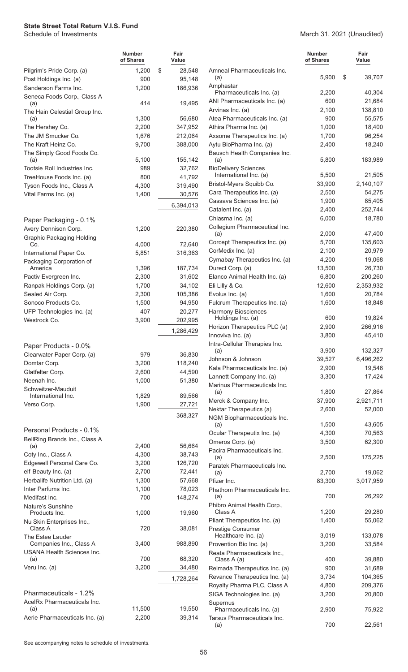|                                                              | Number<br>of Shares | Fair<br>Value     |
|--------------------------------------------------------------|---------------------|-------------------|
| Pilgrim's Pride Corp. (a)                                    | 1,200               | \$<br>28,548      |
| Post Holdings Inc. (a)                                       | 900                 | 95,148            |
| Sanderson Farms Inc.                                         | 1,200               | 186,936           |
| Seneca Foods Corp., Class A<br>(a)                           | 414                 | 19,495            |
| The Hain Celestial Group Inc.<br>(a)                         | 1,300               | 56,680            |
| The Hershey Co.                                              | 2,200               | 347,952           |
| The JM Smucker Co.                                           | 1,676               | 212,064           |
| The Kraft Heinz Co.                                          | 9,700               | 388,000           |
| The Simply Good Foods Co.<br>(a)                             | 5,100               | 155,142           |
| Tootsie Roll Industries Inc.                                 | 989                 | 32,762            |
| TreeHouse Foods Inc. (a)                                     | 800                 | 41,792            |
| Tyson Foods Inc., Class A                                    | 4,300               | 319,490           |
| Vital Farms Inc. (a)                                         | 1,400               | 30,576            |
|                                                              |                     |                   |
|                                                              |                     | 6,394,013         |
| Paper Packaging - 0.1%                                       |                     |                   |
| Avery Dennison Corp.                                         | 1,200               | 220,380           |
| <b>Graphic Packaging Holding</b>                             |                     |                   |
| Co.                                                          | 4,000               | 72,640            |
| International Paper Co.                                      | 5,851               | 316,363           |
| Packaging Corporation of<br>America                          | 1,396               | 187,734           |
| Pactiv Evergreen Inc.                                        | 2,300               | 31,602            |
| Ranpak Holdings Corp. (a)                                    | 1,700               | 34,102            |
| Sealed Air Corp.                                             | 2,300               | 105,386           |
| Sonoco Products Co.                                          | 1,500               | 94,950            |
| UFP Technologies Inc. (a)                                    | 407                 | 20,277            |
| Westrock Co.                                                 | 3,900               | 202,995           |
|                                                              |                     |                   |
|                                                              |                     | 1,286,429         |
| Paper Products - 0.0%                                        |                     |                   |
| Clearwater Paper Corp. (a)                                   | 979                 | 36,830            |
| Domtar Corp.                                                 | 3,200               | 118,240           |
| Glatfelter Corp.                                             | 2,600               | 44,590            |
| Neenah Inc.                                                  | 1,000               | 51,380            |
| Schweitzer-Mauduit                                           |                     |                   |
| International Inc.                                           | 1,829               | 89,566            |
| Verso Corp.                                                  | 1,900               | 27,721<br>368,327 |
|                                                              |                     |                   |
| Personal Products - 0.1%<br>BellRing Brands Inc., Class A    |                     |                   |
| (a)                                                          | 2,400               | 56,664            |
| Coty Inc., Class A                                           | 4,300               | 38,743            |
| Edgewell Personal Care Co.                                   | 3,200               | 126,720           |
| elf Beauty Inc. (a)                                          | 2,700               | 72,441            |
| Herbalife Nutrition Ltd. (a)                                 | 1,300               | 57,668            |
| Inter Parfums Inc.                                           | 1,100               | 78,023            |
| Medifast Inc.                                                | 700                 | 148,274           |
| Nature's Sunshine<br>Products Inc.                           | 1,000               | 19,960            |
| Nu Skin Enterprises Inc.,                                    |                     |                   |
| Class A<br>The Estee Lauder                                  | 720                 | 38,081            |
| Companies Inc., Class A<br><b>USANA Health Sciences Inc.</b> | 3,400               | 988,890           |
| (a)                                                          | 700                 | 68,320            |
| Veru Inc. (a)                                                | 3,200               | 34,480            |
|                                                              |                     | 1,728,264         |
| Pharmaceuticals - 1.2%                                       |                     |                   |
| AcelRx Pharmaceuticals Inc.                                  |                     |                   |
| (a)                                                          | 11,500              | 19,550            |
| Aerie Pharmaceuticals Inc. (a)                               | 2,200               | 39,314            |

|                                                         | Number<br>of Shares | Fair<br>Value |
|---------------------------------------------------------|---------------------|---------------|
|                                                         |                     |               |
| Amneal Pharmaceuticals Inc.<br>(a)                      | 5,900               | \$<br>39,707  |
| Amphastar<br>Pharmaceuticals Inc. (a)                   | 2,200               | 40,304        |
| ANI Pharmaceuticals Inc. (a)                            | 600                 | 21,684        |
| Arvinas Inc. (a)                                        | 2,100               | 138,810       |
| Atea Pharmaceuticals Inc. (a)                           | 900                 | 55,575        |
| Athira Pharma Inc. (a)                                  | 1,000               | 18,400        |
| Axsome Therapeutics Inc. (a)                            | 1,700               | 96,254        |
| Aytu BioPharma Inc. (a)                                 | 2,400               | 18,240        |
| Bausch Health Companies Inc.<br>(a)                     | 5,800               | 183,989       |
| <b>BioDelivery Sciences</b><br>International Inc. (a)   | 5,500               | 21,505        |
| Bristol-Myers Squibb Co.                                | 33,900              | 2,140,107     |
| Cara Therapeutics Inc. (a)                              | 2,500               | 54,275        |
| Cassava Sciences Inc. (a)                               | 1,900               | 85,405        |
| Catalent Inc. (a)                                       | 2,400               | 252,744       |
| Chiasma Inc. (a)                                        | 6,000               | 18,780        |
| Collegium Pharmaceutical Inc.                           |                     |               |
| (a)                                                     | 2,000               | 47,400        |
| Corcept Therapeutics Inc. (a)                           | 5,700               | 135,603       |
| CorMedix Inc. (a)                                       | 2,100               | 20,979        |
| Cymabay Therapeutics Inc. (a)                           | 4,200               | 19,068        |
| Durect Corp. (a)                                        | 13,500              | 26,730        |
| Elanco Animal Health Inc. (a)                           | 6,800               | 200,260       |
| Eli Lilly & Co.                                         | 12,600              | 2,353,932     |
| Evolus Inc. (a)                                         | 1,600               | 20,784        |
| Fulcrum Therapeutics Inc. (a)                           | 1,600               | 18,848        |
| <b>Harmony Biosciences</b>                              | 600                 | 19,824        |
| Holdings Inc. (a)<br>Horizon Therapeutics PLC (a)       | 2,900               | 266,916       |
| Innoviva Inc. (a)                                       | 3,800               | 45,410        |
| Intra-Cellular Therapies Inc.                           |                     |               |
| (a)                                                     | 3,900               | 132,327       |
| Johnson & Johnson                                       | 39,527              | 6,496,262     |
| Kala Pharmaceuticals Inc. (a)                           | 2,900               | 19,546        |
| Lannett Company Inc. (a)                                | 3,300               | 17,424        |
| Marinus Pharmaceuticals Inc.                            |                     |               |
| (a)                                                     | 1,800               | 27,864        |
| Merck & Company Inc.                                    | 37,900              | 2,921,711     |
| Nektar Therapeutics (a)<br>NGM Biopharmaceuticals Inc.  | 2,600               | 52,000        |
| (a)                                                     | 1,500               | 43,605        |
| Ocular Therapeutix Inc. (a)                             | 4,300               | 70,563        |
| Omeros Corp. (a)                                        | 3,500               | 62,300        |
| Pacira Pharmaceuticals Inc.                             |                     |               |
| (a)<br>Paratek Pharmaceuticals Inc.                     | 2,500               | 175,225       |
| (a)                                                     | 2,700               | 19,062        |
| Pfizer Inc.                                             | 83,300              | 3,017,959     |
| Phathom Pharmaceuticals Inc.<br>(a)                     | 700                 | 26,292        |
| Phibro Animal Health Corp.,                             |                     |               |
| Class A                                                 | 1,200               | 29,280        |
| Pliant Therapeutics Inc. (a)                            | 1,400               | 55,062        |
| Prestige Consumer<br>Healthcare Inc. (a)                | 3,019               | 133,078       |
| Provention Bio Inc. (a)                                 | 3,200               | 33,584        |
| Reata Pharmaceuticals Inc.,                             |                     |               |
| Class A (a)                                             | 400                 | 39,880        |
| Relmada Therapeutics Inc. (a)                           | 900                 | 31,689        |
| Revance Therapeutics Inc. (a)                           | 3,734               | 104,365       |
| Royalty Pharma PLC, Class A                             | 4,800               | 209,376       |
| SIGA Technologies Inc. (a)                              | 3,200               | 20,800        |
| Supernus                                                |                     |               |
| Pharmaceuticals Inc. (a)<br>Tarsus Pharmaceuticals Inc. | 2,900               | 75,922        |
| (a)                                                     | 700                 | 22,561        |

March 31, 2021 (Unaudited)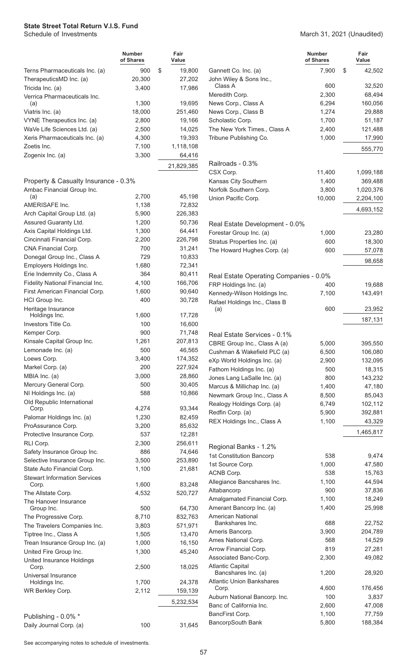#### March 31, 2021 (Unaudited)

|                                                                    | <b>Number</b><br>of Shares | Fair<br>Value    |        |
|--------------------------------------------------------------------|----------------------------|------------------|--------|
| Terns Pharmaceuticals Inc. (a)                                     | 900                        | \$<br>19,800     | G      |
| TherapeuticsMD Inc. (a)                                            | 20,300                     | 27,202           | J(     |
| Tricida Inc. (a)<br>Verrica Pharmaceuticals Inc.                   | 3,400                      | 17,986           | M      |
| (a)                                                                | 1,300                      | 19,695           | N      |
| Viatris Inc. (a)                                                   | 18,000                     | 251,460          | N      |
| VYNE Therapeutics Inc. (a)                                         | 2,800                      | 19,166           | S      |
| WaVe Life Sciences Ltd. (a)                                        | 2,500                      | 14,025           | T      |
| Xeris Pharmaceuticals Inc. (a)                                     | 4,300                      | 19,393           | Tı     |
| Zoetis Inc.                                                        | 7,100                      | 1,118,108        |        |
| Zogenix Inc. (a)                                                   | 3,300                      | 64,416           |        |
|                                                                    |                            | 21,829,385       | R<br>C |
| Property & Casualty Insurance - 0.3%<br>Ambac Financial Group Inc. |                            |                  | K<br>N |
| (a)                                                                | 2,700                      | 45,198           | U      |
| AMERISAFE Inc.                                                     | 1,138                      | 72,832           |        |
| Arch Capital Group Ltd. (a)                                        | 5,900                      | 226,383          |        |
| Assured Guaranty Ltd.                                              | 1,200                      | 50,736           | R      |
| Axis Capital Holdings Ltd.                                         | 1,300                      | 64,441           | F      |
| Cincinnati Financial Corp.                                         | 2,200                      | 226,798          | S      |
| CNA Financial Corp.                                                | 700                        | 31,241           | T      |
| Donegal Group Inc., Class A                                        | 729                        | 10,833           |        |
| Employers Holdings Inc.                                            | 1,680                      | 72,341           |        |
| Erie Indemnity Co., Class A                                        | 364                        | 80,411           | R      |
| Fidelity National Financial Inc.                                   | 4,100                      | 166,706          | F      |
| First American Financial Corp.                                     | 1,600                      | 90,640           | Κ      |
| HCI Group Inc.                                                     | 400                        | 30,728           |        |
| Heritage Insurance                                                 |                            |                  | R      |
| Holdings Inc.                                                      | 1,600                      | 17,728           |        |
| Investors Title Co.                                                | 100                        | 16,600           |        |
| Kemper Corp.                                                       | 900                        | 71,748           | R      |
| Kinsale Capital Group Inc.                                         | 1,261                      | 207,813          | C      |
| Lemonade Inc. (a)                                                  | 500                        | 46,565           | C      |
| Loews Corp.                                                        | 3,400                      | 174,352          | e.     |
| Markel Corp. (a)                                                   | 200                        | 227,924          | F      |
| MBIA Inc. (a)                                                      | 3,000                      | 28,860           | J      |
| Mercury General Corp.                                              | 500                        | 30,405           | M      |
| NI Holdings Inc. (a)                                               | 588                        | 10,866           | N      |
| Old Republic International                                         | 4,274                      | 93,344           | R      |
| Corp.                                                              | 1,230                      |                  | R      |
| Palomar Holdings Inc. (a)<br>ProAssurance Corp.                    | 3,200                      | 82,459<br>85,632 | R      |
| Protective Insurance Corp.                                         | 537                        | 12,281           |        |
| RLI Corp.                                                          | 2,300                      | 256,611          |        |
| Safety Insurance Group Inc.                                        | 886                        | 74,646           | R      |
| Selective Insurance Group Inc.                                     | 3,500                      | 253,890          | 1:     |
| State Auto Financial Corp.                                         | 1,100                      | 21,681           | 1:     |
| <b>Stewart Information Services</b>                                | 1,600                      | 83,248           | Α<br>A |
| Corp.                                                              |                            |                  | A      |
| The Allstate Corp.<br>The Hanover Insurance                        | 4,532                      | 520,727          | Α<br>Α |
| Group Inc.                                                         | 500                        | 64,730           |        |
| The Progressive Corp.                                              | 8,710                      | 832,763          | Α      |
| The Travelers Companies Inc.                                       | 3,803                      | 571,971          | Α      |
| Tiptree Inc., Class A                                              | 1,505                      | 13,470           | Α      |
| Trean Insurance Group Inc. (a)                                     | 1,000                      | 16,150           | Α      |
| United Fire Group Inc.                                             | 1,300                      | 45,240           | Α      |
| United Insurance Holdings<br>Corp.                                 | 2,500                      | 18,025           | Α      |
| Universal Insurance<br>Holdings Inc.                               | 1,700                      | 24,378           | A      |
| WR Berkley Corp.                                                   | 2,112                      | 159,139          |        |
|                                                                    |                            | 5,232,534        | Α      |
|                                                                    |                            |                  | B      |
| Publishing - 0.0% *                                                |                            |                  | B      |
| Daily Journal Corp. (a)                                            | 100                        | 31,645           | B      |

|                                             | <b>Number</b><br>of Shares | Fair<br>Value    |
|---------------------------------------------|----------------------------|------------------|
| Gannett Co. Inc. (a)                        | 7,900                      | \$<br>42,502     |
| John Wiley & Sons Inc.,                     |                            |                  |
| Class A                                     | 600                        | 32,520           |
| Meredith Corp.                              | 2,300                      | 68,494           |
| News Corp., Class A                         | 6,294<br>1,274             | 160,056          |
| News Corp., Class B<br>Scholastic Corp.     | 1,700                      | 29,888<br>51,187 |
| The New York Times., Class A                | 2,400                      | 121,488          |
| Tribune Publishing Co.                      | 1,000                      | 17,990           |
|                                             |                            |                  |
|                                             |                            | 555,770          |
| Railroads - 0.3%                            |                            |                  |
| CSX Corp.                                   | 11,400                     | 1,099,188        |
| Kansas City Southern                        | 1,400                      | 369,488          |
| Norfolk Southern Corp.                      | 3,800                      | 1,020,376        |
| Union Pacific Corp.                         | 10,000                     | 2,204,100        |
|                                             |                            | 4,693,152        |
|                                             |                            |                  |
| Real Estate Development - 0.0%              |                            |                  |
| Forestar Group Inc. (a)                     | 1,000                      | 23,280           |
| Stratus Properties Inc. (a)                 | 600                        | 18,300           |
| The Howard Hughes Corp. (a)                 | 600                        | 57,078           |
|                                             |                            | 98,658           |
|                                             |                            |                  |
| Real Estate Operating Companies - 0.0%      |                            |                  |
| FRP Holdings Inc. (a)                       | 400                        | 19,688           |
| Kennedy-Wilson Holdings Inc.                | 7,100                      | 143,491          |
| Rafael Holdings Inc., Class B<br>(a)        | 600                        | 23,952           |
|                                             |                            |                  |
|                                             |                            | 187,131          |
| Real Estate Services - 0.1%                 |                            |                  |
| CBRE Group Inc., Class A (a)                | 5,000                      | 395,550          |
| Cushman & Wakefield PLC (a)                 | 6,500                      | 106,080          |
| eXp World Holdings Inc. (a)                 | 2,900                      | 132,095          |
| Fathom Holdings Inc. (a)                    | 500                        | 18,315           |
| Jones Lang LaSalle Inc. (a)                 | 800                        | 143,232          |
| Marcus & Millichap Inc. (a)                 | 1,400                      | 47,180           |
| Newmark Group Inc., Class A                 | 8,500                      | 85,043           |
| Realogy Holdings Corp. (a)                  | 6,749                      | 102,112          |
| Redfin Corp. (a)                            | 5,900                      | 392,881          |
| REX Holdings Inc., Class A                  | 1,100                      | 43,329           |
|                                             |                            | 1,465,817        |
|                                             |                            |                  |
| Regional Banks - 1.2%                       |                            |                  |
| 1st Constitution Bancorp                    | 538                        | 9,474            |
| 1st Source Corp.                            | 1,000                      | 47,580           |
| ACNB Corp.                                  | 538                        | 15,763           |
| Allegiance Bancshares Inc.                  | 1,100                      | 44,594           |
| Altabancorp                                 | 900                        | 37,836           |
| Amalgamated Financial Corp.                 | 1,100                      | 18,249           |
| Amerant Bancorp Inc. (a)                    | 1,400                      | 25,998           |
| <b>American National</b><br>Bankshares Inc. | 688                        | 22,752           |
| Ameris Bancorp.                             | 3,900                      | 204,789          |
| Ames National Corp.                         | 568                        | 14,529           |
| Arrow Financial Corp.                       | 819                        | 27,281           |
| Associated Banc-Corp.                       | 2,300                      | 49,082           |
| <b>Atlantic Capital</b>                     |                            |                  |
| Bancshares Inc. (a)                         | 1,200                      | 28,920           |
| <b>Atlantic Union Bankshares</b>            |                            |                  |
| Corp.                                       | 4,600                      | 176,456          |
| Auburn National Bancorp. Inc.               | 100                        | 3,837            |
| Banc of California Inc.                     | 2,600                      | 47,008           |
| BancFirst Corp.                             | 1,100                      | 77,759           |
| BancorpSouth Bank                           | 5,800                      | 188,384          |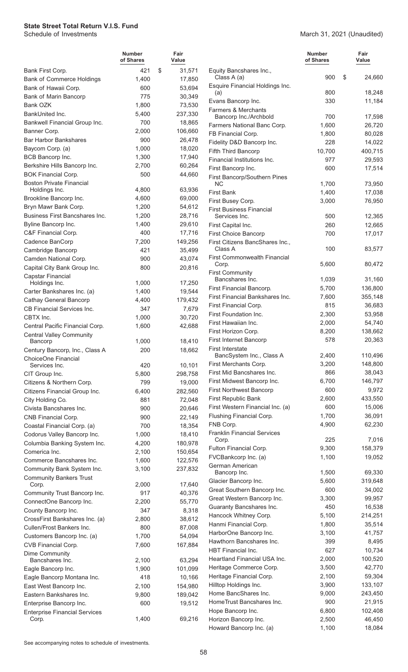March 31, 2021 (Unaudited)

|                                                | <b>Number</b><br>of Shares | Fair<br>Value     |                                              | <b>Number</b><br>of Shares | Fair<br>Value     |
|------------------------------------------------|----------------------------|-------------------|----------------------------------------------|----------------------------|-------------------|
| Bank First Corp.                               | 421                        | \$<br>31,571      | Equity Bancshares Inc.,                      |                            |                   |
| <b>Bank of Commerce Holdings</b>               | 1,400                      | 17,850            | Class A (a)                                  | 900                        | \$<br>24,660      |
| Bank of Hawaii Corp.                           | 600                        | 53,694            | Esquire Financial Holdings Inc.              | 800                        | 18,248            |
| Bank of Marin Bancorp                          | 775                        | 30,349            | (a)<br>Evans Bancorp Inc.                    | 330                        | 11,184            |
| Bank OZK                                       | 1,800                      | 73,530            | <b>Farmers &amp; Merchants</b>               |                            |                   |
| BankUnited Inc.                                | 5,400                      | 237,330           | Bancorp Inc./Archbold                        | 700                        | 17,598            |
| Bankwell Financial Group Inc.                  | 700                        | 18,865            | Farmers National Banc Corp.                  | 1,600                      | 26,720            |
| Banner Corp.                                   | 2,000                      | 106,660           | FB Financial Corp.                           | 1,800                      | 80,028            |
| <b>Bar Harbor Bankshares</b>                   | 900                        | 26,478            | Fidelity D&D Bancorp Inc.                    | 228                        | 14,022            |
| Baycom Corp. (a)<br>BCB Bancorp Inc.           | 1,000<br>1,300             | 18,020<br>17,940  | Fifth Third Bancorp                          | 10,700                     | 400,715           |
| Berkshire Hills Bancorp Inc.                   | 2,700                      | 60,264            | Financial Institutions Inc.                  | 977                        | 29,593            |
| <b>BOK Financial Corp.</b>                     | 500                        | 44,660            | First Bancorp Inc.                           | 600                        | 17,514            |
| <b>Boston Private Financial</b>                |                            |                   | First Bancorp/Southern Pines<br><b>NC</b>    | 1,700                      | 73,950            |
| Holdings Inc.                                  | 4,800                      | 63,936            | First Bank                                   | 1,400                      | 17,038            |
| Brookline Bancorp Inc.                         | 4,600                      | 69,000            | First Busey Corp.                            | 3,000                      | 76,950            |
| Bryn Mawr Bank Corp.                           | 1,200                      | 54,612            | <b>First Business Financial</b>              |                            |                   |
| Business First Bancshares Inc.                 | 1,200                      | 28,716            | Services Inc.                                | 500                        | 12,365            |
| Byline Bancorp Inc.                            | 1,400                      | 29,610            | First Capital Inc.                           | 260                        | 12,665            |
| C&F Financial Corp.                            | 400                        | 17,716            | <b>First Choice Bancorp</b>                  | 700                        | 17,017            |
| Cadence BanCorp                                | 7,200                      | 149,256           | First Citizens BancShares Inc.,              |                            |                   |
| Cambridge Bancorp                              | 421                        | 35,499            | Class A                                      | 100                        | 83,577            |
| Camden National Corp.                          | 900                        | 43,074            | <b>First Commonwealth Financial</b><br>Corp. | 5,600                      | 80,472            |
| Capital City Bank Group Inc.                   | 800                        | 20,816            | <b>First Community</b>                       |                            |                   |
| Capstar Financial<br>Holdings Inc.             | 1,000                      | 17,250            | Bancshares Inc.                              | 1,039                      | 31,160            |
| Carter Bankshares Inc. (a)                     | 1,400                      | 19,544            | First Financial Bancorp.                     | 5,700                      | 136,800           |
| <b>Cathay General Bancorp</b>                  | 4,400                      | 179,432           | First Financial Bankshares Inc.              | 7,600                      | 355,148           |
| CB Financial Services Inc.                     | 347                        | 7,679             | First Financial Corp.                        | 815                        | 36,683            |
| CBTX Inc.                                      | 1,000                      | 30,720            | First Foundation Inc.                        | 2,300                      | 53,958            |
| Central Pacific Financial Corp.                | 1,600                      | 42,688            | First Hawaiian Inc.                          | 2,000                      | 54,740            |
| <b>Central Valley Community</b>                |                            |                   | First Horizon Corp.                          | 8,200                      | 138,662           |
| Bancorp                                        | 1,000                      | 18,410            | First Internet Bancorp                       | 578                        | 20,363            |
| Century Bancorp, Inc., Class A                 | 200                        | 18,662            | First Interstate<br>BancSystem Inc., Class A | 2,400                      | 110,496           |
| ChoiceOne Financial                            |                            |                   | First Merchants Corp.                        | 3,200                      | 148,800           |
| Services Inc.<br>CIT Group Inc.                | 420<br>5,800               | 10,101<br>298,758 | First Mid Bancshares Inc.                    | 866                        | 38,043            |
| Citizens & Northern Corp.                      | 799                        | 19,000            | First Midwest Bancorp Inc.                   | 6,700                      | 146,797           |
| Citizens Financial Group Inc.                  | 6,400                      | 282,560           | <b>First Northwest Bancorp</b>               | 600                        | 9,972             |
| City Holding Co.                               | 881                        | 72,048            | First Republic Bank                          | 2,600                      | 433,550           |
| Civista Bancshares Inc.                        | 900                        | 20,646            | First Western Financial Inc. (a)             | 600                        | 15,006            |
| CNB Financial Corp.                            | 900                        | 22,149            | Flushing Financial Corp.                     | 1,700                      | 36,091            |
| Coastal Financial Corp. (a)                    | 700                        | 18,354            | FNB Corp.                                    | 4,900                      | 62,230            |
| Codorus Valley Bancorp Inc.                    | 1,000                      | 18,410            | <b>Franklin Financial Services</b>           |                            |                   |
| Columbia Banking System Inc.                   | 4,200                      | 180,978           | Corp.                                        | 225                        | 7,016             |
| Comerica Inc.                                  | 2,100                      | 150,654           | Fulton Financial Corp.                       | 9,300                      | 158,379           |
| Commerce Bancshares Inc.                       | 1,600                      | 122,576           | FVCBankcorp Inc. (a)                         | 1,100                      | 19,052            |
| Community Bank System Inc.                     | 3,100                      | 237,832           | German American<br>Bancorp Inc.              | 1,500                      | 69,330            |
| <b>Community Bankers Trust</b>                 |                            |                   | Glacier Bancorp Inc.                         | 5,600                      | 319,648           |
| Corp.                                          | 2,000                      | 17,640            | Great Southern Bancorp Inc.                  | 600                        | 34,002            |
| Community Trust Bancorp Inc.                   | 917                        | 40,376            | Great Western Bancorp Inc.                   | 3,300                      | 99,957            |
| ConnectOne Bancorp Inc.<br>County Bancorp Inc. | 2,200<br>347               | 55,770<br>8,318   | Guaranty Bancshares Inc.                     | 450                        | 16,538            |
| CrossFirst Bankshares Inc. (a)                 | 2,800                      | 38,612            | Hancock Whitney Corp.                        | 5,100                      | 214,251           |
| Cullen/Frost Bankers Inc.                      | 800                        | 87,008            | Hanmi Financial Corp.                        | 1,800                      | 35,514            |
| Customers Bancorp Inc. (a)                     | 1,700                      | 54,094            | HarborOne Bancorp Inc.                       | 3,100                      | 41,757            |
| CVB Financial Corp.                            | 7,600                      | 167,884           | Hawthorn Bancshares Inc.                     | 399                        | 8,495             |
| Dime Community                                 |                            |                   | <b>HBT</b> Financial Inc.                    | 627                        | 10,734            |
| Bancshares Inc.                                | 2,100                      | 63,294            | Heartland Financial USA Inc.                 | 2,000                      | 100,520           |
| Eagle Bancorp Inc.                             | 1,900                      | 101,099           | Heritage Commerce Corp.                      | 3,500                      | 42,770            |
| Eagle Bancorp Montana Inc.                     | 418                        | 10,166            | Heritage Financial Corp.                     | 2,100                      | 59,304            |
| East West Bancorp Inc.                         | 2,100                      | 154,980           | Hilltop Holdings Inc.                        | 3,900                      | 133,107           |
| Eastern Bankshares Inc.                        | 9,800                      | 189,042           | Home BancShares Inc.                         | 9,000                      | 243,450           |
| Enterprise Bancorp Inc.                        | 600                        | 19,512            | HomeTrust Bancshares Inc.                    | 900                        | 21,915            |
| <b>Enterprise Financial Services</b><br>Corp.  | 1,400                      | 69,216            | Hope Bancorp Inc.<br>Horizon Bancorp Inc.    | 6,800<br>2,500             | 102,408<br>46,450 |
|                                                |                            |                   | Howard Bancorp Inc. (a)                      | 1,100                      | 18,084            |
|                                                |                            |                   |                                              |                            |                   |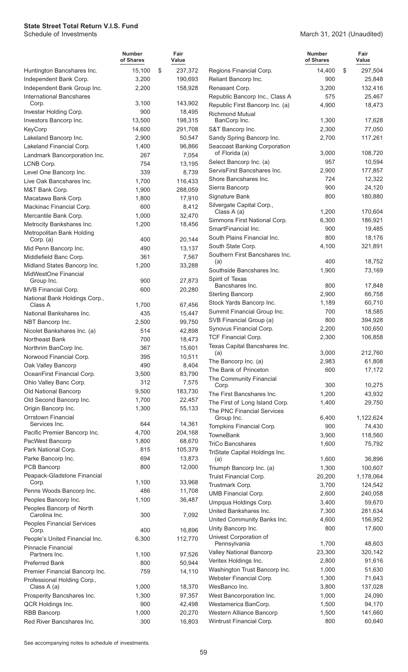March 31, 2021 (Unaudited)

|                                                  | <b>Number</b><br>of Shares | Fair<br>Value     |                                                       | <b>Number</b><br>of Shares | Fair<br>Value      |
|--------------------------------------------------|----------------------------|-------------------|-------------------------------------------------------|----------------------------|--------------------|
| Huntington Bancshares Inc.                       | 15,100                     | \$<br>237,372     | Regions Financial Corp.                               | 14,400                     | \$<br>297,504      |
| Independent Bank Corp.                           | 3,200                      | 190,693           | Reliant Bancorp Inc.                                  | 900                        | 25,848             |
| Independent Bank Group Inc.                      | 2,200                      | 158,928           | Renasant Corp.                                        | 3,200                      | 132,416            |
| <b>International Bancshares</b>                  |                            |                   | Republic Bancorp Inc., Class A                        | 575                        | 25,467             |
| Corp.<br>Investar Holding Corp.                  | 3,100<br>900               | 143,902<br>18,495 | Republic First Bancorp Inc. (a)                       | 4,900                      | 18,473             |
| Investors Bancorp Inc.                           | 13,500                     | 198,315           | <b>Richmond Mutual</b><br>BanCorp Inc.                | 1,300                      | 17,628             |
| KeyCorp                                          | 14,600                     | 291,708           | S&T Bancorp Inc.                                      | 2,300                      | 77,050             |
| Lakeland Bancorp Inc.                            | 2,900                      | 50,547            | Sandy Spring Bancorp Inc.                             | 2,700                      | 117,261            |
| Lakeland Financial Corp.                         | 1,400                      | 96,866            | <b>Seacoast Banking Corporation</b>                   |                            |                    |
| Landmark Bancorporation Inc.                     | 267                        | 7,054             | of Florida (a)                                        | 3,000                      | 108,720            |
| LCNB Corp.                                       | 754                        | 13,195            | Select Bancorp Inc. (a)                               | 957                        | 10,594             |
| Level One Bancorp Inc.                           | 339                        | 8,739             | ServisFirst Bancshares Inc.                           | 2,900                      | 177,857            |
| Live Oak Bancshares Inc.                         | 1,700                      | 116,433           | Shore Bancshares Inc.                                 | 724                        | 12,322             |
| M&T Bank Corp.                                   | 1,900                      | 288,059           | Sierra Bancorp                                        | 900                        | 24,120             |
| Macatawa Bank Corp.                              | 1,800                      | 17,910            | Signature Bank                                        | 800                        | 180,880            |
| Mackinac Financial Corp.                         | 600                        | 8,412             | Silvergate Capital Corp.,                             |                            |                    |
| Mercantile Bank Corp.                            | 1,000                      | 32,470            | Class A (a)<br>Simmons First National Corp.           | 1,200<br>6,300             | 170,604<br>186,921 |
| Metrocity Bankshares Inc.                        | 1,200                      | 18,456            | SmartFinancial Inc.                                   | 900                        | 19,485             |
| Metropolitan Bank Holding                        |                            |                   | South Plains Financial Inc.                           | 800                        | 18,176             |
| Corp. (a)                                        | 400                        | 20,144            | South State Corp.                                     | 4,100                      | 321,891            |
| Mid Penn Bancorp Inc.                            | 490                        | 13,137            | Southern First Bancshares Inc.                        |                            |                    |
| Middlefield Banc Corp.                           | 361                        | 7,567             | (a)                                                   | 400                        | 18,752             |
| Midland States Bancorp Inc.                      | 1,200                      | 33,288            | Southside Bancshares Inc.                             | 1,900                      | 73,169             |
| MidWestOne Financial<br>Group Inc.               | 900                        | 27,873            | Spirit of Texas                                       |                            |                    |
| MVB Financial Corp.                              | 600                        | 20,280            | Bancshares Inc.                                       | 800                        | 17,848             |
| National Bank Holdings Corp.,                    |                            |                   | <b>Sterling Bancorp</b>                               | 2,900                      | 66,758             |
| Class A                                          | 1,700                      | 67,456            | Stock Yards Bancorp Inc.                              | 1,189                      | 60,710             |
| National Bankshares Inc.                         | 435                        | 15,447            | Summit Financial Group Inc.                           | 700                        | 18,585             |
| NBT Bancorp Inc.                                 | 2,500                      | 99,750            | SVB Financial Group (a)                               | 800                        | 394,928            |
| Nicolet Bankshares Inc. (a)                      | 514                        | 42,898            | Synovus Financial Corp.<br><b>TCF Financial Corp.</b> | 2,200<br>2,300             | 100,650<br>106,858 |
| Northeast Bank                                   | 700                        | 18,473            | Texas Capital Bancshares Inc.                         |                            |                    |
| Northrim BanCorp Inc.                            | 367                        | 15,601            | (a)                                                   | 3,000                      | 212,760            |
| Norwood Financial Corp.                          | 395                        | 10,511            | The Bancorp Inc. (a)                                  | 2,983                      | 61,808             |
| Oak Valley Bancorp<br>OceanFirst Financial Corp. | 490                        | 8,404<br>83,790   | The Bank of Princeton                                 | 600                        | 17,172             |
| Ohio Valley Banc Corp.                           | 3,500<br>312               | 7,575             | The Community Financial                               |                            |                    |
| Old National Bancorp                             | 9,500                      | 183,730           | Corp.                                                 | 300                        | 10,275             |
| Old Second Bancorp Inc.                          | 1,700                      | 22,457            | The First Bancshares Inc.                             | 1,200                      | 43,932             |
| Origin Bancorp Inc.                              | 1,300                      | 55,133            | The First of Long Island Corp.                        | 1,400                      | 29,750             |
| <b>Orrstown Financial</b>                        |                            |                   | The PNC Financial Services<br>Group Inc.              | 6,400                      | 1,122,624          |
| Services Inc.                                    | 644                        | 14,361            | Tompkins Financial Corp.                              | 900                        | 74,430             |
| Pacific Premier Bancorp Inc.                     | 4,700                      | 204,168           | <b>TowneBank</b>                                      | 3,900                      | 118,560            |
| PacWest Bancorp                                  | 1,800                      | 68,670            | <b>TriCo Bancshares</b>                               | 1,600                      | 75,792             |
| Park National Corp.                              | 815                        | 105,379           | TriState Capital Holdings Inc.                        |                            |                    |
| Parke Bancorp Inc.                               | 694                        | 13,873            | (a)                                                   | 1,600                      | 36,896             |
| PCB Bancorp                                      | 800                        | 12,000            | Triumph Bancorp Inc. (a)                              | 1,300                      | 100,607            |
| Peapack-Gladstone Financial<br>Corp.             | 1,100                      | 33,968            | Truist Financial Corp.                                | 20,200                     | 1,178,064          |
| Penns Woods Bancorp Inc.                         | 486                        | 11,708            | Trustmark Corp.                                       | 3,700                      | 124,542            |
| Peoples Bancorp Inc.                             | 1,100                      | 36,487            | <b>UMB Financial Corp.</b>                            | 2,600                      | 240,058            |
| Peoples Bancorp of North                         |                            |                   | Umpqua Holdings Corp.                                 | 3,400                      | 59,670             |
| Carolina Inc.                                    | 300                        | 7,092             | United Bankshares Inc.                                | 7,300                      | 281,634            |
| <b>Peoples Financial Services</b>                |                            |                   | United Community Banks Inc.                           | 4,600<br>800               | 156,952            |
| Corp.                                            | 400                        | 16,896            | Unity Bancorp Inc.<br>Univest Corporation of          |                            | 17,600             |
| People's United Financial Inc.                   | 6,300                      | 112,770           | Pennsylvania                                          | 1,700                      | 48,603             |
| <b>Pinnacle Financial</b><br>Partners Inc.       | 1,100                      | 97,526            | Valley National Bancorp                               | 23,300                     | 320,142            |
| <b>Preferred Bank</b>                            | 800                        | 50,944            | Veritex Holdings Inc.                                 | 2,800                      | 91,616             |
| Premier Financial Bancorp Inc.                   | 759                        | 14,110            | Washington Trust Bancorp Inc.                         | 1,000                      | 51,630             |
| Professional Holding Corp.,                      |                            |                   | Webster Financial Corp.                               | 1,300                      | 71,643             |
| Class A (a)                                      | 1,000                      | 18,370            | WesBanco Inc.                                         | 3,800                      | 137,028            |
| Prosperity Bancshares Inc.                       | 1,300                      | 97,357            | West Bancorporation Inc.                              | 1,000                      | 24,090             |
| QCR Holdings Inc.                                | 900                        | 42,498            | Westamerica BanCorp.                                  | 1,500                      | 94,170             |
| <b>RBB Bancorp</b>                               | 1,000                      | 20,270            | Western Alliance Bancorp                              | 1,500                      | 141,660            |
| Red River Bancshares Inc.                        | 300                        | 16,803            | Wintrust Financial Corp.                              | 800                        | 60,640             |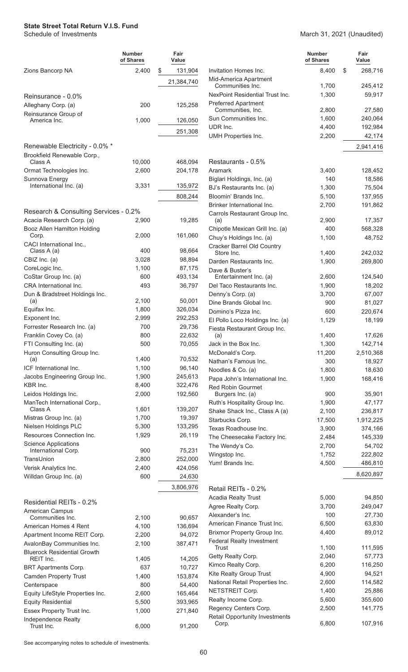|                                                    | <b>Number</b><br>of Shares | Fair<br>Value     |                                                     | <b>Number</b><br>of Shares | Fair<br>Value    |
|----------------------------------------------------|----------------------------|-------------------|-----------------------------------------------------|----------------------------|------------------|
| Zions Bancorp NA                                   | 2,400                      | \$<br>131,904     | Invitation Homes Inc.                               | 8,400                      | \$<br>268,716    |
|                                                    |                            | 21,384,740        | Mid-America Apartment                               |                            |                  |
|                                                    |                            |                   | Communities Inc.<br>NexPoint Residential Trust Inc. | 1,700                      | 245,412          |
| Reinsurance - 0.0%                                 |                            |                   | <b>Preferred Apartment</b>                          | 1,300                      | 59,917           |
| Alleghany Corp. (a)                                | 200                        | 125,258           | Communities, Inc.                                   | 2,800                      | 27,580           |
| Reinsurance Group of<br>America Inc.               | 1,000                      | 126,050           | Sun Communities Inc.                                | 1,600                      | 240,064          |
|                                                    |                            |                   | UDR Inc.                                            | 4,400                      | 192,984          |
|                                                    |                            | 251,308           | <b>UMH Properties Inc.</b>                          | 2,200                      | 42,174           |
| Renewable Electricity - 0.0% *                     |                            |                   |                                                     |                            | 2,941,416        |
| Brookfield Renewable Corp.,                        |                            |                   |                                                     |                            |                  |
| Class A                                            | 10,000                     | 468,094           | Restaurants - 0.5%                                  |                            |                  |
| Ormat Technologies Inc.                            | 2,600                      | 204,178           | Aramark                                             | 3,400                      | 128,452          |
| Sunnova Energy<br>International Inc. (a)           | 3,331                      | 135,972           | Biglari Holdings, Inc. (a)                          | 140                        | 18,586           |
|                                                    |                            |                   | BJ's Restaurants Inc. (a)                           | 1,300                      | 75,504           |
|                                                    |                            | 808,244           | Bloomin' Brands Inc.<br>Brinker International Inc.  | 5,100                      | 137,955          |
| Research & Consulting Services - 0.2%              |                            |                   | Carrols Restaurant Group Inc.                       | 2,700                      | 191,862          |
| Acacia Research Corp. (a)                          | 2,900                      | 19,285            | (a)                                                 | 2,900                      | 17,357           |
| Booz Allen Hamilton Holding                        |                            |                   | Chipotle Mexican Grill Inc. (a)                     | 400                        | 568,328          |
| Corp.                                              | 2,000                      | 161,060           | Chuy's Holdings Inc. (a)                            | 1,100                      | 48,752           |
| CACI International Inc.,                           |                            |                   | Cracker Barrel Old Country                          |                            |                  |
| Class A (a)                                        | 400                        | 98,664            | Store Inc.                                          | 1,400                      | 242,032          |
| CBIZ Inc. (a)                                      | 3,028                      | 98,894            | Darden Restaurants Inc.                             | 1,900                      | 269,800          |
| CoreLogic Inc.<br>CoStar Group Inc. (a)            | 1,100<br>600               | 87,175<br>493,134 | Dave & Buster's<br>Entertainment Inc. (a)           | 2,600                      | 124,540          |
| CRA International Inc.                             | 493                        | 36,797            | Del Taco Restaurants Inc.                           | 1,900                      | 18,202           |
| Dun & Bradstreet Holdings Inc.                     |                            |                   | Denny's Corp. (a)                                   | 3,700                      | 67,007           |
| (a)                                                | 2,100                      | 50,001            | Dine Brands Global Inc.                             | 900                        | 81,027           |
| Equifax Inc.                                       | 1,800                      | 326,034           | Domino's Pizza Inc.                                 | 600                        | 220,674          |
| Exponent Inc.                                      | 2,999                      | 292,253           | El Pollo Loco Holdings Inc. (a)                     | 1,129                      | 18,199           |
| Forrester Research Inc. (a)                        | 700                        | 29,736            | Fiesta Restaurant Group Inc.                        |                            |                  |
| Franklin Covey Co. (a)                             | 800                        | 22,632            | (a)                                                 | 1,400                      | 17,626           |
| FTI Consulting Inc. (a)                            | 500                        | 70,055            | Jack in the Box Inc.                                | 1,300                      | 142,714          |
| Huron Consulting Group Inc.                        |                            |                   | McDonald's Corp.                                    | 11,200                     | 2,510,368        |
| (a)<br>ICF International Inc.                      | 1,400<br>1,100             | 70,532<br>96,140  | Nathan's Famous Inc.                                | 300                        | 18,927           |
| Jacobs Engineering Group Inc.                      | 1,900                      | 245,613           | Noodles & Co. (a)                                   | 1,800                      | 18,630           |
| KBR Inc.                                           | 8,400                      | 322,476           | Papa John's International Inc.                      | 1,900                      | 168,416          |
| Leidos Holdings Inc.                               | 2,000                      | 192,560           | <b>Red Robin Gourmet</b><br>Burgers Inc. (a)        | 900                        | 35,901           |
| ManTech International Corp.,                       |                            |                   | Ruth's Hospitality Group Inc.                       | 1,900                      | 47,177           |
| Class A                                            | 1,601                      | 139,207           | Shake Shack Inc., Class A (a)                       | 2,100                      | 236,817          |
| Mistras Group Inc. (a)                             | 1,700                      | 19,397            | Starbucks Corp.                                     | 17,500                     | 1,912,225        |
| Nielsen Holdings PLC                               | 5,300                      | 133,295           | Texas Roadhouse Inc.                                | 3,900                      | 374,166          |
| Resources Connection Inc.                          | 1,929                      | 26,119            | The Cheesecake Factory Inc.                         | 2,484                      | 145,339          |
| <b>Science Applications</b><br>International Corp. | 900                        | 75,231            | The Wendy's Co.                                     | 2,700                      | 54,702           |
| TransUnion                                         | 2,800                      | 252,000           | Wingstop Inc.                                       | 1,752                      | 222,802          |
| Verisk Analytics Inc.                              | 2,400                      | 424,056           | Yum! Brands Inc.                                    | 4,500                      | 486,810          |
| Willdan Group Inc. (a)                             | 600                        | 24,630            |                                                     |                            | 8,620,897        |
|                                                    |                            | 3,806,976         |                                                     |                            |                  |
|                                                    |                            |                   | Retail REITs - 0.2%                                 |                            |                  |
| Residential REITs - 0.2%                           |                            |                   | Acadia Realty Trust                                 | 5,000                      | 94,850           |
| American Campus                                    |                            |                   | Agree Realty Corp.<br>Alexander's Inc.              | 3,700                      | 249,047          |
| Communities Inc.                                   | 2,100                      | 90,657            | American Finance Trust Inc.                         | 100<br>6,500               | 27,730<br>63,830 |
| American Homes 4 Rent                              | 4,100                      | 136,694           | Brixmor Property Group Inc.                         | 4,400                      | 89,012           |
| Apartment Income REIT Corp.                        | 2,200                      | 94,072            | <b>Federal Realty Investment</b>                    |                            |                  |
| AvalonBay Communities Inc.                         | 2,100                      | 387,471           | <b>Trust</b>                                        | 1,100                      | 111,595          |
| <b>Bluerock Residential Growth</b><br>REIT Inc.    | 1,405                      | 14,205            | Getty Realty Corp.                                  | 2,040                      | 57,773           |
| <b>BRT Apartments Corp.</b>                        | 637                        | 10,727            | Kimco Realty Corp.                                  | 6,200                      | 116,250          |
| <b>Camden Property Trust</b>                       | 1,400                      | 153,874           | Kite Realty Group Trust                             | 4,900                      | 94,521           |
| Centerspace                                        | 800                        | 54,400            | National Retail Properties Inc.                     | 2,600                      | 114,582          |
| Equity LifeStyle Properties Inc.                   | 2,600                      | 165,464           | NETSTREIT Corp.                                     | 1,400                      | 25,886           |
| <b>Equity Residential</b>                          | 5,500                      | 393,965           | Realty Income Corp.                                 | 5,600                      | 355,600          |
| Essex Property Trust Inc.                          | 1,000                      | 271,840           | Regency Centers Corp.                               | 2,500                      | 141,775          |
| Independence Realty                                |                            |                   | Retail Opportunity Investments                      | 6,800                      |                  |
| Trust Inc.                                         | 6,000                      | 91,200            | Corp.                                               |                            | 107,916          |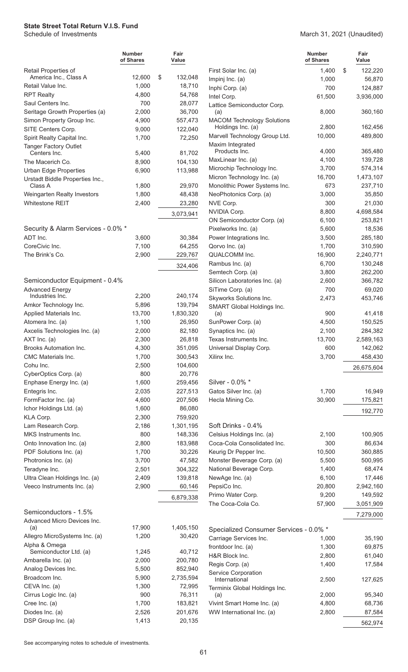|                                                  | <b>Number</b><br>of Shares | Fair<br>Value |                                                        | <b>Number</b><br>of Shares | Fair<br>Value    |
|--------------------------------------------------|----------------------------|---------------|--------------------------------------------------------|----------------------------|------------------|
| Retail Properties of                             |                            |               | First Solar Inc. (a)                                   | 1,400                      | \$<br>122,220    |
| America Inc., Class A                            | 12,600                     | \$<br>132,048 | Impinj Inc. (a)                                        | 1,000                      | 56,870           |
| Retail Value Inc.                                | 1,000                      | 18,710        | Inphi Corp. (a)                                        | 700                        | 124,887          |
| <b>RPT Realty</b>                                | 4,800                      | 54,768        | Intel Corp.                                            | 61,500                     | 3,936,000        |
| Saul Centers Inc.                                | 700                        | 28,077        | Lattice Semiconductor Corp.                            |                            |                  |
| Seritage Growth Properties (a)                   | 2,000                      | 36,700        | (a)                                                    | 8,000                      | 360,160          |
| Simon Property Group Inc.                        | 4,900                      | 557,473       | <b>MACOM Technology Solutions</b><br>Holdings Inc. (a) | 2,800                      | 162,456          |
| SITE Centers Corp.<br>Spirit Realty Capital Inc. | 9,000<br>1,700             | 122,040       | Marvell Technology Group Ltd.                          | 10,000                     | 489,800          |
| Tanger Factory Outlet                            |                            | 72,250        | Maxim Integrated                                       |                            |                  |
| Centers Inc.                                     | 5,400                      | 81,702        | Products Inc.                                          | 4,000                      | 365,480          |
| The Macerich Co.                                 | 8,900                      | 104,130       | MaxLinear Inc. (a)                                     | 4,100                      | 139,728          |
| <b>Urban Edge Properties</b>                     | 6,900                      | 113,988       | Microchip Technology Inc.                              | 3,700                      | 574,314          |
| Urstadt Biddle Properties Inc.,                  |                            |               | Micron Technology Inc. (a)                             | 16,700                     | 1,473,107        |
| Class A                                          | 1,800                      | 29,970        | Monolithic Power Systems Inc.                          | 673                        | 237,710          |
| Weingarten Realty Investors                      | 1,800                      | 48,438        | NeoPhotonics Corp. (a)                                 | 3,000                      | 35,850           |
| Whitestone REIT                                  | 2,400                      | 23,280        | NVE Corp.                                              | 300                        | 21,030           |
|                                                  |                            | 3,073,941     | NVIDIA Corp.                                           | 8,800                      | 4,698,584        |
|                                                  |                            |               | ON Semiconductor Corp. (a)                             | 6,100                      | 253,821          |
| Security & Alarm Services - 0.0% *               |                            |               | Pixelworks Inc. (a)                                    | 5,600                      | 18,536           |
| ADT Inc.                                         | 3.600                      | 30,384        | Power Integrations Inc.                                | 3,500                      | 285,180          |
| CoreCivic Inc.                                   | 7,100                      | 64,255        | Qorvo Inc. (a)                                         | 1,700                      | 310,590          |
| The Brink's Co.                                  | 2,900                      | 229,767       | QUALCOMM Inc.                                          | 16,900                     | 2,240,771        |
|                                                  |                            | 324,406       | Rambus Inc. (a)                                        | 6,700                      | 130,248          |
|                                                  |                            |               | Semtech Corp. (a)                                      | 3,800                      | 262,200          |
| Semiconductor Equipment - 0.4%                   |                            |               | Silicon Laboratories Inc. (a)                          | 2,600                      | 366,782          |
| <b>Advanced Energy</b><br>Industries Inc.        | 2,200                      | 240,174       | SiTime Corp. (a)                                       | 700                        | 69,020           |
| Amkor Technology Inc.                            | 5,896                      | 139,794       | Skyworks Solutions Inc.                                | 2,473                      | 453,746          |
| Applied Materials Inc.                           | 13,700                     | 1,830,320     | SMART Global Holdings Inc.<br>(a)                      | 900                        | 41,418           |
| Atomera Inc. (a)                                 | 1,100                      | 26,950        | SunPower Corp. (a)                                     | 4,500                      | 150,525          |
| Axcelis Technologies Inc. (a)                    | 2,000                      | 82,180        | Synaptics Inc. (a)                                     | 2,100                      | 284,382          |
| AXT Inc. (a)                                     | 2,300                      | 26,818        | Texas Instruments Inc.                                 | 13,700                     | 2,589,163        |
| <b>Brooks Automation Inc.</b>                    | 4,300                      | 351,095       | Universal Display Corp.                                | 600                        | 142,062          |
| CMC Materials Inc.                               | 1,700                      | 300,543       | Xilinx Inc.                                            | 3,700                      | 458,430          |
| Cohu Inc.                                        | 2,500                      | 104,600       |                                                        |                            | 26,675,604       |
| CyberOptics Corp. (a)                            | 800                        | 20,776        |                                                        |                            |                  |
| Enphase Energy Inc. (a)                          | 1,600                      | 259,456       | Silver - 0.0% *                                        |                            |                  |
| Entegris Inc.                                    | 2,035                      | 227,513       | Gatos Silver Inc. (a)                                  | 1,700                      | 16,949           |
| FormFactor Inc. (a)                              | 4,600                      | 207,506       | Hecla Mining Co.                                       | 30,900                     | 175,821          |
| Ichor Holdings Ltd. (a)                          | 1,600                      | 86,080        |                                                        |                            | 192,770          |
| KLA Corp.                                        | 2,300                      | 759,920       |                                                        |                            |                  |
| Lam Research Corp.                               | 2,186                      | 1,301,195     | Soft Drinks - 0.4%                                     |                            |                  |
| MKS Instruments Inc.                             | 800                        | 148,336       | Celsius Holdings Inc. (a)                              | 2,100                      | 100,905          |
| Onto Innovation Inc. (a)                         | 2,800                      | 183,988       | Coca-Cola Consolidated Inc.                            | 300                        | 86,634           |
| PDF Solutions Inc. (a)                           | 1,700                      | 30,226        | Keurig Dr Pepper Inc.                                  | 10,500                     | 360,885          |
| Photronics Inc. (a)                              | 3,700                      | 47,582        | Monster Beverage Corp. (a)                             | 5,500                      | 500,995          |
| Teradyne Inc.                                    | 2,501                      | 304,322       | National Beverage Corp.                                | 1,400                      | 68,474           |
| Ultra Clean Holdings Inc. (a)                    | 2,409                      | 139,818       | NewAge Inc. (a)                                        | 6,100                      | 17,446           |
| Veeco Instruments Inc. (a)                       | 2,900                      | 60,146        | PepsiCo Inc.                                           | 20,800                     | 2,942,160        |
|                                                  |                            | 6,879,338     | Primo Water Corp.                                      | 9,200                      | 149,592          |
|                                                  |                            |               | The Coca-Cola Co.                                      | 57,900                     | 3,051,909        |
| Semiconductors - 1.5%                            |                            |               |                                                        |                            | 7,279,000        |
| Advanced Micro Devices Inc.<br>(a)               | 17,900                     | 1,405,150     |                                                        |                            |                  |
| Allegro MicroSystems Inc. (a)                    | 1,200                      | 30,420        | Specialized Consumer Services - 0.0% *                 |                            |                  |
| Alpha & Omega                                    |                            |               | Carriage Services Inc.<br>frontdoor Inc. (a)           | 1,000<br>1,300             | 35,190<br>69,875 |
| Semiconductor Ltd. (a)                           | 1,245                      | 40,712        | H&R Block Inc.                                         | 2,800                      | 61,040           |
| Ambarella Inc. (a)                               | 2,000                      | 200,780       | Regis Corp. (a)                                        | 1,400                      | 17,584           |
| Analog Devices Inc.                              | 5,500                      | 852,940       | Service Corporation                                    |                            |                  |
| Broadcom Inc.                                    | 5,900                      | 2,735,594     | International                                          | 2,500                      | 127,625          |
| CEVA Inc. (a)                                    | 1,300                      | 72,995        | Terminix Global Holdings Inc.                          |                            |                  |
| Cirrus Logic Inc. (a)                            | 900                        | 76,311        | (a)                                                    | 2,000                      | 95,340           |
| Cree Inc. (a)                                    | 1,700                      | 183,821       | Vivint Smart Home Inc. (a)                             | 4,800                      | 68,736           |
| Diodes Inc. (a)                                  | 2,526                      | 201,676       | WW International Inc. (a)                              | 2,800                      | 87,584           |
| DSP Group Inc. (a)                               | 1,413                      | 20,135        |                                                        |                            | 562,974          |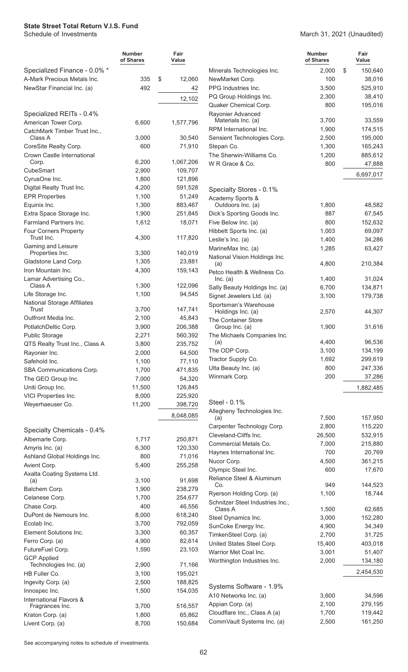#### March 31, 2021 (Unaudited)

|                                          | <b>Number</b><br>of Shares | Fair<br>Value      |                                                               | <b>Number</b><br>of Shares | Fair<br>Value |
|------------------------------------------|----------------------------|--------------------|---------------------------------------------------------------|----------------------------|---------------|
| Specialized Finance - 0.0% *             |                            |                    | Minerals Technologies Inc.                                    | 2,000                      | \$<br>150,640 |
| A-Mark Precious Metals Inc.              | 335                        | \$<br>12,060       | NewMarket Corp.                                               | 100                        | 38,016        |
| NewStar Financial Inc. (a)               | 492                        | 42                 | PPG Industries Inc.                                           | 3,500                      | 525,910       |
|                                          |                            | 12,102             | PQ Group Holdings Inc.                                        | 2,300                      | 38,410        |
|                                          |                            |                    | Quaker Chemical Corp.                                         | 800                        | 195,016       |
| Specialized REITs - 0.4%                 |                            |                    | Rayonier Advanced<br>Materials Inc. (a)                       | 3,700                      | 33,559        |
| American Tower Corp.                     | 6,600                      | 1,577,796          | RPM International Inc.                                        | 1,900                      | 174,515       |
| CatchMark Timber Trust Inc.,<br>Class A  | 3,000                      | 30,540             | Sensient Technologies Corp.                                   | 2,500                      | 195,000       |
| CoreSite Realty Corp.                    | 600                        | 71,910             | Stepan Co.                                                    | 1,300                      | 165,243       |
| Crown Castle International               |                            |                    | The Sherwin-Williams Co.                                      | 1,200                      | 885,612       |
| Corp.                                    | 6,200                      | 1,067,206          | W R Grace & Co.                                               | 800                        | 47,888        |
| CubeSmart                                | 2,900                      | 109,707            |                                                               |                            |               |
| CyrusOne Inc.                            | 1,800                      | 121,896            |                                                               |                            | 6,697,017     |
| Digital Realty Trust Inc.                | 4,200                      | 591,528            | Specialty Stores - 0.1%                                       |                            |               |
| <b>EPR Properties</b>                    | 1,100                      | 51,249             | Academy Sports &                                              |                            |               |
| Equinix Inc.                             | 1,300                      | 883,467            | Outdoors Inc. (a)                                             | 1,800                      | 48,582        |
| Extra Space Storage Inc.                 | 1,900                      | 251,845            | Dick's Sporting Goods Inc.                                    | 887                        | 67,545        |
| <b>Farmland Partners Inc.</b>            | 1,612                      | 18,071             | Five Below Inc. (a)                                           | 800                        | 152,632       |
| Four Corners Property                    |                            |                    | Hibbett Sports Inc. (a)                                       | 1,003                      | 69,097        |
| Trust Inc.                               | 4,300                      | 117,820            | Leslie's Inc. (a)                                             | 1,400                      | 34,286        |
| Gaming and Leisure<br>Properties Inc.    | 3,300                      | 140,019            | MarineMax Inc. (a)                                            | 1,285                      | 63,427        |
| Gladstone Land Corp.                     | 1,305                      | 23,881             | National Vision Holdings Inc.                                 |                            |               |
| Iron Mountain Inc.                       | 4,300                      | 159,143            | (a)                                                           | 4,800                      | 210,384       |
| Lamar Advertising Co.,                   |                            |                    | Petco Health & Wellness Co.<br>Inc. (a)                       | 1,400                      | 31,024        |
| Class A                                  | 1,300                      | 122,096            | Sally Beauty Holdings Inc. (a)                                | 6,700                      | 134,871       |
| Life Storage Inc.                        | 1,100                      | 94,545             | Signet Jewelers Ltd. (a)                                      | 3,100                      | 179,738       |
| <b>National Storage Affiliates</b>       |                            |                    | Sportsman's Warehouse                                         |                            |               |
| Trust                                    | 3,700                      | 147,741            | Holdings Inc. (a)                                             | 2,570                      | 44,307        |
| Outfront Media Inc.                      | 2,100                      | 45,843             | The Container Store                                           |                            |               |
| PotlatchDeltic Corp.                     | 3,900                      | 206,388            | Group Inc. (a)                                                | 1,900                      | 31,616        |
| <b>Public Storage</b>                    | 2,271                      | 560,392            | The Michaels Companies Inc.                                   | 4,400                      | 96,536        |
| QTS Realty Trust Inc., Class A           | 3,800                      | 235,752            | (a)<br>The ODP Corp.                                          | 3,100                      | 134,199       |
| Rayonier Inc.                            | 2,000                      | 64,500             | Tractor Supply Co.                                            | 1,692                      | 299,619       |
| Safehold Inc.                            | 1,100                      | 77,110             | Ulta Beauty Inc. (a)                                          | 800                        | 247,336       |
| SBA Communications Corp.                 | 1,700                      | 471,835            | Winmark Corp.                                                 | 200                        | 37,286        |
| The GEO Group Inc.                       | 7,000                      | 54,320             |                                                               |                            |               |
| Uniti Group Inc.<br>VICI Properties Inc. | 11,500<br>8,000            | 126,845            |                                                               |                            | 1,882,485     |
| Weyerhaeuser Co.                         | 11,200                     | 225,920<br>398,720 | Steel - 0.1%                                                  |                            |               |
|                                          |                            |                    | Allegheny Technologies Inc.                                   |                            |               |
|                                          |                            | 8,048,085          | (a)                                                           | 7,500                      | 157,950       |
| Specialty Chemicals - 0.4%               |                            |                    | Carpenter Technology Corp.                                    | 2,800                      | 115,220       |
| Albemarle Corp.                          | 1,717                      | 250,871            | Cleveland-Cliffs Inc.                                         | 26,500                     | 532,915       |
| Amyris Inc. (a)                          | 6,300                      | 120,330            | Commercial Metals Co.                                         | 7,000                      | 215,880       |
| Ashland Global Holdings Inc.             | 800                        | 71,016             | Haynes International Inc.                                     | 700                        | 20,769        |
| Avient Corp.                             | 5,400                      | 255,258            | Nucor Corp.                                                   | 4,500                      | 361,215       |
| Axalta Coating Systems Ltd.              |                            |                    | Olympic Steel Inc.                                            | 600                        | 17,670        |
| (a)                                      | 3,100                      | 91,698             | Reliance Steel & Aluminum                                     | 949                        | 144,523       |
| Balchem Corp.                            | 1,900                      | 238,279            | Co.                                                           | 1,100                      | 18,744        |
| Celanese Corp.                           | 1,700                      | 254,677            | Ryerson Holding Corp. (a)<br>Schnitzer Steel Industries Inc., |                            |               |
| Chase Corp.                              | 400                        | 46,556             | Class A                                                       | 1,500                      | 62,685        |
| DuPont de Nemours Inc.                   | 8,000                      | 618,240            | Steel Dynamics Inc.                                           | 3,000                      | 152,280       |
| Ecolab Inc.                              | 3,700                      | 792,059            | SunCoke Energy Inc.                                           | 4,900                      | 34,349        |
| Element Solutions Inc.                   | 3,300                      | 60,357             | TimkenSteel Corp. (a)                                         | 2,700                      | 31,725        |
| Ferro Corp. (a)                          | 4,900                      | 82,614             | United States Steel Corp.                                     | 15,400                     | 403,018       |
| FutureFuel Corp.                         | 1,590                      | 23,103             | Warrior Met Coal Inc.                                         | 3,001                      | 51,407        |
| <b>GCP Applied</b>                       |                            |                    | Worthington Industries Inc.                                   | 2,000                      | 134,180       |
| Technologies Inc. (a)                    | 2,900                      | 71,166             |                                                               |                            | 2,454,530     |
| HB Fuller Co.<br>Ingevity Corp. (a)      | 3,100<br>2,500             | 195,021<br>188,825 |                                                               |                            |               |
| Innospec Inc.                            | 1,500                      | 154,035            | Systems Software - 1.9%                                       |                            |               |
| International Flavors &                  |                            |                    | A10 Networks Inc. (a)                                         | 3,600                      | 34,596        |
| Fragrances Inc.                          | 3,700                      | 516,557            | Appian Corp. (a)                                              | 2,100                      | 279,195       |
| Kraton Corp. (a)                         | 1,800                      | 65,862             | Cloudflare Inc., Class A (a)                                  | 1,700                      | 119,442       |
| Livent Corp. (a)                         | 8,700                      | 150,684            | CommVault Systems Inc. (a)                                    | 2,500                      | 161,250       |
|                                          |                            |                    |                                                               |                            |               |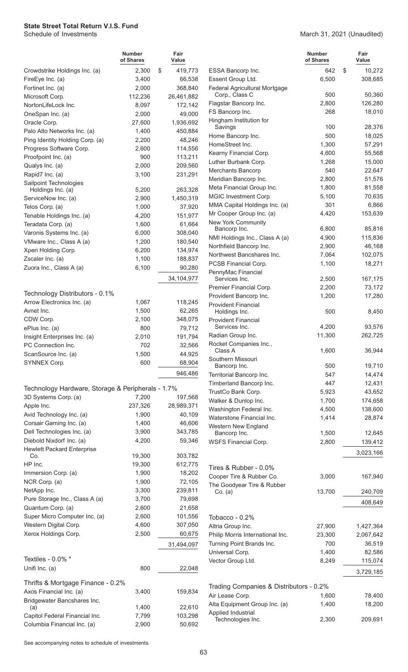March 31, 2021 (Unaudited)

|                                                   | <b>Number</b><br>of Shares | Fair<br>Value      |                                                    |
|---------------------------------------------------|----------------------------|--------------------|----------------------------------------------------|
| Crowdstrike Holdings Inc. (a)                     | 2,300                      | \$<br>419,773      | <b>ESSA Bancorp In</b>                             |
| FireEye Inc. (a)                                  | 3,400                      | 66,538             | <b>Essent Group Ltd</b>                            |
| Fortinet Inc. (a)                                 | 2,000                      | 368,840            | <b>Federal Agricultur</b>                          |
| Microsoft Corp.                                   | 112,236                    | 26,461,882         | Corp., Class C                                     |
| NortonLifeLock Inc.                               | 8,097                      | 172,142            | Flagstar Bancorp                                   |
| OneSpan Inc. (a)                                  | 2,000                      | 49,000             | FS Bancorp Inc.                                    |
| Oracle Corp.                                      | 27,600                     | 1,936,692          | Hingham Institutio<br>Savings                      |
| Palo Alto Networks Inc. (a)                       | 1,400                      | 450,884            | Home Bancorp In                                    |
| Ping Identity Holding Corp. (a)                   | 2,200                      | 48,246             | HomeStreet Inc.                                    |
| Progress Software Corp.                           | 2,600                      | 114,556            | Kearny Financial                                   |
| Proofpoint Inc. (a)                               | 900                        | 113,211            | Luther Burbank C                                   |
| Qualys Inc. (a)<br>Rapid7 Inc. (a)                | 2,000<br>3,100             | 209,560<br>231,291 | <b>Merchants Banco</b>                             |
| Sailpoint Technologies                            |                            |                    | Meridian Bancorp                                   |
| Holdings Inc. (a)                                 | 5,200                      | 263,328            | Meta Financial G                                   |
| ServiceNow Inc. (a)                               | 2,900                      | 1,450,319          | <b>MGIC Investment</b>                             |
| Telos Corp. (a)                                   | 1,000                      | 37,920             | <b>MMA Capital Hold</b>                            |
| Tenable Holdings Inc. (a)                         | 4,200                      | 151,977            | Mr Cooper Group                                    |
| Teradata Corp. (a)                                | 1,600                      | 61,664             | New York Commu                                     |
| Varonis Systems Inc. (a)                          | 6,000                      | 308,040            | Bancorp Inc.<br><b>NMI Holdings Inc</b>            |
| VMware Inc., Class A (a)                          | 1,200                      | 180,540            | <b>Northfield Bancor</b>                           |
| Xperi Holding Corp.                               | 6,200                      | 134,974            | <b>Northwest Bancs</b>                             |
| Zscaler Inc. (a)                                  | 1,100                      | 188,837            | <b>PCSB Financial (</b>                            |
| Zuora Inc., Class A (a)                           | 6,100                      | 90,280             | PennyMac Finano                                    |
|                                                   |                            | 34,104,977         | Services Inc.                                      |
| Technology Distributors - 0.1%                    |                            |                    | <b>Premier Financia</b><br><b>Provident Bancor</b> |
| Arrow Electronics Inc. (a)                        | 1,067                      | 118,245            | <b>Provident Financi</b>                           |
| Avnet Inc.                                        | 1,500                      | 62,265             | Holdings Inc.                                      |
| CDW Corp.                                         | 2,100                      | 348,075            | <b>Provident Financi</b>                           |
| ePlus Inc. (a)                                    | 800                        | 79,712             | Services Inc.                                      |
| Insight Enterprises Inc. (a)                      | 2,010                      | 191,794            | Radian Group Ind                                   |
| PC Connection Inc.                                | 702                        | 32,566             | Rocket Companie                                    |
| ScanSource Inc. (a)                               | 1,500                      | 44,925             | Class A                                            |
| SYNNEX Corp.                                      | 600                        | 68,904             | Southern Missour<br>Bancorp Inc.                   |
|                                                   |                            | 946,486            | <b>Territorial Bancor</b>                          |
|                                                   |                            |                    | <b>Timberland Banc</b>                             |
| Technology Hardware, Storage & Peripherals - 1.7% |                            |                    | TrustCo Bank Co                                    |
| 3D Systems Corp. (a)                              | 7,200                      | 197,568            | Walker & Dunlop                                    |
| Apple Inc.                                        | 237,326                    | 28,989,371         | <b>Washington Fede</b>                             |
| Avid Technology Inc. (a)                          | 1,900                      | 40,109             | <b>Waterstone Finar</b>                            |
| Corsair Gaming Inc. (a)                           | 1,400                      | 46,606             | Western New Eng                                    |
| Dell Technologies Inc. (a)                        | 3,900                      | 343,785            | Bancorp Inc.                                       |
| Diebold Nixdorf Inc. (a)                          | 4,200                      | 59,346             | <b>WSFS Financial</b>                              |
| <b>Hewlett Packard Enterprise</b><br>Co.          | 19,300                     | 303,782            |                                                    |
| HP Inc.                                           | 19,300                     | 612,775            |                                                    |
| Immersion Corp. (a)                               | 1,900                      | 18,202             | Tires & Rubber                                     |
| NCR Corp. (a)                                     | 1,900                      | 72,105             | Cooper Tire & Ru                                   |
| NetApp Inc.                                       | 3,300                      | 239,811            | The Goodyear Tir<br>Co. (a)                        |
| Pure Storage Inc., Class A (a)                    | 3,700                      | 79,698             |                                                    |
| Quantum Corp. (a)                                 | 2,600                      | 21,658             |                                                    |
| Super Micro Computer Inc. (a)                     | 2,600                      | 101,556            | Tobacco - $0.2%$                                   |
| Western Digital Corp.                             | 4,600                      | 307,050            | Altria Group Inc.                                  |
| Xerox Holdings Corp.                              | 2,500                      | 60,675             | Philip Morris Inter                                |
|                                                   |                            | 31,494,097         | <b>Turning Point Bra</b>                           |
| Textiles - 0.0% *                                 |                            |                    | Universal Corp.                                    |
| Unifi Inc. (a)                                    | 800                        | 22,048             | Vector Group Ltd.                                  |
| Thrifts & Mortgage Finance - 0.2%                 |                            |                    |                                                    |
| Axos Financial Inc. (a)                           | 3,400                      | 159,834            | <b>Trading Compar</b>                              |
| Bridgewater Bancshares Inc.                       |                            |                    | Air Lease Corp.                                    |
| (a)                                               | 1,400                      | 22,610             | Alta Equipment G                                   |
| Capitol Federal Financial Inc.                    | 7,799                      | 103,298            | Applied Industrial<br>Technologies In              |
| Columbia Financial Inc. (a)                       | 2,900                      | 50,692             |                                                    |

|                                                 | Number<br>of Shares | Fair<br>Value     |  |
|-------------------------------------------------|---------------------|-------------------|--|
| ESSA Bancorp Inc.                               | 642                 | \$<br>10,272      |  |
| Essent Group Ltd.                               | 6,500               | 308,685           |  |
| Federal Agricultural Mortgage<br>Corp., Class C | 500                 | 50,360            |  |
| Flagstar Bancorp Inc.                           | 2,800               | 126,280           |  |
| FS Bancorp Inc.                                 | 268                 | 18,010            |  |
| Hingham Institution for<br>Savings              | 100                 | 28,376            |  |
| Home Bancorp Inc.                               | 500                 | 18,025            |  |
| HomeStreet Inc.                                 | 1,300               | 57,291            |  |
| Kearny Financial Corp.                          | 4,600               | 55,568            |  |
| Luther Burbank Corp.                            | 1,268               | 15,000            |  |
| <b>Merchants Bancorp</b>                        | 540                 | 22,647            |  |
| Meridian Bancorp Inc.                           | 2,800               | 51,576            |  |
| Meta Financial Group Inc.                       | 1,800               | 81,558            |  |
| MGIC Investment Corp.                           | 5,100               | 70,635            |  |
| MMA Capital Holdings Inc. (a)                   | 301                 | 6,866             |  |
| Mr Cooper Group Inc. (a)                        | 4,420               | 153,639           |  |
| New York Community<br>Bancorp Inc.              | 6,800               | 85,816            |  |
| NMI Holdings Inc., Class A (a)                  | 4,900               | 115,836           |  |
| Northfield Bancorp Inc.                         | 2,900               | 46,168            |  |
| Northwest Bancshares Inc.                       | 7,064               | 102,075           |  |
| PCSB Financial Corp.                            | 1,100               | 18,271            |  |
| PennyMac Financial                              |                     |                   |  |
| Services Inc.                                   | 2,500               | 167,175           |  |
| Premier Financial Corp.                         | 2,200               | 73,172            |  |
| Provident Bancorp Inc.                          | 1,200               | 17,280            |  |
| <b>Provident Financial</b><br>Holdings Inc.     | 500                 | 8,450             |  |
| <b>Provident Financial</b><br>Services Inc.     |                     |                   |  |
| Radian Group Inc.                               | 4,200<br>11,300     | 93,576<br>262,725 |  |
| Rocket Companies Inc.,                          |                     |                   |  |
| Class A<br>Southern Missouri                    | 1,600               | 36,944            |  |
| Bancorp Inc.                                    | 500                 | 19,710            |  |
| Territorial Bancorp Inc.                        | 547                 | 14,474            |  |
| Timberland Bancorp Inc.                         | 447                 | 12,431            |  |
| TrustCo Bank Corp.                              | 5,923               | 43,652            |  |
| Walker & Dunlop Inc.                            | 1,700               | 174,658           |  |
| Washington Federal Inc.                         | 4,500               | 138,600           |  |
| Waterstone Financial Inc.                       | 1,414               | 28,874            |  |
| Western New England                             |                     |                   |  |
| Bancorp Inc.                                    | 1,500               | 12,645            |  |
| <b>WSFS Financial Corp.</b>                     | 2,800               | 139,412           |  |
|                                                 |                     | 3,023,166         |  |
| Tires & Rubber - 0.0%                           |                     |                   |  |
| Cooper Tire & Rubber Co.                        | 3,000               | 167,940           |  |
| The Goodyear Tire & Rubber                      |                     |                   |  |
| Co. (a)                                         | 13,700              | 240,709           |  |
|                                                 |                     | 408,649           |  |
| Tobacco - $0.2\%$                               |                     |                   |  |
| Altria Group Inc.                               | 27,900              | 1,427,364         |  |
| Philip Morris International Inc.                | 23,300              | 2,067,642         |  |
| Turning Point Brands Inc.                       | 700                 | 36,519            |  |
| Universal Corp.                                 | 1,400               | 82,586            |  |
| Vector Group Ltd.                               | 8,249               | 115,074           |  |
|                                                 |                     | 3,729,185         |  |
| Trading Companies & Distributors - 0.2%         |                     |                   |  |
| Air Lease Corp.                                 | 1,600               | 78,400            |  |
| Alta Equipment Group Inc. (a)                   | 1,400               | 18,200            |  |
| Applied Industrial                              |                     |                   |  |
| Technologies Inc.                               | 2,300               | 209,691           |  |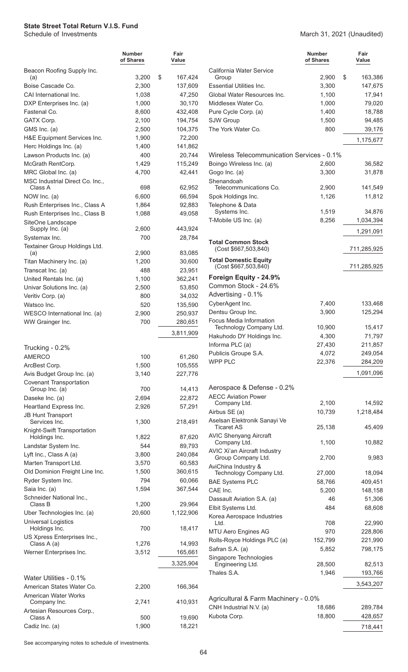|                                                  | Number<br>of Shares | Fair<br>Value     |
|--------------------------------------------------|---------------------|-------------------|
| Beacon Roofing Supply Inc.<br>(a)                | 3,200               | \$<br>167,424     |
| Boise Cascade Co.                                | 2,300               | 137,609           |
| CAI International Inc.                           | 1,038               | 47,250            |
| DXP Enterprises Inc. (a)                         | 1,000               | 30,170            |
| Fastenal Co.                                     | 8,600               | 432,408           |
| GATX Corp.                                       | 2,100               | 194,754           |
| GMS Inc. (a)                                     | 2,500               | 104,375           |
| H&E Equipment Services Inc.                      | 1,900               | 72,200            |
| Herc Holdings Inc. (a)                           | 1,400               | 141,862           |
| Lawson Products Inc. (a)<br>McGrath RentCorp.    | 400<br>1,429        | 20,744<br>115,249 |
| MRC Global Inc. (a)                              | 4,700               | 42,441            |
| MSC Industrial Direct Co. Inc.,                  |                     |                   |
| Class A                                          | 698                 | 62,952            |
| NOW Inc. (a)                                     | 6,600               | 66,594            |
| Rush Enterprises Inc., Class A                   | 1,864               | 92,883            |
| Rush Enterprises Inc., Class B                   | 1,088               | 49,058            |
| SiteOne Landscape                                |                     |                   |
| Supply Inc. (a)                                  | 2,600<br>700        | 443,924<br>28,784 |
| Systemax Inc.<br>Textainer Group Holdings Ltd.   |                     |                   |
| (a)                                              | 2,900               | 83,085            |
| Titan Machinery Inc. (a)                         | 1,200               | 30,600            |
| Transcat Inc. (a)                                | 488                 | 23,951            |
| United Rentals Inc. (a)                          | 1,100               | 362,241           |
| Univar Solutions Inc. (a)                        | 2,500               | 53,850            |
| Veritiv Corp. (a)                                | 800                 | 34,032            |
| Watsco Inc.                                      | 520                 | 135,590           |
| WESCO International Inc. (a)                     | 2,900               | 250,937           |
| WW Grainger Inc.                                 | 700                 | 280,651           |
|                                                  |                     | 3,811,909         |
| Trucking - 0.2%                                  |                     |                   |
| <b>AMERCO</b>                                    | 100                 | 61,260            |
| ArcBest Corp.                                    | 1,500               | 105,555           |
| Avis Budget Group Inc. (a)                       | 3,140               | 227,776           |
| <b>Covenant Transportation</b><br>Group Inc. (a) | 700                 | 14,413            |
| Daseke Inc. (a)                                  | 2,694               | 22,872            |
| Heartland Express Inc.                           | 2,926               | 57,291            |
| <b>JB Hunt Transport</b>                         |                     |                   |
| Services Inc.                                    | 1,300               | 218,491           |
| Knight-Swift Transportation                      |                     |                   |
| Holdings Inc.                                    | 1,822<br>544        | 87,620            |
| Landstar System Inc.<br>Lyft Inc., Class A (a)   | 3,800               | 89,793<br>240,084 |
| Marten Transport Ltd.                            | 3,570               | 60,583            |
| Old Dominion Freight Line Inc.                   | 1,500               | 360,615           |
| Ryder System Inc.                                | 794                 | 60,066            |
| Saia Inc. (a)                                    | 1,594               | 367,544           |
| Schneider National Inc.,                         |                     |                   |
| Class B                                          | 1,200               | 29,964            |
| Uber Technologies Inc. (a)                       | 20,600              | 1,122,906         |
| <b>Universal Logistics</b><br>Holdings Inc.      | 700                 |                   |
| US Xpress Enterprises Inc.,                      |                     | 18,417            |
| Class A (a)                                      | 1,276               | 14,993            |
| Werner Enterprises Inc.                          | 3,512               | 165,661           |
|                                                  |                     | 3,325,904         |
| Water Utilities - 0.1%                           |                     |                   |
| American States Water Co.                        | 2,200               | 166,364           |
| <b>American Water Works</b><br>Company Inc.      | 2,741               | 410,931           |
| Artesian Resources Corp.,                        |                     |                   |
| Class A                                          | 500                 | 19,690            |
| Cadiz Inc. (a)                                   | 1,900               | 18,221            |

#### March 31, 2021 (Unaudited)

|                                                      | Number<br>of Shares | Fair<br>Value            |
|------------------------------------------------------|---------------------|--------------------------|
| California Water Service                             |                     |                          |
| Group<br><b>Essential Utilities Inc.</b>             | 2,900<br>3,300      | \$<br>163,386<br>147,675 |
| Global Water Resources Inc.                          | 1,100               | 17,941                   |
| Middlesex Water Co.                                  | 1,000               | 79,020                   |
| Pure Cycle Corp. (a)                                 | 1,400               | 18,788                   |
| <b>SJW Group</b>                                     | 1,500               | 94,485                   |
| The York Water Co.                                   | 800                 | 39,176                   |
|                                                      |                     | 1,175,677                |
| Wireless Telecommunication Services - 0.1%           |                     |                          |
| Boingo Wireless Inc. (a)                             | 2,600               | 36,582                   |
| Gogo Inc. (a)                                        | 3,300               | 31,878                   |
| Shenandoah                                           |                     |                          |
| Telecommunications Co.                               | 2,900               | 141,549                  |
| Spok Holdings Inc.                                   | 1,126               | 11,812                   |
| Telephone & Data<br>Systems Inc.                     | 1,519               | 34,876                   |
| T-Mobile US Inc. (a)                                 | 8,256               | 1,034,394                |
|                                                      |                     | 1,291,091                |
| <b>Total Common Stock</b><br>(Cost \$667,503,840)    |                     | 711,285,925              |
| <b>Total Domestic Equity</b><br>(Cost \$667,503,840) |                     | 711,285,925              |
| Foreign Equity - 24.9%                               |                     |                          |
| Common Stock - 24.6%                                 |                     |                          |
| Advertising - 0.1%                                   | 7,400               |                          |
| CyberAgent Inc.<br>Dentsu Group Inc.                 | 3,900               | 133,468<br>125,294       |
| <b>Focus Media Information</b>                       |                     |                          |
| Technology Company Ltd.                              | 10,900              | 15,417                   |
| Hakuhodo DY Holdings Inc.                            | 4,300               | 71,797                   |
| Informa PLC (a)                                      | 27,430              | 211,857                  |
| Publicis Groupe S.A.                                 | 4,072               | 249,054                  |
| <b>WPP PLC</b>                                       | 22,376              | 284,209                  |
|                                                      |                     | 1,091,096                |
| Aerospace & Defense - 0.2%                           |                     |                          |
| <b>AECC Aviation Power</b>                           |                     |                          |
| Company Ltd.                                         | 2,100               | 14,592                   |
| Airbus SE (a)                                        | 10,739              | 1,218,484                |
| Aselsan Elektronik Sanayi Ve<br>Ticaret AS           | 25,138              | 45,409                   |
| <b>AVIC Shenyang Aircraft</b><br>Company Ltd.        | 1,100               | 10,882                   |
| <b>AVIC Xi'an Aircraft Industry</b>                  |                     |                          |
| Group Company Ltd.<br>AviChina Industry &            | 2,700               | 9,983                    |
| Technology Company Ltd.                              | 27,000              | 18,094<br>409,451        |
| <b>BAE Systems PLC</b><br>CAE Inc.                   | 58,766<br>5,200     | 148,158                  |
| Dassault Aviation S.A. (a)                           | 46                  | 51,306                   |
| Elbit Systems Ltd.                                   | 484                 | 68,608                   |
| Korea Aerospace Industries<br>Ltd.                   | 708                 | 22,990                   |
| MTU Aero Engines AG                                  | 970                 | 228,806                  |
| Rolls-Royce Holdings PLC (a)                         | 152,799             | 221,990                  |
| Safran S.A. (a)                                      | 5,852               | 798,175                  |
| Singapore Technologies                               |                     |                          |
| Engineering Ltd.                                     | 28,500              | 82,513                   |
| Thales S.A.                                          | 1,946               | 193,766                  |
|                                                      |                     | 3,543,207                |
| Agricultural & Farm Machinery - 0.0%                 |                     |                          |
| CNH Industrial N.V. (a)                              | 18,686              | 289,784                  |
| Kubota Corp.                                         | 18,800              | 428,657                  |
|                                                      |                     | 718,441                  |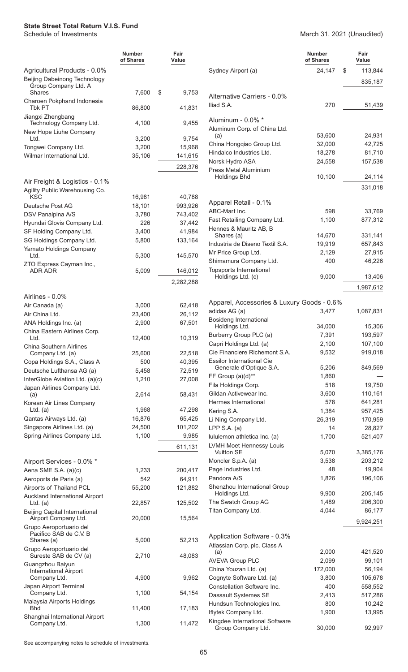#### March 31, 2021 (Unaudited)

|                                                                       | <b>Number</b><br>of Shares | Fair<br>Value |                                                      | <b>Number</b><br>of Shares | Fair<br>Value    |
|-----------------------------------------------------------------------|----------------------------|---------------|------------------------------------------------------|----------------------------|------------------|
| Agricultural Products - 0.0%                                          |                            |               | Sydney Airport (a)                                   | 24,147                     | 113,844<br>\$    |
| Beijing Dabeinong Technology<br>Group Company Ltd. A<br><b>Shares</b> | 7,600                      | \$<br>9,753   |                                                      |                            | 835,187          |
| Charoen Pokphand Indonesia<br><b>Tbk PT</b>                           | 86,800                     | 41,831        | Alternative Carriers - 0.0%<br>Iliad S.A.            | 270                        | 51,439           |
| Jiangxi Zhengbang                                                     |                            |               |                                                      |                            |                  |
| Technology Company Ltd.<br>New Hope Liuhe Company                     | 4,100                      | 9,455         | Aluminum - 0.0% *<br>Aluminum Corp. of China Ltd.    |                            |                  |
| Ltd.                                                                  | 3,200                      | 9,754         | (a)<br>China Hongqiao Group Ltd.                     | 53,600<br>32,000           | 24,931<br>42,725 |
| Tongwei Company Ltd.                                                  | 3,200                      | 15,968        | Hindalco Industries Ltd.                             | 18,278                     | 81,710           |
| Wilmar International Ltd.                                             | 35,106                     | 141,615       | Norsk Hydro ASA                                      | 24,558                     | 157,538          |
|                                                                       |                            | 228,376       | <b>Press Metal Aluminium</b>                         |                            |                  |
| Air Freight & Logistics - 0.1%                                        |                            |               | <b>Holdings Bhd</b>                                  | 10,100                     | 24,114           |
| Agility Public Warehousing Co.                                        |                            |               |                                                      |                            | 331,018          |
| <b>KSC</b>                                                            | 16,981                     | 40,788        | Apparel Retail - 0.1%                                |                            |                  |
| Deutsche Post AG                                                      | 18,101                     | 993,926       | ABC-Mart Inc.                                        | 598                        | 33,769           |
| DSV Panalpina A/S                                                     | 3,780                      | 743,402       | Fast Retailing Company Ltd.                          | 1,100                      | 877,312          |
| Hyundai Glovis Company Ltd.                                           | 226                        | 37,442        | Hennes & Mauritz AB, B                               |                            |                  |
| SF Holding Company Ltd.                                               | 3,400                      | 41,984        | Shares (a)                                           | 14,670                     | 331,141          |
| SG Holdings Company Ltd.                                              | 5,800                      | 133,164       | Industria de Diseno Textil S.A.                      | 19,919                     | 657,843          |
| Yamato Holdings Company<br>Ltd.                                       | 5,300                      | 145,570       | Mr Price Group Ltd.                                  | 2,129                      | 27,915           |
| ZTO Express Cayman Inc.,                                              |                            |               | Shimamura Company Ltd.                               | 400                        | 46,226           |
| ADR ADR                                                               | 5,009                      | 146,012       | <b>Topsports International</b><br>Holdings Ltd. (c)  | 9,000                      | 13,406           |
|                                                                       |                            | 2,282,288     |                                                      |                            | 1,987,612        |
| Airlines - 0.0%                                                       |                            |               |                                                      |                            |                  |
| Air Canada (a)                                                        | 3,000                      | 62,418        | Apparel, Accessories & Luxury Goods - 0.6%           |                            |                  |
| Air China Ltd.                                                        | 23,400                     | 26,112        | adidas AG (a)                                        | 3,477                      | 1,087,831        |
| ANA Holdings Inc. (a)                                                 | 2,900                      | 67,501        | Bosideng International<br>Holdings Ltd.              | 34,000                     | 15,306           |
| China Eastern Airlines Corp.                                          |                            |               | Burberry Group PLC (a)                               | 7,391                      | 193,597          |
| Ltd.                                                                  | 12,400                     | 10,319        | Capri Holdings Ltd. (a)                              | 2,100                      | 107,100          |
| <b>China Southern Airlines</b><br>Company Ltd. (a)                    | 25,600                     | 22,518        | Cie Financiere Richemont S.A.                        | 9,532                      | 919,018          |
| Copa Holdings S.A., Class A                                           | 500                        | 40,395        | <b>Essilor International Cie</b>                     |                            |                  |
| Deutsche Lufthansa AG (a)                                             | 5,458                      | 72,519        | Generale d'Optique S.A.                              | 5,206                      | 849,569          |
| InterGlobe Aviation Ltd. (a)(c)                                       | 1,210                      | 27,008        | FF Group (a)(d)**                                    | 1,860                      |                  |
| Japan Airlines Company Ltd.                                           |                            |               | Fila Holdings Corp.                                  | 518                        | 19,750           |
| (a)                                                                   | 2,614                      | 58,431        | Gildan Activewear Inc.                               | 3,600                      | 110,161          |
| Korean Air Lines Company                                              |                            |               | Hermes International                                 | 578                        | 641,281          |
| Ltd. $(a)$                                                            | 1,968                      | 47,298        | Kering S.A.                                          | 1,384                      | 957,425          |
| Qantas Airways Ltd. (a)                                               | 16,876                     | 65,425        | Li Ning Company Ltd.                                 | 26,319                     | 170,959          |
| Singapore Airlines Ltd. (a)                                           | 24,500                     | 101,202       | LPP S.A. $(a)$                                       | 14                         | 28,827           |
| Spring Airlines Company Ltd.                                          | 1,100                      | 9,985         | lululemon athletica Inc. (a)                         | 1,700                      | 521,407          |
|                                                                       |                            | 611,131       | <b>LVMH Moet Hennessy Louis</b><br><b>Vuitton SE</b> | 5,070                      | 3,385,176        |
| Airport Services - 0.0% *                                             |                            |               | Moncler S.p.A. (a)                                   | 3,538                      | 203,212          |
| Aena SME S.A. (a)(c)                                                  | 1,233                      | 200,417       | Page Industries Ltd.                                 | 48                         | 19,904           |
| Aeroports de Paris (a)                                                | 542                        | 64,911        | Pandora A/S                                          | 1,826                      | 196,106          |
| Airports of Thailand PCL                                              | 55,200                     | 121,882       | Shenzhou International Group                         |                            |                  |
| Auckland International Airport                                        |                            |               | Holdings Ltd.                                        | 9,900                      | 205,145          |
| Ltd. $(a)$                                                            | 22,857                     | 125,502       | The Swatch Group AG                                  | 1,489                      | 206,300          |
| Beijing Capital International                                         |                            |               | Titan Company Ltd.                                   | 4,044                      | 86,177           |
| Airport Company Ltd.<br>Grupo Aeroportuario del                       | 20,000                     | 15,564        |                                                      |                            | 9,924,251        |
| Pacifico SAB de C.V. B                                                |                            |               |                                                      |                            |                  |
| Shares (a)                                                            | 5,000                      | 52,213        | Application Software - 0.3%                          |                            |                  |
| Grupo Aeroportuario del                                               |                            |               | Atlassian Corp. plc, Class A<br>(a)                  | 2,000                      | 421,520          |
| Sureste SAB de CV (a)                                                 | 2,710                      | 48,083        | <b>AVEVA Group PLC</b>                               | 2,099                      | 99,101           |
| Guangzhou Baiyun<br><b>International Airport</b>                      |                            |               | China Youzan Ltd. (a)                                | 172,000                    | 56,194           |
| Company Ltd.                                                          | 4,900                      | 9,962         | Cognyte Software Ltd. (a)                            | 3,800                      | 105,678          |
| Japan Airport Terminal                                                |                            |               | Constellation Software Inc.                          | 400                        | 558,552          |
| Company Ltd.                                                          | 1,100                      | 54,154        | Dassault Systemes SE                                 | 2,413                      | 517,286          |
| Malaysia Airports Holdings                                            |                            |               | Hundsun Technologies Inc.                            | 800                        | 10,242           |
| <b>Bhd</b>                                                            | 11,400                     | 17,183        | Iflytek Company Ltd.                                 | 1,900                      | 13,995           |
| Shanghai International Airport<br>Company Ltd.                        | 1,300                      | 11,472        | Kingdee International Software                       | 30,000                     |                  |
|                                                                       |                            |               | Group Company Ltd.                                   |                            | 92,997           |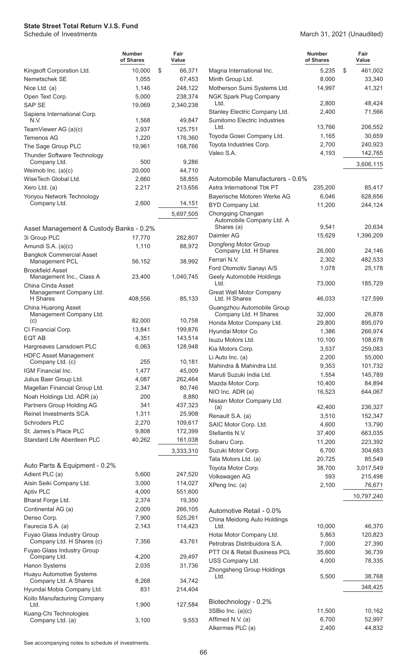|                                                         | <b>Number</b><br>of Shares | Fair<br>Value     |
|---------------------------------------------------------|----------------------------|-------------------|
| Kingsoft Corporation Ltd.                               | 10,000                     | \$<br>66,371      |
| Nemetschek SE                                           | 1,055                      | 67,453            |
| Nice Ltd. (a)                                           | 1,146                      | 248,122           |
| Open Text Corp.                                         | 5,000                      | 238,374           |
| SAP SE                                                  | 19,069                     | 2,340,238         |
| Sapiens International Corp.<br>N.V.                     | 1,568                      | 49,847            |
| TeamViewer AG (a)(c)                                    | 2,937                      | 125,751           |
| <b>Temenos AG</b>                                       | 1,220                      | 176,360           |
| The Sage Group PLC                                      | 19,961                     | 168,766           |
| Thunder Software Technology                             |                            |                   |
| Company Ltd.<br>Weimob Inc. $(a)(c)$                    | 500<br>20,000              | 9,286<br>44,710   |
| WiseTech Global Ltd.                                    | 2,660                      | 58,855            |
| Xero Ltd. (a)                                           | 2,217                      | 213,656           |
| Yonyou Network Technology                               |                            |                   |
| Company Ltd.                                            | 2,600                      | 14,151            |
|                                                         |                            | 5,697,505         |
|                                                         |                            |                   |
| Asset Management & Custody Banks - 0.2%<br>3i Group PLC | 17,770                     | 282,807           |
| Amundi S.A. (a)(c)                                      | 1,110                      | 88,972            |
| <b>Bangkok Commercial Asset</b>                         |                            |                   |
| Management PCL                                          | 56,152                     | 38,992            |
| <b>Brookfield Asset</b>                                 |                            |                   |
| Management Inc., Class A                                | 23,400                     | 1,040,745         |
| China Cinda Asset<br>Management Company Ltd.            |                            |                   |
| H Shares                                                | 408,556                    | 85,133            |
| China Huarong Asset                                     |                            |                   |
| Management Company Ltd.<br>(c)                          | 82,000                     | 10,758            |
| CI Financial Corp.                                      | 13,841                     | 199,876           |
| EQT AB                                                  | 4,351                      | 143,514           |
| Hargreaves Lansdown PLC                                 | 6,063                      | 128,948           |
| <b>HDFC Asset Management</b>                            |                            |                   |
| Company Ltd. (c)                                        | 255                        | 10,181            |
| IGM Financial Inc.                                      | 1,477<br>4,087             | 45,009            |
| Julius Baer Group Ltd.<br>Magellan Financial Group Ltd. | 2,347                      | 262,464<br>80,746 |
| Noah Holdings Ltd. ADR (a)                              | 200                        | 8,880             |
| Partners Group Holding AG                               | 341                        | 437,323           |
| <b>Reinet Investments SCA</b>                           | 1,311                      | 25,908            |
| Schroders PLC                                           | 2,270                      | 109,617           |
| St. James's Place PLC                                   | 9,808                      | 172,399           |
| Standard Life Aberdeen PLC                              | 40,262                     | 161,038           |
|                                                         |                            | 3,333,310         |
| Auto Parts & Equipment - 0.2%                           |                            |                   |
| Adient PLC (a)                                          | 5,600                      | 247,520           |
| Aisin Seiki Company Ltd.                                | 3,000                      | 114,027           |
| <b>Aptiv PLC</b>                                        | 4,000                      | 551,600           |
| Bharat Forge Ltd.                                       | 2,374                      | 19,350            |
| Continental AG (a)                                      | 2,009                      | 266,105           |
| Denso Corp.                                             | 7,900                      | 525,261           |
| Faurecia S.A. (a)                                       | 2,143                      | 114,423           |
| Fuyao Glass Industry Group<br>Company Ltd. H Shares (c) | 7,356                      | 43,761            |
| Fuyao Glass Industry Group<br>Company Ltd.              | 4,200                      | 29,497            |
| Hanon Systems                                           | 2,035                      | 31,736            |
| Huayu Automotive Systems                                |                            |                   |
| Company Ltd. A Shares                                   | 8,268                      | 34,742            |
| Hyundai Mobis Company Ltd.                              | 831                        | 214,404           |
| Koito Manufacturing Company<br>Ltd.                     | 1,900                      | 127,584           |
| Kuang-Chi Technologies<br>Company Ltd. (a)              | 3,100                      | 9,553             |

March 31, 2021 (Unaudited)

|                                                       | <b>Number</b><br>of Shares | Fair<br>Value     |
|-------------------------------------------------------|----------------------------|-------------------|
| Magna International Inc.                              | 5,235                      | \$<br>461,002     |
| Minth Group Ltd.                                      | 8,000                      | 33,340            |
| Motherson Sumi Systems Ltd.                           | 14,997                     | 41,321            |
| <b>NGK Spark Plug Company</b><br>Ltd.                 | 2,800                      | 48,424            |
| Stanley Electric Company Ltd.                         | 2,400                      | 71,566            |
| Sumitomo Electric Industries<br>Ltd.                  |                            |                   |
| Toyoda Gosei Company Ltd.                             | 13,766<br>1,165            | 206,552<br>30,659 |
| Toyota Industries Corp.                               | 2,700                      | 240,923           |
| Valeo S.A.                                            | 4,193                      | 142,765           |
|                                                       |                            |                   |
|                                                       |                            | 3,606,115         |
| Automobile Manufacturers - 0.6%                       |                            |                   |
| Astra International Tbk PT                            | 235,200                    | 85,417            |
| Bayerische Motoren Werke AG                           | 6,046                      | 628,656           |
| BYD Company Ltd.                                      | 11,200                     | 244,124           |
| Chongqing Changan<br>Automobile Company Ltd. A        |                            |                   |
| Shares (a)                                            | 9,541                      | 20,634            |
| Daimler AG                                            | 15,629                     | 1,396,209         |
| Dongfeng Motor Group                                  |                            |                   |
| Company Ltd. H Shares<br>Ferrari N.V.                 | 26,000                     | 24,146            |
|                                                       | 2,302                      | 482,533           |
| Ford Otomotiv Sanayi A/S<br>Geely Automobile Holdings | 1,078                      | 25,178            |
| Ltd.                                                  | 73,000                     | 185,729           |
| <b>Great Wall Motor Company</b><br>Ltd. H Shares      |                            |                   |
| Guangzhou Automobile Group                            | 46,033                     | 127,599           |
| Company Ltd. H Shares                                 | 32,000                     | 26,878            |
| Honda Motor Company Ltd.                              | 29,800                     | 895,079           |
| Hyundai Motor Co.                                     | 1,386                      | 266,974           |
| <b>Isuzu Motors Ltd.</b>                              | 10,100                     | 108,678           |
| Kia Motors Corp.                                      | 3,537                      | 259,083           |
| Li Auto Inc. (a)                                      | 2,200                      | 55,000            |
| Mahindra & Mahindra Ltd.                              | 9,353                      | 101,732           |
| Maruti Suzuki India Ltd.                              | 1,554                      | 145,789           |
| Mazda Motor Corp.                                     | 10,400                     | 84,894            |
| NIO Inc. ADR (a)                                      | 16,523                     | 644,067           |
| Nissan Motor Company Ltd.<br>(a)                      | 42,400                     | 236,327           |
| Renault S.A. (a)                                      | 3,510                      | 152,347           |
| SAIC Motor Corp. Ltd.                                 | 4,600                      | 13,790            |
| Stellantis N.V.                                       | 37,400                     | 663,035           |
| Subaru Corp.                                          | 11,200                     | 223,392           |
| Suzuki Motor Corp.                                    | 6,700                      | 304,683           |
| Tata Motors Ltd. (a)                                  | 20,725                     | 85,549            |
| Toyota Motor Corp.                                    | 38,700                     | 3,017,549         |
| Volkswagen AG                                         | 593                        | 215,498           |
| XPeng Inc. (a)                                        | 2,100                      | 76,671            |
|                                                       |                            | 10,797,240        |
| Automotive Retail - 0.0%                              |                            |                   |
| China Meidong Auto Holdings                           |                            |                   |
| Ltd.                                                  | 10,000                     | 46,370            |
| Hotai Motor Company Ltd.                              | 5,863                      | 120,823           |
| Petrobras Distribuidora S.A.                          | 7,000                      | 27,390            |
| PTT Oil & Retail Business PCL                         | 35,600                     | 36,739            |
| USS Company Ltd.                                      | 4,000                      | 78,335            |
| Zhongsheng Group Holdings<br>Ltd.                     | 5,500                      | 38,768            |
|                                                       |                            | 348,425           |
|                                                       |                            |                   |
| Biotechnology - 0.2%                                  |                            |                   |
| 3SBio Inc. (a)(c)                                     | 11,500                     | 10,162            |
| Affimed N.V. (a)                                      | 6,700                      | 52,997            |
| Alkermes PLC (a)                                      | 2,400                      | 44,832            |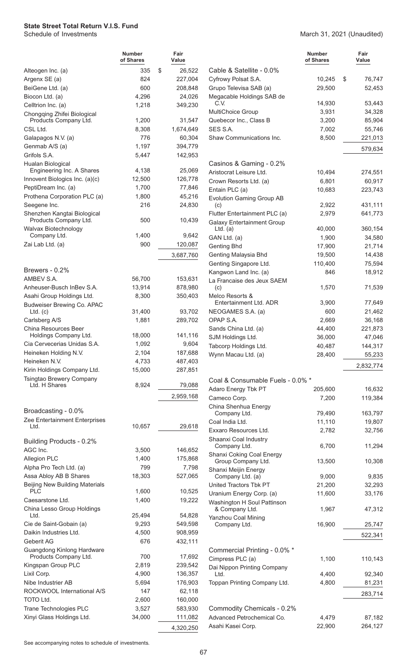March 31, 2021 (Unaudited)

|                                               | <b>Number</b><br>of Shares | Fair<br>Value       |                            |
|-----------------------------------------------|----------------------------|---------------------|----------------------------|
| Alteogen Inc. (a)                             | 335                        | \$<br>26,522        | Cable & Sa                 |
| Argenx SE (a)                                 | 824                        | 227,004             | <b>Cyfrowy Pols</b>        |
| BeiGene Ltd. (a)                              | 600                        | 208,848             | Grupo Telev                |
| Biocon Ltd. (a)                               | 4,296                      | 24,026              | Megacable I                |
| Celltrion Inc. (a)                            | 1,218                      | 349,230             | C.V.                       |
| Chongqing Zhifei Biological                   |                            |                     | <b>MultiChoice</b>         |
| Products Company Ltd.                         | 1,200                      | 31,547              | Quebecor In<br>SES S.A.    |
| CSL Ltd.<br>Galapagos N.V. (a)                | 8,308<br>776               | 1,674,649<br>60,304 | Shaw Comm                  |
| Genmab A/S (a)                                | 1,197                      | 394,779             |                            |
| Grifols S.A.                                  | 5,447                      | 142,953             |                            |
| Hualan Biological                             |                            |                     | Casinos &                  |
| Engineering Inc. A Shares                     | 4,138                      | 25,069              | Aristocrat Le              |
| Innovent Biologics Inc. (a)(c)                | 12,500                     | 126,778             | Crown Reso                 |
| PeptiDream Inc. (a)                           | 1,700                      | 77,846              | Entain PLC                 |
| Prothena Corporation PLC (a)                  | 1,800                      | 45,216              | <b>Evolution Ga</b>        |
| Seegene Inc.                                  | 216                        | 24,830              | (c)                        |
| Shenzhen Kangtai Biological                   |                            |                     | <b>Flutter Enter</b>       |
| Products Company Ltd.                         | 500                        | 10,439              | <b>Galaxy Ente</b>         |
| Walvax Biotechnology<br>Company Ltd.          | 1,400                      | 9,642               | Ltd. $(a)$<br>GAN Ltd. (a) |
| Zai Lab Ltd. (a)                              | 900                        | 120,087             | Genting Bhd                |
|                                               |                            |                     | <b>Genting Mal</b>         |
|                                               |                            | 3,687,760           | <b>Genting Sing</b>        |
| Brewers - 0.2%                                |                            |                     | Kangwon La                 |
| AMBEV S.A.                                    | 56,700                     | 153,631             | La Francaise               |
| Anheuser-Busch InBev S.A.                     | 13,914                     | 878,980             | (c)                        |
| Asahi Group Holdings Ltd.                     | 8,300                      | 350,403             | Melco Resor                |
| Budweiser Brewing Co. APAC                    |                            |                     | Entertainr                 |
| $Ltd.$ (c)                                    | 31,400                     | 93,702              | <b>NEOGAMES</b>            |
| Carlsberg A/S                                 | 1,881                      | 289,702             | OPAP S.A.                  |
| China Resources Beer<br>Holdings Company Ltd. | 18,000                     | 141,116             | Sands China                |
| Cia Cervecerias Unidas S.A.                   | 1,092                      | 9,604               | <b>SJM Holding</b>         |
| Heineken Holding N.V.                         | 2,104                      | 187,688             | <b>Tabcorp Hol</b>         |
| Heineken N.V.                                 | 4,733                      | 487,403             | Wynn Macar                 |
| Kirin Holdings Company Ltd.                   | 15,000                     | 287,851             |                            |
| Tsingtao Brewery Company                      |                            |                     | Coal & Cor                 |
| Ltd. H Shares                                 | 8,924                      | 79,088              | Adaro Energ                |
|                                               |                            | 2,959,168           | Cameco Cor                 |
|                                               |                            |                     | China Shenl                |
| Broadcasting - 0.0%                           |                            |                     | Company                    |
| Zee Entertainment Enterprises                 |                            |                     | Coal India Lt              |
| Ltd.                                          | 10,657                     | 29,618              | <b>Exxaro Reso</b>         |
| Building Products - 0.2%                      |                            |                     | Shaanxi Coa                |
| AGC Inc.                                      | 3,500                      | 146,652             | Company                    |
| Allegion PLC                                  | 1,400                      | 175,868             | Shanxi Coki<br>Group Co    |
| Alpha Pro Tech Ltd. (a)                       | 799                        | 7,798               | Shanxi Meiji               |
| Assa Abloy AB B Shares                        | 18,303                     | 527,065             | Company                    |
| <b>Beijing New Building Materials</b>         |                            |                     | United Tract               |
| <b>PLC</b>                                    | 1,600                      | 10,525              | Uranium En                 |
| Caesarstone Ltd.                              | 1,400                      | 19,222              | Washington                 |
| China Lesso Group Holdings<br>Ltd.            | 25,494                     | 54,828              | & Compar                   |
| Cie de Saint-Gobain (a)                       | 9,293                      | 549,598             | Yanzhou Co<br>Company      |
| Daikin Industries Ltd.                        | 4,500                      | 908,959             |                            |
| Geberit AG                                    | 676                        | 432,111             |                            |
| Guangdong Kinlong Hardware                    |                            |                     | Commercia                  |
| Products Company Ltd.                         | 700                        | 17,692              | Cimpress Pl                |
| Kingspan Group PLC                            | 2,819                      | 239,542             | Dai Nippon I               |
| Lixil Corp.                                   | 4,900                      | 136,357             | Ltd.                       |
| Nibe Industrier AB                            | 5,694                      | 176,903             | Toppan Print               |
| ROCKWOOL International A/S                    | 147                        | 62,118              |                            |
| <b>TOTO Ltd.</b>                              | 2,600                      | 160,000             |                            |
| Trane Technologies PLC                        | 3,527                      | 583,930             | Commodity                  |
| Xinyi Glass Holdings Ltd.                     | 34,000                     | 111,082             | Advanced P                 |
|                                               |                            | 4,320,250           | Asahi Kasei                |

|                                                     | Number<br>of Shares | Fair<br>Value |
|-----------------------------------------------------|---------------------|---------------|
| Cable & Satellite - 0.0%                            |                     |               |
| Cyfrowy Polsat S.A.                                 | 10,245              | \$<br>76,747  |
| Grupo Televisa SAB (a)<br>Megacable Holdings SAB de | 29,500              | 52,453        |
| C.V.                                                | 14,930              | 53,443        |
| MultiChoice Group                                   | 3,931               | 34,328        |
| Quebecor Inc., Class B                              | 3,200               | 85,904        |
| SES S.A.                                            | 7,002               | 55,746        |
| Shaw Communications Inc.                            | 8,500               | 221,013       |
|                                                     |                     | 579,634       |
| Casinos & Gaming - 0.2%                             |                     |               |
| Aristocrat Leisure Ltd.                             | 10,494              | 274,551       |
| Crown Resorts Ltd. (a)                              | 6,801               | 60,917        |
| Entain PLC (a)                                      | 10,683              | 223,743       |
| <b>Evolution Gaming Group AB</b>                    |                     |               |
| (c)                                                 | 2,922               | 431,111       |
| Flutter Entertainment PLC (a)                       | 2,979               | 641,773       |
| <b>Galaxy Entertainment Group</b>                   |                     |               |
| $Ltd.$ (a)                                          | 40,000              | 360,154       |
| GAN Ltd. (a)                                        | 1,900               | 34,580        |
| <b>Genting Bhd</b>                                  | 17,900              | 21,714        |
| Genting Malaysia Bhd                                | 19,500              | 14,438        |
| Genting Singapore Ltd.                              | 110,400             | 75,594        |
| Kangwon Land Inc. (a)<br>La Francaise des Jeux SAEM | 846                 | 18,912        |
| (c)                                                 | 1,570               | 71,539        |
| Melco Resorts &<br>Entertainment Ltd. ADR           | 3,900               | 77,649        |
| NEOGAMES S.A. (a)                                   | 600                 | 21,462        |
| OPAP S.A.                                           | 2,669               | 36,168        |
| Sands China Ltd. (a)                                | 44,400              | 221,873       |
| SJM Holdings Ltd.                                   | 36,000              | 47,046        |
| Tabcorp Holdings Ltd.                               | 40,487              | 144,317       |
| Wynn Macau Ltd. (a)                                 | 28,400              | 55,233        |
|                                                     |                     | 2,832,774     |
| Coal & Consumable Fuels - 0.0% *                    |                     |               |
| Adaro Energy Tbk PT                                 | 205,600             | 16,632        |
| Cameco Corp.                                        | 7,200               | 119,384       |
| China Shenhua Energy                                |                     |               |
| Company Ltd.                                        | 79.490              | 163,797       |
| Coal India Ltd.                                     | 11,110              | 19,807        |
| Exxaro Resources Ltd.                               | 2,782               | 32,756        |
| Shaanxi Coal Industry<br>Company Ltd.               | 6,700               | 11,294        |
| Shanxi Coking Coal Energy                           |                     |               |
| Group Company Ltd.<br>Shanxi Meijin Energy          | 13,500              | 10,308        |
| Company Ltd. (a)                                    | 9,000               | 9,835         |
| <b>United Tractors Tbk PT</b>                       | 21,200              | 32,293        |
| Uranium Energy Corp. (a)                            | 11,600              | 33,176        |
| Washington H Soul Pattinson<br>& Company Ltd.       | 1,967               | 47,312        |
| Yanzhou Coal Mining                                 |                     |               |
| Company Ltd.                                        | 16,900              | 25,747        |
|                                                     |                     | 522,341       |
| Commercial Printing - 0.0% *                        |                     |               |
| Cimpress PLC (a)                                    | 1,100               | 110,143       |
| Dai Nippon Printing Company                         |                     |               |
| Ltd.<br>Toppan Printing Company Ltd.                | 4,400<br>4,800      | 92,340        |
|                                                     |                     | 81,231        |
|                                                     |                     | 283,714       |
| Commodity Chemicals - 0.2%                          |                     |               |
| Advanced Petrochemical Co.                          | 4,479               | 87,182        |
| Asahi Kasei Corp.                                   | 22,900              | 264,127       |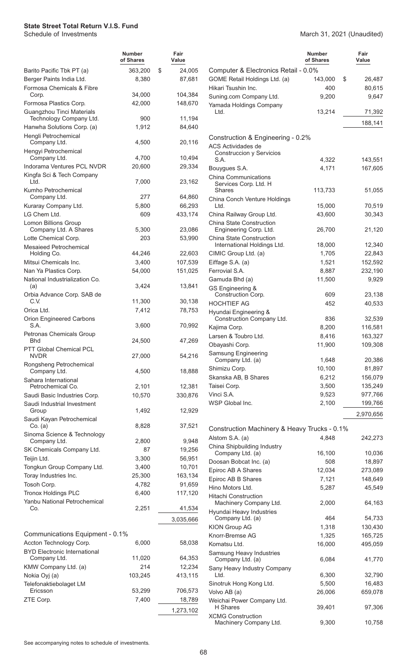Machinery Company Ltd. 69,300 10,758

|                                                      | <b>Number</b><br>of Shares | Fair<br>Value |                                                         | <b>Number</b><br>of Shares | Fair<br>Value |
|------------------------------------------------------|----------------------------|---------------|---------------------------------------------------------|----------------------------|---------------|
| Barito Pacific Tbk PT (a)                            | 363,200                    | \$<br>24,005  | Computer & Electronics Retail - 0.0%                    |                            |               |
| Berger Paints India Ltd.                             | 8,380                      | 87,681        | GOME Retail Holdings Ltd. (a)                           | 143,000<br>\$              | 26,487        |
| Formosa Chemicals & Fibre                            |                            |               | Hikari Tsushin Inc.                                     | 400                        | 80,615        |
| Corp.                                                | 34,000                     | 104,384       | Suning.com Company Ltd.                                 | 9,200                      | 9,647         |
| Formosa Plastics Corp.                               | 42,000                     | 148,670       | Yamada Holdings Company                                 |                            |               |
| Guangzhou Tinci Materials<br>Technology Company Ltd. | 900                        | 11,194        | Ltd.                                                    | 13,214                     | 71,392        |
| Hanwha Solutions Corp. (a)                           | 1,912                      | 84,640        |                                                         |                            | 188,141       |
| Hengli Petrochemical                                 |                            |               | Construction & Engineering - 0.2%                       |                            |               |
| Company Ltd.                                         | 4,500                      | 20,116        | ACS Actividades de                                      |                            |               |
| Hengyi Petrochemical                                 |                            |               | <b>Construccion y Servicios</b>                         |                            |               |
| Company Ltd.                                         | 4,700                      | 10,494        | S.A.                                                    | 4,322                      | 143,551       |
| Indorama Ventures PCL NVDR                           | 20,600                     | 29,334        | Bouygues S.A.                                           | 4,171                      | 167,605       |
| Kingfa Sci & Tech Company<br>Ltd.                    | 7,000                      | 23,162        | <b>China Communications</b>                             |                            |               |
| Kumho Petrochemical                                  |                            |               | Services Corp. Ltd. H<br><b>Shares</b>                  | 113,733                    | 51,055        |
| Company Ltd.                                         | 277                        | 64,860        | China Conch Venture Holdings                            |                            |               |
| Kuraray Company Ltd.                                 | 5,800                      | 66,293        | Ltd.                                                    | 15,000                     | 70,519        |
| LG Chem Ltd.                                         | 609                        | 433,174       | China Railway Group Ltd.                                | 43,600                     | 30,343        |
| Lomon Billions Group                                 |                            |               | China State Construction                                |                            |               |
| Company Ltd. A Shares                                | 5,300                      | 23,086        | Engineering Corp. Ltd.                                  | 26,700                     | 21,120        |
| Lotte Chemical Corp.                                 | 203                        | 53,990        | China State Construction<br>International Holdings Ltd. | 18,000                     | 12,340        |
| <b>Mesaieed Petrochemical</b><br>Holding Co.         | 44,246                     | 22,603        | CIMIC Group Ltd. (a)                                    | 1,705                      | 22,843        |
| Mitsui Chemicals Inc.                                | 3,400                      | 107,539       | Eiffage S.A. (a)                                        | 1,521                      | 152,592       |
| Nan Ya Plastics Corp.                                | 54,000                     | 151,025       | Ferrovial S.A.                                          | 8,887                      | 232,190       |
| National Industrialization Co.                       |                            |               | Gamuda Bhd (a)                                          | 11,500                     | 9,929         |
| (a)                                                  | 3,424                      | 13,841        | GS Engineering &                                        |                            |               |
| Orbia Advance Corp. SAB de                           |                            |               | Construction Corp.                                      | 609                        | 23,138        |
| C.V.                                                 | 11,300                     | 30,138        | <b>HOCHTIEF AG</b>                                      | 452                        | 40,533        |
| Orica Ltd.                                           | 7,412                      | 78,753        | Hyundai Engineering &                                   |                            |               |
| Orion Engineered Carbons<br>S.A.                     | 3,600                      | 70,992        | Construction Company Ltd.                               | 836                        | 32,539        |
| Petronas Chemicals Group                             |                            |               | Kajima Corp.                                            | 8,200                      | 116,581       |
| <b>Bhd</b>                                           | 24,500                     | 47,269        | Larsen & Toubro Ltd.                                    | 8,416                      | 163,327       |
| PTT Global Chemical PCL                              |                            |               | Obayashi Corp.                                          | 11,900                     | 109,308       |
| <b>NVDR</b>                                          | 27,000                     | 54,216        | <b>Samsung Engineering</b><br>Company Ltd. (a)          | 1,648                      | 20,386        |
| Rongsheng Petrochemical                              |                            |               | Shimizu Corp.                                           | 10,100                     | 81,897        |
| Company Ltd.                                         | 4,500                      | 18,888        | Skanska AB, B Shares                                    | 6,212                      | 156,079       |
| Sahara International<br>Petrochemical Co.            | 2,101                      | 12,381        | Taisei Corp.                                            | 3,500                      | 135,249       |
| Saudi Basic Industries Corp.                         | 10,570                     | 330,876       | Vinci S.A.                                              | 9,523                      | 977,766       |
| Saudi Industrial Investment                          |                            |               | WSP Global Inc.                                         | 2,100                      | 199,766       |
| Group                                                | 1,492                      | 12,929        |                                                         |                            | 2,970,656     |
| Saudi Kayan Petrochemical                            |                            |               |                                                         |                            |               |
| Co. (a)                                              | 8,828                      | 37,521        | Construction Machinery & Heavy Trucks - 0.1%            |                            |               |
| Sinoma Science & Technology<br>Company Ltd.          | 2,800                      | 9,948         | Alstom S.A. (a)                                         | 4,848                      | 242,273       |
| SK Chemicals Company Ltd.                            | 87                         | 19,256        | China Shipbuilding Industry                             |                            |               |
| Teijin Ltd.                                          | 3,300                      | 56,951        | Company Ltd. (a)                                        | 16,100                     | 10,036        |
| Tongkun Group Company Ltd.                           | 3,400                      | 10,701        | Doosan Bobcat Inc. (a)                                  | 508                        | 18,897        |
| Toray Industries Inc.                                | 25,300                     | 163,134       | Epiroc AB A Shares                                      | 12,034                     | 273,089       |
| Tosoh Corp.                                          | 4,782                      | 91,659        | Epiroc AB B Shares                                      | 7,121                      | 148,649       |
| <b>Tronox Holdings PLC</b>                           | 6,400                      | 117,120       | Hino Motors Ltd.                                        | 5,287                      | 45,549        |
| Yanbu National Petrochemical                         |                            |               | <b>Hitachi Construction</b><br>Machinery Company Ltd.   | 2,000                      | 64,163        |
| Co.                                                  | 2,251                      | 41,534        | Hyundai Heavy Industries                                |                            |               |
|                                                      |                            | 3,035,666     | Company Ltd. (a)                                        | 464                        | 54,733        |
|                                                      |                            |               | KION Group AG                                           | 1,318                      | 130,430       |
| Communications Equipment - 0.1%                      |                            |               | Knorr-Bremse AG                                         | 1,325                      | 165,725       |
| Accton Technology Corp.                              | 6,000                      | 58,038        | Komatsu Ltd.                                            | 16,000                     | 495,059       |
| <b>BYD Electronic International</b>                  |                            |               | Samsung Heavy Industries                                |                            |               |
| Company Ltd.                                         | 11,020                     | 64,353        | Company Ltd. (a)                                        | 6,084                      | 41,770        |
| KMW Company Ltd. (a)                                 | 214                        | 12,234        | Sany Heavy Industry Company<br>Ltd.                     | 6,300                      | 32,790        |
| Nokia Oyj (a)                                        | 103,245                    | 413,115       | Sinotruk Hong Kong Ltd.                                 | 5,500                      | 16,483        |
| Telefonaktiebolaget LM<br>Ericsson                   | 53,299                     | 706,573       | Volvo AB (a)                                            | 26,006                     | 659,078       |
| ZTE Corp.                                            | 7,400                      | 18,789        | Weichai Power Company Ltd.                              |                            |               |
|                                                      |                            | 1,273,102     | H Shares                                                | 39,401                     | 97,306        |
|                                                      |                            |               | <b>XCMG Construction</b>                                |                            |               |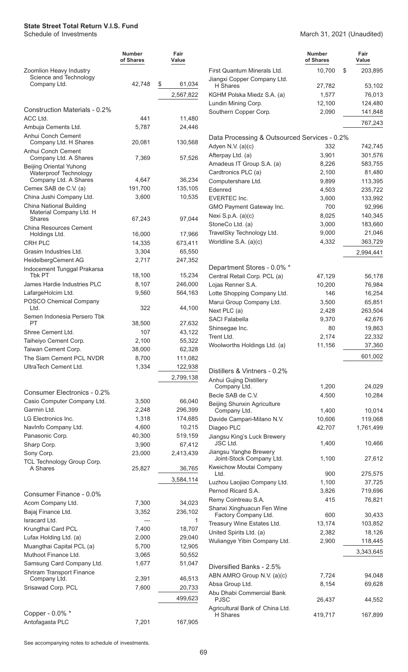#### March 31, 2021 (Unaudited)

|                                                   | <b>Number</b><br>of Shares | Fair<br>Value |                                                                   | <b>Number</b><br>of Shares | Fair<br>Value    |
|---------------------------------------------------|----------------------------|---------------|-------------------------------------------------------------------|----------------------------|------------------|
| Zoomlion Heavy Industry<br>Science and Technology |                            |               | First Quantum Minerals Ltd.<br>Jiangxi Copper Company Ltd.        | 10,700                     | \$<br>203,895    |
| Company Ltd.                                      | 42,748                     | \$<br>61,034  | H Shares                                                          | 27,782                     | 53,102           |
|                                                   |                            | 2,567,822     | KGHM Polska Miedz S.A. (a)                                        | 1,577                      | 76,013           |
| <b>Construction Materials - 0.2%</b>              |                            |               | Lundin Mining Corp.                                               | 12,100                     | 124,480          |
| ACC Ltd.                                          | 441                        | 11,480        | Southern Copper Corp.                                             | 2,090                      | 141,848          |
| Ambuja Cements Ltd.                               | 5,787                      | 24,446        |                                                                   |                            | 767,243          |
| Anhui Conch Cement                                |                            |               |                                                                   |                            |                  |
| Company Ltd. H Shares<br>Anhui Conch Cement       | 20,081                     | 130,568       | Data Processing & Outsourced Services - 0.2%<br>Adyen N.V. (a)(c) | 332                        | 742,745          |
| Company Ltd. A Shares                             | 7,369                      | 57,526        | Afterpay Ltd. (a)                                                 | 3,901                      | 301,576          |
| <b>Beijing Oriental Yuhong</b>                    |                            |               | Amadeus IT Group S.A. (a)                                         | 8,226                      | 583,755          |
| Waterproof Technology                             |                            |               | Cardtronics PLC (a)                                               | 2,100                      | 81,480           |
| Company Ltd. A Shares                             | 4,647                      | 36,234        | Computershare Ltd.                                                | 9,899                      | 113,395          |
| Cemex SAB de C.V. (a)<br>China Jushi Company Ltd. | 191,700                    | 135,105       | Edenred                                                           | 4,503                      | 235,722          |
| <b>China National Building</b>                    | 3,600                      | 10,535        | <b>EVERTEC Inc.</b>                                               | 3,600                      | 133,992          |
| Material Company Ltd. H                           |                            |               | GMO Payment Gateway Inc.                                          | 700                        | 92,996           |
| <b>Shares</b>                                     | 67,243                     | 97,044        | Nexi S.p.A. $(a)(c)$                                              | 8,025                      | 140,345          |
| <b>China Resources Cement</b>                     |                            |               | StoneCo Ltd. (a)                                                  | 3,000                      | 183,660          |
| Holdings Ltd.                                     | 16,000                     | 17,966        | TravelSky Technology Ltd.                                         | 9,000                      | 21,046           |
| <b>CRH PLC</b>                                    | 14,335                     | 673,411       | Worldline S.A. (a)(c)                                             | 4,332                      | 363,729          |
| Grasim Industries Ltd.                            | 3,304                      | 65,550        |                                                                   |                            | 2,994,441        |
| HeidelbergCement AG                               | 2,717                      | 247,352       | Department Stores - 0.0% *                                        |                            |                  |
| Indocement Tunggal Prakarsa<br><b>Tbk PT</b>      | 18,100                     | 15,234        | Central Retail Corp. PCL (a)                                      | 47,129                     | 56,178           |
| James Hardie Industries PLC                       | 8,107                      | 246,000       | Lojas Renner S.A.                                                 | 10,200                     | 76,984           |
| LafargeHolcim Ltd.                                | 9,560                      | 564,163       | Lotte Shopping Company Ltd.                                       | 146                        | 16,254           |
| POSCO Chemical Company                            |                            |               | Marui Group Company Ltd.                                          | 3,500                      | 65,851           |
| Ltd.                                              | 322                        | 44,100        | Next PLC (a)                                                      | 2,428                      | 263,504          |
| Semen Indonesia Persero Tbk                       |                            |               | <b>SACI Falabella</b>                                             | 9,370                      | 42,676           |
| PT                                                | 38,500                     | 27,632        | Shinsegae Inc.                                                    | 80                         | 19,863           |
| Shree Cement Ltd.                                 | 107                        | 43,122        | Trent Ltd.                                                        | 2,174                      | 22,332           |
| Taiheiyo Cement Corp.                             | 2,100                      | 55,322        | Woolworths Holdings Ltd. (a)                                      | 11,156                     | 37,360           |
| Taiwan Cement Corp.                               | 38,000                     | 62,328        |                                                                   |                            | 601,002          |
| The Siam Cement PCL NVDR                          | 8,700                      | 111,082       |                                                                   |                            |                  |
| UltraTech Cement Ltd.                             | 1,334                      | 122,938       | Distillers & Vintners - 0.2%                                      |                            |                  |
|                                                   |                            | 2,799,138     | Anhui Gujing Distillery<br>Company Ltd.                           | 1,200                      | 24,029           |
| Consumer Electronics - 0.2%                       |                            |               | Becle SAB de C.V.                                                 | 4,500                      | 10,284           |
| Casio Computer Company Ltd.                       | 3,500                      | 66,040        | Beijing Shunxin Agriculture                                       |                            |                  |
| Garmin Ltd.                                       | 2,248                      | 296,399       | Company Ltd.                                                      | 1,400                      | 10,014           |
| LG Electronics Inc.                               | 1,318                      | 174,685       | Davide Campari-Milano N.V.                                        | 10,606                     | 119,068          |
| NavInfo Company Ltd.                              | 4,600                      | 10,215        | Diageo PLC                                                        | 42,707                     | 1,761,499        |
| Panasonic Corp.                                   | 40,300                     | 519,159       | Jiangsu King's Luck Brewery<br>JSC Ltd.                           | 1,400                      | 10,466           |
| Sharp Corp.                                       | 3,900                      | 67,412        | Jiangsu Yanghe Brewery                                            |                            |                  |
| Sony Corp.<br>TCL Technology Group Corp.          | 23,000                     | 2,413,439     | Joint-Stock Company Ltd.<br>Kweichow Moutai Company               | 1,100                      | 27,612           |
| A Shares                                          | 25,827                     | 36,765        | Ltd.                                                              | 900                        | 275,575          |
|                                                   |                            | 3,584,114     | Luzhou Laojiao Company Ltd.                                       | 1,100                      | 37,725           |
| Consumer Finance - 0.0%                           |                            |               | Pernod Ricard S.A.                                                | 3,826                      | 719,696          |
| Acom Company Ltd.                                 | 7,300                      | 34,023        | Remy Cointreau S.A.                                               | 415                        | 76,821           |
| Bajaj Finance Ltd.                                | 3,352                      | 236,102       | Shanxi Xinghuacun Fen Wine                                        |                            |                  |
| Isracard Ltd.                                     |                            | 1             | Factory Company Ltd.                                              | 600                        | 30,433           |
| Krungthai Card PCL                                | 7,400                      | 18,707        | Treasury Wine Estates Ltd.                                        | 13,174                     | 103,852          |
| Lufax Holding Ltd. (a)                            | 2,000                      | 29,040        | United Spirits Ltd. (a)                                           | 2,382                      | 18,126           |
| Muangthai Capital PCL (a)                         | 5,700                      | 12,905        | Wuliangye Yibin Company Ltd.                                      | 2,900                      | 118,445          |
| Muthoot Finance Ltd.                              | 3,065                      | 50,552        |                                                                   |                            | 3,343,645        |
| Samsung Card Company Ltd.                         | 1,677                      | 51,047        | Diversified Banks - 2.5%                                          |                            |                  |
| Shriram Transport Finance                         |                            |               |                                                                   |                            |                  |
| Company Ltd.                                      | 2,391                      | 46,513        | ABN AMRO Group N.V. (a)(c)<br>Absa Group Ltd.                     | 7,724<br>8,154             | 94,048<br>69,628 |
| Srisawad Corp. PCL                                | 7,600                      | 20,733        | Abu Dhabi Commercial Bank                                         |                            |                  |
|                                                   |                            | 499,623       | <b>PJSC</b>                                                       | 26,437                     | 44,552           |
| Copper - 0.0% *                                   |                            |               | Agricultural Bank of China Ltd.                                   |                            |                  |
| Antofagasta PLC                                   | 7,201                      | 167,905       | H Shares                                                          | 419,717                    | 167,899          |
|                                                   |                            |               |                                                                   |                            |                  |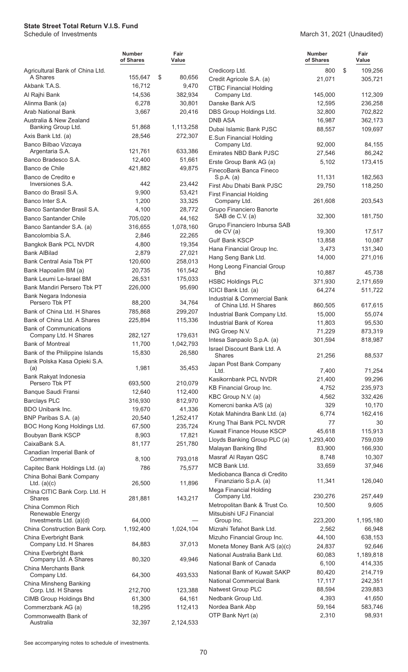|                                                              | <b>Number</b><br>of Shares | Fair<br>Value    |                                                          | <b>Number</b><br>of Shares | Fair<br>Value |
|--------------------------------------------------------------|----------------------------|------------------|----------------------------------------------------------|----------------------------|---------------|
| Agricultural Bank of China Ltd.                              |                            |                  | Credicorp Ltd.                                           | 800                        | \$<br>109,256 |
| A Shares                                                     | 155,647                    | \$<br>80,656     | Credit Agricole S.A. (a)                                 | 21,071                     | 305,721       |
| Akbank T.A.S.                                                | 16,712                     | 9,470            | <b>CTBC Financial Holding</b>                            |                            |               |
| Al Rajhi Bank                                                | 14,536                     | 382,934          | Company Ltd.                                             | 145,000                    | 112,309       |
| Alinma Bank (a)<br><b>Arab National Bank</b>                 | 6,278                      | 30,801           | Danske Bank A/S                                          | 12,595                     | 236,258       |
| Australia & New Zealand                                      | 3,667                      | 20,416           | DBS Group Holdings Ltd.<br><b>DNB ASA</b>                | 32,800<br>16,987           | 702,822       |
| Banking Group Ltd.                                           | 51,868                     | 1,113,258        | Dubai Islamic Bank PJSC                                  |                            | 362,173       |
| Axis Bank Ltd. (a)                                           | 28,546                     | 272,307          | E.Sun Financial Holding                                  | 88,557                     | 109,697       |
| Banco Bilbao Vizcaya                                         |                            |                  | Company Ltd.                                             | 92,000                     | 84,155        |
| Argentaria S.A.                                              | 121,761                    | 633,386          | Emirates NBD Bank PJSC                                   | 27,546                     | 86,242        |
| Banco Bradesco S.A.                                          | 12,400                     | 51,661           | Erste Group Bank AG (a)                                  | 5,102                      | 173,415       |
| Banco de Chile                                               | 421,882                    | 49,875           | FinecoBank Banca Fineco                                  |                            |               |
| Banco de Credito e                                           | 442                        |                  | S.p.A. (a)                                               | 11,131                     | 182,563       |
| Inversiones S.A.<br>Banco do Brasil S.A.                     | 9,900                      | 23,442<br>53,421 | First Abu Dhabi Bank PJSC                                | 29,750                     | 118,250       |
| Banco Inter S.A.                                             | 1,200                      | 33,325           | <b>First Financial Holding</b><br>Company Ltd.           | 261,608                    | 203,543       |
| Banco Santander Brasil S.A.                                  | 4,100                      | 28,772           | Grupo Financiero Banorte                                 |                            |               |
| <b>Banco Santander Chile</b>                                 | 705,020                    | 44,162           | SAB de C.V. (a)                                          | 32,300                     | 181,750       |
| Banco Santander S.A. (a)                                     | 316,655                    | 1,078,160        | Grupo Financiero Inbursa SAB                             |                            |               |
| Bancolombia S.A.                                             | 2,846                      | 22,265           | de CV(a)                                                 | 19,300                     | 17,517        |
| Bangkok Bank PCL NVDR                                        | 4,800                      | 19,354           | <b>Gulf Bank KSCP</b>                                    | 13,858                     | 10,087        |
| <b>Bank AlBilad</b>                                          | 2,879                      | 27,021           | Hana Financial Group Inc.                                | 3,473                      | 131,340       |
| <b>Bank Central Asia Tbk PT</b>                              | 120,600                    | 258,013          | Hang Seng Bank Ltd.                                      | 14,000                     | 271,016       |
| Bank Hapoalim BM (a)                                         | 20,735                     | 161,542          | Hong Leong Financial Group<br><b>Bhd</b>                 | 10,887                     | 45,738        |
| Bank Leumi Le-Israel BM                                      | 26,531                     | 175,033          | <b>HSBC Holdings PLC</b>                                 | 371,930                    | 2,171,659     |
| Bank Mandiri Persero Tbk PT                                  | 226,000                    | 95,690           | ICICI Bank Ltd. (a)                                      | 64,274                     | 511,722       |
| Bank Negara Indonesia                                        |                            |                  | Industrial & Commercial Bank                             |                            |               |
| Persero Tbk PT                                               | 88,200                     | 34,764           | of China Ltd. H Shares                                   | 860,505                    | 617,615       |
| Bank of China Ltd. H Shares                                  | 785,868                    | 299,207          | Industrial Bank Company Ltd.                             | 15,000                     | 55,074        |
| Bank of China Ltd. A Shares<br><b>Bank of Communications</b> | 225,894                    | 115,336          | Industrial Bank of Korea                                 | 11,803                     | 95,530        |
| Company Ltd. H Shares                                        | 282,127                    | 179,631          | ING Groep N.V.                                           | 71,229                     | 873,319       |
| <b>Bank of Montreal</b>                                      | 11,700                     | 1,042,793        | Intesa Sanpaolo S.p.A. (a)                               | 301,594                    | 818,987       |
| Bank of the Philippine Islands                               | 15,830                     | 26,580           | Israel Discount Bank Ltd. A<br>Shares                    | 21,256                     | 88,537        |
| Bank Polska Kasa Opieki S.A.                                 |                            | 35,453           | Japan Post Bank Company                                  |                            |               |
| (a)<br>Bank Rakyat Indonesia                                 | 1,981                      |                  | Ltd.                                                     | 7,400                      | 71,254        |
| Persero Tbk PT                                               | 693,500                    | 210,079          | Kasikornbank PCL NVDR                                    | 21,400                     | 99,296        |
| Banque Saudi Fransi                                          | 12,640                     | 112,400          | KB Financial Group Inc.                                  | 4,752                      | 235,973       |
| <b>Barclays PLC</b>                                          | 316,930                    | 812,970          | KBC Group N.V. (a)                                       | 4,562                      | 332,426       |
| BDO Unibank Inc.                                             | 19,670                     | 41,336           | Komercni banka A/S (a)                                   | 329                        | 10,170        |
| BNP Paribas S.A. (a)                                         | 20,540                     | 1,252,417        | Kotak Mahindra Bank Ltd. (a)<br>Krung Thai Bank PCL NVDR | 6,774<br>77                | 162,416<br>30 |
| BOC Hong Kong Holdings Ltd.                                  | 67,500                     | 235,724          | Kuwait Finance House KSCP                                | 45,618                     | 115,913       |
| Boubyan Bank KSCP                                            | 8,903                      | 17,821           | Lloyds Banking Group PLC (a)                             | 1,293,400                  | 759,039       |
| CaixaBank S.A.                                               | 81,177                     | 251,780          | Malayan Banking Bhd                                      | 83,900                     | 166,930       |
| Canadian Imperial Bank of                                    | 8,100                      | 793,018          | Masraf Al Rayan QSC                                      | 8,748                      | 10,307        |
| Commerce<br>Capitec Bank Holdings Ltd. (a)                   | 786                        | 75,577           | MCB Bank Ltd.                                            | 33,659                     | 37,946        |
| China Bohai Bank Company                                     |                            |                  | Mediobanca Banca di Credito                              |                            |               |
| Ltd. $(a)(c)$                                                | 26,500                     | 11,896           | Finanziario S.p.A. (a)                                   | 11,341                     | 126,040       |
| China CITIC Bank Corp. Ltd. H                                |                            |                  | Mega Financial Holding<br>Company Ltd.                   | 230,276                    | 257,449       |
| <b>Shares</b>                                                | 281,881                    | 143,217          | Metropolitan Bank & Trust Co.                            | 10,500                     | 9,605         |
| China Common Rich<br>Renewable Energy                        |                            |                  | Mitsubishi UFJ Financial                                 |                            |               |
| Investments Ltd. (a)(d)                                      | 64,000                     |                  | Group Inc.                                               | 223,200                    | 1,195,180     |
| China Construction Bank Corp.                                | 1,192,400                  | 1,024,104        | Mizrahi Tefahot Bank Ltd.                                | 2,562                      | 66,948        |
| China Everbright Bank                                        |                            |                  | Mizuho Financial Group Inc.                              | 44,100                     | 638,153       |
| Company Ltd. H Shares                                        | 84,883                     | 37,013           | Moneta Money Bank A/S (a)(c)                             | 24,837                     | 92,646        |
| China Everbright Bank                                        |                            | 49,946           | National Australia Bank Ltd.                             | 60,083                     | 1,189,818     |
| Company Ltd. A Shares<br>China Merchants Bank                | 80,320                     |                  | National Bank of Canada                                  | 6,100                      | 414,335       |
| Company Ltd.                                                 | 64,300                     | 493,533          | National Bank of Kuwait SAKP                             | 80,420                     | 214,719       |
| China Minsheng Banking                                       |                            |                  | <b>National Commercial Bank</b>                          | 17,117                     | 242,351       |
| Corp. Ltd. H Shares                                          | 212,700                    | 123,388          | <b>Natwest Group PLC</b>                                 | 88,594                     | 239,883       |
| CIMB Group Holdings Bhd                                      | 61,300                     | 64,161           | Nedbank Group Ltd.                                       | 4,393                      | 41,650        |
| Commerzbank AG (a)                                           | 18,295                     | 112,413          | Nordea Bank Abp                                          | 59,164                     | 583,746       |
| Commonwealth Bank of<br>Australia                            | 32,397                     | 2,124,533        | OTP Bank Nyrt (a)                                        | 2,310                      | 98,931        |
|                                                              |                            |                  |                                                          |                            |               |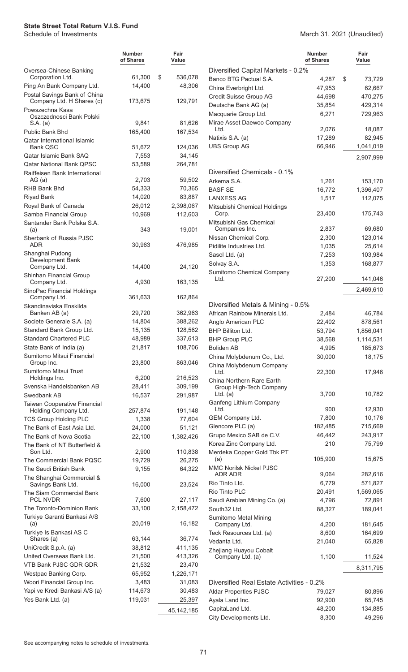March 31, 2021 (Unaudited)

|                                                           | <b>Number</b><br>of Shares | Fair<br>Value |                                                     | <b>Number</b><br>of Shares | Fair<br>Value     |
|-----------------------------------------------------------|----------------------------|---------------|-----------------------------------------------------|----------------------------|-------------------|
| Oversea-Chinese Banking                                   |                            |               | Diversified Capital Markets - 0.2%                  |                            |                   |
| Corporation Ltd.                                          | 61,300                     | \$<br>536,078 | Banco BTG Pactual S.A.                              | 4,287                      | \$<br>73,729      |
| Ping An Bank Company Ltd.<br>Postal Savings Bank of China | 14,400                     | 48,306        | China Everbright Ltd.                               | 47,953                     | 62,667            |
| Company Ltd. H Shares (c)                                 | 173,675                    | 129,791       | Credit Suisse Group AG                              | 44,698                     | 470,275           |
| Powszechna Kasa                                           |                            |               | Deutsche Bank AG (a)                                | 35,854                     | 429,314           |
| Oszczednosci Bank Polski                                  |                            |               | Macquarie Group Ltd.                                | 6,271                      | 729,963           |
| S.A. (a)                                                  | 9,841                      | 81,626        | Mirae Asset Daewoo Company<br>Ltd.                  | 2,076                      | 18,087            |
| Public Bank Bhd<br><b>Qatar International Islamic</b>     | 165,400                    | 167,534       | Natixis S.A. (a)                                    | 17,289                     | 82,945            |
| <b>Bank QSC</b>                                           | 51,672                     | 124,036       | <b>UBS Group AG</b>                                 | 66,946                     | 1,041,019         |
| Qatar Islamic Bank SAQ                                    | 7,553                      | 34,145        |                                                     |                            | 2,907,999         |
| <b>Qatar National Bank QPSC</b>                           | 53,589                     | 264,781       |                                                     |                            |                   |
| Raiffeisen Bank International                             |                            |               | Diversified Chemicals - 0.1%                        |                            |                   |
| AG(a)                                                     | 2,703                      | 59,502        | Arkema S.A.                                         | 1,261                      | 153,170           |
| RHB Bank Bhd                                              | 54,333                     | 70,365        | <b>BASF SE</b>                                      | 16,772                     | 1,396,407         |
| <b>Riyad Bank</b>                                         | 14,020                     | 83,887        | <b>LANXESS AG</b>                                   | 1,517                      | 112,075           |
| Royal Bank of Canada                                      | 26,012                     | 2,398,067     | Mitsubishi Chemical Holdings                        |                            | 175,743           |
| Samba Financial Group<br>Santander Bank Polska S.A.       | 10,969                     | 112,603       | Corp.<br>Mitsubishi Gas Chemical                    | 23,400                     |                   |
| (a)                                                       | 343                        | 19,001        | Companies Inc.                                      | 2,837                      | 69,680            |
| Sberbank of Russia PJSC                                   |                            |               | Nissan Chemical Corp.                               | 2,300                      | 123,014           |
| ADR                                                       | 30,963                     | 476,985       | Pidilite Industries Ltd.                            | 1,035                      | 25,614            |
| Shanghai Pudong                                           |                            |               | Sasol Ltd. (a)                                      | 7,253                      | 103,984           |
| Development Bank<br>Company Ltd.                          | 14,400                     | 24,120        | Solvay S.A.                                         | 1,353                      | 168,877           |
| Shinhan Financial Group                                   |                            |               | Sumitomo Chemical Company                           |                            |                   |
| Company Ltd.                                              | 4,930                      | 163,135       | Ltd.                                                | 27,200                     | 141,046           |
| SinoPac Financial Holdings                                |                            |               |                                                     |                            | 2,469,610         |
| Company Ltd.                                              | 361,633                    | 162,864       |                                                     |                            |                   |
| Skandinaviska Enskilda<br>Banken AB (a)                   | 29,720                     | 362,963       | Diversified Metals & Mining - 0.5%                  |                            |                   |
| Societe Generale S.A. (a)                                 | 14,804                     | 388,262       | African Rainbow Minerals Ltd.<br>Anglo American PLC | 2,484<br>22,402            | 46,784<br>878,561 |
| Standard Bank Group Ltd.                                  | 15,135                     | 128,562       | BHP Billiton Ltd.                                   | 53,794                     | 1,856,041         |
| <b>Standard Chartered PLC</b>                             | 48,989                     | 337,613       | <b>BHP Group PLC</b>                                | 38,568                     | 1,114,531         |
| State Bank of India (a)                                   | 21,817                     | 108,706       | <b>Boliden AB</b>                                   | 4,995                      | 185,673           |
| Sumitomo Mitsui Financial                                 |                            |               | China Molybdenum Co., Ltd.                          | 30,000                     | 18,175            |
| Group Inc.                                                | 23,800                     | 863,046       | China Molybdenum Company                            |                            |                   |
| Sumitomo Mitsui Trust                                     |                            |               | Ltd.                                                | 22,300                     | 17,946            |
| Holdings Inc.                                             | 6,200                      | 216,523       | China Northern Rare Earth                           |                            |                   |
| Svenska Handelsbanken AB                                  | 28,411                     | 309,199       | Group High-Tech Company<br>Ltd. $(a)$               | 3,700                      | 10,782            |
| Swedbank AB<br><b>Taiwan Cooperative Financial</b>        | 16,537                     | 291,987       | Ganfeng Lithium Company                             |                            |                   |
| Holding Company Ltd.                                      | 257,874                    | 191,148       | Ltd.                                                | 900                        | 12,930            |
| <b>TCS Group Holding PLC</b>                              | 1,338                      | 77,604        | GEM Company Ltd.                                    | 7,800                      | 10,176            |
| The Bank of East Asia Ltd.                                | 24,000                     | 51,121        | Glencore PLC (a)                                    | 182,485                    | 715,669           |
| The Bank of Nova Scotia                                   | 22,100                     | 1,382,426     | Grupo Mexico SAB de C.V.                            | 46,442                     | 243,917           |
| The Bank of NT Butterfield &                              |                            |               | Korea Zinc Company Ltd.                             | 210                        | 75,799            |
| Son Ltd.                                                  | 2,900                      | 110,838       | Merdeka Copper Gold Tbk PT                          | 105,900                    | 15,675            |
| The Commercial Bank PQSC                                  | 19,729                     | 26,275        | (a)<br><b>MMC Norilsk Nickel PJSC</b>               |                            |                   |
| The Saudi British Bank                                    | 9,155                      | 64,322        | ADR ADR                                             | 9,064                      | 282,616           |
| The Shanghai Commercial &<br>Savings Bank Ltd.            | 16,000                     | 23,524        | Rio Tinto Ltd.                                      | 6,779                      | 571,827           |
| The Siam Commercial Bank                                  |                            |               | Rio Tinto PLC                                       | 20,491                     | 1,569,065         |
| PCL NVDR                                                  | 7,600                      | 27,117        | Saudi Arabian Mining Co. (a)                        | 4,796                      | 72,891            |
| The Toronto-Dominion Bank                                 | 33,100                     | 2,158,472     | South32 Ltd.                                        | 88,327                     | 189,041           |
| Turkiye Garanti Bankasi A/S                               |                            |               | <b>Sumitomo Metal Mining</b>                        |                            |                   |
| (a)                                                       | 20,019                     | 16,182        | Company Ltd.                                        | 4,200                      | 181,645           |
| Turkiye Is Bankasi AS C<br>Shares (a)                     | 63,144                     | 36,774        | Teck Resources Ltd. (a)                             | 8,600                      | 164,699           |
| UniCredit S.p.A. (a)                                      | 38,812                     | 411,135       | Vedanta Ltd.                                        | 21,040                     | 65,828            |
| United Overseas Bank Ltd.                                 | 21,500                     | 413,326       | Zhejiang Huayou Cobalt<br>Company Ltd. (a)          | 1,100                      | 11,524            |
| VTB Bank PJSC GDR GDR                                     | 21,532                     | 23,470        |                                                     |                            | 8,311,795         |
| Westpac Banking Corp.                                     | 65,952                     | 1,226,171     |                                                     |                            |                   |
| Woori Financial Group Inc.                                | 3,483                      | 31,083        | Diversified Real Estate Activities - 0.2%           |                            |                   |
| Yapi ve Kredi Bankasi A/S (a)                             | 114,673                    | 30,483        | <b>Aldar Properties PJSC</b>                        | 79,027                     | 80,896            |
| Yes Bank Ltd. (a)                                         | 119,031                    | 25,397        | Ayala Land Inc.                                     | 92,900                     | 65,745            |
|                                                           |                            | 45, 142, 185  | CapitaLand Ltd.                                     | 48,200                     | 134,885           |
|                                                           |                            |               | City Developments Ltd.                              | 8,300                      | 49,296            |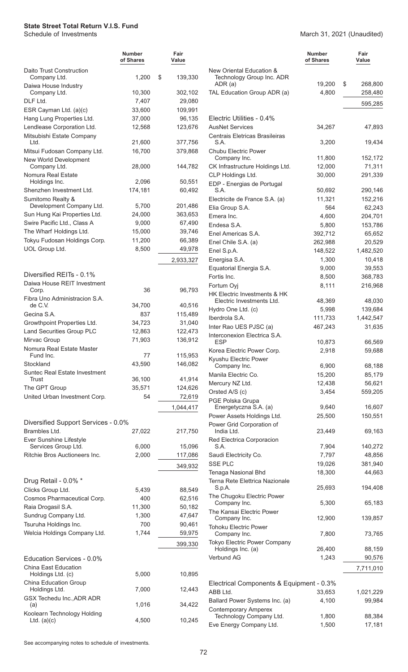#### March 31, 2021 (Unaudited)

|                                                         | <b>Number</b><br>of Shares | Fair<br>Value |
|---------------------------------------------------------|----------------------------|---------------|
| Daito Trust Construction<br>Company Ltd.                | 1,200                      | \$<br>139,330 |
| Daiwa House Industry<br>Company Ltd.                    | 10,300                     | 302,102       |
| DLF Ltd.                                                | 7,407                      | 29,080        |
| ESR Cayman Ltd. (a)(c)                                  | 33,600                     | 109,991       |
| Hang Lung Properties Ltd.                               | 37,000                     | 96,135        |
| Lendlease Corporation Ltd.                              | 12,568                     | 123,676       |
| Mitsubishi Estate Company<br>Ltd.                       | 21,600                     | 377,756       |
| Mitsui Fudosan Company Ltd.<br>New World Development    | 16,700                     | 379,868       |
| Company Ltd.<br>Nomura Real Estate                      | 28,000                     | 144,782       |
| Holdings Inc.                                           | 2,096                      | 50,551        |
| Shenzhen Investment Ltd.                                | 174,181                    | 60,492        |
| Sumitomo Realty &                                       |                            |               |
| Development Company Ltd.                                | 5,700                      | 201,486       |
| Sun Hung Kai Properties Ltd.                            | 24,000                     | 363,653       |
| Swire Pacific Ltd., Class A                             | 9,000                      | 67,490        |
| The Wharf Holdings Ltd.                                 | 15,000                     | 39,746        |
| Tokyu Fudosan Holdings Corp.                            | 11,200                     | 66,389        |
| UOL Group Ltd.                                          | 8,500                      | 49,978        |
|                                                         |                            | 2,933,327     |
| Diversified REITs - 0.1%<br>Daiwa House REIT Investment |                            |               |
| Corp.<br>Fibra Uno Administracion S.A.                  | 36                         | 96,793        |
| de C.V.                                                 | 34,700                     | 40,516        |
| Gecina S.A.                                             | 837                        | 115,489       |
| Growthpoint Properties Ltd.                             | 34,723                     | 31,040        |
| <b>Land Securities Group PLC</b>                        | 12,863                     | 122,473       |
| Mirvac Group<br>Nomura Real Estate Master               | 71,903                     | 136,912       |
| Fund Inc.                                               | 77                         | 115,953       |
| Stockland<br><b>Suntec Real Estate Investment</b>       | 43,590                     | 146,082       |
| Trust                                                   | 36,100                     | 41,914        |
| The GPT Group                                           | 35,571                     | 124,626       |
| United Urban Investment Corp.                           | 54                         | 72,619        |
|                                                         |                            | 1,044,417     |
| Diversified Support Services - 0.0%                     |                            |               |
| Brambles Ltd.<br>Ever Sunshine Lifestyle                | 27,022                     | 217,750       |
| Services Group Ltd.                                     | 6,000                      | 15,096        |
| Ritchie Bros Auctioneers Inc.                           | 2,000                      | 117,086       |
|                                                         |                            | 349,932       |
| Drug Retail - 0.0% *                                    |                            |               |
| Clicks Group Ltd.                                       | 5,439                      | 88,549        |
| Cosmos Pharmaceutical Corp.                             | 400                        | 62,516        |
| Raia Drogasil S.A.                                      | 11,300                     | 50,182        |
| Sundrug Company Ltd.                                    | 1,300                      | 47,647        |
| Tsuruha Holdings Inc.                                   | 700                        | 90,461        |
| Welcia Holdings Company Ltd.                            | 1,744                      | 59,975        |
|                                                         |                            |               |
| Education Services - 0.0%                               |                            | 399,330       |
| China East Education                                    |                            |               |
| Holdings Ltd. (c)                                       | 5,000                      | 10,895        |
| China Education Group                                   |                            |               |
| Holdings Ltd.<br>GSX Techedu Inc., ADR ADR              | 7,000                      | 12,443        |
| (a)<br>Koolearn Technology Holding                      | 1,016                      | 34,422        |
| Ltd. $(a)(c)$                                           | 4,500                      | 10,245        |

|                                                           | Number<br>of Shares | Fair<br>Value     |
|-----------------------------------------------------------|---------------------|-------------------|
| New Oriental Education &<br>Technology Group Inc. ADR     | 19,200              | \$<br>268,800     |
| ADR (a)<br>TAL Education Group ADR (a)                    | 4,800               | 258,480           |
|                                                           |                     | 595,285           |
|                                                           |                     |                   |
| Electric Utilities - 0.4%                                 |                     |                   |
| <b>AusNet Services</b>                                    | 34,267              | 47,893            |
| Centrais Eletricas Brasileiras<br>S.A.                    | 3,200               | 19,434            |
| <b>Chubu Electric Power</b>                               |                     |                   |
| Company Inc.                                              | 11,800              | 152,172           |
| CK Infrastructure Holdings Ltd.<br>CLP Holdings Ltd.      | 12,000<br>30,000    | 71,311<br>291,339 |
| EDP - Energias de Portugal                                |                     |                   |
| S.A.                                                      | 50,692              | 290,146           |
| Electricite de France S.A. (a)                            | 11,321              | 152,216           |
| Elia Group S.A.                                           | 564                 | 62,243            |
| Emera Inc.                                                | 4,600               | 204,701           |
| Endesa S.A.<br>Enel Americas S.A.                         | 5,800<br>392,712    | 153,786<br>65,652 |
| Enel Chile S.A. (a)                                       | 262,988             | 20,529            |
| Enel S.p.A.                                               | 148,522             | 1,482,520         |
| Energisa S.A.                                             | 1,300               | 10,418            |
| Equatorial Energia S.A.                                   | 9,000               | 39,553            |
| Fortis Inc.                                               | 8,500               | 368,783           |
| Fortum Oyj                                                | 8,111               | 216,968           |
| HK Electric Investments & HK<br>Electric Investments Ltd. | 48,369              | 48,030            |
| Hydro One Ltd. (c)                                        | 5,998               | 139,684           |
| Iberdrola S.A.                                            | 111,733             | 1,442,547         |
| Inter Rao UES PJSC (a)                                    | 467,243             | 31,635            |
| Interconexion Electrica S.A.                              |                     |                   |
| <b>ESP</b><br>Korea Electric Power Corp.                  | 10,873<br>2,918     | 66,569<br>59,688  |
| Kyushu Electric Power                                     |                     |                   |
| Company Inc.                                              | 6,900               | 68,188            |
| Manila Electric Co.                                       | 15,200              | 85,179            |
| Mercury NZ Ltd.                                           | 12,438              | 56,621            |
| Orsted A/S (c)<br>PGE Polska Grupa                        | 3,454               | 559,205           |
| Energetyczna S.A. (a)                                     | 9,640               | 16,607            |
| Power Assets Holdings Ltd.                                | 25,500              | 150,551           |
| Power Grid Corporation of                                 |                     |                   |
| India Ltd.<br>Red Electrica Corporacion                   | 23.449              | 69,163            |
| S.A.                                                      | 7,904               | 140,272           |
| Saudi Electricity Co.                                     | 7,797               | 48,856            |
| <b>SSE PLC</b>                                            | 19,026              | 381,940           |
| Tenaga Nasional Bhd                                       | 18,300              | 44,663            |
| Terna Rete Elettrica Nazionale<br>S.p.A.                  | 25,693              | 194,408           |
| The Chugoku Electric Power                                |                     |                   |
| Company Inc.                                              | 5,300               | 65,183            |
| The Kansai Electric Power<br>Company Inc.                 | 12,900              | 139,857           |
| <b>Tohoku Electric Power</b>                              |                     |                   |
| Company Inc.<br>Tokyo Electric Power Company              | 7,800               | 73,765            |
| Holdings Inc. (a)                                         | 26,400              | 88,159            |
| Verbund AG                                                | 1,243               | 90,576            |
|                                                           |                     | 7,711,010         |
| Electrical Components & Equipment - 0.3%                  |                     |                   |
| ABB Ltd.                                                  | 33,653              | 1,021,229         |
| Ballard Power Systems Inc. (a)                            | 4,100               | 99,984            |
| <b>Contemporary Amperex</b><br>Technology Company Ltd.    | 1,800               | 88,384            |

Eve Energy Company Ltd. 1,500 17,181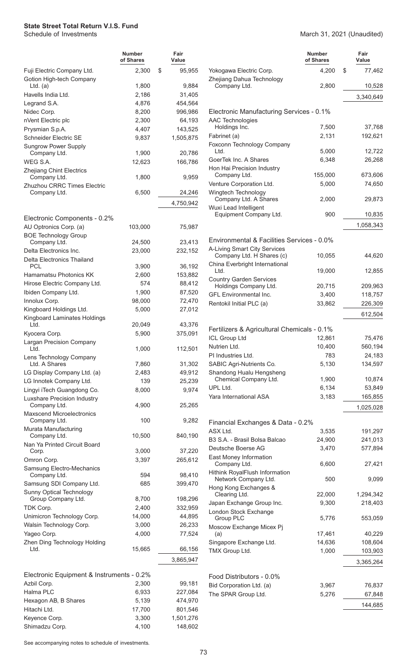|                                                         | Number<br>of Shares | Fair<br>Value |
|---------------------------------------------------------|---------------------|---------------|
| Fuji Electric Company Ltd.                              | 2,300               | \$<br>95,955  |
| Gotion High-tech Company<br>$Ltd.$ (a)                  | 1,800               | 9,884         |
| Havells India Ltd.                                      | 2,186               | 31,405        |
| Legrand S.A.                                            | 4,876               | 454,564       |
| Nidec Corp.                                             | 8,200               | 996,986       |
| nVent Electric plc                                      | 2,300               | 64,193        |
| Prysmian S.p.A.                                         | 4,407               | 143,525       |
| <b>Schneider Electric SE</b>                            | 9,837               | 1,505,875     |
| <b>Sungrow Power Supply</b><br>Company Ltd.             | 1,900               | 20,786        |
| WEG S.A.                                                | 12,623              | 166,786       |
| <b>Zhejiang Chint Electrics</b>                         |                     |               |
| Company Ltd.<br>Zhuzhou CRRC Times Electric             | 1,800               | 9,959         |
| Company Ltd.                                            | 6,500               | 24,246        |
|                                                         |                     | 4,750,942     |
|                                                         |                     |               |
| Electronic Components - 0.2%                            |                     |               |
| AU Optronics Corp. (a)                                  | 103,000             | 75,987        |
| <b>BOE Technology Group</b><br>Company Ltd.             | 24,500              | 23,413        |
| Delta Electronics Inc.                                  | 23,000              | 232,152       |
| Delta Electronics Thailand                              |                     |               |
| PCL                                                     | 3,900               | 36,192        |
| Hamamatsu Photonics KK                                  | 2,600               | 153,882       |
| Hirose Electric Company Ltd.                            | 574                 | 88,412        |
| Ibiden Company Ltd.                                     | 1,900               | 87,520        |
| Innolux Corp.                                           | 98,000              | 72,470        |
| Kingboard Holdings Ltd.<br>Kingboard Laminates Holdings | 5,000               | 27,012        |
| Ltd.                                                    | 20,049              | 43,376        |
| Kyocera Corp.                                           | 5,900               | 375,091       |
| <b>Largan Precision Company</b><br>Ltd.                 | 1,000               | 112,501       |
| Lens Technology Company<br>Ltd. A Shares                | 7,860               | 31,302        |
| LG Display Company Ltd. (a)                             | 2,483               | 49,912        |
| LG Innotek Company Ltd.                                 | 139                 | 25,239        |
| Lingyi iTech Guangdong Co.                              | 8,000               | 9,974         |
| Luxshare Precision Industry<br>Company Ltd.             | 4,900               | 25,265        |
| <b>Maxscend Microelectronics</b><br>Company Ltd.        | 100                 | 9,282         |
| Murata Manufacturing<br>Company Ltd.                    | 10,500              | 840,190       |
| Nan Ya Printed Circuit Board<br>Corp.                   | 3,000               | 37,220        |
| Omron Corp.                                             | 3,397               | 265,612       |
| Samsung Electro-Mechanics<br>Company Ltd.               | 594                 | 98,410        |
| Samsung SDI Company Ltd.                                | 685                 | 399,470       |
| <b>Sunny Optical Technology</b><br>Group Company Ltd.   | 8,700               | 198,296       |
| TDK Corp.                                               | 2,400               | 332,959       |
| Unimicron Technology Corp.                              | 14,000              | 44,895        |
| Walsin Technology Corp.                                 | 3,000               | 26,233        |
| Yageo Corp.                                             | 4,000               | 77,524        |
| Zhen Ding Technology Holding                            |                     |               |
| Ltd.                                                    | 15,665              | 66,156        |
|                                                         |                     | 3,865,947     |
| Electronic Equipment & Instruments - 0.2%               |                     |               |
| Azbil Corp.                                             | 2,300               | 99,181        |
| Halma PLC                                               | 6,933               | 227,084       |
| Hexagon AB, B Shares                                    | 5,139               | 474,970       |
| Hitachi Ltd.                                            | 17,700              | 801,546       |
| Keyence Corp.                                           | 3,300               | 1,501,276     |

### March 31, 2021 (Unaudited)

|                                                           | <b>Number</b><br>of Shares | Fair<br>Value    |
|-----------------------------------------------------------|----------------------------|------------------|
| Yokogawa Electric Corp.                                   | 4,200                      | \$<br>77,462     |
| Zhejiang Dahua Technology<br>Company Ltd.                 | 2,800                      | 10,528           |
|                                                           |                            | 3,340,649        |
| Electronic Manufacturing Services - 0.1%                  |                            |                  |
| <b>AAC Technologies</b>                                   |                            |                  |
| Holdings Inc.                                             | 7,500                      | 37,768           |
| Fabrinet (a)                                              | 2,131                      | 192,621          |
| Foxconn Technology Company<br>Ltd.                        | 5,000                      | 12,722           |
| GoerTek Inc. A Shares                                     | 6,348                      | 26,268           |
| Hon Hai Precision Industry                                |                            |                  |
| Company Ltd.                                              | 155,000                    | 673,606          |
| Venture Corporation Ltd.                                  | 5,000                      | 74,650           |
| Wingtech Technology                                       |                            |                  |
| Company Ltd. A Shares<br>Wuxi Lead Intelligent            | 2,000                      | 29,873           |
| Equipment Company Ltd.                                    | 900                        | 10,835           |
|                                                           |                            | 1,058,343        |
|                                                           |                            |                  |
| Environmental & Facilities Services - 0.0%                |                            |                  |
| A-Living Smart City Services<br>Company Ltd. H Shares (c) | 10,055                     | 44,620           |
| China Everbright International                            |                            |                  |
| Ltd.                                                      | 19,000                     | 12,855           |
| <b>Country Garden Services</b>                            |                            |                  |
| Holdings Company Ltd.                                     | 20,715                     | 209,963          |
| <b>GFL Environmental Inc.</b>                             | 3,400                      | 118,757          |
| Rentokil Initial PLC (a)                                  | 33,862                     | 226,309          |
|                                                           |                            | 612,504          |
| Fertilizers & Agricultural Chemicals - 0.1%               |                            |                  |
| <b>ICL Group Ltd</b>                                      | 12,861                     | 75,476           |
| Nutrien Ltd.                                              | 10,400                     | 560,194          |
| PI Industries Ltd.                                        | 783                        | 24,183           |
| SABIC Agri-Nutrients Co.                                  | 5,130                      | 134,597          |
| Shandong Hualu Hengsheng                                  |                            |                  |
| Chemical Company Ltd.                                     | 1,900                      | 10,874           |
| UPL Ltd.                                                  | 6,134                      | 53,849           |
| Yara International ASA                                    | 3,183                      | 165,855          |
|                                                           |                            | 1,025,028        |
| Financial Exchanges & Data - 0.2%                         |                            |                  |
| ASX Ltd.                                                  | 3,535                      | 191,297          |
| B3 S.A. - Brasil Bolsa Balcao                             | 24,900                     | 241,013          |
| Deutsche Boerse AG                                        | 3,470                      | 577,894          |
| East Money Information                                    |                            |                  |
| Company Ltd.                                              | 6,600                      | 27,421           |
| Hithink RoyalFlush Information<br>Network Company Ltd.    | 500                        | 9,099            |
| Hong Kong Exchanges &<br>Clearing Ltd.                    | 22,000                     | 1,294,342        |
| Japan Exchange Group Inc.                                 | 9,300                      | 218,403          |
| London Stock Exchange                                     |                            |                  |
| Group PLC<br>Moscow Exchange Micex Pj                     | 5,776                      | 553,059          |
| (a)                                                       | 17,461                     | 40,229           |
| Singapore Exchange Ltd.                                   | 14,636                     | 108,604          |
| TMX Group Ltd.                                            | 1,000                      | 103,903          |
|                                                           |                            | 3,365,264        |
|                                                           |                            |                  |
| Food Distributors - 0.0%                                  |                            |                  |
| Bid Corporation Ltd. (a)<br>The SPAR Group Ltd.           | 3,967<br>5,276             | 76,837<br>67,848 |
|                                                           |                            |                  |
|                                                           |                            | 144,685          |

See accompanying notes to schedule of investments.

Shimadzu Corp. 4,100 148,602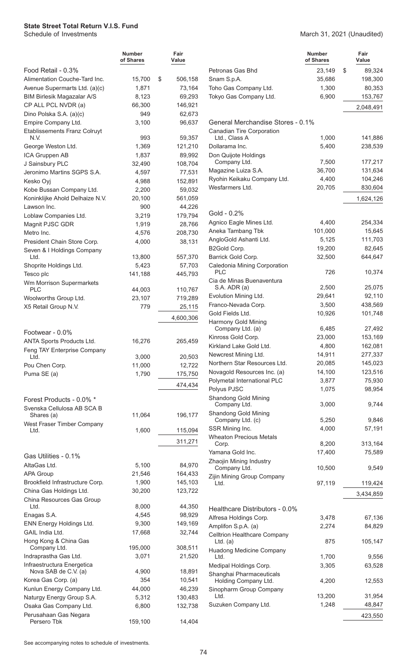|                                                     | <b>Number</b><br>of Shares | Fair<br>Value      |                                    |
|-----------------------------------------------------|----------------------------|--------------------|------------------------------------|
| Food Retail - 0.3%                                  |                            |                    | Petronas G                         |
| Alimentation Couche-Tard Inc.                       | 15,700                     | \$<br>506,158      | Snam S.p.                          |
| Avenue Supermarts Ltd. (a)(c)                       | 1,871                      | 73,164             | Toho Gas (                         |
| <b>BIM Birlesik Magazalar A/S</b>                   | 8,123                      | 69,293             | <b>Tokyo Gas</b>                   |
| CP ALL PCL NVDR (a)                                 | 66,300                     | 146,921            |                                    |
| Dino Polska S.A. (a)(c)                             | 949                        | 62,673             |                                    |
| Empire Company Ltd.                                 | 3,100                      | 96,637             | General N                          |
| <b>Etablissements Franz Colruyt</b><br>N.V.         | 993                        | 59,357             | Canadian <sup>-</sup><br>Ltd., Cla |
| George Weston Ltd.                                  | 1,369                      | 121,210            | Dollarama                          |
| ICA Gruppen AB                                      | 1,837                      | 89,992             | Don Quijot                         |
| J Sainsbury PLC                                     | 32,490                     | 108,704            | Compan                             |
| Jeronimo Martins SGPS S.A.                          | 4,597                      | 77,531             | Magazine l                         |
| Kesko Oyj                                           | 4,988                      | 152,891            | Ryohin Kei                         |
| Kobe Bussan Company Ltd.                            | 2,200                      | 59,032             | Wesfarmer                          |
| Koninklijke Ahold Delhaize N.V.                     | 20,100                     | 561,059            |                                    |
| Lawson Inc.                                         | 900                        | 44,226             | Gold - 0.2                         |
| Loblaw Companies Ltd.                               | 3,219                      | 179,794            | Agnico Ea                          |
| Magnit PJSC GDR                                     | 1,919                      | 28,766             | Aneka Tam                          |
| Metro Inc.<br>President Chain Store Corp.           | 4,576                      | 208,730            | AngloGold                          |
| Seven & I Holdings Company                          | 4,000                      | 38,131             | <b>B2Gold Co</b>                   |
| Ltd.                                                | 13,800                     | 557,370            | <b>Barrick Go</b>                  |
| Shoprite Holdings Ltd.                              | 5,423                      | 57,703             | Caledonia                          |
| Tesco plc                                           | 141,188                    | 445,793            | <b>PLC</b>                         |
| Wm Morrison Supermarkets                            |                            |                    | Cia de Min<br>S.A. ADI             |
| <b>PLC</b>                                          | 44,003                     | 110,767            | Evolution N                        |
| Woolworths Group Ltd.                               | 23,107<br>779              | 719,289            | Franco-Ne                          |
| X5 Retail Group N.V.                                |                            | 25,115             | <b>Gold Fields</b>                 |
|                                                     |                            | 4,600,306          | Harmony C                          |
| Footwear - 0.0%                                     |                            |                    | Compan                             |
| ANTA Sports Products Ltd.                           | 16,276                     | 265,459            | Kinross Go                         |
| Feng TAY Enterprise Company                         |                            |                    | Kirkland La                        |
| Ltd.                                                | 3,000                      | 20,503             | Newcrest N                         |
| Pou Chen Corp.                                      | 11,000                     | 12,722             | Northern S<br>Novagold F           |
| Puma SE (a)                                         | 1,790                      | 175,750            | Polymetal                          |
|                                                     |                            | 474,434            | Polyus PJS                         |
| Forest Products - 0.0% *                            |                            |                    | Shandong                           |
| Svenska Cellulosa AB SCA B                          |                            |                    | Compan                             |
| Shares (a)                                          | 11,064                     | 196,177            | Shandong                           |
| West Fraser Timber Company                          |                            |                    | Compan<br><b>SSR Minin</b>         |
| Ltd.                                                | 1,600                      | 115,094            | <b>Wheaton F</b>                   |
|                                                     |                            | 311,271            | Corp.                              |
| Gas Utilities - 0.1%                                |                            |                    | Yamana G                           |
| AltaGas Ltd.                                        | 5,100                      | 84,970             | Zhaojin Mi                         |
| <b>APA Group</b>                                    | 21,546                     | 164,433            | Compan                             |
| Brookfield Infrastructure Corp.                     | 1,900                      | 145,103            | Zijin Mining<br>Ltd.               |
| China Gas Holdings Ltd.                             | 30,200                     | 123,722            |                                    |
| China Resources Gas Group                           |                            |                    |                                    |
| Ltd.                                                | 8,000                      | 44,350             | Healthcar                          |
| Enagas S.A.                                         | 4,545                      | 98,929             | Alfresa Hol                        |
| ENN Energy Holdings Ltd.                            | 9,300                      | 149,169            | Amplifon S                         |
| GAIL India Ltd.                                     | 17,668                     | 32,744             | Celltrion H                        |
| Hong Kong & China Gas<br>Company Ltd.               | 195,000                    | 308,511            | $Ltd.$ (a)                         |
| Indraprastha Gas Ltd.                               | 3,071                      | 21,520             | Huadong N<br>Ltd.                  |
| Infraestructura Energetica                          |                            |                    | Medipal Ho                         |
| Nova SAB de C.V. (a)                                | 4,900                      | 18,891             | Shanghai I                         |
| Korea Gas Corp. (a)                                 | 354                        | 10,541             | Holding                            |
| Kunlun Energy Company Ltd.                          | 44,000                     | 46,239             | Sinopharm<br>Ltd.                  |
| Naturgy Energy Group S.A.<br>Osaka Gas Company Ltd. | 5,312                      | 130,483<br>132,738 | Suzuken C                          |
| Perusahaan Gas Negara                               | 6,800                      |                    |                                    |
| Persero Tbk                                         | 159,100                    | 14,404             |                                    |

| \$<br>23,149<br>89,324<br>198,300<br>35,686<br>1,300<br>80,353<br>6,900<br>153,767<br>2,048,491<br>General Merchandise Stores - 0.1%<br>Canadian Tire Corporation<br>Ltd., Class A<br>1,000<br>141,886<br>Dollarama Inc.<br>5,400<br>238,539<br>177,217<br>Company Ltd.<br>7,500<br>Magazine Luiza S.A.<br>36,700<br>131,634<br>104,246<br>Ryohin Keikaku Company Ltd.<br>4.400<br>Wesfarmers Ltd.<br>20,705<br>830,604<br>1,624,126<br>Gold - 0.2%<br>Agnico Eagle Mines Ltd.<br>4,400<br>254,334<br>101,000<br>15,645<br>111,703<br>5,125<br>19,200<br>82,645<br>644,647<br>32,500<br>Caledonia Mining Corporation<br>PLC<br>726<br>10,374<br>Cia de Minas Buenaventura<br>S.A. ADR (a)<br>2,500<br>25,075<br>Evolution Mining Ltd.<br>29,641<br>92,110<br>Franco-Nevada Corp.<br>3,500<br>438,569<br>101,748<br>10,926<br>Company Ltd. (a)<br>6.485<br>27,492<br>Kinross Gold Corp.<br>23,000<br>153,169<br>Kirkland Lake Gold Ltd.<br>162,081<br>4,800<br>14,911<br>Newcrest Mining Ltd.<br>277,337<br>Northern Star Resources Ltd.<br>20,085<br>145,023<br>14,100<br>123,516<br>3,877<br>75,930<br>1,075<br>98,954<br>Shandong Gold Mining<br>Company Ltd.<br>9,744<br>3,000<br>Shandong Gold Mining<br>5,250<br>9,846<br>Company Ltd. (c)<br>57,191<br>4,000<br>8,200<br>313,164<br>Corp.<br>Yamana Gold Inc.<br>17,400<br>75,589<br>Company Ltd.<br>10,500<br>9,549<br>Ltd.<br>97,119<br>119,424<br>3,434,859<br>Alfresa Holdings Corp.<br>3,478<br>67,136<br>Amplifon S.p.A. (a)<br>2,274<br>84,829<br><b>Celltrion Healthcare Company</b><br>Ltd. $(a)$<br>875<br>105,147<br><b>Huadong Medicine Company</b><br>1,700<br>9,556<br>Ltd.<br>63,528<br>3,305<br>4,200<br>12,553<br>Holding Company Ltd.<br>13,200<br>31,954<br>Ltd.<br>1,248<br>48,847 |                                | <b>Number</b><br>of Shares | Fair<br>Value |
|--------------------------------------------------------------------------------------------------------------------------------------------------------------------------------------------------------------------------------------------------------------------------------------------------------------------------------------------------------------------------------------------------------------------------------------------------------------------------------------------------------------------------------------------------------------------------------------------------------------------------------------------------------------------------------------------------------------------------------------------------------------------------------------------------------------------------------------------------------------------------------------------------------------------------------------------------------------------------------------------------------------------------------------------------------------------------------------------------------------------------------------------------------------------------------------------------------------------------------------------------------------------------------------------------------------------------------------------------------------------------------------------------------------------------------------------------------------------------------------------------------------------------------------------------------------------------------------------------------------------------------------------------------------------------------------------------------------------------------------------------------------|--------------------------------|----------------------------|---------------|
|                                                                                                                                                                                                                                                                                                                                                                                                                                                                                                                                                                                                                                                                                                                                                                                                                                                                                                                                                                                                                                                                                                                                                                                                                                                                                                                                                                                                                                                                                                                                                                                                                                                                                                                                                              | Petronas Gas Bhd               |                            |               |
|                                                                                                                                                                                                                                                                                                                                                                                                                                                                                                                                                                                                                                                                                                                                                                                                                                                                                                                                                                                                                                                                                                                                                                                                                                                                                                                                                                                                                                                                                                                                                                                                                                                                                                                                                              | Snam S.p.A.                    |                            |               |
|                                                                                                                                                                                                                                                                                                                                                                                                                                                                                                                                                                                                                                                                                                                                                                                                                                                                                                                                                                                                                                                                                                                                                                                                                                                                                                                                                                                                                                                                                                                                                                                                                                                                                                                                                              | Toho Gas Company Ltd.          |                            |               |
|                                                                                                                                                                                                                                                                                                                                                                                                                                                                                                                                                                                                                                                                                                                                                                                                                                                                                                                                                                                                                                                                                                                                                                                                                                                                                                                                                                                                                                                                                                                                                                                                                                                                                                                                                              | Tokyo Gas Company Ltd.         |                            |               |
|                                                                                                                                                                                                                                                                                                                                                                                                                                                                                                                                                                                                                                                                                                                                                                                                                                                                                                                                                                                                                                                                                                                                                                                                                                                                                                                                                                                                                                                                                                                                                                                                                                                                                                                                                              |                                |                            |               |
|                                                                                                                                                                                                                                                                                                                                                                                                                                                                                                                                                                                                                                                                                                                                                                                                                                                                                                                                                                                                                                                                                                                                                                                                                                                                                                                                                                                                                                                                                                                                                                                                                                                                                                                                                              |                                |                            |               |
|                                                                                                                                                                                                                                                                                                                                                                                                                                                                                                                                                                                                                                                                                                                                                                                                                                                                                                                                                                                                                                                                                                                                                                                                                                                                                                                                                                                                                                                                                                                                                                                                                                                                                                                                                              |                                |                            |               |
|                                                                                                                                                                                                                                                                                                                                                                                                                                                                                                                                                                                                                                                                                                                                                                                                                                                                                                                                                                                                                                                                                                                                                                                                                                                                                                                                                                                                                                                                                                                                                                                                                                                                                                                                                              |                                |                            |               |
|                                                                                                                                                                                                                                                                                                                                                                                                                                                                                                                                                                                                                                                                                                                                                                                                                                                                                                                                                                                                                                                                                                                                                                                                                                                                                                                                                                                                                                                                                                                                                                                                                                                                                                                                                              | Don Quijote Holdings           |                            |               |
|                                                                                                                                                                                                                                                                                                                                                                                                                                                                                                                                                                                                                                                                                                                                                                                                                                                                                                                                                                                                                                                                                                                                                                                                                                                                                                                                                                                                                                                                                                                                                                                                                                                                                                                                                              |                                |                            |               |
|                                                                                                                                                                                                                                                                                                                                                                                                                                                                                                                                                                                                                                                                                                                                                                                                                                                                                                                                                                                                                                                                                                                                                                                                                                                                                                                                                                                                                                                                                                                                                                                                                                                                                                                                                              |                                |                            |               |
|                                                                                                                                                                                                                                                                                                                                                                                                                                                                                                                                                                                                                                                                                                                                                                                                                                                                                                                                                                                                                                                                                                                                                                                                                                                                                                                                                                                                                                                                                                                                                                                                                                                                                                                                                              |                                |                            |               |
|                                                                                                                                                                                                                                                                                                                                                                                                                                                                                                                                                                                                                                                                                                                                                                                                                                                                                                                                                                                                                                                                                                                                                                                                                                                                                                                                                                                                                                                                                                                                                                                                                                                                                                                                                              |                                |                            |               |
|                                                                                                                                                                                                                                                                                                                                                                                                                                                                                                                                                                                                                                                                                                                                                                                                                                                                                                                                                                                                                                                                                                                                                                                                                                                                                                                                                                                                                                                                                                                                                                                                                                                                                                                                                              |                                |                            |               |
|                                                                                                                                                                                                                                                                                                                                                                                                                                                                                                                                                                                                                                                                                                                                                                                                                                                                                                                                                                                                                                                                                                                                                                                                                                                                                                                                                                                                                                                                                                                                                                                                                                                                                                                                                              |                                |                            |               |
|                                                                                                                                                                                                                                                                                                                                                                                                                                                                                                                                                                                                                                                                                                                                                                                                                                                                                                                                                                                                                                                                                                                                                                                                                                                                                                                                                                                                                                                                                                                                                                                                                                                                                                                                                              | Aneka Tambang Tbk              |                            |               |
|                                                                                                                                                                                                                                                                                                                                                                                                                                                                                                                                                                                                                                                                                                                                                                                                                                                                                                                                                                                                                                                                                                                                                                                                                                                                                                                                                                                                                                                                                                                                                                                                                                                                                                                                                              | AngloGold Ashanti Ltd.         |                            |               |
|                                                                                                                                                                                                                                                                                                                                                                                                                                                                                                                                                                                                                                                                                                                                                                                                                                                                                                                                                                                                                                                                                                                                                                                                                                                                                                                                                                                                                                                                                                                                                                                                                                                                                                                                                              | B2Gold Corp.                   |                            |               |
|                                                                                                                                                                                                                                                                                                                                                                                                                                                                                                                                                                                                                                                                                                                                                                                                                                                                                                                                                                                                                                                                                                                                                                                                                                                                                                                                                                                                                                                                                                                                                                                                                                                                                                                                                              | Barrick Gold Corp.             |                            |               |
|                                                                                                                                                                                                                                                                                                                                                                                                                                                                                                                                                                                                                                                                                                                                                                                                                                                                                                                                                                                                                                                                                                                                                                                                                                                                                                                                                                                                                                                                                                                                                                                                                                                                                                                                                              |                                |                            |               |
|                                                                                                                                                                                                                                                                                                                                                                                                                                                                                                                                                                                                                                                                                                                                                                                                                                                                                                                                                                                                                                                                                                                                                                                                                                                                                                                                                                                                                                                                                                                                                                                                                                                                                                                                                              |                                |                            |               |
|                                                                                                                                                                                                                                                                                                                                                                                                                                                                                                                                                                                                                                                                                                                                                                                                                                                                                                                                                                                                                                                                                                                                                                                                                                                                                                                                                                                                                                                                                                                                                                                                                                                                                                                                                              |                                |                            |               |
|                                                                                                                                                                                                                                                                                                                                                                                                                                                                                                                                                                                                                                                                                                                                                                                                                                                                                                                                                                                                                                                                                                                                                                                                                                                                                                                                                                                                                                                                                                                                                                                                                                                                                                                                                              |                                |                            |               |
|                                                                                                                                                                                                                                                                                                                                                                                                                                                                                                                                                                                                                                                                                                                                                                                                                                                                                                                                                                                                                                                                                                                                                                                                                                                                                                                                                                                                                                                                                                                                                                                                                                                                                                                                                              | Gold Fields Ltd.               |                            |               |
|                                                                                                                                                                                                                                                                                                                                                                                                                                                                                                                                                                                                                                                                                                                                                                                                                                                                                                                                                                                                                                                                                                                                                                                                                                                                                                                                                                                                                                                                                                                                                                                                                                                                                                                                                              | Harmony Gold Mining            |                            |               |
|                                                                                                                                                                                                                                                                                                                                                                                                                                                                                                                                                                                                                                                                                                                                                                                                                                                                                                                                                                                                                                                                                                                                                                                                                                                                                                                                                                                                                                                                                                                                                                                                                                                                                                                                                              |                                |                            |               |
|                                                                                                                                                                                                                                                                                                                                                                                                                                                                                                                                                                                                                                                                                                                                                                                                                                                                                                                                                                                                                                                                                                                                                                                                                                                                                                                                                                                                                                                                                                                                                                                                                                                                                                                                                              |                                |                            |               |
|                                                                                                                                                                                                                                                                                                                                                                                                                                                                                                                                                                                                                                                                                                                                                                                                                                                                                                                                                                                                                                                                                                                                                                                                                                                                                                                                                                                                                                                                                                                                                                                                                                                                                                                                                              |                                |                            |               |
|                                                                                                                                                                                                                                                                                                                                                                                                                                                                                                                                                                                                                                                                                                                                                                                                                                                                                                                                                                                                                                                                                                                                                                                                                                                                                                                                                                                                                                                                                                                                                                                                                                                                                                                                                              |                                |                            |               |
|                                                                                                                                                                                                                                                                                                                                                                                                                                                                                                                                                                                                                                                                                                                                                                                                                                                                                                                                                                                                                                                                                                                                                                                                                                                                                                                                                                                                                                                                                                                                                                                                                                                                                                                                                              | Novagold Resources Inc. (a)    |                            |               |
|                                                                                                                                                                                                                                                                                                                                                                                                                                                                                                                                                                                                                                                                                                                                                                                                                                                                                                                                                                                                                                                                                                                                                                                                                                                                                                                                                                                                                                                                                                                                                                                                                                                                                                                                                              | Polymetal International PLC    |                            |               |
|                                                                                                                                                                                                                                                                                                                                                                                                                                                                                                                                                                                                                                                                                                                                                                                                                                                                                                                                                                                                                                                                                                                                                                                                                                                                                                                                                                                                                                                                                                                                                                                                                                                                                                                                                              | Polyus PJSC                    |                            |               |
|                                                                                                                                                                                                                                                                                                                                                                                                                                                                                                                                                                                                                                                                                                                                                                                                                                                                                                                                                                                                                                                                                                                                                                                                                                                                                                                                                                                                                                                                                                                                                                                                                                                                                                                                                              |                                |                            |               |
|                                                                                                                                                                                                                                                                                                                                                                                                                                                                                                                                                                                                                                                                                                                                                                                                                                                                                                                                                                                                                                                                                                                                                                                                                                                                                                                                                                                                                                                                                                                                                                                                                                                                                                                                                              |                                |                            |               |
|                                                                                                                                                                                                                                                                                                                                                                                                                                                                                                                                                                                                                                                                                                                                                                                                                                                                                                                                                                                                                                                                                                                                                                                                                                                                                                                                                                                                                                                                                                                                                                                                                                                                                                                                                              | SSR Mining Inc.                |                            |               |
|                                                                                                                                                                                                                                                                                                                                                                                                                                                                                                                                                                                                                                                                                                                                                                                                                                                                                                                                                                                                                                                                                                                                                                                                                                                                                                                                                                                                                                                                                                                                                                                                                                                                                                                                                              | <b>Wheaton Precious Metals</b> |                            |               |
|                                                                                                                                                                                                                                                                                                                                                                                                                                                                                                                                                                                                                                                                                                                                                                                                                                                                                                                                                                                                                                                                                                                                                                                                                                                                                                                                                                                                                                                                                                                                                                                                                                                                                                                                                              |                                |                            |               |
|                                                                                                                                                                                                                                                                                                                                                                                                                                                                                                                                                                                                                                                                                                                                                                                                                                                                                                                                                                                                                                                                                                                                                                                                                                                                                                                                                                                                                                                                                                                                                                                                                                                                                                                                                              | Zhaojin Mining Industry        |                            |               |
|                                                                                                                                                                                                                                                                                                                                                                                                                                                                                                                                                                                                                                                                                                                                                                                                                                                                                                                                                                                                                                                                                                                                                                                                                                                                                                                                                                                                                                                                                                                                                                                                                                                                                                                                                              | Zijin Mining Group Company     |                            |               |
|                                                                                                                                                                                                                                                                                                                                                                                                                                                                                                                                                                                                                                                                                                                                                                                                                                                                                                                                                                                                                                                                                                                                                                                                                                                                                                                                                                                                                                                                                                                                                                                                                                                                                                                                                              |                                |                            |               |
|                                                                                                                                                                                                                                                                                                                                                                                                                                                                                                                                                                                                                                                                                                                                                                                                                                                                                                                                                                                                                                                                                                                                                                                                                                                                                                                                                                                                                                                                                                                                                                                                                                                                                                                                                              |                                |                            |               |
|                                                                                                                                                                                                                                                                                                                                                                                                                                                                                                                                                                                                                                                                                                                                                                                                                                                                                                                                                                                                                                                                                                                                                                                                                                                                                                                                                                                                                                                                                                                                                                                                                                                                                                                                                              | Healthcare Distributors - 0.0% |                            |               |
|                                                                                                                                                                                                                                                                                                                                                                                                                                                                                                                                                                                                                                                                                                                                                                                                                                                                                                                                                                                                                                                                                                                                                                                                                                                                                                                                                                                                                                                                                                                                                                                                                                                                                                                                                              |                                |                            |               |
|                                                                                                                                                                                                                                                                                                                                                                                                                                                                                                                                                                                                                                                                                                                                                                                                                                                                                                                                                                                                                                                                                                                                                                                                                                                                                                                                                                                                                                                                                                                                                                                                                                                                                                                                                              |                                |                            |               |
|                                                                                                                                                                                                                                                                                                                                                                                                                                                                                                                                                                                                                                                                                                                                                                                                                                                                                                                                                                                                                                                                                                                                                                                                                                                                                                                                                                                                                                                                                                                                                                                                                                                                                                                                                              |                                |                            |               |
|                                                                                                                                                                                                                                                                                                                                                                                                                                                                                                                                                                                                                                                                                                                                                                                                                                                                                                                                                                                                                                                                                                                                                                                                                                                                                                                                                                                                                                                                                                                                                                                                                                                                                                                                                              |                                |                            |               |
|                                                                                                                                                                                                                                                                                                                                                                                                                                                                                                                                                                                                                                                                                                                                                                                                                                                                                                                                                                                                                                                                                                                                                                                                                                                                                                                                                                                                                                                                                                                                                                                                                                                                                                                                                              | Medipal Holdings Corp.         |                            |               |
|                                                                                                                                                                                                                                                                                                                                                                                                                                                                                                                                                                                                                                                                                                                                                                                                                                                                                                                                                                                                                                                                                                                                                                                                                                                                                                                                                                                                                                                                                                                                                                                                                                                                                                                                                              | Shanghai Pharmaceuticals       |                            |               |
|                                                                                                                                                                                                                                                                                                                                                                                                                                                                                                                                                                                                                                                                                                                                                                                                                                                                                                                                                                                                                                                                                                                                                                                                                                                                                                                                                                                                                                                                                                                                                                                                                                                                                                                                                              | Sinopharm Group Company        |                            |               |
|                                                                                                                                                                                                                                                                                                                                                                                                                                                                                                                                                                                                                                                                                                                                                                                                                                                                                                                                                                                                                                                                                                                                                                                                                                                                                                                                                                                                                                                                                                                                                                                                                                                                                                                                                              | Suzuken Company Ltd.           |                            |               |
|                                                                                                                                                                                                                                                                                                                                                                                                                                                                                                                                                                                                                                                                                                                                                                                                                                                                                                                                                                                                                                                                                                                                                                                                                                                                                                                                                                                                                                                                                                                                                                                                                                                                                                                                                              |                                |                            | 423,550       |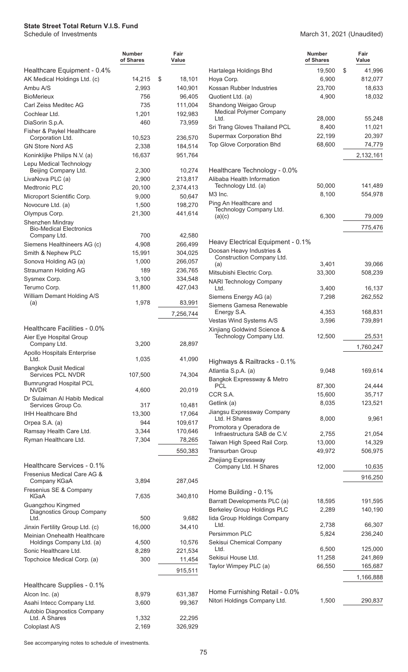AK Medical Holdings Ltd. (c) 14,215 Ambu A/S 2,993 BioMerieux 756 Carl Zeiss Meditec AG 735 Cochlear Ltd. 1,201 DiaSorin S.p.A. 460

Corporation Ltd. 10,523

**Number of Shares**

Healthcare Equipment - 0.4%

Fisher & Paykel Healthcare

| Fair<br>Value      |                                                         | <b>Number</b><br>of Shares | Fair<br>Value |
|--------------------|---------------------------------------------------------|----------------------------|---------------|
|                    | Hartalega Holdings Bhd                                  | 19,500                     | \$<br>41,996  |
| \$<br>18,101       | Hoya Corp.                                              | 6.900                      | 812,077       |
| 140.901            | Kossan Rubber Industries                                | 23,700                     | 18,633        |
| 96,405             | Quotient Ltd. (a)                                       | 4,900                      | 18,032        |
| 111.004<br>192,983 | Shandong Weigao Group<br><b>Medical Polymer Company</b> |                            |               |
|                    | Ltd.                                                    | 28,000                     | 55,248        |
| 73,959             | Sri Trang Gloves Thailand PCL                           | 8,400                      | 11,021        |
| 236,570            | Supermax Corporation Bhd                                | 22,199                     | 20,397        |
| 184.514            | <b>Top Glove Corporation Bhd</b>                        | 68,600                     | 74,779        |
| 0.71.701           |                                                         |                            | 0.100101      |

Healthcare Technology - 0.0% Alibaba Health Information

Ping An Healthcare and

Technology Company Ltd.<br>(a)(c)

Doosan Heavy Industries & Construction Company Ltd.<br>(a)

Heavy Electrical Equipment - 0.1%

| <b>GN Store Nord AS</b>                                            | 2,338   | 184,514   |
|--------------------------------------------------------------------|---------|-----------|
| Koninklijke Philips N.V. (a)                                       | 16,637  | 951,764   |
| Lepu Medical Technology<br>Beijing Company Ltd.                    | 2,300   | 10,274    |
| LivaNova PLC (a)                                                   | 2,900   | 213,817   |
| Medtronic PLC                                                      | 20,100  | 2,374,413 |
| Microport Scientific Corp.                                         | 9,000   | 50,647    |
| Novocure Ltd. (a)                                                  | 1,500   | 198,270   |
| Olympus Corp.                                                      | 21,300  | 441,614   |
| Shenzhen Mindray<br><b>Bio-Medical Electronics</b><br>Company Ltd. | 700     | 42,580    |
| Siemens Healthineers AG (c)                                        | 4,908   | 266,499   |
| Smith & Nephew PLC                                                 | 15,991  | 304,025   |
| Sonova Holding AG (a)                                              | 1,000   | 266,057   |
| Straumann Holding AG                                               | 189     | 236,765   |
| Sysmex Corp.                                                       | 3,100   | 334,548   |
| Terumo Corp.                                                       | 11,800  | 427,043   |
| William Demant Holding A/S<br>(a)                                  | 1,978   | 83,991    |
|                                                                    |         | 7,256,744 |
| Healthcare Facilities - 0.0%                                       |         |           |
| Aier Eye Hospital Group<br>Company Ltd.                            | 3,200   | 28,897    |
| Apollo Hospitals Enterprise<br>Ltd.                                | 1,035   | 41,090    |
| <b>Bangkok Dusit Medical</b><br><b>Services PCL NVDR</b>           | 107,500 | 74,304    |
| <b>Bumrungrad Hospital PCL</b><br><b>NVDR</b>                      | 4,600   | 20,019    |
| Dr Sulaiman Al Habib Medical<br>Services Group Co.                 | 317     | 10,481    |
| IHH Healthcare Bhd                                                 | 13,300  | 17,064    |
| Orpea S.A. (a)                                                     | 944     | 109,617   |
| Ramsay Health Care Ltd.                                            | 3,344   | 170,646   |
| Ryman Healthcare Ltd.                                              | 7,304   | 78,265    |
|                                                                    |         |           |
|                                                                    |         | 550,383   |
| Healthcare Services - 0.1%                                         |         |           |
| Fresenius Medical Care AG &<br>Company KGaA                        | 3,894   | 287,045   |
| Fresenius SE & Company<br><b>KGaA</b>                              | 7,635   | 340,810   |

| traumann Holding AG                               | 189     | 236,765   | Mitsubishi Electric Corp.                               | 33,300          | 508,239            |
|---------------------------------------------------|---------|-----------|---------------------------------------------------------|-----------------|--------------------|
| ysmex Corp.                                       | 3,100   | 334,548   | <b>NARI Technology Company</b>                          |                 |                    |
| erumo Corp.                                       | 11,800  | 427,043   | Ltd.                                                    | 3,400           | 16,137             |
| <b>illiam Demant Holding A/S</b>                  |         |           | Siemens Energy AG (a)                                   | 7,298           | 262,552            |
| (a)                                               | 1,978   | 83,991    | Siemens Gamesa Renewable                                |                 |                    |
|                                                   |         | 7,256,744 | Energy S.A.                                             | 4,353           | 168,831            |
|                                                   |         |           | Vestas Wind Systems A/S                                 | 3,596           | 739,891            |
| ealthcare Facilities - 0.0%                       |         |           | Xinjiang Goldwind Science &<br>Technology Company Ltd.  | 12,500          | 25,531             |
| ier Eye Hospital Group<br>Company Ltd.            | 3,200   | 28,897    |                                                         |                 |                    |
| pollo Hospitals Enterprise                        |         |           |                                                         |                 | 1,760,247          |
| Ltd.                                              | 1,035   | 41,090    | Highways & Railtracks - 0.1%                            |                 |                    |
| angkok Dusit Medical                              |         |           | Atlantia S.p.A. (a)                                     | 9,048           | 169,614            |
| Services PCL NVDR                                 | 107,500 | 74,304    | Bangkok Expressway & Metro                              |                 |                    |
| umrungrad Hospital PCL                            |         |           | <b>PCL</b>                                              | 87,300          | 24,444             |
| <b>NVDR</b>                                       | 4,600   | 20,019    | CCR S.A.                                                | 15,600          | 35,717             |
| r Sulaiman Al Habib Medical<br>Services Group Co. | 317     | 10,481    | Getlink (a)                                             | 8,035           | 123,521            |
| <b>IH Healthcare Bhd</b>                          | 13,300  | 17,064    | Jiangsu Expressway Company                              |                 |                    |
| rpea S.A. (a)                                     | 944     | 109,617   | Ltd. H Shares                                           | 8,000           | 9,961              |
| amsay Health Care Ltd.                            | 3,344   | 170,646   | Promotora y Operadora de<br>Infraestructura SAB de C.V. | 2,755           |                    |
| yman Healthcare Ltd.                              | 7,304   | 78,265    | Taiwan High Speed Rail Corp.                            | 13,000          | 21,054<br>14,329   |
|                                                   |         | 550,383   | Transurban Group                                        | 49,972          | 506,975            |
|                                                   |         |           | Zhejiang Expressway                                     |                 |                    |
| ealthcare Services - 0.1%                         |         |           | Company Ltd. H Shares                                   | 12,000          | 10,635             |
| esenius Medical Care AG &                         |         |           |                                                         |                 | 916,250            |
| Company KGaA                                      | 3,894   | 287,045   |                                                         |                 |                    |
| esenius SE & Company                              |         |           | Home Building - 0.1%                                    |                 |                    |
| KGaA                                              | 7,635   | 340,810   | Barratt Developments PLC (a)                            | 18,595          | 191,595            |
| uangzhou Kingmed<br>Diagnostics Group Company     |         |           | <b>Berkeley Group Holdings PLC</b>                      | 2,289           | 140,190            |
| Ltd.                                              | 500     | 9,682     | lida Group Holdings Company                             |                 |                    |
| nxin Fertility Group Ltd. (c)                     | 16,000  | 34,410    | Ltd.                                                    | 2,738           | 66,307             |
| einian Onehealth Healthcare                       |         |           | Persimmon PLC                                           | 5,824           | 236,240            |
| Holdings Company Ltd. (a)                         | 4,500   | 10,576    | Sekisui Chemical Company<br>Ltd.                        |                 |                    |
| onic Healthcare Ltd.                              | 8,289   | 221,534   | Sekisui House Ltd.                                      | 6,500<br>11,258 | 125,000<br>241,869 |
| opchoice Medical Corp. (a)                        | 300     | 11,454    |                                                         | 66,550          |                    |
|                                                   |         | 915,511   | Taylor Wimpey PLC (a)                                   |                 | 165,687            |
|                                                   |         |           |                                                         |                 | 1,166,888          |
| ealthcare Supplies - 0.1%                         |         |           | Home Furnishing Retail - 0.0%                           |                 |                    |
| lcon Inc. (a)                                     | 8,979   | 631,387   | Nitori Holdings Company Ltd.                            | 1,500           | 290,837            |
| sahi Intecc Company Ltd.                          | 3,600   | 99,367    |                                                         |                 |                    |
| utobio Diagnostics Company<br>Ltd. A Shares       | 1,332   | 22,295    |                                                         |                 |                    |
|                                                   |         |           |                                                         |                 |                    |

March 31, 2021 (Unaudited)

2,132,161

775,476

(a)(c) 6,300 79,009

(a) 3,401 39,066

Technology Ltd. (a) 50,000 141,489 M3 Inc. 6.100 6,100 554,978

See accompanying notes to schedule of investments.

Coloplast A/S 2,169 326,929

Guangzhou Kingmed

Meinian Onehealth Healthcare

Healthcare Supplies - 0.1%

Autobio Diagnostics Company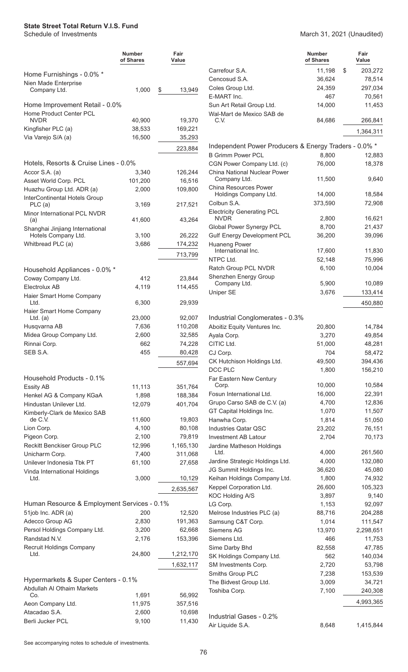|                                                              | Number<br>of Shares | Fair<br>Value     |
|--------------------------------------------------------------|---------------------|-------------------|
| Home Furnishings - 0.0% *<br>Nien Made Enterprise            |                     |                   |
| Company Ltd.                                                 | 1,000               | \$<br>13,949      |
| Home Improvement Retail - 0.0%<br>Home Product Center PCL    |                     |                   |
| <b>NVDR</b>                                                  | 40,900              | 19,370            |
| Kingfisher PLC (a)                                           | 38,533              | 169,221           |
| Via Varejo S/A (a)                                           | 16,500              | 35,293            |
|                                                              |                     | 223,884           |
| Hotels, Resorts & Cruise Lines - 0.0%                        |                     |                   |
| Accor S.A. (a)                                               | 3,340               | 126,244           |
| Asset World Corp. PCL                                        | 101,200             | 16,516            |
| Huazhu Group Ltd. ADR (a)                                    | 2,000               | 109,800           |
| InterContinental Hotels Group<br>PLC (a)                     | 3,169               | 217,521           |
| Minor International PCL NVDR                                 |                     |                   |
| (a)                                                          | 41,600              | 43,264            |
| Shanghai Jinjiang International<br>Hotels Company Ltd.       | 3,100               | 26,222            |
| Whitbread PLC (a)                                            | 3,686               | 174,232           |
|                                                              |                     | 713,799           |
|                                                              |                     |                   |
| Household Appliances - 0.0% *                                |                     |                   |
| Coway Company Ltd.                                           | 412                 | 23,844            |
| Electrolux AB                                                | 4,119               | 114,455           |
| Haier Smart Home Company<br>Ltd.<br>Haier Smart Home Company | 6,300               | 29,939            |
| Ltd. $(a)$                                                   | 23,000              | 92,007            |
| Husqvarna AB                                                 | 7,636               | 110,208           |
| Midea Group Company Ltd.                                     | 2,600               | 32,585            |
| Rinnai Corp.                                                 | 662                 | 74,228            |
| SEB S.A.                                                     | 455                 | 80,428            |
|                                                              |                     | 557,694           |
| Household Products - 0.1%                                    |                     |                   |
| <b>Essity AB</b>                                             | 11,113              | 351,764           |
| Henkel AG & Company KGaA                                     | 1,898               | 188,384           |
| Hindustan Unilever Ltd.                                      | 12,079              | 401,704           |
| Kimberly-Clark de Mexico SAB                                 |                     |                   |
| de C.V.<br>Lion Corp.                                        | 11,600<br>4,100     | 19,803<br>80,108  |
| Pigeon Corp.                                                 | 2,100               | 79,819            |
| Reckitt Benckiser Group PLC                                  | 12,996              | 1,165,130         |
| Unicharm Corp.                                               | 7,400               | 311,068           |
| Unilever Indonesia Tbk PT                                    | 61,100              | 27,658            |
| Vinda International Holdings                                 |                     |                   |
| Ltd.                                                         | 3,000               | 10,129            |
|                                                              |                     | 2,635,567         |
| Human Resource & Employment Services - 0.1%                  |                     |                   |
| 51job Inc. ADR (a)                                           | 200                 | 12,520            |
| Adecco Group AG                                              | 2,830               | 191,363           |
| Persol Holdings Company Ltd.                                 | 3,200               | 62,668            |
| Randstad N.V.                                                | 2,176               | 153,396           |
| Recruit Holdings Company<br>Ltd.                             | 24,800              | 1,212,170         |
|                                                              |                     | 1,632,117         |
| Hypermarkets & Super Centers - 0.1%                          |                     |                   |
| Abdullah Al Othaim Markets                                   |                     |                   |
| Co.<br>Aeon Company Ltd.                                     | 1,691<br>11,975     | 56,992<br>357,516 |
| Atacadao S.A.                                                | 2,600               | 10,698            |
| Berli Jucker PCL                                             | 9,100               | 11,430            |
|                                                              |                     |                   |

#### March 31, 2021 (Unaudited)

|                                                          | Number<br>of Shares | Fair<br>Value |
|----------------------------------------------------------|---------------------|---------------|
| Carrefour S.A.                                           | 11,198              | \$<br>203,272 |
| Cencosud S.A.                                            | 36,624              | 78,514        |
| Coles Group Ltd.                                         | 24,359              | 297,034       |
| E-MART Inc.                                              | 467                 | 70,561        |
| Sun Art Retail Group Ltd.<br>Wal-Mart de Mexico SAB de   | 14,000              | 11,453        |
| C.V.                                                     | 84,686              | 266,841       |
|                                                          |                     | 1,364,311     |
| Independent Power Producers & Energy Traders - 0.0% *    |                     |               |
| <b>B Grimm Power PCL</b>                                 | 8,800               | 12,883        |
| CGN Power Company Ltd. (c)                               | 76,000              | 18,378        |
| China National Nuclear Power<br>Company Ltd.             | 11,500              | 9,640         |
| <b>China Resources Power</b>                             |                     |               |
| Holdings Company Ltd.                                    | 14,000              | 18,584        |
| Colbun S.A.                                              | 373,590             | 72,908        |
| <b>Electricity Generating PCL</b><br><b>NVDR</b>         | 2,800               | 16,621        |
| Global Power Synergy PCL                                 | 8,700               | 21,437        |
| <b>Gulf Energy Development PCL</b>                       | 36,200              | 39,096        |
| <b>Huaneng Power</b>                                     |                     |               |
| International Inc.                                       | 17,600              | 11,830        |
| NTPC Ltd.                                                | 52,148              | 75,996        |
| Ratch Group PCL NVDR                                     | 6,100               | 10,004        |
| Shenzhen Energy Group                                    |                     |               |
| Company Ltd.                                             | 5,900               | 10,089        |
| Uniper SE                                                | 3,676               | 133,414       |
|                                                          |                     | 450,880       |
| Industrial Conglomerates - 0.3%                          |                     |               |
| Aboitiz Equity Ventures Inc.                             | 20,800              | 14,784        |
| Ayala Corp.                                              | 3,270               | 49,854        |
| CITIC Ltd.                                               | 51,000              | 48,281        |
| CJ Corp.                                                 | 704                 | 58,472        |
| CK Hutchison Holdings Ltd.                               | 49,500              | 394,436       |
| DCC PLC                                                  | 1,800               | 156,210       |
| Far Eastern New Century                                  |                     |               |
| Corp.                                                    | 10,000              | 10,584        |
| Fosun International Ltd.                                 | 16,000              | 22,391        |
| Grupo Carso SAB de C.V. (a)                              | 4,700               | 12,836        |
| GT Capital Holdings Inc.                                 | 1,070               | 11,507        |
| Hanwha Corp.                                             | 1,814               | 51,050        |
| <b>Industries Qatar QSC</b>                              | 23,202              | 76,151        |
| <b>Investment AB Latour</b><br>Jardine Matheson Holdings | 2,704               | 70,173        |
| Ltd.                                                     | 4,000               | 261,560       |
| Jardine Strategic Holdings Ltd.                          | 4,000               | 132,080       |
| JG Summit Holdings Inc.                                  | 36,620              | 45,080        |
| Keihan Holdings Company Ltd.                             | 1,800               | 74,932        |
| Keppel Corporation Ltd.                                  | 26,600              | 105,323       |
| KOC Holding A/S                                          | 3,897               | 9,140         |
| LG Corp.                                                 | 1,153               | 92,097        |
| Melrose Industries PLC (a)                               | 88,716              | 204,288       |
| Samsung C&T Corp.                                        | 1,014               | 111,547       |
| <b>Siemens AG</b>                                        | 13,970              | 2,298,651     |
| Siemens Ltd.                                             | 466                 | 11,753        |
| Sime Darby Bhd                                           | 82,558              | 47,785        |
| SK Holdings Company Ltd.                                 | 562                 | 140,034       |
| SM Investments Corp.                                     | 2,720               | 53,798        |
| Smiths Group PLC                                         | 7,238               | 153,539       |
| The Bidvest Group Ltd.                                   | 3,009               | 34,721        |
| Toshiba Corp.                                            | 7,100               | 240,308       |
|                                                          |                     | 4,993,365     |
|                                                          |                     |               |
| Industrial Gases - 0.2%                                  |                     |               |
| Air Liquide S.A.                                         | 8,648               | 1,415,844     |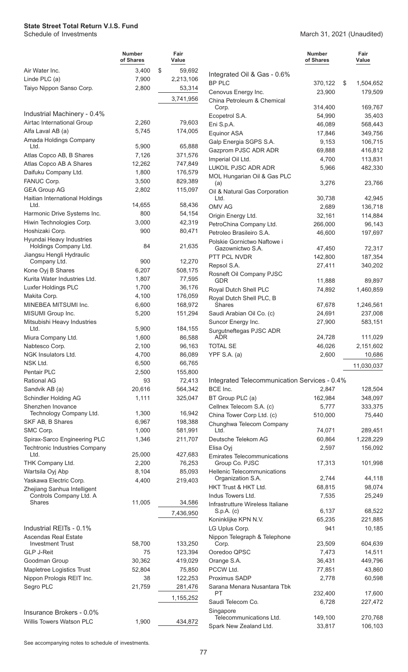|                                                        | <b>Number</b><br>of Shares | Fair<br>Value      |                                                  | <b>Number</b><br>of Shares | Fair<br>Value     |
|--------------------------------------------------------|----------------------------|--------------------|--------------------------------------------------|----------------------------|-------------------|
| Air Water Inc.                                         | 3,400                      | \$<br>59,692       | Integrated Oil & Gas - 0.6%                      |                            |                   |
| Linde PLC (a)                                          | 7,900                      | 2,213,106          | <b>BP PLC</b>                                    | 370,122                    | \$<br>1,504,652   |
| Taiyo Nippon Sanso Corp.                               | 2,800                      | 53,314             | Cenovus Energy Inc.                              | 23,900                     | 179,509           |
|                                                        |                            | 3,741,956          | China Petroleum & Chemical                       |                            |                   |
| Industrial Machinery - 0.4%                            |                            |                    | Corp.                                            | 314,400<br>54,990          | 169,767<br>35,403 |
| Airtac International Group                             | 2,260                      | 79,603             | Ecopetrol S.A.<br>Eni S.p.A.                     | 46,089                     | 568,443           |
| Alfa Laval AB (a)                                      | 5,745                      | 174,005            | Equinor ASA                                      | 17,846                     | 349,756           |
| Amada Holdings Company                                 |                            |                    | Galp Energia SGPS S.A.                           | 9,153                      | 106,715           |
| Ltd.                                                   | 5,900                      | 65,888             | Gazprom PJSC ADR ADR                             | 69,888                     | 416,812           |
| Atlas Copco AB, B Shares<br>Atlas Copco AB A Shares    | 7,126<br>12,262            | 371,576<br>747,849 | Imperial Oil Ltd.                                | 4,700                      | 113,831           |
| Daifuku Company Ltd.                                   | 1,800                      | 176,579            | LUKOIL PJSC ADR ADR                              | 5,966                      | 482,330           |
| FANUC Corp.                                            | 3,500                      | 829,389            | MOL Hungarian Oil & Gas PLC                      |                            |                   |
| <b>GEA Group AG</b>                                    | 2,802                      | 115,097            | (a)<br>Oil & Natural Gas Corporation             | 3,276                      | 23,766            |
| Haitian International Holdings                         |                            |                    | Ltd.                                             | 30,738                     | 42,945            |
| Ltd.                                                   | 14,655                     | 58,436             | OMV AG                                           | 2,689                      | 136,718           |
| Harmonic Drive Systems Inc.                            | 800                        | 54,154             | Origin Energy Ltd.                               | 32,161                     | 114,884           |
| Hiwin Technologies Corp.                               | 3,000                      | 42,319             | PetroChina Company Ltd.                          | 266,000                    | 96,143            |
| Hoshizaki Corp.<br>Hyundai Heavy Industries            | 900                        | 80,471             | Petroleo Brasileiro S.A.                         | 46,600                     | 197,697           |
| Holdings Company Ltd.                                  | 84                         | 21,635             | Polskie Gornictwo Naftowe i<br>Gazownictwo S.A.  | 47,450                     | 72,317            |
| Jiangsu Hengli Hydraulic                               |                            |                    | PTT PCL NVDR                                     | 142,800                    | 187,354           |
| Company Ltd.                                           | 900                        | 12,270             | Repsol S.A.                                      | 27,411                     | 340,202           |
| Kone Oyj B Shares                                      | 6,207                      | 508,175            | Rosneft Oil Company PJSC                         |                            |                   |
| Kurita Water Industries Ltd.                           | 1,807                      | 77,595             | <b>GDR</b>                                       | 11,888                     | 89,897            |
| Luxfer Holdings PLC<br>Makita Corp.                    | 1,700<br>4,100             | 36,176<br>176,059  | Royal Dutch Shell PLC                            | 74,892                     | 1,460,859         |
| MINEBEA MITSUMI Inc.                                   | 6,600                      | 168,972            | Royal Dutch Shell PLC, B<br><b>Shares</b>        | 67,678                     | 1,246,561         |
| MISUMI Group Inc.                                      | 5,200                      | 151,294            | Saudi Arabian Oil Co. (c)                        | 24,691                     | 237,008           |
| Mitsubishi Heavy Industries                            |                            |                    | Suncor Energy Inc.                               | 27,900                     | 583,151           |
| Ltd.                                                   | 5,900                      | 184,155            | Surgutneftegas PJSC ADR                          |                            |                   |
| Miura Company Ltd.                                     | 1,600                      | 86,588             | <b>ADR</b>                                       | 24,728                     | 111,029           |
| Nabtesco Corp.                                         | 2,100                      | 96,163             | <b>TOTAL SE</b>                                  | 46,026                     | 2,151,602         |
| NGK Insulators Ltd.<br>NSK Ltd.                        | 4,700<br>6,500             | 86,089<br>66,765   | YPF S.A. (a)                                     | 2,600                      | 10,686            |
| Pentair PLC                                            | 2,500                      | 155,800            |                                                  |                            | 11,030,037        |
| <b>Rational AG</b>                                     | 93                         | 72,413             | Integrated Telecommunication Services - 0.4%     |                            |                   |
| Sandvik AB (a)                                         | 20,616                     | 564,342            | BCE Inc.                                         | 2,847                      | 128,504           |
| Schindler Holding AG                                   | 1,111                      | 325,047            | BT Group PLC (a)                                 | 162,984                    | 348,097           |
| Shenzhen Inovance                                      |                            |                    | Cellnex Telecom S.A. (c)                         | 5,777                      | 333,375           |
| Technology Company Ltd.                                | 1,300                      | 16,942             | China Tower Corp Ltd. (c)                        | 510,000                    | 75,440            |
| SKF AB, B Shares<br>SMC Corp.                          | 6,967<br>1,000             | 198,388<br>581,991 | Chunghwa Telecom Company<br>Ltd.                 | 74,071                     | 289,451           |
| Spirax-Sarco Engineering PLC                           | 1,346                      | 211,707            | Deutsche Telekom AG                              | 60,864                     | 1,228,229         |
| <b>Techtronic Industries Company</b>                   |                            |                    | Elisa Oyj                                        | 2,597                      | 156,092           |
| Ltd.                                                   | 25,000                     | 427,683            | <b>Emirates Telecommunications</b>               |                            |                   |
| THK Company Ltd.                                       | 2,200                      | 76,253             | Group Co. PJSC                                   | 17,313                     | 101,998           |
| Wartsila Oyj Abp                                       | 8,104                      | 85,093             | Hellenic Telecommunications<br>Organization S.A. | 2,744                      | 44,118            |
| Yaskawa Electric Corp.                                 | 4,400                      | 219,403            | HKT Trust & HKT Ltd.                             | 68,815                     | 98,074            |
| Zhejiang Sanhua Intelligent<br>Controls Company Ltd. A |                            |                    | Indus Towers Ltd.                                | 7,535                      | 25,249            |
| Shares                                                 | 11,005                     | 34,586             | Infrastrutture Wireless Italiane                 |                            |                   |
|                                                        |                            | 7,436,950          | $S.p.A.$ (c)                                     | 6,137                      | 68,522            |
|                                                        |                            |                    | Koninklijke KPN N.V.                             | 65,235                     | 221,885           |
| Industrial REITs - 0.1%                                |                            |                    | LG Uplus Corp.                                   | 941                        | 10,185            |
| <b>Ascendas Real Estate</b><br><b>Investment Trust</b> | 58,700                     | 133,250            | Nippon Telegraph & Telephone<br>Corp.            | 23,509                     | 604,639           |
| <b>GLP J-Reit</b>                                      | 75                         | 123,394            | Ooredoo QPSC                                     | 7,473                      | 14,511            |
| Goodman Group                                          | 30,362                     | 419,029            | Orange S.A.                                      | 36,431                     | 449,796           |
| Mapletree Logistics Trust                              | 52,804                     | 75,850             | PCCW Ltd.                                        | 77,851                     | 43,860            |
| Nippon Prologis REIT Inc.                              | 38                         | 122,253            | Proximus SADP                                    | 2,778                      | 60,598            |
| Segro PLC                                              | 21,759                     | 281,476            | Sarana Menara Nusantara Tbk<br><b>PT</b>         | 232,400                    |                   |
|                                                        |                            | 1,155,252          | Saudi Telecom Co.                                | 6,728                      | 17,600<br>227,472 |
| Insurance Brokers - 0.0%                               |                            |                    | Singapore                                        |                            |                   |
| Willis Towers Watson PLC                               | 1,900                      | 434,872            | Telecommunications Ltd.                          | 149,100                    | 270,768           |
|                                                        |                            |                    | Spark New Zealand Ltd.                           | 33,817                     | 106,103           |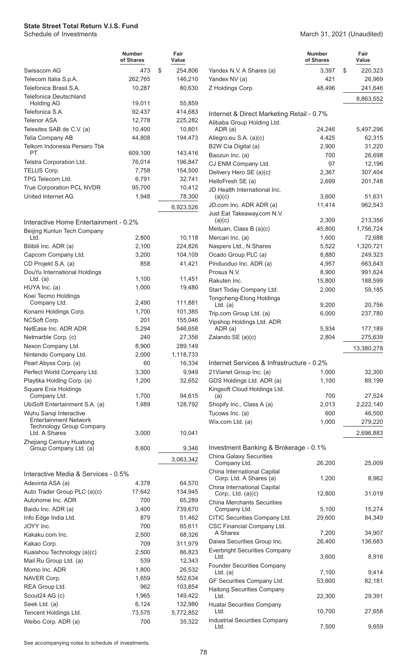|                                                                                           | Number<br>of Shares | Fair<br>Value    |
|-------------------------------------------------------------------------------------------|---------------------|------------------|
| Swisscom AG                                                                               | 473                 | \$<br>254,806    |
| Telecom Italia S.p.A.                                                                     | 262,765             | 146,210          |
| Telefonica Brasil S.A.                                                                    | 10,287              | 80,630           |
| Telefonica Deutschland                                                                    |                     |                  |
| <b>Holding AG</b>                                                                         | 19,011              | 55,859           |
| Telefonica S.A.                                                                           | 92,437              | 414,683          |
| <b>Telenor ASA</b>                                                                        | 12,778              | 225,282          |
| Telesites SAB de C.V. (a)                                                                 | 10,400              | 10,801           |
| Telia Company AB                                                                          | 44,808              | 194,473          |
| Telkom Indonesia Persero Tbk<br>PT                                                        | 609,100             | 143,416          |
| Telstra Corporation Ltd.                                                                  | 76,014              | 196,847          |
| TELUS Corp.                                                                               | 7,758               | 154,500          |
| TPG Telecom Ltd.                                                                          | 6,791               | 32,741           |
| True Corporation PCL NVDR                                                                 | 95,700              | 10,412           |
| <b>United Internet AG</b>                                                                 | 1,948               | 78,300           |
|                                                                                           |                     | 6,923,526        |
|                                                                                           |                     |                  |
| Interactive Home Entertainment - 0.2%<br>Beijing Kunlun Tech Company                      |                     |                  |
| Ltd.                                                                                      | 2,800               | 10,118           |
| Bilibili Inc. ADR (a)                                                                     | 2,100               | 224,826          |
| Capcom Company Ltd.                                                                       | 3,200               | 104,109          |
| CD Projekt S.A. (a)                                                                       | 858                 | 41,421           |
| DouYu International Holdings                                                              |                     |                  |
| Ltd. $(a)$                                                                                | 1,100               | 11,451           |
| HUYA Inc. (a)<br>Koei Tecmo Holdings                                                      | 1,000               | 19,480           |
| Company Ltd.                                                                              | 2,490               | 111,881          |
| Konami Holdings Corp.                                                                     | 1,700               | 101,385          |
| NCSoft Corp.                                                                              | 201                 | 155,046          |
| NetEase Inc. ADR ADR                                                                      | 5,294               | 546,658          |
| Netmarble Corp. (c)                                                                       | 240                 | 27,356           |
| Nexon Company Ltd.                                                                        | 8,900               | 289,149          |
| Nintendo Company Ltd.                                                                     | 2,000               | 1,118,733        |
| Pearl Abyss Corp. (a)                                                                     | 60                  | 16,334           |
| Perfect World Company Ltd.                                                                | 3,300               | 9,949            |
| Playtika Holding Corp. (a)                                                                | 1,200               | 32,652           |
| Square Enix Holdings<br>Company Ltd.                                                      | 1,700               | 94,615           |
| UbiSoft Entertainment S.A. (a)                                                            | 1,689               | 128,792          |
| Wuhu Sanqi Interactive<br><b>Entertainment Network</b><br><b>Technology Group Company</b> |                     |                  |
| Ltd. A Shares                                                                             | 3,000               | 10,041           |
| Zhejiang Century Huatong<br>Group Company Ltd. (a)                                        | 8,600               | 9,346            |
|                                                                                           |                     | 3,063,342        |
|                                                                                           |                     |                  |
| Interactive Media & Services - 0.5%                                                       |                     |                  |
| Adevinta ASA (a)                                                                          | 4,378               | 64,570           |
| Auto Trader Group PLC (a)(c)                                                              | 17,642              | 134,945          |
| Autohome Inc. ADR                                                                         | 700                 | 65,289           |
| Baidu Inc. ADR (a)                                                                        | 3,400               | 739,670          |
| Info Edge India Ltd.<br>JOYY Inc.                                                         | 879<br>700          | 51,462<br>65,611 |
| Kakaku.com Inc.                                                                           | 2,500               | 68,326           |
| Kakao Corp.                                                                               | 709                 | 311,979          |
| Kuaishou Technology (a)(c)                                                                | 2,500               | 86,823           |
| Mail.Ru Group Ltd. (a)                                                                    | 539                 | 12,343           |
| Momo Inc. ADR                                                                             | 1,800               | 26,532           |
| NAVER Corp.                                                                               | 1,659               | 552,634          |
| REA Group Ltd.                                                                            | 962                 | 103,854          |
| Scout24 AG (c)                                                                            | 1,965               | 149,422          |
| Seek Ltd. (a)                                                                             | 6,124               | 132,980          |
| Tencent Holdings Ltd.                                                                     | 73,575              | 5,772,852        |
| Weibo Corp. ADR (a)                                                                       | 700                 | 35,322           |

#### March 31, 2021 (Unaudited)

|                                                                     | Number<br>of Shares | Fair<br>Value         |
|---------------------------------------------------------------------|---------------------|-----------------------|
| Yandex N.V. A Shares (a)                                            | 3,397               | \$<br>220,323         |
| Yandex NV (a)                                                       | 421                 | 26,969                |
| Z Holdings Corp.                                                    | 48,496              | 241,646               |
|                                                                     |                     | 8,863,552             |
| Internet & Direct Marketing Retail - 0.7%                           |                     |                       |
| Alibaba Group Holding Ltd.                                          |                     |                       |
| ADR (a)                                                             | 24,246              | 5,497,296             |
| Allegro.eu S.A. (a)(c)                                              | 4,425               | 62,315                |
| B2W Cia Digital (a)                                                 | 2,900<br>700        | 31,220                |
| Baozun Inc. (a)<br>CJ ENM Company Ltd.                              | 97                  | 26,698<br>12,196      |
| Delivery Hero SE (a)(c)                                             | 2,367               | 307,404               |
| HelloFresh SE (a)                                                   | 2,699               | 201,748               |
| JD Health International Inc.                                        |                     |                       |
| (a)(c)                                                              | 3,600               | 51,631                |
| JD.com Inc. ADR ADR (a)                                             | 11,414              | 962,543               |
| Just Eat Takeaway.com N.V.                                          |                     |                       |
| (a)(c)                                                              | 2,309               | 213,356               |
| Meituan, Class B (a)(c)                                             | 45,800              | 1,756,724             |
| Mercari Inc. (a)                                                    | 1,600               | 72,688                |
| Naspers Ltd., N Shares                                              | 5,522               | 1,320,721             |
| Ocado Group PLC (a)<br>Pinduoduo Inc. ADR (a)                       | 8,880<br>4,957      | 249,323<br>663,643    |
| Prosus N.V.                                                         | 8,900               | 991,624               |
| Rakuten Inc.                                                        | 15,800              | 188,599               |
| Start Today Company Ltd.                                            | 2,000               | 59,185                |
| Tongcheng-Elong Holdings                                            |                     |                       |
| $Ltd.$ (a)                                                          | 9,200               | 20,756                |
| Trip.com Group Ltd. (a)                                             | 6,000               | 237,780               |
| Vipshop Holdings Ltd. ADR                                           |                     |                       |
| ADR (a)                                                             | 5,934               | 177,189               |
| Zalando SE (a)(c)                                                   | 2,804               | 275,639<br>13,380,278 |
|                                                                     |                     |                       |
| Internet Services & Infrastructure - 0.2%                           |                     |                       |
| 21 Vianet Group Inc. (a)                                            | 1,000               | 32,300                |
| GDS Holdings Ltd. ADR (a)                                           | 1,100               | 89,199                |
| Kingsoft Cloud Holdings Ltd.<br>(a)                                 | 700                 | 27,524                |
| Shopify Inc., Class A (a)                                           | 2,013               | 2,222,140             |
| Tucows Inc. (a)                                                     | 600                 | 46,500                |
| Wix.com Ltd. (a)                                                    | 1,000               | 279,220               |
|                                                                     |                     | 2,696,883             |
| Investment Banking & Brokerage - 0.1%                               |                     |                       |
| <b>China Galaxy Securities</b>                                      |                     |                       |
| Company Ltd.<br>China International Capital                         | 26,200              | 25,009                |
| Corp. Ltd. A Shares (a)                                             | 1,200               | 8,962                 |
| China International Capital<br>Corp., Ltd. $(a)(c)$                 | 12,800              | 31,019                |
| <b>China Merchants Securities</b>                                   |                     |                       |
| Company Ltd.<br>CITIC Securities Company Ltd.                       | 5,100<br>29,600     | 15,274<br>84,349      |
| CSC Financial Company Ltd.                                          |                     |                       |
| A Shares                                                            | 7,200               | 34,907                |
| Daiwa Securities Group Inc.<br><b>Everbright Securities Company</b> | 26,400              | 136,683               |
| Ltd.                                                                | 3,600               | 8,916                 |
| <b>Founder Securities Company</b><br>Ltd. $(a)$                     | 7,100               | 9,414                 |
| GF Securities Company Ltd.                                          | 53,600              | 82,181                |
| <b>Haitong Securities Company</b>                                   |                     |                       |
| Ltd.                                                                | 22,300              | 29,391                |
| Huatai Securities Company                                           |                     |                       |
| Ltd.<br><b>Industrial Securities Company</b>                        | 10,700              | 27,658                |
| Ltd.                                                                | 7,500               | 9,659                 |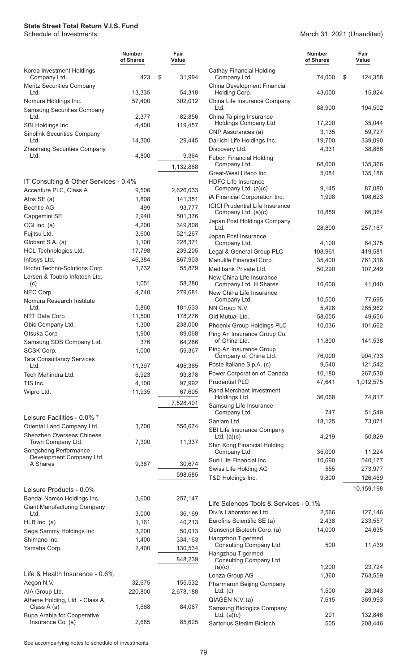|                                                                | Number<br>of Shares | Fair<br>Value     |
|----------------------------------------------------------------|---------------------|-------------------|
| Korea Investment Holdings<br>Company Ltd.                      | 423                 | \$<br>31,994      |
| <b>Meritz Securities Company</b><br>Ltd.                       | 13,335              | 54,318            |
| Nomura Holdings Inc.<br><b>Samsung Securities Company</b>      | 57,400              | 302,012           |
| Ltd.<br>SBI Holdings Inc.                                      | 2.377<br>4,400      | 82,856<br>119,457 |
| <b>Sinolink Securities Company</b><br>Ltd.                     | 14,300              | 29,445            |
| <b>Zheshang Securities Company</b><br>Ltd.                     | 4,800               | 9,364             |
|                                                                |                     | 1,132,868         |
| IT Consulting & Other Services - 0.4%                          |                     |                   |
| Accenture PLC, Class A                                         | 9,506               | 2,626,033         |
| Atos SE (a)                                                    | 1,808               | 141,351           |
| <b>Bechtle AG</b>                                              | 499                 | 93,777            |
| Capgemini SE                                                   | 2,940               | 501,376           |
| CGI Inc. (a)                                                   | 4,200               | 349,808           |
| Fujitsu Ltd.                                                   | 3,600               | 521,267           |
|                                                                |                     |                   |
| Globant S.A. (a)                                               | 1,100               | 228,371           |
| HCL Technologies Ltd.                                          | 17,798              | 239,205           |
| Infosys Ltd.                                                   | 46,384              | 867,903           |
| Itochu Techno-Solutions Corp.<br>Larsen & Toubro Infotech Ltd. | 1,732               | 55,879            |
| (c)                                                            | 1,051               | 58,280            |
| NEC Corp.<br>Nomura Research Institute                         | 4,740               | 279,681           |
| Ltd.                                                           | 5,860               | 181,633           |
| NTT Data Corp.                                                 | 11,500              | 178,276           |
| Obic Company Ltd.                                              | 1,300               | 238,000           |
| Otsuka Corp.                                                   | 1,900               | 89,068            |
|                                                                |                     |                   |
| Samsung SDS Company Ltd.                                       | 376                 | 64,286            |
| SCSK Corp.                                                     | 1,000               | 59,367            |
| <b>Tata Consultancy Services</b><br>Ltd.                       | 11,397              | 495,365           |
| Tech Mahindra Ltd.                                             | 6,923               | 93,878            |
| TIS Inc.                                                       | 4,100               | 97,992            |
| Wipro Ltd.                                                     | 11,935              | 67,605            |
|                                                                |                     | 7,528,401         |
|                                                                |                     |                   |
| Leisure Facilities - 0.0% *                                    |                     |                   |
| Oriental Land Company Ltd.                                     | 3,700               | 556,674           |
| Shenzhen Overseas Chinese<br>Town Company Ltd.                 | 7,300               | 11,337            |
| Songcheng Performance<br>Development Company Ltd.              |                     |                   |
| A Shares                                                       | 9,387               | 30,674            |
|                                                                |                     | 598,685           |
| Leisure Products - 0.0%                                        |                     |                   |
| Bandai Namco Holdings Inc.                                     | 3,600               | 257,147           |
| <b>Giant Manufacturing Company</b>                             |                     |                   |
| Ltd.                                                           | 3,000               | 36,169            |
| $HLB$ Inc. (a)                                                 | 1,161               | 40,213            |
| Sega Sammy Holdings Inc.                                       | 3,200               | 50,013            |
| Shimano Inc.                                                   | 1,400               | 334,163           |
| Yamaha Corp.                                                   | 2,400               | 130,534           |
|                                                                |                     | 848,239           |
|                                                                |                     |                   |
| Life & Health Insurance - 0.6%                                 |                     |                   |
| Aegon N.V.                                                     | 32,675              | 155,532           |
| AIA Group Ltd.                                                 | 220,800             | 2,678,188         |
| Athene Holding, Ltd. - Class A,                                |                     |                   |
| Class A (a)<br>Bupa Arabia for Cooperative                     | 1,668               | 84,067            |
| Insurance Co. (a)                                              | 2,685               | 85,625            |

#### March 31, 2021 (Unaudited)

|                |                                                   | <b>Number</b><br>of Shares | Fair<br>Value |
|----------------|---------------------------------------------------|----------------------------|---------------|
| 1,994          | <b>Cathay Financial Holding</b><br>Company Ltd.   | 74,000                     | \$<br>124,358 |
| 4,318          | China Development Financial<br>Holding Corp.      | 43,000                     | 15,824        |
| 2,012          | China Life Insurance Company<br>Ltd.              | 88,900                     | 194,502       |
| 2,856<br>9,457 | China Taiping Insurance<br>Holdings Company Ltd.  | 17,200                     | 35,044        |
|                | CNP Assurances (a)                                | 3,135                      | 59,727        |
| 9,445          | Dai-ichi Life Holdings Inc.                       | 19,700                     | 339,090       |
| 9,364          | Discovery Ltd.<br><b>Fubon Financial Holding</b>  | 4,331                      | 38,886        |
| 2,868          | Company Ltd.                                      | 68,000                     | 135,366       |
|                | Great-West Lifeco Inc.                            | 5,081                      | 135,186       |
| 6,033          | <b>HDFC Life Insurance</b><br>Company Ltd. (a)(c) | 9,145                      | 87,080        |
| 1,351          | iA Financial Corporation Inc.                     | 1,998                      | 108,623       |
| 3,777          | <b>ICICI Prudential Life Insurance</b>            |                            |               |
| 1,376          | Company Ltd. (a)(c)                               | 10,889                     | 66,364        |
| 9,808          | Japan Post Holdings Company<br>Ltd.               | 28,800                     | 257,167       |
| 1,267          | Japan Post Insurance                              |                            |               |
| 3,371          | Company Ltd.                                      | 4,100                      | 84,375        |
| 9,205          | Legal & General Group PLC                         | 108,961                    | 419,581       |
| 7,903          | Manulife Financial Corp.                          | 35,400                     | 761,318       |
| 5,879          | Medibank Private Ltd.<br>New China Life Insurance | 50,290                     | 107,249       |
| 3,280          | Company Ltd. H Shares                             | 10,600                     | 41,040        |
| 9,681          | New China Life Insurance                          |                            |               |
|                | Company Ltd.                                      | 10,500                     | 77,695        |
| 1,633          | NN Group N.V.                                     | 5,428                      | 265,962       |
| 3,276          | Old Mutual Ltd.                                   | 58,055                     | 49,656        |
| 3,000          | Phoenix Group Holdings PLC                        | 10,036                     | 101,662       |
| 9,068<br>4,286 | Ping An Insurance Group Co.<br>of China Ltd.      | 11,800                     | 141,538       |
| 9,367          | Ping An Insurance Group<br>Company of China Ltd.  | 76,000                     | 904,733       |
|                | Poste Italiane S.p.A. (c)                         | 9,540                      | 121,542       |
| 5,365          | Power Corporation of Canada                       | 10,180                     | 267,530       |
| 3,878          | <b>Prudential PLC</b>                             | 47,641                     | 1,012,575     |
| 7,992<br>7,605 | Rand Merchant Investment                          |                            |               |
| 3,401          | Holdings Ltd.                                     | 36,068                     | 74,817        |
|                | Samsung Life Insurance<br>Company Ltd.            | 747                        | 51,549        |
|                | Sanlam Ltd.                                       | 18,125                     | 73,071        |
| 6,674          | SBI Life Insurance Company                        |                            |               |
| 1,337          | Ltd. $(a)(c)$<br>Shin Kong Financial Holding      | 4,219                      | 50,829        |
|                | Company Ltd.                                      | 35,000                     | 11,224        |
| 0,674          | Sun Life Financial Inc.                           | 10,690                     | 540,177       |
| 3,685          | Swiss Life Holding AG                             | 555                        | 273,977       |
|                | T&D Holdings Inc.                                 | 9,800                      | 126,469       |
|                |                                                   |                            | 10,159,198    |
| 7,147          | Life Sciences Tools & Services - 0.1%             |                            |               |
| 6,169          | Divi's Laboratories Ltd.                          | 2,566                      | 127,146       |
| 0,213          | Eurofins Scientific SE (a)                        | 2,438                      | 233,557       |
| 0,013          | Genscript Biotech Corp. (a)                       | 14,000                     | 24,635        |
| 4,163          | Hangzhou Tigermed                                 |                            |               |
| 0,534          | Consulting Company Ltd.                           | 500                        | 11,439        |
| 3,239          | Hangzhou Tigermed<br>Consulting Company Ltd.      |                            |               |
|                | (a)(c)                                            | 1,200                      | 23,724        |
|                | Lonza Group AG                                    | 1,360                      | 763,559       |
| 5,532          | Pharmaron Beijing Company                         |                            |               |
| 3,188          | $Ltd.$ (c)                                        | 1,500                      | 28,343        |
| 4,067          | QIAGEN N.V. (a)<br>Samsung Biologics Company      | 7,615                      | 369,993       |
|                | Ltd. $(a)(c)$                                     | 201                        | 132,846       |
| 5,625          | Sartorius Stedim Biotech                          | 505                        | 208,446       |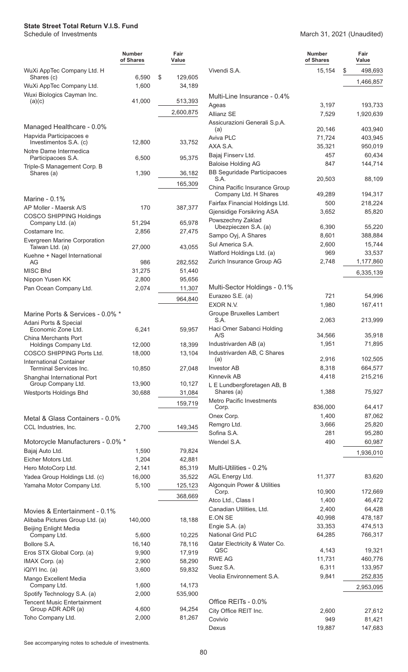#### March 31, 2021 (Unaudited)

|                                                                      | <b>Number</b><br>of Shares | Fair<br>Value           |                         |
|----------------------------------------------------------------------|----------------------------|-------------------------|-------------------------|
| WuXi AppTec Company Ltd. H<br>Shares (c)<br>WuXi AppTec Company Ltd. | 6,590<br>1,600             | \$<br>129,605<br>34,189 | Viver                   |
| Wuxi Biologics Cayman Inc.                                           |                            |                         | Mult                    |
| (a)(c)                                                               | 41,000                     | 513,393<br>2,600,875    | Agea<br>Alliar          |
| Managed Healthcare - 0.0%                                            |                            |                         | Assio                   |
| Hapvida Participacoes e<br>Investimentos S.A. (c)                    | 12,800                     | 33,752                  | (a)<br>Aviva<br>AXA     |
| Notre Dame Intermedica<br>Participacoes S.A.                         | 6,500                      | 95,375                  | Baja                    |
| Triple-S Management Corp. B<br>Shares (a)                            | 1,390                      | 36,182                  | Balo<br>BB <sub>S</sub> |
|                                                                      |                            | 165,309                 | $S_{J}$<br>Chin         |
| Marine - 0.1%                                                        |                            |                         | Сc                      |
| AP Moller - Maersk A/S<br><b>COSCO SHIPPING Holdings</b>             | 170                        | 387,377                 | Fairf<br>Gjen           |
| Company Ltd. (a)                                                     | 51,294                     | 65,978                  | Pows<br>Uł              |
| Costamare Inc.                                                       | 2,856                      | 27,475                  | Sam                     |
| Evergreen Marine Corporation<br>Taiwan Ltd. (a)                      | 27,000                     | 43,055                  | Sul /<br>Watf           |
| Kuehne + Nagel International<br>AG                                   | 986                        | 282,552                 | Zuric                   |
| <b>MISC Bhd</b>                                                      | 31,275                     | 51,440                  |                         |
| Nippon Yusen KK                                                      | 2,800                      | 95,656                  |                         |
| Pan Ocean Company Ltd.                                               | 2,074                      | 11,307                  | Mult                    |
|                                                                      |                            | 964,840                 | Eura<br><b>EXO</b>      |
| Marine Ports & Services - 0.0% *                                     |                            |                         | Grou<br>$S_{J}$         |
| Adani Ports & Special<br>Economic Zone Ltd.                          | 6,241                      | 59,957                  | Haci                    |
| <b>China Merchants Port</b><br>Holdings Company Ltd.                 | 12,000                     | 18,399                  | A<br>Indu:              |
| COSCO SHIPPING Ports Ltd.                                            | 18,000                     | 13,104                  | lndu:                   |
| <b>International Container</b><br>Terminal Services Inc.             | 10,850                     | 27,048                  | (a)<br>Inves            |
| Shanghai International Port<br>Group Company Ltd.                    | 13,900                     | 10,127                  | Kinn<br>LEL             |
| Westports Holdings Bhd                                               | 30,688                     | 31,084                  | Sh                      |
|                                                                      |                            | 159,719                 | Metr<br>Сc              |
| Metal & Glass Containers - 0.0%                                      |                            |                         | Onex                    |
| CCL Industries, Inc.                                                 | 2,700                      | 149,345                 | Rem<br>Sofir            |
| Motorcycle Manufacturers - 0.0% *                                    |                            |                         | Wen                     |
| Bajaj Auto Ltd.                                                      | 1,590                      | 79,824                  |                         |
| Eicher Motors Ltd.                                                   | 1,204                      | 42,881                  |                         |
| Hero MotoCorp Ltd.<br>Yadea Group Holdings Ltd. (c)                  | 2,141<br>16,000            | 85,319<br>35,522        | Mult<br><b>AGL</b>      |
| Yamaha Motor Company Ltd.                                            | 5,100                      | 125,123                 | Algo                    |
|                                                                      |                            | 368,669                 | Cc                      |
|                                                                      |                            |                         | Atco<br>Cana            |
| Movies & Entertainment - 0.1%<br>Alibaba Pictures Group Ltd. (a)     | 140,000                    | 18,188                  | E.ON                    |
| <b>Beijing Enlight Media</b><br>Company Ltd.                         | 5,600                      | 10,225                  | Engi<br>Natio           |
| Bollore S.A.                                                         | 16,140                     | 78,116                  | Qata                    |
| Eros STX Global Corp. (a)                                            | 9,900                      | 17,919                  | QS                      |
| IMAX Corp. (a)                                                       | 2,900                      | 58,290                  | <b>RWE</b>              |
| iQIYI Inc. (a)                                                       | 3,600                      | 59,832                  | Suez                    |
| Mango Excellent Media                                                |                            |                         | Veoli                   |
| Company Ltd.<br>Spotify Technology S.A. (a)                          | 1,600<br>2,000             | 14,173<br>535,900       |                         |
| <b>Tencent Music Entertainment</b>                                   |                            |                         | Offic                   |
| Group ADR ADR (a)                                                    | 4,600                      | 94,254                  | City                    |
| Toho Company Ltd.                                                    | 2,000                      | 81,267                  | Covi<br><b>David</b>    |

|                                                        | Number<br>of Shares | Fair<br>Value     |
|--------------------------------------------------------|---------------------|-------------------|
| Vivendi S.A.                                           | 15,154              | \$<br>498,693     |
|                                                        |                     | 1,466,857         |
| Multi-Line Insurance - 0.4%                            |                     |                   |
| Ageas                                                  | 3,197               | 193,733           |
| <b>Allianz SE</b>                                      | 7,529               | 1,920,639         |
| Assicurazioni Generali S.p.A.                          |                     |                   |
| (a)                                                    | 20,146              | 403,940           |
| Aviva PLC                                              | 71,724              | 403,945           |
| AXA S.A.<br>Bajaj Finserv Ltd.                         | 35,321<br>457       | 950,019<br>60,434 |
| <b>Baloise Holding AG</b>                              | 847                 | 144,714           |
| <b>BB Seguridade Participacoes</b><br>S.A.             | 20,503              | 88,109            |
| China Pacific Insurance Group<br>Company Ltd. H Shares | 49,289              | 194,317           |
| Fairfax Financial Holdings Ltd.                        | 500                 | 218,224           |
| Gjensidige Forsikring ASA                              | 3,652               | 85,820            |
| Powszechny Zaklad                                      |                     |                   |
| Ubezpieczen S.A. (a)                                   | 6,390               | 55,220            |
| Sampo Oyj, A Shares                                    | 8,601               | 388,884           |
| Sul America S.A.                                       | 2,600               | 15,744            |
| Watford Holdings Ltd. (a)                              | 969                 | 33,537            |
| Zurich Insurance Group AG                              | 2,748               | 1,177,860         |
|                                                        |                     | 6,335,139         |
| Multi-Sector Holdings - 0.1%                           |                     |                   |
| Eurazeo S.E. (a)                                       | 721                 | 54,996            |
| EXOR N.V.                                              | 1,980               | 167,411           |
| Groupe Bruxelles Lambert<br>S.A.                       | 2,063               | 213,999           |
| Haci Omer Sabanci Holding<br>A/S                       | 34,566              | 35,918            |
| Industrivarden AB (a)                                  | 1,951               | 71,895            |
| Industrivarden AB, C Shares                            |                     |                   |
| (a)                                                    | 2,916               | 102,505           |
| <b>Investor AB</b>                                     | 8,318               | 664,577           |
| Kinnevik AB<br>L E Lundbergforetagen AB, B             | 4,418               | 215,216           |
| Shares (a)<br><b>Metro Pacific Investments</b>         | 1,388               | 75,927            |
| Corp.                                                  | 836,000             | 64,417            |
| Onex Corp.                                             | 1,400               | 87,062            |
| Remgro Ltd.                                            | 3,666               | 25,820            |
| Sofina S.A.                                            | 281                 | 95,280            |
| Wendel S.A.                                            | 490                 | 60,987            |
|                                                        |                     | 1,936,010         |
| Multi-Utilities - 0.2%                                 |                     |                   |
| AGL Energy Ltd.                                        | 11,377              | 83,620            |
| Algonquin Power & Utilities<br>Corp.                   | 10,900              | 172,669           |
| Atco Ltd., Class I                                     | 1,400               | 46,472            |
| Canadian Utilities, Ltd.                               | 2,400               | 64,428            |
| <b>E.ON SE</b>                                         | 40,998              | 478,187           |
| Engie S.A. (a)                                         | 33,353              | 474,513           |
| National Grid PLC                                      | 64,285              | 766,317           |
| Qatar Electricity & Water Co.                          |                     |                   |
| QSC                                                    | 4,143               | 19,321            |
| <b>RWE AG</b>                                          | 11,731              | 460,776           |
| Suez S.A.                                              | 6,311               | 133,957           |
| Veolia Environnement S.A.                              | 9,841               | 252,835           |
|                                                        |                     | 2,953,095         |
| Office REITs - 0.0%                                    |                     |                   |
| City Office REIT Inc.                                  | 2,600               | 27,612            |
| Covivio                                                | 949                 | 81,421            |
| Dexus                                                  | 19,887              | 147,683           |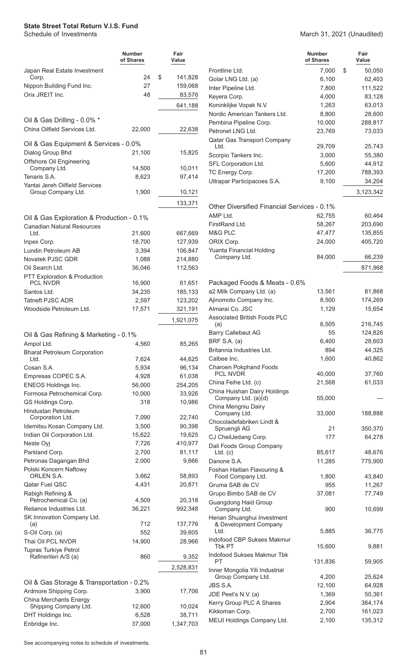|                                                             | <b>Number</b><br>of Shares | Fair<br>Value     |
|-------------------------------------------------------------|----------------------------|-------------------|
| Japan Real Estate Investment                                |                            |                   |
| Corp.                                                       | 24                         | \$<br>141,828     |
| Nippon Building Fund Inc.                                   | 27                         | 159,068           |
| Orix JREIT Inc.                                             | 48                         | 83,576            |
|                                                             |                            | 641,188           |
| Oil & Gas Drilling - 0.0% *<br>China Oilfield Services Ltd. | 22,000                     | 22,638            |
|                                                             |                            |                   |
| Oil & Gas Equipment & Services - 0.0%                       |                            |                   |
| Dialog Group Bhd                                            | 21,100                     | 15,825            |
| Offshore Oil Engineering<br>Company Ltd.                    | 14,500                     | 10,011            |
| Tenaris S.A.                                                | 8,623                      | 97,414            |
| Yantai Jereh Oilfield Services                              |                            |                   |
| Group Company Ltd.                                          | 1,900                      | 10,121            |
|                                                             |                            | 133,371           |
| Oil & Gas Exploration & Production - 0.1%                   |                            |                   |
| <b>Canadian Natural Resources</b><br>Ltd.                   | 21,600                     | 667,669           |
| Inpex Corp.                                                 | 18,700                     | 127,939           |
| Lundin Petroleum AB                                         | 3,394                      | 106,847           |
| <b>Novatek PJSC GDR</b>                                     | 1,088                      | 214,880           |
| Oil Search Ltd.                                             | 36,046                     | 112,563           |
| PTT Exploration & Production                                |                            |                   |
| PCL NVDR                                                    | 16,900                     | 61,651            |
| Santos Ltd.                                                 | 34,235                     | 185,133           |
| <b>Tatneft PJSC ADR</b>                                     | 2,597                      | 123,202           |
| Woodside Petroleum Ltd.                                     | 17,571                     | 321,191           |
|                                                             |                            | 1,921,075         |
| Oil & Gas Refining & Marketing - 0.1%                       |                            |                   |
| Ampol Ltd.                                                  | 4,560                      | 85,265            |
| <b>Bharat Petroleum Corporation</b><br>Ltd.                 | 7,624                      |                   |
| Cosan S.A.                                                  | 5,934                      | 44,625<br>96,134  |
| Empresas COPEC S.A.                                         | 4,928                      | 61,038            |
| <b>ENEOS Holdings Inc.</b>                                  | 56,000                     | 254,205           |
| Formosa Petrochemical Corp.                                 | 10,000                     | 33,926            |
| GS Holdings Corp.                                           | 318                        | 10,986            |
| Hindustan Petroleum                                         |                            |                   |
| Corporation Ltd.                                            | 7,090                      | 22,740            |
| Idemitsu Kosan Company Ltd.                                 | 3,500                      | 90,398            |
| Indian Oil Corporation Ltd.<br>Neste Oyj                    | 15,622<br>7,726            | 19,625<br>410,977 |
| Parkland Corp.                                              | 2,700                      | 81,117            |
| Petronas Dagangan Bhd                                       | 2,000                      | 9,666             |
| Polski Koncern Naftowy                                      |                            |                   |
| ORLEN S.A.                                                  | 3,662                      | 58,893            |
| Qatar Fuel QSC                                              | 4,431                      | 20,871            |
| Rabigh Refining &<br>Petrochemical Co. (a)                  | 4,509                      | 20,318            |
| Reliance Industries Ltd.                                    | 36,221                     | 992,348           |
| SK Innovation Company Ltd.                                  |                            |                   |
| (a)                                                         | 712                        | 137,776           |
| S-Oil Corp. (a)                                             | 552                        | 39,605            |
| Thai Oil PCL NVDR                                           | 14,900                     | 28,966            |
| <b>Tupras Turkiye Petrol</b><br>Rafinerileri A/S (a)        | 860                        | 9,352             |
|                                                             |                            | 2,528,831         |
|                                                             |                            |                   |
| Oil & Gas Storage & Transportation - 0.2%                   |                            |                   |
| Ardmore Shipping Corp.                                      | 3,900                      | 17,706            |
| China Merchants Energy<br>Shipping Company Ltd.             | 12,600                     | 10,024            |
| DHT Holdings Inc.                                           | 6,528                      | 38,711            |
| Enbridge Inc.                                               | 37,000                     | 1,347,703         |

#### March 31, 2021 (Unaudited)

|                                                     | <b>Number</b><br>of Shares | Fair<br>Value |
|-----------------------------------------------------|----------------------------|---------------|
| Frontline Ltd.                                      | 7,000                      | \$<br>50,050  |
| Golar LNG Ltd. (a)                                  | 6,100                      | 62,403        |
| Inter Pipeline Ltd.                                 | 7,800                      | 111,522       |
| Keyera Corp.                                        | 4,000                      | 83,128        |
| Koninklijke Vopak N.V.                              | 1,263                      | 63,013        |
| Nordic American Tankers Ltd.                        | 8,800                      | 28,600        |
| Pembina Pipeline Corp.                              | 10,000                     | 288,817       |
| Petronet LNG Ltd.                                   | 23,769                     | 73,033        |
| Qatar Gas Transport Company                         |                            |               |
| Ltd.                                                | 29,709                     | 25,743        |
| Scorpio Tankers Inc.                                | 3,000                      | 55,380        |
| SFL Corporation Ltd.                                | 5,600                      | 44,912        |
| TC Energy Corp.                                     | 17,200                     | 788,393       |
| Ultrapar Participacoes S.A.                         | 9,100                      | 34,204        |
|                                                     |                            | 3,123,342     |
| Other Diversified Financial Services - 0.1%         |                            |               |
| AMP Ltd.                                            | 62,755                     | 60,464        |
| FirstRand Ltd.                                      | 58,267                     | 203,690       |
| M&G PLC                                             | 47,477                     | 135,855       |
| ORIX Corp.                                          | 24,000                     | 405,720       |
| Yuanta Financial Holding                            |                            |               |
| Company Ltd.                                        | 84,000                     | 66,239        |
|                                                     |                            | 871,968       |
| Packaged Foods & Meats - 0.6%                       |                            |               |
| a2 Milk Company Ltd. (a)                            | 13,561                     | 81,868        |
| Ajinomoto Company Inc.                              | 8,500                      | 174,269       |
| Almarai Co. JSC                                     | 1,129                      | 15,654        |
| <b>Associated British Foods PLC</b>                 |                            |               |
| (a)                                                 | 6,505                      | 216,745       |
| <b>Barry Callebaut AG</b>                           | 55                         | 124,826       |
| <b>BRF S.A. (a)</b>                                 | 6,400                      | 28,603        |
| Britannia Industries Ltd.                           | 894                        | 44,325        |
| Calbee Inc.                                         | 1,600                      | 40,862        |
| Charoen Pokphand Foods                              |                            |               |
| <b>PCL NVDR</b>                                     | 40,000                     | 37,760        |
| China Feihe Ltd. (c)                                | 21,568                     | 61,033        |
| China Huishan Dairy Holdings<br>Company Ltd. (a)(d) | 55,000                     |               |
| China Mengniu Dairy<br>Company Ltd.                 | 33,000                     | 188,888       |
| Chocoladefabriken Lindt &                           |                            |               |
| Spruengli AG                                        | 21                         | 350,370       |
| CJ CheilJedang Corp.                                | 177                        | 64,278        |
| Dali Foods Group Company<br>$Ltd.$ (c)              | 85,617                     | 48,676        |
| Danone S.A.                                         | 11,285                     | 775,900       |
| Foshan Haitian Flavouring &                         |                            |               |
| Food Company Ltd.                                   | 1,800                      | 43,840        |
| Gruma SAB de CV                                     | 955                        | 11,267        |
| Grupo Bimbo SAB de CV                               | 37,081                     | 77,749        |
| <b>Guangdong Haid Group</b>                         |                            |               |
| Company Ltd.                                        | 900                        | 10,699        |
| Henan Shuanghui Investment<br>& Development Company |                            |               |
| Ltd.                                                | 5,885                      | 36,775        |
| Indofood CBP Sukses Makmur<br>Tbk PT                | 15,600                     | 9,881         |
| Indofood Sukses Makmur Tbk                          |                            |               |
| РT                                                  | 131,836                    | 59,905        |
| Inner Mongolia Yili Industrial                      |                            |               |
| Group Company Ltd.                                  | 4,200                      | 25,624        |
| JBS S.A.                                            | 12,100                     | 64,928        |
| JDE Peet's N.V. (a)                                 | 1,369                      | 50,361        |
| Kerry Group PLC A Shares                            | 2,904                      | 364,174       |
| Kikkoman Corp.                                      | 2,700                      | 161,023       |
| MEIJI Holdings Company Ltd.                         | 2,100                      | 135,312       |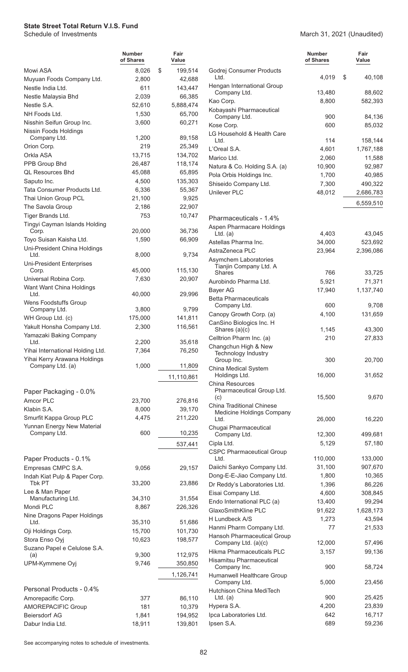|                                                                  | <b>Number</b><br>of Shares | Fair<br>Value    |                              |
|------------------------------------------------------------------|----------------------------|------------------|------------------------------|
| Mowi ASA                                                         | 8,026                      | \$<br>199,514    | C                            |
| Muyuan Foods Company Ltd.                                        | 2,800                      | 42,688           |                              |
| Nestle India Ltd.                                                | 611                        | 143,447          | ŀ                            |
| Nestle Malaysia Bhd                                              | 2,039                      | 66,385           |                              |
| Nestle S.A.                                                      | 52,610                     | 5,888,474        | k<br>k                       |
| NH Foods Ltd.                                                    | 1,530                      | 65,700           |                              |
| Nisshin Seifun Group Inc.                                        | 3,600                      | 60,271           | k                            |
| Nissin Foods Holdings                                            |                            |                  | L                            |
| Company Ltd.<br>Orion Corp.                                      | 1,200<br>219               | 89,158<br>25,349 |                              |
| Orkla ASA                                                        | 13,715                     | 134,702          | L                            |
| PPB Group Bhd                                                    | 26,487                     | 118,174          | Λ                            |
| <b>QL Resources Bhd</b>                                          | 45,088                     | 65,895           | Ν<br>F                       |
| Saputo Inc.                                                      | 4,500                      | 135,303          | S                            |
| Tata Consumer Products Ltd.                                      | 6,336                      | 55,367           | Ü                            |
| Thai Union Group PCL                                             | 21,100                     | 9,925            |                              |
| The Savola Group                                                 | 2,186                      | 22,907           |                              |
| Tiger Brands Ltd.                                                | 753                        | 10,747           | F                            |
| Tingyi Cayman Islands Holding                                    |                            |                  | A                            |
| Corp.                                                            | 20,000                     | 36,736<br>66,909 |                              |
| Toyo Suisan Kaisha Ltd.<br>Uni-President China Holdings          | 1,590                      |                  | F                            |
| Ltd.                                                             | 8,000                      | 9,734            | A                            |
| <b>Uni-President Enterprises</b>                                 |                            |                  | F                            |
| Corp.                                                            | 45,000                     | 115,130          |                              |
| Universal Robina Corp.                                           | 7,630                      | 20,907           | F                            |
| Want Want China Holdings<br>Ltd.                                 | 40,000                     | 29,996           | E                            |
| Wens Foodstuffs Group                                            |                            |                  | E                            |
| Company Ltd.                                                     | 3,800                      | 9,799            |                              |
| WH Group Ltd. (c)                                                | 175,000                    | 141,811          | $\mathsf{C}$<br>$\mathsf{C}$ |
| Yakult Honsha Company Ltd.                                       | 2,300                      | 116,561          |                              |
| Yamazaki Baking Company                                          |                            |                  | $\mathsf{C}$                 |
| Ltd.                                                             | 2,200                      | 35,618           |                              |
| Yihai International Holding Ltd.<br>Yihai Kerry Arawana Holdings | 7,364                      | 76,250           |                              |
| Company Ltd. (a)                                                 | 1,000                      | 11,809           | C                            |
|                                                                  |                            | 11,110,861       |                              |
|                                                                  |                            |                  | C                            |
| Paper Packaging - 0.0%                                           |                            |                  |                              |
| Amcor PLC                                                        | 23,700                     | 276,816          | C                            |
| Klabin S.A.                                                      | 8,000                      | 39,170           |                              |
| Smurfit Kappa Group PLC                                          | 4,475                      | 211,220          |                              |
| Yunnan Energy New Material<br>Company Ltd.                       | 600                        | 10,235           | C                            |
|                                                                  |                            |                  | C                            |
|                                                                  |                            | 537,441          | C                            |
| Paper Products - 0.1%                                            |                            |                  |                              |
| Empresas CMPC S.A.                                               | 9,056                      | 29,157           | D                            |
| Indah Kiat Pulp & Paper Corp.                                    |                            |                  | D                            |
| Tbk PT                                                           | 33,200                     | 23,886           | D                            |
| Lee & Man Paper<br>Manufacturing Ltd.                            | 34,310                     | 31,554           | E                            |
| Mondi PLC                                                        | 8,867                      | 226,326          | E                            |
| Nine Dragons Paper Holdings                                      |                            |                  | $\overline{C}$               |
| Ltd.                                                             | 35,310                     | 51,686           | ŀ                            |
| Oji Holdings Corp.                                               | 15,700                     | 101,730          | ŀ<br>ŀ                       |
| Stora Enso Oyj                                                   | 10,623                     | 198,577          |                              |
| Suzano Papel e Celulose S.A.                                     | 9,300                      | 112,975          | ŀ                            |
| (a)<br>UPM-Kymmene Oyj                                           | 9,746                      | 350,850          | ŀ                            |
|                                                                  |                            |                  |                              |
|                                                                  |                            | 1,126,741        | H                            |
| Personal Products - 0.4%                                         |                            |                  | H                            |
| Amorepacific Corp.                                               | 377                        | 86,110           |                              |
| <b>AMOREPACIFIC Group</b>                                        | 181                        | 10,379           | ŀ                            |
| Beiersdorf AG                                                    | 1,841                      | 194,952          | Ι                            |
| Dabur India Ltd.                                                 | 18,911                     | 139,801          | Ι                            |

| ∹air<br>alue      |                                                                      | Number<br>of Shares | Fair<br>Value        |
|-------------------|----------------------------------------------------------------------|---------------------|----------------------|
| 199,514<br>42,688 | Godrej Consumer Products<br>Ltd.                                     | 4,019               | \$<br>40,108         |
| 143,447           | Hengan International Group                                           |                     |                      |
| 66,385            | Company Ltd.                                                         | 13,480              | 88,602               |
| 888,474           | Kao Corp.                                                            | 8,800               | 582,393              |
| 65,700            | Kobayashi Pharmaceutical<br>Company Ltd.                             | 900                 | 84,136               |
| 60,271            | Kose Corp.                                                           | 600                 | 85,032               |
|                   | LG Household & Health Care                                           |                     |                      |
| 89,158            | Ltd.                                                                 | 114                 | 158,144              |
| 25,349<br>134,702 | L'Oreal S.A.                                                         | 4,601               | 1,767,188            |
| 118,174           | Marico Ltd.                                                          | 2,060               | 11,588               |
| 65,895            | Natura & Co. Holding S.A. (a)                                        | 10,900              | 92,987               |
| 135,303           | Pola Orbis Holdings Inc.                                             | 1,700               | 40,985               |
| 55,367            | Shiseido Company Ltd.<br><b>Unilever PLC</b>                         | 7,300               | 490,322              |
| 9,925             |                                                                      | 48,012              | 2,686,783            |
| 22,907            |                                                                      |                     | 6,559,510            |
| 10,747            | Pharmaceuticals - 1.4%                                               |                     |                      |
| 36,736            | Aspen Pharmacare Holdings                                            |                     |                      |
| 66,909            | $Ltd.$ (a)                                                           | 4,403               | 43,045               |
|                   | Astellas Pharma Inc.<br>AstraZeneca PLC                              | 34,000<br>23,964    | 523,692<br>2,396,086 |
| 9,734             | Asymchem Laboratories                                                |                     |                      |
|                   | Tianjin Company Ltd. A                                               |                     |                      |
| 115,130           | Shares                                                               | 766                 | 33,725               |
| 20,907            | Aurobindo Pharma Ltd.                                                | 5,921               | 71,371               |
| 29,996            | Bayer AG                                                             | 17,940              | 1,137,740            |
|                   | <b>Betta Pharmaceuticals</b>                                         | 600                 |                      |
| 9,799             | Company Ltd.<br>Canopy Growth Corp. (a)                              | 4,100               | 9,708<br>131,659     |
| 141,811           | CanSino Biologics Inc. H                                             |                     |                      |
| 116,561           | Shares (a)(c)                                                        | 1,145               | 43,300               |
|                   | Celltrion Pharm Inc. (a)                                             | 210                 | 27,833               |
| 35,618            | Changchun High & New                                                 |                     |                      |
| 76,250            | <b>Technology Industry</b><br>Group Inc.                             | 300                 | 20,700               |
| 11,809            | China Medical System                                                 |                     |                      |
| 110,861           | Holdings Ltd.                                                        | 16,000              | 31,652               |
|                   | <b>China Resources</b><br>Pharmaceutical Group Ltd.                  |                     |                      |
| 276,816           | (c)                                                                  | 15,500              | 9,670                |
| 39,170            | <b>China Traditional Chinese</b><br><b>Medicine Holdings Company</b> |                     |                      |
| 211,220           | Ltd.                                                                 | 26,000              | 16,220               |
|                   | Chugai Pharmaceutical                                                |                     |                      |
| 10,235            | Company Ltd.                                                         | 12,300              | 499,681              |
| 537,441           | Cipla Ltd.                                                           | 5,129               | 57,180               |
|                   | <b>CSPC Pharmaceutical Group</b><br>Ltd.                             | 110,000             | 133,000              |
| 29,157            | Daiichi Sankyo Company Ltd.                                          | 31,100              | 907,670              |
|                   | Dong-E-E-Jiao Company Ltd.                                           | 1,800               | 10,365               |
| 23,886            | Dr Reddy's Laboratories Ltd.                                         | 1,396               | 86,226               |
|                   | Eisai Company Ltd.                                                   | 4,600               | 308,845              |
| 31,554            | Endo International PLC (a)                                           | 13,400              | 99,294               |
| 226,326           | GlaxoSmithKline PLC                                                  | 91,622              | 1,628,173            |
| 51,686            | H Lundbeck A/S                                                       | 1,273               | 43,594               |
| 101,730           | Hanmi Pharm Company Ltd.                                             | 77                  | 21,533               |
| 198,577           | Hansoh Pharmaceutical Group<br>Company Ltd. (a)(c)                   | 12,000              | 57,496               |
| 112,975           | <b>Hikma Pharmaceuticals PLC</b>                                     | 3,157               | 99,136               |
| 350,850           | Hisamitsu Pharmaceutical<br>Company Inc.                             | 900                 | 58,724               |
| ,126,741          | Humanwell Healthcare Group                                           |                     |                      |
|                   | Company Ltd.                                                         | 5,000               | 23,456               |
| 86,110            | Hutchison China MediTech<br>Ltd. $(a)$                               | 900                 | 25,425               |
| 10,379            | Hypera S.A.                                                          | 4,200               | 23,839               |
| 194,952           | Ipca Laboratories Ltd.                                               | 642                 | 16,717               |
| 139,801           | Ipsen S.A.                                                           | 689                 | 59,236               |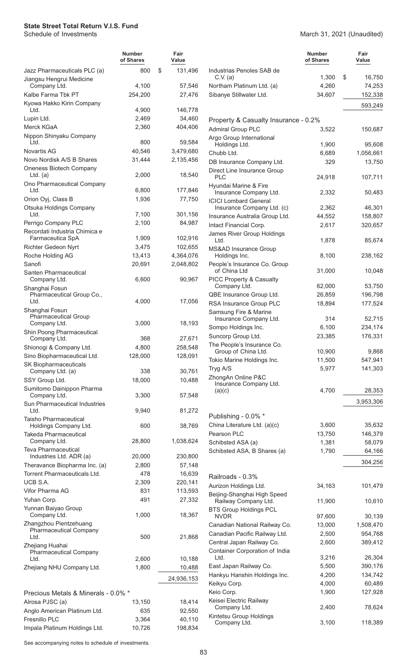March 31, 2021 (Unaudited)

|                                                          | <b>Number</b><br>of Shares | Fair<br>Value     |                                                        | <b>Number</b><br>of Shares | Fair<br>Value |
|----------------------------------------------------------|----------------------------|-------------------|--------------------------------------------------------|----------------------------|---------------|
| Jazz Pharmaceuticals PLC (a)                             | 800                        | \$<br>131,496     | Industrias Penoles SAB de<br>C.V. (a)                  | 1,300                      | \$<br>16,750  |
| Jiangsu Hengrui Medicine<br>Company Ltd.                 | 4,100                      | 57,546            | Northam Platinum Ltd. (a)                              | 4,260                      | 74,253        |
| Kalbe Farma Tbk PT                                       | 254,200                    | 27,476            | Sibanye Stillwater Ltd.                                | 34,607                     | 152,338       |
| Kyowa Hakko Kirin Company                                |                            |                   |                                                        |                            |               |
| Ltd.                                                     | 4,900                      | 146,778           |                                                        |                            | 593,249       |
| Lupin Ltd.                                               | 2,469                      | 34,460            | Property & Casualty Insurance - 0.2%                   |                            |               |
| Merck KGaA                                               | 2,360                      | 404,406           | <b>Admiral Group PLC</b>                               | 3,522                      | 150,687       |
| Nippon Shinyaku Company                                  |                            |                   | Argo Group International                               |                            |               |
| Ltd.                                                     | 800                        | 59,584            | Holdings Ltd.                                          | 1,900                      | 95,608        |
| <b>Novartis AG</b>                                       | 40,546                     | 3,479,680         | Chubb Ltd.                                             | 6,689                      | 1,056,661     |
| Novo Nordisk A/S B Shares                                | 31,444                     | 2,135,456         | DB Insurance Company Ltd.                              | 329                        | 13,750        |
| Oneness Biotech Company                                  |                            |                   | Direct Line Insurance Group                            |                            |               |
| Ltd. $(a)$                                               | 2,000                      | 18,540            | <b>PLC</b>                                             | 24,918                     | 107,711       |
| Ono Pharmaceutical Company<br>Ltd.                       | 6,800                      | 177,846           | Hyundai Marine & Fire                                  | 2,332                      | 50,483        |
| Orion Oyj, Class B                                       | 1,936                      | 77,750            | Insurance Company Ltd.<br><b>ICICI Lombard General</b> |                            |               |
| Otsuka Holdings Company                                  |                            |                   | Insurance Company Ltd. (c)                             | 2,362                      | 46,301        |
| Ltd.                                                     | 7,100                      | 301,156           | Insurance Australia Group Ltd.                         | 44,552                     | 158,807       |
| Perrigo Company PLC                                      | 2,100                      | 84,987            | Intact Financial Corp.                                 | 2,617                      | 320,657       |
| Recordati Industria Chimica e                            |                            |                   | James River Group Holdings                             |                            |               |
| Farmaceutica SpA                                         | 1,909                      | 102,916           | Ltd.                                                   | 1,878                      | 85,674        |
| Richter Gedeon Nyrt                                      | 3,475                      | 102,655           | MS&AD Insurance Group                                  |                            |               |
| Roche Holding AG                                         | 13,413                     | 4,364,076         | Holdings Inc.                                          | 8,100                      | 238,162       |
| Sanofi                                                   | 20,691                     | 2,048,802         | People's Insurance Co. Group<br>of China Ltd           | 31,000                     | 10,048        |
| Santen Pharmaceutical<br>Company Ltd.                    | 6,600                      | 90,967            | PICC Property & Casualty                               |                            |               |
| Shanghai Fosun                                           |                            |                   | Company Ltd.                                           | 62,000                     | 53,750        |
| Pharmaceutical Group Co.,                                |                            |                   | QBE Insurance Group Ltd.                               | 26,859                     | 196,798       |
| Ltd.                                                     | 4,000                      | 17,056            | RSA Insurance Group PLC                                | 18,894                     | 177,524       |
| Shanghai Fosun                                           |                            |                   | Samsung Fire & Marine                                  |                            |               |
| <b>Pharmaceutical Group</b><br>Company Ltd.              | 3,000                      | 18,193            | Insurance Company Ltd.                                 | 314                        | 52,715        |
| Shin Poong Pharmaceutical                                |                            |                   | Sompo Holdings Inc.                                    | 6,100                      | 234,174       |
| Company Ltd.                                             | 368                        | 27,671            | Suncorp Group Ltd.                                     | 23,385                     | 176,331       |
| Shionogi & Company Ltd.                                  | 4,800                      | 258,548           | The People's Insurance Co.                             |                            |               |
| Sino Biopharmaceutical Ltd.                              | 128,000                    | 128,091           | Group of China Ltd.                                    | 10,900                     | 9,868         |
| SK Biopharmaceuticals                                    |                            |                   | Tokio Marine Holdings Inc.                             | 11,500                     | 547,941       |
| Company Ltd. (a)                                         | 338                        | 30,761            | Tryg A/S                                               | 5,977                      | 141,303       |
| SSY Group Ltd.                                           | 18,000                     | 10,488            | ZhongAn Online P&C<br>Insurance Company Ltd.           |                            |               |
| Sumitomo Dainippon Pharma                                |                            |                   | (a)(c)                                                 | 4,700                      | 28,353        |
| Company Ltd.                                             | 3,300                      | 57,548            |                                                        |                            | 3,953,306     |
| Sun Pharmaceutical Industries<br>Ltd.                    | 9,940                      | 81,272            |                                                        |                            |               |
| <b>Taisho Pharmaceutical</b>                             |                            |                   | Publishing - 0.0% *                                    |                            |               |
| Holdings Company Ltd.                                    | 600                        | 38,769            | China Literature Ltd. (a)(c)                           | 3,600                      | 35,632        |
| <b>Takeda Pharmaceutical</b>                             |                            |                   | Pearson PLC                                            | 13,750                     | 146,379       |
| Company Ltd.                                             | 28,800                     | 1,038,624         | Schibsted ASA (a)                                      | 1,381                      | 58,079        |
| Teva Pharmaceutical                                      |                            |                   | Schibsted ASA, B Shares (a)                            | 1,790                      | 64,166        |
| Industries Ltd. ADR (a)<br>Theravance Biopharma Inc. (a) | 20,000<br>2,800            | 230,800<br>57,148 |                                                        |                            | 304,256       |
| Torrent Pharmaceuticals Ltd.                             | 478                        | 16,639            |                                                        |                            |               |
| UCB S.A.                                                 | 2,309                      | 220,141           | Railroads - 0.3%                                       |                            |               |
| Vifor Pharma AG                                          | 831                        | 113,593           | Aurizon Holdings Ltd.                                  | 34,163                     | 101,479       |
| Yuhan Corp.                                              | 491                        | 27,332            | Beijing-Shanghai High Speed                            |                            |               |
| Yunnan Baiyao Group                                      |                            |                   | Railway Company Ltd.                                   | 11,900                     | 10,610        |
| Company Ltd.                                             | 1,000                      | 18,367            | <b>BTS Group Holdings PCL</b><br><b>NVDR</b>           | 97,600                     | 30,139        |
| Zhangzhou Pientzehuang                                   |                            |                   | Canadian National Railway Co.                          | 13,000                     | 1,508,470     |
| <b>Pharmaceutical Company</b>                            |                            |                   | Canadian Pacific Railway Ltd.                          | 2,500                      | 954,768       |
| Ltd.                                                     | 500                        | 21,868            | Central Japan Railway Co.                              | 2,600                      | 389,412       |
| Zhejiang Huahai<br><b>Pharmaceutical Company</b>         |                            |                   | Container Corporation of India                         |                            |               |
| Ltd.                                                     | 2,600                      | 10,188            | Ltd.                                                   | 3,216                      | 26,304        |
| Zhejiang NHU Company Ltd.                                | 1,800                      | 10,488            | East Japan Railway Co.                                 | 5,500                      | 390,176       |
|                                                          |                            | 24,936,153        | Hankyu Hanshin Holdings Inc.                           | 4,200                      | 134,742       |
|                                                          |                            |                   | Keikyu Corp.                                           | 4,000                      | 60,489        |
| Precious Metals & Minerals - 0.0% *                      |                            |                   | Keio Corp.                                             | 1,900                      | 127,928       |
| Alrosa PJSC (a)                                          | 13,150                     | 18,414            | Keisei Electric Railway                                |                            |               |
| Anglo American Platinum Ltd.                             | 635                        | 92,550            | Company Ltd.                                           | 2,400                      | 78,624        |
| Fresnillo PLC                                            | 3,364                      | 40,110            | Kintetsu Group Holdings<br>Company Ltd.                | 3,100                      | 118,389       |
| Impala Platinum Holdings Ltd.                            | 10,726                     | 198,834           |                                                        |                            |               |
|                                                          |                            |                   |                                                        |                            |               |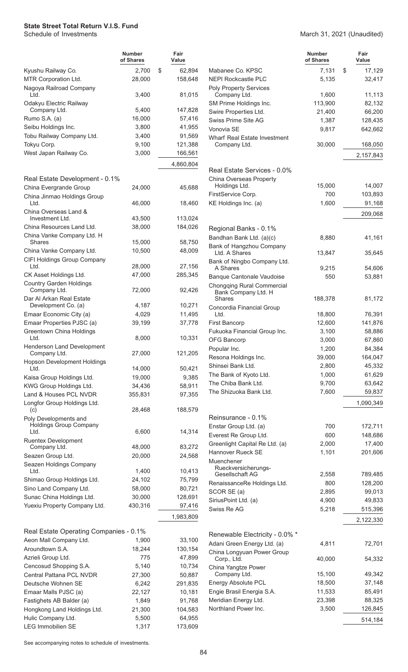March 31, 2021 (Unaudited)

|                                                                            | <b>Number</b><br>of Shares | Fair<br>Value     |
|----------------------------------------------------------------------------|----------------------------|-------------------|
| Kyushu Railway Co.                                                         | 2,700                      | \$<br>62,894      |
| MTR Corporation Ltd.<br>Nagoya Railroad Company                            | 28,000                     | 158,648           |
| Ltd.<br>Odakyu Electric Railway                                            | 3,400                      | 81,015            |
| Company Ltd.                                                               | 5,400                      | 147,828           |
| Rumo S.A. (a)                                                              | 16,000                     | 57,416            |
| Seibu Holdings Inc.                                                        | 3,800                      | 41,955            |
| Tobu Railway Company Ltd.                                                  | 3,400                      | 91,569            |
| Tokyu Corp.                                                                | 9,100                      | 121,388           |
| West Japan Railway Co.                                                     | 3,000                      | 166,561           |
|                                                                            |                            | 4,860,804         |
| Real Estate Development - 0.1%                                             |                            |                   |
| China Evergrande Group<br>China Jinmao Holdings Group                      | 24,000                     | 45,688            |
| Ltd.<br>China Overseas Land &                                              | 46,000                     | 18,460            |
| Investment Ltd.                                                            | 43,500                     | 113,024           |
| China Resources Land Ltd.                                                  | 38,000                     | 184,026           |
| China Vanke Company Ltd. H                                                 |                            |                   |
| Shares                                                                     | 15,000                     | 58,750            |
| China Vanke Company Ltd.<br>CIFI Holdings Group Company                    | 10,500                     | 48,009            |
| Ltd.                                                                       | 28,000                     | 27,156            |
| CK Asset Holdings Ltd.                                                     | 47,000                     | 285,345           |
| <b>Country Garden Holdings</b><br>Company Ltd.<br>Dar Al Arkan Real Estate | 72,000                     | 92,426            |
| Development Co. (a)                                                        | 4,187                      | 10,271            |
| Emaar Economic City (a)                                                    | 4,029                      | 11,495            |
| Emaar Properties PJSC (a)<br><b>Greentown China Holdings</b>               | 39,199                     | 37,778            |
| Ltd.                                                                       | 8,000                      | 10,331            |
| <b>Henderson Land Development</b><br>Company Ltd.                          | 27,000                     | 121,205           |
| <b>Hopson Development Holdings</b><br>Ltd.                                 | 14,000                     | 50,421            |
| Kaisa Group Holdings Ltd.                                                  | 19,000                     | 9,385             |
| KWG Group Holdings Ltd.                                                    | 34,436                     | 58,911            |
| Land & Houses PCL NVDR                                                     | 355,831                    | 97,355            |
| Longfor Group Holdings Ltd.<br>(c)                                         | 28,468                     | 188,579           |
| Poly Developments and                                                      |                            |                   |
| <b>Holdings Group Company</b>                                              |                            |                   |
| Ltd.<br><b>Ruentex Development</b>                                         | 6,600                      | 14,314            |
| Company Ltd.                                                               | 48,000                     | 83,272            |
| Seazen Group Ltd.                                                          | 20,000                     | 24,568            |
| Seazen Holdings Company                                                    |                            |                   |
| Ltd.                                                                       | 1,400                      | 10,413            |
| Shimao Group Holdings Ltd.                                                 | 24,102                     | 75,799            |
| Sino Land Company Ltd.<br>Sunac China Holdings Ltd.                        | 58,000                     | 80,721            |
| Yuexiu Property Company Ltd.                                               | 30,000<br>430,316          | 128,691<br>97,416 |
|                                                                            |                            | 1,983,809         |
|                                                                            |                            |                   |
| Real Estate Operating Companies - 0.1%                                     |                            |                   |
| Aeon Mall Company Ltd.<br>Aroundtown S.A.                                  | 1,900                      | 33,100            |
| Azrieli Group Ltd.                                                         | 18,244<br>775              | 130,154<br>47,899 |
| Cencosud Shopping S.A.                                                     | 5,140                      | 10,734            |
| <b>Central Pattana PCL NVDR</b>                                            | 27,300                     | 50,887            |
| Deutsche Wohnen SE                                                         | 6,242                      | 291,835           |
| Emaar Malls PJSC (a)                                                       | 22,127                     | 10,181            |
| Fastighets AB Balder (a)                                                   | 1,849                      | 91,768            |
| Hongkong Land Holdings Ltd.                                                | 21,300                     | 104,583           |
| Hulic Company Ltd.                                                         | 5,500                      | 64,955            |
| <b>LEG Immobilien SE</b>                                                   | 1,317                      | 173,609           |

|                                              | <b>Number</b><br>of Shares | Fair<br>Value     |
|----------------------------------------------|----------------------------|-------------------|
| Mabanee Co. KPSC                             | 7,131                      | \$<br>17,129      |
| <b>NEPI Rockcastle PLC</b>                   | 5,135                      | 32,417            |
| <b>Poly Property Services</b>                |                            |                   |
| Company Ltd.                                 | 1,600                      | 11,113            |
| SM Prime Holdings Inc.                       | 113,900                    | 82,132            |
| Swire Properties Ltd.<br>Swiss Prime Site AG | 21,400<br>1,387            | 66,200<br>128,435 |
| Vonovia SF                                   | 9,817                      | 642,662           |
| Wharf Real Estate Investment                 |                            |                   |
| Company Ltd.                                 | 30,000                     | 168,050           |
|                                              |                            | 2,157,843         |
|                                              |                            |                   |
| Real Estate Services - 0.0%                  |                            |                   |
| China Overseas Property<br>Holdings Ltd.     | 15,000                     | 14,007            |
| FirstService Corp.                           | 700                        | 103,893           |
| KE Holdings Inc. (a)                         | 1,600                      | 91,168            |
|                                              |                            | 209,068           |
|                                              |                            |                   |
| Regional Banks - 0.1%                        |                            |                   |
| Bandhan Bank Ltd. (a)(c)                     | 8,880                      | 41,161            |
| Bank of Hangzhou Company<br>Ltd. A Shares    |                            |                   |
| Bank of Ningbo Company Ltd.                  | 13,847                     | 35,645            |
| A Shares                                     | 9,215                      | 54,606            |
| <b>Banque Cantonale Vaudoise</b>             | 550                        | 53,881            |
| Chongqing Rural Commercial                   |                            |                   |
| Bank Company Ltd. H                          |                            |                   |
| Shares<br>Concordia Financial Group          | 188,378                    | 81,172            |
| Ltd.                                         | 18,800                     | 76,391            |
| <b>First Bancorp</b>                         | 12,600                     | 141,876           |
| Fukuoka Financial Group Inc.                 | 3,100                      | 58,886            |
| <b>OFG Bancorp</b>                           | 3,000                      | 67,860            |
| Popular Inc.                                 | 1,200                      | 84,384            |
| Resona Holdings Inc.                         | 39,000                     | 164,047           |
| Shinsei Bank Ltd.                            | 2,800                      | 45,332            |
| The Bank of Kyoto Ltd.                       | 1,000                      | 61,629            |
| The Chiba Bank Ltd.                          | 9,700                      | 63,642            |
| The Shizuoka Bank Ltd.                       | 7,600                      | 59,837            |
|                                              |                            | 1,090,349         |
| Reinsurance - 0.1%                           |                            |                   |
| Enstar Group Ltd. (a)                        | 700                        | 172,711           |
| Everest Re Group Ltd.                        | 600                        | 148,686           |
| Greenlight Capital Re Ltd. (a)               | 2,000                      | 17,400            |
| <b>Hannover Rueck SE</b>                     | 1,101                      | 201,606           |
| Muenchener                                   |                            |                   |
| Rueckversicherungs-<br>Gesellschaft AG       | 2,558                      | 789,485           |
| RenaissanceRe Holdings Ltd.                  | 800                        | 128,200           |
| SCOR SE (a)                                  | 2,895                      | 99,013            |
| SiriusPoint Ltd. (a)                         | 4,900                      | 49,833            |
| Swiss Re AG                                  | 5,218                      | 515,396           |
|                                              |                            | 2,122,330         |
|                                              |                            |                   |
| Renewable Electricity - 0.0% *               |                            |                   |
| Adani Green Energy Ltd. (a)                  | 4,811                      | 72,701            |
| China Longyuan Power Group<br>Corp., Ltd.    | 40,000                     | 54,332            |
| China Yangtze Power                          |                            |                   |
| Company Ltd.                                 | 15,100                     | 49,342            |
| <b>Energy Absolute PCL</b>                   | 18,500                     | 37,148            |
| Engie Brasil Energia S.A.                    | 11,533                     | 85,491            |
| Meridian Energy Ltd.                         | 23,398                     | 88,325            |
| Northland Power Inc.                         | 3,500                      | 126,845           |
|                                              |                            | 514,184           |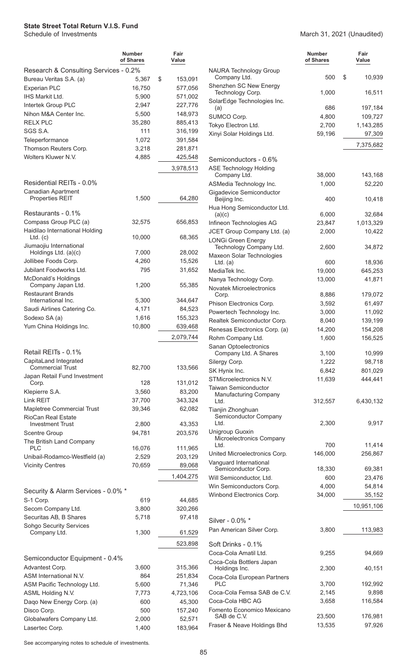|                                                          | <b>Number</b><br>of Shares | Fair<br>Value     |
|----------------------------------------------------------|----------------------------|-------------------|
| Research & Consulting Services - 0.2%                    |                            |                   |
| Bureau Veritas S.A. (a)                                  | 5,367                      | \$<br>153,091     |
| <b>Experian PLC</b>                                      | 16,750                     | 577.056           |
| <b>IHS Markit Ltd.</b>                                   | 5,900                      | 571,002           |
| Intertek Group PLC                                       | 2,947                      | 227,776           |
| Nihon M&A Center Inc.                                    | 5,500                      | 148,973           |
| RELX PLC                                                 | 35,280                     | 885,413           |
| SGS S.A.                                                 | 111                        | 316,199           |
| Teleperformance                                          | 1,072                      | 391,584           |
| Thomson Reuters Corp.                                    | 3,218                      | 281,871           |
| Wolters Kluwer N.V.                                      | 4,885                      | 425,548           |
|                                                          |                            | 3,978,513         |
|                                                          |                            |                   |
| Residential REITs - 0.0%                                 |                            |                   |
| <b>Canadian Apartment</b><br><b>Properties REIT</b>      | 1,500                      | 64,280            |
|                                                          |                            |                   |
| Restaurants - 0.1%                                       |                            |                   |
| Compass Group PLC (a)                                    | 32,575                     | 656,853           |
| Haidilao International Holding                           |                            |                   |
| $Ltd.$ (c)                                               | 10,000                     | 68,365            |
| Jiumaojiu International<br>Holdings Ltd. (a)(c)          | 7,000                      | 28,002            |
| Jollibee Foods Corp.                                     | 4,260                      | 15,526            |
| Jubilant Foodworks Ltd.                                  | 795                        | 31,652            |
| McDonald's Holdings                                      |                            |                   |
| Company Japan Ltd.                                       | 1,200                      | 55,385            |
| <b>Restaurant Brands</b>                                 |                            |                   |
| International Inc.                                       | 5,300                      | 344,647           |
| Saudi Airlines Catering Co.                              | 4,171                      | 84,523            |
| Sodexo SA (a)                                            | 1,616                      | 155,323           |
| Yum China Holdings Inc.                                  | 10,800                     | 639,468           |
|                                                          |                            | 2,079,744         |
|                                                          |                            |                   |
| Retail REITs - 0.1%                                      |                            |                   |
| CapitaLand Integrated<br><b>Commercial Trust</b>         | 82,700                     | 133,566           |
| Japan Retail Fund Investment                             |                            |                   |
| Corp.                                                    | 128                        | 131,012           |
| Klepierre S.A.                                           | 3,560                      | 83,200            |
| Link REIT                                                | 37,700                     | 343,324           |
| Mapletree Commercial Trust                               | 39,346                     | 62,082            |
| <b>RioCan Real Estate</b>                                |                            |                   |
| <b>Investment Trust</b>                                  | 2,800                      | 43,353            |
| <b>Scentre Group</b>                                     | 94,781                     | 203,576           |
| The British Land Company<br>PLC                          |                            |                   |
|                                                          | 16,076                     | 111,965           |
| Unibail-Rodamco-Westfield (a)<br><b>Vicinity Centres</b> | 2,529<br>70,659            | 203,129<br>89,068 |
|                                                          |                            |                   |
|                                                          |                            | 1,404,275         |
| Security & Alarm Services - 0.0% *                       |                            |                   |
| S-1 Corp.                                                | 619                        | 44,685            |
| Secom Company Ltd.                                       | 3,800                      | 320,266           |
| Securitas AB, B Shares                                   | 5,718                      | 97,418            |
| Sohgo Security Services                                  |                            |                   |
| Company Ltd.                                             | 1,300                      | 61,529            |
|                                                          |                            | 523,898           |
|                                                          |                            |                   |
| Semiconductor Equipment - 0.4%                           |                            |                   |
| Advantest Corp.                                          | 3,600                      | 315,366           |
| ASM International N.V.                                   | 864                        | 251,834           |
| ASM Pacific Technology Ltd.                              | 5,600                      | 71,346            |
| ASML Holding N.V.                                        | 7,773                      | 4,723,106         |
| Dago New Energy Corp. (a)                                | 600                        | 45,300            |
| Disco Corp.                                              | 500                        | 157,240           |
| Globalwafers Company Ltd.                                | 2,000                      | 52,571            |
| Lasertec Corp.                                           | 1,400                      | 183,964           |

#### March 31, 2021 (Unaudited)

|                                                       | Number<br>of Shares | Fair<br>Value        |
|-------------------------------------------------------|---------------------|----------------------|
| <b>NAURA Technology Group</b><br>Company Ltd.         | 500                 | \$<br>10,939         |
| Shenzhen SC New Energy<br>Technology Corp.            | 1,000               | 16,511               |
| SolarEdge Technologies Inc.<br>(a)                    | 686                 | 197,184              |
| SUMCO Corp.                                           | 4,800               | 109,727              |
| Tokyo Electron Ltd.                                   | 2,700               | 1,143,285            |
| Xinyi Solar Holdings Ltd.                             | 59,196              | 97,309               |
|                                                       |                     | 7,375,682            |
| Semiconductors - 0.6%                                 |                     |                      |
| <b>ASE Technology Holding</b>                         |                     |                      |
| Company Ltd.                                          | 38,000              | 143,168              |
| ASMedia Technology Inc.                               | 1,000               | 52,220               |
| Gigadevice Semiconductor<br>Beijing Inc.              | 400                 | 10,418               |
| Hua Hong Semiconductor Ltd.                           |                     |                      |
| (a)(c)                                                | 6,000               | 32,684               |
| Infineon Technologies AG                              | 23,847              | 1,013,329            |
| JCET Group Company Ltd. (a)                           | 2,000               | 10,422               |
| <b>LONGi Green Energy</b><br>Technology Company Ltd.  | 2,600               | 34,872               |
| Maxeon Solar Technologies<br>Ltd. $(a)$               | 600                 | 18,936               |
| MediaTek Inc.                                         | 19,000              | 645,253              |
| Nanya Technology Corp.                                | 13,000              | 41,871               |
| <b>Novatek Microelectronics</b>                       |                     |                      |
| Corp.                                                 | 8,886               | 179,072<br>61,497    |
| Phison Electronics Corp.<br>Powertech Technology Inc. | 3,592<br>3,000      | 11,092               |
| Realtek Semiconductor Corp.                           | 8,040               | 139,199              |
| Renesas Electronics Corp. (a)                         | 14,200              | 154,208              |
| Rohm Company Ltd.                                     | 1,600               | 156,525              |
| Sanan Optoelectronics                                 |                     |                      |
| Company Ltd. A Shares<br>Silergy Corp.                | 3,100<br>1,222      | 10,999<br>98,718     |
| SK Hynix Inc.                                         | 6,842               | 801,029              |
| STMicroelectronics N.V.                               | 11,639              | 444,441              |
| Taiwan Semiconductor<br>Manufacturing Company         |                     |                      |
| Ltd.                                                  | 312,557             | 6,430,132            |
| Tianjin Zhonghuan<br>Semiconductor Company<br>Ltd.    | 2,300               | 9,917                |
| Unigroup Guoxin                                       |                     |                      |
| Microelectronics Company                              |                     |                      |
| Ltd.<br>United Microelectronics Corp.                 | 700<br>146,000      | 11,414<br>256,867    |
| Vanguard International                                |                     |                      |
| Semiconductor Corp.                                   | 18,330              | 69,381               |
| Will Semiconductor, Ltd.                              | 600                 | 23,476               |
| Win Semiconductors Corp.                              | 4,000               | 54,814               |
| Winbond Electronics Corp.                             | 34,000              | 35,152<br>10,951,106 |
| Silver - 0.0% *                                       |                     |                      |
| Pan American Silver Corp.                             | 3,800               | 113,983              |
|                                                       |                     |                      |
| Soft Drinks - 0.1%                                    |                     |                      |
| Coca-Cola Amatil Ltd.<br>Coca-Cola Bottlers Japan     | 9,255               | 94,669               |
| Holdings Inc.<br>Coca-Cola European Partners          | 2,300               | 40,151               |
| PLC                                                   | 3,700               | 192,992              |
| Coca-Cola Femsa SAB de C.V.                           | 2,145               | 9,898                |
| Coca-Cola HBC AG                                      | 3,658               | 116,584              |
| Fomento Economico Mexicano<br>SAB de C.V.             | 23,500              | 176,981              |
| Fraser & Neave Holdings Bhd                           | 13,535              | 97,926               |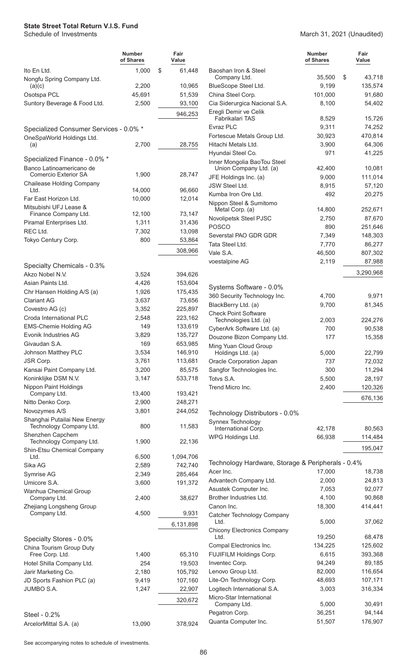|                                                         | Number<br>of Shares | Fair<br>Value |
|---------------------------------------------------------|---------------------|---------------|
| Ito En Ltd.                                             | 1,000               | \$<br>61,448  |
| Nongfu Spring Company Ltd.<br>(a)(c)                    | 2,200               | 10,965        |
| Osotspa PCL                                             | 45,691              | 51,539        |
| Suntory Beverage & Food Ltd.                            | 2,500               | 93,100        |
|                                                         |                     |               |
|                                                         |                     | 946,253       |
| Specialized Consumer Services - 0.0% *                  |                     |               |
| OneSpaWorld Holdings Ltd.<br>(a)                        | 2,700               | 28,755        |
|                                                         |                     |               |
| Specialized Finance - 0.0% *                            |                     |               |
| Banco Latinoamericano de                                |                     |               |
| <b>Comercio Exterior SA</b>                             | 1,900               | 28,747        |
| <b>Chailease Holding Company</b>                        |                     |               |
| Ltd.                                                    | 14,000              | 96,660        |
| Far East Horizon Ltd.                                   | 10,000              | 12,014        |
| Mitsubishi UFJ Lease &<br>Finance Company Ltd.          | 12,100              | 73,147        |
| Piramal Enterprises Ltd.                                | 1,311               | 31,436        |
| REC Ltd.                                                | 7,302               | 13,098        |
| Tokyo Century Corp.                                     | 800                 |               |
|                                                         |                     | 53,864        |
|                                                         |                     | 308,966       |
| Specialty Chemicals - 0.3%                              |                     |               |
| Akzo Nobel N.V.                                         | 3,524               | 394,626       |
| Asian Paints Ltd.                                       | 4,426               | 153,604       |
| Chr Hansen Holding A/S (a)                              | 1,926               | 175,435       |
| <b>Clariant AG</b>                                      | 3,637               | 73,656        |
| Covestro AG (c)                                         | 3,352               | 225,897       |
| Croda International PLC                                 | 2,548               | 223,162       |
| <b>EMS-Chemie Holding AG</b>                            | 149                 | 133,619       |
| Evonik Industries AG                                    | 3,829               | 135,727       |
| Givaudan S.A.                                           | 169                 | 653,985       |
| Johnson Matthey PLC                                     | 3,534               | 146,910       |
| JSR Corp.                                               | 3,761               | 113,681       |
| Kansai Paint Company Ltd.                               | 3,200               | 85,575        |
| Koninklijke DSM N.V.                                    | 3,147               | 533,718       |
| Nippon Paint Holdings                                   |                     |               |
| Company Ltd.                                            | 13,400              | 193,421       |
| Nitto Denko Corp.                                       | 2,900               | 248,271       |
| Novozymes A/S                                           | 3,801               | 244,052       |
| Shanghai Putailai New Energy<br>Technology Company Ltd. | 800                 | 11,583        |
| Shenzhen Capchem<br>Technology Company Ltd.             | 1,900               | 22,136        |
| Shin-Etsu Chemical Company                              |                     |               |
| Ltd.                                                    | 6,500               | 1,094,706     |
| Sika AG                                                 | 2,589               | 742,740       |
| Symrise AG                                              | 2,349               | 285,464       |
| Umicore S.A.<br>Wanhua Chemical Group                   | 3,600               | 191,372       |
| Company Ltd.<br>Zhejiang Longsheng Group                | 2,400               | 38,627        |
| Company Ltd.                                            | 4,500               | 9,931         |
|                                                         |                     | 6,131,898     |
|                                                         |                     |               |
| Specialty Stores - 0.0%                                 |                     |               |
| China Tourism Group Duty<br>Free Corp. Ltd.             | 1,400               | 65,310        |
| Hotel Shilla Company Ltd.                               | 254                 | 19,503        |
| Jarir Marketing Co.                                     | 2,180               | 105,792       |
| JD Sports Fashion PLC (a)                               | 9,419               | 107,160       |
| <b>JUMBO S.A.</b>                                       | 1,247               | 22,907        |
|                                                         |                     |               |
|                                                         |                     | 320,672       |
| Steel - 0.2%                                            |                     |               |
| ArcelorMittal S.A. (a)                                  | 13,090              | 378,924       |

|                                                       | <b>Number</b><br>of Shares | Fair<br>Value |
|-------------------------------------------------------|----------------------------|---------------|
| Baoshan Iron & Steel                                  |                            |               |
| Company Ltd.                                          | 35,500                     | \$<br>43,718  |
| BlueScope Steel Ltd.                                  | 9,199                      | 135,574       |
| China Steel Corp.                                     | 101,000                    | 91,680        |
| Cia Siderurgica Nacional S.A.                         | 8,100                      | 54,402        |
| Eregli Demir ve Celik<br>Fabrikalari TAS              | 8,529                      | 15,726        |
| Evraz PLC                                             | 9,311                      | 74,252        |
| Fortescue Metals Group Ltd.                           | 30,923                     | 470,814       |
| Hitachi Metals Ltd.                                   | 3,900                      | 64,306        |
| Hyundai Steel Co.                                     | 971                        | 41,225        |
| Inner Mongolia BaoTou Steel<br>Union Company Ltd. (a) | 42,400                     | 10,081        |
| JFE Holdings Inc. (a)                                 | 9,000                      | 111,014       |
| <b>JSW Steel Ltd.</b>                                 | 8,915                      | 57,120        |
| Kumba Iron Ore Ltd.                                   | 492                        | 20,275        |
| Nippon Steel & Sumitomo<br>Metal Corp. (a)            | 14,800                     | 252,671       |
| Novolipetsk Steel PJSC                                | 2,750                      | 87,670        |
| <b>POSCO</b>                                          | 890                        | 251,646       |
| Severstal PAO GDR GDR                                 | 7,349                      | 148,303       |
| Tata Steel Ltd.                                       | 7,770                      | 86,277        |
| Vale S.A.                                             | 46,500                     | 807,302       |
| voestalpine AG                                        | 2,119                      | 87,988        |
|                                                       |                            | 3,290,968     |
| Systems Software - 0.0%                               |                            |               |
| 360 Security Technology Inc.                          | 4,700                      | 9,971         |
| BlackBerry Ltd. (a)                                   | 9,700                      | 81,345        |
| <b>Check Point Software</b>                           |                            |               |
| Technologies Ltd. (a)                                 | 2,003                      | 224,276       |
| CyberArk Software Ltd. (a)                            | 700                        | 90,538        |
| Douzone Bizon Company Ltd.                            | 177                        | 15,358        |
| Ming Yuan Cloud Group                                 |                            |               |
| Holdings Ltd. (a)                                     | 5,000                      | 22,799        |
| Oracle Corporation Japan                              | 737                        | 72,032        |
| Sangfor Technologies Inc.                             | 300                        | 11,294        |
| Totvs S.A.                                            | 5,500                      | 28,197        |
| Trend Micro Inc.                                      | 2,400                      | 120,326       |
|                                                       |                            | 676,136       |
| Technology Distributors - 0.0%                        |                            |               |
| Synnex Technology                                     |                            |               |
| International Corp.                                   | 42,178                     | 80,563        |
| WPG Holdings Ltd.                                     | 66,938                     | 114,484       |
|                                                       |                            | 195,047       |
| Technology Hardware, Storage & Peripherals - 0.4%     |                            |               |
| Acer Inc.                                             | 17,000                     | 18,738        |
| Advantech Company Ltd.                                | 2,000                      | 24,813        |
| Asustek Computer Inc.                                 | 7,053                      | 92,077        |
| <b>Brother Industries Ltd</b>                         | 4 100                      | 90.868        |

| ASUSTEK COMPUTER MIC.                      | 7.USS   | 92.UI I |
|--------------------------------------------|---------|---------|
| Brother Industries Ltd.                    | 4,100   | 90,868  |
| Canon Inc.                                 | 18,300  | 414.441 |
| Catcher Technology Company<br>Ltd.         | 5,000   | 37,062  |
| <b>Chicony Electronics Company</b><br>Ltd. | 19,250  | 68,478  |
| Compal Electronics Inc.                    | 134,225 | 125,602 |
| <b>FUJIFILM Holdings Corp.</b>             | 6.615   | 393,368 |
| Inventec Corp.                             | 94,249  | 89,185  |
| Lenovo Group Ltd.                          | 82,000  | 116,654 |
| Lite-On Technology Corp.                   | 48,693  | 107,171 |
| Logitech International S.A.                | 3,003   | 316,334 |
| Micro-Star International<br>Company Ltd.   | 5,000   | 30,491  |
| Pegatron Corp.                             | 36,251  | 94,144  |
| Quanta Computer Inc.                       | 51,507  | 176,907 |
|                                            |         |         |

See accompanying notes to schedule of investments.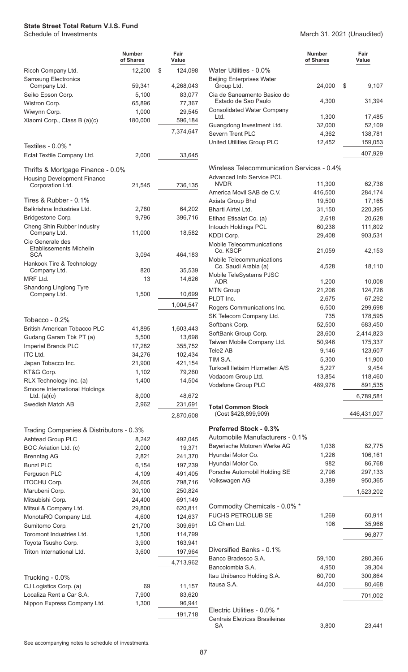**Number of Shares Fair Value** Ricoh Company Ltd. 12,200 \$ 124,098 Samsung Electronics Company Ltd. 59,341 4,268,043 Seiko Epson Corp. 65,100 83,077 Wistron Corp. 65,896 77,367 Wiwynn Corp. 1,000 29,545 Xiaomi Corp., Class B (a)(c) 180,000 596,184 7,374,647 Textiles - 0.0% \* Eclat Textile Company Ltd. 2,000 33,645 Thrifts & Mortgage Finance - 0.0% Housing Development Finance Corporation Ltd. 21,545 736,135 Tires & Rubber - 0.1% Balkrishna Industries Ltd. 2,780 64,202 Bridgestone Corp. 6 0 396,716 Cheng Shin Rubber Industry Company Ltd. 2000 11,000 18,582 Cie Generale des Etablissements Michelin SCA 3,094 464,183 Hankook Tire & Technology Company Ltd. 6820 35,539 MRF Ltd. 13 14,626 Shandong Linglong Tyre Company Ltd. 200 1,500 10,699 1,004,547 Tobacco - 0.2% British American Tobacco PLC 41,895 1,603,443 Gudang Garam Tbk PT (a) 5,500 13,698 Imperial Brands PLC 17,282 355,752 ITC Ltd. 24,276 102,434 Japan Tobacco Inc. 21,900 421,154 KT&G Corp. 1,102 79,260 RLX Technology Inc. (a) 1,400 14,504 Smoore International Holdings Ltd. (a)(c) 8,000 48,672 Swedish Match AB 2,962 231,691 2,870,608 Trading Companies & Distributors - 0.3% Ashtead Group PLC 8,242 492,045 BOC Aviation Ltd. (c) 2,000 19,371 Brenntag AG 2,821 241,370 Bunzl PLC 6,154 197,239 Ferguson PLC 4,109 491,405 ITOCHU Corp. 24,605 798,716 Marubeni Corp. 30,100 250,824 Mitsubishi Corp. 24,400 691,149 Mitsui & Company Ltd. 29,800 620,811 MonotaRO Company Ltd. 4,600 124,637 Sumitomo Corp. 21,700 309,691 Toromont Industries Ltd. 1,500 114,799 Toyota Tsusho Corp. 2,900 163,941 Triton International Ltd. 3,600 197,964 4,713,962 Trucking - 0.0% CJ Logistics Corp. (a) 69 11,157 Localiza Rent a Car S.A. 7,900 83,620 Nippon Express Company Ltd. 1,300 96,941 191,718

#### March 31, 2021 (Unaudited)

|                                                          | Number<br>of Shares | Fair<br>Value      |
|----------------------------------------------------------|---------------------|--------------------|
| Water Utilities - 0.0%                                   |                     |                    |
| <b>Beijing Enterprises Water</b><br>Group Ltd.           | 24,000              | \$<br>9,107        |
| Cia de Saneamento Basico do<br>Estado de Sao Paulo       | 4,300               | 31,394             |
| <b>Consolidated Water Company</b><br>Ltd.                | 1,300               | 17,485             |
| Guangdong Investment Ltd.<br>Severn Trent PLC            | 32,000              | 52,109             |
| United Utilities Group PLC                               | 4,362<br>12,452     | 138,781<br>159,053 |
|                                                          |                     | 407,929            |
| Wireless Telecommunication Services - 0.4%               |                     |                    |
| <b>Advanced Info Service PCL</b><br><b>NVDR</b>          | 11,300              | 62,738             |
| America Movil SAB de C.V.                                | 416,500             | 284,174            |
| Axiata Group Bhd                                         | 19,500              | 17,165             |
| Bharti Airtel Ltd.                                       | 31,150              | 220,395            |
| Etihad Etisalat Co. (a)                                  | 2,618               | 20,628             |
| Intouch Holdings PCL                                     | 60,238              | 111,802            |
| KDDI Corp.                                               | 29,408              | 903,531            |
| Mobile Telecommunications<br>Co. KSCP                    | 21,059              | 42,153             |
| Mobile Telecommunications<br>Co. Saudi Arabia (a)        | 4,528               | 18,110             |
| Mobile TeleSystems PJSC<br>ADR                           | 1,200               | 10,008             |
| <b>MTN Group</b>                                         | 21,206              | 124,726            |
| PLDT Inc.                                                | 2,675               | 67,292             |
| Rogers Communications Inc.                               | 6,500               | 299,698            |
| SK Telecom Company Ltd.                                  | 735                 | 178,595            |
| Softbank Corp.                                           | 52,500              | 683,450            |
| SoftBank Group Corp.                                     | 28,600              | 2,414,823          |
| Taiwan Mobile Company Ltd.                               | 50,946              | 175,337            |
| Tele2 AB                                                 | 9,146               | 123,607            |
| TIM S.A.                                                 | 5,300               | 11,900             |
| Turkcell Iletisim Hizmetleri A/S                         | 5,227               | 9,454              |
| Vodacom Group Ltd.                                       | 13,854              | 118,460            |
| Vodafone Group PLC                                       | 489,976             | 891,535            |
|                                                          |                     | 6,789,581          |
| <b>Total Common Stock</b><br>(Cost \$428,899,909)        |                     | 446,431,007        |
| Preferred Stock - 0.3%                                   |                     |                    |
| Automobile Manufacturers - 0.1%                          |                     |                    |
| Bayerische Motoren Werke AG                              | 1,038               | 82,775             |
| Hyundai Motor Co.<br>Hyundai Motor Co.                   | 1,226<br>982        | 106,161<br>86,768  |
| Porsche Automobil Holding SE                             | 2,796               | 297,133            |
| Volkswagen AG                                            | 3,389               | 950,365            |
|                                                          |                     | 1,523,202          |
|                                                          |                     |                    |
| Commodity Chemicals - 0.0% *<br><b>FUCHS PETROLUB SE</b> | 1,269               | 60,911             |
| LG Chem Ltd.                                             | 106                 | 35,966             |
|                                                          |                     | 96,877             |
|                                                          |                     |                    |
| Diversified Banks - 0.1%                                 |                     |                    |
| Banco Bradesco S.A.                                      | 59,100              | 280,366            |
| Bancolombia S.A.                                         | 4,950               | 39,304             |
| Itau Unibanco Holding S.A.                               | 60,700              | 300,864            |
| Itausa S.A.                                              | 44,000              | 80,468             |
|                                                          |                     | 701,002            |
| Electric Utilities - 0.0% *                              |                     |                    |
| Centrais Eletricas Brasileiras                           |                     |                    |
| SА                                                       | 3,800               | 23,441             |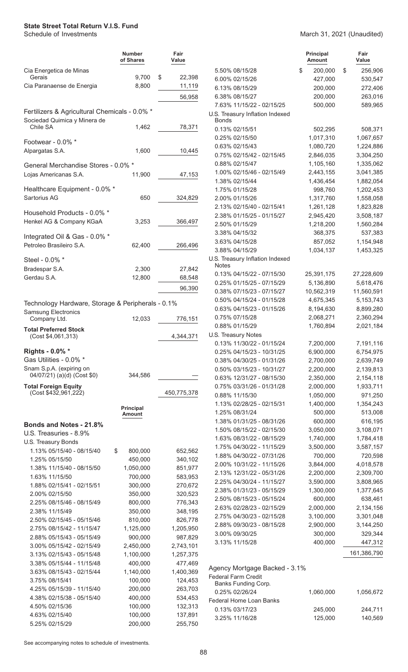|                                                        | <b>Number</b><br>of Shares | Fair<br>Value        |                                                        | <b>Principal</b><br><b>Amount</b> | Fair<br>Value          |
|--------------------------------------------------------|----------------------------|----------------------|--------------------------------------------------------|-----------------------------------|------------------------|
| Cia Energetica de Minas                                |                            |                      | 5.50% 08/15/28                                         | \$<br>200,000                     | \$<br>256,906          |
| Gerais                                                 | 9,700                      | \$<br>22,398         | 6.00% 02/15/26                                         | 427,000                           | 530,547                |
| Cia Paranaense de Energia                              | 8,800                      | 11,119               | 6.13% 08/15/29                                         | 200,000                           | 272,406                |
|                                                        |                            | 56,958               | 6.38% 08/15/27                                         | 200,000                           | 263,016                |
| Fertilizers & Agricultural Chemicals - 0.0% *          |                            |                      | 7.63% 11/15/22 - 02/15/25                              | 500,000                           | 589,965                |
| Sociedad Quimica y Minera de                           |                            |                      | U.S. Treasury Inflation Indexed<br><b>Bonds</b>        |                                   |                        |
| Chile SA                                               | 1,462                      | 78,371               | 0.13% 02/15/51                                         | 502.295                           | 508,371                |
|                                                        |                            |                      | 0.25% 02/15/50                                         | 1,017,310                         | 1,067,657              |
| Footwear - 0.0% *                                      |                            |                      | 0.63% 02/15/43                                         | 1,080,720                         | 1,224,886              |
| Alpargatas S.A.                                        | 1,600                      | 10,445               | 0.75% 02/15/42 - 02/15/45                              | 2,846,035                         | 3,304,250              |
| General Merchandise Stores - 0.0% *                    |                            |                      | 0.88% 02/15/47                                         | 1,105,160                         | 1,335,062              |
| Lojas Americanas S.A.                                  | 11,900                     | 47,153               | 1.00% 02/15/46 - 02/15/49                              | 2,443,155                         | 3,041,385              |
|                                                        |                            |                      | 1.38% 02/15/44                                         | 1,436,454                         | 1,882,054              |
| Healthcare Equipment - 0.0% *                          |                            |                      | 1.75% 01/15/28                                         | 998,760                           | 1,202,453              |
| Sartorius AG                                           | 650                        | 324,829              | 2.00% 01/15/26                                         | 1,317,760                         | 1,558,058              |
| Household Products - 0.0% *                            |                            |                      | 2.13% 02/15/40 - 02/15/41                              | 1,261,128                         | 1,823,828              |
| Henkel AG & Company KGaA                               | 3,253                      | 366,497              | 2.38% 01/15/25 - 01/15/27                              | 2,945,420                         | 3,508,187              |
|                                                        |                            |                      | 2.50% 01/15/29<br>3.38% 04/15/32                       | 1,218,200<br>368,375              | 1,560,284<br>537,383   |
| Integrated Oil & Gas - 0.0% *                          |                            |                      | 3.63% 04/15/28                                         | 857,052                           | 1,154,948              |
| Petroleo Brasileiro S.A.                               | 62,400                     | 266,496              | 3.88% 04/15/29                                         | 1,034,137                         | 1,453,325              |
| Steel - 0.0% *                                         |                            |                      | U.S. Treasury Inflation Indexed                        |                                   |                        |
| Bradespar S.A.                                         | 2,300                      | 27,842               | <b>Notes</b>                                           |                                   |                        |
| Gerdau S.A.                                            | 12,800                     | 68,548               | 0.13% 04/15/22 - 07/15/30                              | 25,391,175                        | 27,228,609             |
|                                                        |                            |                      | 0.25% 01/15/25 - 07/15/29                              | 5,136,890                         | 5,618,476              |
|                                                        |                            | 96,390               | 0.38% 07/15/23 - 07/15/27                              | 10,562,319                        | 11,560,591             |
| Technology Hardware, Storage & Peripherals - 0.1%      |                            |                      | 0.50% 04/15/24 - 01/15/28                              | 4,675,345                         | 5, 153, 743            |
| <b>Samsung Electronics</b>                             |                            |                      | 0.63% 04/15/23 - 01/15/26                              | 8,194,630                         | 8,899,280              |
| Company Ltd.                                           | 12,033                     | 776,151              | 0.75% 07/15/28                                         | 2,068,271                         | 2,360,294              |
| <b>Total Preferred Stock</b>                           |                            |                      | 0.88% 01/15/29                                         | 1,760,894                         | 2,021,184              |
| (Cost \$4,061,313)                                     |                            | 4,344,371            | U.S. Treasury Notes<br>0.13% 11/30/22 - 01/15/24       | 7,200,000                         | 7,191,116              |
| Rights - 0.0% *                                        |                            |                      | 0.25% 04/15/23 - 10/31/25                              | 6,900,000                         | 6,754,975              |
| Gas Utilities - 0.0% *                                 |                            |                      | 0.38% 04/30/25 - 01/31/26                              | 2,700,000                         | 2,639,749              |
| Snam S.p.A. (expiring on                               |                            |                      | 0.50% 03/15/23 - 10/31/27                              | 2,200,000                         | 2,139,813              |
| 04/07/21) (a)(d) (Cost \$0)                            | 344,586                    |                      | 0.63% 12/31/27 - 08/15/30                              | 2,350,000                         | 2,154,118              |
| <b>Total Foreign Equity</b>                            |                            |                      | 0.75% 03/31/26 - 01/31/28                              | 2,000,000                         | 1,933,711              |
| (Cost \$432,961,222)                                   |                            | 450,775,378          | 0.88% 11/15/30                                         | 1,050,000                         | 971,250                |
|                                                        | <b>Principal</b>           |                      | 1.13% 02/28/25 - 02/15/31                              | 1,400,000                         | 1,354,243              |
|                                                        | <b>Amount</b>              |                      | 1.25% 08/31/24                                         | 500,000                           | 513,008                |
| Bonds and Notes - 21.8%                                |                            |                      | 1.38% 01/31/25 - 08/31/26                              | 600,000                           | 616,195                |
| U.S. Treasuries - 8.9%                                 |                            |                      | 1.50% 08/15/22 - 02/15/30                              | 3,050,000                         | 3,108,071              |
| U.S. Treasury Bonds                                    |                            |                      | 1.63% 08/31/22 - 08/15/29                              | 1,740,000                         | 1,784,418              |
| 1.13% 05/15/40 - 08/15/40<br>\$                        | 800,000                    | 652,562              | 1.75% 04/30/22 - 11/15/29                              | 3,500,000                         | 3,587,157              |
| 1.25% 05/15/50                                         | 450,000                    | 340,102              | 1.88% 04/30/22 - 07/31/26                              | 700,000                           | 720,598                |
| 1.38% 11/15/40 - 08/15/50                              | 1,050,000                  | 851,977              | 2.00% 10/31/22 - 11/15/26                              | 3,844,000                         | 4,018,578              |
| 1.63% 11/15/50                                         | 700,000                    | 583,953              | 2.13% 12/31/22 - 05/31/26<br>2.25% 04/30/24 - 11/15/27 | 2,200,000<br>3,590,000            | 2,309,700<br>3,808,965 |
| 1.88% 02/15/41 - 02/15/51                              | 300,000                    | 270,672              | 2.38% 01/31/23 - 05/15/29                              | 1,300,000                         | 1,377,645              |
| 2.00% 02/15/50                                         | 350,000                    | 320,523              | 2.50% 08/15/23 - 05/15/24                              | 600,000                           | 638,461                |
| 2.25% 08/15/46 - 08/15/49                              | 800,000                    | 776,343              | 2.63% 02/28/23 - 02/15/29                              | 2,000,000                         | 2,134,156              |
| 2.38% 11/15/49                                         | 350,000                    | 348,195              | 2.75% 04/30/23 - 02/15/28                              | 3,100,000                         | 3,301,048              |
| 2.50% 02/15/45 - 05/15/46                              | 810,000                    | 826,778              | 2.88% 09/30/23 - 08/15/28                              | 2,900,000                         | 3,144,250              |
| 2.75% 08/15/42 - 11/15/47<br>2.88% 05/15/43 - 05/15/49 | 1,125,000<br>900,000       | 1,205,950<br>987,829 | 3.00% 09/30/25                                         | 300,000                           | 329,344                |
| 3.00% 05/15/42 - 02/15/49                              | 2,450,000                  | 2,743,101            | 3.13% 11/15/28                                         | 400,000                           | 447,312                |
| 3.13% 02/15/43 - 05/15/48                              | 1,100,000                  | 1,257,375            |                                                        |                                   | 161,386,790            |
| 3.38% 05/15/44 - 11/15/48                              | 400,000                    | 477,469              |                                                        |                                   |                        |
| 3.63% 08/15/43 - 02/15/44                              | 1,140,000                  | 1,400,369            | Agency Mortgage Backed - 3.1%                          |                                   |                        |
| 3.75% 08/15/41                                         | 100,000                    | 124,453              | <b>Federal Farm Credit</b>                             |                                   |                        |
| 4.25% 05/15/39 - 11/15/40                              | 200,000                    | 263,703              | Banks Funding Corp.<br>0.25% 02/26/24                  | 1,060,000                         | 1,056,672              |
| 4.38% 02/15/38 - 05/15/40                              | 400,000                    | 534,453              | Federal Home Loan Banks                                |                                   |                        |
| 4.50% 02/15/36                                         | 100,000                    | 132,313              | 0.13% 03/17/23                                         | 245,000                           | 244,711                |
| 4.63% 02/15/40                                         | 100,000                    | 137,891              | 3.25% 11/16/28                                         | 125,000                           | 140,569                |
| 5.25% 02/15/29                                         | 200,000                    | 255,750              |                                                        |                                   |                        |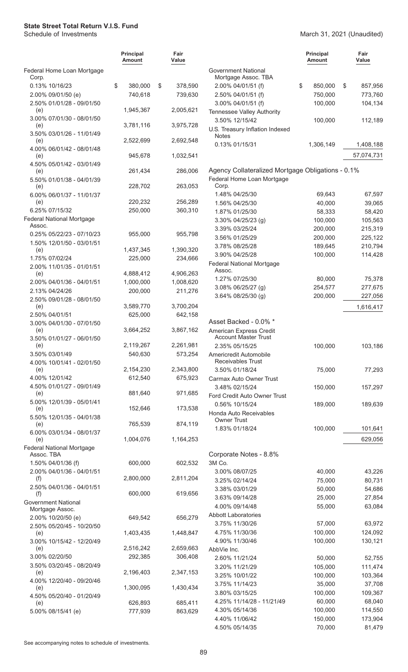#### March 31, 2021 (Unaudited)

|                                                               | <b>Principal</b><br>Amount | Fair<br>Value        |                                                        | <b>Principal</b><br><b>Amount</b> | Fair<br>Value |
|---------------------------------------------------------------|----------------------------|----------------------|--------------------------------------------------------|-----------------------------------|---------------|
| Federal Home Loan Mortgage<br>Corp.                           |                            |                      | <b>Government National</b><br>Mortgage Assoc. TBA      |                                   |               |
| 0.13% 10/16/23                                                | \$<br>380,000              | \$<br>378,590        | 2.00% 04/01/51 (f)                                     | \$<br>850,000                     | \$<br>857,956 |
| 2.00% 09/01/50 (e)                                            | 740,618                    | 739,630              | 2.50% 04/01/51 (f)                                     | 750,000                           | 773,760       |
| 2.50% 01/01/28 - 09/01/50<br>(e)                              | 1,945,367                  | 2,005,621            | 3.00% 04/01/51 (f)<br>Tennessee Valley Authority       | 100,000                           | 104,134       |
| 3.00% 07/01/30 - 08/01/50<br>(e)                              | 3,781,116                  | 3,975,728            | 3.50% 12/15/42<br>U.S. Treasury Inflation Indexed      | 100,000                           | 112,189       |
| 3.50% 03/01/26 - 11/01/49<br>(e)                              | 2,522,699                  | 2,692,548            | Notes                                                  |                                   |               |
| 4.00% 06/01/42 - 08/01/48                                     |                            |                      | 0.13% 01/15/31                                         | 1,306,149                         | 1,408,188     |
| (e)<br>4.50% 05/01/42 - 03/01/49                              | 945,678<br>261,434         | 1,032,541<br>286,006 | Agency Collateralized Mortgage Obligations - 0.1%      |                                   | 57,074,731    |
| (e)<br>5.50% 01/01/38 - 04/01/39                              |                            |                      | Federal Home Loan Mortgage                             |                                   |               |
| (e)<br>6.00% 06/01/37 - 11/01/37                              | 228,702                    | 263,053              | Corp.<br>1.48% 04/25/30                                | 69,643                            | 67,597        |
| (e)                                                           | 220,232                    | 256,289              | 1.56% 04/25/30                                         | 40,000                            | 39,065        |
| 6.25% 07/15/32                                                | 250,000                    | 360,310              | 1.87% 01/25/30                                         | 58,333                            | 58,420        |
| Federal National Mortgage                                     |                            |                      | 3.30% 04/25/23 (g)                                     | 100,000                           | 105,563       |
| Assoc.                                                        |                            |                      | 3.39% 03/25/24                                         | 200,000                           | 215,319       |
| 0.25% 05/22/23 - 07/10/23                                     | 955,000                    | 955,798              | 3.56% 01/25/29                                         | 200,000                           | 225,122       |
| 1.50% 12/01/50 - 03/01/51                                     |                            |                      | 3.78% 08/25/28                                         | 189,645                           | 210,794       |
| (e)                                                           | 1,437,345                  | 1,390,320            | 3.90% 04/25/28                                         | 100,000                           | 114,428       |
| 1.75% 07/02/24                                                | 225,000                    | 234,666              | <b>Federal National Mortgage</b>                       |                                   |               |
| 2.00% 11/01/35 - 01/01/51                                     |                            |                      | Assoc.                                                 |                                   |               |
| (e)                                                           | 4,888,412                  | 4,906,263            | 1.27% 07/25/30                                         | 80,000                            | 75,378        |
| 2.00% 04/01/36 - 04/01/51                                     | 1,000,000                  | 1,008,620            | 3.08% 06/25/27 (g)                                     | 254,577                           | 277,675       |
| 2.13% 04/24/26                                                | 200,000                    | 211,276              | 3.64% 08/25/30 (g)                                     | 200,000                           | 227,056       |
| 2.50% 09/01/28 - 08/01/50                                     | 3,589,770                  |                      |                                                        |                                   |               |
| (e)                                                           |                            | 3,700,204            |                                                        |                                   | 1,616,417     |
| 2.50% 04/01/51                                                | 625,000                    | 642,158              | Asset Backed - 0.0% *                                  |                                   |               |
| 3.00% 04/01/30 - 07/01/50<br>(e)<br>3.50% 01/01/27 - 06/01/50 | 3,664,252                  | 3,867,162            | American Express Credit<br><b>Account Master Trust</b> |                                   |               |
| (e)                                                           | 2,119,267                  | 2,261,981            | 2.35% 05/15/25                                         | 100,000                           | 103,186       |
| 3.50% 03/01/49<br>4.00% 10/01/41 - 02/01/50                   | 540,630                    | 573,254              | Americredit Automobile<br><b>Receivables Trust</b>     |                                   |               |
| (e)                                                           | 2,154,230                  | 2,343,800            | 3.50% 01/18/24                                         | 75,000                            | 77,293        |
| 4.00% 12/01/42                                                | 612,540                    | 675,923              | Carmax Auto Owner Trust                                |                                   |               |
| 4.50% 01/01/27 - 09/01/49                                     |                            |                      | 3.48% 02/15/24                                         | 150,000                           | 157,297       |
| (e)                                                           | 881,640                    | 971,685              | Ford Credit Auto Owner Trust                           |                                   |               |
| 5.00% 12/01/39 - 05/01/41                                     |                            |                      | 0.56% 10/15/24                                         | 189,000                           | 189,639       |
| (e)<br>5.50% 12/01/35 - 04/01/38                              | 152,646                    | 173,538              | Honda Auto Receivables<br><b>Owner Trust</b>           |                                   |               |
| (e)<br>6.00% 03/01/34 - 08/01/37                              | 765,539                    | 874,119              | 1.83% 01/18/24                                         | 100,000                           | 101,641       |
| (e)                                                           | 1,004,076                  | 1,164,253            |                                                        |                                   | 629,056       |
| <b>Federal National Mortgage</b><br>Assoc. TBA                |                            |                      | Corporate Notes - 8.8%                                 |                                   |               |
| 1.50% 04/01/36 (f)                                            | 600,000                    | 602,532              | 3M Co.                                                 |                                   |               |
| 2.00% 04/01/36 - 04/01/51                                     |                            |                      | 3.00% 08/07/25                                         | 40,000                            | 43,226        |
| (f)                                                           | 2,800,000                  | 2,811,204            | 3.25% 02/14/24                                         | 75,000                            | 80,731        |
| 2.50% 04/01/36 - 04/01/51                                     |                            |                      | 3.38% 03/01/29                                         | 50,000                            | 54,686        |
| (f)                                                           | 600,000                    | 619,656              | 3.63% 09/14/28                                         | 25,000                            | 27,854        |
| <b>Government National</b><br>Mortgage Assoc.                 |                            |                      | 4.00% 09/14/48                                         | 55,000                            | 63,084        |
| 2.00% 10/20/50 (e)                                            | 649,542                    | 656,279              | <b>Abbott Laboratories</b>                             |                                   |               |
| 2.50% 05/20/45 - 10/20/50                                     |                            |                      | 3.75% 11/30/26                                         | 57,000                            | 63,972        |
| (e)                                                           | 1,403,435                  | 1,448,847            | 4.75% 11/30/36                                         | 100,000                           | 124,092       |
| 3.00% 10/15/42 - 12/20/49                                     |                            |                      | 4.90% 11/30/46                                         | 100,000                           | 130,121       |
| (e)                                                           | 2,516,242                  | 2,659,663            | AbbVie Inc.                                            |                                   |               |
| 3.00% 02/20/50                                                | 292,385                    | 306,408              | 2.60% 11/21/24                                         | 50,000                            | 52,755        |
| 3.50% 03/20/45 - 08/20/49                                     |                            |                      | 3.20% 11/21/29                                         | 105,000                           | 111,474       |
| (e)                                                           | 2,196,403                  | 2,347,153            | 3.25% 10/01/22                                         | 100,000                           | 103,364       |
| 4.00% 12/20/40 - 09/20/46                                     |                            |                      | 3.75% 11/14/23                                         | 35,000                            | 37,708        |
| (e)                                                           | 1,300,095                  | 1,430,434            |                                                        |                                   |               |
| 4.50% 05/20/40 - 01/20/49                                     |                            |                      | 3.80% 03/15/25                                         | 100,000                           | 109,367       |
| (e)                                                           | 626,893                    | 685,411              | 4.25% 11/14/28 - 11/21/49                              | 60,000                            | 68,040        |
| 5.00% 08/15/41 (e)                                            | 777,939                    | 863,629              | 4.30% 05/14/36                                         | 100,000                           | 114,550       |
|                                                               |                            |                      | 4.40% 11/06/42                                         | 150,000                           | 173,904       |
|                                                               |                            |                      | 4.50% 05/14/35                                         | 70,000                            | 81,479        |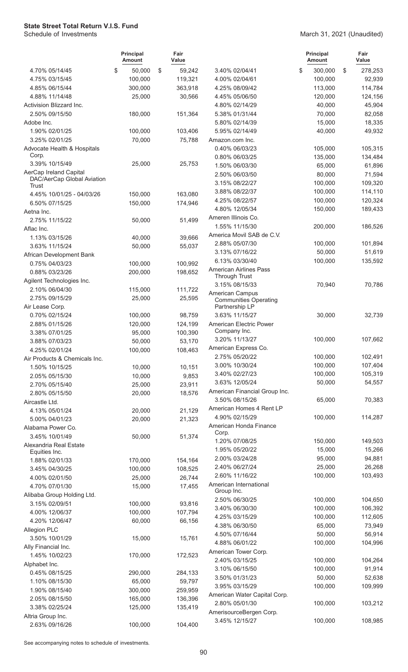|                               | <b>Principal</b><br>Amount | Fair<br>Value |                                                 | <b>Principal</b><br>Amount | Fair<br>Value |
|-------------------------------|----------------------------|---------------|-------------------------------------------------|----------------------------|---------------|
| 4.70% 05/14/45                | \$<br>50,000               | \$<br>59,242  | 3.40% 02/04/41                                  | \$<br>300,000              | \$<br>278,253 |
| 4.75% 03/15/45                | 100,000                    | 119,321       | 4.00% 02/04/61                                  | 100,000                    | 92,939        |
| 4.85% 06/15/44                | 300,000                    | 363,918       | 4.25% 08/09/42                                  | 113,000                    | 114,784       |
| 4.88% 11/14/48                | 25,000                     | 30,566        | 4.45% 05/06/50                                  | 120,000                    | 124,156       |
| Activision Blizzard Inc.      |                            |               | 4.80% 02/14/29                                  | 40,000                     | 45,904        |
| 2.50% 09/15/50                | 180,000                    | 151,364       | 5.38% 01/31/44                                  | 70,000                     | 82,058        |
| Adobe Inc.                    |                            |               | 5.80% 02/14/39                                  | 15,000                     | 18,335        |
| 1.90% 02/01/25                | 100,000                    | 103,406       | 5.95% 02/14/49                                  | 40,000                     | 49,932        |
| 3.25% 02/01/25                | 70,000                     | 75,788        | Amazon.com Inc.                                 |                            |               |
| Advocate Health & Hospitals   |                            |               | 0.40% 06/03/23                                  | 105,000                    | 105,315       |
| Corp.<br>3.39% 10/15/49       | 25,000                     |               | 0.80% 06/03/25                                  | 135,000                    | 134,484       |
| AerCap Ireland Capital        |                            | 25,753        | 1.50% 06/03/30                                  | 65,000                     | 61,896        |
| DAC/AerCap Global Aviation    |                            |               | 2.50% 06/03/50                                  | 80,000                     | 71,594        |
| Trust                         |                            |               | 3.15% 08/22/27                                  | 100,000                    | 109,320       |
| 4.45% 10/01/25 - 04/03/26     | 150,000                    | 163,080       | 3.88% 08/22/37                                  | 100,000                    | 114,110       |
| 6.50% 07/15/25                | 150,000                    | 174,946       | 4.25% 08/22/57                                  | 100,000                    | 120,324       |
| Aetna Inc.                    |                            |               | 4.80% 12/05/34                                  | 150,000                    | 189,433       |
| 2.75% 11/15/22                | 50,000                     | 51,499        | Ameren Illinois Co.                             |                            |               |
| Aflac Inc.                    |                            |               | 1.55% 11/15/30                                  | 200,000                    | 186,526       |
| 1.13% 03/15/26                | 40,000                     | 39,666        | America Movil SAB de C.V.                       |                            |               |
| 3.63% 11/15/24                | 50,000                     | 55,037        | 2.88% 05/07/30                                  | 100,000                    | 101,894       |
| African Development Bank      |                            |               | 3.13% 07/16/22                                  | 50,000                     | 51,619        |
| 0.75% 04/03/23                | 100,000                    | 100,992       | 6.13% 03/30/40                                  | 100,000                    | 135,592       |
| 0.88% 03/23/26                | 200,000                    | 198,652       | <b>American Airlines Pass</b>                   |                            |               |
| Agilent Technologies Inc.     |                            |               | Through Trust                                   |                            |               |
| 2.10% 06/04/30                | 115,000                    | 111,722       | 3.15% 08/15/33                                  | 70,940                     | 70,786        |
| 2.75% 09/15/29                | 25,000                     | 25,595        | American Campus<br><b>Communities Operating</b> |                            |               |
| Air Lease Corp.               |                            |               | Partnership LP                                  |                            |               |
| 0.70% 02/15/24                | 100,000                    | 98,759        | 3.63% 11/15/27                                  | 30,000                     | 32,739        |
| 2.88% 01/15/26                | 120,000                    | 124,199       | American Electric Power                         |                            |               |
| 3.38% 07/01/25                | 95,000                     | 100,390       | Company Inc.                                    |                            |               |
| 3.88% 07/03/23                | 50,000                     | 53,170        | 3.20% 11/13/27                                  | 100,000                    | 107,662       |
| 4.25% 02/01/24                | 100,000                    | 108,463       | American Express Co.                            |                            |               |
| Air Products & Chemicals Inc. |                            |               | 2.75% 05/20/22                                  | 100,000                    | 102,491       |
| 1.50% 10/15/25                | 10,000                     | 10,151        | 3.00% 10/30/24                                  | 100,000                    | 107,404       |
| 2.05% 05/15/30                | 10,000                     | 9,853         | 3.40% 02/27/23                                  | 100,000                    | 105,319       |
| 2.70% 05/15/40                | 25,000                     | 23,911        | 3.63% 12/05/24                                  | 50,000                     | 54,557        |
| 2.80% 05/15/50                | 20,000                     | 18,576        | American Financial Group Inc.                   |                            |               |
| Aircastle Ltd.                |                            |               | 3.50% 08/15/26                                  | 65,000                     | 70,383        |
| 4.13% 05/01/24                | 20,000                     | 21,129        | American Homes 4 Rent LP                        |                            |               |
| 5.00% 04/01/23                | 20,000                     | 21,323        | 4.90% 02/15/29                                  | 100,000                    | 114,287       |
| Alabama Power Co.             |                            |               | American Honda Finance                          |                            |               |
| 3.45% 10/01/49                | 50,000                     | 51,374        | Corp.                                           |                            |               |
| Alexandria Real Estate        |                            |               | 1.20% 07/08/25                                  | 150,000                    | 149,503       |
| Equities Inc.                 |                            |               | 1.95% 05/20/22                                  | 15,000                     | 15,266        |
| 1.88% 02/01/33                | 170,000                    | 154,164       | 2.00% 03/24/28                                  | 95,000                     | 94,881        |
| 3.45% 04/30/25                | 100,000                    | 108,525       | 2.40% 06/27/24                                  | 25,000                     | 26,268        |
| 4.00% 02/01/50                | 25,000                     | 26,744        | 2.60% 11/16/22                                  | 100,000                    | 103,493       |
| 4.70% 07/01/30                | 15,000                     | 17,455        | American International<br>Group Inc.            |                            |               |
| Alibaba Group Holding Ltd.    |                            |               | 2.50% 06/30/25                                  | 100,000                    | 104,650       |
| 3.15% 02/09/51                | 100,000                    | 93,816        | 3.40% 06/30/30                                  | 100,000                    | 106,392       |
| 4.00% 12/06/37                | 100,000                    | 107,794       | 4.25% 03/15/29                                  | 100,000                    | 112,605       |
| 4.20% 12/06/47                | 60,000                     | 66,156        | 4.38% 06/30/50                                  | 65,000                     | 73,949        |
| Allegion PLC                  |                            |               | 4.50% 07/16/44                                  | 50,000                     | 56,914        |
| 3.50% 10/01/29                | 15,000                     | 15,761        | 4.88% 06/01/22                                  | 100,000                    | 104,996       |
| Ally Financial Inc.           |                            |               | American Tower Corp.                            |                            |               |
| 1.45% 10/02/23                | 170,000                    | 172,523       | 2.40% 03/15/25                                  | 100,000                    | 104,264       |
| Alphabet Inc.                 |                            |               | 3.10% 06/15/50                                  | 100,000                    | 91,914        |
| 0.45% 08/15/25                | 290,000                    | 284,133       | 3.50% 01/31/23                                  | 50,000                     | 52,638        |
| 1.10% 08/15/30                | 65,000                     | 59,797        | 3.95% 03/15/29                                  | 100,000                    | 109,999       |
| 1.90% 08/15/40                | 300,000                    | 259,959       | American Water Capital Corp.                    |                            |               |
| 2.05% 08/15/50                | 165,000                    | 136,396       | 2.80% 05/01/30                                  | 100,000                    | 103,212       |
| 3.38% 02/25/24                | 125,000                    | 135,419       | AmerisourceBergen Corp.                         |                            |               |
| Altria Group Inc.             |                            |               | 3.45% 12/15/27                                  | 100,000                    | 108,985       |
| 2.63% 09/16/26                | 100,000                    | 104,400       |                                                 |                            |               |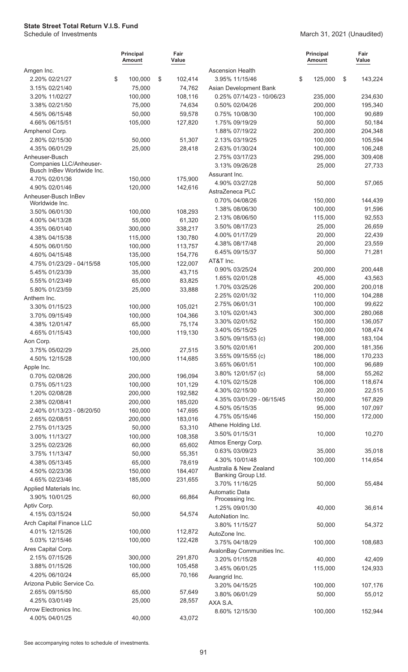|                                                       | <b>Principal</b><br><b>Amount</b> | Fair<br>Value |                                       | <b>Principal</b><br><b>Amount</b> | Fair<br>Value |
|-------------------------------------------------------|-----------------------------------|---------------|---------------------------------------|-----------------------------------|---------------|
| Amgen Inc.                                            |                                   |               | <b>Ascension Health</b>               |                                   |               |
| 2.20% 02/21/27                                        | \$<br>100,000                     | \$<br>102,414 | 3.95% 11/15/46                        | \$<br>125,000                     | \$<br>143,224 |
| 3.15% 02/21/40                                        | 75,000                            | 74,762        | Asian Development Bank                |                                   |               |
| 3.20% 11/02/27                                        | 100,000                           | 108,116       | 0.25% 07/14/23 - 10/06/23             | 235,000                           | 234,630       |
| 3.38% 02/21/50                                        | 75,000                            | 74,634        | 0.50% 02/04/26                        | 200,000                           | 195,340       |
| 4.56% 06/15/48                                        | 50,000                            | 59,578        | 0.75% 10/08/30                        | 100,000                           | 90,689        |
| 4.66% 06/15/51                                        | 105,000                           | 127,820       | 1.75% 09/19/29                        | 50,000                            | 50,184        |
| Amphenol Corp.                                        |                                   |               | 1.88% 07/19/22                        | 200,000                           | 204,348       |
| 2.80% 02/15/30                                        | 50,000                            | 51,307        | 2.13% 03/19/25                        | 100,000                           | 105,594       |
| 4.35% 06/01/29                                        | 25,000                            | 28,418        | 2.63% 01/30/24                        | 100,000                           | 106,248       |
| Anheuser-Busch                                        |                                   |               | 2.75% 03/17/23                        | 295,000                           | 309,408       |
| Companies LLC/Anheuser-<br>Busch InBev Worldwide Inc. |                                   |               | 3.13% 09/26/28                        | 25,000                            | 27,733        |
| 4.70% 02/01/36                                        | 150,000                           | 175,900       | Assurant Inc.                         |                                   |               |
| 4.90% 02/01/46                                        | 120,000                           | 142,616       | 4.90% 03/27/28                        | 50,000                            | 57,065        |
| Anheuser-Busch InBev                                  |                                   |               | AstraZeneca PLC                       |                                   |               |
| Worldwide Inc.                                        |                                   |               | 0.70% 04/08/26                        | 150,000                           | 144,439       |
| 3.50% 06/01/30                                        | 100,000                           | 108,293       | 1.38% 08/06/30                        | 100,000                           | 91,596        |
| 4.00% 04/13/28                                        | 55,000                            | 61,320        | 2.13% 08/06/50                        | 115,000                           | 92,553        |
| 4.35% 06/01/40                                        | 300,000                           | 338,217       | 3.50% 08/17/23                        | 25,000                            | 26,659        |
| 4.38% 04/15/38                                        | 115,000                           | 130,780       | 4.00% 01/17/29                        | 20,000                            | 22,439        |
| 4.50% 06/01/50                                        | 100,000                           | 113,757       | 4.38% 08/17/48                        | 20,000                            | 23,559        |
| 4.60% 04/15/48                                        | 135,000                           | 154,776       | 6.45% 09/15/37                        | 50,000                            | 71,281        |
| 4.75% 01/23/29 - 04/15/58                             | 105,000                           | 122,007       | AT&T Inc.                             |                                   |               |
| 5.45% 01/23/39                                        | 35,000                            | 43,715        | 0.90% 03/25/24                        | 200,000                           | 200,448       |
| 5.55% 01/23/49                                        | 65,000                            | 83,825        | 1.65% 02/01/28                        | 45,000                            | 43,563        |
| 5.80% 01/23/59                                        | 25,000                            | 33,888        | 1.70% 03/25/26                        | 200,000                           | 200,018       |
| Anthem Inc.                                           |                                   |               | 2.25% 02/01/32                        | 110,000                           | 104,288       |
| 3.30% 01/15/23                                        | 100,000                           | 105,021       | 2.75% 06/01/31                        | 100,000                           | 99,622        |
| 3.70% 09/15/49                                        | 100,000                           | 104,366       | 3.10% 02/01/43                        | 300,000                           | 280,068       |
| 4.38% 12/01/47                                        | 65,000                            | 75,174        | 3.30% 02/01/52                        | 150,000                           | 136,057       |
| 4.65% 01/15/43                                        | 100,000                           | 119,130       | 3.40% 05/15/25                        | 100,000                           | 108,474       |
| Aon Corp.                                             |                                   |               | 3.50% 09/15/53 (c)                    | 198,000                           | 183,104       |
| 3.75% 05/02/29                                        | 25,000                            | 27,515        | 3.50% 02/01/61                        | 200,000                           | 181,356       |
| 4.50% 12/15/28                                        | 100,000                           | 114,685       | 3.55% 09/15/55 (c)                    | 186,000                           | 170,233       |
| Apple Inc.                                            |                                   |               | 3.65% 06/01/51                        | 100,000                           | 96,689        |
| 0.70% 02/08/26                                        | 200,000                           | 196,094       | 3.80% 12/01/57 (c)                    | 58,000                            | 55,262        |
| 0.75% 05/11/23                                        | 100,000                           | 101,129       | 4.10% 02/15/28                        | 106,000                           | 118,674       |
| 1.20% 02/08/28                                        | 200,000                           | 192,582       | 4.30% 02/15/30                        | 20,000                            | 22,515        |
| 2.38% 02/08/41                                        | 200,000                           | 185,020       | 4.35% 03/01/29 - 06/15/45             | 150,000                           | 167,829       |
| 2.40% 01/13/23 - 08/20/50                             | 160,000                           | 147,695       | 4.50% 05/15/35                        | 95,000                            | 107,097       |
| 2.65% 02/08/51                                        | 200,000                           | 183,016       | 4.75% 05/15/46                        | 150,000                           | 172,000       |
| 2.75% 01/13/25                                        | 50,000                            | 53,310        | Athene Holding Ltd.<br>3.50% 01/15/31 |                                   |               |
| 3.00% 11/13/27                                        | 100,000                           | 108,358       |                                       | 10,000                            | 10,270        |
| 3.25% 02/23/26                                        | 60,000                            | 65,602        | Atmos Energy Corp.<br>0.63% 03/09/23  | 35,000                            | 35,018        |
| 3.75% 11/13/47                                        | 50,000                            | 55,351        | 4.30% 10/01/48                        | 100,000                           | 114,654       |
| 4.38% 05/13/45                                        | 65,000                            | 78,619        | Australia & New Zealand               |                                   |               |
| 4.50% 02/23/36                                        | 150,000                           | 184,407       | Banking Group Ltd.                    |                                   |               |
| 4.65% 02/23/46                                        | 185,000                           | 231,655       | 3.70% 11/16/25                        | 50,000                            | 55,484        |
| Applied Materials Inc.                                |                                   |               | Automatic Data                        |                                   |               |
| 3.90% 10/01/25                                        | 60,000                            | 66,864        | Processing Inc.                       |                                   |               |
| Aptiv Corp.                                           |                                   |               | 1.25% 09/01/30                        | 40,000                            | 36,614        |
| 4.15% 03/15/24                                        | 50,000                            | 54,574        | AutoNation Inc.                       |                                   |               |
| Arch Capital Finance LLC                              |                                   |               | 3.80% 11/15/27                        | 50,000                            | 54,372        |
| 4.01% 12/15/26                                        | 100,000                           | 112,872       | AutoZone Inc.                         |                                   |               |
| 5.03% 12/15/46                                        | 100,000                           | 122,428       | 3.75% 04/18/29                        | 100,000                           | 108,683       |
| Ares Capital Corp.                                    |                                   |               | AvalonBay Communities Inc.            |                                   |               |
| 2.15% 07/15/26                                        | 300,000                           | 291,870       | 3.20% 01/15/28                        | 40,000                            | 42,409        |
| 3.88% 01/15/26                                        | 100,000                           | 105,458       | 3.45% 06/01/25                        | 115,000                           | 124,933       |
| 4.20% 06/10/24                                        | 65,000                            | 70,166        | Avangrid Inc.                         |                                   |               |
| Arizona Public Service Co.                            |                                   |               | 3.20% 04/15/25                        | 100,000                           | 107,176       |
| 2.65% 09/15/50                                        | 65,000                            | 57,649        | 3.80% 06/01/29                        | 50,000                            | 55,012        |
| 4.25% 03/01/49                                        | 25,000                            | 28,557        | AXA S.A.                              |                                   |               |
| Arrow Electronics Inc.                                |                                   |               | 8.60% 12/15/30                        | 100,000                           | 152,944       |
| 4.00% 04/01/25                                        | 40,000                            | 43,072        |                                       |                                   |               |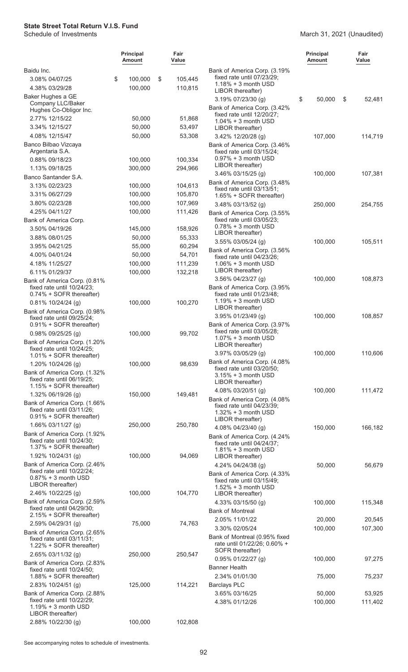#### March 31, 2021 (Unaudited)

|                                                            | <b>Principal</b><br><b>Amount</b> | Fair<br>Value |                                                            | <b>Principal</b><br><b>Amount</b> | Fair<br>Value |
|------------------------------------------------------------|-----------------------------------|---------------|------------------------------------------------------------|-----------------------------------|---------------|
| Baidu Inc.                                                 |                                   |               | Bank of America Corp. (3.19%                               |                                   |               |
| 3.08% 04/07/25                                             | 100,000<br>\$                     | \$<br>105,445 | fixed rate until 07/23/29;<br>$1.18\% + 3$ month USD       |                                   |               |
| 4.38% 03/29/28                                             | 100,000                           | 110,815       | LIBOR thereafter)                                          |                                   |               |
| Baker Hughes a GE                                          |                                   |               | $3.19\%$ 07/23/30 (g)                                      | \$<br>50,000                      | \$<br>52,481  |
| Company LLC/Baker<br>Hughes Co-Obligor Inc.                |                                   |               | Bank of America Corp. (3.42%                               |                                   |               |
| 2.77% 12/15/22                                             |                                   |               | fixed rate until 12/20/27;                                 |                                   |               |
| 3.34% 12/15/27                                             | 50,000                            | 51,868        | $1.04\% + 3$ month USD                                     |                                   |               |
|                                                            | 50,000                            | 53,497        | LIBOR thereafter)                                          |                                   |               |
| 4.08% 12/15/47                                             | 50,000                            | 53,308        | 3.42% 12/20/28 (g)                                         | 107,000                           | 114,719       |
| Banco Bilbao Vizcaya<br>Argentaria S.A.                    |                                   |               | Bank of America Corp. (3.46%<br>fixed rate until 03/15/24; |                                   |               |
| 0.88% 09/18/23                                             | 100,000                           | 100,334       | $0.97\% + 3$ month USD                                     |                                   |               |
| 1.13% 09/18/25                                             | 300,000                           | 294,966       | LIBOR thereafter)                                          |                                   |               |
| Banco Santander S.A.                                       |                                   |               | 3.46% 03/15/25 (g)                                         | 100,000                           | 107,381       |
| 3.13% 02/23/23                                             | 100,000                           | 104,613       | Bank of America Corp. (3.48%                               |                                   |               |
| 3.31% 06/27/29                                             | 100,000                           | 105,870       | fixed rate until 03/13/51;<br>1.65% + SOFR thereafter)     |                                   |               |
| 3.80% 02/23/28                                             | 100,000                           | 107,969       | $3.48\%$ 03/13/52 (g)                                      | 250,000                           | 254,755       |
| 4.25% 04/11/27                                             | 100,000                           | 111,426       | Bank of America Corp. (3.55%                               |                                   |               |
| Bank of America Corp.                                      |                                   |               | fixed rate until 03/05/23;                                 |                                   |               |
| 3.50% 04/19/26                                             | 145,000                           | 158,926       | $0.78% + 3$ month USD                                      |                                   |               |
| 3.88% 08/01/25                                             | 50,000                            | 55,333        | LIBOR thereafter)                                          |                                   |               |
| 3.95% 04/21/25                                             | 55,000                            | 60,294        | $3.55\%$ 03/05/24 (g)                                      | 100,000                           | 105,511       |
| 4.00% 04/01/24                                             | 50,000                            | 54,701        | Bank of America Corp. (3.56%                               |                                   |               |
| 4.18% 11/25/27                                             | 100,000                           | 111,239       | fixed rate until 04/23/26;<br>$1.06\% + 3$ month USD       |                                   |               |
| 6.11% 01/29/37                                             | 100,000                           | 132,218       | LIBOR thereafter)                                          |                                   |               |
| Bank of America Corp. (0.81%                               |                                   |               | 3.56% 04/23/27 (g)                                         | 100,000                           | 108,873       |
| fixed rate until 10/24/23;                                 |                                   |               | Bank of America Corp. (3.95%                               |                                   |               |
| 0.74% + SOFR thereafter)                                   |                                   |               | fixed rate until 01/23/48;                                 |                                   |               |
| 0.81% 10/24/24 (g)                                         | 100,000                           | 100,270       | $1.19% + 3$ month USD                                      |                                   |               |
| Bank of America Corp. (0.98%                               |                                   |               | LIBOR thereafter)                                          |                                   |               |
| fixed rate until 09/25/24;                                 |                                   |               | $3.95\%$ 01/23/49 (g)                                      | 100,000                           | 108,857       |
| 0.91% + SOFR thereafter)                                   |                                   |               | Bank of America Corp. (3.97%<br>fixed rate until 03/05/28; |                                   |               |
| 0.98% 09/25/25 (g)                                         | 100,000                           | 99,702        | $1.07\% + 3$ month USD                                     |                                   |               |
| Bank of America Corp. (1.20%<br>fixed rate until 10/24/25; |                                   |               | LIBOR thereafter)                                          |                                   |               |
| 1.01% + SOFR thereafter)                                   |                                   |               | 3.97% 03/05/29 (g)                                         | 100,000                           | 110,606       |
| 1.20% 10/24/26 (g)                                         | 100,000                           | 98,639        | Bank of America Corp. (4.08%                               |                                   |               |
| Bank of America Corp. (1.32%                               |                                   |               | fixed rate until 03/20/50;                                 |                                   |               |
| fixed rate until 06/19/25;                                 |                                   |               | $3.15% + 3$ month USD<br>LIBOR thereafter)                 |                                   |               |
| 1.15% + SOFR thereafter)                                   |                                   |               | 4.08% 03/20/51 (g)                                         | 100,000                           | 111,472       |
| 1.32% 06/19/26 (g)                                         | 150,000                           | 149,481       | Bank of America Corp. (4.08%                               |                                   |               |
| Bank of America Corp. (1.66%                               |                                   |               | fixed rate until 04/23/39;                                 |                                   |               |
| fixed rate until 03/11/26;<br>0.91% + SOFR thereafter)     |                                   |               | $1.32\% + 3$ month USD                                     |                                   |               |
| 1.66% 03/11/27 (g)                                         | 250,000                           | 250,780       | LIBOR thereafter)                                          |                                   |               |
| Bank of America Corp. (1.92%                               |                                   |               | 4.08% 04/23/40 (g)                                         | 150,000                           | 166,182       |
| fixed rate until 10/24/30;                                 |                                   |               | Bank of America Corp. (4.24%<br>fixed rate until 04/24/37; |                                   |               |
| 1.37% + SOFR thereafter)                                   |                                   |               | $1.81\% + 3$ month USD                                     |                                   |               |
| 1.92% $10/24/31$ (g)                                       | 100,000                           | 94,069        | LIBOR thereafter)                                          |                                   |               |
| Bank of America Corp. (2.46%                               |                                   |               | 4.24% 04/24/38 (g)                                         | 50,000                            | 56,679        |
| fixed rate until 10/22/24;<br>$0.87\% + 3$ month USD       |                                   |               | Bank of America Corp. (4.33%                               |                                   |               |
| LIBOR thereafter)                                          |                                   |               | fixed rate until 03/15/49;                                 |                                   |               |
| 2.46% 10/22/25 (g)                                         | 100,000                           | 104,770       | $1.52\% + 3$ month USD<br>LIBOR thereafter)                |                                   |               |
| Bank of America Corp. (2.59%                               |                                   |               | 4.33% 03/15/50 (g)                                         | 100,000                           | 115,348       |
| fixed rate until 04/29/30;                                 |                                   |               | <b>Bank of Montreal</b>                                    |                                   |               |
| 2.15% + SOFR thereafter)                                   |                                   |               | 2.05% 11/01/22                                             | 20,000                            | 20,545        |
| 2.59% 04/29/31 (g)                                         | 75,000                            | 74,763        | 3.30% 02/05/24                                             | 100,000                           | 107,300       |
| Bank of America Corp. (2.65%                               |                                   |               | Bank of Montreal (0.95% fixed                              |                                   |               |
| fixed rate until 03/11/31;<br>1.22% + SOFR thereafter)     |                                   |               | rate until 01/22/26; 0.60% +                               |                                   |               |
| 2.65% 03/11/32 (g)                                         | 250,000                           | 250,547       | SOFR thereafter)                                           |                                   |               |
| Bank of America Corp. (2.83%                               |                                   |               | 0.95% 01/22/27 (g)                                         | 100,000                           | 97,275        |
| fixed rate until 10/24/50;                                 |                                   |               | <b>Banner Health</b>                                       |                                   |               |
| 1.88% + SOFR thereafter)                                   |                                   |               | 2.34% 01/01/30                                             | 75,000                            | 75,237        |
| 2.83% 10/24/51 (g)                                         | 125,000                           | 114,221       | <b>Barclays PLC</b>                                        |                                   |               |
| Bank of America Corp. (2.88%                               |                                   |               | 3.65% 03/16/25                                             | 50,000                            | 53,925        |
| fixed rate until 10/22/29:                                 |                                   |               | 4.38% 01/12/26                                             | 100,000                           | 111,402       |
| $1.19% + 3$ month USD<br>LIBOR thereafter)                 |                                   |               |                                                            |                                   |               |
| 2.88% 10/22/30 (g)                                         | 100,000                           | 102,808       |                                                            |                                   |               |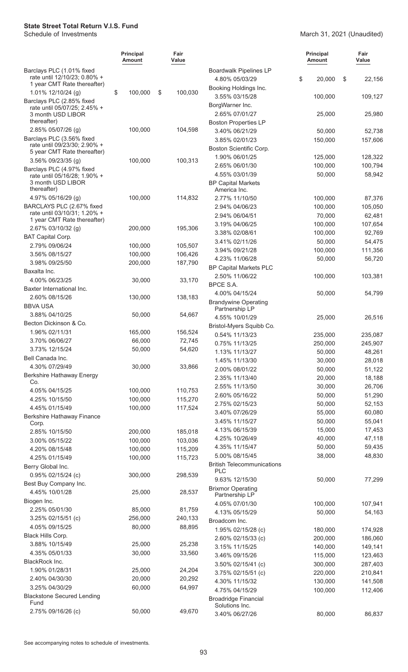#### March 31, 2021 (Unaudited)

|                                                                  | <b>Principal</b><br>Amount | Fair<br>Value |                                                             | <b>Principal</b><br><b>Amount</b> | Fair<br>Value      |
|------------------------------------------------------------------|----------------------------|---------------|-------------------------------------------------------------|-----------------------------------|--------------------|
| Barclays PLC (1.01% fixed<br>rate until 12/10/23; 0.80% +        |                            |               | <b>Boardwalk Pipelines LP</b>                               |                                   |                    |
| 1 year CMT Rate thereafter)                                      |                            |               | 4.80% 05/03/29<br>Booking Holdings Inc.                     | \$<br>20,000                      | \$<br>22,156       |
| 1.01% $12/10/24$ (g)<br>Barclays PLC (2.85% fixed                | \$<br>100,000              | \$<br>100,030 | 3.55% 03/15/28                                              | 100,000                           | 109,127            |
| rate until 05/07/25; 2.45% +<br>3 month USD LIBOR                |                            |               | BorgWarner Inc.<br>2.65% 07/01/27                           | 25,000                            | 25,980             |
| thereafter)                                                      |                            |               | <b>Boston Properties LP</b>                                 |                                   |                    |
| 2.85% 05/07/26 (g)                                               | 100,000                    | 104,598       | 3.40% 06/21/29                                              | 50,000                            | 52,738             |
| Barclays PLC (3.56% fixed                                        |                            |               | 3.85% 02/01/23                                              | 150,000                           | 157,606            |
| rate until 09/23/30; 2.90% +<br>5 year CMT Rate thereafter)      |                            |               | Boston Scientific Corp.                                     |                                   |                    |
| $3.56\%$ 09/23/35 (g)                                            | 100,000                    | 100,313       | 1.90% 06/01/25                                              | 125,000                           | 128,322            |
| Barclays PLC (4.97% fixed                                        |                            |               | 2.65% 06/01/30                                              | 100,000                           | 100,794            |
| rate until 05/16/28; 1.90% +<br>3 month USD LIBOR<br>thereafter) |                            |               | 4.55% 03/01/39<br><b>BP Capital Markets</b><br>America Inc. | 50,000                            | 58,942             |
| 4.97% 05/16/29 (g)                                               | 100,000                    | 114,832       | 2.77% 11/10/50                                              | 100,000                           | 87,376             |
| BARCLAYS PLC (2.67% fixed                                        |                            |               | 2.94% 04/06/23                                              | 100,000                           | 105,050            |
| rate until 03/10/31; 1.20% +<br>1 year CMT Rate thereafter)      |                            |               | 2.94% 06/04/51                                              | 70,000                            | 62,481             |
| 2.67% 03/10/32 (g)                                               | 200,000                    | 195,306       | 3.19% 04/06/25                                              | 100,000                           | 107,654            |
| <b>BAT Capital Corp.</b>                                         |                            |               | 3.38% 02/08/61                                              | 100,000                           | 92,769             |
| 2.79% 09/06/24                                                   | 100,000                    | 105,507       | 3.41% 02/11/26                                              | 50,000                            | 54,475             |
| 3.56% 08/15/27                                                   | 100,000                    | 106,426       | 3.94% 09/21/28                                              | 100,000                           | 111,356            |
| 3.98% 09/25/50                                                   | 200,000                    | 187,790       | 4.23% 11/06/28<br><b>BP Capital Markets PLC</b>             | 50,000                            | 56,720             |
| Baxalta Inc.                                                     |                            |               | 2.50% 11/06/22                                              | 100,000                           | 103,381            |
| 4.00% 06/23/25                                                   | 30,000                     | 33,170        | BPCE S.A.                                                   |                                   |                    |
| Baxter International Inc.                                        |                            |               | 4.00% 04/15/24                                              | 50,000                            | 54,799             |
| 2.60% 08/15/26                                                   | 130,000                    | 138,183       | <b>Brandywine Operating</b>                                 |                                   |                    |
| <b>BBVA USA</b>                                                  |                            |               | Partnership LP                                              |                                   |                    |
| 3.88% 04/10/25<br>Becton Dickinson & Co.                         | 50,000                     | 54,667        | 4.55% 10/01/29                                              | 25,000                            | 26,516             |
| 1.96% 02/11/31                                                   | 165,000                    | 156,524       | Bristol-Myers Squibb Co.                                    |                                   |                    |
| 3.70% 06/06/27                                                   | 66,000                     | 72,745        | 0.54% 11/13/23                                              | 235,000                           | 235,087            |
| 3.73% 12/15/24                                                   | 50,000                     | 54,620        | 0.75% 11/13/25                                              | 250,000                           | 245,907            |
| Bell Canada Inc.                                                 |                            |               | 1.13% 11/13/27<br>1.45% 11/13/30                            | 50,000<br>30,000                  | 48,261<br>28,018   |
| 4.30% 07/29/49                                                   | 30,000                     | 33,866        | 2.00% 08/01/22                                              | 50,000                            | 51,122             |
| Berkshire Hathaway Energy                                        |                            |               | 2.35% 11/13/40                                              | 20,000                            | 18,188             |
| Co.                                                              |                            |               | 2.55% 11/13/50                                              | 30,000                            | 26,706             |
| 4.05% 04/15/25                                                   | 100,000                    | 110,753       | 2.60% 05/16/22                                              | 50,000                            | 51,290             |
| 4.25% 10/15/50                                                   | 100,000                    | 115,270       | 2.75% 02/15/23                                              | 50,000                            | 52,153             |
| 4.45% 01/15/49<br>Berkshire Hathaway Finance                     | 100,000                    | 117,524       | 3.40% 07/26/29                                              | 55,000                            | 60,080             |
| Corp.                                                            |                            |               | 3.45% 11/15/27                                              | 50,000                            | 55,041             |
| 2.85% 10/15/50                                                   | 200,000                    | 185,018       | 4.13% 06/15/39                                              | 15,000                            | 17,453             |
| 3.00% 05/15/22                                                   | 100,000                    | 103,036       | 4.25% 10/26/49                                              | 40,000                            | 47,118             |
| 4.20% 08/15/48                                                   | 100,000                    | 115,209       | 4.35% 11/15/47                                              | 50,000                            | 59,435             |
| 4.25% 01/15/49                                                   | 100,000                    | 115,723       | 5.00% 08/15/45                                              | 38,000                            | 48,830             |
| Berry Global Inc.                                                |                            |               | <b>British Telecommunications</b><br><b>PLC</b>             |                                   |                    |
| 0.95% 02/15/24 (c)                                               | 300,000                    | 298,539       | 9.63% 12/15/30                                              | 50,000                            | 77,299             |
| Best Buy Company Inc.                                            |                            |               | <b>Brixmor Operating</b>                                    |                                   |                    |
| 4.45% 10/01/28                                                   | 25,000                     | 28,537        | Partnership LP                                              |                                   |                    |
| Biogen Inc.<br>2.25% 05/01/30                                    | 85,000                     | 81,759        | 4.05% 07/01/30                                              | 100,000                           | 107,941            |
| 3.25% 02/15/51 (c)                                               | 256,000                    | 240,133       | 4.13% 05/15/29                                              | 50,000                            | 54,163             |
| 4.05% 09/15/25                                                   | 80,000                     | 88,895        | Broadcom Inc.                                               |                                   |                    |
| Black Hills Corp.                                                |                            |               | 1.95% 02/15/28 (c)                                          | 180,000                           | 174,928            |
| 3.88% 10/15/49                                                   | 25,000                     | 25,238        | 2.60% 02/15/33 (c)<br>3.15% 11/15/25                        | 200,000<br>140,000                | 186,060<br>149,141 |
| 4.35% 05/01/33                                                   | 30,000                     | 33,560        | 3.46% 09/15/26                                              | 115,000                           | 123,463            |
| BlackRock Inc.                                                   |                            |               | 3.50% 02/15/41 (c)                                          | 300,000                           | 287,403            |
| 1.90% 01/28/31                                                   | 25,000                     | 24,204        | 3.75% 02/15/51 (c)                                          | 220,000                           | 210,841            |
| 2.40% 04/30/30                                                   | 20,000                     | 20,292        | 4.30% 11/15/32                                              | 130,000                           | 141,508            |
| 3.25% 04/30/29                                                   | 60,000                     | 64,997        | 4.75% 04/15/29                                              | 100,000                           | 112,406            |
| <b>Blackstone Secured Lending</b><br>Fund                        |                            |               | <b>Broadridge Financial</b>                                 |                                   |                    |
| 2.75% 09/16/26 (c)                                               | 50,000                     | 49,670        | Solutions Inc.                                              |                                   |                    |
|                                                                  |                            |               | 3.40% 06/27/26                                              | 80,000                            | 86,837             |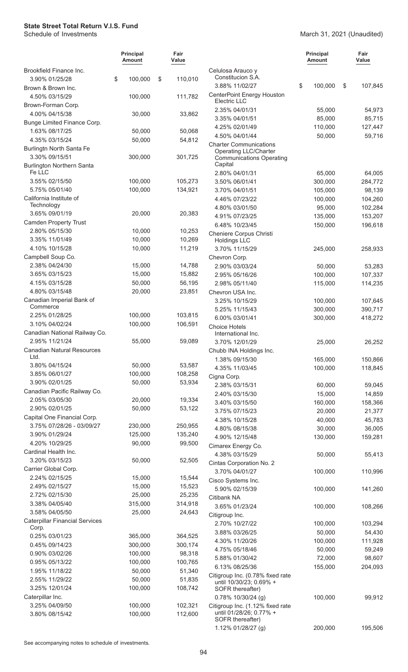#### March 31, 2021 (Unaudited)

|                                                          | <b>Principal</b><br>Amount | Fair<br>Value      |                                                               | <b>Principal</b><br><b>Amount</b> | Fair<br>Value     |
|----------------------------------------------------------|----------------------------|--------------------|---------------------------------------------------------------|-----------------------------------|-------------------|
| Brookfield Finance Inc.                                  |                            |                    | Celulosa Arauco y<br>Constitucion S.A.                        |                                   |                   |
| 3.90% 01/25/28                                           | \$<br>100,000              | \$<br>110,010      | 3.88% 11/02/27                                                | \$<br>100,000                     | \$<br>107,845     |
| Brown & Brown Inc.                                       |                            |                    | CenterPoint Energy Houston                                    |                                   |                   |
| 4.50% 03/15/29<br>Brown-Forman Corp.                     | 100,000                    | 111,782            | Electric LLC                                                  |                                   |                   |
| 4.00% 04/15/38                                           | 30,000                     | 33,862             | 2.35% 04/01/31                                                | 55,000                            | 54,973            |
| Bunge Limited Finance Corp.                              |                            |                    | 3.35% 04/01/51                                                | 85,000                            | 85,715            |
| 1.63% 08/17/25                                           | 50,000                     | 50,068             | 4.25% 02/01/49                                                | 110,000                           | 127,447           |
| 4.35% 03/15/24                                           | 50,000                     | 54,812             | 4.50% 04/01/44                                                | 50,000                            | 59,716            |
| Burlingtn North Santa Fe                                 |                            |                    | <b>Charter Communications</b><br><b>Operating LLC/Charter</b> |                                   |                   |
| 3.30% 09/15/51                                           | 300,000                    | 301,725            | <b>Communications Operating</b>                               |                                   |                   |
| <b>Burlington Northern Santa</b>                         |                            |                    | Capital                                                       |                                   |                   |
| Fe LLC<br>3.55% 02/15/50                                 | 100,000                    | 105,273            | 2.80% 04/01/31                                                | 65,000                            | 64,005            |
| 5.75% 05/01/40                                           | 100,000                    | 134,921            | 3.50% 06/01/41<br>3.70% 04/01/51                              | 300,000<br>105,000                | 284,772<br>98,139 |
| California Institute of                                  |                            |                    | 4.46% 07/23/22                                                | 100,000                           | 104,260           |
| Technology                                               |                            |                    | 4.80% 03/01/50                                                | 95,000                            | 102,284           |
| 3.65% 09/01/19                                           | 20,000                     | 20,383             | 4.91% 07/23/25                                                | 135,000                           | 153,207           |
| <b>Camden Property Trust</b>                             |                            |                    | 6.48% 10/23/45                                                | 150,000                           | 196,618           |
| 2.80% 05/15/30                                           | 10,000                     | 10,253             | Cheniere Corpus Christi                                       |                                   |                   |
| 3.35% 11/01/49                                           | 10,000                     | 10,269             | <b>Holdings LLC</b>                                           |                                   |                   |
| 4.10% 10/15/28                                           | 10,000                     | 11,219             | 3.70% 11/15/29                                                | 245,000                           | 258,933           |
| Campbell Soup Co.<br>2.38% 04/24/30                      | 15,000                     | 14,788             | Chevron Corp.                                                 |                                   |                   |
| 3.65% 03/15/23                                           | 15,000                     | 15,882             | 2.90% 03/03/24<br>2.95% 05/16/26                              | 50,000<br>100,000                 | 53,283<br>107,337 |
| 4.15% 03/15/28                                           | 50,000                     | 56,195             | 2.98% 05/11/40                                                | 115,000                           | 114,235           |
| 4.80% 03/15/48                                           | 20,000                     | 23,851             | Chevron USA Inc.                                              |                                   |                   |
| Canadian Imperial Bank of                                |                            |                    | 3.25% 10/15/29                                                | 100,000                           | 107,645           |
| Commerce                                                 |                            |                    | 5.25% 11/15/43                                                | 300,000                           | 390,717           |
| 2.25% 01/28/25                                           | 100,000                    | 103,815            | 6.00% 03/01/41                                                | 300,000                           | 418,272           |
| 3.10% 04/02/24                                           | 100,000                    | 106,591            | <b>Choice Hotels</b>                                          |                                   |                   |
| Canadian National Railway Co.                            |                            |                    | International Inc.                                            |                                   |                   |
| 2.95% 11/21/24<br><b>Canadian Natural Resources</b>      | 55,000                     | 59,089             | 3.70% 12/01/29                                                | 25,000                            | 26,252            |
| Ltd.                                                     |                            |                    | Chubb INA Holdings Inc.<br>1.38% 09/15/30                     | 165,000                           | 150,866           |
| 3.80% 04/15/24                                           | 50,000                     | 53,587             | 4.35% 11/03/45                                                | 100,000                           | 118,845           |
| 3.85% 06/01/27                                           | 100,000                    | 108,258            | Cigna Corp.                                                   |                                   |                   |
| 3.90% 02/01/25                                           | 50,000                     | 53,934             | 2.38% 03/15/31                                                | 60,000                            | 59,045            |
| Canadian Pacific Railway Co.                             |                            |                    | 2.40% 03/15/30                                                | 15,000                            | 14,859            |
| 2.05% 03/05/30                                           | 20,000                     | 19,334             | 3.40% 03/15/50                                                | 160,000                           | 158,366           |
| 2.90% 02/01/25                                           | 50,000                     | 53,122             | 3.75% 07/15/23                                                | 20,000                            | 21,377            |
| Capital One Financial Corp.<br>3.75% 07/28/26 - 03/09/27 | 230,000                    | 250,955            | 4.38% 10/15/28                                                | 40,000                            | 45,783            |
| 3.90% 01/29/24                                           | 125,000                    | 135,240            | 4.80% 08/15/38                                                | 30,000                            | 36,005            |
| 4.20% 10/29/25                                           | 90,000                     | 99,500             | 4.90% 12/15/48                                                | 130,000                           | 159,281           |
| Cardinal Health Inc.                                     |                            |                    | Cimarex Energy Co.<br>4.38% 03/15/29                          | 50,000                            |                   |
| 3.20% 03/15/23                                           | 50,000                     | 52,505             | Cintas Corporation No. 2                                      |                                   | 55,413            |
| Carrier Global Corp.                                     |                            |                    | 3.70% 04/01/27                                                | 100,000                           | 110,996           |
| 2.24% 02/15/25                                           | 15,000                     | 15,544             | Cisco Systems Inc.                                            |                                   |                   |
| 2.49% 02/15/27                                           | 15,000                     | 15,523             | 5.90% 02/15/39                                                | 100,000                           | 141,260           |
| 2.72% 02/15/30                                           | 25,000                     | 25,235             | Citibank NA                                                   |                                   |                   |
| 3.38% 04/05/40                                           | 315,000                    | 314,918            | 3.65% 01/23/24                                                | 100,000                           | 108,266           |
| 3.58% 04/05/50                                           | 25,000                     | 24,643             | Citigroup Inc.                                                |                                   |                   |
| <b>Caterpillar Financial Services</b><br>Corp.           |                            |                    | 2.70% 10/27/22                                                | 100,000                           | 103,294           |
| 0.25% 03/01/23                                           | 365,000                    | 364,525            | 3.88% 03/26/25                                                | 50,000                            | 54,430            |
| 0.45% 09/14/23                                           | 300,000                    | 300,174            | 4.30% 11/20/26                                                | 100,000                           | 111,928           |
| 0.90% 03/02/26                                           | 100,000                    | 98,318             | 4.75% 05/18/46                                                | 50,000                            | 59,249            |
| 0.95% 05/13/22                                           | 100,000                    | 100,765            | 5.88% 01/30/42<br>6.13% 08/25/36                              | 72,000<br>155,000                 | 98,607<br>204,093 |
| 1.95% 11/18/22                                           | 50,000                     | 51,340             | Citigroup Inc. (0.78% fixed rate                              |                                   |                   |
| 2.55% 11/29/22                                           | 50,000                     | 51,835             | until 10/30/23; 0.69% +                                       |                                   |                   |
| 3.25% 12/01/24                                           | 100,000                    | 108,742            | SOFR thereafter)                                              |                                   |                   |
| Caterpillar Inc.                                         |                            |                    | 0.78% 10/30/24 (g)                                            | 100,000                           | 99,912            |
| 3.25% 04/09/50<br>3.80% 08/15/42                         | 100,000<br>100,000         | 102,321<br>112,600 | Citigroup Inc. (1.12% fixed rate<br>until 01/28/26; 0.77% +   |                                   |                   |
|                                                          |                            |                    | SOFR thereafter)                                              |                                   |                   |
|                                                          |                            |                    | 1.12% 01/28/27 (g)                                            | 200,000                           | 195,506           |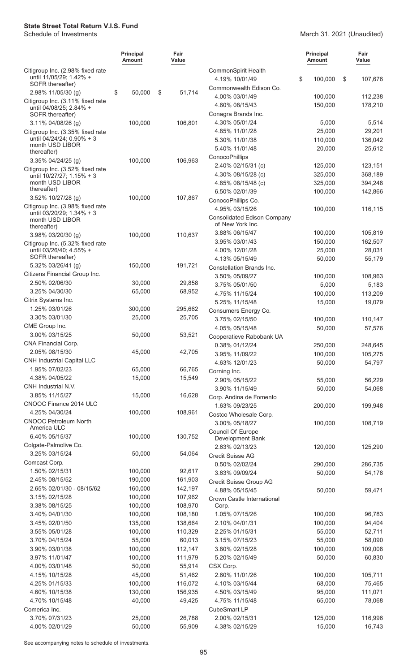#### March 31, 2021 (Unaudited)

|                                                               | <b>Principal</b><br>Amount | Fair<br>Value      |                                                        | <b>Principal</b><br>Amount | Fair<br>Value     |
|---------------------------------------------------------------|----------------------------|--------------------|--------------------------------------------------------|----------------------------|-------------------|
| Citigroup Inc. (2.98% fixed rate                              |                            |                    | CommonSpirit Health                                    |                            |                   |
| until 11/05/29; 1.42% +<br>SOFR thereafter)                   |                            |                    | 4.19% 10/01/49                                         | \$<br>100,000              | \$<br>107,676     |
| 2.98% 11/05/30 (g)                                            | \$<br>50,000               | \$<br>51,714       | Commonwealth Edison Co.                                |                            |                   |
| Citigroup Inc. (3.11% fixed rate                              |                            |                    | 4.00% 03/01/49                                         | 100,000                    | 112,238           |
| until 04/08/25; 2.84% +                                       |                            |                    | 4.60% 08/15/43<br>Conagra Brands Inc.                  | 150,000                    | 178,210           |
| SOFR thereafter)<br>3.11% 04/08/26 (g)                        | 100,000                    | 106,801            | 4.30% 05/01/24                                         | 5,000                      | 5,514             |
| Citigroup Inc. (3.35% fixed rate                              |                            |                    | 4.85% 11/01/28                                         | 25,000                     | 29,201            |
| until 04/24/24; 0.90% + 3                                     |                            |                    | 5.30% 11/01/38                                         | 110,000                    | 136,042           |
| month USD LIBOR                                               |                            |                    | 5.40% 11/01/48                                         | 20,000                     | 25,612            |
| thereafter)                                                   |                            |                    | ConocoPhillips                                         |                            |                   |
| 3.35% 04/24/25 (g)                                            | 100,000                    | 106,963            | 2.40% 02/15/31 (c)                                     | 125,000                    | 123,151           |
| Citigroup Inc. (3.52% fixed rate<br>until 10/27/27; 1.15% + 3 |                            |                    | 4.30% 08/15/28 (c)                                     | 325,000                    | 368,189           |
| month USD LIBOR                                               |                            |                    | 4.85% 08/15/48 (c)                                     | 325,000                    | 394,248           |
| thereafter)                                                   |                            |                    | 6.50% 02/01/39                                         | 100,000                    | 142,866           |
| 3.52% 10/27/28 (g)                                            | 100,000                    | 107,867            | ConocoPhillips Co.                                     |                            |                   |
| Citigroup Inc. (3.98% fixed rate<br>until 03/20/29; 1.34% + 3 |                            |                    | 4.95% 03/15/26                                         | 100,000                    | 116,115           |
| month USD LIBOR<br>thereafter)                                |                            |                    | <b>Consolidated Edison Company</b><br>of New York Inc. |                            |                   |
| 3.98% 03/20/30 (g)                                            | 100,000                    | 110,637            | 3.88% 06/15/47                                         | 100,000                    | 105,819           |
| Citigroup Inc. (5.32% fixed rate                              |                            |                    | 3.95% 03/01/43                                         | 150,000                    | 162,507           |
| until 03/26/40; 4.55% +<br>SOFR thereafter)                   |                            |                    | 4.00% 12/01/28                                         | 25,000                     | 28,031            |
| 5.32% 03/26/41 (g)                                            | 150,000                    | 191,721            | 4.13% 05/15/49                                         | 50,000                     | 55,179            |
| Citizens Financial Group Inc.                                 |                            |                    | Constellation Brands Inc.                              |                            |                   |
| 2.50% 02/06/30                                                | 30,000                     | 29,858             | 3.50% 05/09/27                                         | 100,000                    | 108,963           |
| 3.25% 04/30/30                                                | 65,000                     | 68,952             | 3.75% 05/01/50                                         | 5,000                      | 5,183             |
| Citrix Systems Inc.                                           |                            |                    | 4.75% 11/15/24<br>5.25% 11/15/48                       | 100,000<br>15,000          | 113,209<br>19,079 |
| 1.25% 03/01/26                                                | 300,000                    | 295,662            | Consumers Energy Co.                                   |                            |                   |
| 3.30% 03/01/30                                                | 25,000                     | 25,705             | 3.75% 02/15/50                                         | 100,000                    | 110,147           |
| CME Group Inc.                                                |                            |                    | 4.05% 05/15/48                                         | 50,000                     | 57,576            |
| 3.00% 03/15/25                                                | 50,000                     | 53,521             | Cooperatieve Rabobank UA                               |                            |                   |
| CNA Financial Corp.                                           |                            |                    | 0.38% 01/12/24                                         | 250,000                    | 248,645           |
| 2.05% 08/15/30                                                | 45,000                     | 42,705             | 3.95% 11/09/22                                         | 100,000                    | 105,275           |
| <b>CNH Industrial Capital LLC</b>                             |                            |                    | 4.63% 12/01/23                                         | 50,000                     | 54,797            |
| 1.95% 07/02/23                                                | 65,000                     | 66,765             | Corning Inc.                                           |                            |                   |
| 4.38% 04/05/22                                                | 15,000                     | 15,549             | 2.90% 05/15/22                                         | 55,000                     | 56,229            |
| CNH Industrial N.V.                                           |                            |                    | 3.90% 11/15/49                                         | 50,000                     | 54,068            |
| 3.85% 11/15/27                                                | 15,000                     | 16,628             | Corp. Andina de Fomento                                |                            |                   |
| CNOOC Finance 2014 ULC<br>4.25% 04/30/24                      | 100,000                    | 108,961            | 1.63% 09/23/25                                         | 200,000                    | 199,948           |
| <b>CNOOC Petroleum North</b>                                  |                            |                    | Costco Wholesale Corp.                                 |                            |                   |
| America ULC                                                   |                            |                    | 3.00% 05/18/27                                         | 100,000                    | 108,719           |
| 6.40% 05/15/37                                                | 100,000                    | 130,752            | Council Of Europe<br>Development Bank                  |                            |                   |
| Colgate-Palmolive Co.                                         |                            |                    | 2.63% 02/13/23                                         | 120,000                    | 125,290           |
| 3.25% 03/15/24                                                | 50,000                     | 54,064             | Credit Suisse AG                                       |                            |                   |
| Comcast Corp.                                                 |                            |                    | 0.50% 02/02/24                                         | 290,000                    | 286,735           |
| 1.50% 02/15/31                                                | 100,000                    | 92,617             | 3.63% 09/09/24                                         | 50,000                     | 54,178            |
| 2.45% 08/15/52                                                | 190,000                    | 161,903            | Credit Suisse Group AG                                 |                            |                   |
| 2.65% 02/01/30 - 08/15/62                                     | 160,000                    | 142,197            | 4.88% 05/15/45                                         | 50,000                     | 59,471            |
| 3.15% 02/15/28                                                | 100,000                    | 107,962            | Crown Castle International                             |                            |                   |
| 3.38% 08/15/25                                                | 100,000                    | 108,970            | Corp.                                                  |                            |                   |
| 3.40% 04/01/30                                                | 100,000                    | 108,180            | 1.05% 07/15/26                                         | 100,000                    | 96,783            |
| 3.45% 02/01/50<br>3.55% 05/01/28                              | 135,000<br>100,000         | 138,664<br>110,329 | 2.10% 04/01/31<br>2.25% 01/15/31                       | 100,000<br>55,000          | 94,404            |
| 3.70% 04/15/24                                                | 55,000                     | 60,013             | 3.15% 07/15/23                                         | 55,000                     | 52,711<br>58,090  |
| 3.90% 03/01/38                                                | 100,000                    | 112,147            | 3.80% 02/15/28                                         | 100,000                    | 109,008           |
| 3.97% 11/01/47                                                | 100,000                    | 111,979            | 5.20% 02/15/49                                         | 50,000                     | 60,830            |
| 4.00% 03/01/48                                                | 50,000                     | 55,914             | CSX Corp.                                              |                            |                   |
| 4.15% 10/15/28                                                | 45,000                     | 51,462             | 2.60% 11/01/26                                         | 100,000                    | 105,711           |
| 4.25% 01/15/33                                                | 100,000                    | 116,072            | 4.10% 03/15/44                                         | 68,000                     | 75,465            |
| 4.60% 10/15/38                                                | 130,000                    | 156,935            | 4.50% 03/15/49                                         | 95,000                     | 111,071           |
| 4.70% 10/15/48                                                | 40,000                     | 49,425             | 4.75% 11/15/48                                         | 65,000                     | 78,068            |
| Comerica Inc.                                                 |                            |                    | CubeSmart LP                                           |                            |                   |
| 3.70% 07/31/23                                                | 25,000                     | 26,788             | 2.00% 02/15/31                                         | 125,000                    | 116,996           |
| 4.00% 02/01/29                                                | 50,000                     | 55,909             | 4.38% 02/15/29                                         | 15,000                     | 16,743            |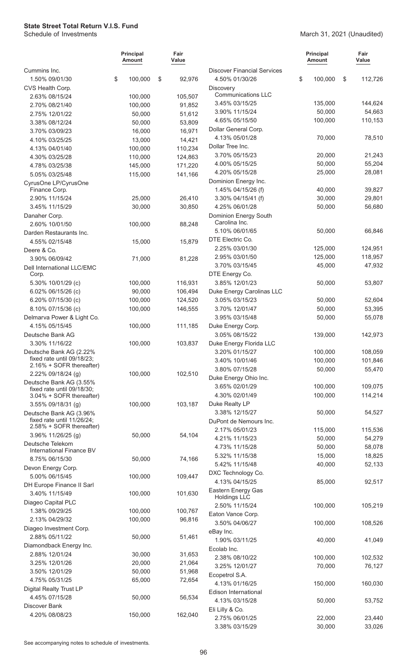March 31, 2021 (Unaudited)

|                                                        |    | <b>Principal</b><br><b>Amount</b> |    | Fair<br>Value     |                                    | <b>Principal</b><br>Amount | Fair<br>Value     |  |
|--------------------------------------------------------|----|-----------------------------------|----|-------------------|------------------------------------|----------------------------|-------------------|--|
| Cummins Inc.                                           |    |                                   |    |                   | <b>Discover Financial Services</b> |                            |                   |  |
| 1.50% 09/01/30                                         | \$ | 100,000                           | \$ | 92,976            | 4.50% 01/30/26                     | \$<br>100,000              | \$<br>112,726     |  |
| CVS Health Corp.                                       |    |                                   |    |                   | Discovery                          |                            |                   |  |
| 2.63% 08/15/24                                         |    | 100,000                           |    | 105,507           | <b>Communications LLC</b>          |                            |                   |  |
| 2.70% 08/21/40                                         |    | 100,000                           |    | 91,852            | 3.45% 03/15/25<br>3.90% 11/15/24   | 135,000<br>50,000          | 144,624<br>54,663 |  |
| 2.75% 12/01/22                                         |    | 50,000                            |    | 51,612            | 4.65% 05/15/50                     | 100,000                    | 110,153           |  |
| 3.38% 08/12/24                                         |    | 50,000                            |    | 53,809            | Dollar General Corp.               |                            |                   |  |
| 3.70% 03/09/23                                         |    | 16,000                            |    | 16,971            | 4.13% 05/01/28                     | 70,000                     | 78,510            |  |
| 4.10% 03/25/25                                         |    | 13,000<br>100,000                 |    | 14,421<br>110,234 | Dollar Tree Inc.                   |                            |                   |  |
| 4.13% 04/01/40<br>4.30% 03/25/28                       |    | 110,000                           |    | 124,863           | 3.70% 05/15/23                     | 20,000                     | 21,243            |  |
| 4.78% 03/25/38                                         |    | 145,000                           |    | 171,220           | 4.00% 05/15/25                     | 50,000                     | 55,204            |  |
| 5.05% 03/25/48                                         |    | 115,000                           |    | 141,166           | 4.20% 05/15/28                     | 25,000                     | 28,081            |  |
| CyrusOne LP/CyrusOne                                   |    |                                   |    |                   | Dominion Energy Inc.               |                            |                   |  |
| Finance Corp.                                          |    |                                   |    |                   | 1.45% 04/15/26 (f)                 | 40,000                     | 39,827            |  |
| 2.90% 11/15/24                                         |    | 25,000                            |    | 26,410            | 3.30% 04/15/41 (f)                 | 30,000                     | 29,801            |  |
| 3.45% 11/15/29                                         |    | 30,000                            |    | 30,850            | 4.25% 06/01/28                     | 50,000                     | 56,680            |  |
| Danaher Corp.                                          |    |                                   |    |                   | Dominion Energy South              |                            |                   |  |
| 2.60% 10/01/50                                         |    | 100,000                           |    | 88,248            | Carolina Inc.                      |                            |                   |  |
| Darden Restaurants Inc.                                |    |                                   |    |                   | 5.10% 06/01/65                     | 50,000                     | 66,846            |  |
| 4.55% 02/15/48                                         |    | 15,000                            |    | 15,879            | DTE Electric Co.<br>2.25% 03/01/30 | 125,000                    | 124,951           |  |
| Deere & Co.                                            |    |                                   |    |                   | 2.95% 03/01/50                     | 125,000                    | 118,957           |  |
| 3.90% 06/09/42                                         |    | 71,000                            |    | 81,228            | 3.70% 03/15/45                     | 45,000                     | 47,932            |  |
| Dell International LLC/EMC<br>Corp.                    |    |                                   |    |                   | DTE Energy Co.                     |                            |                   |  |
| 5.30% 10/01/29 (c)                                     |    | 100,000                           |    | 116,931           | 3.85% 12/01/23                     | 50,000                     | 53,807            |  |
| 6.02% 06/15/26 (c)                                     |    | 90,000                            |    | 106,494           | Duke Energy Carolinas LLC          |                            |                   |  |
| 6.20% 07/15/30 (c)                                     |    | 100,000                           |    | 124,520           | 3.05% 03/15/23                     | 50,000                     | 52,604            |  |
| 8.10% 07/15/36 (c)                                     |    | 100,000                           |    | 146,555           | 3.70% 12/01/47                     | 50,000                     | 53,395            |  |
| Delmarva Power & Light Co.                             |    |                                   |    |                   | 3.95% 03/15/48                     | 50,000                     | 55,078            |  |
| 4.15% 05/15/45                                         |    | 100,000                           |    | 111,185           | Duke Energy Corp.                  |                            |                   |  |
| Deutsche Bank AG                                       |    |                                   |    |                   | 3.05% 08/15/22                     | 139,000                    | 142,973           |  |
| 3.30% 11/16/22                                         |    | 100,000                           |    | 103,837           | Duke Energy Florida LLC            |                            |                   |  |
| Deutsche Bank AG (2.22%                                |    |                                   |    |                   | 3.20% 01/15/27                     | 100,000                    | 108,059           |  |
| fixed rate until 09/18/23;<br>2.16% + SOFR thereafter) |    |                                   |    |                   | 3.40% 10/01/46                     | 100,000                    | 101,846           |  |
| 2.22% 09/18/24 (g)                                     |    | 100,000                           |    | 102,510           | 3.80% 07/15/28                     | 50,000                     | 55,470            |  |
| Deutsche Bank AG (3.55%                                |    |                                   |    |                   | Duke Energy Ohio Inc.              |                            |                   |  |
| fixed rate until 09/18/30;                             |    |                                   |    |                   | 3.65% 02/01/29                     | 100,000                    | 109,075           |  |
| 3.04% + SOFR thereafter)                               |    |                                   |    |                   | 4.30% 02/01/49<br>Duke Realty LP   | 100,000                    | 114,214           |  |
| 3.55% 09/18/31 (g)                                     |    | 100,000                           |    | 103,187           | 3.38% 12/15/27                     | 50,000                     | 54,527            |  |
| Deutsche Bank AG (3.96%<br>fixed rate until 11/26/24;  |    |                                   |    |                   | DuPont de Nemours Inc.             |                            |                   |  |
| 2.58% + SOFR thereafter)                               |    |                                   |    |                   | 2.17% 05/01/23                     | 115,000                    | 115,536           |  |
| 3.96% 11/26/25 (g)                                     |    | 50,000                            |    | 54,104            | 4.21% 11/15/23                     | 50,000                     | 54,279            |  |
| Deutsche Telekom                                       |    |                                   |    |                   | 4.73% 11/15/28                     | 50,000                     | 58,078            |  |
| International Finance BV                               |    |                                   |    |                   | 5.32% 11/15/38                     | 15,000                     | 18,825            |  |
| 8.75% 06/15/30<br>Devon Energy Corp.                   |    | 50,000                            |    | 74,166            | 5.42% 11/15/48                     | 40,000                     | 52,133            |  |
| 5.00% 06/15/45                                         |    | 100,000                           |    | 109,447           | DXC Technology Co.                 |                            |                   |  |
| DH Europe Finance II Sarl                              |    |                                   |    |                   | 4.13% 04/15/25                     | 85,000                     | 92,517            |  |
| 3.40% 11/15/49                                         |    | 100,000                           |    | 101,630           | Eastern Energy Gas                 |                            |                   |  |
| Diageo Capital PLC                                     |    |                                   |    |                   | <b>Holdings LLC</b>                |                            |                   |  |
| 1.38% 09/29/25                                         |    | 100,000                           |    | 100,767           | 2.50% 11/15/24                     | 100,000                    | 105,219           |  |
| 2.13% 04/29/32                                         |    | 100,000                           |    | 96,816            | Eaton Vance Corp.                  |                            |                   |  |
| Diageo Investment Corp.                                |    |                                   |    |                   | 3.50% 04/06/27<br>eBay Inc.        | 100,000                    | 108,526           |  |
| 2.88% 05/11/22                                         |    | 50,000                            |    | 51,461            | 1.90% 03/11/25                     | 40,000                     | 41,049            |  |
| Diamondback Energy Inc.                                |    |                                   |    |                   | Ecolab Inc.                        |                            |                   |  |
| 2.88% 12/01/24                                         |    | 30,000                            |    | 31,653            | 2.38% 08/10/22                     | 100,000                    | 102,532           |  |
| 3.25% 12/01/26                                         |    | 20,000                            |    | 21,064            | 3.25% 12/01/27                     | 70,000                     | 76,127            |  |
| 3.50% 12/01/29                                         |    | 50,000                            |    | 51,968            | Ecopetrol S.A.                     |                            |                   |  |
| 4.75% 05/31/25                                         |    | 65,000                            |    | 72,654            | 4.13% 01/16/25                     | 150,000                    | 160,030           |  |
| Digital Realty Trust LP                                |    |                                   |    |                   | Edison International               |                            |                   |  |
| 4.45% 07/15/28                                         |    | 50,000                            |    | 56,534            | 4.13% 03/15/28                     | 50,000                     | 53,752            |  |
| Discover Bank                                          |    |                                   |    |                   | Eli Lilly & Co.                    |                            |                   |  |
| 4.20% 08/08/23                                         |    | 150,000                           |    | 162,040           | 2.75% 06/01/25                     | 22,000                     | 23,440            |  |
|                                                        |    |                                   |    |                   | 3.38% 03/15/29                     | 30,000                     | 33,026            |  |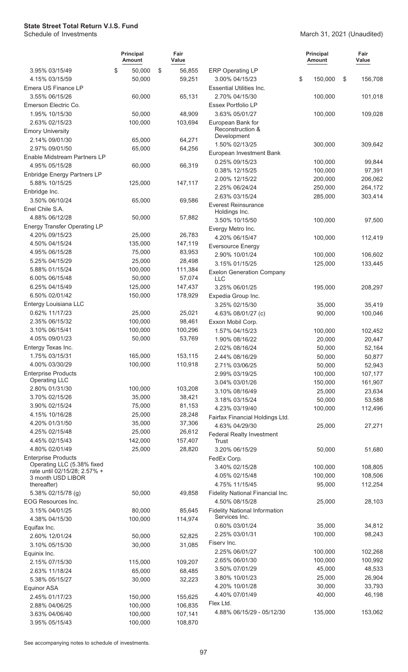#### March 31, 2021 (Unaudited)

|                                                            | <b>Principal</b><br>Amount | Fair<br>Value |                                                       | <b>Principal</b><br>Amount | Fair<br>Value    |
|------------------------------------------------------------|----------------------------|---------------|-------------------------------------------------------|----------------------------|------------------|
| 3.95% 03/15/49                                             | \$<br>50,000               | \$<br>56,855  | <b>ERP Operating LP</b>                               |                            |                  |
| 4.15% 03/15/59                                             | 50,000                     | 59,251        | 3.00% 04/15/23                                        | \$<br>150,000              | \$<br>156,708    |
| Emera US Finance LP                                        |                            |               | <b>Essential Utilities Inc.</b>                       |                            |                  |
| 3.55% 06/15/26                                             | 60,000                     | 65,131        | 2.70% 04/15/30                                        | 100,000                    | 101,018          |
| Emerson Electric Co.                                       |                            |               | Essex Portfolio LP                                    |                            |                  |
| 1.95% 10/15/30                                             | 50,000                     | 48,909        | 3.63% 05/01/27                                        | 100,000                    | 109,028          |
| 2.63% 02/15/23                                             | 100,000                    | 103,694       | European Bank for<br>Reconstruction &                 |                            |                  |
| <b>Emory University</b>                                    |                            |               | Development                                           |                            |                  |
| 2.14% 09/01/30                                             | 65,000                     | 64,271        | 1.50% 02/13/25                                        | 300,000                    | 309,642          |
| 2.97% 09/01/50<br>Enable Midstream Partners LP             | 65,000                     | 64,256        | European Investment Bank                              |                            |                  |
| 4.95% 05/15/28                                             | 60,000                     | 66,319        | 0.25% 09/15/23                                        | 100,000                    | 99,844           |
| <b>Enbridge Energy Partners LP</b>                         |                            |               | 0.38% 12/15/25                                        | 100,000                    | 97,391           |
| 5.88% 10/15/25                                             | 125,000                    | 147,117       | 2.00% 12/15/22                                        | 200,000                    | 206,062          |
| Enbridge Inc.                                              |                            |               | 2.25% 06/24/24                                        | 250,000                    | 264,172          |
| 3.50% 06/10/24                                             | 65,000                     | 69,586        | 2.63% 03/15/24                                        | 285,000                    | 303,414          |
| Enel Chile S.A.                                            |                            |               | <b>Everest Reinsurance</b>                            |                            |                  |
| 4.88% 06/12/28                                             | 50,000                     | 57,882        | Holdings Inc.<br>3.50% 10/15/50                       | 100,000                    | 97,500           |
| <b>Energy Transfer Operating LP</b>                        |                            |               | Evergy Metro Inc.                                     |                            |                  |
| 4.20% 09/15/23                                             | 25,000                     | 26,783        | 4.20% 06/15/47                                        | 100,000                    | 112,419          |
| 4.50% 04/15/24                                             | 135,000                    | 147,119       | <b>Eversource Energy</b>                              |                            |                  |
| 4.95% 06/15/28                                             | 75,000                     | 83,953        | 2.90% 10/01/24                                        | 100,000                    | 106,602          |
| 5.25% 04/15/29                                             | 25,000                     | 28,498        | 3.15% 01/15/25                                        | 125,000                    | 133,445          |
| 5.88% 01/15/24                                             | 100,000                    | 111,384       | <b>Exelon Generation Company</b>                      |                            |                  |
| 6.00% 06/15/48                                             | 50,000                     | 57,074        | LLC                                                   |                            |                  |
| 6.25% 04/15/49                                             | 125,000                    | 147,437       | 3.25% 06/01/25                                        | 195,000                    | 208,297          |
| 6.50% 02/01/42                                             | 150,000                    | 178,929       | Expedia Group Inc.                                    |                            |                  |
| Entergy Louisiana LLC                                      |                            |               | 3.25% 02/15/30                                        | 35,000                     | 35,419           |
| 0.62% 11/17/23                                             | 25,000                     | 25,021        | 4.63% 08/01/27 (c)                                    | 90,000                     | 100,046          |
| 2.35% 06/15/32                                             | 100,000                    | 98,461        | Exxon Mobil Corp.                                     |                            |                  |
| 3.10% 06/15/41                                             | 100,000                    | 100,296       | 1.57% 04/15/23                                        | 100,000                    | 102,452          |
| 4.05% 09/01/23                                             | 50,000                     | 53,769        | 1.90% 08/16/22                                        | 20,000                     | 20,447           |
| Entergy Texas Inc.                                         |                            |               | 2.02% 08/16/24                                        | 50,000                     | 52,164           |
| 1.75% 03/15/31                                             | 165,000                    | 153,115       | 2.44% 08/16/29                                        | 50,000                     | 50,877           |
| 4.00% 03/30/29                                             | 100,000                    | 110,918       | 2.71% 03/06/25                                        | 50,000                     | 52,943           |
| <b>Enterprise Products</b><br><b>Operating LLC</b>         |                            |               | 2.99% 03/19/25                                        | 100,000<br>150,000         | 107,177          |
| 2.80% 01/31/30                                             | 100,000                    | 103,208       | 3.04% 03/01/26<br>3.10% 08/16/49                      | 25,000                     | 161,907          |
| 3.70% 02/15/26                                             | 35,000                     | 38,421        | 3.18% 03/15/24                                        | 50,000                     | 23,634<br>53,588 |
| 3.90% 02/15/24                                             | 75,000                     | 81,153        | 4.23% 03/19/40                                        | 100,000                    | 112,496          |
| 4.15% 10/16/28                                             | 25,000                     | 28,248        | Fairfax Financial Holdings Ltd.                       |                            |                  |
| 4.20% 01/31/50                                             | 35,000                     | 37,306        | 4.63% 04/29/30                                        | 25,000                     | 27,271           |
| 4.25% 02/15/48                                             | 25,000                     | 26,612        | <b>Federal Realty Investment</b>                      |                            |                  |
| 4.45% 02/15/43                                             | 142,000                    | 157,407       | Trust                                                 |                            |                  |
| 4.80% 02/01/49                                             | 25,000                     | 28,820        | 3.20% 06/15/29                                        | 50,000                     | 51,680           |
| <b>Enterprise Products</b>                                 |                            |               | FedEx Corp.                                           |                            |                  |
| Operating LLC (5.38% fixed<br>rate until 02/15/28; 2.57% + |                            |               | 3.40% 02/15/28                                        | 100,000                    | 108,805          |
| 3 month USD LIBOR                                          |                            |               | 4.05% 02/15/48                                        | 100,000                    | 108,506          |
| thereafter)                                                |                            |               | 4.75% 11/15/45                                        | 95,000                     | 112,254          |
| 5.38% 02/15/78 (g)                                         | 50,000                     | 49,858        | Fidelity National Financial Inc.                      |                            |                  |
| EOG Resources Inc.                                         |                            |               | 4.50% 08/15/28                                        | 25,000                     | 28,103           |
| 3.15% 04/01/25                                             | 80,000                     | 85,645        | <b>Fidelity National Information</b><br>Services Inc. |                            |                  |
| 4.38% 04/15/30<br>Equifax Inc.                             | 100,000                    | 114,974       | 0.60% 03/01/24                                        | 35,000                     | 34,812           |
| 2.60% 12/01/24                                             | 50,000                     | 52,825        | 2.25% 03/01/31                                        | 100,000                    | 98,243           |
| 3.10% 05/15/30                                             | 30,000                     | 31,085        | Fiserv Inc.                                           |                            |                  |
| Equinix Inc.                                               |                            |               | 2.25% 06/01/27                                        | 100,000                    | 102,268          |
| 2.15% 07/15/30                                             | 115,000                    | 109,207       | 2.65% 06/01/30                                        | 100,000                    | 100,992          |
| 2.63% 11/18/24                                             | 65,000                     | 68,485        | 3.50% 07/01/29                                        | 45,000                     | 48,533           |
| 5.38% 05/15/27                                             | 30,000                     | 32,223        | 3.80% 10/01/23                                        | 25,000                     | 26,904           |
| Equinor ASA                                                |                            |               | 4.20% 10/01/28                                        | 30,000                     | 33,793           |
| 2.45% 01/17/23                                             | 150,000                    | 155,625       | 4.40% 07/01/49                                        | 40,000                     | 46,198           |
| 2.88% 04/06/25                                             | 100,000                    | 106,835       | Flex Ltd.                                             |                            |                  |
| 3.63% 04/06/40                                             | 100,000                    | 107,141       | 4.88% 06/15/29 - 05/12/30                             | 135,000                    | 153,062          |
| 3.95% 05/15/43                                             | 100,000                    | 108,870       |                                                       |                            |                  |
|                                                            |                            |               |                                                       |                            |                  |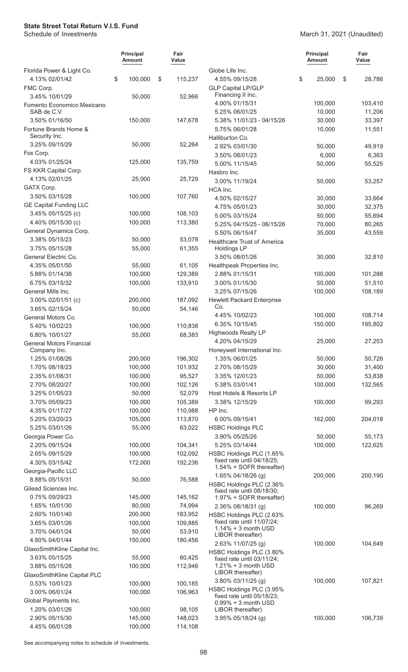### March 31, 2021 (Unaudited)

|                                           | <b>Principal</b><br>Amount | Fair<br>Value      |                                                        | <b>Principal</b><br>Amount | Fair<br>Value |
|-------------------------------------------|----------------------------|--------------------|--------------------------------------------------------|----------------------------|---------------|
| Florida Power & Light Co.                 |                            |                    | Globe Life Inc.                                        |                            |               |
| 4.13% 02/01/42                            | \$<br>100,000              | \$<br>115,237      | 4.55% 09/15/28                                         | \$<br>25,000               | \$<br>28,786  |
| FMC Corp.                                 |                            |                    | <b>GLP Capital LP/GLP</b>                              |                            |               |
| 3.45% 10/01/29                            | 50,000                     | 52,966             | Financing II Inc.                                      |                            |               |
| Fomento Economico Mexicano<br>SAB de C.V. |                            |                    | 4.00% 01/15/31                                         | 100,000<br>10,000          | 103,410       |
|                                           |                            |                    | 5.25% 06/01/25                                         |                            | 11,206        |
| 3.50% 01/16/50<br>Fortune Brands Home &   | 150,000                    | 147,678            | 5.38% 11/01/23 - 04/15/26<br>5.75% 06/01/28            | 30,000<br>10,000           | 33,397        |
| Security Inc.                             |                            |                    | Halliburton Co.                                        |                            | 11,551        |
| 3.25% 09/15/29                            | 50,000                     | 52,264             | 2.92% 03/01/30                                         | 50,000                     | 49,919        |
| Fox Corp.                                 |                            |                    | 3.50% 08/01/23                                         | 6,000                      | 6,363         |
| 4.03% 01/25/24                            | 125,000                    | 135,759            | 5.00% 11/15/45                                         | 50,000                     | 55,525        |
| FS KKR Capital Corp.                      |                            |                    | Hasbro Inc.                                            |                            |               |
| 4.13% 02/01/25                            | 25,000                     | 25,729             | 3.00% 11/19/24                                         | 50,000                     | 53,257        |
| GATX Corp.                                |                            |                    | HCA Inc.                                               |                            |               |
| 3.50% 03/15/28                            | 100,000                    | 107,760            | 4.50% 02/15/27                                         | 30,000                     | 33,664        |
| <b>GE Capital Funding LLC</b>             |                            |                    | 4.75% 05/01/23                                         | 30,000                     | 32,375        |
| 3.45% 05/15/25 (c)                        | 100,000                    | 108,103            | 5.00% 03/15/24                                         | 50,000                     | 55,694        |
| 4.40% 05/15/30 (c)                        | 100,000                    | 113,380            | 5.25% 04/15/25 - 06/15/26                              | 70,000                     | 80,265        |
| General Dynamics Corp.                    |                            |                    | 5.50% 06/15/47                                         | 35,000                     | 43,559        |
| 3.38% 05/15/23                            | 50,000                     | 53,078             | Healthcare Trust of America                            |                            |               |
| 3.75% 05/15/28                            | 55,000                     | 61,355             | <b>Holdings LP</b>                                     |                            |               |
| General Electric Co.                      |                            |                    | 3.50% 08/01/26                                         | 30,000                     | 32,810        |
| 4.35% 05/01/50                            | 55,000                     | 61,105             | Healthpeak Properties Inc.                             |                            |               |
| 5.88% 01/14/38                            | 100,000                    | 129,389            | 2.88% 01/15/31                                         | 100,000                    | 101,288       |
| 6.75% 03/15/32                            | 100,000                    | 133,910            | 3.00% 01/15/30                                         | 50,000                     | 51,510        |
| General Mills Inc.                        |                            |                    | 3.25% 07/15/26                                         | 100,000                    | 108,189       |
| 3.00% 02/01/51 (c)                        | 200,000                    | 187,092            | <b>Hewlett Packard Enterprise</b>                      |                            |               |
| 3.65% 02/15/24                            | 50,000                     | 54,146             | Co.                                                    |                            |               |
| General Motors Co.                        |                            |                    | 4.45% 10/02/23                                         | 100,000                    | 108,714       |
| 5.40% 10/02/23                            | 100,000                    | 110,838            | 6.35% 10/15/45                                         | 150,000                    | 195,802       |
| 6.80% 10/01/27                            | 55,000                     | 68,383             | <b>Highwoods Realty LP</b>                             |                            |               |
| <b>General Motors Financial</b>           |                            |                    | 4.20% 04/15/29                                         | 25,000                     | 27,253        |
| Company Inc.                              |                            |                    | Honeywell International Inc.                           |                            |               |
| 1.25% 01/08/26                            | 200,000                    | 196,302            | 1.35% 06/01/25                                         | 50,000                     | 50,726        |
| 1.70% 08/18/23                            | 100,000                    | 101,932            | 2.70% 08/15/29                                         | 30,000                     | 31,400        |
| 2.35% 01/08/31                            | 100,000                    | 95,527             | 3.35% 12/01/23                                         | 50,000                     | 53,838        |
| 2.70% 08/20/27                            | 100,000                    | 102,126            | 5.38% 03/01/41                                         | 100,000                    | 132,565       |
| 3.25% 01/05/23                            | 50,000                     | 52,079             | Host Hotels & Resorts LP                               |                            |               |
| 3.70% 05/09/23                            | 100,000                    | 105,389            | 3.38% 12/15/29                                         | 100,000                    | 99,293        |
| 4.35% 01/17/27                            | 100,000                    | 110,988            | HP Inc.                                                |                            |               |
| 5.20% 03/20/23                            | 105,000                    | 113,870            | 6.00% 09/15/41                                         | 162,000                    | 204,018       |
| 5.25% 03/01/26                            | 55,000                     | 63,022             | <b>HSBC Holdings PLC</b>                               |                            |               |
| Georgia Power Co.                         |                            |                    | 3.90% 05/25/26                                         | 50,000                     | 55,173        |
| 2.20% 09/15/24<br>2.65% 09/15/29          | 100,000<br>100,000         | 104,341<br>102,092 | 5.25% 03/14/44<br>HSBC Holdings PLC (1.65%             | 100,000                    | 122,625       |
| 4.30% 03/15/42                            | 172,000                    | 192,236            | fixed rate until 04/18/25;                             |                            |               |
| Georgia-Pacific LLC                       |                            |                    | 1.54% + SOFR thereafter)                               |                            |               |
| 8.88% 05/15/31                            | 50,000                     | 76,588             | 1.65% 04/18/26 (g)                                     | 200,000                    | 200,190       |
| Gilead Sciences Inc.                      |                            |                    | HSBC Holdings PLC (2.36%                               |                            |               |
| 0.75% 09/29/23                            | 145,000                    | 145,162            | fixed rate until 08/18/30;                             |                            |               |
| 1.65% 10/01/30                            | 80,000                     | 74,994             | 1.97% + SOFR thereafter)                               |                            |               |
| 2.60% 10/01/40                            | 200,000                    | 183,952            | 2.36% 08/18/31 (g)                                     | 100,000                    | 96,269        |
| 3.65% 03/01/26                            | 100,000                    | 109,885            | HSBC Holdings PLC (2.63%<br>fixed rate until 11/07/24; |                            |               |
| 3.70% 04/01/24                            | 50,000                     | 53,910             | $1.14\% + 3$ month USD                                 |                            |               |
| 4.80% 04/01/44                            | 150,000                    | 180,456            | LIBOR thereafter)                                      |                            |               |
| GlaxoSmithKline Capital Inc.              |                            |                    | 2.63% 11/07/25 (g)                                     | 100,000                    | 104,649       |
| 3.63% 05/15/25                            | 55,000                     | 60,425             | HSBC Holdings PLC (3.80%                               |                            |               |
| 3.88% 05/15/28                            | 100,000                    | 112,946            | fixed rate until 03/11/24;<br>$1.21\% + 3$ month USD   |                            |               |
| GlaxoSmithKline Capital PLC               |                            |                    | LIBOR thereafter)                                      |                            |               |
| 0.53% 10/01/23                            | 100,000                    | 100,185            | 3.80% 03/11/25 (g)                                     | 100,000                    | 107,821       |
| 3.00% 06/01/24                            | 100,000                    | 106,963            | HSBC Holdings PLC (3.95%                               |                            |               |
| Global Payments Inc.                      |                            |                    | fixed rate until 05/18/23;                             |                            |               |
| 1.20% 03/01/26                            | 100,000                    | 98,105             | $0.99\% + 3$ month USD<br>LIBOR thereafter)            |                            |               |
| 2.90% 05/15/30                            | 145,000                    | 148,023            | 3.95% 05/18/24 (g)                                     | 100,000                    | 106,739       |
| 4.45% 06/01/28                            | 100,000                    | 114,108            |                                                        |                            |               |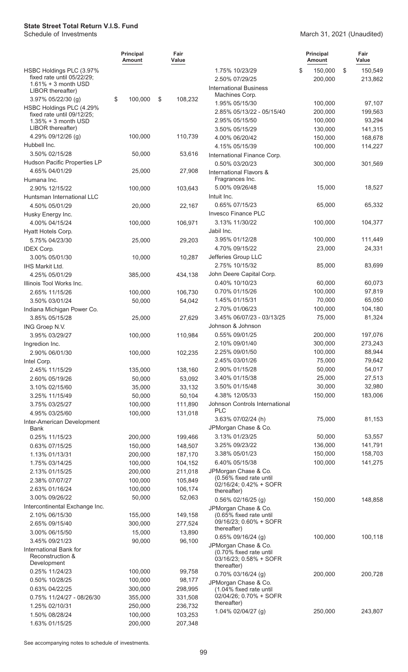#### March 31, 2021 (Unaudited)

|                                             | <b>Principal</b><br><b>Amount</b> | Fair<br>Value      |                                                   | <b>Principal</b><br>Amount | Fair<br>Value |
|---------------------------------------------|-----------------------------------|--------------------|---------------------------------------------------|----------------------------|---------------|
| HSBC Holdings PLC (3.97%                    |                                   |                    | 1.75% 10/23/29                                    | \$<br>150,000              | \$<br>150,549 |
| fixed rate until 05/22/29;                  |                                   |                    | 2.50% 07/29/25                                    | 200,000                    | 213,862       |
| $1.61\% + 3$ month USD<br>LIBOR thereafter) |                                   |                    | <b>International Business</b>                     |                            |               |
| 3.97% 05/22/30 (g)                          | \$<br>100,000                     | \$<br>108,232      | Machines Corp.                                    |                            |               |
| HSBC Holdings PLC (4.29%                    |                                   |                    | 1.95% 05/15/30                                    | 100,000                    | 97,107        |
| fixed rate until 09/12/25;                  |                                   |                    | 2.85% 05/13/22 - 05/15/40                         | 200,000                    | 199,563       |
| $1.35\% + 3$ month USD                      |                                   |                    | 2.95% 05/15/50                                    | 100,000                    | 93,294        |
| LIBOR thereafter)                           |                                   |                    | 3.50% 05/15/29                                    | 130,000                    | 141,315       |
| 4.29% 09/12/26 (g)<br>Hubbell Inc.          | 100,000                           | 110,739            | 4.00% 06/20/42                                    | 150,000                    | 168,678       |
|                                             |                                   |                    | 4.15% 05/15/39                                    | 100,000                    | 114,227       |
| 3.50% 02/15/28                              | 50,000                            | 53,616             | International Finance Corp.                       |                            |               |
| Hudson Pacific Properties LP                |                                   |                    | 0.50% 03/20/23                                    | 300,000                    | 301,569       |
| 4.65% 04/01/29                              | 25,000                            | 27,908             | International Flavors &<br>Fragrances Inc.        |                            |               |
| Humana Inc.<br>2.90% 12/15/22               |                                   | 103,643            | 5.00% 09/26/48                                    | 15,000                     | 18,527        |
| Huntsman International LLC                  | 100,000                           |                    | Intuit Inc.                                       |                            |               |
| 4.50% 05/01/29                              | 20,000                            | 22,167             | 0.65% 07/15/23                                    | 65,000                     | 65,332        |
| Husky Energy Inc.                           |                                   |                    | Invesco Finance PLC                               |                            |               |
| 4.00% 04/15/24                              | 100,000                           | 106,971            | 3.13% 11/30/22                                    | 100,000                    | 104,377       |
| Hyatt Hotels Corp.                          |                                   |                    | Jabil Inc.                                        |                            |               |
| 5.75% 04/23/30                              | 25,000                            | 29,203             | 3.95% 01/12/28                                    | 100,000                    | 111,449       |
| <b>IDEX Corp.</b>                           |                                   |                    | 4.70% 09/15/22                                    | 23,000                     | 24,331        |
| 3.00% 05/01/30                              | 10,000                            | 10,287             | Jefferies Group LLC                               |                            |               |
| <b>IHS Markit Ltd.</b>                      |                                   |                    | 2.75% 10/15/32                                    | 85,000                     | 83,699        |
| 4.25% 05/01/29                              |                                   |                    | John Deere Capital Corp.                          |                            |               |
| Illinois Tool Works Inc.                    | 385,000                           | 434,138            | 0.40% 10/10/23                                    | 60,000                     | 60,073        |
| 2.65% 11/15/26                              | 100,000                           | 106,730            | 0.70% 01/15/26                                    | 100,000                    | 97,819        |
| 3.50% 03/01/24                              |                                   | 54,042             | 1.45% 01/15/31                                    | 70,000                     | 65,050        |
| Indiana Michigan Power Co.                  | 50,000                            |                    | 2.70% 01/06/23                                    | 100,000                    | 104,180       |
| 3.85% 05/15/28                              | 25,000                            | 27,629             | 3.45% 06/07/23 - 03/13/25                         | 75,000                     | 81,324        |
|                                             |                                   |                    | Johnson & Johnson                                 |                            |               |
| ING Groep N.V.<br>3.95% 03/29/27            | 100,000                           | 110,984            | 0.55% 09/01/25                                    | 200,000                    | 197,076       |
| Ingredion Inc.                              |                                   |                    | 2.10% 09/01/40                                    | 300,000                    | 273,243       |
| 2.90% 06/01/30                              | 100,000                           | 102,235            | 2.25% 09/01/50                                    | 100,000                    | 88,944        |
| Intel Corp.                                 |                                   |                    | 2.45% 03/01/26                                    | 75,000                     | 79,642        |
| 2.45% 11/15/29                              | 135,000                           | 138,160            | 2.90% 01/15/28                                    | 50,000                     | 54,017        |
| 2.60% 05/19/26                              | 50,000                            | 53,092             | 3.40% 01/15/38                                    | 25,000                     | 27,513        |
| 3.10% 02/15/60                              | 35,000                            | 33,132             | 3.50% 01/15/48                                    | 30,000                     | 32,980        |
| 3.25% 11/15/49                              | 50,000                            | 50,104             | 4.38% 12/05/33                                    | 150,000                    | 183,006       |
| 3.75% 03/25/27                              | 100,000                           | 111,890            | Johnson Controls International                    |                            |               |
| 4.95% 03/25/60                              | 100,000                           | 131,018            | <b>PLC</b>                                        |                            |               |
| Inter-American Development                  |                                   |                    | 3.63% 07/02/24 (h)                                | 75,000                     | 81,153        |
| Bank                                        |                                   |                    | JPMorgan Chase & Co.                              |                            |               |
| 0.25% 11/15/23                              | 200,000                           | 199,466            | 3.13% 01/23/25                                    | 50,000                     | 53,557        |
| 0.63% 07/15/25                              | 150,000                           | 148,507            | 3.25% 09/23/22                                    | 136,000                    | 141,791       |
| 1.13% 01/13/31                              | 200,000                           | 187,170            | 3.38% 05/01/23                                    | 150,000                    | 158,703       |
| 1.75% 03/14/25                              | 100,000                           | 104,152            | 6.40% 05/15/38                                    | 100,000                    | 141,275       |
| 2.13% 01/15/25                              | 200,000                           | 211,018            | JPMorgan Chase & Co.                              |                            |               |
| 2.38% 07/07/27                              | 100,000                           | 105,849            | (0.56% fixed rate until<br>02/16/24; 0.42% + SOFR |                            |               |
| 2.63% 01/16/24                              | 100,000                           | 106,174            | thereafter)                                       |                            |               |
| 3.00% 09/26/22                              | 50,000                            | 52,063             | 0.56% 02/16/25 (g)                                | 150,000                    | 148,858       |
| Intercontinental Exchange Inc.              |                                   |                    | JPMorgan Chase & Co.                              |                            |               |
| 2.10% 06/15/30                              | 155,000                           | 149,158            | (0.65% fixed rate until                           |                            |               |
| 2.65% 09/15/40                              | 300,000                           | 277,524            | 09/16/23; 0.60% + SOFR                            |                            |               |
| 3.00% 06/15/50                              | 15,000                            | 13,890             | thereafter)                                       |                            |               |
| 3.45% 09/21/23                              | 90,000                            | 96,100             | 0.65% 09/16/24 (g)<br>JPMorgan Chase & Co.        | 100,000                    | 100,118       |
| International Bank for                      |                                   |                    | (0.70% fixed rate until                           |                            |               |
| Reconstruction &                            |                                   |                    | 03/16/23; 0.58% + SOFR                            |                            |               |
| Development                                 | 100,000                           | 99,758             | thereafter)                                       |                            |               |
| 0.25% 11/24/23                              | 100,000                           |                    | 0.70% 03/16/24 (g)                                | 200,000                    | 200,728       |
| 0.50% 10/28/25                              |                                   | 98,177             | JPMorgan Chase & Co.                              |                            |               |
| 0.63% 04/22/25<br>0.75% 11/24/27 - 08/26/30 | 300,000                           | 298,995            | (1.04% fixed rate until<br>02/04/26; 0.70% + SOFR |                            |               |
| 1.25% 02/10/31                              | 355,000<br>250,000                | 331,508<br>236,732 | thereafter)                                       |                            |               |
| 1.50% 08/28/24                              | 100,000                           | 103,253            | 1.04% 02/04/27 (g)                                | 250,000                    | 243,807       |
| 1.63% 01/15/25                              | 200,000                           | 207,348            |                                                   |                            |               |
|                                             |                                   |                    |                                                   |                            |               |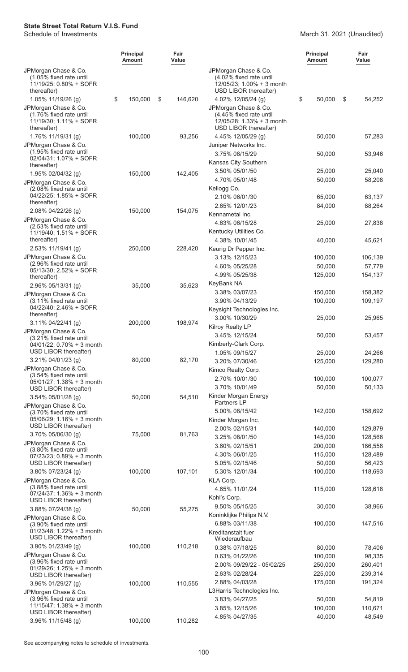#### March 31, 2021 (Unaudited)

|                                                                                                                | <b>Principal</b><br>Amount |        | Fair<br>Value |                                                                                                                             | <b>Principal</b><br>Amount | Fair<br>Value      |  |
|----------------------------------------------------------------------------------------------------------------|----------------------------|--------|---------------|-----------------------------------------------------------------------------------------------------------------------------|----------------------------|--------------------|--|
| JPMorgan Chase & Co.<br>(1.05% fixed rate until<br>11/19/25; 0.80% + SOFR<br>thereafter)                       |                            |        |               | JPMorgan Chase & Co.<br>(4.02% fixed rate until<br>12/05/23; 1.00% + 3 month<br>USD LIBOR thereafter)                       |                            |                    |  |
| 1.05% 11/19/26 (g)<br>JPMorgan Chase & Co.<br>(1.76% fixed rate until<br>11/19/30; 1.11% + SOFR<br>thereafter) | \$<br>150,000              | \$     | 146,620       | 4.02% 12/05/24 (g)<br>JPMorgan Chase & Co.<br>(4.45% fixed rate until<br>12/05/28; 1.33% + 3 month<br>USD LIBOR thereafter) | \$<br>50,000               | S<br>54,252        |  |
| 1.76% 11/19/31 (g)<br>JPMorgan Chase & Co.<br>(1.95% fixed rate until                                          | 100,000                    |        | 93,256        | 4.45% 12/05/29 (g)<br>Juniper Networks Inc.<br>3.75% 08/15/29                                                               | 50,000<br>50,000           | 57,283<br>53,946   |  |
| 02/04/31; 1.07% + SOFR<br>thereafter)                                                                          |                            |        |               | Kansas City Southern                                                                                                        |                            |                    |  |
| 1.95% 02/04/32 (g)<br>JPMorgan Chase & Co.<br>(2.08% fixed rate until<br>04/22/25; 1.85% + SOFR                | 150,000                    |        | 142,405       | 3.50% 05/01/50<br>4.70% 05/01/48<br>Kellogg Co.                                                                             | 25,000<br>50,000           | 25,040<br>58,208   |  |
| thereafter)<br>2.08% 04/22/26 (g)                                                                              | 150,000                    |        | 154,075       | 2.10% 06/01/30<br>2.65% 12/01/23                                                                                            | 65,000<br>84,000           | 63,137<br>88,264   |  |
| JPMorgan Chase & Co.<br>(2.53% fixed rate until<br>11/19/40; 1.51% + SOFR                                      |                            |        |               | Kennametal Inc.<br>4.63% 06/15/28<br>Kentucky Utilities Co.                                                                 | 25,000                     | 27,838             |  |
| thereafter)<br>2.53% 11/19/41 (g)                                                                              | 250,000                    |        | 228,420       | 4.38% 10/01/45<br>Keurig Dr Pepper Inc.                                                                                     | 40,000                     | 45,621             |  |
| JPMorgan Chase & Co.<br>(2.96% fixed rate until                                                                |                            |        |               | 3.13% 12/15/23<br>4.60% 05/25/28                                                                                            | 100,000<br>50,000          | 106,139            |  |
| 05/13/30; 2.52% + SOFR<br>thereafter)                                                                          |                            |        |               | 4.99% 05/25/38                                                                                                              | 125,000                    | 57,779<br>154,137  |  |
| 2.96% 05/13/31 (g)<br>JPMorgan Chase & Co.                                                                     |                            | 35,000 | 35,623        | KeyBank NA<br>3.38% 03/07/23                                                                                                | 150,000                    | 158,382            |  |
| (3.11% fixed rate until<br>04/22/40; 2.46% + SOFR<br>thereafter)                                               |                            |        |               | 3.90% 04/13/29<br>Keysight Technologies Inc.                                                                                | 100,000                    | 109,197            |  |
| 3.11% 04/22/41 (g)<br>JPMorgan Chase & Co.                                                                     | 200,000                    |        | 198,974       | 3.00% 10/30/29<br>Kilroy Realty LP                                                                                          | 25,000                     | 25,965             |  |
| (3.21% fixed rate until<br>04/01/22: 0.70% + 3 month                                                           |                            |        |               | 3.45% 12/15/24<br>Kimberly-Clark Corp.                                                                                      | 50,000                     | 53,457             |  |
| USD LIBOR thereafter)<br>3.21% 04/01/23 (g)                                                                    |                            | 80,000 | 82,170        | 1.05% 09/15/27                                                                                                              | 25,000                     | 24,266             |  |
| JPMorgan Chase & Co.                                                                                           |                            |        |               | 3.20% 07/30/46<br>Kimco Realty Corp.                                                                                        | 125,000                    | 129,280            |  |
| (3.54% fixed rate until<br>05/01/27; 1.38% + 3 month                                                           |                            |        |               | 2.70% 10/01/30                                                                                                              | 100,000                    | 100,077            |  |
| USD LIBOR thereafter)<br>3.54% 05/01/28 (g)                                                                    |                            | 50,000 | 54,510        | 3.70% 10/01/49<br>Kinder Morgan Energy                                                                                      | 50,000                     | 50,133             |  |
| JPMorgan Chase & Co.<br>(3.70% fixed rate until                                                                |                            |        |               | Partners LP<br>5.00% 08/15/42                                                                                               | 142,000                    | 158,692            |  |
| 05/06/29; 1.16% + 3 month<br>USD LIBOR thereafter)                                                             |                            |        |               | Kinder Morgan Inc.                                                                                                          |                            |                    |  |
| 3.70% 05/06/30 (g)                                                                                             |                            | 75,000 | 81,763        | 2.00% 02/15/31<br>3.25% 08/01/50                                                                                            | 140,000<br>145,000         | 129,879<br>128,566 |  |
| JPMorgan Chase & Co.                                                                                           |                            |        |               | 3.60% 02/15/51                                                                                                              | 200,000                    | 186,558            |  |
| (3.80% fixed rate until<br>$07/23/23$ ; $0.89% + 3$ month                                                      |                            |        |               | 4.30% 06/01/25                                                                                                              | 115,000                    | 128,489            |  |
| USD LIBOR thereafter)                                                                                          |                            |        |               | 5.05% 02/15/46                                                                                                              | 50,000                     | 56,423             |  |
| 3.80% 07/23/24 (g)                                                                                             | 100,000                    |        | 107,101       | 5.30% 12/01/34                                                                                                              | 100,000                    | 118,693            |  |
| JPMorgan Chase & Co.<br>(3.88% fixed rate until<br>07/24/37; 1.36% + 3 month                                   |                            |        |               | KLA Corp.<br>4.65% 11/01/24<br>Kohl's Corp.                                                                                 | 115,000                    | 128,618            |  |
| USD LIBOR thereafter)<br>3.88% 07/24/38 (g)                                                                    |                            | 50,000 | 55,275        | 9.50% 05/15/25<br>Koninklijke Philips N.V.                                                                                  | 30,000                     | 38,966             |  |
| JPMorgan Chase & Co.<br>(3.90% fixed rate until<br>01/23/48; 1.22% + 3 month                                   |                            |        |               | 6.88% 03/11/38<br>Kreditanstalt fuer                                                                                        | 100,000                    | 147,516            |  |
| USD LIBOR thereafter)<br>3.90% 01/23/49 (g)                                                                    | 100,000                    |        | 110,218       | Wiederaufbau                                                                                                                |                            |                    |  |
| JPMorgan Chase & Co.                                                                                           |                            |        |               | 0.38% 07/18/25<br>0.63% 01/22/26                                                                                            | 80,000<br>100,000          | 78,406<br>98,335   |  |
| (3.96% fixed rate until                                                                                        |                            |        |               | 2.00% 09/29/22 - 05/02/25                                                                                                   | 250,000                    | 260,401            |  |
| 01/29/26; 1.25% + 3 month<br>USD LIBOR thereafter)                                                             |                            |        |               | 2.63% 02/28/24                                                                                                              | 225,000                    | 239,314            |  |
| 3.96% 01/29/27 (g)                                                                                             | 100,000                    |        | 110,555       | 2.88% 04/03/28                                                                                                              | 175,000                    | 191,324            |  |
| JPMorgan Chase & Co.                                                                                           |                            |        |               | L3Harris Technologies Inc.                                                                                                  |                            |                    |  |
| (3.96% fixed rate until<br>$11/15/47$ ; 1.38% + 3 month                                                        |                            |        |               | 3.83% 04/27/25                                                                                                              | 50,000                     | 54,819             |  |
| USD LIBOR thereafter)                                                                                          |                            |        |               | 3.85% 12/15/26                                                                                                              | 100,000                    | 110,671            |  |
| 3.96% 11/15/48 (g)                                                                                             | 100,000                    |        | 110,282       | 4.85% 04/27/35                                                                                                              | 40,000                     | 48,549             |  |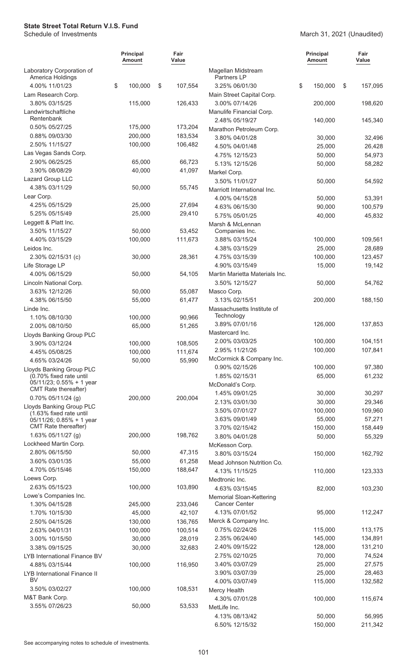#### March 31, 2021 (Unaudited)

|                                                        | <b>Principal</b><br>Amount | Fair<br>Value |                                            | <b>Principal</b><br><b>Amount</b> | Fair<br>Value |
|--------------------------------------------------------|----------------------------|---------------|--------------------------------------------|-----------------------------------|---------------|
| Laboratory Corporation of<br>America Holdings          |                            |               | Magellan Midstream<br>Partners LP          |                                   |               |
| 4.00% 11/01/23                                         | \$<br>100,000              | \$<br>107,554 | 3.25% 06/01/30                             | \$<br>150,000                     | \$<br>157,095 |
| Lam Research Corp.                                     |                            |               | Main Street Capital Corp.                  |                                   |               |
| 3.80% 03/15/25                                         | 115,000                    | 126,433       | 3.00% 07/14/26                             | 200,000                           | 198,620       |
| Landwirtschaftliche<br>Rentenbank                      |                            |               | Manulife Financial Corp.<br>2.48% 05/19/27 | 140,000                           | 145,340       |
| 0.50% 05/27/25                                         | 175,000                    | 173,204       | Marathon Petroleum Corp.                   |                                   |               |
| 0.88% 09/03/30                                         | 200,000                    | 183,534       | 3.80% 04/01/28                             | 30,000                            | 32,496        |
| 2.50% 11/15/27                                         | 100,000                    | 106,482       | 4.50% 04/01/48                             | 25,000                            | 26,428        |
| Las Vegas Sands Corp.                                  |                            |               | 4.75% 12/15/23                             | 50,000                            | 54,973        |
| 2.90% 06/25/25                                         | 65,000                     | 66,723        | 5.13% 12/15/26                             | 50,000                            | 58,282        |
| 3.90% 08/08/29                                         | 40,000                     | 41,097        | Markel Corp.                               |                                   |               |
| Lazard Group LLC                                       |                            |               | 3.50% 11/01/27                             | 50,000                            | 54,592        |
| 4.38% 03/11/29                                         | 50,000                     | 55,745        | Marriott International Inc.                |                                   |               |
| Lear Corp.                                             |                            |               | 4.00% 04/15/28                             | 50,000                            | 53,391        |
| 4.25% 05/15/29                                         | 25,000                     | 27,694        | 4.63% 06/15/30                             | 90,000                            | 100,579       |
| 5.25% 05/15/49                                         | 25,000                     | 29,410        | 5.75% 05/01/25                             | 40,000                            | 45,832        |
| Leggett & Platt Inc.                                   |                            |               | Marsh & McLennan                           |                                   |               |
| 3.50% 11/15/27                                         | 50,000                     | 53,452        | Companies Inc.                             |                                   |               |
| 4.40% 03/15/29                                         | 100,000                    | 111,673       | 3.88% 03/15/24                             | 100,000                           | 109,561       |
| Leidos Inc.                                            |                            |               | 4.38% 03/15/29                             | 25,000                            | 28,689        |
| 2.30% 02/15/31 (c)                                     | 30,000                     | 28,361        | 4.75% 03/15/39                             | 100,000                           | 123,457       |
| Life Storage LP                                        |                            |               | 4.90% 03/15/49                             | 15,000                            | 19,142        |
| 4.00% 06/15/29                                         | 50,000                     | 54,105        | Martin Marietta Materials Inc.             |                                   |               |
| Lincoln National Corp.                                 |                            |               | 3.50% 12/15/27                             | 50,000                            | 54,762        |
| 3.63% 12/12/26                                         | 50,000                     | 55,087        | Masco Corp.                                |                                   |               |
| 4.38% 06/15/50                                         | 55,000                     | 61,477        | 3.13% 02/15/51                             | 200,000                           | 188,150       |
| Linde Inc.                                             |                            |               | Massachusetts Institute of                 |                                   |               |
| 1.10% 08/10/30                                         | 100,000                    | 90,966        | Technology<br>3.89% 07/01/16               | 126,000                           | 137,853       |
| 2.00% 08/10/50                                         | 65,000                     | 51,265        | Mastercard Inc.                            |                                   |               |
| Lloyds Banking Group PLC                               |                            |               | 2.00% 03/03/25                             | 100,000                           | 104,151       |
| 3.90% 03/12/24                                         | 100,000                    | 108,505       | 2.95% 11/21/26                             | 100,000                           | 107,841       |
| 4.45% 05/08/25                                         | 100,000                    | 111,674       | McCormick & Company Inc.                   |                                   |               |
| 4.65% 03/24/26                                         | 50,000                     | 55,990        | 0.90% 02/15/26                             | 100,000                           | 97,380        |
| Lloyds Banking Group PLC<br>(0.70% fixed rate until    |                            |               | 1.85% 02/15/31                             | 65,000                            | 61,232        |
| 05/11/23; 0.55% + 1 year                               |                            |               | McDonald's Corp.                           |                                   |               |
| CMT Rate thereafter)                                   |                            |               | 1.45% 09/01/25                             | 30,000                            | 30,297        |
| 0.70% 05/11/24 (g)                                     | 200,000                    | 200,004       | 2.13% 03/01/30                             | 30,000                            | 29,346        |
| Lloyds Banking Group PLC                               |                            |               | 3.50% 07/01/27                             | 100,000                           | 109,960       |
| (1.63% fixed rate until<br>$05/11/26$ ; 0.85% + 1 year |                            |               | 3.63% 09/01/49                             | 55,000                            | 57,271        |
| CMT Rate thereafter)                                   |                            |               | 3.70% 02/15/42                             | 150,000                           | 158,449       |
| 1.63% 05/11/27 (g)                                     | 200,000                    | 198,762       | 3.80% 04/01/28                             | 50,000                            | 55,329        |
| Lockheed Martin Corp.                                  |                            |               | McKesson Corp.                             |                                   |               |
| 2.80% 06/15/50                                         | 50,000                     | 47,315        | 3.80% 03/15/24                             | 150,000                           | 162,792       |
| 3.60% 03/01/35                                         | 55,000                     | 61,258        | Mead Johnson Nutrition Co.                 |                                   |               |
| 4.70% 05/15/46                                         | 150,000                    | 188,647       | 4.13% 11/15/25                             | 110,000                           | 123,333       |
| Loews Corp.                                            |                            |               | Medtronic Inc.                             |                                   |               |
| 2.63% 05/15/23                                         | 100,000                    | 103,890       | 4.63% 03/15/45                             | 82,000                            | 103,230       |
| Lowe's Companies Inc.                                  |                            |               | Memorial Sloan-Kettering                   |                                   |               |
| 1.30% 04/15/28                                         | 245,000                    | 233,046       | <b>Cancer Center</b>                       |                                   |               |
| 1.70% 10/15/30                                         | 45,000                     | 42,107        | 4.13% 07/01/52                             | 95,000                            | 112,247       |
| 2.50% 04/15/26                                         | 130,000                    | 136,765       | Merck & Company Inc.                       |                                   |               |
| 2.63% 04/01/31                                         | 100,000                    | 100,514       | 0.75% 02/24/26                             | 115,000                           | 113,175       |
| 3.00% 10/15/50                                         | 30,000                     | 28,019        | 2.35% 06/24/40                             | 145,000                           | 134,891       |
| 3.38% 09/15/25                                         | 30,000                     | 32,683        | 2.40% 09/15/22                             | 128,000                           | 131,210       |
| LYB International Finance BV                           |                            |               | 2.75% 02/10/25                             | 70,000                            | 74,524        |
| 4.88% 03/15/44                                         | 100,000                    | 116,950       | 3.40% 03/07/29                             | 25,000                            | 27,575        |
| LYB International Finance II                           |                            |               | 3.90% 03/07/39                             | 25,000                            | 28,463        |
| BV                                                     |                            |               | 4.00% 03/07/49                             | 115,000                           | 132,582       |
| 3.50% 03/02/27                                         | 100,000                    | 108,531       | Mercy Health                               |                                   |               |
| M&T Bank Corp.                                         |                            |               | 4.30% 07/01/28                             | 100,000                           | 115,674       |
| 3.55% 07/26/23                                         | 50,000                     | 53,533        | MetLife Inc.                               |                                   |               |
|                                                        |                            |               | 4.13% 08/13/42                             | 50,000                            | 56,995        |
|                                                        |                            |               | 6.50% 12/15/32                             | 150,000                           | 211,342       |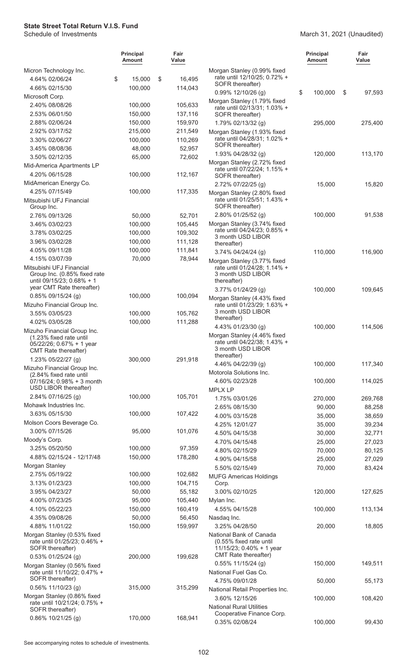#### March 31, 2021 (Unaudited)

|                                                                                                            | <b>Principal</b><br>Amount | Fair<br>Value     |                                                                                                        | <b>Principal</b><br><b>Amount</b> | Fair<br>Value |
|------------------------------------------------------------------------------------------------------------|----------------------------|-------------------|--------------------------------------------------------------------------------------------------------|-----------------------------------|---------------|
| Micron Technology Inc.                                                                                     |                            |                   | Morgan Stanley (0.99% fixed                                                                            |                                   |               |
| 4.64% 02/06/24                                                                                             | \$<br>15,000               | \$<br>16,495      | rate until 12/10/25; 0.72% +<br>SOFR thereafter)                                                       |                                   |               |
| 4.66% 02/15/30                                                                                             | 100,000                    | 114,043           | $0.99\%$ 12/10/26 (g)                                                                                  | \$<br>100,000                     | \$<br>97,593  |
| Microsoft Corp.                                                                                            |                            |                   | Morgan Stanley (1.79% fixed                                                                            |                                   |               |
| 2.40% 08/08/26                                                                                             | 100,000                    | 105,633           | rate until 02/13/31; 1.03% +                                                                           |                                   |               |
| 2.53% 06/01/50                                                                                             | 150,000                    | 137,116           | SOFR thereafter)                                                                                       |                                   |               |
| 2.88% 02/06/24                                                                                             | 150,000                    | 159,970           | 1.79% 02/13/32 (g)                                                                                     | 295,000                           | 275,400       |
| 2.92% 03/17/52                                                                                             | 215,000                    | 211,549           | Morgan Stanley (1.93% fixed                                                                            |                                   |               |
| 3.30% 02/06/27                                                                                             | 100,000                    | 110,269           | rate until 04/28/31; 1.02% +<br>SOFR thereafter)                                                       |                                   |               |
| 3.45% 08/08/36                                                                                             | 48,000                     | 52,957            | 1.93% 04/28/32 (g)                                                                                     | 120,000                           | 113,170       |
| 3.50% 02/12/35                                                                                             | 65,000                     | 72,602            | Morgan Stanley (2.72% fixed                                                                            |                                   |               |
| Mid-America Apartments LP<br>4.20% 06/15/28                                                                | 100,000                    | 112,167           | rate until 07/22/24; 1.15% +                                                                           |                                   |               |
|                                                                                                            |                            |                   | SOFR thereafter)                                                                                       |                                   |               |
| MidAmerican Energy Co.<br>4.25% 07/15/49                                                                   | 100,000                    | 117,335           | 2.72% 07/22/25 (g)                                                                                     | 15,000                            | 15,820        |
| Mitsubishi UFJ Financial                                                                                   |                            |                   | Morgan Stanley (2.80% fixed<br>rate until 01/25/51; 1.43% +                                            |                                   |               |
| Group Inc.                                                                                                 |                            |                   | SOFR thereafter)                                                                                       |                                   |               |
| 2.76% 09/13/26                                                                                             | 50,000                     | 52,701            | 2.80% 01/25/52 (g)                                                                                     | 100,000                           | 91,538        |
| 3.46% 03/02/23                                                                                             | 100,000                    | 105,445           | Morgan Stanley (3.74% fixed                                                                            |                                   |               |
| 3.78% 03/02/25                                                                                             | 100,000                    | 109,302           | rate until 04/24/23; 0.85% +                                                                           |                                   |               |
| 3.96% 03/02/28                                                                                             | 100,000                    | 111,128           | 3 month USD LIBOR<br>thereafter)                                                                       |                                   |               |
| 4.05% 09/11/28                                                                                             | 100,000                    | 111,841           | $3.74\%$ 04/24/24 (g)                                                                                  | 110,000                           | 116,900       |
| 4.15% 03/07/39                                                                                             | 70,000                     | 78,944            | Morgan Stanley (3.77% fixed                                                                            |                                   |               |
| Mitsubishi UFJ Financial<br>Group Inc. (0.85% fixed rate<br>until 09/15/23; 0.68% + 1                      |                            |                   | rate until 01/24/28; 1.14% +<br>3 month USD LIBOR<br>thereafter)                                       |                                   |               |
| year CMT Rate thereafter)                                                                                  |                            |                   | 3.77% 01/24/29 (g)                                                                                     | 100,000                           | 109,645       |
| 0.85% 09/15/24 (g)                                                                                         | 100,000                    | 100,094           | Morgan Stanley (4.43% fixed                                                                            |                                   |               |
| Mizuho Financial Group Inc.                                                                                |                            |                   | rate until 01/23/29; 1.63% +                                                                           |                                   |               |
| 3.55% 03/05/23                                                                                             | 100,000                    | 105,762           | 3 month USD LIBOR<br>thereafter)                                                                       |                                   |               |
| 4.02% 03/05/28                                                                                             | 100,000                    | 111,288           | 4.43% 01/23/30 (g)                                                                                     | 100,000                           | 114,506       |
| Mizuho Financial Group Inc.<br>(1.23% fixed rate until<br>05/22/26; 0.67% + 1 year<br>CMT Rate thereafter) |                            |                   | Morgan Stanley (4.46% fixed<br>rate until 04/22/38; 1.43% +<br>3 month USD LIBOR<br>thereafter)        |                                   |               |
| 1.23% 05/22/27 (g)                                                                                         | 300,000                    | 291,918           | 4.46% 04/22/39 (g)                                                                                     | 100,000                           | 117,340       |
| Mizuho Financial Group Inc.<br>(2.84% fixed rate until                                                     |                            |                   | Motorola Solutions Inc.                                                                                |                                   |               |
| 07/16/24; 0.98% + 3 month                                                                                  |                            |                   | 4.60% 02/23/28                                                                                         | 100,000                           | 114,025       |
| USD LIBOR thereafter)                                                                                      |                            |                   | <b>MPLX LP</b>                                                                                         |                                   |               |
| 2.84% 07/16/25 (g)                                                                                         | 100,000                    | 105,701           | 1.75% 03/01/26                                                                                         | 270,000                           | 269,768       |
| Mohawk Industries Inc.                                                                                     |                            |                   | 2.65% 08/15/30                                                                                         | 90,000                            | 88,258        |
| 3.63% 05/15/30                                                                                             | 100,000                    | 107,422           | 4.00% 03/15/28                                                                                         | 35,000                            | 38,659        |
| Molson Coors Beverage Co.                                                                                  |                            |                   | 4.25% 12/01/27                                                                                         | 35,000                            | 39,234        |
| 3.00% 07/15/26                                                                                             | 95,000                     | 101,076           | 4.50% 04/15/38                                                                                         | 30,000                            | 32,771        |
| Moody's Corp.                                                                                              |                            |                   | 4.70% 04/15/48                                                                                         | 25,000                            | 27,023        |
| 3.25% 05/20/50                                                                                             | 100,000                    | 97,359            | 4.80% 02/15/29                                                                                         | 70,000                            | 80,125        |
| 4.88% 02/15/24 - 12/17/48                                                                                  | 150,000                    | 178,280           | 4.90% 04/15/58                                                                                         | 25,000                            | 27,029        |
| Morgan Stanley                                                                                             |                            |                   | 5.50% 02/15/49                                                                                         | 70,000                            | 83,424        |
| 2.75% 05/19/22                                                                                             | 100,000                    | 102,682           | <b>MUFG Americas Holdings</b>                                                                          |                                   |               |
| 3.13% 01/23/23                                                                                             | 100,000                    | 104,715           | Corp.                                                                                                  |                                   |               |
| 3.95% 04/23/27                                                                                             | 50,000                     | 55,182            | 3.00% 02/10/25                                                                                         | 120,000                           | 127,625       |
| 4.00% 07/23/25                                                                                             | 95,000                     | 105,440           | Mylan Inc.                                                                                             |                                   |               |
| 4.10% 05/22/23<br>4.35% 09/08/26                                                                           | 150,000<br>50,000          | 160,419           | 4.55% 04/15/28                                                                                         | 100,000                           | 113,134       |
| 4.88% 11/01/22                                                                                             | 150,000                    | 56,450<br>159,997 | Nasdaq Inc.<br>3.25% 04/28/50                                                                          | 20,000                            | 18,805        |
| Morgan Stanley (0.53% fixed<br>rate until 01/25/23; 0.46% +<br>SOFR thereafter)                            |                            |                   | National Bank of Canada<br>(0.55% fixed rate until<br>11/15/23; 0.40% + 1 year<br>CMT Rate thereafter) |                                   |               |
| $0.53\%$ 01/25/24 (g)<br>Morgan Stanley (0.56% fixed                                                       | 200,000                    | 199,628           | $0.55\%$ 11/15/24 (g)                                                                                  | 150,000                           | 149,511       |
| rate until 11/10/22; 0.47% +<br>SOFR thereafter)                                                           |                            |                   | National Fuel Gas Co.<br>4.75% 09/01/28                                                                | 50,000                            | 55,173        |
| 0.56% 11/10/23 (g)                                                                                         | 315,000                    | 315,299           | National Retail Properties Inc.                                                                        |                                   |               |
| Morgan Stanley (0.86% fixed<br>rate until 10/21/24; 0.75% +<br>SOFR thereafter)                            |                            |                   | 3.60% 12/15/26<br><b>National Rural Utilities</b>                                                      | 100,000                           | 108,420       |
| 0.86% 10/21/25 (g)                                                                                         | 170,000                    | 168,941           | Cooperative Finance Corp.<br>0.35% 02/08/24                                                            | 100,000                           | 99,430        |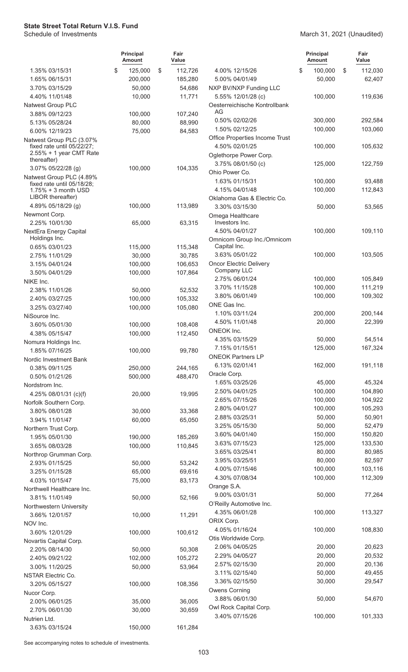|                                                                                   | <b>Principal</b><br><b>Amount</b> | Fair<br>Value |                                                  | <b>Principal</b><br>Amount | Fair<br>Value |
|-----------------------------------------------------------------------------------|-----------------------------------|---------------|--------------------------------------------------|----------------------------|---------------|
| 1.35% 03/15/31                                                                    | \$<br>125,000                     | \$<br>112,726 | 4.00% 12/15/26                                   | \$<br>100,000              | \$<br>112,030 |
| 1.65% 06/15/31                                                                    | 200,000                           | 185,280       | 5.00% 04/01/49                                   | 50,000                     | 62,407        |
| 3.70% 03/15/29                                                                    | 50,000                            | 54,686        | NXP BV/NXP Funding LLC                           |                            |               |
| 4.40% 11/01/48                                                                    | 10,000                            | 11,771        | 5.55% 12/01/28 (c)                               | 100,000                    | 119,636       |
| Natwest Group PLC                                                                 |                                   |               | Oesterreichische Kontrollbank                    |                            |               |
| 3.88% 09/12/23                                                                    | 100,000                           | 107,240       | AG                                               |                            |               |
| 5.13% 05/28/24                                                                    | 80,000                            | 88,990        | 0.50% 02/02/26                                   | 300,000                    | 292,584       |
| 6.00% 12/19/23                                                                    | 75,000                            | 84,583        | 1.50% 02/12/25                                   | 100,000                    | 103,060       |
| Natwest Group PLC (3.07%<br>fixed rate until 05/22/27;<br>2.55% + 1 year CMT Rate |                                   |               | Office Properties Income Trust<br>4.50% 02/01/25 | 100,000                    | 105,632       |
| thereafter)<br>3.07% 05/22/28 (g)                                                 | 100,000                           | 104,335       | Oglethorpe Power Corp.<br>3.75% 08/01/50 (c)     | 125,000                    | 122,759       |
| Natwest Group PLC (4.89%                                                          |                                   |               | Ohio Power Co.                                   |                            |               |
| fixed rate until 05/18/28;                                                        |                                   |               | 1.63% 01/15/31                                   | 100,000                    | 93,488        |
| 1.75% + 3 month USD                                                               |                                   |               | 4.15% 04/01/48                                   | 100,000                    | 112,843       |
| LIBOR thereafter)<br>4.89% 05/18/29 (g)                                           | 100,000                           | 113,989       | Oklahoma Gas & Electric Co.                      |                            |               |
|                                                                                   |                                   |               | 3.30% 03/15/30                                   | 50,000                     | 53,565        |
| Newmont Corp.                                                                     |                                   |               | Omega Healthcare<br>Investors Inc.               |                            |               |
| 2.25% 10/01/30                                                                    | 65,000                            | 63,315        | 4.50% 04/01/27                                   | 100,000                    | 109,110       |
| NextEra Energy Capital<br>Holdings Inc.                                           |                                   |               | Omnicom Group Inc./Omnicom                       |                            |               |
| 0.65% 03/01/23                                                                    | 115,000                           | 115,348       | Capital Inc.                                     |                            |               |
| 2.75% 11/01/29                                                                    | 30,000                            | 30,785        | 3.63% 05/01/22                                   | 100,000                    | 103,505       |
| 3.15% 04/01/24                                                                    | 100,000                           | 106,653       | <b>Oncor Electric Delivery</b>                   |                            |               |
| 3.50% 04/01/29                                                                    | 100,000                           | 107,864       | Company LLC                                      |                            |               |
| NIKE Inc.                                                                         |                                   |               | 2.75% 06/01/24                                   | 100,000                    | 105,849       |
| 2.38% 11/01/26                                                                    | 50,000                            | 52,532        | 3.70% 11/15/28                                   | 100,000                    | 111,219       |
| 2.40% 03/27/25                                                                    | 100,000                           | 105,332       | 3.80% 06/01/49                                   | 100,000                    | 109,302       |
| 3.25% 03/27/40                                                                    | 100,000                           | 105,080       | ONE Gas Inc.                                     |                            |               |
| NiSource Inc.                                                                     |                                   |               | 1.10% 03/11/24                                   | 200,000                    | 200,144       |
| 3.60% 05/01/30                                                                    | 100,000                           | 108,408       | 4.50% 11/01/48                                   | 20,000                     | 22,399        |
| 4.38% 05/15/47                                                                    | 100,000                           | 112,450       | ONEOK Inc.                                       |                            |               |
| Nomura Holdings Inc.                                                              |                                   |               | 4.35% 03/15/29                                   | 50,000                     | 54,514        |
| 1.85% 07/16/25                                                                    | 100,000                           | 99,780        | 7.15% 01/15/51                                   | 125,000                    | 167,324       |
| Nordic Investment Bank                                                            |                                   |               | <b>ONEOK Partners LP</b>                         |                            |               |
| 0.38% 09/11/25                                                                    | 250,000                           | 244,165       | 6.13% 02/01/41                                   | 162,000                    | 191,118       |
| 0.50% 01/21/26                                                                    | 500,000                           | 488,470       | Oracle Corp.                                     |                            |               |
| Nordstrom Inc.                                                                    |                                   |               | 1.65% 03/25/26                                   | 45,000                     | 45,324        |
| 4.25% 08/01/31 (c)(f)                                                             | 20,000                            | 19,995        | 2.50% 04/01/25                                   | 100,000                    | 104,890       |
| Norfolk Southern Corp.                                                            |                                   |               | 2.65% 07/15/26                                   | 100,000                    | 104,922       |
| 3.80% 08/01/28                                                                    | 30,000                            | 33,368        | 2.80% 04/01/27                                   | 100,000                    | 105,293       |
| 3.94% 11/01/47                                                                    | 60,000                            | 65,050        | 2.88% 03/25/31                                   | 50,000                     | 50,901        |
| Northern Trust Corp.                                                              |                                   |               | 3.25% 05/15/30                                   | 50,000                     | 52,479        |
| 1.95% 05/01/30                                                                    | 190,000                           | 185,269       | 3.60% 04/01/40                                   | 150,000                    | 150,820       |
| 3.65% 08/03/28                                                                    | 100,000                           | 110,845       | 3.63% 07/15/23                                   | 125,000                    | 133,530       |
| Northrop Grumman Corp.                                                            |                                   |               | 3.65% 03/25/41                                   | 80,000                     | 80,985        |
| 2.93% 01/15/25                                                                    | 50,000                            | 53,242        | 3.95% 03/25/51                                   | 80,000                     | 82,597        |
| 3.25% 01/15/28                                                                    | 65,000                            | 69,616        | 4.00% 07/15/46                                   | 100,000                    | 103,116       |
| 4.03% 10/15/47                                                                    | 75,000                            | 83,173        | 4.30% 07/08/34                                   | 100,000                    | 112,309       |
| Northwell Healthcare Inc.                                                         |                                   |               | Orange S.A.                                      |                            |               |
| 3.81% 11/01/49                                                                    | 50,000                            | 52,166        | 9.00% 03/01/31                                   | 50,000                     | 77,264        |
| Northwestern University                                                           |                                   |               | O'Reilly Automotive Inc.                         |                            |               |
| 3.66% 12/01/57                                                                    | 10,000                            | 11,291        | 4.35% 06/01/28                                   | 100,000                    | 113,327       |
| NOV Inc.                                                                          |                                   |               | ORIX Corp.                                       |                            |               |
| 3.60% 12/01/29                                                                    | 100,000                           | 100,612       | 4.05% 01/16/24                                   | 100,000                    | 108,830       |
| Novartis Capital Corp.                                                            |                                   |               | Otis Worldwide Corp.                             |                            |               |
| 2.20% 08/14/30                                                                    | 50,000                            | 50,308        | 2.06% 04/05/25                                   | 20,000                     | 20,623        |
| 2.40% 09/21/22                                                                    | 102,000                           | 105,272       | 2.29% 04/05/27                                   | 20,000                     | 20,532        |
| 3.00% 11/20/25                                                                    | 50,000                            | 53,964        | 2.57% 02/15/30                                   | 20,000                     | 20,136        |
| NSTAR Electric Co.                                                                |                                   |               | 3.11% 02/15/40                                   | 50,000                     | 49,455        |
| 3.20% 05/15/27                                                                    | 100,000                           | 108,356       | 3.36% 02/15/50                                   | 30,000                     | 29,547        |
| Nucor Corp.                                                                       |                                   |               | Owens Corning                                    |                            |               |
| 2.00% 06/01/25                                                                    | 35,000                            | 36,005        | 3.88% 06/01/30                                   | 50,000                     | 54,670        |
| 2.70% 06/01/30                                                                    | 30,000                            | 30,659        | Owl Rock Capital Corp.                           |                            |               |
| Nutrien Ltd.                                                                      |                                   |               | 3.40% 07/15/26                                   | 100,000                    | 101,333       |
| 3.63% 03/15/24                                                                    | 150,000                           | 161,284       |                                                  |                            |               |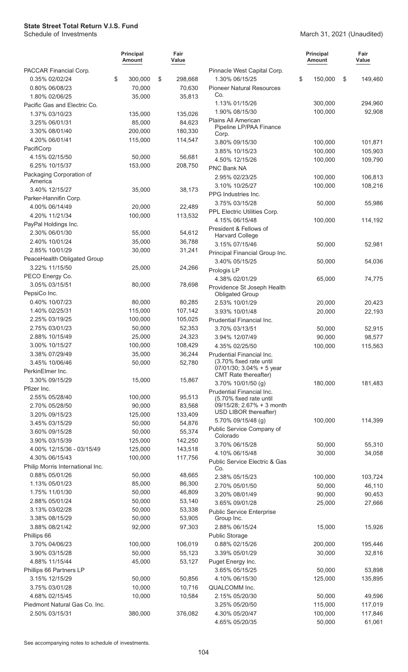#### March 31, 2021 (Unaudited)

|                                  | <b>Principal</b><br><b>Amount</b> | Fair<br>Value |                                                      | <b>Principal</b><br><b>Amount</b> | Fair<br>Value    |
|----------------------------------|-----------------------------------|---------------|------------------------------------------------------|-----------------------------------|------------------|
| PACCAR Financial Corp.           |                                   |               | Pinnacle West Capital Corp.                          |                                   |                  |
| 0.35% 02/02/24                   | \$<br>300,000                     | \$<br>298,668 | 1.30% 06/15/25                                       | \$<br>150,000                     | \$<br>149,460    |
| 0.80% 06/08/23                   | 70,000                            | 70,630        | <b>Pioneer Natural Resources</b>                     |                                   |                  |
| 1.80% 02/06/25                   | 35,000                            | 35,813        | Co.                                                  |                                   |                  |
| Pacific Gas and Electric Co.     |                                   |               | 1.13% 01/15/26                                       | 300,000                           | 294,960          |
| 1.37% 03/10/23                   | 135,000                           | 135,026       | 1.90% 08/15/30                                       | 100,000                           | 92,908           |
| 3.25% 06/01/31                   | 85,000                            | 84,623        | Plains All American<br>Pipeline LP/PAA Finance       |                                   |                  |
| 3.30% 08/01/40                   | 200,000                           | 180,330       | Corp.                                                |                                   |                  |
| 4.20% 06/01/41                   | 115,000                           | 114,547       | 3.80% 09/15/30                                       | 100,000                           | 101,871          |
| PacifiCorp                       |                                   |               | 3.85% 10/15/23                                       | 100,000                           | 105,903          |
| 4.15% 02/15/50                   | 50,000                            | 56,681        | 4.50% 12/15/26                                       | 100,000                           | 109,790          |
| 6.25% 10/15/37                   | 153,000                           | 208,750       | PNC Bank NA                                          |                                   |                  |
| Packaging Corporation of         |                                   |               | 2.95% 02/23/25                                       | 100,000                           | 106,813          |
| America<br>3.40% 12/15/27        |                                   | 38,173        | 3.10% 10/25/27                                       | 100,000                           | 108,216          |
| Parker-Hannifin Corp.            | 35,000                            |               | PPG Industries Inc.                                  |                                   |                  |
| 4.00% 06/14/49                   | 20,000                            | 22,489        | 3.75% 03/15/28                                       | 50,000                            | 55,986           |
| 4.20% 11/21/34                   | 100,000                           | 113,532       | PPL Electric Utilities Corp.                         |                                   |                  |
| PayPal Holdings Inc.             |                                   |               | 4.15% 06/15/48                                       | 100,000                           | 114,192          |
| 2.30% 06/01/30                   | 55,000                            | 54,612        | President & Fellows of                               |                                   |                  |
| 2.40% 10/01/24                   | 35,000                            | 36,788        | <b>Harvard College</b>                               |                                   |                  |
| 2.85% 10/01/29                   | 30,000                            | 31,241        | 3.15% 07/15/46                                       | 50,000                            | 52,981           |
| PeaceHealth Obligated Group      |                                   |               | Principal Financial Group Inc.                       |                                   |                  |
| 3.22% 11/15/50                   | 25,000                            | 24,266        | 3.40% 05/15/25                                       | 50,000                            | 54,036           |
| PECO Energy Co.                  |                                   |               | Prologis LP                                          |                                   |                  |
| 3.05% 03/15/51                   | 80,000                            | 78,698        | 4.38% 02/01/29                                       | 65,000                            | 74,775           |
| PepsiCo Inc.                     |                                   |               | Providence St Joseph Health                          |                                   |                  |
| 0.40% 10/07/23                   | 80,000                            | 80,285        | <b>Obligated Group</b><br>2.53% 10/01/29             | 20,000                            |                  |
| 1.40% 02/25/31                   | 115,000                           | 107,142       |                                                      |                                   | 20,423           |
| 2.25% 03/19/25                   | 100,000                           | 105,025       | 3.93% 10/01/48<br>Prudential Financial Inc.          | 20,000                            | 22,193           |
| 2.75% 03/01/23                   | 50,000                            | 52,353        | 3.70% 03/13/51                                       |                                   |                  |
| 2.88% 10/15/49                   | 25,000                            | 24,323        | 3.94% 12/07/49                                       | 50,000<br>90,000                  | 52,915<br>98,577 |
| 3.00% 10/15/27                   | 100,000                           | 108,429       | 4.35% 02/25/50                                       | 100,000                           | 115,563          |
| 3.38% 07/29/49                   | 35,000                            | 36,244        | Prudential Financial Inc.                            |                                   |                  |
| 3.45% 10/06/46                   | 50,000                            | 52,780        | (3.70% fixed rate until                              |                                   |                  |
| PerkinElmer Inc.                 |                                   |               | 07/01/30; 3.04% + 5 year                             |                                   |                  |
| 3.30% 09/15/29                   | 15,000                            | 15,867        | <b>CMT</b> Rate thereafter)                          |                                   |                  |
| Pfizer Inc.                      |                                   |               | 3.70% 10/01/50 (g)                                   | 180,000                           | 181,483          |
| 2.55% 05/28/40                   | 100,000                           | 95,513        | Prudential Financial Inc.<br>(5.70% fixed rate until |                                   |                  |
| 2.70% 05/28/50                   | 90,000                            | 83,568        | 09/15/28; 2.67% + 3 month                            |                                   |                  |
| 3.20% 09/15/23                   | 125,000                           | 133,409       | USD LIBOR thereafter)                                |                                   |                  |
| 3.45% 03/15/29                   | 50,000                            | 54,876        | 5.70% 09/15/48 (g)                                   | 100,000                           | 114,399          |
| 3.60% 09/15/28                   | 50,000                            | 55,374        | Public Service Company of                            |                                   |                  |
| 3.90% 03/15/39                   | 125,000                           | 142,250       | Colorado                                             |                                   |                  |
| 4.00% 12/15/36 - 03/15/49        | 125,000                           | 143,518       | 3.70% 06/15/28                                       | 50,000                            | 55,310           |
| 4.30% 06/15/43                   | 100,000                           | 117,756       | 4.10% 06/15/48                                       | 30,000                            | 34,058           |
| Philip Morris International Inc. |                                   |               | Public Service Electric & Gas<br>Co.                 |                                   |                  |
| 0.88% 05/01/26                   | 50,000                            | 48,665        | 2.38% 05/15/23                                       | 100,000                           | 103,724          |
| 1.13% 05/01/23                   | 85,000                            | 86,300        | 2.70% 05/01/50                                       | 50,000                            | 46,110           |
| 1.75% 11/01/30                   | 50,000                            | 46,809        | 3.20% 08/01/49                                       | 90,000                            | 90,453           |
| 2.88% 05/01/24                   | 50,000                            | 53,140        | 3.65% 09/01/28                                       | 25,000                            | 27,666           |
| 3.13% 03/02/28                   | 50,000                            | 53,338        | <b>Public Service Enterprise</b>                     |                                   |                  |
| 3.38% 08/15/29                   | 50,000                            | 53,905        | Group Inc.                                           |                                   |                  |
| 3.88% 08/21/42                   | 92,000                            | 97,303        | 2.88% 06/15/24                                       | 15,000                            | 15,926           |
| Phillips 66                      |                                   |               | Public Storage                                       |                                   |                  |
| 3.70% 04/06/23                   | 100,000                           | 106,019       | 0.88% 02/15/26                                       | 200,000                           | 195,446          |
| 3.90% 03/15/28                   | 50,000                            | 55,123        | 3.39% 05/01/29                                       | 30,000                            | 32,816           |
| 4.88% 11/15/44                   | 45,000                            | 53,127        | Puget Energy Inc.                                    |                                   |                  |
| Phillips 66 Partners LP          |                                   |               | 3.65% 05/15/25                                       | 50,000                            | 53,898           |
| 3.15% 12/15/29                   | 50,000                            | 50,856        | 4.10% 06/15/30                                       | 125,000                           | 135,895          |
| 3.75% 03/01/28                   | 10,000                            | 10,716        | QUALCOMM Inc.                                        |                                   |                  |
| 4.68% 02/15/45                   | 10,000                            | 10,584        | 2.15% 05/20/30                                       | 50,000                            | 49,596           |
| Piedmont Natural Gas Co. Inc.    |                                   |               | 3.25% 05/20/50                                       | 115,000                           | 117,019          |
| 2.50% 03/15/31                   | 380,000                           | 376,082       | 4.30% 05/20/47                                       | 100,000                           | 117,846          |
|                                  |                                   |               | 4.65% 05/20/35                                       | 50,000                            | 61,061           |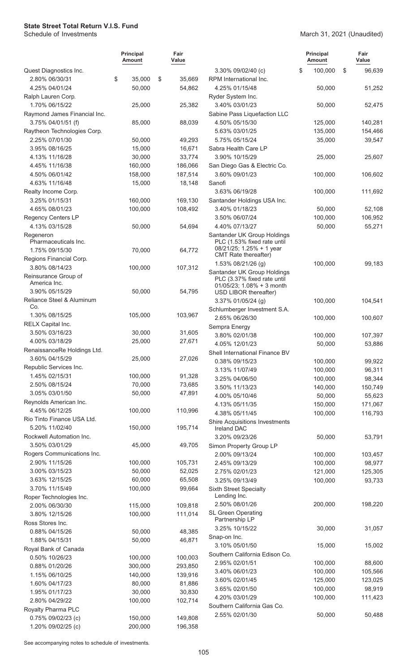#### March 31, 2021 (Unaudited)

|                                               | <b>Principal</b><br><b>Amount</b> | Fair<br>Value |                                                            | <b>Principal</b><br><b>Amount</b> | Fair<br>Value |
|-----------------------------------------------|-----------------------------------|---------------|------------------------------------------------------------|-----------------------------------|---------------|
| Quest Diagnostics Inc.                        |                                   |               | 3.30% 09/02/40 (c)                                         | \$<br>100,000                     | \$<br>96,639  |
| 2.80% 06/30/31                                | \$<br>35,000                      | \$<br>35,669  | RPM International Inc.                                     |                                   |               |
| 4.25% 04/01/24                                | 50,000                            | 54,862        | 4.25% 01/15/48                                             | 50,000                            | 51,252        |
| Ralph Lauren Corp.                            |                                   |               | Ryder System Inc.                                          |                                   |               |
| 1.70% 06/15/22                                | 25,000                            | 25,382        | 3.40% 03/01/23                                             | 50,000                            | 52,475        |
| Raymond James Financial Inc.                  |                                   |               | Sabine Pass Liquefaction LLC                               |                                   |               |
| 3.75% 04/01/51 (f)                            | 85,000                            | 88,039        | 4.50% 05/15/30                                             | 125,000                           | 140,281       |
| Raytheon Technologies Corp.                   |                                   |               | 5.63% 03/01/25                                             | 135,000                           | 154,466       |
| 2.25% 07/01/30                                | 50,000                            | 49,293        | 5.75% 05/15/24                                             | 35,000                            | 39,547        |
| 3.95% 08/16/25                                | 15,000                            | 16,671        | Sabra Health Care LP                                       |                                   |               |
| 4.13% 11/16/28                                | 30,000                            | 33,774        | 3.90% 10/15/29                                             | 25,000                            | 25,607        |
| 4.45% 11/16/38                                | 160,000                           | 186,066       | San Diego Gas & Electric Co.                               |                                   |               |
| 4.50% 06/01/42                                | 158,000                           | 187,514       | 3.60% 09/01/23                                             | 100,000                           | 106,602       |
| 4.63% 11/16/48                                | 15,000                            | 18,148        | Sanofi                                                     |                                   |               |
| Realty Income Corp.                           |                                   |               | 3.63% 06/19/28                                             | 100,000                           | 111,692       |
| 3.25% 01/15/31                                | 160,000                           | 169,130       | Santander Holdings USA Inc.                                |                                   |               |
| 4.65% 08/01/23                                | 100,000                           | 108,492       | 3.40% 01/18/23                                             | 50,000                            | 52,108        |
| Regency Centers LP                            |                                   |               | 3.50% 06/07/24                                             | 100,000                           | 106,952       |
| 4.13% 03/15/28                                | 50,000                            | 54,694        | 4.40% 07/13/27<br>Santander UK Group Holdings              | 50,000                            | 55,271        |
| Regeneron<br>Pharmaceuticals Inc.             |                                   |               | PLC (1.53% fixed rate until                                |                                   |               |
| 1.75% 09/15/30                                | 70,000                            | 64,772        | 08/21/25; 1.25% + 1 year                                   |                                   |               |
| Regions Financial Corp.                       |                                   |               | CMT Rate thereafter)                                       |                                   |               |
| 3.80% 08/14/23                                | 100,000                           | 107,312       | 1.53% 08/21/26 (g)                                         | 100,000                           | 99,183        |
| Reinsurance Group of                          |                                   |               | Santander UK Group Holdings<br>PLC (3.37% fixed rate until |                                   |               |
| America Inc.                                  |                                   |               | 01/05/23; 1.08% + 3 month                                  |                                   |               |
| 3.90% 05/15/29                                | 50,000                            | 54,795        | USD LIBOR thereafter)                                      |                                   |               |
| Reliance Steel & Aluminum                     |                                   |               | 3.37% 01/05/24 (g)                                         | 100,000                           | 104,541       |
| Co.                                           |                                   |               | Schlumberger Investment S.A.                               |                                   |               |
| 1.30% 08/15/25                                | 105,000                           | 103,967       | 2.65% 06/26/30                                             | 100,000                           | 100,607       |
| RELX Capital Inc.                             |                                   |               | Sempra Energy                                              |                                   |               |
| 3.50% 03/16/23                                | 30,000                            | 31,605        | 3.80% 02/01/38                                             | 100,000                           | 107,397       |
| 4.00% 03/18/29<br>RenaissanceRe Holdings Ltd. | 25,000                            | 27,671        | 4.05% 12/01/23                                             | 50,000                            | 53,886        |
| 3.60% 04/15/29                                | 25,000                            | 27,026        | Shell International Finance BV                             |                                   |               |
| Republic Services Inc.                        |                                   |               | 0.38% 09/15/23                                             | 100,000                           | 99,922        |
| 1.45% 02/15/31                                | 100,000                           | 91,328        | 3.13% 11/07/49                                             | 100,000                           | 96,311        |
| 2.50% 08/15/24                                | 70,000                            | 73,685        | 3.25% 04/06/50                                             | 100,000                           | 98,344        |
| 3.05% 03/01/50                                | 50,000                            | 47,891        | 3.50% 11/13/23                                             | 140,000                           | 150,749       |
| Reynolds American Inc.                        |                                   |               | 4.00% 05/10/46                                             | 50,000                            | 55,623        |
| 4.45% 06/12/25                                | 100,000                           | 110,996       | 4.13% 05/11/35                                             | 150,000                           | 171,067       |
| Rio Tinto Finance USA Ltd.                    |                                   |               | 4.38% 05/11/45                                             | 100,000                           | 116,793       |
| 5.20% 11/02/40                                | 150,000                           | 195,714       | Shire Acquisitions Investments<br><b>Ireland DAC</b>       |                                   |               |
| Rockwell Automation Inc.                      |                                   |               | 3.20% 09/23/26                                             | 50,000                            | 53,791        |
| 3.50% 03/01/29                                | 45,000                            | 49,705        | Simon Property Group LP                                    |                                   |               |
| Rogers Communications Inc.                    |                                   |               | 2.00% 09/13/24                                             | 100,000                           | 103,457       |
| 2.90% 11/15/26                                | 100,000                           | 105,731       | 2.45% 09/13/29                                             | 100,000                           | 98,977        |
| 3.00% 03/15/23                                | 50,000                            | 52,025        | 2.75% 02/01/23                                             | 121,000                           | 125,305       |
| 3.63% 12/15/25                                | 60,000                            | 65,508        | 3.25% 09/13/49                                             | 100,000                           | 93,733        |
| 3.70% 11/15/49                                | 100,000                           | 99,664        | <b>Sixth Street Specialty</b>                              |                                   |               |
| Roper Technologies Inc.                       |                                   |               | Lending Inc.                                               |                                   |               |
| 2.00% 06/30/30                                | 115,000                           | 109,818       | 2.50% 08/01/26                                             | 200,000                           | 198,220       |
| 3.80% 12/15/26                                | 100,000                           | 111,014       | <b>SL Green Operating</b><br>Partnership LP                |                                   |               |
| Ross Stores Inc.                              |                                   |               | 3.25% 10/15/22                                             | 30,000                            | 31,057        |
| 0.88% 04/15/26                                | 50,000                            | 48,385        | Snap-on Inc.                                               |                                   |               |
| 1.88% 04/15/31                                | 50,000                            | 46,871        | 3.10% 05/01/50                                             | 15,000                            | 15,002        |
| Royal Bank of Canada                          |                                   |               | Southern California Edison Co.                             |                                   |               |
| 0.50% 10/26/23                                | 100,000                           | 100,003       | 2.95% 02/01/51                                             | 100,000                           | 88,600        |
| 0.88% 01/20/26                                | 300,000                           | 293,850       | 3.40% 06/01/23                                             | 100,000                           | 105,566       |
| 1.15% 06/10/25                                | 140,000                           | 139,916       | 3.60% 02/01/45                                             | 125,000                           | 123,025       |
| 1.60% 04/17/23                                | 80,000                            | 81,886        | 3.65% 02/01/50                                             | 100,000                           | 98,919        |
| 1.95% 01/17/23                                | 30,000                            | 30,830        | 4.20% 03/01/29                                             | 100,000                           | 111,423       |
| 2.80% 04/29/22                                | 100,000                           | 102,714       | Southern California Gas Co.                                |                                   |               |
| Royalty Pharma PLC                            |                                   |               | 2.55% 02/01/30                                             | 50,000                            | 50,488        |
| 0.75% 09/02/23 (c)                            | 150,000                           | 149,808       |                                                            |                                   |               |
| 1.20% 09/02/25 (c)                            | 200,000                           | 196,358       |                                                            |                                   |               |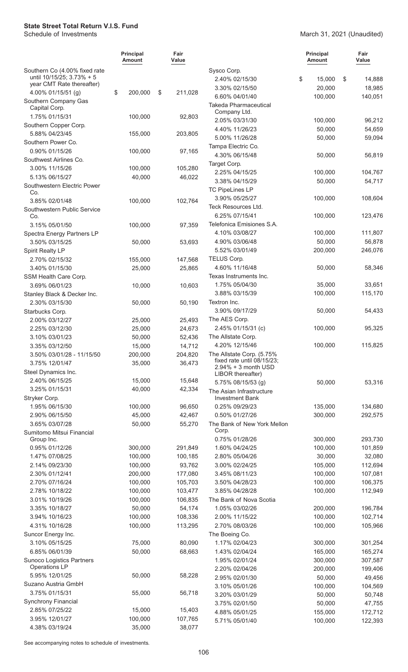#### March 31, 2021 (Unaudited)

|                                                            | <b>Principal</b><br>Amount | Fair<br>Value      |                                             | <b>Principal</b><br><b>Amount</b> | Fair<br>Value     |
|------------------------------------------------------------|----------------------------|--------------------|---------------------------------------------|-----------------------------------|-------------------|
| Southern Co (4.00% fixed rate<br>until 10/15/25; 3.73% + 5 |                            |                    | Sysco Corp.                                 |                                   |                   |
| year CMT Rate thereafter)                                  |                            |                    | 2.40% 02/15/30                              | \$<br>15,000                      | \$<br>14,888      |
| 4.00% 01/15/51 (g)                                         | \$<br>200,000              | \$<br>211,028      | 3.30% 02/15/50<br>6.60% 04/01/40            | 20,000<br>100,000                 | 18,985<br>140,051 |
| Southern Company Gas<br>Capital Corp.                      |                            |                    | <b>Takeda Pharmaceutical</b>                |                                   |                   |
| 1.75% 01/15/31                                             | 100,000                    | 92,803             | Company Ltd.                                |                                   |                   |
| Southern Copper Corp.                                      |                            |                    | 2.05% 03/31/30                              | 100,000                           | 96,212            |
| 5.88% 04/23/45                                             | 155,000                    | 203,805            | 4.40% 11/26/23                              | 50,000                            | 54,659            |
| Southern Power Co.                                         |                            |                    | 5.00% 11/26/28<br>Tampa Electric Co.        | 50,000                            | 59,094            |
| 0.90% 01/15/26                                             | 100,000                    | 97,165             | 4.30% 06/15/48                              | 50,000                            | 56,819            |
| Southwest Airlines Co.                                     |                            |                    | Target Corp.                                |                                   |                   |
| 3.00% 11/15/26                                             | 100,000                    | 105,280            | 2.25% 04/15/25                              | 100,000                           | 104,767           |
| 5.13% 06/15/27                                             | 40,000                     | 46,022             | 3.38% 04/15/29                              | 50,000                            | 54,717            |
| Southwestern Electric Power                                |                            |                    | <b>TC PipeLines LP</b>                      |                                   |                   |
| Co.<br>3.85% 02/01/48                                      | 100,000                    | 102,764            | 3.90% 05/25/27                              | 100,000                           | 108,604           |
| Southwestern Public Service                                |                            |                    | Teck Resources Ltd.                         |                                   |                   |
| Co.                                                        |                            |                    | 6.25% 07/15/41                              | 100,000                           | 123,476           |
| 3.15% 05/01/50                                             | 100,000                    | 97,359             | Telefonica Emisiones S.A.                   |                                   |                   |
| Spectra Energy Partners LP                                 |                            |                    | 4.10% 03/08/27                              | 100,000                           | 111,807           |
| 3.50% 03/15/25                                             | 50,000                     | 53,693             | 4.90% 03/06/48                              | 50,000                            | 56,878            |
| Spirit Realty LP                                           |                            |                    | 5.52% 03/01/49                              | 200,000                           | 246,076           |
| 2.70% 02/15/32                                             | 155,000                    | 147,568            | TELUS Corp.                                 |                                   |                   |
| 3.40% 01/15/30                                             | 25,000                     | 25,865             | 4.60% 11/16/48                              | 50,000                            | 58,346            |
| SSM Health Care Corp.                                      |                            |                    | Texas Instruments Inc.                      |                                   |                   |
| 3.69% 06/01/23                                             | 10,000                     | 10,603             | 1.75% 05/04/30                              | 35,000                            | 33,651            |
| Stanley Black & Decker Inc.                                |                            |                    | 3.88% 03/15/39                              | 100,000                           | 115,170           |
| 2.30% 03/15/30                                             | 50,000                     | 50,190             | Textron Inc.                                |                                   |                   |
| Starbucks Corp.                                            |                            |                    | 3.90% 09/17/29                              | 50,000                            | 54,433            |
| 2.00% 03/12/27                                             | 25,000                     | 25,493             | The AES Corp.<br>2.45% 01/15/31 (c)         | 100,000                           | 95,325            |
| 2.25% 03/12/30<br>3.10% 03/01/23                           | 25,000<br>50,000           | 24,673<br>52,436   | The Allstate Corp.                          |                                   |                   |
| 3.35% 03/12/50                                             | 15,000                     | 14,712             | 4.20% 12/15/46                              | 100,000                           | 115,825           |
| 3.50% 03/01/28 - 11/15/50                                  | 200,000                    | 204,820            | The Allstate Corp. (5.75%                   |                                   |                   |
| 3.75% 12/01/47                                             | 35,000                     | 36,473             | fixed rate until 08/15/23;                  |                                   |                   |
| Steel Dynamics Inc.                                        |                            |                    | $2.94\% + 3$ month USD<br>LIBOR thereafter) |                                   |                   |
| 2.40% 06/15/25                                             | 15,000                     | 15,648             | 5.75% 08/15/53 (g)                          | 50,000                            | 53,316            |
| 3.25% 01/15/31                                             | 40,000                     | 42,334             | The Asian Infrastructure                    |                                   |                   |
| Stryker Corp.                                              |                            |                    | <b>Investment Bank</b>                      |                                   |                   |
| 1.95% 06/15/30                                             | 100,000                    | 96,650             | 0.25% 09/29/23                              | 135,000                           | 134,680           |
| 2.90% 06/15/50                                             | 45,000                     | 42,467             | 0.50% 01/27/26                              | 300,000                           | 292,575           |
| 3.65% 03/07/28                                             | 50,000                     | 55,270             | The Bank of New York Mellon                 |                                   |                   |
| Sumitomo Mitsui Financial                                  |                            |                    | Corp.                                       |                                   |                   |
| Group Inc.                                                 |                            |                    | 0.75% 01/28/26                              | 300,000                           | 293,730           |
| 0.95% 01/12/26<br>1.47% 07/08/25                           | 300,000<br>100,000         | 291,849<br>100,185 | 1.60% 04/24/25<br>2.80% 05/04/26            | 100,000<br>30,000                 | 101,859<br>32,080 |
| 2.14% 09/23/30                                             | 100,000                    | 93,762             | 3.00% 02/24/25                              | 105,000                           | 112,694           |
| 2.30% 01/12/41                                             | 200,000                    | 177,080            | 3.45% 08/11/23                              | 100,000                           | 107,081           |
| 2.70% 07/16/24                                             | 100,000                    | 105,703            | 3.50% 04/28/23                              | 100,000                           | 106,375           |
| 2.78% 10/18/22                                             | 100,000                    | 103,477            | 3.85% 04/28/28                              | 100,000                           | 112,949           |
| 3.01% 10/19/26                                             | 100,000                    | 106,835            | The Bank of Nova Scotia                     |                                   |                   |
| 3.35% 10/18/27                                             | 50,000                     | 54,174             | 1.05% 03/02/26                              | 200,000                           | 196,784           |
| 3.94% 10/16/23                                             | 100,000                    | 108,336            | 2.00% 11/15/22                              | 100,000                           | 102,714           |
| 4.31% 10/16/28                                             | 100,000                    | 113,295            | 2.70% 08/03/26                              | 100,000                           | 105,966           |
| Suncor Energy Inc.                                         |                            |                    | The Boeing Co.                              |                                   |                   |
| 3.10% 05/15/25                                             | 75,000                     | 80,090             | 1.17% 02/04/23                              | 300,000                           | 301,254           |
| 6.85% 06/01/39                                             | 50,000                     | 68,663             | 1.43% 02/04/24                              | 165,000                           | 165,274           |
| Sunoco Logistics Partners                                  |                            |                    | 1.95% 02/01/24                              | 300,000                           | 307,587           |
| Operations LP                                              |                            |                    | 2.20% 02/04/26                              | 200,000                           | 199,406           |
| 5.95% 12/01/25                                             | 50,000                     | 58,228             | 2.95% 02/01/30                              | 50,000                            | 49,456            |
| Suzano Austria GmbH<br>3.75% 01/15/31                      | 55,000                     | 56,718             | 3.10% 05/01/26                              | 100,000                           | 104,569           |
| Synchrony Financial                                        |                            |                    | 3.20% 03/01/29                              | 50,000                            | 50,748            |
| 2.85% 07/25/22                                             | 15,000                     | 15,403             | 3.75% 02/01/50                              | 50,000                            | 47,755            |
| 3.95% 12/01/27                                             | 100,000                    | 107,765            | 4.88% 05/01/25<br>5.71% 05/01/40            | 155,000<br>100,000                | 172,712           |
| 4.38% 03/19/24                                             | 35,000                     | 38,077             |                                             |                                   | 122,393           |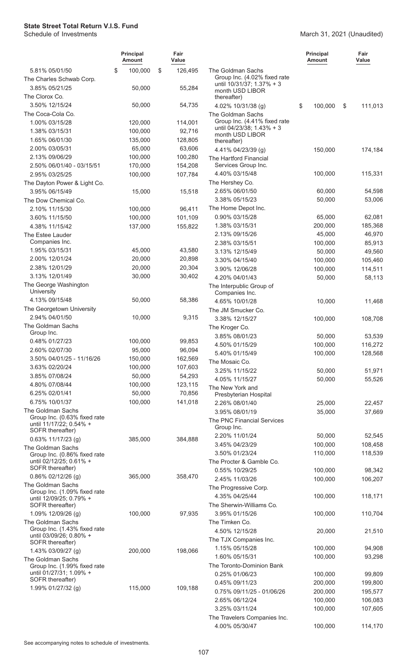|                                                         | <b>Principal</b><br>Amount | Fair<br>Value     |                                                           | <b>Principal</b><br>Amount | Fair<br>Value |
|---------------------------------------------------------|----------------------------|-------------------|-----------------------------------------------------------|----------------------------|---------------|
| 5.81% 05/01/50                                          | \$<br>100,000              | \$<br>126,495     | The Goldman Sachs                                         |                            |               |
| The Charles Schwab Corp.                                |                            |                   | Group Inc. (4.02% fixed rate<br>until 10/31/37; 1.37% + 3 |                            |               |
| 3.85% 05/21/25                                          | 50,000                     | 55,284            | month USD LIBOR                                           |                            |               |
| The Clorox Co.                                          |                            |                   | thereafter)                                               |                            |               |
| 3.50% 12/15/24                                          | 50,000                     | 54,735            | 4.02% 10/31/38 (g)                                        | \$<br>100,000              | \$<br>111,013 |
| The Coca-Cola Co.                                       |                            |                   | The Goldman Sachs                                         |                            |               |
| 1.00% 03/15/28                                          | 120,000                    | 114,001           | Group Inc. (4.41% fixed rate<br>until 04/23/38; 1.43% + 3 |                            |               |
| 1.38% 03/15/31                                          | 100,000                    | 92,716            | month USD LIBOR                                           |                            |               |
| 1.65% 06/01/30<br>2.00% 03/05/31                        | 135,000<br>65,000          | 128,805<br>63,606 | thereafter)                                               |                            |               |
| 2.13% 09/06/29                                          | 100,000                    | 100,280           | 4.41% 04/23/39 (g)                                        | 150,000                    | 174,184       |
| 2.50% 06/01/40 - 03/15/51                               | 170,000                    | 154,208           | The Hartford Financial<br>Services Group Inc.             |                            |               |
| 2.95% 03/25/25                                          | 100,000                    | 107,784           | 4.40% 03/15/48                                            | 100,000                    | 115,331       |
| The Dayton Power & Light Co.                            |                            |                   | The Hershey Co.                                           |                            |               |
| 3.95% 06/15/49                                          | 15,000                     | 15,518            | 2.65% 06/01/50                                            | 60,000                     | 54,598        |
| The Dow Chemical Co.                                    |                            |                   | 3.38% 05/15/23                                            | 50,000                     | 53,006        |
| 2.10% 11/15/30                                          | 100,000                    | 96,411            | The Home Depot Inc.                                       |                            |               |
| 3.60% 11/15/50                                          | 100,000                    | 101,109           | 0.90% 03/15/28                                            | 65,000                     | 62,081        |
| 4.38% 11/15/42                                          | 137,000                    | 155,822           | 1.38% 03/15/31                                            | 200,000                    | 185,368       |
| The Estee Lauder                                        |                            |                   | 2.13% 09/15/26                                            | 45,000                     | 46,970        |
| Companies Inc.                                          |                            |                   | 2.38% 03/15/51                                            | 100,000                    | 85,913        |
| 1.95% 03/15/31                                          | 45,000                     | 43,580            | 3.13% 12/15/49                                            | 50,000                     | 49,560        |
| 2.00% 12/01/24                                          | 20,000                     | 20,898            | 3.30% 04/15/40                                            | 100,000                    | 105,460       |
| 2.38% 12/01/29                                          | 20,000                     | 20,304            | 3.90% 12/06/28                                            | 100,000                    | 114,511       |
| 3.13% 12/01/49                                          | 30,000                     | 30,402            | 4.20% 04/01/43                                            | 50,000                     | 58,113        |
| The George Washington                                   |                            |                   | The Interpublic Group of                                  |                            |               |
| University<br>4.13% 09/15/48                            | 50,000                     | 58,386            | Companies Inc.                                            |                            |               |
| The Georgetown University                               |                            |                   | 4.65% 10/01/28<br>The JM Smucker Co.                      | 10,000                     | 11,468        |
| 2.94% 04/01/50                                          | 10,000                     | 9,315             | 3.38% 12/15/27                                            | 100,000                    | 108,708       |
| The Goldman Sachs                                       |                            |                   | The Kroger Co.                                            |                            |               |
| Group Inc.                                              |                            |                   | 3.85% 08/01/23                                            | 50,000                     | 53,539        |
| 0.48% 01/27/23                                          | 100,000                    | 99,853            | 4.50% 01/15/29                                            | 100,000                    | 116,272       |
| 2.60% 02/07/30                                          | 95,000                     | 96,094            | 5.40% 01/15/49                                            | 100,000                    | 128,568       |
| 3.50% 04/01/25 - 11/16/26                               | 150,000                    | 162,569           | The Mosaic Co.                                            |                            |               |
| 3.63% 02/20/24                                          | 100,000                    | 107,603           | 3.25% 11/15/22                                            | 50,000                     | 51,971        |
| 3.85% 07/08/24                                          | 50,000                     | 54,293            | 4.05% 11/15/27                                            | 50,000                     | 55,526        |
| 4.80% 07/08/44                                          | 100,000                    | 123,115           | The New York and                                          |                            |               |
| 6.25% 02/01/41                                          | 50,000                     | 70,856            | Presbyterian Hospital                                     |                            |               |
| 6.75% 10/01/37                                          | 100,000                    | 141,018           | 2.26% 08/01/40                                            | 25,000                     | 22,457        |
| The Goldman Sachs<br>Group Inc. (0.63% fixed rate       |                            |                   | 3.95% 08/01/19                                            | 35,000                     | 37,669        |
| until 11/17/22; 0.54% +                                 |                            |                   | The PNC Financial Services<br>Group Inc.                  |                            |               |
| SOFR thereafter)                                        |                            |                   | 2.20% 11/01/24                                            | 50,000                     | 52,545        |
| $0.63\%$ 11/17/23 (g)                                   | 385,000                    | 384,888           | 3.45% 04/23/29                                            | 100,000                    | 108,458       |
| The Goldman Sachs<br>Group Inc. (0.86% fixed rate       |                            |                   | 3.50% 01/23/24                                            | 110,000                    | 118,539       |
| until 02/12/25; 0.61% +                                 |                            |                   | The Procter & Gamble Co.                                  |                            |               |
| SOFR thereafter)                                        |                            |                   | 0.55% 10/29/25                                            | 100,000                    | 98,342        |
| $0.86\%$ 02/12/26 (g)                                   | 365,000                    | 358,470           | 2.45% 11/03/26                                            | 100,000                    | 106,207       |
| The Goldman Sachs                                       |                            |                   | The Progressive Corp.                                     |                            |               |
| Group Inc. (1.09% fixed rate<br>until 12/09/25; 0.79% + |                            |                   | 4.35% 04/25/44                                            | 100,000                    | 118,171       |
| SOFR thereafter)                                        |                            |                   | The Sherwin-Williams Co.                                  |                            |               |
| 1.09% 12/09/26 (g)                                      | 100,000                    | 97,935            | 3.95% 01/15/26                                            | 100,000                    | 110,704       |
| The Goldman Sachs                                       |                            |                   | The Timken Co.                                            |                            |               |
| Group Inc. (1.43% fixed rate<br>until 03/09/26; 0.80% + |                            |                   | 4.50% 12/15/28                                            | 20,000                     | 21,510        |
| SOFR thereafter)                                        |                            |                   | The TJX Companies Inc.                                    |                            |               |
| 1.43% 03/09/27 (g)                                      | 200,000                    | 198,066           | 1.15% 05/15/28                                            | 100,000                    | 94,908        |
| The Goldman Sachs                                       |                            |                   | 1.60% 05/15/31                                            | 100,000                    | 93,298        |
| Group Inc. (1.99% fixed rate                            |                            |                   | The Toronto-Dominion Bank                                 |                            |               |
| until 01/27/31; 1.09% +<br>SOFR thereafter)             |                            |                   | 0.25% 01/06/23                                            | 100,000                    | 99,809        |
| 1.99% 01/27/32 (g)                                      |                            |                   | 0.45% 09/11/23                                            | 200,000                    | 199,800       |
|                                                         | 115,000                    | 109,188           |                                                           |                            |               |
|                                                         |                            |                   | 0.75% 09/11/25 - 01/06/26                                 | 200,000                    | 195,577       |
|                                                         |                            |                   | 2.65% 06/12/24                                            | 100,000                    | 106,083       |
|                                                         |                            |                   | 3.25% 03/11/24<br>The Travelers Companies Inc.            | 100,000                    | 107,605       |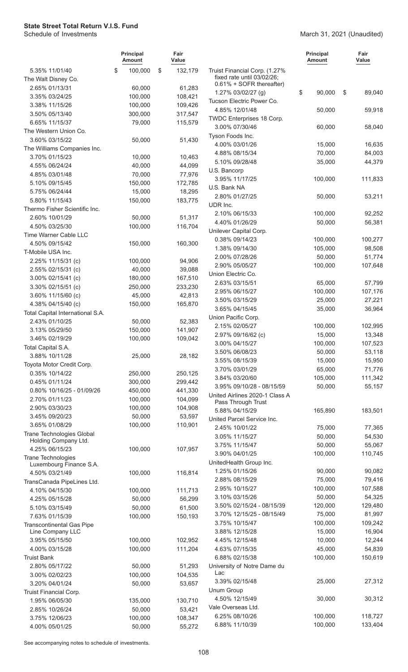## March 31, 2021 (Unaudited)

|                                                      | <b>Principal</b><br><b>Amount</b> | Fair<br>Value |                                                        | Principal<br><b>Amount</b> | Fair<br>Value     |
|------------------------------------------------------|-----------------------------------|---------------|--------------------------------------------------------|----------------------------|-------------------|
| 5.35% 11/01/40                                       | \$<br>100,000                     | \$<br>132,179 | Truist Financial Corp. (1.27%                          |                            |                   |
| The Walt Disney Co.                                  |                                   |               | fixed rate until 03/02/26;<br>0.61% + SOFR thereafter) |                            |                   |
| 2.65% 01/13/31                                       | 60,000                            | 61,283        | 1.27% 03/02/27 (g)                                     | \$<br>90,000               | \$<br>89,040      |
| 3.35% 03/24/25                                       | 100,000                           | 108,421       | Tucson Electric Power Co.                              |                            |                   |
| 3.38% 11/15/26                                       | 100,000                           | 109,426       | 4.85% 12/01/48                                         | 50,000                     | 59,918            |
| 3.50% 05/13/40                                       | 300,000                           | 317,547       | TWDC Enterprises 18 Corp.                              |                            |                   |
| 6.65% 11/15/37                                       | 79,000                            | 115,579       | 3.00% 07/30/46                                         | 60,000                     | 58,040            |
| The Western Union Co.                                |                                   |               | Tyson Foods Inc.                                       |                            |                   |
| 3.60% 03/15/22<br>The Williams Companies Inc.        | 50,000                            | 51,430        | 4.00% 03/01/26                                         | 15,000                     | 16,635            |
| 3.70% 01/15/23                                       | 10,000                            | 10,463        | 4.88% 08/15/34                                         | 70,000                     | 84,003            |
| 4.55% 06/24/24                                       | 40,000                            | 44,099        | 5.10% 09/28/48                                         | 35,000                     | 44,379            |
| 4.85% 03/01/48                                       | 70,000                            | 77,976        | U.S. Bancorp                                           |                            |                   |
| 5.10% 09/15/45                                       | 150,000                           | 172,785       | 3.95% 11/17/25                                         | 100,000                    | 111,833           |
| 5.75% 06/24/44                                       | 15,000                            | 18,295        | U.S. Bank NA                                           |                            |                   |
| 5.80% 11/15/43                                       | 150,000                           | 183,775       | 2.80% 01/27/25                                         | 50,000                     | 53,211            |
| Thermo Fisher Scientific Inc.                        |                                   |               | UDR Inc.                                               |                            |                   |
| 2.60% 10/01/29                                       | 50,000                            | 51,317        | 2.10% 06/15/33                                         | 100,000                    | 92,252            |
| 4.50% 03/25/30                                       | 100,000                           | 116,704       | 4.40% 01/26/29                                         | 50,000                     | 56,381            |
| Time Warner Cable LLC                                |                                   |               | Unilever Capital Corp.                                 |                            |                   |
| 4.50% 09/15/42                                       | 150,000                           | 160,300       | 0.38% 09/14/23                                         | 100,000                    | 100,277           |
| T-Mobile USA Inc.                                    |                                   |               | 1.38% 09/14/30                                         | 105,000                    | 98,508            |
| 2.25% 11/15/31 (c)                                   | 100,000                           | 94,906        | 2.00% 07/28/26                                         | 50,000                     | 51,774            |
| 2.55% 02/15/31 (c)                                   | 40,000                            | 39,088        | 2.90% 05/05/27                                         | 100,000                    | 107,648           |
| 3.00% 02/15/41 (c)                                   | 180,000                           | 167,510       | Union Electric Co.                                     |                            |                   |
| 3.30% 02/15/51 (c)                                   | 250,000                           | 233,230       | 2.63% 03/15/51                                         | 65,000                     | 57,799            |
| 3.60% 11/15/60 (c)                                   | 45,000                            | 42,813        | 2.95% 06/15/27                                         | 100,000                    | 107,176           |
| 4.38% 04/15/40 (c)                                   | 150,000                           | 165,870       | 3.50% 03/15/29                                         | 25,000                     | 27,221            |
| Total Capital International S.A.                     |                                   |               | 3.65% 04/15/45<br>Union Pacific Corp.                  | 35,000                     | 36,964            |
| 2.43% 01/10/25                                       | 50,000                            | 52,383        | 2.15% 02/05/27                                         | 100,000                    | 102,995           |
| 3.13% 05/29/50                                       | 150,000                           | 141,907       | 2.97% 09/16/62 (c)                                     | 15,000                     | 13,348            |
| 3.46% 02/19/29                                       | 100,000                           | 109,042       | 3.00% 04/15/27                                         | 100,000                    | 107,523           |
| Total Capital S.A.                                   |                                   |               | 3.50% 06/08/23                                         | 50,000                     | 53,118            |
| 3.88% 10/11/28                                       | 25,000                            | 28,182        | 3.55% 08/15/39                                         | 15,000                     | 15,950            |
| Toyota Motor Credit Corp.                            |                                   |               | 3.70% 03/01/29                                         | 65,000                     | 71,776            |
| 0.35% 10/14/22                                       | 250,000                           | 250,125       | 3.84% 03/20/60                                         | 105,000                    | 111,342           |
| 0.45% 01/11/24                                       | 300,000                           | 299,442       | 3.95% 09/10/28 - 08/15/59                              | 50,000                     | 55,157            |
| 0.80% 10/16/25 - 01/09/26                            | 450,000                           | 441,330       | United Airlines 2020-1 Class A                         |                            |                   |
| 2.70% 01/11/23                                       | 100,000                           | 104,099       | Pass Through Trust                                     |                            |                   |
| 2.90% 03/30/23                                       | 100,000                           | 104,908       | 5.88% 04/15/29                                         | 165,890                    | 183,501           |
| 3.45% 09/20/23                                       | 50,000                            | 53,597        | United Parcel Service Inc.                             |                            |                   |
| 3.65% 01/08/29<br>Trane Technologies Global          | 100,000                           | 110,901       | 2.45% 10/01/22                                         | 75,000                     | 77,365            |
| Holding Company Ltd.                                 |                                   |               | 3.05% 11/15/27                                         | 50,000                     | 54,530            |
| 4.25% 06/15/23                                       | 100,000                           | 107,957       | 3.75% 11/15/47                                         | 50,000                     | 55,067            |
| <b>Trane Technologies</b>                            |                                   |               | 3.90% 04/01/25                                         | 100,000                    | 110,745           |
| Luxembourg Finance S.A.                              |                                   |               | UnitedHealth Group Inc.                                |                            |                   |
| 4.50% 03/21/49                                       | 100,000                           | 116,814       | 1.25% 01/15/26                                         | 90,000                     | 90,082            |
| TransCanada PipeLines Ltd.                           |                                   |               | 2.88% 08/15/29                                         | 75,000                     | 79,416            |
| 4.10% 04/15/30                                       | 100,000                           | 111,713       | 2.95% 10/15/27                                         | 100,000                    | 107,588           |
| 4.25% 05/15/28                                       | 50,000                            | 56,299        | 3.10% 03/15/26                                         | 50,000                     | 54,325            |
| 5.10% 03/15/49                                       | 50,000                            | 61,500        | 3.50% 02/15/24 - 08/15/39<br>3.70% 12/15/25 - 08/15/49 | 120,000<br>75,000          | 129,480<br>81,997 |
| 7.63% 01/15/39                                       | 100,000                           | 150,193       | 3.75% 10/15/47                                         | 100,000                    | 109,242           |
| <b>Transcontinental Gas Pipe</b><br>Line Company LLC |                                   |               | 3.88% 12/15/28                                         | 15,000                     | 16,904            |
| 3.95% 05/15/50                                       | 100,000                           | 102,952       | 4.45% 12/15/48                                         | 10,000                     | 12,244            |
| 4.00% 03/15/28                                       | 100,000                           | 111,204       | 4.63% 07/15/35                                         | 45,000                     | 54,839            |
| <b>Truist Bank</b>                                   |                                   |               | 6.88% 02/15/38                                         | 100,000                    | 150,619           |
| 2.80% 05/17/22                                       | 50,000                            | 51,293        | University of Notre Dame du                            |                            |                   |
| 3.00% 02/02/23                                       | 100,000                           | 104,535       | Lac                                                    |                            |                   |
| 3.20% 04/01/24                                       | 50,000                            | 53,657        | 3.39% 02/15/48                                         | 25,000                     | 27,312            |
| Truist Financial Corp.                               |                                   |               | Unum Group                                             |                            |                   |
| 1.95% 06/05/30                                       | 135,000                           | 130,710       | 4.50% 12/15/49                                         | 30,000                     | 30,312            |
| 2.85% 10/26/24                                       | 50,000                            | 53,421        | Vale Overseas Ltd.                                     |                            |                   |
| 3.75% 12/06/23                                       | 100,000                           | 108,347       | 6.25% 08/10/26                                         | 100,000                    | 118,727           |
| 4.00% 05/01/25                                       | 50,000                            | 55,272        | 6.88% 11/10/39                                         | 100,000                    | 133,404           |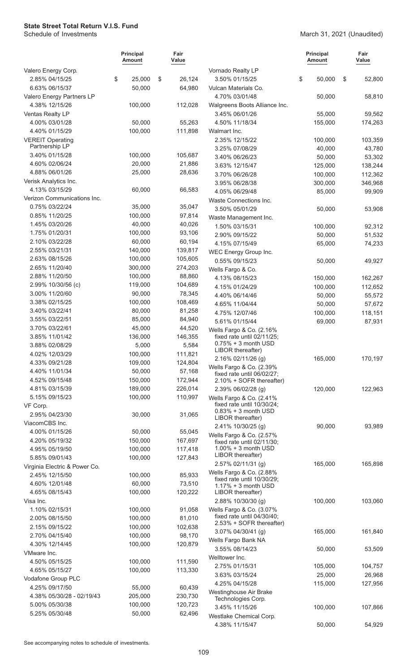March 31, 2021 (Unaudited)

|                                         | <b>Principal</b><br><b>Amount</b> | Fair<br>Value          |                                                        | Principal<br>Amount | Fair<br>Value |
|-----------------------------------------|-----------------------------------|------------------------|--------------------------------------------------------|---------------------|---------------|
| Valero Energy Corp.                     |                                   |                        | Vornado Realty LP                                      |                     |               |
| 2.85% 04/15/25<br>6.63% 06/15/37        | \$<br>25,000<br>50,000            | \$<br>26,124<br>64,980 | 3.50% 01/15/25<br>Vulcan Materials Co.                 | \$<br>50,000        | \$<br>52,800  |
| Valero Energy Partners LP               |                                   |                        | 4.70% 03/01/48                                         | 50,000              | 58,810        |
| 4.38% 12/15/26                          | 100,000                           | 112,028                | Walgreens Boots Alliance Inc.                          |                     |               |
| Ventas Realty LP                        |                                   |                        | 3.45% 06/01/26                                         | 55,000              | 59,562        |
| 4.00% 03/01/28                          | 50,000                            | 55,263                 | 4.50% 11/18/34                                         | 155,000             | 174,263       |
| 4.40% 01/15/29                          | 100,000                           | 111,898                | Walmart Inc.                                           |                     |               |
| <b>VEREIT Operating</b>                 |                                   |                        | 2.35% 12/15/22                                         | 100,000             | 103,359       |
| Partnership LP                          |                                   |                        | 3.25% 07/08/29                                         | 40,000              | 43,780        |
| 3.40% 01/15/28                          | 100,000                           | 105,687                | 3.40% 06/26/23                                         | 50,000              | 53,302        |
| 4.60% 02/06/24                          | 20,000                            | 21,886                 | 3.63% 12/15/47                                         | 125,000             | 138,244       |
| 4.88% 06/01/26                          | 25,000                            | 28,636                 | 3.70% 06/26/28                                         | 100,000             | 112,362       |
| Verisk Analytics Inc.<br>4.13% 03/15/29 | 60,000                            | 66,583                 | 3.95% 06/28/38                                         | 300,000             | 346,968       |
| Verizon Communications Inc.             |                                   |                        | 4.05% 06/29/48                                         | 85,000              | 99,909        |
| 0.75% 03/22/24                          | 35,000                            | 35,047                 | Waste Connections Inc.<br>3.50% 05/01/29               | 50,000              | 53,908        |
| 0.85% 11/20/25                          | 100,000                           | 97,814                 | Waste Management Inc.                                  |                     |               |
| 1.45% 03/20/26                          | 40,000                            | 40,026                 | 1.50% 03/15/31                                         | 100,000             | 92,312        |
| 1.75% 01/20/31                          | 100,000                           | 93,106                 | 2.90% 09/15/22                                         | 50,000              | 51,532        |
| 2.10% 03/22/28                          | 60,000                            | 60,194                 | 4.15% 07/15/49                                         | 65,000              | 74,233        |
| 2.55% 03/21/31                          | 140,000                           | 139,817                | WEC Energy Group Inc.                                  |                     |               |
| 2.63% 08/15/26                          | 100,000                           | 105,605                | 0.55% 09/15/23                                         | 50,000              | 49,927        |
| 2.65% 11/20/40                          | 300,000                           | 274,203                | Wells Fargo & Co.                                      |                     |               |
| 2.88% 11/20/50                          | 100,000                           | 88,860                 | 4.13% 08/15/23                                         | 150,000             | 162,267       |
| 2.99% 10/30/56 (c)                      | 119,000                           | 104,689                | 4.15% 01/24/29                                         | 100,000             | 112,652       |
| 3.00% 11/20/60                          | 90,000                            | 78,345                 | 4.40% 06/14/46                                         | 50,000              | 55,572        |
| 3.38% 02/15/25                          | 100,000                           | 108,469                | 4.65% 11/04/44                                         | 50,000              | 57,672        |
| 3.40% 03/22/41                          | 80,000                            | 81,258                 | 4.75% 12/07/46                                         | 100,000             | 118,151       |
| 3.55% 03/22/51<br>3.70% 03/22/61        | 85,000<br>45,000                  | 84,940<br>44,520       | 5.61% 01/15/44                                         | 69,000              | 87,931        |
| 3.85% 11/01/42                          | 136,000                           | 146,355                | Wells Fargo & Co. (2.16%<br>fixed rate until 02/11/25; |                     |               |
| 3.88% 02/08/29                          | 5,000                             | 5,584                  | $0.75% + 3$ month USD                                  |                     |               |
| 4.02% 12/03/29                          | 100,000                           | 111,821                | LIBOR thereafter)                                      |                     |               |
| 4.33% 09/21/28                          | 109,000                           | 124,804                | 2.16% 02/11/26 (g)                                     | 165,000             | 170,197       |
| 4.40% 11/01/34                          | 50,000                            | 57,168                 | Wells Fargo & Co. (2.39%<br>fixed rate until 06/02/27; |                     |               |
| 4.52% 09/15/48                          | 150,000                           | 172,944                | 2.10% + SOFR thereafter)                               |                     |               |
| 4.81% 03/15/39                          | 189,000                           | 226,014                | 2.39% 06/02/28 (g)                                     | 120,000             | 122,963       |
| 5.15% 09/15/23                          | 100,000                           | 110,997                | Wells Fargo & Co. (2.41%                               |                     |               |
| VF Corp.                                |                                   |                        | fixed rate until 10/30/24;<br>$0.83% + 3$ month USD    |                     |               |
| 2.95% 04/23/30                          | 30,000                            | 31,065                 | LIBOR thereafter)                                      |                     |               |
| ViacomCBS Inc.                          |                                   |                        | 2.41% 10/30/25 (g)                                     | 90,000              | 93,989        |
| 4.00% 01/15/26                          | 50,000                            | 55,045                 | Wells Fargo & Co. (2.57%                               |                     |               |
| 4.20% 05/19/32                          | 150,000                           | 167,697                | fixed rate until 02/11/30;<br>$1.00\% + 3$ month USD   |                     |               |
| 4.95% 05/19/50<br>5.85% 09/01/43        | 100,000<br>100,000                | 117,418<br>127,843     | LIBOR thereafter)                                      |                     |               |
| Virginia Electric & Power Co.           |                                   |                        | 2.57% 02/11/31 (g)                                     | 165,000             | 165,898       |
| 2.45% 12/15/50                          | 100,000                           | 85,933                 | Wells Fargo & Co. (2.88%                               |                     |               |
| 4.60% 12/01/48                          | 60,000                            | 73,510                 | fixed rate until 10/30/29;<br>$1.17% + 3$ month USD    |                     |               |
| 4.65% 08/15/43                          | 100,000                           | 120,222                | LIBOR thereafter)                                      |                     |               |
| Visa Inc.                               |                                   |                        | 2.88% 10/30/30 (g)                                     | 100,000             | 103,060       |
| 1.10% 02/15/31                          | 100,000                           | 91,058                 | Wells Fargo & Co. (3.07%                               |                     |               |
| 2.00% 08/15/50                          | 100,000                           | 81,010                 | fixed rate until 04/30/40;                             |                     |               |
| 2.15% 09/15/22                          | 100,000                           | 102,638                | 2.53% + SOFR thereafter)<br>3.07% 04/30/41 (g)         | 165,000             | 161,840       |
| 2.70% 04/15/40                          | 100,000                           | 98,170                 | Wells Fargo Bank NA                                    |                     |               |
| 4.30% 12/14/45                          | 100,000                           | 120,879                | 3.55% 08/14/23                                         | 50,000              | 53,509        |
| VMware Inc.                             |                                   |                        | Welltower Inc.                                         |                     |               |
| 4.50% 05/15/25                          | 100,000                           | 111,590                | 2.75% 01/15/31                                         | 105,000             | 104,757       |
| 4.65% 05/15/27                          | 100,000                           | 113,330                | 3.63% 03/15/24                                         | 25,000              | 26,968        |
| Vodafone Group PLC<br>4.25% 09/17/50    |                                   |                        | 4.25% 04/15/28                                         | 115,000             | 127,956       |
| 4.38% 05/30/28 - 02/19/43               | 55,000<br>205,000                 | 60,439<br>230,730      | Westinghouse Air Brake                                 |                     |               |
| 5.00% 05/30/38                          | 100,000                           | 120,723                | Technologies Corp.                                     |                     |               |
| 5.25% 05/30/48                          | 50,000                            | 62,496                 | 3.45% 11/15/26                                         | 100,000             | 107,866       |
|                                         |                                   |                        | Westlake Chemical Corp.                                |                     |               |
|                                         |                                   |                        | 4.38% 11/15/47                                         | 50,000              | 54,929        |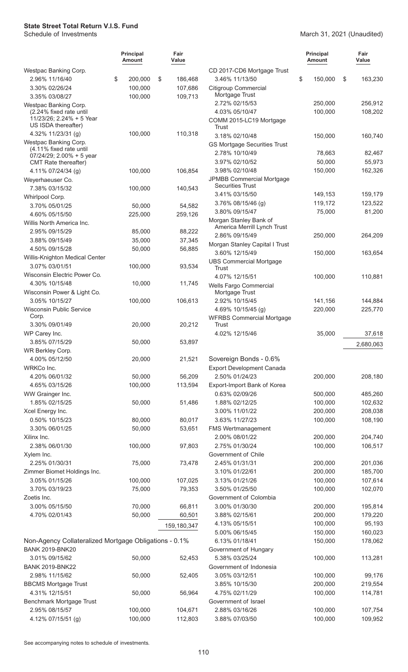## March 31, 2021 (Unaudited)

|                                                                            | <b>Principal</b><br><b>Amount</b> | Fair<br>Value      |                                                    | <b>Principal</b><br>Amount | Fair<br>Value    |
|----------------------------------------------------------------------------|-----------------------------------|--------------------|----------------------------------------------------|----------------------------|------------------|
| Westpac Banking Corp.                                                      |                                   |                    | CD 2017-CD6 Mortgage Trust                         |                            |                  |
| 2.96% 11/16/40                                                             | \$<br>200,000                     | \$<br>186,468      | 3.46% 11/13/50                                     | \$<br>150,000              | \$<br>163,230    |
| 3.30% 02/26/24<br>3.35% 03/08/27                                           | 100,000<br>100,000                | 107,686<br>109,713 | <b>Citigroup Commercial</b><br>Mortgage Trust      |                            |                  |
| Westpac Banking Corp.                                                      |                                   |                    | 2.72% 02/15/53                                     | 250,000                    | 256,912          |
| (2.24% fixed rate until<br>11/23/26; 2.24% + 5 Year<br>US ISDA thereafter) |                                   |                    | 4.03% 05/10/47<br>COMM 2015-LC19 Mortgage<br>Trust | 100,000                    | 108,202          |
| 4.32% $11/23/31$ (g)                                                       | 100,000                           | 110,318            | 3.18% 02/10/48                                     | 150,000                    | 160,740          |
| Westpac Banking Corp.                                                      |                                   |                    | <b>GS Mortgage Securities Trust</b>                |                            |                  |
| (4.11% fixed rate until<br>$07/24/29$ ; 2.00% + 5 year                     |                                   |                    | 2.78% 10/10/49<br>3.97% 02/10/52                   | 78,663<br>50,000           | 82,467<br>55,973 |
| CMT Rate thereafter)                                                       |                                   |                    | 3.98% 02/10/48                                     | 150,000                    | 162,326          |
| 4.11% 07/24/34 (g)                                                         | 100,000                           | 106,854            | JPMBB Commercial Mortgage                          |                            |                  |
| Weyerhaeuser Co.<br>7.38% 03/15/32                                         | 100,000                           | 140,543            | <b>Securities Trust</b>                            |                            |                  |
| Whirlpool Corp.                                                            |                                   |                    | 3.41% 03/15/50                                     | 149,153                    | 159,179          |
| 3.70% 05/01/25                                                             | 50,000                            | 54,582             | 3.76% 08/15/46 (g)                                 | 119,172                    | 123,522          |
| 4.60% 05/15/50                                                             | 225,000                           | 259,126            | 3.80% 09/15/47                                     | 75,000                     | 81,200           |
| Willis North America Inc.                                                  |                                   |                    | Morgan Stanley Bank of                             |                            |                  |
| 2.95% 09/15/29                                                             | 85,000                            | 88,222             | America Merrill Lynch Trust                        |                            |                  |
| 3.88% 09/15/49                                                             | 35,000                            | 37,345             | 2.86% 09/15/49                                     | 250,000                    | 264,209          |
| 4.50% 09/15/28                                                             | 50,000                            | 56,885             | Morgan Stanley Capital I Trust                     |                            |                  |
| Willis-Knighton Medical Center                                             |                                   |                    | 3.60% 12/15/49                                     | 150,000                    | 163,654          |
| 3.07% 03/01/51                                                             | 100,000                           | 93,534             | <b>UBS Commercial Mortgage</b><br>Trust            |                            |                  |
| Wisconsin Electric Power Co.                                               |                                   |                    | 4.07% 12/15/51                                     | 100,000                    | 110,881          |
| 4.30% 10/15/48                                                             | 10,000                            | 11,745             | Wells Fargo Commercial                             |                            |                  |
| Wisconsin Power & Light Co.                                                |                                   |                    | Mortgage Trust                                     |                            |                  |
| 3.05% 10/15/27                                                             | 100,000                           | 106,613            | 2.92% 10/15/45                                     | 141,156                    | 144,884          |
| Wisconsin Public Service                                                   |                                   |                    | 4.69% 10/15/45 (g)                                 | 220,000                    | 225,770          |
| Corp.                                                                      |                                   |                    | <b>WFRBS Commercial Mortgage</b>                   |                            |                  |
| 3.30% 09/01/49                                                             | 20,000                            | 20,212             | <b>Trust</b><br>4.02% 12/15/46                     | 35,000                     |                  |
| WP Carey Inc.<br>3.85% 07/15/29                                            | 50,000                            | 53,897             |                                                    |                            | 37,618           |
| WR Berkley Corp.                                                           |                                   |                    |                                                    |                            | 2,680,063        |
| 4.00% 05/12/50                                                             | 20,000                            | 21,521             | Sovereign Bonds - 0.6%                             |                            |                  |
| WRKCo Inc.                                                                 |                                   |                    | <b>Export Development Canada</b>                   |                            |                  |
| 4.20% 06/01/32                                                             | 50,000                            | 56,209             | 2.50% 01/24/23                                     | 200,000                    | 208,180          |
| 4.65% 03/15/26                                                             | 100,000                           | 113,594            | Export-Import Bank of Korea                        |                            |                  |
| WW Grainger Inc.                                                           |                                   |                    | 0.63% 02/09/26                                     | 500,000                    | 485,260          |
| 1.85% 02/15/25                                                             | 50,000                            | 51,486             | 1.88% 02/12/25                                     | 100,000                    | 102,632          |
| Xcel Energy Inc.                                                           |                                   |                    | 3.00% 11/01/22                                     | 200,000                    | 208,038          |
| 0.50% 10/15/23                                                             | 80,000                            | 80,017             | 3.63% 11/27/23                                     | 100,000                    | 108,190          |
| 3.30% 06/01/25                                                             | 50,000                            | 53,651             | <b>FMS Wertmanagement</b>                          |                            |                  |
| Xilinx Inc.                                                                |                                   |                    | 2.00% 08/01/22                                     | 200,000                    | 204,740          |
| 2.38% 06/01/30                                                             | 100,000                           | 97,803             | 2.75% 01/30/24                                     | 100,000                    | 106,517          |
| Xylem Inc.                                                                 |                                   |                    | Government of Chile                                |                            |                  |
| 2.25% 01/30/31                                                             | 75,000                            | 73,478             | 2.45% 01/31/31                                     | 200,000                    | 201,036          |
| Zimmer Biomet Holdings Inc.                                                |                                   |                    | 3.10% 01/22/61                                     | 200,000                    | 185,700          |
| 3.05% 01/15/26                                                             | 100,000                           | 107,025            | 3.13% 01/21/26                                     | 100,000                    | 107,614          |
| 3.70% 03/19/23                                                             | 75,000                            | 79,353             | 3.50% 01/25/50                                     | 100,000                    | 102,070          |
| Zoetis Inc.<br>3.00% 05/15/50                                              | 70,000                            | 66,811             | Government of Colombia<br>3.00% 01/30/30           | 200,000                    | 195,814          |
| 4.70% 02/01/43                                                             | 50,000                            | 60,501             | 3.88% 02/15/61                                     | 200,000                    | 179,220          |
|                                                                            |                                   |                    | 4.13% 05/15/51                                     | 100,000                    | 95,193           |
|                                                                            |                                   | 159,180,347        | 5.00% 06/15/45                                     | 150,000                    | 160,023          |
| Non-Agency Collateralized Mortgage Obligations - 0.1%                      |                                   |                    | 6.13% 01/18/41                                     | 150,000                    | 178,062          |
| <b>BANK 2019-BNK20</b>                                                     |                                   |                    | Government of Hungary                              |                            |                  |
| 3.01% 09/15/62                                                             | 50,000                            | 52,453             | 5.38% 03/25/24                                     | 100,000                    | 113,281          |
| <b>BANK 2019-BNK22</b>                                                     |                                   |                    | Government of Indonesia                            |                            |                  |
| 2.98% 11/15/62                                                             | 50,000                            | 52,405             | 3.05% 03/12/51                                     | 100,000                    | 99,176           |
| <b>BBCMS Mortgage Trust</b>                                                |                                   |                    | 3.85% 10/15/30                                     | 200,000                    | 219,554          |
| 4.31% 12/15/51                                                             | 50,000                            | 56,964             | 4.75% 02/11/29                                     | 100,000                    | 114,781          |
| Benchmark Mortgage Trust                                                   |                                   |                    | Government of Israel                               |                            |                  |
| 2.95% 08/15/57                                                             | 100,000                           | 104,671            | 2.88% 03/16/26                                     | 100,000                    | 107,754          |
| 4.12% 07/15/51 (g)                                                         | 100,000                           | 112,803            | 3.88% 07/03/50                                     | 100,000                    | 109,952          |
|                                                                            |                                   |                    |                                                    |                            |                  |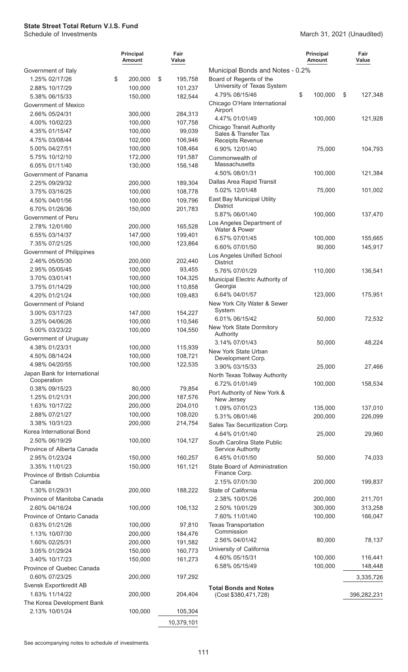|                                          | <b>Principal</b><br>Amount | Fair<br>Value     |                                                         | <b>Principal</b><br>Amount | Fair<br>Value |
|------------------------------------------|----------------------------|-------------------|---------------------------------------------------------|----------------------------|---------------|
| Government of Italy                      |                            |                   | Municipal Bonds and Notes - 0.2%                        |                            |               |
| 1.25% 02/17/26                           | \$<br>200,000              | \$<br>195,758     | Board of Regents of the                                 |                            |               |
| 2.88% 10/17/29                           | 100,000                    | 101,237           | University of Texas System                              |                            |               |
| 5.38% 06/15/33                           | 150,000                    | 182,544           | 4.79% 08/15/46                                          | \$<br>100,000              | \$<br>127,348 |
| Government of Mexico                     |                            |                   | Chicago O'Hare International<br>Airport                 |                            |               |
| 2.66% 05/24/31                           | 300,000                    | 284,313           | 4.47% 01/01/49                                          | 100,000                    | 121,928       |
| 4.00% 10/02/23                           | 100,000                    | 107,758           | Chicago Transit Authority                               |                            |               |
| 4.35% 01/15/47                           | 100,000                    | 99,039            | Sales & Transfer Tax                                    |                            |               |
| 4.75% 03/08/44                           | 102,000                    | 106,946           | <b>Receipts Revenue</b>                                 |                            |               |
| 5.00% 04/27/51                           | 100,000                    | 108,464           | 6.90% 12/01/40                                          | 75,000                     | 104,793       |
| 5.75% 10/12/10                           | 172,000                    | 191,587           | Commonwealth of<br>Massachusetts                        |                            |               |
| 6.05% 01/11/40<br>Government of Panama   | 130,000                    | 156,148           | 4.50% 08/01/31                                          | 100,000                    | 121,384       |
| 2.25% 09/29/32                           | 200,000                    | 189,304           | Dallas Area Rapid Transit                               |                            |               |
| 3.75% 03/16/25                           | 100,000                    | 108,778           | 5.02% 12/01/48                                          | 75,000                     | 101,002       |
| 4.50% 04/01/56                           | 100,000                    | 109,796           | East Bay Municipal Utility                              |                            |               |
| 6.70% 01/26/36                           | 150,000                    | 201,783           | <b>District</b>                                         |                            |               |
| Government of Peru                       |                            |                   | 5.87% 06/01/40                                          | 100,000                    | 137,470       |
| 2.78% 12/01/60                           | 200,000                    | 165,528           | Los Angeles Department of                               |                            |               |
| 6.55% 03/14/37                           | 147,000                    | 199,401           | Water & Power                                           |                            |               |
| 7.35% 07/21/25                           | 100,000                    | 123,864           | 6.57% 07/01/45                                          | 100,000                    | 155,665       |
| Government of Philippines                |                            |                   | 6.60% 07/01/50                                          | 90,000                     | 145,917       |
| 2.46% 05/05/30                           | 200,000                    | 202,440           | Los Angeles Unified School<br><b>District</b>           |                            |               |
| 2.95% 05/05/45                           | 100,000                    | 93,455            | 5.76% 07/01/29                                          | 110,000                    | 136,541       |
| 3.70% 03/01/41                           | 100,000                    | 104,325           | Municipal Electric Authority of                         |                            |               |
| 3.75% 01/14/29                           | 100,000                    | 110,858           | Georgia                                                 |                            |               |
| 4.20% 01/21/24                           | 100,000                    | 109,483           | 6.64% 04/01/57                                          | 123,000                    | 175,951       |
| Government of Poland                     |                            |                   | New York City Water & Sewer                             |                            |               |
| 3.00% 03/17/23                           | 147,000                    | 154,227           | System                                                  |                            |               |
| 3.25% 04/06/26                           | 100,000                    | 110,546           | 6.01% 06/15/42                                          | 50,000                     | 72,532        |
| 5.00% 03/23/22                           | 100,000                    | 104,550           | New York State Dormitory<br>Authority                   |                            |               |
| Government of Uruguay                    |                            |                   | 3.14% 07/01/43                                          | 50,000                     | 48,224        |
| 4.38% 01/23/31                           | 100,000                    | 115,939           | New York State Urban                                    |                            |               |
| 4.50% 08/14/24                           | 100,000                    | 108,721           | Development Corp.                                       |                            |               |
| 4.98% 04/20/55                           | 100,000                    | 122,535           | 3.90% 03/15/33                                          | 25,000                     | 27,466        |
| Japan Bank for International             |                            |                   | North Texas Tollway Authority                           |                            |               |
| Cooperation                              |                            |                   | 6.72% 01/01/49                                          | 100,000                    | 158,534       |
| 0.38% 09/15/23<br>1.25% 01/21/31         | 80,000<br>200,000          | 79,854<br>187,576 | Port Authority of New York &                            |                            |               |
| 1.63% 10/17/22                           | 200,000                    | 204,010           | New Jersey                                              |                            |               |
| 2.88% 07/21/27                           | 100,000                    | 108,020           | 1.09% 07/01/23                                          | 135,000                    | 137,010       |
| 3.38% 10/31/23                           | 200,000                    | 214,754           | 5.31% 08/01/46                                          | 200,000                    | 226,099       |
| Korea International Bond                 |                            |                   | Sales Tax Securitization Corp.                          |                            |               |
| 2.50% 06/19/29                           | 100,000                    | 104,127           | 4.64% 01/01/40                                          | 25,000                     | 29,960        |
| Province of Alberta Canada               |                            |                   | South Carolina State Public<br><b>Service Authority</b> |                            |               |
| 2.95% 01/23/24                           | 150,000                    | 160,257           | 6.45% 01/01/50                                          | 50,000                     | 74,033        |
| 3.35% 11/01/23                           | 150,000                    | 161,121           | State Board of Administration                           |                            |               |
| Province of British Columbia             |                            |                   | Finance Corp.                                           |                            |               |
| Canada                                   |                            |                   | 2.15% 07/01/30                                          | 200,000                    | 199,837       |
| 1.30% 01/29/31                           | 200,000                    | 188,222           | State of California                                     |                            |               |
| Province of Manitoba Canada              |                            |                   | 2.38% 10/01/26                                          | 200,000                    | 211,701       |
| 2.60% 04/16/24                           | 100,000                    | 106,132           | 2.50% 10/01/29                                          | 300,000                    | 313,258       |
| Province of Ontario Canada               |                            |                   | 7.60% 11/01/40                                          | 100,000                    | 166,047       |
| 0.63% 01/21/26                           | 100,000                    | 97,810            | <b>Texas Transportation</b><br>Commission               |                            |               |
| 1.13% 10/07/30                           | 200,000                    | 184,476           | 2.56% 04/01/42                                          | 80,000                     | 78,137        |
| 1.60% 02/25/31                           | 200,000                    | 191,582           | University of California                                |                            |               |
| 3.05% 01/29/24                           | 150,000                    | 160,773           | 4.60% 05/15/31                                          | 100,000                    | 116,441       |
| 3.40% 10/17/23                           | 150,000                    | 161,273           | 6.58% 05/15/49                                          | 100,000                    | 148,448       |
| Province of Quebec Canada                |                            |                   |                                                         |                            |               |
| 0.60% 07/23/25                           | 200,000                    | 197,292           |                                                         |                            | 3,335,726     |
| Svensk Exportkredit AB<br>1.63% 11/14/22 | 200,000                    |                   | <b>Total Bonds and Notes</b>                            |                            |               |
| The Korea Development Bank               |                            | 204,404           | (Cost \$380,471,728)                                    |                            | 396,282,231   |
| 2.13% 10/01/24                           | 100,000                    | 105,304           |                                                         |                            |               |
|                                          |                            |                   |                                                         |                            |               |
|                                          |                            | 10,379,101        |                                                         |                            |               |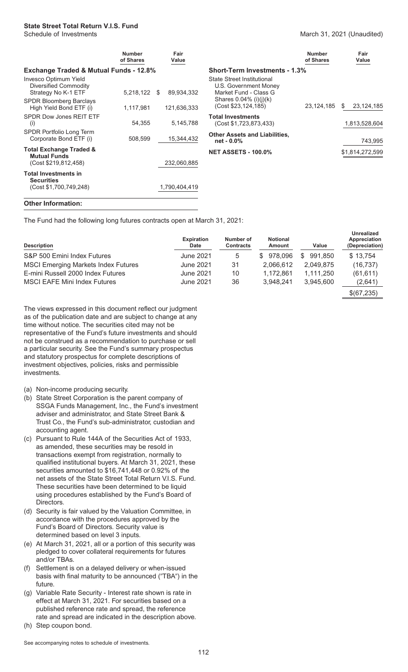#### March 31, 2021 (Unaudited)

|                                                                            | <b>Number</b><br>of Shares |   | Fair<br>Value |                                                                              | <b>Number</b><br>of Shares |    | Fair<br>Value   |
|----------------------------------------------------------------------------|----------------------------|---|---------------|------------------------------------------------------------------------------|----------------------------|----|-----------------|
| <b>Exchange Traded &amp; Mutual Funds - 12.8%</b>                          |                            |   |               | <b>Short-Term Investments - 1.3%</b>                                         |                            |    |                 |
| Invesco Optimum Yield<br>Diversified Commodity<br>Strategy No K-1 ETF      | 5,218,122                  | S | 89,934,332    | State Street Institutional<br>U.S. Government Money<br>Market Fund - Class G |                            |    |                 |
| <b>SPDR Bloomberg Barclays</b><br>High Yield Bond ETF (i)                  | 1,117,981                  |   | 121,636,333   | Shares $0.04\%$ (i)(i)(k)<br>(Cost \$23,124,185)                             | 23, 124, 185               | S. | 23,124,185      |
| SPDR Dow Jones REIT ETF<br>(i)                                             | 54,355                     |   | 5,145,788     | <b>Total Investments</b><br>(Cost \$1,723,873,433)                           |                            |    | 1,813,528,604   |
| SPDR Portfolio Long Term<br>Corporate Bond ETF (i)                         | 508,599                    |   | 15,344,432    | <b>Other Assets and Liabilities,</b><br>net - 0.0%                           |                            |    | 743,995         |
| <b>Total Exchange Traded &amp;</b><br><b>Mutual Funds</b>                  |                            |   |               | <b>NET ASSETS - 100.0%</b>                                                   |                            |    | \$1,814,272,599 |
| (Cost \$219,812,458)                                                       |                            |   | 232,060,885   |                                                                              |                            |    |                 |
| <b>Total Investments in</b><br><b>Securities</b><br>(Cost \$1,700,749,248) |                            |   | 1.790.404.419 |                                                                              |                            |    |                 |
|                                                                            |                            |   |               |                                                                              |                            |    |                 |

#### **Other Information:**

The Fund had the following long futures contracts open at March 31, 2021:

| <b>Description</b>                         | <b>Expiration</b><br>Date | Number of<br><b>Contracts</b> | <b>Notional</b><br>Amount | Value         | <b>Unrealized</b><br>Appreciation<br>(Depreciation) |
|--------------------------------------------|---------------------------|-------------------------------|---------------------------|---------------|-----------------------------------------------------|
| S&P 500 Emini Index Futures                | June 2021                 | 5                             | 978.096<br>SS.            | 991.850<br>\$ | \$13,754                                            |
| <b>MSCI Emerging Markets Index Futures</b> | June 2021                 | 31                            | 2.066.612                 | 2.049.875     | (16, 737)                                           |
| E-mini Russell 2000 Index Futures          | June 2021                 | 10                            | 1.172.861                 | 1.111.250     | (61, 611)                                           |
| <b>MSCI EAFE Mini Index Futures</b>        | June 2021                 | 36                            | 3.948.241                 | 3.945.600     | (2,641)                                             |
|                                            |                           |                               |                           |               | \$(67,235)                                          |

The views expressed in this document reflect our judgment as of the publication date and are subject to change at any time without notice. The securities cited may not be representative of the Fund's future investments and should not be construed as a recommendation to purchase or sell a particular security. See the Fund's summary prospectus and statutory prospectus for complete descriptions of investment objectives, policies, risks and permissible investments.

- (a) Non-income producing security.
- (b) State Street Corporation is the parent company of SSGA Funds Management, Inc., the Fund's investment adviser and administrator, and State Street Bank & Trust Co., the Fund's sub-administrator, custodian and accounting agent.
- (c) Pursuant to Rule 144A of the Securities Act of 1933, as amended, these securities may be resold in transactions exempt from registration, normally to qualified institutional buyers. At March 31, 2021, these securities amounted to \$16,741,448 or 0.92% of the net assets of the State Street Total Return V.I.S. Fund. These securities have been determined to be liquid using procedures established by the Fund's Board of Directors.
- (d) Security is fair valued by the Valuation Committee, in accordance with the procedures approved by the Fund's Board of Directors. Security value is determined based on level 3 inputs.
- (e) At March 31, 2021, all or a portion of this security was pledged to cover collateral requirements for futures and/or TBAs.
- (f) Settlement is on a delayed delivery or when-issued basis with final maturity to be announced ("TBA") in the future.
- (g) Variable Rate Security Interest rate shown is rate in effect at March 31, 2021. For securities based on a published reference rate and spread, the reference rate and spread are indicated in the description above.
- (h) Step coupon bond.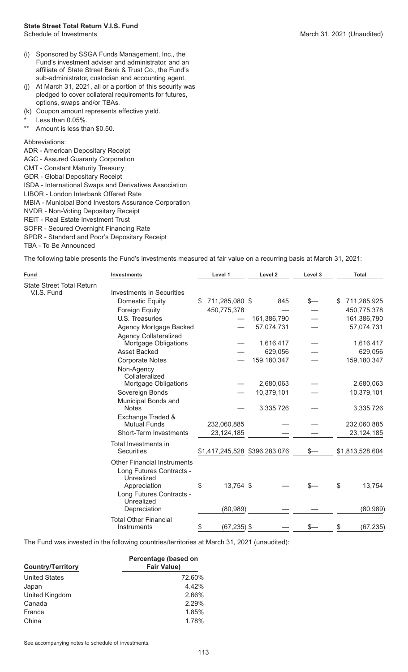- (i) Sponsored by SSGA Funds Management, Inc., the Fund's investment adviser and administrator, and an affiliate of State Street Bank & Trust Co., the Fund's sub-administrator, custodian and accounting agent.
- (j) At March 31, 2021, all or a portion of this security was pledged to cover collateral requirements for futures, options, swaps and/or TBAs.
- (k) Coupon amount represents effective yield.
- \* Less than  $0.05\%$ .
- Amount is less than \$0.50.

#### Abbreviations:

- ADR American Depositary Receipt
- AGC Assured Guaranty Corporation
- CMT Constant Maturity Treasury
- GDR Global Depositary Receipt
- ISDA International Swaps and Derivatives Association
- LIBOR London Interbank Offered Rate

MBIA - Municipal Bond Investors Assurance Corporation

- NVDR Non-Voting Depositary Receipt
- REIT Real Estate Investment Trust
- SOFR Secured Overnight Financing Rate
- SPDR Standard and Poor's Depositary Receipt
- TBA To Be Announced

The following table presents the Fund's investments measured at fair value on a recurring basis at March 31, 2021:

| <b>Fund</b>                      | <b>Investments</b>                          | Level 1                       | Level 2     | Level 3 | <b>Total</b>      |
|----------------------------------|---------------------------------------------|-------------------------------|-------------|---------|-------------------|
| <b>State Street Total Return</b> |                                             |                               |             |         |                   |
| V.I.S. Fund                      | <b>Investments in Securities</b>            |                               |             |         |                   |
|                                  | <b>Domestic Equity</b>                      | \$<br>711,285,080 \$          | 845         | \$—     | \$<br>711,285,925 |
|                                  | Foreign Equity                              | 450,775,378                   |             |         | 450,775,378       |
|                                  | U.S. Treasuries                             |                               | 161,386,790 |         | 161,386,790       |
|                                  | Agency Mortgage Backed                      |                               | 57,074,731  |         | 57,074,731        |
|                                  | <b>Agency Collateralized</b>                |                               |             |         |                   |
|                                  | Mortgage Obligations                        |                               | 1,616,417   |         | 1,616,417         |
|                                  | <b>Asset Backed</b>                         |                               | 629,056     |         | 629,056           |
|                                  | <b>Corporate Notes</b>                      |                               | 159,180,347 |         | 159,180,347       |
|                                  | Non-Agency<br>Collateralized                |                               |             |         |                   |
|                                  | Mortgage Obligations                        |                               | 2,680,063   |         | 2,680,063         |
|                                  | Sovereign Bonds                             |                               | 10,379,101  |         | 10,379,101        |
|                                  | Municipal Bonds and<br><b>Notes</b>         |                               | 3,335,726   |         | 3,335,726         |
|                                  | Exchange Traded &<br><b>Mutual Funds</b>    | 232,060,885                   |             |         | 232,060,885       |
|                                  | Short-Term Investments                      | 23, 124, 185                  |             |         | 23, 124, 185      |
|                                  | Total Investments in<br>Securities          | \$1,417,245,528 \$396,283,076 |             | \$—     | \$1,813,528,604   |
|                                  | <b>Other Financial Instruments</b>          |                               |             |         |                   |
|                                  | Long Futures Contracts -<br>Unrealized      |                               |             |         |                   |
|                                  | Appreciation<br>Long Futures Contracts -    | \$<br>13,754 \$               |             |         | \$<br>13,754      |
|                                  | Unrealized<br>Depreciation                  | (80, 989)                     |             |         | (80, 989)         |
|                                  | <b>Total Other Financial</b><br>Instruments | \$<br>$(67, 235)$ \$          |             |         | \$<br>(67, 235)   |

The Fund was invested in the following countries/territories at March 31, 2021 (unaudited):

| <b>Country/Territory</b> | Percentage (based on<br><b>Fair Value)</b> |
|--------------------------|--------------------------------------------|
| <b>United States</b>     | 72.60%                                     |
| Japan                    | 4.42%                                      |
| United Kingdom           | 2.66%                                      |
| Canada                   | 2.29%                                      |
| France                   | 1.85%                                      |
| China                    | 1.78%                                      |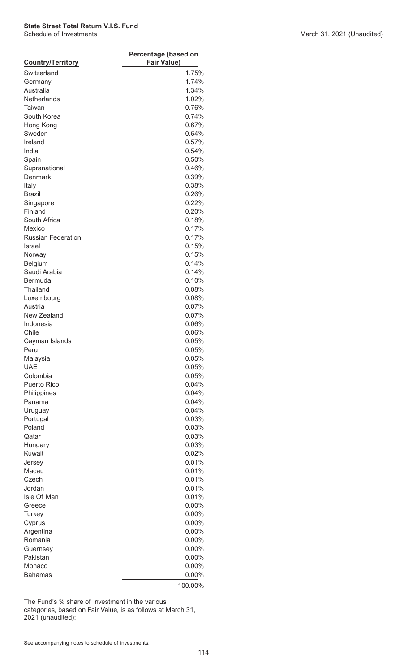| <b>Country/Territory</b>  | Percentage (based on<br><b>Fair Value)</b> |  |  |  |  |
|---------------------------|--------------------------------------------|--|--|--|--|
|                           |                                            |  |  |  |  |
| Switzerland               | 1.75%                                      |  |  |  |  |
| Germany                   | 1.74%                                      |  |  |  |  |
| Australia                 | 1.34%                                      |  |  |  |  |
| Netherlands               | 1.02%                                      |  |  |  |  |
| Taiwan                    | 0.76%                                      |  |  |  |  |
| South Korea               | 0.74%                                      |  |  |  |  |
| Hong Kong                 | 0.67%                                      |  |  |  |  |
| Sweden                    | 0.64%                                      |  |  |  |  |
| Ireland                   | 0.57%                                      |  |  |  |  |
| India                     | 0.54%                                      |  |  |  |  |
| Spain                     | 0.50%                                      |  |  |  |  |
| Supranational             | 0.46%                                      |  |  |  |  |
| Denmark                   | 0.39%                                      |  |  |  |  |
| Italy                     | 0.38%                                      |  |  |  |  |
| <b>Brazil</b>             | 0.26%                                      |  |  |  |  |
| Singapore                 | 0.22%                                      |  |  |  |  |
| Finland                   | 0.20%                                      |  |  |  |  |
| South Africa              | 0.18%                                      |  |  |  |  |
| Mexico                    | 0.17%                                      |  |  |  |  |
| <b>Russian Federation</b> | 0.17%                                      |  |  |  |  |
| <b>Israel</b>             | 0.15%                                      |  |  |  |  |
| Norway                    | 0.15%                                      |  |  |  |  |
| Belgium                   | 0.14%                                      |  |  |  |  |
| Saudi Arabia              | 0.14%                                      |  |  |  |  |
| Bermuda                   | 0.10%                                      |  |  |  |  |
| Thailand                  | 0.08%                                      |  |  |  |  |
| Luxembourg                | 0.08%                                      |  |  |  |  |
| Austria                   | 0.07%                                      |  |  |  |  |
| New Zealand               | 0.07%                                      |  |  |  |  |
| Indonesia                 | 0.06%                                      |  |  |  |  |
| Chile                     | 0.06%                                      |  |  |  |  |
| Cayman Islands            | 0.05%                                      |  |  |  |  |
| Peru                      | 0.05%                                      |  |  |  |  |
| Malaysia                  | 0.05%                                      |  |  |  |  |
| <b>UAE</b>                | 0.05%                                      |  |  |  |  |
| Colombia                  | 0.05%                                      |  |  |  |  |
| <b>Puerto Rico</b>        | 0.04%                                      |  |  |  |  |
| Philippines               | 0.04%                                      |  |  |  |  |
| Panama                    | 0.04%                                      |  |  |  |  |
| Uruguay                   | 0.04%                                      |  |  |  |  |
| Portugal                  | 0.03%                                      |  |  |  |  |
| Poland                    | 0.03%                                      |  |  |  |  |
| Qatar                     | 0.03%                                      |  |  |  |  |
| Hungary                   | 0.03%                                      |  |  |  |  |
| Kuwait                    | 0.02%                                      |  |  |  |  |
| Jersey                    | 0.01%                                      |  |  |  |  |
| Macau                     | 0.01%                                      |  |  |  |  |
| Czech                     | 0.01%                                      |  |  |  |  |
| Jordan                    | 0.01%                                      |  |  |  |  |
| Isle Of Man               | 0.01%                                      |  |  |  |  |
| Greece                    | 0.00%                                      |  |  |  |  |
| <b>Turkey</b>             | $0.00\%$                                   |  |  |  |  |
|                           |                                            |  |  |  |  |
| Cyprus                    | $0.00\%$                                   |  |  |  |  |
| Argentina                 | $0.00\%$                                   |  |  |  |  |
| Romania                   | $0.00\%$                                   |  |  |  |  |
| Guernsey                  | $0.00\%$                                   |  |  |  |  |
| Pakistan                  | $0.00\%$                                   |  |  |  |  |
| Monaco                    | $0.00\%$                                   |  |  |  |  |
| <b>Bahamas</b>            | $0.00\%$                                   |  |  |  |  |
|                           | 100.00%                                    |  |  |  |  |

The Fund's % share of investment in the various

categories, based on Fair Value, is as follows at March 31, 2021 (unaudited):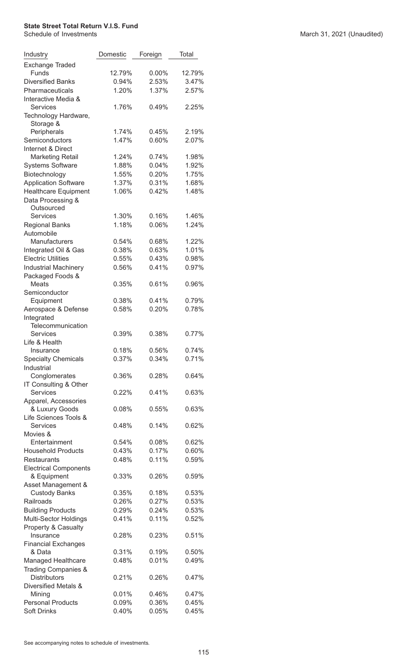| Industry                                          | Domestic       | Foreign        | Total             |
|---------------------------------------------------|----------------|----------------|-------------------|
| Exchange Traded<br>Funds                          | 12.79%         | $0.00\%$       | 12.79%            |
| <b>Diversified Banks</b>                          | 0.94%          | 2.53%          | 3.47%             |
| Pharmaceuticals                                   | 1.20%          | 1.37%          | 2.57%             |
| Interactive Media &                               |                |                |                   |
| <b>Services</b>                                   | 1.76%          | 0.49%          | 2.25%             |
| Technology Hardware,                              |                |                |                   |
| Storage &                                         |                |                |                   |
| Peripherals                                       | 1.74%          | 0.45%          | 2.19%             |
| Semiconductors                                    | 1.47%          | 0.60%          | 2.07%             |
| Internet & Direct                                 |                |                |                   |
| <b>Marketing Retail</b>                           | 1.24%          | 0.74%          | 1.98%             |
| <b>Systems Software</b>                           | 1.88%          | 0.04%          | 1.92%             |
| Biotechnology                                     | 1.55%          | 0.20%          | 1.75%             |
| <b>Application Software</b>                       | 1.37%          | 0.31%          | 1.68%             |
| <b>Healthcare Equipment</b>                       | 1.06%          | 0.42%          | 1.48%             |
| Data Processing &                                 |                |                |                   |
| Outsourced                                        |                |                |                   |
| <b>Services</b>                                   | 1.30%          | 0.16%          | 1.46%             |
| <b>Regional Banks</b>                             | 1.18%          | 0.06%          | 1.24%             |
| Automobile                                        |                |                |                   |
| Manufacturers                                     | 0.54%          | 0.68%          | 1.22%             |
| Integrated Oil & Gas<br><b>Electric Utilities</b> | 0.38%          | 0.63%          | 1.01%             |
|                                                   | 0.55%          | 0.43%          | 0.98%<br>0.97%    |
| <b>Industrial Machinery</b>                       | 0.56%          | 0.41%          |                   |
| Packaged Foods &<br><b>Meats</b>                  | 0.35%          | 0.61%          | 0.96%             |
| Semiconductor                                     |                |                |                   |
| Equipment                                         | 0.38%          | 0.41%          | 0.79%             |
| Aerospace & Defense                               | 0.58%          | 0.20%          | 0.78%             |
| Integrated                                        |                |                |                   |
| Telecommunication                                 |                |                |                   |
| Services                                          | 0.39%          | 0.38%          | 0.77%             |
| Life & Health                                     |                |                |                   |
| Insurance                                         | 0.18%          | 0.56%          | 0.74%             |
| <b>Specialty Chemicals</b>                        | 0.37%          | 0.34%          | 0.71%             |
| Industrial                                        |                |                |                   |
| Conglomerates                                     | 0.36%          | 0.28%          | 0.64%             |
| IT Consulting & Other                             |                |                |                   |
| <b>Services</b>                                   | 0.22%          | 0.41%          | 0.63%             |
| Apparel, Accessories<br>& Luxury Goods            | 0.08%          | 0.55%          | 0.63%             |
| Life Sciences Tools &                             |                |                |                   |
| <b>Services</b>                                   | 0.48%          | 0.14%          | 0.62%             |
| Movies &                                          |                |                |                   |
| Entertainment                                     | 0.54%          | 0.08%          | 0.62%             |
| <b>Household Products</b>                         | 0.43%          | 0.17%          | $0.60\%$          |
| <b>Restaurants</b>                                | 0.48%          | 0.11%          | 0.59%             |
| <b>Electrical Components</b>                      |                |                |                   |
| & Equipment                                       | 0.33%          | 0.26%          | 0.59%             |
| Asset Management &                                |                |                |                   |
| <b>Custody Banks</b>                              | 0.35%          | 0.18%          | 0.53%             |
| Railroads                                         | 0.26%          | 0.27%          | 0.53%             |
| <b>Building Products</b>                          | 0.29%          | 0.24%          | 0.53%             |
| Multi-Sector Holdings                             | 0.41%          | 0.11%          | 0.52%             |
| Property & Casualty                               |                |                |                   |
| Insurance                                         | 0.28%          | 0.23%          | 0.51%             |
| <b>Financial Exchanges</b>                        |                |                |                   |
| & Data                                            | 0.31%<br>0.48% | 0.19%<br>0.01% | $0.50\%$<br>0.49% |
| Managed Healthcare<br>Trading Companies &         |                |                |                   |
| <b>Distributors</b>                               | 0.21%          | 0.26%          | 0.47%             |
| Diversified Metals &                              |                |                |                   |
| Mining                                            | 0.01%          | 0.46%          | 0.47%             |
| <b>Personal Products</b>                          | 0.09%          | 0.36%          | 0.45%             |
| <b>Soft Drinks</b>                                | 0.40%          | 0.05%          | 0.45%             |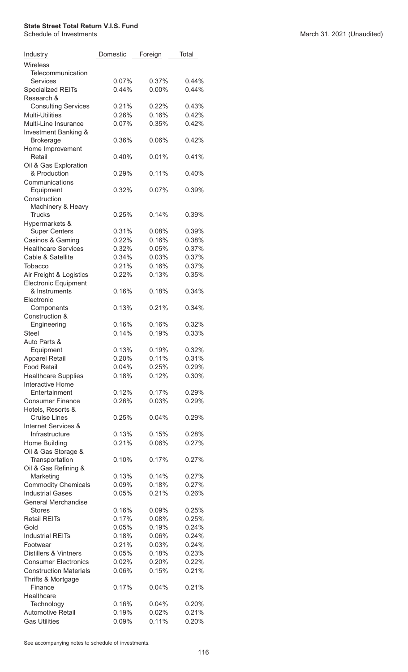| Industry                                 | Domestic | Foreign  | Total |
|------------------------------------------|----------|----------|-------|
| Wireless<br>Telecommunication            |          |          |       |
| Services                                 | 0.07%    | 0.37%    | 0.44% |
| <b>Specialized REITs</b><br>Research &   | 0.44%    | $0.00\%$ | 0.44% |
| <b>Consulting Services</b>               | 0.21%    | 0.22%    | 0.43% |
| <b>Multi-Utilities</b>                   | 0.26%    | 0.16%    | 0.42% |
| Multi-Line Insurance                     | 0.07%    | 0.35%    | 0.42% |
| Investment Banking &<br><b>Brokerage</b> | 0.36%    | 0.06%    | 0.42% |
| Home Improvement<br>Retail               | 0.40%    | 0.01%    | 0.41% |
| Oil & Gas Exploration<br>& Production    | 0.29%    | 0.11%    | 0.40% |
| Communications<br>Equipment              | 0.32%    | 0.07%    | 0.39% |
| Construction<br>Machinery & Heavy        |          |          |       |
| <b>Trucks</b><br>Hypermarkets &          | 0.25%    | 0.14%    | 0.39% |
| <b>Super Centers</b>                     | 0.31%    | $0.08\%$ | 0.39% |
| Casinos & Gaming                         | 0.22%    | 0.16%    | 0.38% |
| <b>Healthcare Services</b>               | 0.32%    | 0.05%    | 0.37% |
| Cable & Satellite                        | 0.34%    | 0.03%    | 0.37% |
| Tobacco                                  | 0.21%    | 0.16%    | 0.37% |
| Air Freight & Logistics                  | 0.22%    | 0.13%    | 0.35% |
| <b>Electronic Equipment</b>              |          |          |       |
| & Instruments<br>Electronic              | 0.16%    | 0.18%    | 0.34% |
| Components<br>Construction &             | 0.13%    | 0.21%    | 0.34% |
| Engineering                              | 0.16%    | 0.16%    | 0.32% |
| <b>Steel</b>                             | 0.14%    | 0.19%    | 0.33% |
| Auto Parts &                             |          |          |       |
| Equipment                                | 0.13%    | 0.19%    | 0.32% |
| <b>Apparel Retail</b>                    | 0.20%    | 0.11%    | 0.31% |
| <b>Food Retail</b>                       | 0.04%    | 0.25%    | 0.29% |
| <b>Healthcare Supplies</b>               | 0.18%    | 0.12%    | 0.30% |
| <b>Interactive Home</b>                  |          |          |       |
| Entertainment                            | 0.12%    | 0.17%    | 0.29% |
| <b>Consumer Finance</b>                  | 0.26%    | 0.03%    | 0.29% |
| Hotels, Resorts &                        |          |          |       |
| <b>Cruise Lines</b>                      | 0.25%    | 0.04%    | 0.29% |
| Internet Services &                      |          |          |       |
| Infrastructure                           | 0.13%    | 0.15%    | 0.28% |
| Home Building                            | 0.21%    | 0.06%    | 0.27% |
| Oil & Gas Storage &<br>Transportation    | 0.10%    | 0.17%    | 0.27% |
| Oil & Gas Refining &                     |          |          |       |
| Marketing                                | 0.13%    | 0.14%    | 0.27% |
| <b>Commodity Chemicals</b>               | 0.09%    | 0.18%    | 0.27% |
| <b>Industrial Gases</b>                  | 0.05%    | 0.21%    | 0.26% |
| <b>General Merchandise</b>               |          |          |       |
| <b>Stores</b>                            | 0.16%    | 0.09%    | 0.25% |
| <b>Retail REITs</b>                      | 0.17%    | 0.08%    | 0.25% |
| Gold                                     | 0.05%    | 0.19%    | 0.24% |
| <b>Industrial REITs</b>                  | 0.18%    | 0.06%    | 0.24% |
| Footwear                                 | 0.21%    | 0.03%    | 0.24% |
| <b>Distillers &amp; Vintners</b>         | 0.05%    | 0.18%    | 0.23% |
| <b>Consumer Electronics</b>              | 0.02%    | 0.20%    | 0.22% |
| <b>Construction Materials</b>            | 0.06%    | 0.15%    | 0.21% |
| Thrifts & Mortgage                       |          |          |       |
| Finance                                  | 0.17%    | 0.04%    | 0.21% |
| Healthcare                               |          |          |       |
| Technology                               | 0.16%    | 0.04%    | 0.20% |
| <b>Automotive Retail</b>                 | 0.19%    | 0.02%    | 0.21% |
| <b>Gas Utilities</b>                     | 0.09%    | 0.11%    | 0.20% |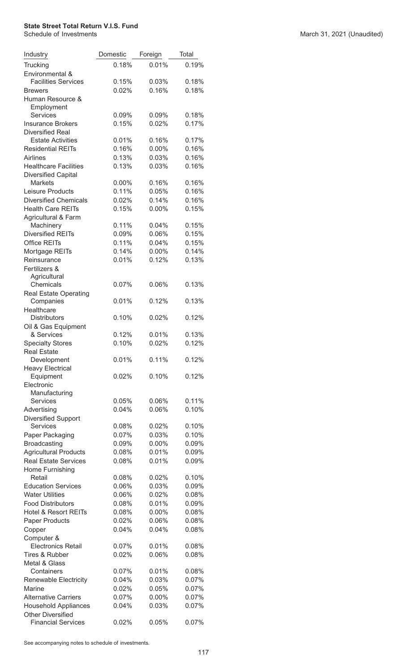| Industry                                        | Domestic | Foreign  | Total          |
|-------------------------------------------------|----------|----------|----------------|
| Trucking                                        | 0.18%    | 0.01%    | 0.19%          |
| Environmental &                                 |          |          |                |
| <b>Facilities Services</b>                      | 0.15%    | 0.03%    | 0.18%          |
| <b>Brewers</b>                                  | 0.02%    | 0.16%    | 0.18%          |
| Human Resource &                                |          |          |                |
| Employment<br>Services                          | 0.09%    | 0.09%    | 0.18%          |
| <b>Insurance Brokers</b>                        | 0.15%    | 0.02%    | 0.17%          |
| <b>Diversified Real</b>                         |          |          |                |
| <b>Estate Activities</b>                        | 0.01%    | 0.16%    | 0.17%          |
| <b>Residential REITs</b>                        | 0.16%    | 0.00%    | 0.16%          |
| Airlines                                        | 0.13%    | 0.03%    | 0.16%          |
| <b>Healthcare Facilities</b>                    | 0.13%    | 0.03%    | 0.16%          |
| <b>Diversified Capital</b>                      |          |          |                |
| <b>Markets</b>                                  | $0.00\%$ | 0.16%    | 0.16%          |
| Leisure Products                                | 0.11%    | 0.05%    | 0.16%          |
| <b>Diversified Chemicals</b>                    | 0.02%    | 0.14%    | 0.16%          |
| <b>Health Care REITs</b><br>Agricultural & Farm | 0.15%    | 0.00%    | 0.15%          |
| Machinery                                       | 0.11%    | 0.04%    | 0.15%          |
| <b>Diversified REITs</b>                        | 0.09%    | 0.06%    | 0.15%          |
| <b>Office REITs</b>                             | 0.11%    | 0.04%    | 0.15%          |
| Mortgage REITs                                  | 0.14%    | $0.00\%$ | 0.14%          |
| Reinsurance                                     | 0.01%    | 0.12%    | 0.13%          |
| Fertilizers &                                   |          |          |                |
| Agricultural                                    |          |          |                |
| Chemicals                                       | 0.07%    | 0.06%    | 0.13%          |
| <b>Real Estate Operating</b>                    |          |          |                |
| Companies<br>Healthcare                         | 0.01%    | 0.12%    | 0.13%          |
| <b>Distributors</b>                             | 0.10%    | 0.02%    | 0.12%          |
| Oil & Gas Equipment                             |          |          |                |
| & Services                                      | 0.12%    | 0.01%    | 0.13%          |
| <b>Specialty Stores</b>                         | 0.10%    | 0.02%    | 0.12%          |
| <b>Real Estate</b>                              |          |          |                |
| Development                                     | 0.01%    | 0.11%    | 0.12%          |
| <b>Heavy Electrical</b>                         |          |          |                |
| Equipment<br>Electronic                         | 0.02%    | 0.10%    | 0.12%          |
| Manufacturing                                   |          |          |                |
| <b>Services</b>                                 | 0.05%    | 0.06%    | 0.11%          |
| Advertising                                     | 0.04%    | 0.06%    | 0.10%          |
| <b>Diversified Support</b>                      |          |          |                |
| <b>Services</b>                                 | $0.08\%$ | 0.02%    | 0.10%          |
| Paper Packaging                                 | 0.07%    | 0.03%    | 0.10%          |
| <b>Broadcasting</b>                             | 0.09%    | 0.00%    | 0.09%          |
| <b>Agricultural Products</b>                    | 0.08%    | 0.01%    | 0.09%          |
| <b>Real Estate Services</b>                     | 0.08%    | 0.01%    | 0.09%          |
| Home Furnishing<br>Retail                       | 0.08%    | 0.02%    | 0.10%          |
| <b>Education Services</b>                       | 0.06%    | 0.03%    | 0.09%          |
| <b>Water Utilities</b>                          | 0.06%    | 0.02%    | 0.08%          |
| <b>Food Distributors</b>                        | 0.08%    | 0.01%    | 0.09%          |
| <b>Hotel &amp; Resort REITs</b>                 | 0.08%    | 0.00%    | 0.08%          |
| <b>Paper Products</b>                           | 0.02%    | 0.06%    | 0.08%          |
| Copper                                          | 0.04%    | 0.04%    | 0.08%          |
| Computer &                                      |          |          |                |
| <b>Electronics Retail</b>                       | 0.07%    | 0.01%    | 0.08%          |
| <b>Tires &amp; Rubber</b>                       | 0.02%    | 0.06%    | 0.08%          |
| Metal & Glass<br>Containers                     | 0.07%    | 0.01%    |                |
| <b>Renewable Electricity</b>                    | 0.04%    | 0.03%    | 0.08%<br>0.07% |
| Marine                                          | 0.02%    | 0.05%    | 0.07%          |
| <b>Alternative Carriers</b>                     | 0.07%    | 0.00%    | 0.07%          |
| <b>Household Appliances</b>                     | 0.04%    | 0.03%    | 0.07%          |
| <b>Other Diversified</b>                        |          |          |                |
| <b>Financial Services</b>                       | 0.02%    | 0.05%    | 0.07%          |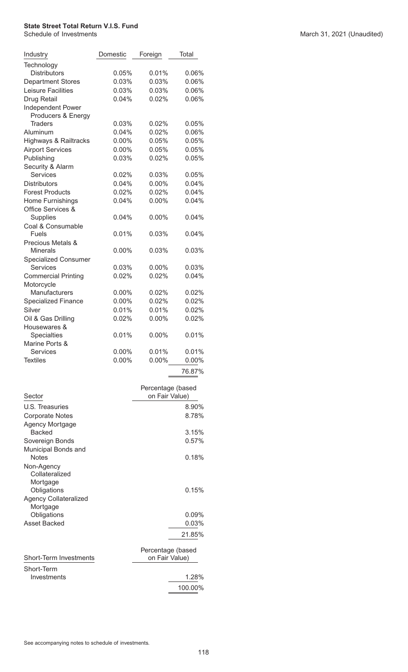| Industry                                | Domestic | Foreign           | Total    |
|-----------------------------------------|----------|-------------------|----------|
| Technology                              |          |                   |          |
| <b>Distributors</b>                     | 0.05%    | 0.01%             | 0.06%    |
| <b>Department Stores</b>                | 0.03%    | 0.03%             | 0.06%    |
| <b>Leisure Facilities</b>               | 0.03%    | 0.03%             | 0.06%    |
| Drug Retail                             | 0.04%    | 0.02%             | 0.06%    |
| Independent Power<br>Producers & Energy |          |                   |          |
| <b>Traders</b>                          | 0.03%    | 0.02%             | 0.05%    |
| Aluminum                                | 0.04%    | 0.02%             | 0.06%    |
| Highways & Railtracks                   | $0.00\%$ | 0.05%             | 0.05%    |
| <b>Airport Services</b>                 | $0.00\%$ | 0.05%             | 0.05%    |
| Publishing                              | 0.03%    | 0.02%             | 0.05%    |
| Security & Alarm                        |          |                   |          |
| <b>Services</b>                         | 0.02%    | $0.03\%$          | 0.05%    |
| <b>Distributors</b>                     | 0.04%    | $0.00\%$          | 0.04%    |
| <b>Forest Products</b>                  | 0.02%    | 0.02%             | 0.04%    |
|                                         |          |                   |          |
| Home Furnishings                        | 0.04%    | $0.00\%$          | 0.04%    |
| <b>Office Services &amp;</b>            |          |                   |          |
| <b>Supplies</b>                         | 0.04%    | $0.00\%$          | 0.04%    |
| Coal & Consumable                       |          |                   |          |
| <b>Fuels</b>                            | 0.01%    | $0.03\%$          | $0.04\%$ |
| Precious Metals &                       |          |                   |          |
| <b>Minerals</b>                         | 0.00%    | 0.03%             | 0.03%    |
| <b>Specialized Consumer</b>             |          |                   |          |
| Services                                | 0.03%    | $0.00\%$          | 0.03%    |
| <b>Commercial Printing</b>              | 0.02%    | 0.02%             | 0.04%    |
| Motorcycle                              |          |                   |          |
| Manufacturers                           | 0.00%    | 0.02%             | 0.02%    |
| <b>Specialized Finance</b>              | 0.00%    | 0.02%             | 0.02%    |
| Silver                                  | 0.01%    | 0.01%             | 0.02%    |
| Oil & Gas Drilling                      | 0.02%    | $0.00\%$          | 0.02%    |
| Housewares &                            |          |                   |          |
| Specialties                             | 0.01%    | $0.00\%$          | 0.01%    |
| Marine Ports &                          |          |                   |          |
| <b>Services</b>                         | $0.00\%$ | 0.01%             | 0.01%    |
| <b>Textiles</b>                         | $0.00\%$ | $0.00\%$          | 0.00%    |
|                                         |          |                   | 76.87%   |
|                                         |          |                   |          |
|                                         |          | Percentage (based |          |
| Sector                                  |          | on Fair Value)    |          |
|                                         |          |                   |          |
| U.S. Treasuries                         |          |                   | 8.90%    |
| <b>Corporate Notes</b>                  |          |                   | 8.78%    |
| Agency Mortgage                         |          |                   |          |
| <b>Backed</b>                           |          |                   | 3.15%    |
| Sovereign Bonds                         |          |                   | 0.57%    |
| Municipal Bonds and                     |          |                   |          |
| <b>Notes</b>                            |          |                   | 0.18%    |
| Non-Agency                              |          |                   |          |
| Collateralized                          |          |                   |          |
| Mortgage                                |          |                   |          |
| Obligations                             |          |                   | 0.15%    |
| <b>Agency Collateralized</b>            |          |                   |          |
| Mortgage                                |          |                   |          |
| Obligations                             |          |                   | $0.09\%$ |
| <b>Asset Backed</b>                     |          |                   | 0.03%    |
|                                         |          |                   |          |
|                                         |          |                   | 21.85%   |
|                                         |          | Percentage (based |          |
| <b>Short-Term Investments</b>           |          | on Fair Value)    |          |
|                                         |          |                   |          |
| Short-Term                              |          |                   |          |
| Investments                             |          |                   | 1.28%    |
|                                         |          |                   | 100.00%  |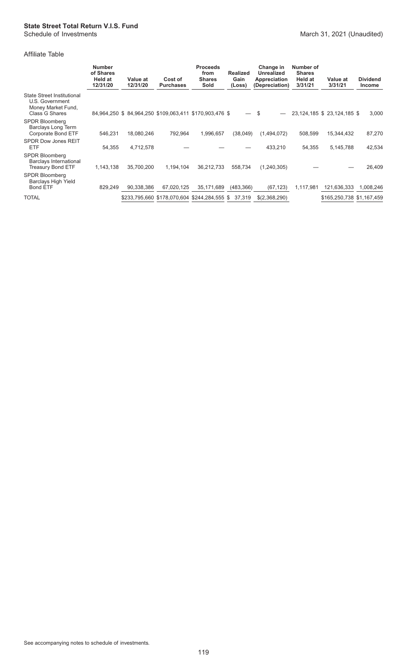#### Affiliate Table

|                                                                                                     | <b>Number</b><br>of Shares<br>Held at<br>12/31/20 | Value at<br>12/31/20 | Cost of<br><b>Purchases</b> | <b>Proceeds</b><br>from<br><b>Shares</b><br>Sold       | <b>Realized</b><br>Gain<br>(Loss) | Change in<br><b>Unrealized</b><br>Appreciation<br>(Depreciation) | Number of<br><b>Shares</b><br>Held at<br>3/31/21 | Value at<br>3/31/21         | <b>Dividend</b><br>Income |
|-----------------------------------------------------------------------------------------------------|---------------------------------------------------|----------------------|-----------------------------|--------------------------------------------------------|-----------------------------------|------------------------------------------------------------------|--------------------------------------------------|-----------------------------|---------------------------|
| <b>State Street Institutional</b><br>U.S. Government<br>Money Market Fund,<br><b>Class G Shares</b> |                                                   |                      |                             | 84,964,250 \$84,964,250 \$109,063,411 \$170,903,476 \$ | $\overline{\phantom{0}}$          | - \$                                                             |                                                  | 23,124,185 \$ 23,124,185 \$ | 3,000                     |
| SPDR Bloomberg<br>Barclays Long Term<br>Corporate Bond ETF                                          | 546,231                                           | 18,080,246           | 792,964                     | 1,996,657                                              | (38,049)                          | (1,494,072)                                                      | 508,599                                          | 15,344,432                  | 87,270                    |
| <b>SPDR Dow Jones REIT</b><br><b>ETF</b>                                                            | 54,355                                            | 4,712,578            |                             |                                                        |                                   | 433,210                                                          | 54,355                                           | 5,145,788                   | 42,534                    |
| <b>SPDR Bloomberg</b><br>Barclays International<br><b>Treasury Bond ETF</b>                         | 1,143,138                                         | 35,700,200           | 1,194,104                   | 36,212,733                                             | 558,734                           | (1,240,305)                                                      |                                                  |                             | 26,409                    |
| <b>SPDR Bloomberg</b><br><b>Barclays High Yield</b><br>Bond ETF                                     | 829,249                                           | 90.338.386           | 67,020,125                  | 35,171,689                                             | (483, 366)                        | (67, 123)                                                        | 1,117,981                                        | 121,636,333                 | 1,008,246                 |
| <b>TOTAL</b>                                                                                        |                                                   |                      |                             | \$233,795,660 \$178,070,604 \$244,284,555 \$           | 37,319                            | \$(2,368,290)                                                    |                                                  | \$165,250,738 \$1,167,459   |                           |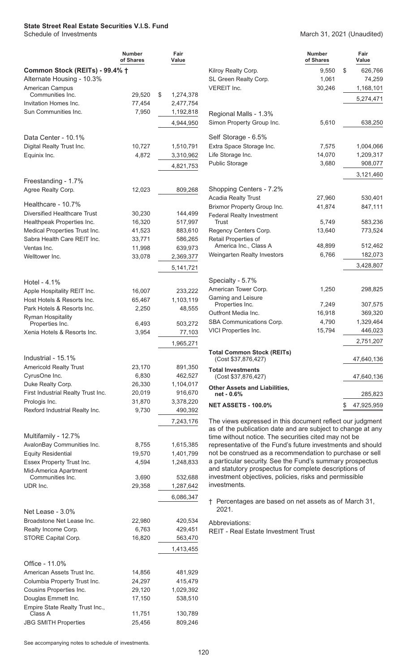## **State Street Real Estate Securities V.I.S. Fund**

#### March 31, 2021 (Unaudited)

|                                                    | <b>Number</b><br>of Shares | Fair<br>Value          |                                                                                                                   | <b>Number</b><br>of Shares | Fair<br>Value      |
|----------------------------------------------------|----------------------------|------------------------|-------------------------------------------------------------------------------------------------------------------|----------------------------|--------------------|
| Common Stock (REITs) - 99.4% †                     |                            |                        | Kilroy Realty Corp.                                                                                               | 9.550                      | \$<br>626,766      |
| Alternate Housing - 10.3%                          |                            |                        | SL Green Realty Corp.                                                                                             | 1,061                      | 74,259             |
| American Campus                                    |                            |                        | <b>VEREIT Inc.</b>                                                                                                | 30,246                     | 1,168,101          |
| Communities Inc.                                   | 29,520                     | \$<br>1,274,378        |                                                                                                                   |                            | 5,274,471          |
| Invitation Homes Inc.<br>Sun Communities Inc.      | 77,454<br>7,950            | 2,477,754<br>1,192,818 |                                                                                                                   |                            |                    |
|                                                    |                            |                        | Regional Malls - 1.3%                                                                                             |                            |                    |
|                                                    |                            | 4,944,950              | Simon Property Group Inc.                                                                                         | 5,610                      | 638,250            |
| Data Center - 10.1%                                |                            |                        | Self Storage - 6.5%                                                                                               |                            |                    |
| Digital Realty Trust Inc.                          | 10,727                     | 1,510,791              | Extra Space Storage Inc.                                                                                          | 7,575                      | 1,004,066          |
| Equinix Inc.                                       | 4,872                      | 3,310,962              | Life Storage Inc.                                                                                                 | 14,070                     | 1,209,317          |
|                                                    |                            | 4,821,753              | <b>Public Storage</b>                                                                                             | 3,680                      | 908,077            |
|                                                    |                            |                        |                                                                                                                   |                            | 3,121,460          |
| Freestanding - 1.7%                                |                            |                        |                                                                                                                   |                            |                    |
| Agree Realty Corp.                                 | 12,023                     | 809,268                | Shopping Centers - 7.2%                                                                                           |                            |                    |
|                                                    |                            |                        | <b>Acadia Realty Trust</b>                                                                                        | 27,960                     | 530,401            |
| Healthcare - 10.7%<br>Diversified Healthcare Trust | 30,230                     |                        | Brixmor Property Group Inc.                                                                                       | 41,874                     | 847,111            |
| Healthpeak Properties Inc.                         | 16,320                     | 144,499<br>517,997     | <b>Federal Realty Investment</b><br><b>Trust</b>                                                                  | 5.749                      | 583,236            |
| Medical Properties Trust Inc.                      | 41,523                     | 883,610                | Regency Centers Corp.                                                                                             | 13,640                     | 773,524            |
| Sabra Health Care REIT Inc.                        | 33,771                     | 586,265                | Retail Properties of                                                                                              |                            |                    |
| Ventas Inc.                                        | 11,998                     | 639,973                | America Inc., Class A                                                                                             | 48,899                     | 512,462            |
| Welltower Inc.                                     | 33,078                     | 2,369,377              | Weingarten Realty Investors                                                                                       | 6,766                      | 182,073            |
|                                                    |                            |                        |                                                                                                                   |                            | 3,428,807          |
|                                                    |                            | 5, 141, 721            |                                                                                                                   |                            |                    |
| Hotel - $4.1\%$                                    |                            |                        | Specialty - 5.7%                                                                                                  |                            |                    |
| Apple Hospitality REIT Inc.                        | 16,007                     | 233,222                | American Tower Corp.                                                                                              | 1,250                      | 298,825            |
| Host Hotels & Resorts Inc.                         | 65,467                     | 1,103,119              | Gaming and Leisure                                                                                                |                            |                    |
| Park Hotels & Resorts Inc.                         | 2,250                      | 48,555                 | Properties Inc.                                                                                                   | 7,249                      | 307,575<br>369,320 |
| <b>Ryman Hospitality</b>                           |                            |                        | Outfront Media Inc.<br>16,918<br>SBA Communications Corp.<br>4,790                                                |                            | 1,329,464          |
| Properties Inc.                                    | 6,493                      | 503,272                | VICI Properties Inc.                                                                                              | 15,794                     | 446,023            |
| Xenia Hotels & Resorts Inc.                        | 3,954                      | 77,103                 |                                                                                                                   |                            |                    |
|                                                    |                            | 1,965,271              |                                                                                                                   |                            | 2,751,207          |
| Industrial - 15.1%                                 |                            |                        | <b>Total Common Stock (REITs)</b><br>(Cost \$37,876,427)                                                          |                            | 47,640,136         |
| <b>Americold Realty Trust</b>                      | 23,170                     | 891,350                |                                                                                                                   |                            |                    |
| CyrusOne Inc.                                      | 6,830                      | 462,527                | <b>Total Investments</b><br>(Cost \$37,876,427)                                                                   |                            | 47,640,136         |
| Duke Realty Corp.                                  | 26,330                     | 1,104,017              | <b>Other Assets and Liabilities,</b>                                                                              |                            |                    |
| First Industrial Realty Trust Inc.                 | 20,019                     | 916,670                | net - 0.6%                                                                                                        |                            | 285,823            |
| Prologis Inc.                                      | 31,870                     | 3,378,220              | <b>NET ASSETS - 100.0%</b>                                                                                        |                            | 47,925,959         |
| Rexford Industrial Realty Inc.                     | 9,730                      | 490,392                |                                                                                                                   |                            |                    |
|                                                    |                            | 7,243,176              | The views expressed in this document reflect our judgment                                                         |                            |                    |
|                                                    |                            |                        | as of the publication date and are subject to change at any                                                       |                            |                    |
| Multifamily - 12.7%                                |                            |                        | time without notice. The securities cited may not be                                                              |                            |                    |
| AvalonBay Communities Inc.                         | 8,755                      | 1,615,385              | representative of the Fund's future investments and should                                                        |                            |                    |
| <b>Equity Residential</b>                          | 19,570                     | 1,401,799              | not be construed as a recommendation to purchase or sell                                                          |                            |                    |
| Essex Property Trust Inc.                          | 4,594                      | 1,248,833              | a particular security. See the Fund's summary prospectus<br>and statutory prospectus for complete descriptions of |                            |                    |
| Mid-America Apartment<br>Communities Inc.          | 3,690                      | 532,688                | investment objectives, policies, risks and permissible                                                            |                            |                    |
| UDR Inc.                                           | 29,358                     | 1,287,642              | investments.                                                                                                      |                            |                    |
|                                                    |                            | 6,086,347              |                                                                                                                   |                            |                    |
|                                                    |                            |                        | † Percentages are based on net assets as of March 31,                                                             |                            |                    |
| Net Lease - 3.0%                                   |                            |                        | 2021.                                                                                                             |                            |                    |
| Broadstone Net Lease Inc.                          | 22,980                     | 420,534                | Abbreviations:                                                                                                    |                            |                    |
| Realty Income Corp.                                | 6,763                      | 429,451                | <b>REIT - Real Estate Investment Trust</b>                                                                        |                            |                    |
| STORE Capital Corp.                                | 16,820                     | 563,470                |                                                                                                                   |                            |                    |
|                                                    |                            | 1,413,455              |                                                                                                                   |                            |                    |
|                                                    |                            |                        |                                                                                                                   |                            |                    |
| Office - 11.0%                                     |                            |                        |                                                                                                                   |                            |                    |
| American Assets Trust Inc.                         | 14,856                     | 481,929                |                                                                                                                   |                            |                    |
| Columbia Property Trust Inc.                       | 24,297                     | 415,479                |                                                                                                                   |                            |                    |
| Cousins Properties Inc.                            | 29,120                     | 1,029,392              |                                                                                                                   |                            |                    |
| Douglas Emmett Inc.                                | 17,150                     | 538,510                |                                                                                                                   |                            |                    |
| Empire State Realty Trust Inc.,<br>Class A         | 11,751                     | 130,789                |                                                                                                                   |                            |                    |
| <b>JBG SMITH Properties</b>                        | 25,456                     | 809,246                |                                                                                                                   |                            |                    |
|                                                    |                            |                        |                                                                                                                   |                            |                    |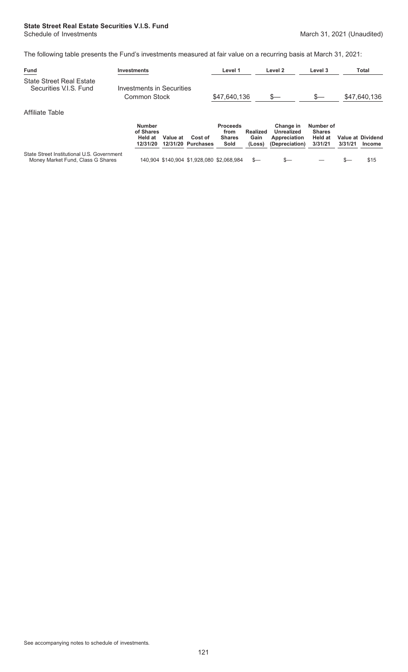# **State Street Real Estate Securities V.I.S. Fund**

The following table presents the Fund's investments measured at fair value on a recurring basis at March 31, 2021:

| <b>Fund</b>                                               | <b>Investments</b>                                               | Level 1                 | Level 2                                          | Level 3                    | <b>Total</b>                                  |  |
|-----------------------------------------------------------|------------------------------------------------------------------|-------------------------|--------------------------------------------------|----------------------------|-----------------------------------------------|--|
| <b>State Street Real Estate</b><br>Securities V.I.S. Fund | Investments in Securities<br>Common Stock                        | \$47,640,136            | S—                                               | $s-$                       | \$47,640,136                                  |  |
| Affiliate Table                                           |                                                                  |                         |                                                  |                            |                                               |  |
|                                                           | <b>Number</b><br>of Shares                                       | <b>Proceeds</b><br>from | Change in<br><b>Realized</b><br>Unrealized       | Number of<br><b>Shares</b> |                                               |  |
|                                                           | Held at<br>Value at<br>Cost of<br>12/31/20 Purchases<br>12/31/20 | <b>Shares</b><br>Sold   | Gain<br>Appreciation<br>(Depreciation)<br>(Loss) | <b>Held at</b><br>3/31/21  | <b>Value at Dividend</b><br>3/31/21<br>Income |  |

State Street Institutional U.S. Government<br>Money Market Fund, Class G Shares

 $140,904$  \$140,904 \$1,928,080 \$2,068,984 \$— \$— \$— \$— \$15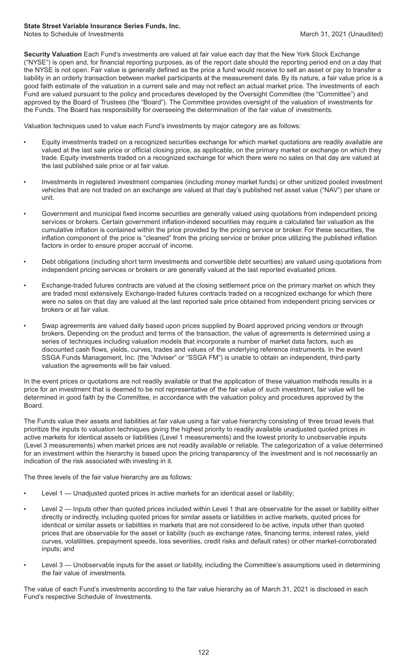#### **State Street Variable Insurance Series Funds, Inc.**

Notes to Schedule of Investments **March 31, 2021** (Unaudited)

**Security Valuation** Each Fund's investments are valued at fair value each day that the New York Stock Exchange ("NYSE") is open and, for financial reporting purposes, as of the report date should the reporting period end on a day that the NYSE is not open. Fair value is generally defined as the price a fund would receive to sell an asset or pay to transfer a liability in an orderly transaction between market participants at the measurement date. By its nature, a fair value price is a good faith estimate of the valuation in a current sale and may not reflect an actual market price. The investments of each Fund are valued pursuant to the policy and procedures developed by the Oversight Committee (the "Committee") and approved by the Board of Trustees (the "Board"). The Committee provides oversight of the valuation of investments for the Funds. The Board has responsibility for overseeing the determination of the fair value of investments.

Valuation techniques used to value each Fund's investments by major category are as follows:

- Equity investments traded on a recognized securities exchange for which market quotations are readily available are valued at the last sale price or official closing price, as applicable, on the primary market or exchange on which they trade. Equity investments traded on a recognized exchange for which there were no sales on that day are valued at the last published sale price or at fair value.
- Investments in registered investment companies (including money market funds) or other unitized pooled investment vehicles that are not traded on an exchange are valued at that day's published net asset value ("NAV") per share or unit.
- Government and municipal fixed income securities are generally valued using quotations from independent pricing services or brokers. Certain government inflation-indexed securities may require a calculated fair valuation as the cumulative inflation is contained within the price provided by the pricing service or broker. For these securities, the inflation component of the price is "cleaned" from the pricing service or broker price utilizing the published inflation factors in order to ensure proper accrual of income.
- Debt obligations (including short term investments and convertible debt securities) are valued using quotations from independent pricing services or brokers or are generally valued at the last reported evaluated prices.
- Exchange-traded futures contracts are valued at the closing settlement price on the primary market on which they are traded most extensively. Exchange-traded futures contracts traded on a recognized exchange for which there were no sales on that day are valued at the last reported sale price obtained from independent pricing services or brokers or at fair value.
- Swap agreements are valued daily based upon prices supplied by Board approved pricing vendors or through brokers. Depending on the product and terms of the transaction, the value of agreements is determined using a series of techniques including valuation models that incorporate a number of market data factors, such as discounted cash flows, yields, curves, trades and values of the underlying reference instruments. In the event SSGA Funds Management, Inc. (the "Adviser" or "SSGA FM") is unable to obtain an independent, third-party valuation the agreements will be fair valued.

In the event prices or quotations are not readily available or that the application of these valuation methods results in a price for an investment that is deemed to be not representative of the fair value of such investment, fair value will be determined in good faith by the Committee, in accordance with the valuation policy and procedures approved by the Board.

The Funds value their assets and liabilities at fair value using a fair value hierarchy consisting of three broad levels that prioritize the inputs to valuation techniques giving the highest priority to readily available unadjusted quoted prices in active markets for identical assets or liabilities (Level 1 measurements) and the lowest priority to unobservable inputs (Level 3 measurements) when market prices are not readily available or reliable. The categorization of a value determined for an investment within the hierarchy is based upon the pricing transparency of the investment and is not necessarily an indication of the risk associated with investing in it.

The three levels of the fair value hierarchy are as follows:

- Level 1 Unadjusted quoted prices in active markets for an identical asset or liability;
- Level 2 Inputs other than quoted prices included within Level 1 that are observable for the asset or liability either directly or indirectly, including quoted prices for similar assets or liabilities in active markets, quoted prices for identical or similar assets or liabilities in markets that are not considered to be active, inputs other than quoted prices that are observable for the asset or liability (such as exchange rates, financing terms, interest rates, yield curves, volatilities, prepayment speeds, loss severities, credit risks and default rates) or other market-corroborated inputs; and
- Level 3 Unobservable inputs for the asset or liability, including the Committee's assumptions used in determining the fair value of investments.

The value of each Fund's investments according to the fair value hierarchy as of March 31, 2021 is disclosed in each Fund's respective Schedule of Investments.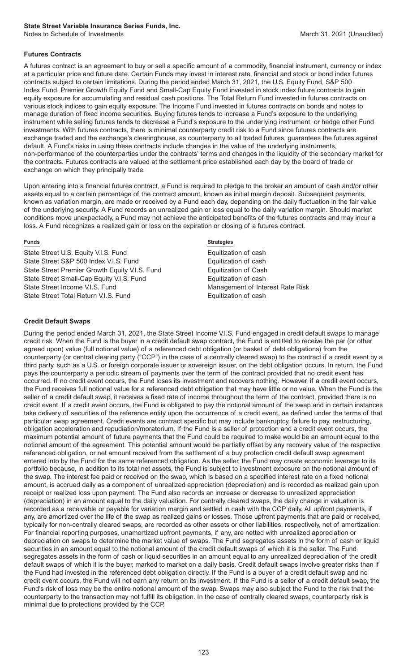#### **State Street Variable Insurance Series Funds, Inc.**

Notes to Schedule of Investments **March 31, 2021** (Unaudited)

#### **Futures Contracts**

A futures contract is an agreement to buy or sell a specific amount of a commodity, financial instrument, currency or index at a particular price and future date. Certain Funds may invest in interest rate, financial and stock or bond index futures contracts subject to certain limitations. During the period ended March 31, 2021, the U.S. Equity Fund, S&P 500 Index Fund, Premier Growth Equity Fund and Small-Cap Equity Fund invested in stock index future contracts to gain equity exposure for accumulating and residual cash positions. The Total Return Fund invested in futures contracts on various stock indices to gain equity exposure. The Income Fund invested in futures contracts on bonds and notes to manage duration of fixed income securities. Buying futures tends to increase a Fund's exposure to the underlying instrument while selling futures tends to decrease a Fund's exposure to the underlying instrument, or hedge other Fund investments. With futures contracts, there is minimal counterparty credit risk to a Fund since futures contracts are exchange traded and the exchange's clearinghouse, as counterparty to all traded futures, guarantees the futures against default. A Fund's risks in using these contracts include changes in the value of the underlying instruments, non-performance of the counterparties under the contracts' terms and changes in the liquidity of the secondary market for the contracts. Futures contracts are valued at the settlement price established each day by the board of trade or exchange on which they principally trade.

Upon entering into a financial futures contract, a Fund is required to pledge to the broker an amount of cash and/or other assets equal to a certain percentage of the contract amount, known as initial margin deposit. Subsequent payments, known as variation margin, are made or received by a Fund each day, depending on the daily fluctuation in the fair value of the underlying security. A Fund records an unrealized gain or loss equal to the daily variation margin. Should market conditions move unexpectedly, a Fund may not achieve the anticipated benefits of the futures contracts and may incur a loss. A Fund recognizes a realized gain or loss on the expiration or closing of a futures contract.

State Street U.S. Equity V.I.S. Fund Equitization of cash State Street S&P 500 Index V.I.S. Fund Equitization of cash State Street Premier Growth Equity V.I.S. Fund Equitization of Cash State Street Small-Cap Equity V.I.S. Fund<br>State Street Income V.I.S. Fund Equitization of cash<br>Management of Inte State Street Total Return V.I.S. Fund Equitization of cash

#### **Funds Strategies**

Management of Interest Rate Risk

#### **Credit Default Swaps**

During the period ended March 31, 2021, the State Street Income V.I.S. Fund engaged in credit default swaps to manage credit risk. When the Fund is the buyer in a credit default swap contract, the Fund is entitled to receive the par (or other agreed upon) value (full notional value) of a referenced debt obligation (or basket of debt obligations) from the counterparty (or central clearing party ("CCP") in the case of a centrally cleared swap) to the contract if a credit event by a third party, such as a U.S. or foreign corporate issuer or sovereign issuer, on the debt obligation occurs. In return, the Fund pays the counterparty a periodic stream of payments over the term of the contract provided that no credit event has occurred. If no credit event occurs, the Fund loses its investment and recovers nothing. However, if a credit event occurs, the Fund receives full notional value for a referenced debt obligation that may have little or no value. When the Fund is the seller of a credit default swap, it receives a fixed rate of income throughout the term of the contract, provided there is no credit event. If a credit event occurs, the Fund is obligated to pay the notional amount of the swap and in certain instances take delivery of securities of the reference entity upon the occurrence of a credit event, as defined under the terms of that particular swap agreement. Credit events are contract specific but may include bankruptcy, failure to pay, restructuring, obligation acceleration and repudiation/moratorium. If the Fund is a seller of protection and a credit event occurs, the maximum potential amount of future payments that the Fund could be required to make would be an amount equal to the notional amount of the agreement. This potential amount would be partially offset by any recovery value of the respective referenced obligation, or net amount received from the settlement of a buy protection credit default swap agreement entered into by the Fund for the same referenced obligation. As the seller, the Fund may create economic leverage to its portfolio because, in addition to its total net assets, the Fund is subject to investment exposure on the notional amount of the swap. The interest fee paid or received on the swap, which is based on a specified interest rate on a fixed notional amount, is accrued daily as a component of unrealized appreciation (depreciation) and is recorded as realized gain upon receipt or realized loss upon payment. The Fund also records an increase or decrease to unrealized appreciation (depreciation) in an amount equal to the daily valuation. For centrally cleared swaps, the daily change in valuation is recorded as a receivable or payable for variation margin and settled in cash with the CCP daily. All upfront payments, if any, are amortized over the life of the swap as realized gains or losses. Those upfront payments that are paid or received, typically for non-centrally cleared swaps, are recorded as other assets or other liabilities, respectively, net of amortization. For financial reporting purposes, unamortized upfront payments, if any, are netted with unrealized appreciation or depreciation on swaps to determine the market value of swaps. The Fund segregates assets in the form of cash or liquid securities in an amount equal to the notional amount of the credit default swaps of which it is the seller. The Fund segregates assets in the form of cash or liquid securities in an amount equal to any unrealized depreciation of the credit default swaps of which it is the buyer, marked to market on a daily basis. Credit default swaps involve greater risks than if the Fund had invested in the referenced debt obligation directly. If the Fund is a buyer of a credit default swap and no credit event occurs, the Fund will not earn any return on its investment. If the Fund is a seller of a credit default swap, the Fund's risk of loss may be the entire notional amount of the swap. Swaps may also subject the Fund to the risk that the counterparty to the transaction may not fulfill its obligation. In the case of centrally cleared swaps, counterparty risk is minimal due to protections provided by the CCP.